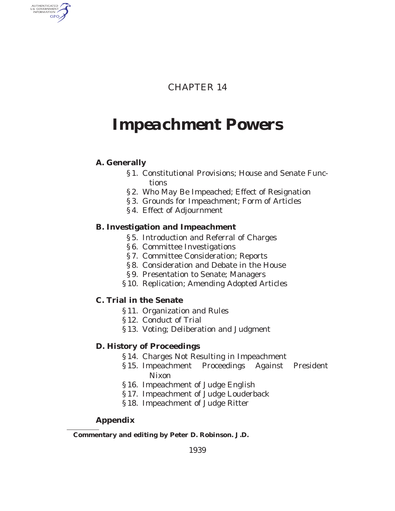### CHAPTER 14

# *Impeachment Powers*

### **A. Generally**

- § 1. Constitutional Provisions; House and Senate Functions
- § 2. Who May Be Impeached; Effect of Resignation
- § 3. Grounds for Impeachment; Form of Articles
- § 4. Effect of Adjournment

### **B. Investigation and Impeachment**

- § 5. Introduction and Referral of Charges
- § 6. Committee Investigations
- § 7. Committee Consideration; Reports
- § 8. Consideration and Debate in the House
- § 9. Presentation to Senate; Managers
- § 10. Replication; Amending Adopted Articles

### **C. Trial in the Senate**

- § 11. Organization and Rules
- § 12. Conduct of Trial
- § 13. Voting; Deliberation and Judgment

### **D. History of Proceedings**

- § 14. Charges Not Resulting in Impeachment
- § 15. Impeachment Proceedings Against President Nixon
- § 16. Impeachment of Judge English
- § 17. Impeachment of Judge Louderback
- § 18. Impeachment of Judge Ritter

### **Appendix**

**Commentary and editing by Peter D. Robinson. J.D.**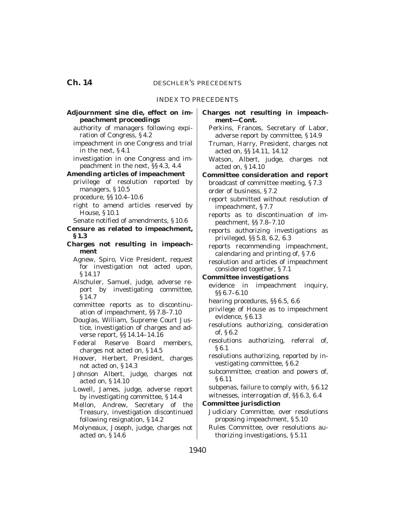#### INDEX TO PRECEDENTS

### **peachment proceedings** authority of managers following expiration of Congress, § 4.2 impeachment in one Congress and trial in the next, § 4.1 investigation in one Congress and impeachment in the next, §§ 4.3, 4.4 **Amending articles of impeachment** privilege of resolution reported by managers, § 10.5 procedure, §§ 10.4–10.6 right to amend articles reserved by House, § 10.1 Senate notified of amendments, § 10.6 **Censure as related to impeachment, § 1.3 Charges not resulting in impeachment** Agnew, Spiro, Vice President, request for investigation not acted upon, § 14.17 Alschuler, Samuel, judge, adverse report by investigating committee, § 14.7 committee reports as to discontinuation of impeachment, §§ 7.8–7.10 Douglas, William, Supreme Court Justice, investigation of charges and adverse report, §§ 14.14–14.16 Federal Reserve Board members, charges not acted on, § 14.5 Hoover, Herbert, President, charges not acted on, § 14.3 Johnson Albert, judge, charges not acted on, § 14.10 Lowell, James, judge, adverse report by investigating committee, § 14.4 Mellon, Andrew, Secretary of the Treasury, investigation discontinued following resignation, § 14.2 Molyneaux, Joseph, judge, charges not acted on, § 14.6

**Adjournment sine die, effect on im-**

#### **Charges not resulting in impeachment—Cont.**

- Perkins, Frances, Secretary of Labor, adverse report by committee, § 14.9
- Truman, Harry, President, charges not acted on, §§ 14.11, 14.12
- Watson, Albert, judge, charges not acted on, § 14.10
- **Committee consideration and report** broadcast of committee meeting, § 7.3 order of business, § 7.2
	- report submitted without resolution of impeachment, § 7.7
	- reports as to discontinuation of impeachment, §§ 7.8–7.10
	- reports authorizing investigations as privileged, §§ 5.8, 6.2, 6.3
	- reports recommending impeachment, calendaring and printing of, § 7.6
	- resolution and articles of impeachment considered together, § 7.1

#### **Committee investigations**

- evidence in impeachment inquiry, §§ 6.7–6.10
- hearing procedures, §§ 6.5, 6.6
- privilege of House as to impeachment evidence, § 6.13
- resolutions authorizing, consideration of, § 6.2
- resolutions authorizing, referral of, § 6.1
- resolutions authorizing, reported by investigating committee, § 6.2
- subcommittee, creation and powers of, § 6.11

subpenas, failure to comply with, § 6.12 witnesses, interrogation of, §§ 6.3, 6.4

**Committee jurisdiction**

Judiciary Committee, over resolutions proposing impeachment, § 5.10

Rules Committee, over resolutions authorizing investigations, § 5.11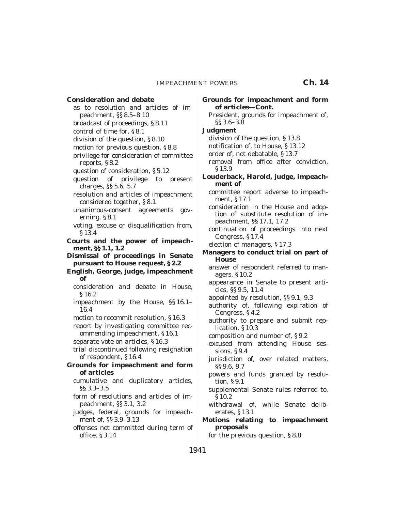**Consideration and debate** as to resolution and articles of impeachment, §§ 8.5–8.10 broadcast of proceedings, § 8.11 control of time for, § 8.1 division of the question, § 8.10 motion for previous question, § 8.8 privilege for consideration of committee reports, § 8.2 question of consideration, § 5.12 question of privilege to present charges, §§ 5.6, 5.7 resolution and articles of impeachment considered together, § 8.1 unanimous-consent agreements governing, § 8.1 voting, excuse or disqualification from, § 13.4 **Courts and the power of impeachment, §§ 1.1, 1.2 Dismissal of proceedings in Senate pursuant to House request, § 2.2 English, George, judge, impeachment of** consideration and debate in House, § 16.2 impeachment by the House, §§ 16.1– 16.4 motion to recommit resolution, § 16.3 report by investigating committee recommending impeachment, § 16.1 separate vote on articles, § 16.3 trial discontinued following resignation of respondent, § 16.4 **Grounds for impeachment and form of articles** cumulative and duplicatory articles, §§ 3.3–3.5 form of resolutions and articles of impeachment, §§ 3.1, 3.2 judges, federal, grounds for impeachment of, §§ 3.9–3.13

offenses not committed during term of office, § 3.14

**Grounds for impeachment and form of articles—Cont.** President, grounds for impeachment of, §§ 3.6–3.8 **Judgment** division of the question, § 13.8 notification of, to House, § 13.12 order of, not debatable, § 13.7 removal from office after conviction, § 13.9 **Louderback, Harold, judge, impeachment of** committee report adverse to impeachment, § 17.1 peachment, §§ 17.1, 17.2 continuation of proceedings into next Congress, § 17.4 election of managers, § 17.3 **Managers to conduct trial on part of House** answer of respondent referred to managers, § 10.2 appearance in Senate to present articles, §§ 9.5, 11.4 appointed by resolution, §§ 9.1, 9.3 authority of, following expiration of Congress, § 4.2 authority to prepare and submit replication,  $§ 10.3$ composition and number of, § 9.2 excused from attending House sessions, § 9.4 jurisdiction of, over related matters, §§ 9.6, 9.7 powers and funds granted by resolution, § 9.1 supplemental Senate rules referred to, § 10.2 withdrawal of, while Senate delib-

**Motions relating to impeachment proposals**

for the previous question, § 8.8

- 
- 
- consideration in the House and adoption of substitute resolution of im-

- 
- 
- 
- 
- 
- 
- 
- 
- 
- erates, § 13.1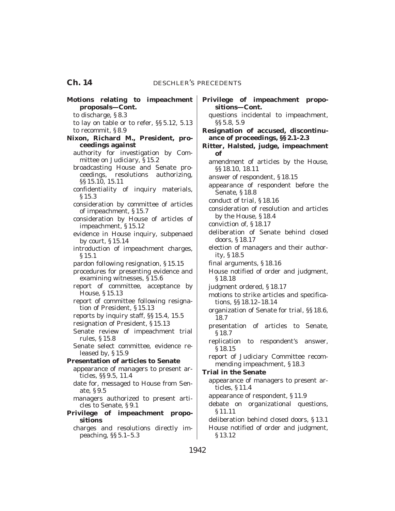**Motions relating to impeachment proposals—Cont.** to discharge, § 8.3 to lay on table or to refer, §§ 5.12, 5.13 to recommit, § 8.9 **Nixon, Richard M., President, proceedings against** authority for investigation by Committee on Judiciary, § 15.2 broadcasting House and Senate proceedings, resolutions authorizing, §§ 15.10, 15.11 confidentiality of inquiry materials, § 15.3 consideration by committee of articles of impeachment, § 15.7 consideration by House of articles of impeachment, § 15.12 evidence in House inquiry, subpenaed by court, § 15.14 introduction of impeachment charges, § 15.1 pardon following resignation, § 15.15 procedures for presenting evidence and examining witnesses, § 15.6 report of committee, acceptance by House, § 15.13 report of committee following resignation of President, § 15.13 reports by inquiry staff, §§ 15.4, 15.5 resignation of President, § 15.13 Senate review of impeachment trial rules, § 15.8 Senate select committee, evidence released by, § 15.9 **Presentation of articles to Senate** appearance of managers to present articles, §§ 9.5, 11.4 date for, messaged to House from Senate, § 9.5 managers authorized to present articles to Senate, § 9.1 **Privilege of impeachment propositions** charges and resolutions directly impeaching, §§ 5.1–5.3 **Privilege of impeachment propo-**

**sitions—Cont.** questions incidental to impeachment, §§ 5.8, 5.9 **Resignation of accused, discontinuance of proceedings, §§ 2.1–2.3 Ritter, Halsted, judge, impeachment of** amendment of articles by the House, §§ 18.10, 18.11 answer of respondent, § 18.15 appearance of respondent before the Senate, § 18.8 conduct of trial, § 18.16 consideration of resolution and articles by the House, § 18.4 conviction of, § 18.17 deliberation of Senate behind closed doors, § 18.17 election of managers and their authority, § 18.5 final arguments, § 18.16 House notified of order and judgment, § 18.18 judgment ordered, § 18.17 motions to strike articles and specifications, §§ 18.12–18.14 organization of Senate for trial, §§ 18.6, 18.7 presentation of articles to Senate, § 18.7 replication to respondent's answer, § 18.15 report of Judiciary Committee recommending impeachment, § 18.3 **Trial in the Senate** appearance of managers to present articles, § 11.4 appearance of respondent, § 11.9 debate on organizational questions, § 11.11 deliberation behind closed doors, § 13.1 House notified of order and judgment, § 13.12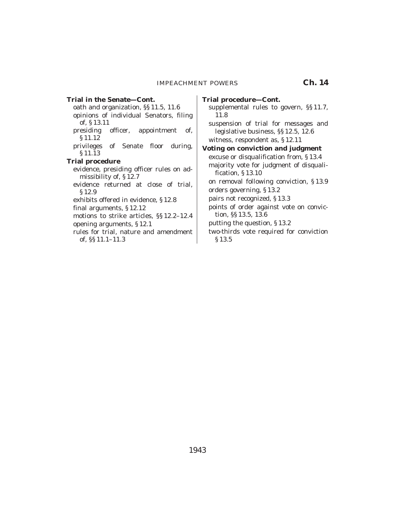**Trial in the Senate—Cont.** oath and organization, §§ 11.5, 11.6 opinions of individual Senators, filing of, § 13.11 presiding officer, appointment of, § 11.12 privileges of Senate floor during, § 11.13 **Trial procedure** evidence, presiding officer rules on admissibility of, § 12.7 evidence returned at close of trial, § 12.9 exhibits offered in evidence, § 12.8 final arguments, § 12.12 motions to strike articles, §§ 12.2–12.4 opening arguments, § 12.1 rules for trial, nature and amendment

of, §§ 11.1–11.3

suspension of trial for messages and legislative business, §§ 12.5, 12.6 witness, respondent as, § 12.11 **Voting on conviction and judgment** excuse or disqualification from, § 13.4 majority vote for judgment of disqualification, § 13.10 on removal following conviction, § 13.9 orders governing, § 13.2 pairs not recognized, § 13.3 points of order against vote on conviction, §§ 13.5, 13.6 putting the question, § 13.2 two-thirds vote required for conviction § 13.5

supplemental rules to govern, §§ 11.7,

**Trial procedure—Cont.**

11.8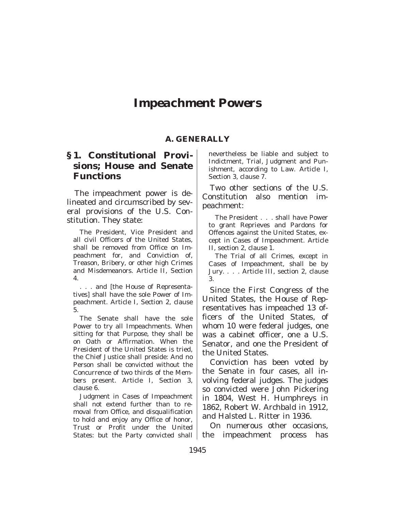## *Impeachment Powers*

### **A. GENERALLY**

### **§ 1. Constitutional Provisions; House and Senate Functions**

The impeachment power is delineated and circumscribed by several provisions of the U.S. Constitution. They state:

The President, Vice President and all civil Officers of the United States, shall be removed from Office on Impeachment for, and Conviction of, Treason, Bribery, or other high Crimes and Misdemeanors. Article II, Section 4.

. . . and [the House of Representatives] shall have the sole Power of Impeachment. Article I, Section 2, clause 5.

The Senate shall have the sole Power to try all Impeachments. When sitting for that Purpose, they shall be on Oath or Affirmation. When the President of the United States is tried, the Chief Justice shall preside: And no Person shall be convicted without the Concurrence of two thirds of the Members present. Article I, Section 3, clause 6.

Judgment in Cases of Impeachment shall not extend further than to removal from Office, and disqualification to hold and enjoy any Office of honor, Trust or Profit under the United States: but the Party convicted shall nevertheless be liable and subject to Indictment, Trial, Judgment and Punishment, according to Law. Article I, Section 3, clause 7.

Two other sections of the U.S. Constitution also mention impeachment:

The President . . . shall have Power to grant Reprieves and Pardons for Offences against the United States, except in Cases of Impeachment. Article II, section 2, clause 1.

The Trial of all Crimes, except in Cases of Impeachment, shall be by Jury. . . . Article III, section 2, clause 3.

Since the First Congress of the United States, the House of Representatives has impeached 13 officers of the United States, of whom 10 were federal judges, one was a cabinet officer, one a U.S. Senator, and one the President of the United States.

Conviction has been voted by the Senate in four cases, all involving federal judges. The judges so convicted were John Pickering in 1804, West H. Humphreys in 1862, Robert W. Archbald in 1912, and Halsted L. Ritter in 1936.

On numerous other occasions, the impeachment process has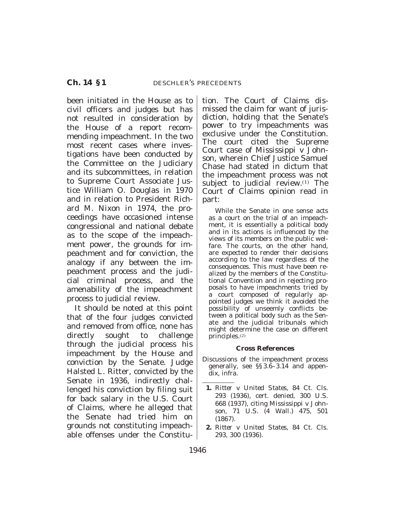been initiated in the House as to civil officers and judges but has not resulted in consideration by the House of a report recommending impeachment. In the two most recent cases where investigations have been conducted by the Committee on the Judiciary and its subcommittees, in relation to Supreme Court Associate Justice William O. Douglas in 1970 and in relation to President Richard M. Nixon in 1974, the proceedings have occasioned intense congressional and national debate as to the scope of the impeachment power, the grounds for impeachment and for conviction, the analogy if any between the impeachment process and the judicial criminal process, and the amenability of the impeachment process to judicial review.

It should be noted at this point that of the four judges convicted and removed from office, none has directly sought to challenge through the judicial process his impeachment by the House and conviction by the Senate. Judge Halsted L. Ritter, convicted by the Senate in 1936, indirectly challenged his conviction by filing suit for back salary in the U.S. Court of Claims, where he alleged that the Senate had tried him on grounds not constituting impeachable offenses under the Constitu-

tion. The Court of Claims dismissed the claim for want of jurisdiction, holding that the Senate's power to try impeachments was exclusive under the Constitution. The court cited the Supreme Court case of *Mississippi* v *Johnson,* wherein Chief Justice Samuel Chase had stated in dictum that the impeachment process was not subject to judicial review. $(1)$  The Court of Claims opinion read in part:

While the Senate in one sense acts as a court on the trial of an impeachment, it is essentially a political body and in its actions is influenced by the views of its members on the public welfare. The courts, on the other hand, are expected to render their decisions according to the law regardless of the consequences. This must have been realized by the members of the Constitutional Convention and in rejecting proposals to have impeachments tried by a court composed of regularly appointed judges we think it avoided the possibility of unseemly conflicts between a political body such as the Senate and the judicial tribunals which might determine the case on different principles.(2)

#### **Cross References**

- Discussions of the impeachment process generally, see §§ 3.6-3.14 and appendix, infra.
- **1.** *Ritter* v *United States,* 84 Ct. Cls. 293 (1936), cert. denied, 300 U.S. 668 (1937), citing *Mississippi* v *Johnson,* 71 U.S. (4 Wall.) 475, 501 (1867).
- **2.** *Ritter* v *United States,* 84 Ct. Cls. 293, 300 (1936).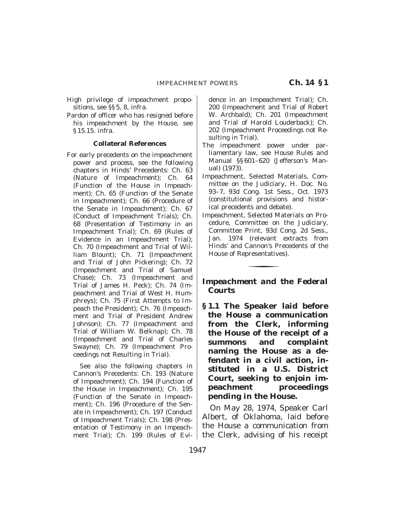High privilege of impeachment propositions, see §§ 5, 8, infra.

Pardon of officer who has resigned before his impeachment by the House, see § 15.15. infra.

#### **Collateral References**

For early precedents on the impeachment power and process, see the following chapters in Hinds' Precedents: Ch. 63 (Nature of Impeachment); Ch. 64 (Function of the House in Impeachment); Ch. 65 (Function of the Senate in Impeachment); Ch. 66 (Procedure of the Senate in Impeachment); Ch. 67 (Conduct of Impeachment Trials); Ch. 68 (Presentation of Testimony in an Impeachment Trial); Ch. 69 (Rules of Evidence in an Impeachment Trial); Ch. 70 (Impeachment and Trial of William Blount); Ch. 71 (Impeachment and Trial of John Pickering); Ch. 72 (Impeachment and Trial of Samuel Chase); Ch. 73 (Impeachment and Trial of James H. Peck); Ch. 74 (Impeachment and Trial of West H. Humphreys); Ch. 75 (First Attempts to Impeach the President); Ch. 76 (Impeachment and Trial of President Andrew Johnson); Ch. 77 (Impeachment and Trial of William W. Belknap); Ch. 78 (Impeachment and Trial of Charles Swayne); Ch. 79 (Impeachment Proceedings not Resulting in Trial).

See also the following chapters in Cannon's Precedents: Ch. 193 (Nature of Impeachment); Ch. 194 (Function of the House in Impeachment); Ch. 195 (Function of the Senate in Impeachment); Ch. 196 (Procedure of the Senate in Impeachment); Ch. 197 (Conduct of Impeachment Trials); Ch. 198 (Presentation of Testimony in an Impeachment Trial); Ch. 199 (Rules of Evidence in an Impeachment Trial); Ch. 200 (Impeachment and Trial of Robert W. Archbald); Ch. 201 (Impeachment and Trial of Harold Louderback); Ch. 202 (Impeachment Proceedings not Resulting in Trial).

- The impeachment power under parliamentary law, see *House Rules and Manual* §§ 601–620 (Jefferson's Manual) (1973).
- Impeachment, Selected Materials, Committee on the Judiciary, H. Doc. No. 93–7, 93d Cong. 1st Sess., Oct. 1973 (constitutional provisions and historical precedents and debate).
- Impeachment, Selected Materials on Procedure, Committee on the Judiciary, Committee Print, 93d Cong. 2d Sess., Jan. 1974 (relevant extracts from Hinds' and Cannon's Precedents of the House of Representatives).

#### *Impeachment and the Federal Courts*

**§ 1.1 The Speaker laid before the House a communication from the Clerk, informing the House of the receipt of a summons and complaint naming the House as a defendant in a civil action, instituted in a U.S. District Court, seeking to enjoin impeachment proceedings pending in the House.**

On May 28, 1974, Speaker Carl Albert, of Oklahoma, laid before the House a communication from the Clerk, advising of his receipt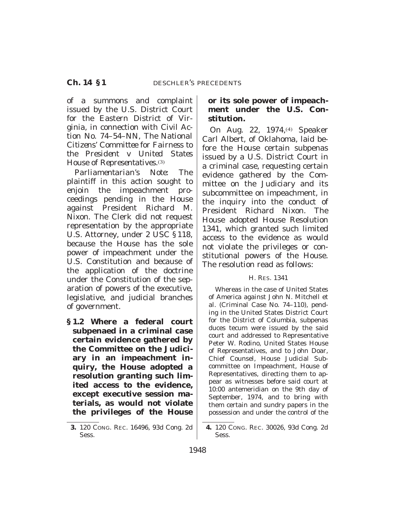of a summons and complaint issued by the U.S. District Court for the Eastern District of Virginia, in connection with Civil Action No. 74–54–NN, *The National Citizens' Committee for Fairness to the President* v *United States House of Representatives.*(3)

*Parliamentarian's Note:* The plaintiff in this action sought to enjoin the impeachment proceedings pending in the House against President Richard M. Nixon. The Clerk did not request representation by the appropriate U.S. Attorney, under 2 USC § 118, because the House has the sole power of impeachment under the U.S. Constitution and because of the application of the doctrine under the Constitution of the separation of powers of the executive, legislative, and judicial branches of government.

**§ 1.2 Where a federal court subpenaed in a criminal case certain evidence gathered by the Committee on the Judiciary in an impeachment inquiry, the House adopted a resolution granting such limited access to the evidence, except executive session materials, as would not violate the privileges of the House**

### **or its sole power of impeachment under the U.S. Constitution.**

On Aug. 22, 1974,(4) Speaker Carl Albert, of Oklahoma, laid before the House certain subpenas issued by a U.S. District Court in a criminal case, requesting certain evidence gathered by the Committee on the Judiciary and its subcommittee on impeachment, in the inquiry into the conduct of President Richard Nixon. The House adopted House Resolution 1341, which granted such limited access to the evidence as would not violate the privileges or constitutional powers of the House. The resolution read as follows:

#### H. RES. 1341

Whereas in the case of United States of America against John N. Mitchell et al. (Criminal Case No. 74–110), pending in the United States District Court for the District of Columbia, subpenas duces tecum were issued by the said court and addressed to Representative Peter W. Rodino, United States House of Representatives, and to John Doar, Chief Counsel, House Judicial Subcommittee on Impeachment, House of Representatives, directing them to appear as witnesses before said court at 10:00 antemeridian on the 9th day of September, 1974, and to bring with them certain and sundry papers in the possession and under the control of the

**<sup>3.</sup>** 120 CONG. REC. 16496, 93d Cong. 2d Sess.

**<sup>4.</sup>** 120 CONG. REC. 30026, 93d Cong. 2d Sess.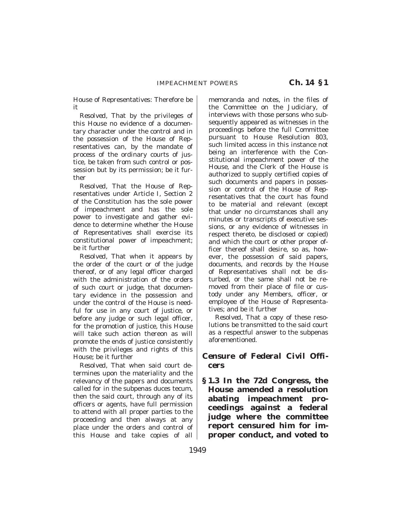House of Representatives: Therefore be it

*Resolved,* That by the privileges of this House no evidence of a documentary character under the control and in the possession of the House of Representatives can, by the mandate of process of the ordinary courts of justice, be taken from such control or possession but by its permission; be it further

*Resolved,* That the House of Representatives under Article I, Section 2 of the Constitution has the sole power of impeachment and has the sole power to investigate and gather evidence to determine whether the House of Representatives shall exercise its constitutional power of impeachment; be it further

*Resolved,* That when it appears by the order of the court or of the judge thereof, or of any legal officer charged with the administration of the orders of such court or judge, that documentary evidence in the possession and under the control of the House is needful for use in any court of justice, or before any judge or such legal officer, for the promotion of justice, this House will take such action thereon as will promote the ends of justice consistently with the privileges and rights of this House; be it further

*Resolved,* That when said court determines upon the materiality and the relevancy of the papers and documents called for in the subpenas duces tecum, then the said court, through any of its officers or agents, have full permission to attend with all proper parties to the proceeding and then always at any place under the orders and control of this House and take copies of all memoranda and notes, in the files of the Committee on the Judiciary, of interviews with those persons who subsequently appeared as witnesses in the proceedings before the full Committee pursuant to House Resolution 803, such limited access in this instance not being an interference with the Constitutional impeachment power of the House, and the Clerk of the House is authorized to supply certified copies of such documents and papers in possession or control of the House of Representatives that the court has found to be material and relevant (except that under no circumstances shall any minutes or transcripts of executive sessions, or any evidence of witnesses in respect thereto, be disclosed or copied) and which the court or other proper officer thereof shall desire, so as, however, the possession of said papers, documents, and records by the House of Representatives shall not be disturbed, or the same shall not be removed from their place of file or custody under any Members, officer, or employee of the House of Representatives; and be it further

*Resolved,* That a copy of these resolutions be transmitted to the said court as a respectful answer to the subpenas aforementioned.

### *Censure of Federal Civil Officers*

**§ 1.3 In the 72d Congress, the House amended a resolution abating impeachment proceedings against a federal judge where the committee report censured him for improper conduct, and voted to**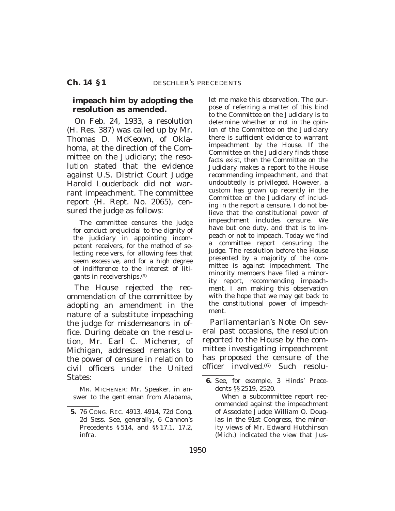#### **impeach him by adopting the resolution as amended.**

On Feb. 24, 1933, a resolution (H. Res. 387) was called up by Mr. Thomas D. McKeown, of Oklahoma, at the direction of the Committee on the Judiciary; the resolution stated that the evidence against U.S. District Court Judge Harold Louderback did not warrant impeachment. The committee report (H. Rept. No. 2065), censured the judge as follows:

The committee censures the judge for conduct prejudicial to the dignity of the judiciary in appointing incompetent receivers, for the method of selecting receivers, for allowing fees that seem excessive, and for a high degree of indifference to the interest of litigants in receiverships.(5)

The House rejected the recommendation of the committee by adopting an amendment in the nature of a substitute impeaching the judge for misdemeanors in office. During debate on the resolution, Mr. Earl C. Michener, of Michigan, addressed remarks to the power of censure in relation to civil officers under the United States:

MR. MICHENER: Mr. Speaker, in answer to the gentleman from Alabama, let me make this observation. The purpose of referring a matter of this kind to the Committee on the Judiciary is to determine whether or not in the opinion of the Committee on the Judiciary there is sufficient evidence to warrant impeachment by the House. If the Committee on the Judiciary finds those facts exist, then the Committee on the Judiciary makes a report to the House recommending impeachment, and that undoubtedly is privileged. However, a custom has grown up recently in the Committee on the Judiciary of including in the report a censure. I do not believe that the constitutional power of impeachment includes censure. We have but one duty, and that is to impeach or not to impeach. Today we find a committee report censuring the judge. The resolution before the House presented by a majority of the committee is against impeachment. The minority members have filed a minority report, recommending impeachment. I am making this observation with the hope that we may get back to the constitutional power of impeachment.

*Parliamentarian's Note:* On several past occasions, the resolution reported to the House by the committee investigating impeachment has proposed the censure of the officer involved.(6) Such resolu-

**<sup>5.</sup>** 76 CONG. REC. 4913, 4914, 72d Cong. 2d Sess. See, generally, 6 Cannon's Precedents § 514, and §§ 17.1, 17.2, infra.

**<sup>6.</sup>** See, for example, 3 Hinds' Precedents §§ 2519, 2520.

When a subcommittee report recommended against the impeachment of Associate Judge William O. Douglas in the 91st Congress, the minority views of Mr. Edward Hutchinson (Mich.) indicated the view that Jus-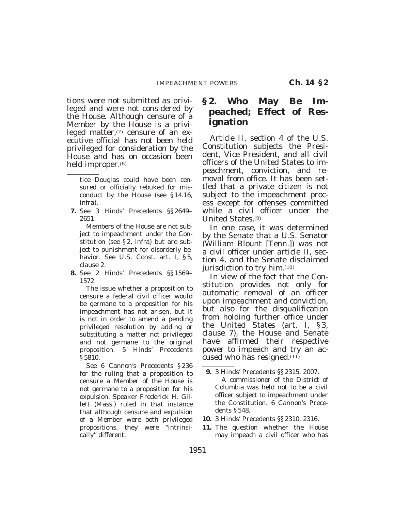tions were not submitted as privileged and were not considered by the House. Although censure of a Member by the House is a privileged matter,(7) censure of an executive official has not been held privileged for consideration by the House and has on occasion been held improper.(8)

**7.** See 3 Hinds' Precedents §§ 2649– 2651.

Members of the House are not subject to impeachment under the Constitution (see § 2, infra) but are subject to punishment for disorderly behavior. See U.S. Const. art. I, §5, clause 2.

**8.** See 2 Hinds' Precedents §§ 1569– 1572.

The issue whether a proposition to censure a federal civil officer would be germane to a proposition for his impeachment has not arisen, but it is not in order to amend a pending privileged resolution by adding or substituting a matter not privileged and not germane to the original proposition. 5 Hinds' Precedents § 5810.

See 6 Cannon's Precedents § 236 for the ruling that a proposition to censure a Member of the House is not germane to a proposition for his expulsion. Speaker Frederick H. Gillett (Mass.) ruled in that instance that although censure and expulsion of a Member were both privileged propositions, they were ''intrinsically'' different.

### **§ 2. Who May Be Impeached; Effect of Resignation**

Article II, section 4 of the U.S. Constitution subjects the President, Vice President, and all civil officers of the United States to impeachment, conviction, and removal from office. It has been settled that a private citizen is not subject to the impeachment process except for offenses committed while a civil officer under the United States.(9)

In one case, it was determined by the Senate that a U.S. Senator (William Blount [Tenn.]) was not a civil officer under article II, section 4, and the Senate disclaimed jurisdiction to try him.(10)

In view of the fact that the Constitution provides not only for automatic removal of an officer upon impeachment and conviction, but also for the disqualification from holding further office under the United States (art. I, § 3, clause 7), the House and Senate have affirmed their respective power to impeach and try an accused who has resigned. $(11)$ 

- **10.** 3 Hinds' Precedents §§ 2310, 2316.
- **11.** The question whether the House may impeach a civil officer who has

tice Douglas could have been censured or officially rebuked for misconduct by the House (see § 14.16, infra).

**<sup>9.</sup>** 3 Hinds' Precedents §§ 2315, 2007. A commissioner of the District of Columbia was held not to be a civil officer subject to impeachment under the Constitution. 6 Cannon's Precedents § 548.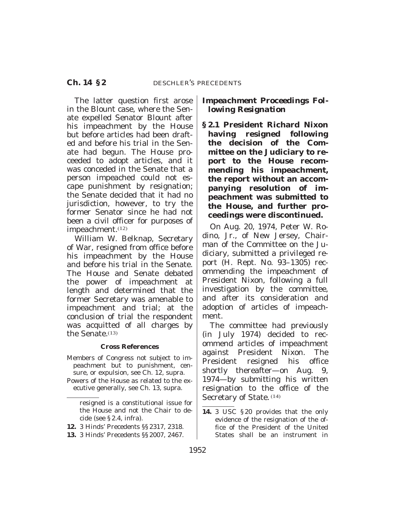The latter question first arose in the Blount case, where the Senate expelled Senator Blount after his impeachment by the House but before articles had been drafted and before his trial in the Senate had begun. The House proceeded to adopt articles, and it was conceded in the Senate that a person impeached could not escape punishment by resignation; the Senate decided that it had no jurisdiction, however, to try the former Senator since he had not been a civil officer for purposes of impeachment.(12)

William W. Belknap, Secretary of War, resigned from office before his impeachment by the House and before his trial in the Senate. The House and Senate debated the power of impeachment at length and determined that the former Secretary was amenable to impeachment and trial; at the conclusion of trial the respondent was acquitted of all charges by the Senate.(13)

#### **Cross References**

- Members of Congress not subject to impeachment but to punishment, censure, or expulsion, see Ch. 12, supra.
- Powers of the House as related to the executive generally, see Ch. 13, supra.

### *Impeachment Proceedings Following Resignation*

**§ 2.1 President Richard Nixon having resigned following the decision of the Committee on the Judiciary to report to the House recommending his impeachment, the report without an accompanying resolution of impeachment was submitted to the House, and further proceedings were discontinued.**

On Aug. 20, 1974, Peter W. Rodino, Jr., of New Jersey, Chairman of the Committee on the Judiciary, submitted a privileged report (H. Rept. No. 93–1305) recommending the impeachment of President Nixon, following a full investigation by the committee, and after its consideration and adoption of articles of impeachment.

The committee had previously (in July 1974) decided to recommend articles of impeachment against President Nixon. The President resigned his office shortly thereafter—on Aug. 9, 1974—by submitting his written resignation to the office of the Secretary of State. (14)

resigned is a constitutional issue for the House and not the Chair to decide (see § 2.4, infra).

**<sup>12.</sup>** 3 Hinds' Precedents §§ 2317, 2318.

**<sup>13.</sup>** 3 Hinds' Precedents §§ 2007, 2467.

**<sup>14.</sup>** 3 USC § 20 provides that the only evidence of the resignation of the office of the President of the United States shall be an instrument in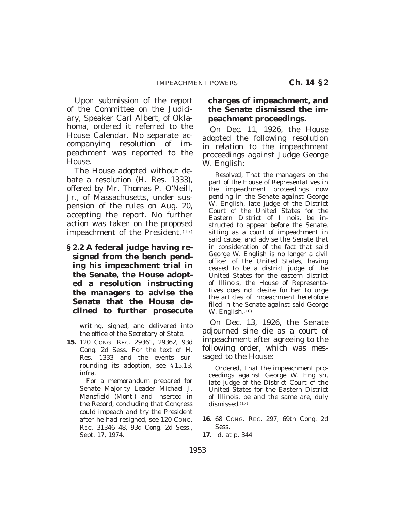Upon submission of the report of the Committee on the Judiciary, Speaker Carl Albert, of Oklahoma, ordered it referred to the House Calendar. No separate accompanying resolution of impeachment was reported to the House.

The House adopted without debate a resolution (H. Res. 1333), offered by Mr. Thomas P. O'Neill, Jr., of Massachusetts, under suspension of the rules on Aug. 20, accepting the report. No further action was taken on the proposed impeachment of the President. (15)

**§ 2.2 A federal judge having resigned from the bench pending his impeachment trial in the Senate, the House adopted a resolution instructing the managers to advise the Senate that the House declined to further prosecute**

**15.** 120 CONG. REC. 29361, 29362, 93d Cong. 2d Sess. For the text of H. Res. 1333 and the events surrounding its adoption, see § 15.13, infra.

For a memorandum prepared for Senate Majority Leader Michael J. Mansfield (Mont.) and inserted in the Record, concluding that Congress could impeach and try the President after he had resigned, see 120 CONG. REC. 31346–48, 93d Cong. 2d Sess., Sept. 17, 1974.

### **charges of impeachment, and the Senate dismissed the impeachment proceedings.**

On Dec. 11, 1926, the House adopted the following resolution in relation to the impeachment proceedings against Judge George W. English:

*Resolved,* That the managers on the part of the House of Representatives in the impeachment proceedings now pending in the Senate against George W. English, late judge of the District Court of the United States for the Eastern District of Illinois, be instructed to appear before the Senate, sitting as a court of impeachment in said cause, and advise the Senate that in consideration of the fact that said George W. English is no longer a civil officer of the United States, having ceased to be a district judge of the United States for the eastern district of Illinois, the House of Representatives does not desire further to urge the articles of impeachment heretofore filed in the Senate against said George W. English.<sup>(16)</sup>

On Dec. 13, 1926, the Senate adjourned *sine die* as a court of impeachment after agreeing to the following order, which was messaged to the House:

*Ordered,* That the impeachment proceedings against George W. English, late judge of the District Court of the United States for the Eastern District of Illinois, be and the same are, duly dismissed.(17)

writing, signed, and delivered into the office of the Secretary of State.

**<sup>16.</sup>** 68 CONG. REC. 297, 69th Cong. 2d Sess.

**<sup>17.</sup>** *Id.* at p. 344.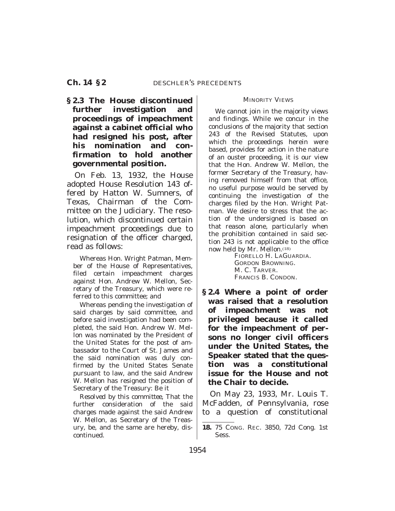### **§ 2.3 The House discontinued further investigation and proceedings of impeachment against a cabinet official who had resigned his post, after his nomination and confirmation to hold another governmental position.**

On Feb. 13, 1932, the House adopted House Resolution 143 offered by Hatton W. Sumners, of Texas, Chairman of the Committee on the Judiciary. The resolution, which discontinued certain impeachment proceedings due to resignation of the officer charged, read as follows:

Whereas Hon. Wright Patman, Member of the House of Representatives, filed certain impeachment charges against Hon. Andrew W. Mellon, Secretary of the Treasury, which were referred to this committee; and

Whereas pending the investigation of said charges by said committee, and before said investigation had been completed, the said Hon. Andrew W. Mellon was nominated by the President of the United States for the post of ambassador to the Court of St. James and the said nomination was duly confirmed by the United States Senate pursuant to law, and the said Andrew W. Mellon has resigned the position of Secretary of the Treasury: Be it

*Resolved by this committee,* That the further consideration of the said charges made against the said Andrew W. Mellon, as Secretary of the Treasury, be, and the same are hereby, discontinued.

#### MINORITY VIEWS

We cannot join in the majority views and findings. While we concur in the conclusions of the majority that section 243 of the Revised Statutes, upon which the proceedings herein were based, provides for action in the nature of an ouster proceeding, it is our view that the Hon. Andrew W. Mellon, the former Secretary of the Treasury, having removed himself from that office, no useful purpose would be served by continuing the investigation of the charges filed by the Hon. Wright Patman. We desire to stress that the action of the undersigned is based on that reason alone, particularly when the prohibition contained in said section 243 is not applicable to the office now held by Mr. Mellon.(18)

FIORELLO H. LAGUARDIA. GORDON BROWNING. M. C. TARVER. FRANCIS B. CONDON.

**§ 2.4 Where a point of order was raised that a resolution of impeachment was not privileged because it called for the impeachment of persons no longer civil officers under the United States, the Speaker stated that the question was a constitutional issue for the House and not the Chair to decide.**

On May 23, 1933, Mr. Louis T. McFadden, of Pennsylvania, rose to a question of constitutional

**<sup>18.</sup>** 75 CONG. REC. 3850, 72d Cong. 1st Sess.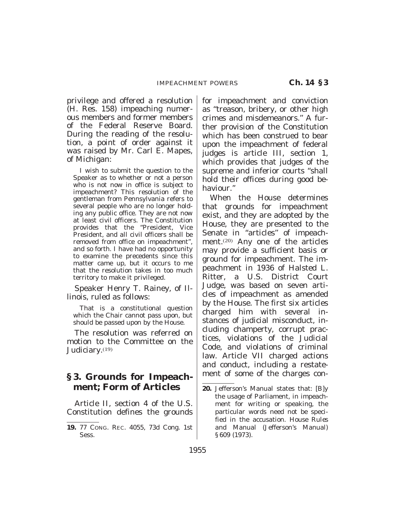privilege and offered a resolution (H. Res. 158) impeaching numerous members and former members of the Federal Reserve Board. During the reading of the resolution, a point of order against it was raised by Mr. Carl E. Mapes, of Michigan:

I wish to submit the question to the Speaker as to whether or not a person who is not now in office is subject to impeachment? This resolution of the gentleman from Pennsylvania refers to several people who are no longer holding any public office. They are not now at least civil officers. The Constitution provides that the "President, Vice President, and all civil officers shall be removed from office on impeachment'', and so forth. I have had no opportunity to examine the precedents since this matter came up, but it occurs to me that the resolution takes in too much territory to make it privileged.

Speaker Henry T. Rainey, of Illinois, ruled as follows:

That is a constitutional question which the Chair cannot pass upon, but should be passed upon by the House.

The resolution was referred on motion to the Committee on the Judiciary.<sup>(19)</sup>

### **§ 3. Grounds for Impeachment; Form of Articles**

Article II, section 4 of the U.S. Constitution defines the grounds

for impeachment and conviction as ''treason, bribery, or other high crimes and misdemeanors.'' A further provision of the Constitution which has been construed to bear upon the impeachment of federal judges is article III, section 1, which provides that judges of the supreme and inferior courts "shall hold their offices during good behaviour.''

When the House determines that grounds for impeachment exist, and they are adopted by the House, they are presented to the Senate in ''articles'' of impeachment.(20) Any one of the articles may provide a sufficient basis or ground for impeachment. The impeachment in 1936 of Halsted L. Ritter, a U.S. District Court Judge, was based on seven articles of impeachment as amended by the House. The first six articles charged him with several instances of judicial misconduct, including champerty, corrupt practices, violations of the Judicial Code, and violations of criminal law. Article VII charged actions and conduct, including a restatement of some of the charges con-

**<sup>19.</sup>** 77 CONG. REC. 4055, 73d Cong. 1st Sess.

**<sup>20.</sup>** Jefferson's Manual states that: [B]y the usage of Parliament, in impeachment for writing or speaking, the particular words need not be specified in the accusation. *House Rules and Manual* (Jefferson's Manual) § 609 (1973).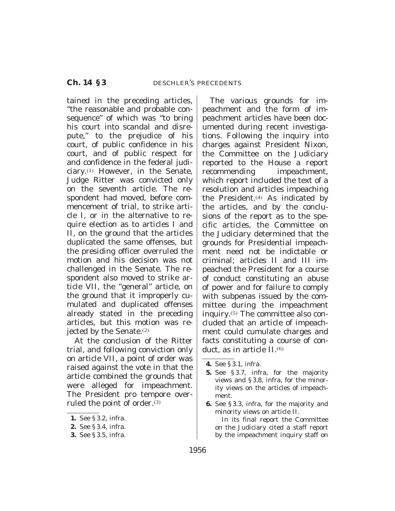tained in the preceding articles, ''the reasonable and probable consequence'' of which was ''to bring his court into scandal and disrepute,'' to the prejudice of his court, of public confidence in his court, and of public respect for and confidence in the federal judiciary.(1) However, in the Senate, Judge Ritter was convicted only on the seventh article. The respondent had moved, before commencement of trial, to strike article I, or in the alternative to require election as to articles I and II, on the ground that the articles duplicated the same offenses, but the presiding officer overruled the motion and his decision was not challenged in the Senate. The respondent also moved to strike article VII, the ''general'' article, on the ground that it improperly cumulated and duplicated offenses already stated in the preceding articles, but this motion was rejected by the Senate.(2)

At the conclusion of the Ritter trial, and following conviction only on article VII, a point of order was raised against the vote in that the article combined the grounds that were alleged for impeachment. The President pro tempore overruled the point of order.(3)

The various grounds for impeachment and the form of impeachment articles have been documented during recent investigations. Following the inquiry into charges against President Nixon, the Committee on the Judiciary reported to the House a report recommending impeachment, which report included the text of a resolution and articles impeaching the President.(4) As indicated by the articles, and by the conclusions of the report as to the specific articles, the Committee on the Judiciary determined that the grounds for Presidential impeachment need not be indictable or criminal; articles II and III impeached the President for a course of conduct constituting an abuse of power and for failure to comply with subpenas issued by the committee during the impeachment inquiry.(5) The committee also concluded that an article of impeachment could cumulate charges and facts constituting a course of conduct, as in article  $II^{(6)}$ 

**5.** See § 3.7, infra, for the majority views and § 3.8, infra, for the minority views on the articles of impeachment.

**6.** See § 3.3, infra, for the majority and minority views on article II. In its final report the Committee on the Judiciary cited a staff report by the impeachment inquiry staff on

**<sup>1.</sup>** See § 3.2, infra.

**<sup>2.</sup>** See § 3.4, infra.

**<sup>3.</sup>** See § 3.5, infra.

**<sup>4.</sup>** See § 3.1, infra.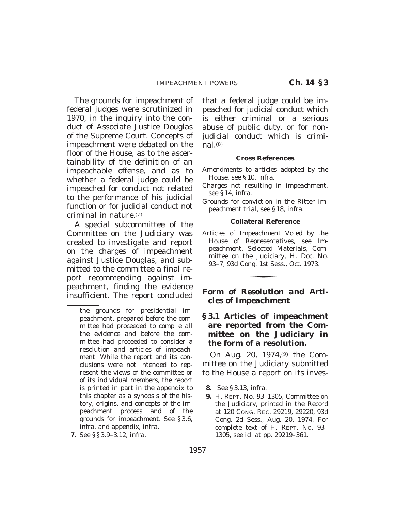The grounds for impeachment of federal judges were scrutinized in 1970, in the inquiry into the conduct of Associate Justice Douglas of the Supreme Court. Concepts of impeachment were debated on the floor of the House, as to the ascertainability of the definition of an impeachable offense, and as to whether a federal judge could be impeached for conduct not related to the performance of his judicial function or for judicial conduct not criminal in nature.(7)

A special subcommittee of the Committee on the Judiciary was created to investigate and report on the charges of impeachment against Justice Douglas, and submitted to the committee a final report recommending against impeachment, finding the evidence insufficient. The report concluded

the grounds for presidential impeachment, prepared before the committee had proceeded to compile all the evidence and before the committee had proceeded to consider a resolution and articles of impeachment. While the report and its conclusions were not intended to represent the views of the committee or of its individual members, the report is printed in part in the appendix to this chapter as a synopsis of the history, origins, and concepts of the impeachment process and of the grounds for impeachment. See § 3.6, infra, and appendix, infra.

**7.** See § § 3.9–3.12, infra.

that a federal judge could be impeached for judicial conduct which is either criminal or a serious abuse of public duty, or for nonjudicial conduct which is crimi $nal<sub>.</sub>(8)$ 

#### **Cross References**

- Amendments to articles adopted by the House, see § 10, infra.
- Charges not resulting in impeachment, see § 14, infra.
- Grounds for conviction in the Ritter impeachment trial, see § 18, infra.

#### **Collateral Reference**

Articles of Impeachment Voted by the House of Representatives, see Impeachment, Selected Materials, Committee on the Judiciary, H. Doc. No. 93–7, 93d Cong. 1st Sess., Oct. 1973.

### *Form of Resolution and Articles of Impeachment*

the control of the con-

### **§ 3.1 Articles of impeachment are reported from the Committee on the Judiciary in the form of a resolution.**

On Aug. 20, 1974,(9) the Committee on the Judiciary submitted to the House a report on its inves-

**<sup>8.</sup>** See § 3.13, infra.

**<sup>9.</sup>** H. REPT. NO. 93–1305, Committee on the Judiciary, printed in the Record at 120 CONG. REC. 29219, 29220, 93d Cong. 2d Sess., Aug. 20, 1974. For complete text of H. REPT. NO. 93– 1305, see *id.* at pp. 29219–361.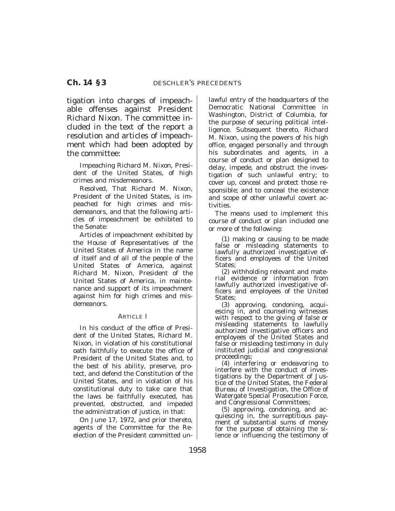tigation into charges of impeachable offenses against President Richard Nixon. The committee included in the text of the report a resolution and articles of impeachment which had been adopted by the committee:

Impeaching Richard M. Nixon, President of the United States, of high crimes and misdemeanors.

*Resolved,* That Richard M. Nixon, President of the United States, is impeached for high crimes and misdemeanors, and that the following articles of impeachment be exhibited to the Senate:

Articles of impeachment exhibited by the House of Representatives of the United States of America in the name of itself and of all of the people of the United States of America, against Richard M. Nixon, President of the United States of America, in maintenance and support of its impeachment against him for high crimes and misdemeanors.

#### ARTICLE I

In his conduct of the office of President of the United States, Richard M. Nixon, in violation of his constitutional oath faithfully to execute the office of President of the United States and, to the best of his ability, preserve, protect, and defend the Constitution of the United States, and in violation of his constitutional duty to take care that the laws be faithfully executed, has prevented, obstructed, and impeded the administration of justice, in that:

On June 17, 1972, and prior thereto, agents of the Committee for the Reelection of the President committed un-

lawful entry of the headquarters of the Democratic National Committee in Washington, District of Columbia, for the purpose of securing political intelligence. Subsequent thereto, Richard M. Nixon, using the powers of his high office, engaged personally and through his subordinates and agents, in a course of conduct or plan designed to delay, impede, and obstruct the investigation of such unlawful entry; to cover up, conceal and protect those responsible; and to conceal the existence and scope of other unlawful covert activities.

The means used to implement this course of conduct or plan included one or more of the following:

(1) making or causing to be made false or misleading statements to lawfully authorized investigative officers and employees of the United States;

(2) withholding relevant and material evidence or information from lawfully authorized investigative officers and employees of the United States;

(3) approving, condoning, acquiescing in, and counseling witnesses with respect to the giving of false or misleading statements to lawfully authorized investigative officers and employees of the United States and false or misleading testimony in duly instituted judicial and congressional proceedings;

(4) interfering or endeavoring to interfere with the conduct of investigations by the Department of Justice of the United States, the Federal Bureau of Investigation, the Office of Watergate Special Prosecution Force, and Congressional Committees;

(5) approving, condoning, and acquiescing in, the surreptitious payment of substantial sums of money for the purpose of obtaining the silence or influencing the testimony of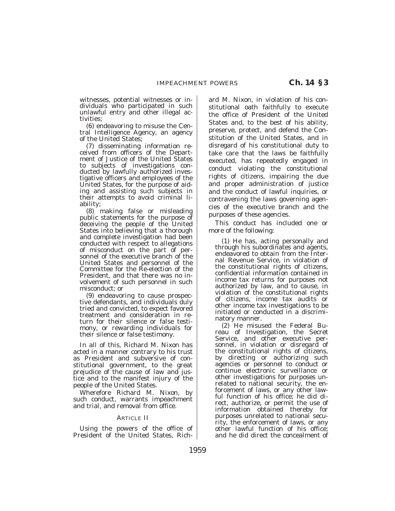witnesses, potential witnesses or individuals who participated in such unlawful entry and other illegal activities;

(6) endeavoring to misuse the Central Intelligence Agency, an agency of the United States;

(7) disseminating information received from officers of the Department of Justice of the United States to subjects of investigations conducted by lawfully authorized investigative officers and employees of the United States, for the purpose of aiding and assisting such subjects in their attempts to avoid criminal liability;

(8) making false or misleading public statements for the purpose of deceiving the people of the United States into believing that a thorough and complete investigation had been conducted with respect to allegations of misconduct on the part of personnel of the executive branch of the United States and personnel of the Committee for the Re-election of the President, and that there was no involvement of such personnel in such misconduct; or

(9) endeavoring to cause prospective defendants, and individuals duly tried and convicted, to expect favored treatment and consideration in return for their silence or false testimony, or rewarding individuals for their silence or false testimony.

In all of this, Richard M. Nixon has acted in a manner contrary to his trust as President and subversive of constitutional government, to the great prejudice of the cause of law and justice and to the manifest injury of the people of the United States.

Wherefore Richard M. Nixon, by such conduct, warrants impeachment and trial, and removal from office.

#### ARTICLE II

Using the powers of the office of President of the United States, Rich-

ard M. Nixon, in violation of his constitutional oath faithfully to execute the office of President of the United States and, to the best of his ability, preserve, protect, and defend the Constitution of the United States, and in disregard of his constitutional duty to take care that the laws be faithfully executed, has repeatedly engaged in conduct violating the constitutional rights of citizens, impairing the due and proper administration of justice and the conduct of lawful inquiries, or contravening the laws governing agencies of the executive branch and the purposes of these agencies.

This conduct has included one or more of the following:

(1) He has, acting personally and through his subordinates and agents, endeavored to obtain from the Internal Revenue Service, in violation of the constitutional rights of citizens, confidential information contained in income tax returns for purposes not authorized by law, and to cause, in violation of the constitutional rights of citizens, income tax audits or other income tax investigations to be initiated or conducted in a discriminatory manner.

(2) He misused the Federal Bureau of Investigation, the Secret Service, and other executive personnel, in violation or disregard of the constitutional rights of citizens, by directing or authorizing such agencies or personnel to conduct or continue electronic surveillance or other investigations for purposes unrelated to national security, the enforcement of laws, or any other lawful function of his office; he did direct, authorize, or permit the use of information obtained thereby for purposes unrelated to national security, the enforcement of laws, or any other lawful function of his office; and he did direct the concealment of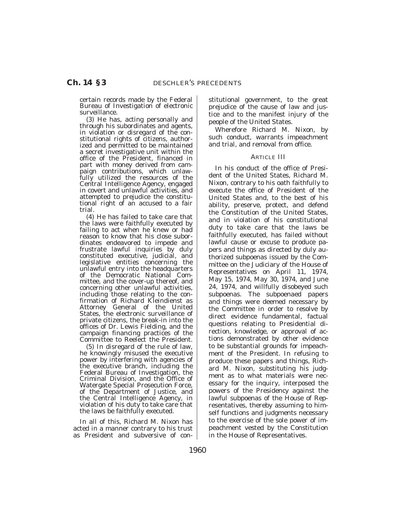certain records made by the Federal Bureau of Investigation of electronic surveillance.

(3) He has, acting personally and through his subordinates and agents, in violation or disregard of the constitutional rights of citizens, authorized and permitted to be maintained a secret investigative unit within the office of the President, financed in part with money derived from campaign contributions, which unlawfully utilized the resources of the Central Intelligence Agency, engaged in covert and unlawful activities, and attempted to prejudice the constitutional right of an accused to a fair trial.

(4) He has failed to take care that the laws were faithfully executed by failing to act when he knew or had reason to know that his close subordinates endeavored to impede and frustrate lawful inquiries by duly constituted executive, judicial, and legislative entities concerning the unlawful entry into the headquarters of the Democratic National Committee, and the cover-up thereof, and concerning other unlawful activities, including those relating to the confirmation of Richard Kleindienst as Attorney General of the United States, the electronic surveillance of private citizens, the break-in into the offices of Dr. Lewis Fielding, and the campaign financing practices of the Committee to Reelect the President.

(5) In disregard of the rule of law, he knowingly misused the executive power by interfering with agencies of the executive branch, including the Federal Bureau of Investigation, the Criminal Division, and the Office of Watergate Special Prosecution Force, of the Department of Justice, and the Central Intelligence Agency, in violation of his duty to take care that the laws be faithfully executed.

In all of this, Richard M. Nixon has acted in a manner contrary to his trust as President and subversive of constitutional government, to the great prejudice of the cause of law and justice and to the manifest injury of the people of the United States.

Wherefore Richard M. Nixon, by such conduct, warrants impeachment and trial, and removal from office.

#### ARTICLE III

In his conduct of the office of President of the United States, Richard M. Nixon, contrary to his oath faithfully to execute the office of President of the United States and, to the best of his ability, preserve, protect, and defend the Constitution of the United States, and in violation of his constitutional duty to take care that the laws be faithfully executed, has failed without lawful cause or excuse to produce papers and things as directed by duly authorized subpoenas issued by the Committee on the Judiciary of the House of Representatives on April 11, 1974, May 15, 1974, May 30, 1974, and June 24, 1974, and willfully disobeyed such subpoenas. The subpoenaed papers and things were deemed necessary by the Committee in order to resolve by direct evidence fundamental, factual questions relating to Presidential direction, knowledge, or approval of actions demonstrated by other evidence to be substantial grounds for impeachment of the President. In refusing to produce these papers and things, Richard M. Nixon, substituting his judgment as to what materials were necessary for the inquiry, interposed the powers of the Presidency against the lawful subpoenas of the House of Representatives, thereby assuming to himself functions and judgments necessary to the exercise of the sole power of impeachment vested by the Constitution in the House of Representatives.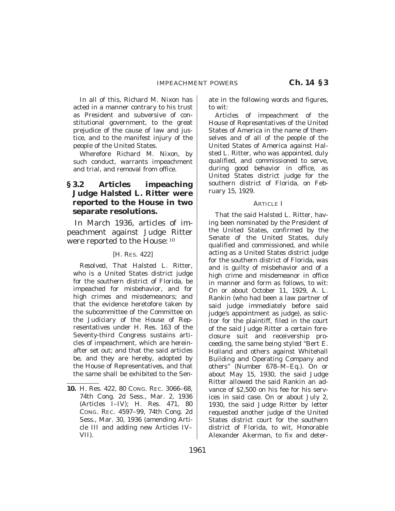In all of this, Richard M. Nixon has acted in a manner contrary to his trust as President and subversive of constitutional government, to the great prejudice of the cause of law and justice, and to the manifest injury of the people of the United States.

Wherefore Richard M. Nixon, by such conduct, warrants impeachment and trial, and removal from office.

### **§ 3.2 Articles impeaching Judge Halsted L. Ritter were reported to the House in two separate resolutions.**

In March 1936, articles of impeachment against Judge Ritter were reported to the House: 10

#### [H. RES. 422]

*Resolved,* That Halsted L. Ritter, who is a United States district judge for the southern district of Florida, be impeached for misbehavior, and for high crimes and misdemeanors; and that the evidence heretofore taken by the subcommittee of the Committee on the Judiciary of the House of Representatives under H. Res. 163 of the Seventy-third Congress sustains articles of impeachment, which are hereinafter set out; and that the said articles be, and they are hereby, adopted by the House of Representatives, and that the same shall be exhibited to the Senate in the following words and figures, to wit:

Articles of impeachment of the House of Representatives of the United States of America in the name of themselves and of all of the people of the United States of America against Halsted L. Ritter, who was appointed, duly qualified, and commissioned to serve, during good behavior in office, as United States district judge for the southern district of Florida, on February 15, 1929.

#### ARTICLE I

That the said Halsted L. Ritter, having been nominated by the President of the United States, confirmed by the Senate of the United States, duly qualified and commissioned, and while acting as a United States district judge for the southern district of Florida, was and is guilty of misbehavior and of a high crime and misdemeanor in office in manner and form as follows, to wit: On or about October 11, 1929, A. L. Rankin (who had been a law partner of said judge immediately before said judge's appointment as judge), as solicitor for the plaintiff, filed in the court of the said Judge Ritter a certain foreclosure suit and receivership proceeding, the same being styled ''Bert E. Holland and others against Whitehall Building and Operating Company and others'' (Number 678–M–Eq.). On or about May 15, 1930, the said Judge Ritter allowed the said Rankin an advance of \$2,500 on his fee for his services in said case. On or about July 2, 1930, the said Judge Ritter by letter requested another judge of the United States district court for the southern district of Florida, to wit, Honorable Alexander Akerman, to fix and deter-

**<sup>10.</sup>** H. Res. 422, 80 CONG. REC. 3066–68, 74th Cong. 2d Sess., Mar. 2, 1936 (Articles I–IV); H. Res. 471, 80 CONG. REC. 4597–99, 74th Cong. 2d Sess., Mar. 30, 1936 (amending Article III and adding new Articles IV– VII).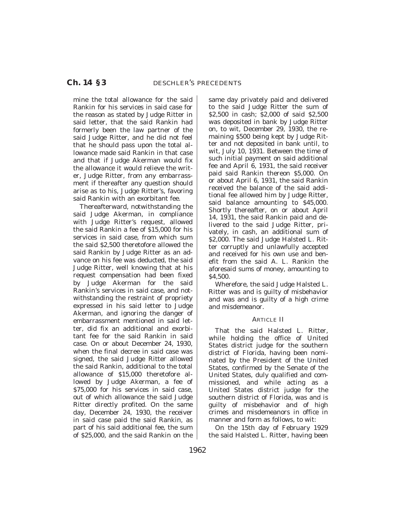mine the total allowance for the said Rankin for his services in said case for the reason as stated by Judge Ritter in said letter, that the said Rankin had formerly been the law partner of the said Judge Ritter, and he did not feel that he should pass upon the total allowance made said Rankin in that case and that if Judge Akerman would fix the allowance it would relieve the writer, Judge Ritter, from any embarrassment if thereafter any question should arise as to his, Judge Ritter's, favoring said Rankin with an exorbitant fee.

Thereafterward, notwithstanding the said Judge Akerman, in compliance with Judge Ritter's request, allowed the said Rankin a fee of \$15,000 for his services in said case, from which sum the said \$2,500 theretofore allowed the said Rankin by Judge Ritter as an advance on his fee was deducted, the said Judge Ritter, well knowing that at his request compensation had been fixed by Judge Akerman for the said Rankin's services in said case, and notwithstanding the restraint of propriety expressed in his said letter to Judge Akerman, and ignoring the danger of embarrassment mentioned in said letter, did fix an additional and exorbitant fee for the said Rankin in said case. On or about December 24, 1930, when the final decree in said case was signed, the said Judge Ritter allowed the said Rankin, additional to the total allowance of \$15,000 theretofore allowed by Judge Akerman, a fee of \$75,000 for his services in said case, out of which allowance the said Judge Ritter directly profited. On the same day, December 24, 1930, the receiver in said case paid the said Rankin, as part of his said additional fee, the sum of \$25,000, and the said Rankin on the same day privately paid and delivered to the said Judge Ritter the sum of \$2,500 in cash; \$2,000 of said \$2,500 was deposited in bank by Judge Ritter on, to wit, December 29, 1930, the remaining \$500 being kept by Judge Ritter and not deposited in bank until, to wit, July 10, 1931. Between the time of such initial payment on said additional fee and April 6, 1931, the said receiver paid said Rankin thereon \$5,000. On or about April 6, 1931, the said Rankin received the balance of the said additional fee allowed him by Judge Ritter, said balance amounting to \$45,000. Shortly thereafter, on or about April 14, 1931, the said Rankin paid and delivered to the said Judge Ritter, privately, in cash, an additional sum of \$2,000. The said Judge Halsted L. Ritter corruptly and unlawfully accepted and received for his own use and benefit from the said A. L. Rankin the aforesaid sums of money, amounting to \$4,500.

Wherefore, the said Judge Halsted L. Ritter was and is guilty of misbehavior and was and is guilty of a high crime and misdemeanor.

#### ARTICLE II

That the said Halsted L. Ritter, while holding the office of United States district judge for the southern district of Florida, having been nominated by the President of the United States, confirmed by the Senate of the United States, duly qualified and commissioned, and while acting as a United States district judge for the southern district of Florida, was and is guilty of misbehavior and of high crimes and misdemeanors in office in manner and form as follows, to wit:

On the 15th day of February 1929 the said Halsted L. Ritter, having been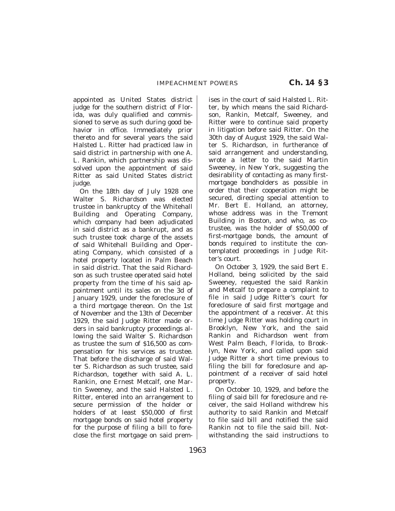appointed as United States district judge for the southern district of Florida, was duly qualified and commissioned to serve as such during good behavior in office. Immediately prior thereto and for several years the said Halsted L. Ritter had practiced law in said district in partnership with one A. L. Rankin, which partnership was dissolved upon the appointment of said Ritter as said United States district judge.

On the 18th day of July 1928 one Walter S. Richardson was elected trustee in bankruptcy of the Whitehall Building and Operating Company, which company had been adjudicated in said district as a bankrupt, and as such trustee took charge of the assets of said Whitehall Building and Operating Company, which consisted of a hotel property located in Palm Beach in said district. That the said Richardson as such trustee operated said hotel property from the time of his said appointment until its sales on the 3d of January 1929, under the foreclosure of a third mortgage thereon. On the 1st of November and the 13th of December 1929, the said Judge Ritter made orders in said bankruptcy proceedings allowing the said Walter S. Richardson as trustee the sum of \$16,500 as compensation for his services as trustee. That before the discharge of said Walter S. Richardson as such trustee, said Richardson, together with said A. L. Rankin, one Ernest Metcalf, one Martin Sweeney, and the said Halsted L. Ritter, entered into an arrangement to secure permission of the holder or holders of at least \$50,000 of first mortgage bonds on said hotel property for the purpose of filing a bill to foreclose the first mortgage on said prem-

ises in the court of said Halsted L. Ritter, by which means the said Richardson, Rankin, Metcalf, Sweeney, and Ritter were to continue said property in litigation before said Ritter. On the 30th day of August 1929, the said Walter S. Richardson, in furtherance of said arrangement and understanding, wrote a letter to the said Martin Sweeney, in New York, suggesting the desirability of contacting as many firstmortgage bondholders as possible in order that their cooperation might be secured, directing special attention to Mr. Bert E. Holland, an attorney, whose address was in the Tremont Building in Boston, and who, as cotrustee, was the holder of \$50,000 of first-mortgage bonds, the amount of bonds required to institute the contemplated proceedings in Judge Ritter's court.

On October 3, 1929, the said Bert E. Holland, being solicited by the said Sweeney, requested the said Rankin and Metcalf to prepare a complaint to file in said Judge Ritter's court for foreclosure of said first mortgage and the appointment of a receiver. At this time Judge Ritter was holding court in Brooklyn, New York, and the said Rankin and Richardson went from West Palm Beach, Florida, to Brooklyn, New York, and called upon said Judge Ritter a short time previous to filing the bill for foreclosure and appointment of a receiver of said hotel property.

On October 10, 1929, and before the filing of said bill for foreclosure and receiver, the said Holland withdrew his authority to said Rankin and Metcalf to file said bill and notified the said Rankin not to file the said bill. Notwithstanding the said instructions to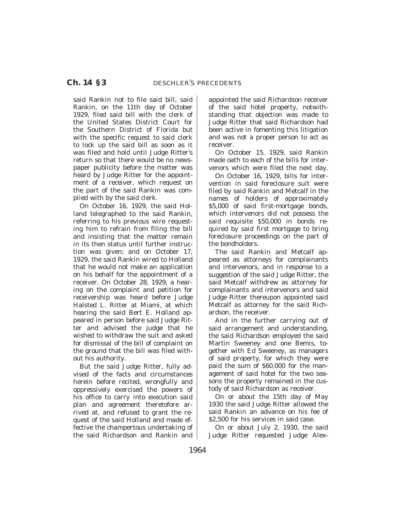said Rankin not to file said bill, said Rankin, on the 11th day of October 1929, filed said bill with the clerk of the United States District Court for the Southern District of Florida but with the specific request to said clerk to lock up the said bill as soon as it was filed and hold until Judge Ritter's return so that there would be no newspaper publicity before the matter was heard by Judge Ritter for the appointment of a receiver, which request on the part of the said Rankin was complied with by the said clerk.

On October 16, 1929, the said Holland telegraphed to the said Rankin, referring to his previous wire requesting him to refrain from filing the bill and insisting that the matter remain in its then status until further instruction was given; and on October 17, 1929, the said Rankin wired to Holland that he would not make an application on his behalf for the appointment of a receiver. On October 28, 1929, a hearing on the complaint and petition for receivership was heard before Judge Halsted L. Ritter at Miami, at which hearing the said Bert E. Holland appeared in person before said Judge Ritter and advised the judge that he wished to withdraw the suit and asked for dismissal of the bill of complaint on the ground that the bill was filed without his authority.

But the said Judge Ritter, fully advised of the facts and circumstances herein before recited, wrongfully and oppressively exercised the powers of his office to carry into execution said plan and agreement theretofore arrived at, and refused to grant the request of the said Holland and made effective the champertous undertaking of the said Richardson and Rankin and

appointed the said Richardson receiver of the said hotel property, notwithstanding that objection was made to Judge Ritter that said Richardson had been active in fomenting this litigation and was not a proper person to act as receiver.

On October 15, 1929, said Rankin made oath to each of the bills for intervenors which were filed the next day.

On October 16, 1929, bills for intervention in said foreclosure suit were filed by said Rankin and Metcalf in the names of holders of approximately \$5,000 of said first-mortgage bonds, which intervenors did not possess the said requisite \$50,000 in bonds required by said first mortgage to bring foreclosure proceedings on the part of the bondholders.

The said Rankin and Metcalf appeared as attorneys for complainants and intervenors, and in response to a suggestion of the said Judge Ritter, the said Metcalf withdrew as attorney for complainants and intervenors and said Judge Ritter thereupon appointed said Metcalf as attorney for the said Richardson, the receiver.

And in the further carrying out of said arrangement and understanding, the said Richardson employed the said Martin Sweeney and one Bemis, together with Ed Sweeney, as managers of said property, for which they were paid the sum of \$60,000 for the management of said hotel for the two seasons the property remained in the custody of said Richardson as receiver.

On or about the 15th day of May 1930 the said Judge Ritter allowed the said Rankin an advance on his fee of \$2,500 for his services in said case.

On or about July 2, 1930, the said Judge Ritter requested Judge Alex-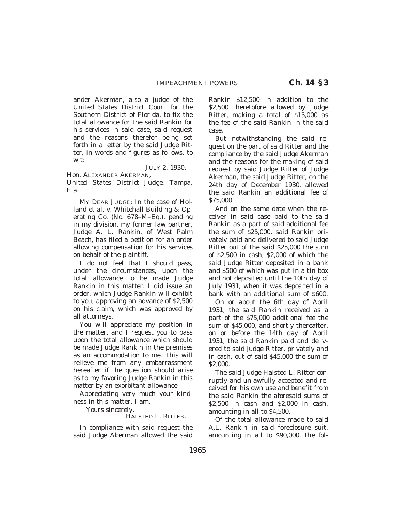ander Akerman, also a judge of the United States District Court for the Southern District of Florida, to fix the total allowance for the said Rankin for his services in said case, said request and the reasons therefor being set forth in a letter by the said Judge Ritter, in words and figures as follows, to wit:

JULY 2, 1930.

Hon. ALEXANDER AKERMAN,

*United States District Judge, Tampa, Fla.*

MY DEAR JUDGE: In the case of Holland et al. v. Whitehall Building & Operating Co. (No. 678–M–Eq.), pending in my division, my former law partner, Judge A. L. Rankin, of West Palm Beach, has filed a petition for an order allowing compensation for his services on behalf of the plaintiff.

I do not feel that I should pass, under the circumstances, upon the total allowance to be made Judge Rankin in this matter. I did issue an order, which Judge Rankin will exhibit to you, approving an advance of \$2,500 on his claim, which was approved by all attorneys.

You will appreciate my position in the matter, and I request you to pass upon the total allowance which should be made Judge Rankin in the premises as an accommodation to me. This will relieve me from any embarrassment hereafter if the question should arise as to my favoring Judge Rankin in this matter by an exorbitant allowance.

Appreciating very much your kindness in this matter, I am,

Yours sincerely,

HALSTED L. RITTER.

In compliance with said request the said Judge Akerman allowed the said

Rankin \$12,500 in addition to the \$2,500 theretofore allowed by Judge Ritter, making a total of \$15,000 as the fee of the said Rankin in the said case.

But notwithstanding the said request on the part of said Ritter and the compliance by the said Judge Akerman and the reasons for the making of said request by said Judge Ritter of Judge Akerman, the said Judge Ritter, on the 24th day of December 1930, allowed the said Rankin an additional fee of \$75,000.

And on the same date when the receiver in said case paid to the said Rankin as a part of said additional fee the sum of \$25,000, said Rankin privately paid and delivered to said Judge Ritter out of the said \$25,000 the sum of \$2,500 in cash, \$2,000 of which the said Judge Ritter deposited in a bank and \$500 of which was put in a tin box and not deposited until the 10th day of July 1931, when it was deposited in a bank with an additional sum of \$600.

On or about the 6th day of April 1931, the said Rankin received as a part of the \$75,000 additional fee the sum of \$45,000, and shortly thereafter, on or before the 14th day of April 1931, the said Rankin paid and delivered to said judge Ritter, privately and in cash, out of said \$45,000 the sum of \$2,000.

The said Judge Halsted L. Ritter corruptly and unlawfully accepted and received for his own use and benefit from the said Rankin the aforesaid sums of \$2,500 in cash and \$2,000 in cash, amounting in all to \$4,500.

Of the total allowance made to said A.L. Rankin in said foreclosure suit, amounting in all to \$90,000, the fol-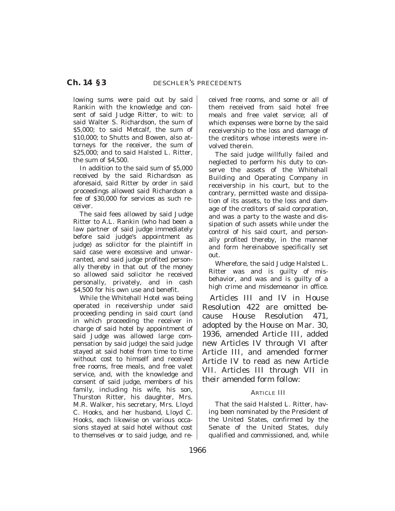lowing sums were paid out by said Rankin with the knowledge and consent of said Judge Ritter, to wit: to said Walter S. Richardson, the sum of \$5,000; to said Metcalf, the sum of \$10,000; to Shutts and Bowen, also attorneys for the receiver, the sum of \$25,000; and to said Halsted L. Ritter, the sum of \$4,500.

In addition to the said sum of \$5,000 received by the said Richardson as aforesaid, said Ritter by order in said proceedings allowed said Richardson a fee of \$30,000 for services as such receiver.

The said fees allowed by said Judge Ritter to A.L. Rankin (who had been a law partner of said judge immediately before said judge's appointment as judge) as solicitor for the plaintiff in said case were excessive and unwarranted, and said judge profited personally thereby in that out of the money so allowed said solicitor he received personally, privately, and in cash \$4,500 for his own use and benefit.

While the Whitehall Hotel was being operated in receivership under said proceeding pending in said court (and in which proceeding the receiver in charge of said hotel by appointment of said Judge was allowed large compensation by said judge) the said judge stayed at said hotel from time to time without cost to himself and received free rooms, free meals, and free valet service, and, with the knowledge and consent of said judge, members of his family, including his wife, his son, Thurston Ritter, his daughter, Mrs. M.R. Walker, his secretary, Mrs. Lloyd C. Hooks, and her husband, Lloyd C. Hooks, each likewise on various occasions stayed at said hotel without cost to themselves or to said judge, and re-

ceived free rooms, and some or all of them received from said hotel free meals and free valet service; all of which expenses were borne by the said receivership to the loss and damage of the creditors whose interests were involved therein.

The said judge willfully failed and neglected to perform his duty to conserve the assets of the Whitehall Building and Operating Company in receivership in his court, but to the contrary, permitted waste and dissipation of its assets, to the loss and damage of the creditors of said corporation, and was a party to the waste and dissipation of such assets while under the control of his said court, and personally profited thereby, in the manner and form hereinabove specifically set out.

Wherefore, the said Judge Halsted L. Ritter was and is guilty of misbehavior, and was and is guilty of a high crime and misdemeanor in office.

Articles III and IV in House Resolution 422 are omitted because House Resolution 471, adopted by the House on Mar. 30, 1936, amended Article III, added new Articles IV through VI after Article III, and amended former Article IV to read as new Article VII. Articles III through VII in their amended form follow:

#### ARTICLE III

That the said Halsted L. Ritter, having been nominated by the President of the United States, confirmed by the Senate of the United States, duly qualified and commissioned, and, while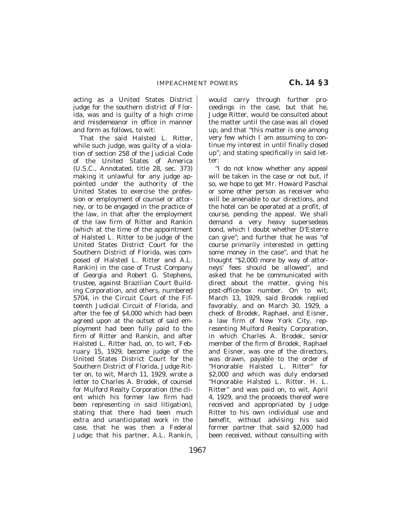acting as a United States District judge for the southern district of Florida, was and is guilty of a high crime and misdemeanor in office in manner and form as follows, to wit:

That the said Halsted L. Ritter, while such judge, was guilty of a violation of section 258 of the Judicial Code of the United States of America (U.S.C., Annotated, title 28, sec. 373) making it unlawful for any judge appointed under the authority of the United States to exercise the profession or employment of counsel or attorney, or to be engaged in the practice of the law, in that after the employment of the law firm of Ritter and Rankin (which at the time of the appointment of Halsted L. Ritter to be judge of the United States District Court for the Southern District of Florida, was composed of Halsted L. Ritter and A.L. Rankin) in the case of Trust Company of Georgia and Robert G. Stephens, trustee, against Brazilian Court Building Corporation, and others, numbered 5704, in the Circuit Court of the Fifteenth Judicial Circuit of Florida, and after the fee of \$4,000 which had been agreed upon at the outset of said employment had been fully paid to the firm of Ritter and Rankin, and after Halsted L. Ritter had, on, to wit, February 15, 1929, become judge of the United States District Court for the Southern District of Florida, Judge Ritter on, to wit, March 11, 1929, wrote a letter to Charles A. Brodek, of counsel for Mulford Realty Corporation (the client which his former law firm had been representing in said litigation), stating that there had been much extra and unanticipated work in the case, that he was then a Federal Judge; that his partner, A.L. Rankin,

would carry through further proceedings in the case, but that he, Judge Ritter, would be consulted about the matter until the case was all closed up; and that ''this matter is one among very few which I am assuming to continue my interest in until finally closed up''; and stating specifically in said letter:

''I do not know whether any appeal will be taken in the case or not but, if so, we hope to get Mr. Howard Paschal or some other person as receiver who will be amenable to our directions, and the hotel can be operated at a profit, of course, pending the appeal. We shall demand a very heavy supersedeas bond, which I doubt whether D'Esterre can give''; and further that he was ''of course primarily interested in getting some money in the case'', and that he thought ''\$2,000 more by way of attorneys' fees should be allowed'', and asked that he be communicated with direct about the matter, giving his post-office-box number. On to wit, March 13, 1929, said Brodek replied favorably, and on March 30, 1929, a check of Brodek, Raphael, and Eisner, a law firm of New York City, representing Mulford Realty Corporation, in which Charles A. Brodek, senior member of the firm of Brodek, Raphael and Eisner, was one of the directors, was drawn, payable to the order of ''Honorable Halsted L. Ritter'' for \$2,000 and which was duly endorsed ''Honorable Halsted L. Ritter. H. L. Ritter'' and was paid on, to wit, April 4, 1929, and the proceeds thereof were received and appropriated by Judge Ritter to his own individual use and benefit, without advising his said former partner that said \$2,000 had been received, without consulting with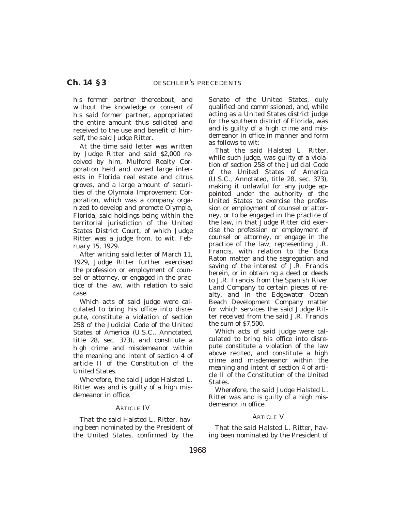his former partner thereabout, and without the knowledge or consent of his said former partner, appropriated the entire amount thus solicited and received to the use and benefit of himself, the said Judge Ritter.

At the time said letter was written by Judge Ritter and said \$2,000 received by him, Mulford Realty Corporation held and owned large interests in Florida real estate and citrus groves, and a large amount of securities of the Olympia Improvement Corporation, which was a company organized to develop and promote Olympia, Florida, said holdings being within the territorial jurisdiction of the United States District Court, of which Judge Ritter was a judge from, to wit, February 15, 1929.

After writing said letter of March 11, 1929, Judge Ritter further exercised the profession or employment of counsel or attorney, or engaged in the practice of the law, with relation to said case.

Which acts of said judge were calculated to bring his office into disrepute, constitute a violation of section 258 of the Judicial Code of the United States of America (U.S.C., Annotated, title 28, sec. 373), and constitute a high crime and misdemeanor within the meaning and intent of section 4 of article II of the Constitution of the United States.

Wherefore, the said Judge Halsted L. Ritter was and is guilty of a high misdemeanor in office.

#### ARTICLE IV

That the said Halsted L. Ritter, having been nominated by the President of the United States, confirmed by the Senate of the United States, duly qualified and commissioned, and, while acting as a United States district judge for the southern district of Florida, was and is guilty of a high crime and misdemeanor in office in manner and form as follows to wit:

That the said Halsted L. Ritter, while such judge, was guilty of a violation of section 258 of the Judicial Code of the United States of America (U.S.C., Annotated, title 28, sec. 373), making it unlawful for any judge appointed under the authority of the United States to exercise the profession or employment of counsel or attorney, or to be engaged in the practice of the law, in that Judge Ritter did exercise the profession or employment of counsel or attorney, or engage in the practice of the law, representing J.R. Francis, with relation to the Boca Raton matter and the segregation and saving of the interest of J.R. Francis herein, or in obtaining a deed or deeds to J.R. Francis from the Spanish River Land Company to certain pieces of realty, and in the Edgewater Ocean Beach Development Company matter for which services the said Judge Ritter received from the said J.R. Francis the sum of \$7,500.

Which acts of said judge were calculated to bring his office into disrepute constitute a violation of the law above recited, and constitute a high crime and misdemeanor within the meaning and intent of section 4 of article II of the Constitution of the United States.

Wherefore, the said Judge Halsted L. Ritter was and is guilty of a high misdemeanor in office.

#### ARTICLE V

That the said Halsted L. Ritter, having been nominated by the President of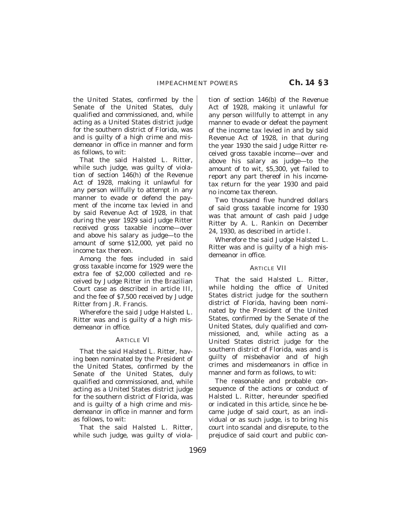the United States, confirmed by the Senate of the United States, duly qualified and commissioned, and, while acting as a United States district judge for the southern district of Florida, was and is guilty of a high crime and misdemeanor in office in manner and form as follows, to wit:

That the said Halsted L. Ritter, while such judge, was guilty of violation of section 146(h) of the Revenue Act of 1928, making it unlawful for any person willfully to attempt in any manner to evade or defend the payment of the income tax levied in and by said Revenue Act of 1928, in that during the year 1929 said Judge Ritter received gross taxable income—over and above his salary as judge—to the amount of some \$12,000, yet paid no income tax thereon.

Among the fees included in said gross taxable income for 1929 were the extra fee of \$2,000 collected and received by Judge Ritter in the Brazilian Court case as described in article III, and the fee of \$7,500 received by Judge Ritter from J.R. Francis.

Wherefore the said Judge Halsted L. Ritter was and is guilty of a high misdemeanor in office.

#### ARTICLE VI

That the said Halsted L. Ritter, having been nominated by the President of the United States, confirmed by the Senate of the United States, duly qualified and commissioned, and, while acting as a United States district judge for the southern district of Florida, was and is guilty of a high crime and misdemeanor in office in manner and form as follows, to wit:

That the said Halsted L. Ritter, while such judge, was guilty of violation of section 146(b) of the Revenue Act of 1928, making it unlawful for any person willfully to attempt in any manner to evade or defeat the payment of the income tax levied in and by said Revenue Act of 1928, in that during the year 1930 the said Judge Ritter received gross taxable income—over and above his salary as judge—to the amount of to wit, \$5,300, yet failed to report any part thereof in his incometax return for the year 1930 and paid no income tax thereon.

Two thousand five hundred dollars of said gross taxable income for 1930 was that amount of cash paid Judge Ritter by A. L. Rankin on December 24, 1930, as described in article I.

Wherefore the said Judge Halsted L. Ritter was and is guilty of a high misdemeanor in office.

#### ARTICLE VII

That the said Halsted L. Ritter, while holding the office of United States district judge for the southern district of Florida, having been nominated by the President of the United States, confirmed by the Senate of the United States, duly qualified and commissioned, and, while acting as a United States district judge for the southern district of Florida, was and is guilty of misbehavior and of high crimes and misdemeanors in office in manner and form as follows, to wit:

The reasonable and probable consequence of the actions or conduct of Halsted L. Ritter, hereunder specified or indicated in this article, since he became judge of said court, as an individual or as such judge, is to bring his court into scandal and disrepute, to the prejudice of said court and public con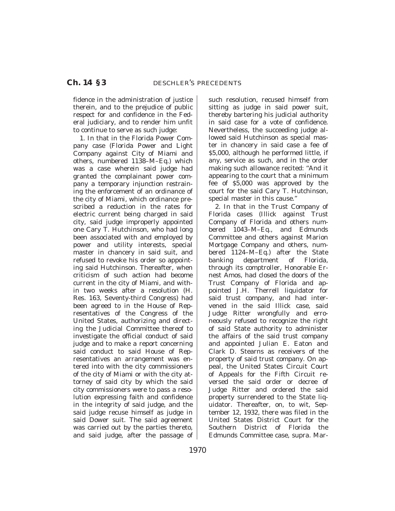fidence in the administration of justice therein, and to the prejudice of public respect for and confidence in the Federal judiciary, and to render him unfit to continue to serve as such judge:

1. In that in the Florida Power Company case (Florida Power and Light Company against City of Miami and others, numbered 1138–M–Eq.) which was a case wherein said judge had granted the complainant power company a temporary injunction restraining the enforcement of an ordinance of the city of Miami, which ordinance prescribed a reduction in the rates for electric current being charged in said city, said judge improperly appointed one Cary T. Hutchinson, who had long been associated with and employed by power and utility interests, special master in chancery in said suit, and refused to revoke his order so appointing said Hutchinson. Thereafter, when criticism of such action had become current in the city of Miami, and within two weeks after a resolution (H. Res. 163, Seventy-third Congress) had been agreed to in the House of Representatives of the Congress of the United States, authorizing and directing the Judicial Committee thereof to investigate the official conduct of said judge and to make a report concerning said conduct to said House of Representatives an arrangement was entered into with the city commissioners of the city of Miami or with the city attorney of said city by which the said city commissioners were to pass a resolution expressing faith and confidence in the integrity of said judge, and the said judge recuse himself as judge in said Dower suit. The said agreement was carried out by the parties thereto, and said judge, after the passage of such resolution, recused himself from sitting as judge in said power suit, thereby bartering his judicial authority in said case for a vote of confidence. Nevertheless, the succeeding judge allowed said Hutchinson as special master in chancery in said case a fee of \$5,000, although he performed little, if any, service as such, and in the order making such allowance recited: ''And it appearing to the court that a minimum fee of \$5,000 was approved by the court for the said Cary T. Hutchinson, special master in this cause.''

2. In that in the Trust Company of Florida cases (Illick against Trust Company of Florida and others numbered 1043–M–Eq., and Edmunds Committee and others against Marion Mortgage Company and others, numbered 1124–M–Eq.) after the State banking department of Florida, through its comptroller, Honorable Ernest Amos, had closed the doors of the Trust Company of Florida and appointed J.H. Therrell liquidator for said trust company, and had intervened in the said Illick case, said Judge Ritter wrongfully and erroneously refused to recognize the right of said State authority to administer the affairs of the said trust company and appointed Julian E. Eaton and Clark D. Stearns as receivers of the property of said trust company. On appeal, the United States Circuit Court of Appeals for the Fifth Circuit reversed the said order or decree of Judge Ritter and ordered the said property surrendered to the State liquidator. Thereafter, on, to wit, September 12, 1932, there was filed in the United States District Court for the Southern District of Florida the Edmunds Committee case, supra. Mar-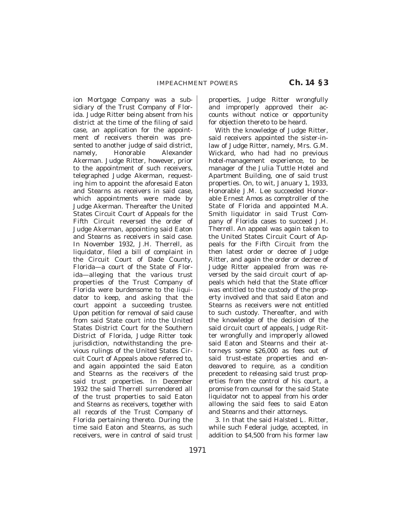ion Mortgage Company was a subsidiary of the Trust Company of Florida. Judge Ritter being absent from his district at the time of the filing of said case, an application for the appointment of receivers therein was presented to another judge of said district, namely, Honorable Alexander Akerman. Judge Ritter, however, prior to the appointment of such receivers, telegraphed Judge Akerman, requesting him to appoint the aforesaid Eaton and Stearns as receivers in said case, which appointments were made by Judge Akerman. Thereafter the United States Circuit Court of Appeals for the Fifth Circuit reversed the order of Judge Akerman, appointing said Eaton and Stearns as receivers in said case. In November 1932, J.H. Therrell, as liquidator, filed a bill of complaint in the Circuit Court of Dade County, Florida—a court of the State of Florida—alleging that the various trust properties of the Trust Company of Florida were burdensome to the liquidator to keep, and asking that the court appoint a succeeding trustee. Upon petition for removal of said cause from said State court into the United States District Court for the Southern District of Florida, Judge Ritter took jurisdiction, notwithstanding the previous rulings of the United States Circuit Court of Appeals above referred to, and again appointed the said Eaton and Stearns as the receivers of the said trust properties. In December 1932 the said Therrell surrendered all of the trust properties to said Eaton and Stearns as receivers, together with all records of the Trust Company of Florida pertaining thereto. During the time said Eaton and Stearns, as such receivers, were in control of said trust properties, Judge Ritter wrongfully and improperly approved their accounts without notice or opportunity for objection thereto to be heard.

With the knowledge of Judge Ritter, said receivers appointed the sister-inlaw of Judge Ritter, namely, Mrs. G.M. Wickard, who had had no previous hotel-management experience, to be manager of the Julia Tuttle Hotel and Apartment Building, one of said trust properties. On, to wit, January 1, 1933, Honorable J.M. Lee succeeded Honorable Ernest Amos as comptroller of the State of Florida and appointed M.A. Smith liquidator in said Trust Company of Florida cases to succeed J.H. Therrell. An appeal was again taken to the United States Circuit Court of Appeals for the Fifth Circuit from the then latest order or decree of Judge Ritter, and again the order or decree of Judge Ritter appealed from was reversed by the said circuit court of appeals which held that the State officer was entitled to the custody of the property involved and that said Eaton and Stearns as receivers were not entitled to such custody. Thereafter, and with the knowledge of the decision of the said circuit court of appeals, Judge Ritter wrongfully and improperly allowed said Eaton and Stearns and their attorneys some \$26,000 as fees out of said trust-estate properties and endeavored to require, as a condition precedent to releasing said trust properties from the control of his court, a promise from counsel for the said State liquidator not to appeal from his order allowing the said fees to said Eaton and Stearns and their attorneys.

3. In that the said Halsted L. Ritter, while such Federal judge, accepted, in addition to \$4,500 from his former law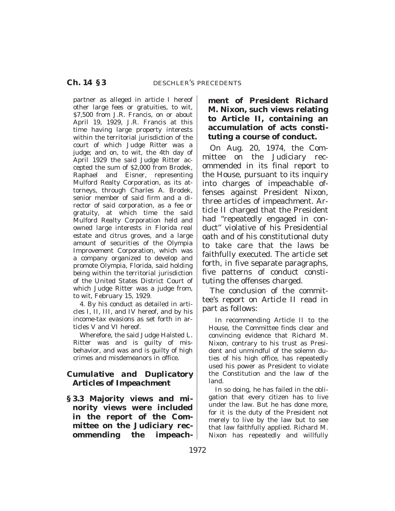partner as alleged in article I hereof other large fees or gratuities, to wit, \$7,500 from J.R. Francis, on or about April 19, 1929, J.R. Francis at this time having large property interests within the territorial jurisdiction of the court of which Judge Ritter was a judge; and on, to wit, the 4th day of April 1929 the said Judge Ritter accepted the sum of \$2,000 from Brodek, Raphael and Eisner, representing Mulford Realty Corporation, as its attorneys, through Charles A. Brodek, senior member of said firm and a director of said corporation, as a fee or gratuity, at which time the said Mulford Realty Corporation held and owned large interests in Florida real estate and citrus groves, and a large amount of securities of the Olympia Improvement Corporation, which was a company organized to develop and promote Olympia, Florida, said holding being within the territorial jurisdiction of the United States District Court of which Judge Ritter was a judge from, to wit, February 15, 1929.

4. By his conduct as detailed in articles I, II, III, and IV hereof, and by his income-tax evasions as set forth in articles V and VI hereof.

Wherefore, the said Judge Halsted L. Ritter was and is guilty of misbehavior, and was and is guilty of high crimes and misdemeanors in office.

### *Cumulative and Duplicatory Articles of Impeachment*

**§ 3.3 Majority views and minority views were included in the report of the Committee on the Judiciary recommending the impeach-**

### **ment of President Richard M. Nixon, such views relating to Article II, containing an accumulation of acts constituting a course of conduct.**

On Aug. 20, 1974, the Committee on the Judiciary recommended in its final report to the House, pursuant to its inquiry into charges of impeachable offenses against President Nixon, three articles of impeachment. Article II charged that the President had ''repeatedly engaged in conduct'' violative of his Presidential oath and of his constitutional duty to take care that the laws be faithfully executed. The article set forth, in five separate paragraphs, five patterns of conduct constituting the offenses charged.

The conclusion of the committee's report on Article II read in part as follows:

In recommending Article II to the House, the Committee finds clear and convincing evidence that Richard M. Nixon, contrary to his trust as President and unmindful of the solemn duties of his high office, has repeatedly used his power as President to violate the Constitution and the law of the land.

In so doing, he has failed in the obligation that every citizen has to live under the law. But he has done more, for it is the duty of the President not merely to live by the law but to see that law faithfully applied. Richard M. Nixon has repeatedly and willfully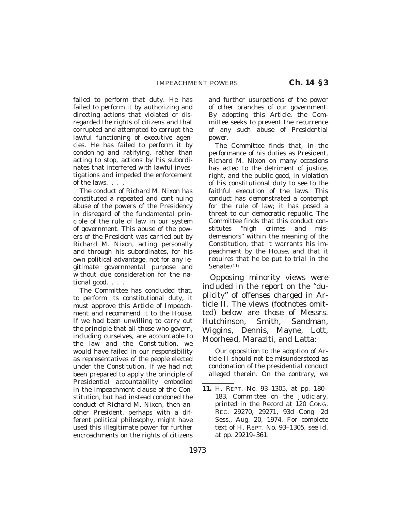failed to perform that duty. He has failed to perform it by authorizing and directing actions that violated or disregarded the rights of citizens and that corrupted and attempted to corrupt the lawful functioning of executive agencies. He has failed to perform it by condoning and ratifying, rather than acting to stop, actions by his subordinates that interfered with lawful investigations and impeded the enforcement of the laws....

The conduct of Richard M. Nixon has constituted a repeated and continuing abuse of the powers of the Presidency in disregard of the fundamental principle of the rule of law in our system of government. This abuse of the powers of the President was carried out by Richard M. Nixon, acting personally and through his subordinates, for his own political advantage, not for any legitimate governmental purpose and without due consideration for the national good....

The Committee has concluded that, to perform its constitutional duty, it must approve this Article of Impeachment and recommend it to the House. If we had been unwilling to carry out the principle that all those who govern, including ourselves, are accountable to the law and the Constitution, we would have failed in our responsibility as representatives of the people elected under the Constitution. If we had not been prepared to apply the principle of Presidential accountability embodied in the impeachment clause of the Constitution, but had instead condoned the conduct of Richard M. Nixon, then another President, perhaps with a different political philosophy, might have used this illegitimate power for further encroachments on the rights of citizens

and further usurpations of the power of other branches of our government. By adopting this Article, the Committee seeks to prevent the recurrence of any such abuse of Presidential power.

The Committee finds that, in the performance of his duties as President, Richard M. Nixon on many occasions has acted to the detriment of justice, right, and the public good, in violation of his constitutional duty to see to the faithful execution of the laws. This conduct has demonstrated a contempt for the rule of law; it has posed a threat to our democratic republic. The Committee finds that this conduct constitutes "high crimes and misdemeanors'' within the meaning of the Constitution, that it warrants his impeachment by the House, and that it requires that he be put to trial in the Senate.<sup>(11)</sup>

Opposing minority views were included in the report on the ''duplicity'' of offenses charged in Article II. The views (footnotes omitted) below are those of Messrs. Hutchinson, Smith, Sandman, Wiggins, Dennis, Mayne, Lott, Moorhead, Maraziti, and Latta:

Our opposition to the adoption of Article II should not be misunderstood as condonation of the presidential conduct alleged therein. On the contrary, we

**<sup>11.</sup>** H. REPT. No. 93–1305, at pp. 180– 183, Committee on the Judiciary, printed in the Record at 120 CONG. REC. 29270, 29271, 93d Cong. 2d Sess., Aug. 20, 1974. For complete text of H. REPT. No. 93–1305, see *id.* at pp. 29219–361.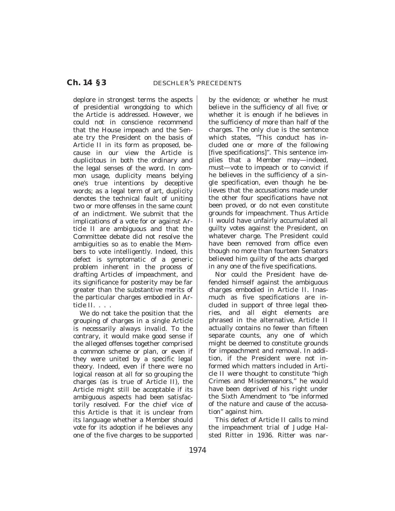deplore in strongest terms the aspects of presidential wrongdoing to which the Article is addressed. However, we could not in conscience recommend that the House impeach and the Senate try the President on the basis of Article II in its form as proposed, because in our view the Article is duplicitous in both the ordinary and the legal senses of the word. In common usage, duplicity means belying one's true intentions by deceptive words; as a legal term of art, duplicity denotes the technical fault of uniting two or more offenses in the same count of an indictment. We submit that the implications of a vote for or against Article II are ambiguous and that the Committee debate did not resolve the ambiguities so as to enable the Members to vote intelligently. Indeed, this defect is symptomatic of a generic problem inherent in the process of drafting Articles of impeachment, and its significance for posterity may be far greater than the substantive merits of the particular charges embodied in Article II. . . .

We do not take the position that the grouping of charges in a single Article is necessarily always invalid. To the contrary, it would make good sense if the alleged offenses together comprised a common scheme or plan, or even if they were united by a specific legal theory. Indeed, even if there were no logical reason at all for so grouping the charges (as is true of Article II), the Article might still be acceptable if its ambiguous aspects had been satisfactorily resolved. For the chief vice of this Article is that it is unclear from its language whether a Member should vote for its adoption if he believes any one of the five charges to be supported by the evidence; or whether he must believe in the sufficiency of all five; or whether it is enough if he believes in the sufficiency of more than half of the charges. The only clue is the sentence which states, ''This conduct has included one or more of the following [five specifications]''. This sentence implies that a Member may—indeed, must—vote to impeach or to convict if he believes in the sufficiency of a single specification, even though he believes that the accusations made under the other four specifications have not been proved, or do not even constitute grounds for impeachment. Thus Article II would have unfairly accumulated all guilty votes against the President, on whatever charge. The President could have been removed from office even though no more than fourteen Senators believed him guilty of the acts charged in any one of the five specifications.

Nor could the President have defended himself against the ambiguous charges embodied in Article II. Inasmuch as five specifications are included in support of three legal theories, and all eight elements are phrased in the alternative, Article II actually contains no fewer than fifteen separate counts, any one of which might be deemed to constitute grounds for impeachment and removal. In addition, if the President were not informed which matters included in Article II were thought to constitute ''high Crimes and Misdemeanors,'' he would have been deprived of his right under the Sixth Amendment to ''be informed of the nature and cause of the accusation'' against him.

This defect of Article II calls to mind the impeachment trial of Judge Halsted Ritter in 1936. Ritter was nar-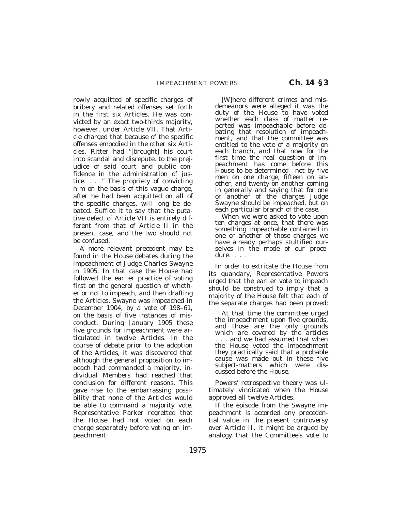rowly acquitted of specific charges of bribery and related offenses set forth in the first six Articles. He was convicted by an exact two-thirds majority, however, under Article VII. That Article charged that because of the specific offenses embodied in the other six Articles, Ritter had ''[brought] his court into scandal and disrepute, to the prejudice of said court and public confidence in the administration of justice. . . .'' The propriety of convicting him on the basis of this vague charge, after he had been acquitted on all of the specific charges, will long be debated. Suffice it to say that the putative defect of Article VII is entirely different from that of Article II in the present case, and the two should not be confused.

A more relevant precedent may be found in the House debates during the impeachment of Judge Charles Swayne in 1905. In that case the House had followed the earlier practice of voting first on the general question of whether or not to impeach, and then drafting the Articles. Swayne was impeached in December 1904, by a vote of 198–61, on the basis of five instances of misconduct. During January 1905 these five grounds for impeachment were articulated in twelve Articles. In the course of debate prior to the adoption of the Articles, it was discovered that although the general proposition to impeach had commanded a majority, individual Members had reached that conclusion for different reasons. This gave rise to the embarrassing possibility that none of the Articles would be able to command a majority vote. Representative Parker regretted that the House had not voted on each charge separately before voting on impeachment:

[W]here different crimes and misdemeanors were alleged it was the duty of the House to have voted whether each class of matter reported was impeachable before debating that resolution of impeachment, and that the committee was entitled to the vote of a majority on each branch, and that now for the first time the real question of impeachment has come before this House to be determined—not by five men on one charge, fifteen on another, and twenty on another coming in generally and saying that for one or another of the charges Judge Swayne should be impeached, but on each particular branch of the case.

When we were asked to vote upon ten charges at once, that there was something impeachable contained in one or another of those charges we have already perhaps stultified ourselves in the mode of our procedure...

In order to extricate the House from its quandary, Representative Powers urged that the earlier vote to impeach should be construed to imply that a majority of the House felt that each of the separate charges had been proved;

At that time the committee urged the impeachment upon five grounds, and those are the only grounds which are covered by the articles . . . and we had assumed that when the House voted the impeachment they practically said that a probable cause was made out in these five subject-matters which were discussed before the House.

Powers' retrospective theory was ultimately vindicated when the House approved all twelve Articles.

If the episode from the Swayne impeachment is accorded any precedential value in the present controversy over Article II, it might be argued by analogy that the Committee's vote to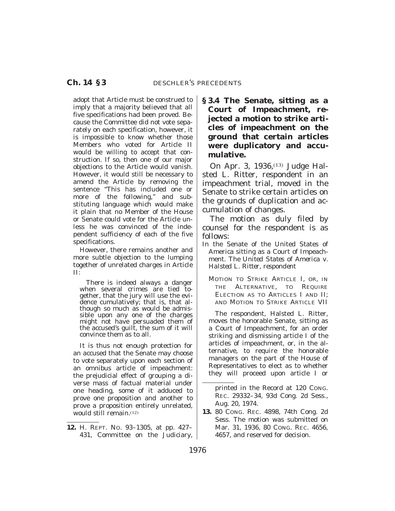adopt that Article must be construed to imply that a majority believed that all five specifications had been proved. Because the Committee did not vote separately on each specification, however, it is impossible to know whether those Members who voted for Article II would be willing to accept that construction. If so, then one of our major objections to the Article would vanish. However, it would still be necessary to amend the Article by removing the sentence ''This has included one or more of the following,'' and substituting language which would make it plain that no Member of the House or Senate could vote for the Article unless he was convinced of the independent sufficiency of each of the five specifications.

However, there remains another and more subtle objection to the lumping together of unrelated charges in Article II:

There is indeed always a danger when several crimes are tied together, that the jury will use the evidence cumulatively; that is, that although so much as would be admissible upon any one of the charges might not have persuaded them of the accused's guilt, the sum of it will convince them as to all.

It is thus not enough protection for an accused that the Senate may choose to vote separately upon each section of an omnibus article of impeachment: the prejudicial effect of grouping a diverse mass of factual material under one heading, some of it adduced to prove one proposition and another to prove a proposition entirely unrelated, would still remain.(12)

**12.** H. REPT. NO. 93–1305, at pp. 427– 431, Committee on the Judiciary,

# **§ 3.4 The Senate, sitting as a Court of Impeachment, rejected a motion to strike articles of impeachment on the ground that certain articles were duplicatory and accumulative.**

On Apr. 3, 1936, <sup>(13)</sup> Judge Halsted L. Ritter, respondent in an impeachment trial, moved in the Senate to strike certain articles on the grounds of duplication and accumulation of changes.

The motion as duly filed by counsel for the respondent is as follows:

- In the Senate of the United States of America sitting as a Court of Impeachment. *The United States of America* v. *Halsted L. Ritter, respondent*
	- MOTION TO STRIKE ARTICLE I, OR, IN THE ALTERNATIVE, TO REQUIRE ELECTION AS TO ARTICLES I AND II; AND MOTION TO STRIKE ARTICLE VII

The respondent, Halsted L. Ritter, moves the honorable Senate, sitting as a Court of Impeachment, for an order striking and dismissing article I of the articles of impeachment, or, in the alternative, to require the honorable managers on the part of the House of Representatives to elect as to whether they will proceed upon article I or

printed in the Record at 120 CONG. REC. 29332–34, 93d Cong. 2d Sess., Aug. 20, 1974.

**13.** 80 CONG. REC. 4898, 74th Cong. 2d Sess. The motion was submitted on Mar. 31, 1936, 80 CONG. REC. 4656, 4657, and reserved for decision.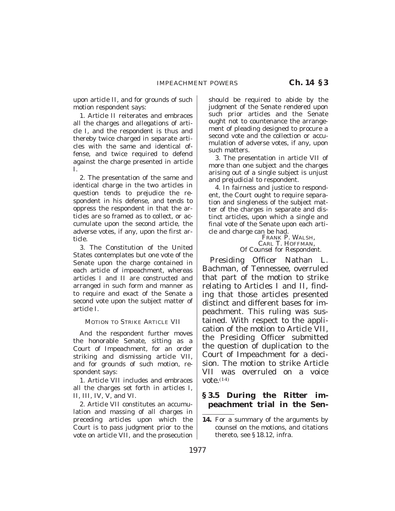upon article II, and for grounds of such motion respondent says:

1. Article II reiterates and embraces all the charges and allegations of article I, and the respondent is thus and thereby twice charged in separate articles with the same and identical offense, and twice required to defend against the charge presented in article I.

2. The presentation of the same and identical charge in the two articles in question tends to prejudice the respondent in his defense, and tends to oppress the respondent in that the articles are so framed as to collect, or accumulate upon the second article, the adverse votes, if any, upon the first article.

3. The Constitution of the United States contemplates but one vote of the Senate upon the charge contained in each article of impeachment, whereas articles I and II are constructed and arranged in such form and manner as to require and exact of the Senate a second vote upon the subject matter of article I.

MOTION TO STRIKE ARTICLE VII

And the respondent further moves the honorable Senate, sitting as a Court of Impeachment, for an order striking and dismissing article VII, and for grounds of such motion, respondent says:

1. Article VII includes and embraces all the charges set forth in articles I, II, III, IV, V, and VI.

2. Article VII constitutes an accumulation and massing of all charges in preceding articles upon which the Court is to pass judgment prior to the vote on article VII, and the prosecution should be required to abide by the judgment of the Senate rendered upon such prior articles and the Senate ought not to countenance the arrangement of pleading designed to procure a second vote and the collection or accumulation of adverse votes, if any, upon such matters.

3. The presentation in article VII of more than one subject and the charges arising out of a single subject is unjust and prejudicial to respondent.

4. In fairness and justice to respondent, the Court ought to require separation and singleness of the subject matter of the charges in separate and distinct articles, upon which a single and final vote of the Senate upon each arti-

cle and charge can be had. FRANK P. WALSH, CARL T. HOFFMAN, *Of Counsel for Respondent.*

Presiding Officer Nathan L. Bachman, of Tennessee, overruled that part of the motion to strike relating to Articles I and II, finding that those articles presented distinct and different bases for impeachment. This ruling was sustained. With respect to the application of the motion to Article VII, the Presiding Officer submitted the question of duplication to the Court of Impeachment for a decision. The motion to strike Article VII was overruled on a voice vote. $(14)$ 

## **§ 3.5 During the Ritter impeachment trial in the Sen-**

**<sup>14.</sup>** For a summary of the arguments by counsel on the motions, and citations thereto, see § 18.12, infra.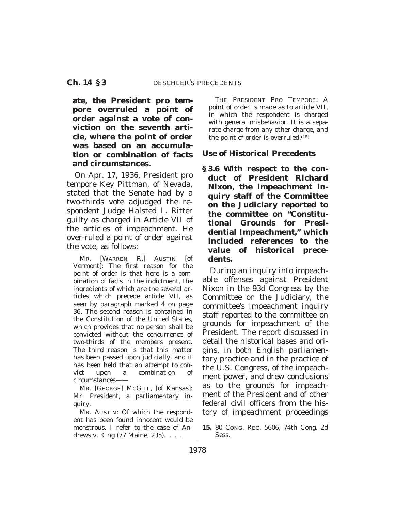**ate, the President pro tempore overruled a point of order against a vote of conviction on the seventh article, where the point of order was based on an accumulation or combination of facts and circumstances.**

On Apr. 17, 1936, President pro tempore Key Pittman, of Nevada, stated that the Senate had by a two-thirds vote adjudged the respondent Judge Halsted L. Ritter guilty as charged in Article VII of the articles of impeachment. He over-ruled a point of order against the vote, as follows:

MR. [WARREN R.] AUSTIN [of Vermont]: The first reason for the point of order is that here is a combination of facts in the indictment, the ingredients of which are the several articles which precede article VII, as seen by paragraph marked 4 on page 36. The second reason is contained in the Constitution of the United States, which provides that no person shall be convicted without the concurrence of two-thirds of the members present. The third reason is that this matter has been passed upon judicially, and it has been held that an attempt to convict upon a combination of circumstances——

MR. [GEORGE] MCGILL, [of Kansas]: Mr. President, a parliamentary inquiry.

MR. AUSTIN: Of which the respondent has been found innocent would be monstrous. I refer to the case of *Andrews* v. *King* (77 Maine, 235)....

THE PRESIDENT PRO TEMPORE: A point of order is made as to article VII, in which the respondent is charged with general misbehavior. It is a separate charge from any other charge, and the point of order is overruled.(15)

## *Use of Historical Precedents*

**§ 3.6 With respect to the conduct of President Richard Nixon, the impeachment inquiry staff of the Committee on the Judiciary reported to the committee on ''Constitutional Grounds for Presidential Impeachment,'' which included references to the value of historical precedents.**

During an inquiry into impeachable offenses against President Nixon in the 93d Congress by the Committee on the Judiciary, the committee's impeachment inquiry staff reported to the committee on grounds for impeachment of the President. The report discussed in detail the historical bases and origins, in both English parliamentary practice and in the practice of the U.S. Congress, of the impeachment power, and drew conclusions as to the grounds for impeachment of the President and of other federal civil officers from the history of impeachment proceedings

**<sup>15.</sup>** 80 CONG. REC. 5606, 74th Cong. 2d Sess.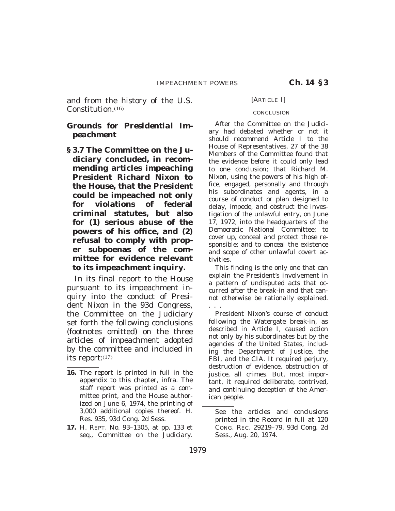and from the history of the U.S. Constitution.(16)

## *Grounds for Presidential Impeachment*

**§ 3.7 The Committee on the Judiciary concluded, in recommending articles impeaching President Richard Nixon to the House, that the President could be impeached not only for violations of federal criminal statutes, but also for (1) serious abuse of the powers of his office, and (2) refusal to comply with proper subpoenas of the committee for evidence relevant to its impeachment inquiry.**

In its final report to the House pursuant to its impeachment inquiry into the conduct of President Nixon in the 93d Congress, the Committee on the Judiciary set forth the following conclusions (footnotes omitted) on the three articles of impeachment adopted by the committee and included in its report:(17)

**17.** H. REPT. No. 93–1305, at pp. 133 et seq., Committee on the Judiciary.

## [ARTICLE I]

#### **CONCLUSION**

After the Committee on the Judiciary had debated whether or not it should recommend Article I to the House of Representatives, 27 of the 38 Members of the Committee found that the evidence before it could only lead to one conclusion; that Richard M. Nixon, using the powers of his high office, engaged, personally and through his subordinates and agents, in a course of conduct or plan designed to delay, impede, and obstruct the investigation of the unlawful entry, on June 17, 1972, into the headquarters of the Democratic National Committee; to cover up, conceal and protect those responsible; and to conceal the existence and scope of other unlawful covert activities.

This finding is the only one that can explain the President's involvement in a pattern of undisputed acts that occurred after the break-in and that cannot otherwise be rationally explained. ...

President Nixon's course of conduct following the Watergate break-in, as described in Article I, caused action not only by his subordinates but by the agencies of the United States, including the Department of Justice, the FBI, and the CIA. It required perjury, destruction of evidence, obstruction of justice, all crimes. But, most important, it required deliberate, contrived, and continuing deception of the American people.

**<sup>16.</sup>** The report is printed in full in the appendix to this chapter, infra. The staff report was printed as a committee print, and the House authorized on June 6, 1974, the printing of 3,000 additional copies thereof. H. Res. 935, 93d Cong. 2d Sess.

See the articles and conclusions printed in the Record in full at 120 CONG. REC. 29219–79, 93d Cong. 2d Sess., Aug. 20, 1974.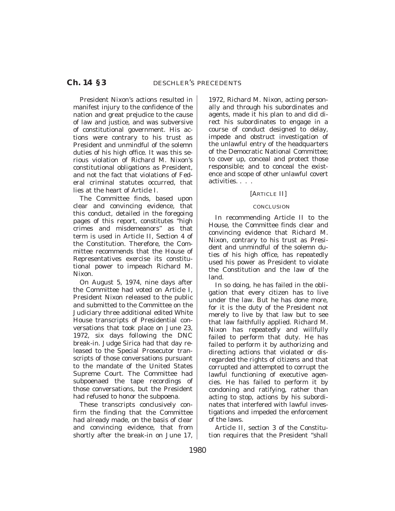President Nixon's actions resulted in manifest injury to the confidence of the nation and great prejudice to the cause of law and justice, and was subversive of constitutional government. His actions were contrary to his trust as President and unmindful of the solemn duties of his high office. It was this serious violation of Richard M. Nixon's constitutional obligations as President, and not the fact that violations of Federal criminal statutes occurred, that lies at the heart of Article I.

The Committee finds, based upon clear and convincing evidence, that this conduct, detailed in the foregoing pages of this report, constitutes ''high crimes and misdemeanors'' as that term is used in Article II, Section 4 of the Constitution. Therefore, the Committee recommends that the House of Representatives exercise its constitutional power to impeach Richard M. Nixon.

On August 5, 1974, nine days after the Committee had voted on Article I, President Nixon released to the public and submitted to the Committee on the Judiciary three additional edited White House transcripts of Presidential conversations that took place on June 23, 1972, six days following the DNC break-in. Judge Sirica had that day released to the Special Prosecutor transcripts of those conversations pursuant to the mandate of the United States Supreme Court. The Committee had subpoenaed the tape recordings of those conversations, but the President had refused to honor the subpoena.

These transcripts conclusively confirm the finding that the Committee had already made, on the basis of clear and convincing evidence, that from shortly after the break-in on June 17,

1972, Richard M. Nixon, acting personally and through his subordinates and agents, made it his plan to and did direct his subordinates to engage in a course of conduct designed to delay, impede and obstruct investigation of the unlawful entry of the headquarters of the Democratic National Committee; to cover up, conceal and protect those responsible; and to conceal the existence and scope of other unlawful covert activities. . . .

## [ARTICLE II]

#### **CONCLUSION**

In recommending Article II to the House, the Committee finds clear and convincing evidence that Richard M. Nixon, contrary to his trust as President and unmindful of the solemn duties of his high office, has repeatedly used his power as President to violate the Constitution and the law of the land.

In so doing, he has failed in the obligation that every citizen has to live under the law. But he has done more, for it is the duty of the President not merely to live by that law but to see that law faithfully applied. Richard M. Nixon has repeatedly and willfully failed to perform that duty. He has failed to perform it by authorizing and directing actions that violated or disregarded the rights of citizens and that corrupted and attempted to corrupt the lawful functioning of executive agencies. He has failed to perform it by condoning and ratifying, rather than acting to stop, actions by his subordinates that interfered with lawful investigations and impeded the enforcement of the laws.

Article II, section 3 of the Constitution requires that the President ''shall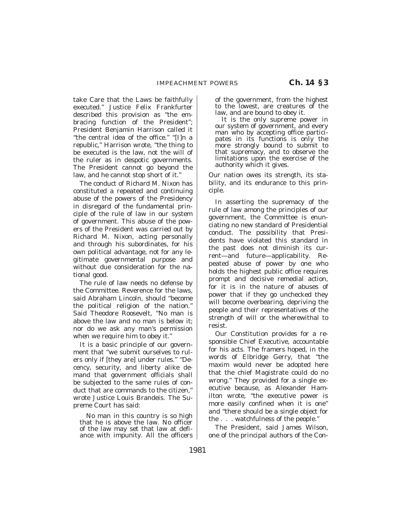take Care that the Laws be faithfully executed.'' Justice Felix Frankfurter described this provision as ''the embracing function of the President''; President Benjamin Harrison called it "the central idea of the office." "[I]n a republic,'' Harrison wrote, ''the thing to be executed is the law, not the will of the ruler as in despotic governments. The President cannot go beyond the law, and he cannot stop short of it.''

The conduct of Richard M. Nixon has constituted a repeated and continuing abuse of the powers of the Presidency in disregard of the fundamental principle of the rule of law in our system of government. This abuse of the powers of the President was carried out by Richard M. Nixon, acting personally and through his subordinates, for his own political advantage, not for any legitimate governmental purpose and without due consideration for the national good.

The rule of law needs no defense by the Committee. Reverence for the laws, said Abraham Lincoln, should ''become the political religion of the nation.'' Said Theodore Roosevelt, ''No man is above the law and no man is below it; nor do we ask any man's permission when we require him to obey it.''

It is a basic principle of our government that ''we submit ourselves to rulers only if [they are] under rules.'' ''Decency, security, and liberty alike demand that government officials shall be subjected to the same rules of conduct that are commands to the citizen,'' wrote Justice Louis Brandeis. The Supreme Court has said:

No man in this country is so high that he is above the law. No officer of the law may set that law at defiance with impunity. All the officers of the government, from the highest to the lowest, are creatures of the law, and are bound to obey it.

It is the only supreme power in our system of government, and every man who by accepting office participates in its functions is only the more strongly bound to submit to that supremacy, and to observe the limitations upon the exercise of the authority which it gives.

Our nation owes its strength, its stability, and its endurance to this principle.

In asserting the supremacy of the rule of law among the principles of our government, the Committee is enunciating no new standard of Presidential conduct. The possibility that Presidents have violated this standard in the past does not diminish its current—and future—applicability. Repeated abuse of power by one who holds the highest public office requires prompt and decisive remedial action, for it is in the nature of abuses of power that if they go unchecked they will become overbearing, depriving the people and their representatives of the strength of will or the wherewithal to resist.

Our Constitution provides for a responsible Chief Executive, accountable for his acts. The framers hoped, in the words of Elbridge Gerry, that ''the maxim would never be adopted here that the chief Magistrate could do no wrong.'' They provided for a single executive because, as Alexander Hamilton wrote, ''the executive power is more easily confined when it is one'' and ''there should be a single object for the . . . watchfulness of the people.''

The President, said James Wilson, one of the principal authors of the Con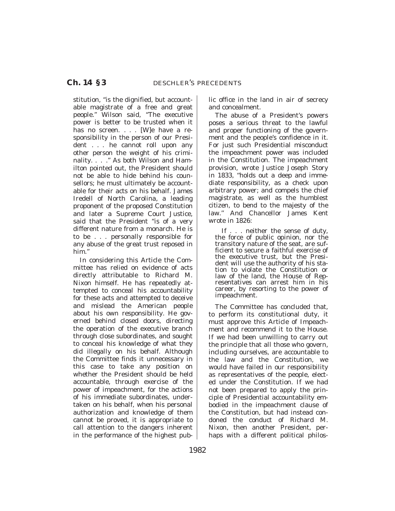stitution, ''is the dignified, but accountable magistrate of a free and great people.'' Wilson said, ''The executive power is better to be trusted when it has no screen. . . . [W]e have a responsibility in the person of our President . . . he cannot roll upon any other person the weight of his criminality. . . .'' As both Wilson and Hamilton pointed out, the President should not be able to hide behind his counsellors; he must ultimately be accountable for their acts on his behalf. James Iredell of North Carolina, a leading proponent of the proposed Constitution and later a Supreme Court Justice, said that the President "is of a very different nature from a monarch. He is to be . . . personally responsible for any abuse of the great trust reposed in him.''

In considering this Article the Committee has relied on evidence of acts directly attributable to Richard M. Nixon himself. He has repeatedly attempted to conceal his accountability for these acts and attempted to deceive and mislead the American people about his own responsibility. He governed behind closed doors, directing the operation of the executive branch through close subordinates, and sought to conceal his knowledge of what they did illegally on his behalf. Although the Committee finds it unnecessary in this case to take any position on whether the President should be held accountable, through exercise of the power of impeachment, for the actions of his immediate subordinates, undertaken on his behalf, when his personal authorization and knowledge of them cannot be proved, it is appropriate to call attention to the dangers inherent in the performance of the highest public office in the land in air of secrecy and concealment.

The abuse of a President's powers poses a serious threat to the lawful and proper functioning of the government and the people's confidence in it. For just such Presidential misconduct the impeachment power was included in the Constitution. The impeachment provision, wrote Justice Joseph Story in 1833, ''holds out a deep and immediate responsibility, as a check upon arbitrary power; and compels the chief magistrate, as well as the humblest citizen, to bend to the majesty of the law.'' And Chancellor James Kent wrote in 1826:

If . . . neither the sense of duty, the force of public opinion, nor the transitory nature of the seat, are sufficient to secure a faithful exercise of the executive trust, but the President will use the authority of his station to violate the Constitution or law of the land, the House of Representatives can arrest him in his career, by resorting to the power of impeachment.

The Committee has concluded that, to perform its constitutional duty, it must approve this Article of Impeachment and recommend it to the House. If we had been unwilling to carry out the principle that all those who govern, including ourselves, are accountable to the law and the Constitution, we would have failed in our responsibility as representatives of the people, elected under the Constitution. If we had not been prepared to apply the principle of Presidential accountability embodied in the impeachment clause of the Constitution, but had instead condoned the conduct of Richard M. Nixon, then another President, perhaps with a different political philos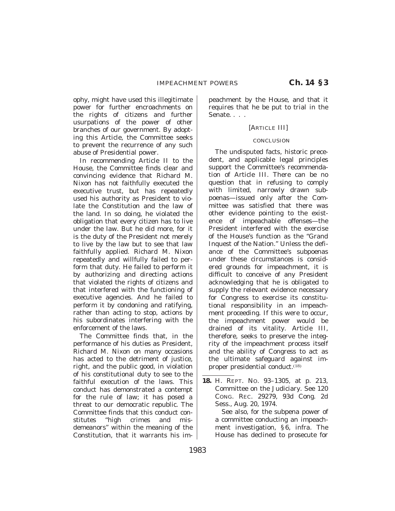ophy, might have used this illegitimate power for further encroachments on the rights of citizens and further usurpations of the power of other branches of our government. By adopting this Article, the Committee seeks to prevent the recurrence of any such abuse of Presidential power.

In recommending Article II to the House, the Committee finds clear and convincing evidence that Richard M. Nixon has not faithfully executed the executive trust, but has repeatedly used his authority as President to violate the Constitution and the law of the land. In so doing, he violated the obligation that every citizen has to live under the law. But he did more, for it is the duty of the President not merely to live by the law but to see that law faithfully applied. Richard M. Nixon repeatedly and willfully failed to perform that duty. He failed to perform it by authorizing and directing actions that violated the rights of citizens and that interfered with the functioning of executive agencies. And he failed to perform it by condoning and ratifying, rather than acting to stop, actions by his subordinates interfering with the enforcement of the laws.

The Committee finds that, in the performance of his duties as President, Richard M. Nixon on many occasions has acted to the detriment of justice, right, and the public good, in violation of his constitutional duty to see to the faithful execution of the laws. This conduct has demonstrated a contempt for the rule of law; it has posed a threat to our democratic republic. The Committee finds that this conduct constitutes "high crimes and misdemeanors'' within the meaning of the Constitution, that it warrants his im-

peachment by the House, and that it requires that he be put to trial in the Senate. . . .

# [ARTICLE III]

## **CONCLUSION**

The undisputed facts, historic precedent, and applicable legal principles support the Committee's recommendation of Article III. There can be no question that in refusing to comply with limited, narrowly drawn subpoenas—issued only after the Committee was satisfied that there was other evidence pointing to the existence of impeachable offenses—the President interfered with the exercise of the House's function as the ''Grand Inquest of the Nation.'' Unless the defiance of the Committee's subpoenas under these circumstances is considered grounds for impeachment, it is difficult to conceive of any President acknowledging that he is obligated to supply the relevant evidence necessary for Congress to exercise its constitutional responsibility in an impeachment proceeding. If this were to occur, the impeachment power would be drained of its vitality. Article III, therefore, seeks to preserve the integrity of the impeachment process itself and the ability of Congress to act as the ultimate safeguard against improper presidential conduct.(18)

**18.** H. REPT. NO. 93–1305, at p. 213, Committee on the Judiciary. See 120 CONG. REC. 29279, 93d Cong. 2d Sess., Aug. 20, 1974. See also, for the subpena power of

a committee conducting an impeachment investigation, § 6, infra. The House has declined to prosecute for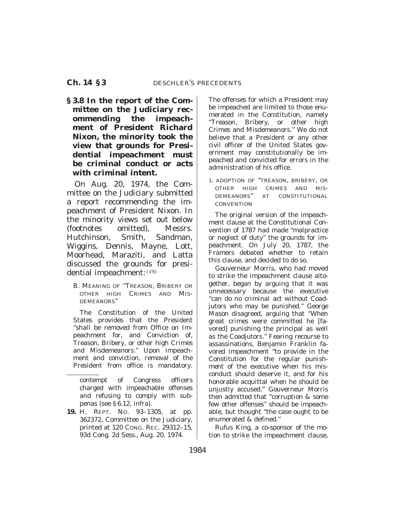**§ 3.8 In the report of the Committee on the Judiciary recommending the impeachment of President Richard Nixon, the minority took the view that grounds for Presidential impeachment must be criminal conduct or acts with criminal intent.**

On Aug. 20, 1974, the Committee on the Judiciary submitted a report recommending the impeachment of President Nixon. In the minority views set out below (footnotes omitted), Messrs. Hutchinson, Smith, Sandman, Wiggins, Dennis, Mayne, Lott, Moorhead, Maraziti, and Latta discussed the grounds for presidential impeachment: (19)

B. MEANING OF ''TREASON, BRIBERY OR OTHER HIGH CRIMES AND MIS-DEMEANORS''

The Constitution of the United States provides that the President ''shall be removed from Office on Impeachment for, and Conviction of, Treason, Bribery, or other high Crimes and Misdemeanors.'' Upon impeachment and conviction, removal of the President from office is mandatory. The offenses for which a President may be impeached are limited to those enumerated in the Constitution, namely ''Treason, Bribery, or other high Crimes and Misdemeanors.'' We do not believe that a President or any other civil officer of the United States government may constitutionally be impeached and convicted for errors in the administration of his office.

1. ADOPTION OF ''TREASON, BRIBERY, OR OTHER HIGH CRIMES AND MIS-DEMEANORS'' AT CONSTITUTIONAL **CONVENTION** 

The original version of the impeachment clause at the Constitutional Convention of 1787 had made ''malpractice or neglect of duty'' the grounds for impeachment. On July 20, 1787, the Framers debated whether to retain this clause, and decided to do so.

Gouverneur Morris, who had moved to strike the impeachment clause altogether, began by arguing that it was unnecessary because the executive ''can do no *criminal act* without Coadjutors who may be punished.'' George Mason disagreed, arguing that ''When great *crimes* were committed he [favored] punishing the principal as well as the Coadjutors.'' Fearing recourse to assassinations, Benjamin Franklin favored impeachment ''to provide in the Constitution for the regular *punishment* of the executive when his misconduct should deserve it, and for his honorable acquittal when he should be unjustly accused.'' Gouverneur Morris then admitted that ''corruption & some few other offenses'' should be impeachable, but thought ''the case ought to be enumerated & defined.''

Rufus King, a co-sponsor of the motion to strike the impeachment clause,

contempt of Congress officers charged with impeachable offenses and refusing to comply with subpenas (see § 6.12, infra).

**<sup>19.</sup>** H. REPT. NO. 93–1305, at pp. 362372, Committee on the Judiciary, printed at 120 CONG. REC. 29312–15, 93d Cong. 2d Sess., Aug. 20, 1974.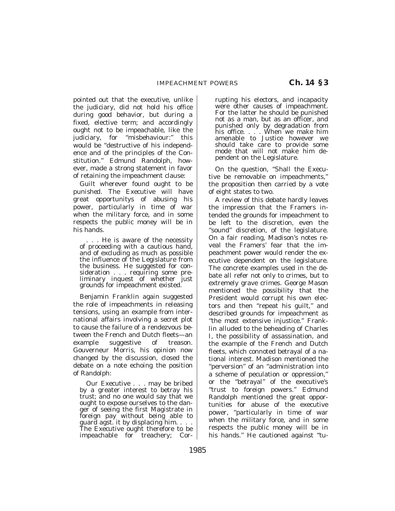pointed out that the executive, unlike the judiciary, did not hold his office during good behavior, but during a fixed, elective term; and accordingly ought not to be impeachable, like the judiciary, for "misbehaviour:" this would be ''destructive of his independence and of the principles of the Constitution.'' Edmund Randolph, however, made a strong statement in favor of retaining the impeachment clause:

Guilt wherever found ought to be *punished.* The Executive will have great opportunitys of abusing his power, particularly in time of war when the military force, and in some respects the public money will be in his hands.

. . . He is aware of the necessity of proceeding with a cautious hand, and of excluding as much as possible the influence of the Legislature from the business. He suggested for consideration . . . requiring some preliminary inquest of whether just grounds for impeachment existed.

Benjamin Franklin again suggested the role of impeachments in releasing tensions, using an example from international affairs involving a secret plot to cause the failure of a rendezvous between the French and Dutch fleets—an example suggestive of treason. Gouverneur Morris, his opinion now changed by the discussion, closed the debate on a note echoing the position of Randolph:

Our Executive . . . may be bribed by a greater interest to betray his trust; and no one would say that we ought to expose ourselves to the danger of seeing the first Magistrate in foreign pay without being able to guard agst. it by displacing him. . . . The Executive ought therefore to be impeachable for treachery; Corrupting his electors, and incapacity were other causes of impeachment. For the latter he should be punished not as a man, but as an officer, and punished only by degradation from his office. . . . When we make him amenable to Justice however we should take care to provide some mode that will not make him dependent on the Legislature.

On the question, ''Shall the Executive be removable on impeachments,'' the proposition then carried by a vote of eight states to two.

A review of this debate hardly leaves the impression that the Framers intended the grounds for impeachment to be left to the discretion, even the "sound" discretion, of the legislature. On a fair reading, Madison's notes reveal the Framers' fear that the impeachment power would render the executive dependent on the legislature. The concrete examples used in the debate all refer not only to crimes, but to extremely grave crimes. George Mason mentioned the possibility that the President would corrupt his own electors and then ''repeat his guilt,'' and described grounds for impeachment as ''the most extensive injustice.'' Franklin alluded to the beheading of Charles I, the possibility of assassination, and the example of the French and Dutch fleets, which connoted betrayal of a national interest. Madison mentioned the ''perversion'' of an ''administration into a scheme of peculation or oppression,'' or the ''betrayal'' of the executive's ''trust to foreign powers.'' Edmund Randolph mentioned the great opportunities for abuse of the executive power, ''particularly in time of war when the military force, and in some respects the public money will be in his hands.'' He cautioned against ''tu-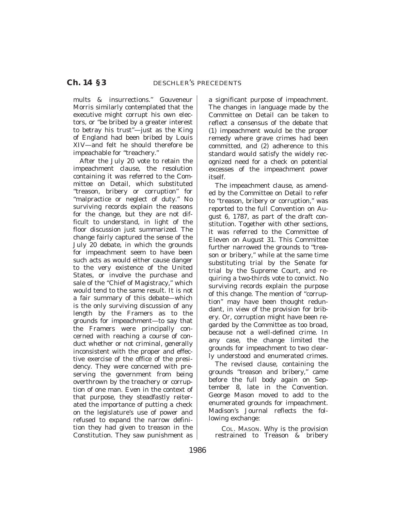mults & insurrections.'' Gouveneur Morris similarly contemplated that the executive might corrupt his own electors, or ''be bribed by a greater interest to betray his trust''—just as the King of England had been bribed by Louis XIV—and felt he should therefore be impeachable for "treachery."

After the July 20 vote to retain the impeachment clause, the resolution containing it was referred to the Committee on Detail, which substituted ''treason, bribery or corruption'' for "malpractice or neglect of duty." No surviving records explain the reasons for the change, but they are not difficult to understand, in light of the floor discussion just summarized. The change fairly captured the sense of the July 20 debate, in which the grounds for impeachment seem to have been such acts as would either cause danger to the very existence of the United States, or involve the purchase and sale of the "Chief of Magistracy," which would tend to the same result. It is *not* a fair summary of this debate—which is the only surviving discussion of any length by the Framers as to the grounds for impeachment—to say that the Framers were principally concerned with reaching a course of conduct whether or not criminal, generally inconsistent with the proper and effective exercise of the office of the presidency. They were concerned with preserving the government from being overthrown by the treachery or corruption of one man. Even in the context of that purpose, they steadfastly reiterated the importance of putting a check on the legislature's use of power and refused to expand the narrow definition they had given to treason in the Constitution. They saw punishment as a significant purpose of impeachment. The changes in language made by the Committee on Detail can be taken to reflect a consensus of the debate that (1) impeachment would be the proper remedy where grave crimes had been committed, and (2) adherence to this standard would satisfy the widely recognized need for a check on potential excesses of the impeachment power itself.

The impeachment clause, as amended by the Committee on Detail to refer to ''treason, bribery or corruption,'' was reported to the full Convention on August 6, 1787, as part of the draft constitution. Together with other sections, it was referred to the Committee of Eleven on August 31. This Committee further narrowed the grounds to "treason or bribery,'' while at the same time substituting trial by the Senate for trial by the Supreme Court, and requiring a two-thirds vote to convict. No surviving records explain the purpose of this change. The mention of ''corruption'' may have been thought redundant, in view of the provision for bribery. Or, corruption might have been regarded by the Committee as too broad, because not a well-defined crime. In any case, the change limited the grounds for impeachment to two clearly understood and enumerated crimes.

The revised clause, containing the grounds ''treason and bribery,'' came before the full body again on September 8, late in the Convention. George Mason moved to add to the enumerated grounds for impeachment. Madison's Journal reflects the following exchange:

COL. MASON. Why is the provision restrained to Treason & bribery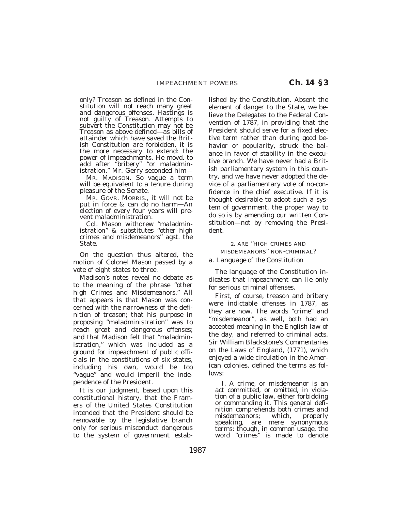only? Treason as defined in the Constitution will not reach many great and dangerous offenses. Hastings is not guilty of Treason. Attempts to subvert the Constitution may not be Treason as above defined—as bills of attainder which have saved the British Constitution are forbidden, it is the more necessary to extend: the power of impeachments. He movd. to add after "bribery" "or maladministration.'' Mr. Gerry seconded him—

MR. MADISON. So vague a term will be equivalent to a tenure during pleasure of the Senate.

MR. GOVR. MORRIS., it will not be put in force & can do no harm—An election of every four years will prevent maladministration.

Col. Mason withdrew ''maladministration'' & substitutes ''other high crimes and misdemeanors'' agst. the State.

On the question thus altered, the motion of Colonel Mason passed by a vote of eight states to three.

Madison's notes reveal no debate as to the meaning of the phrase ''other high Crimes and Misdemeanors.'' All that appears is that Mason was concerned with the narrowness of the definition of treason; that his purpose in proposing ''maladministration'' was to reach *great* and *dangerous* offenses; and that Madison felt that ''maladministration,'' which was included as a ground for impeachment of public officials in the constitutions of six states, including his own, would be too "vague" and would imperil the independence of the President.

It is our judgment, based upon this constitutional history, that the Framers of the United States Constitution intended that the President should be removable by the legislative branch only for serious misconduct dangerous to the system of government estab-

lished by the Constitution. Absent the element of danger to the State, we believe the Delegates to the Federal Convention of 1787, in providing that the President should serve for a fixed elective term rather than during good behavior or popularity, struck the balance in favor of stability in the executive branch. We have never had a British parliamentary system in this country, and we have never adopted the device of a parliamentary vote of no-confidence in the chief executive. If it is thought desirable to adopt such a system of government, the proper way to do so is by amending our written Constitution—not by removing the President.

2. ARE ''HIGH CRIMES AND MISDEMEANORS'' NON-CRIMINAL? *a. Language of the Constitution*

The language of the Constitution indicates that impeachment can lie only for serious criminal offenses.

First, of course, treason and bribery were indictable offenses in 1787, as they are now. The words "crime" and "misdemeanor", as well, both had an accepted meaning in the English law of the day, and referred to criminal acts. Sir William Blackstone's *Commentaries on the Laws of England,* (1771), which enjoyed a wide circulation in the American colonies, defined the terms as follows:

I. A crime, or misdemeanor is an act committed, or omitted, in violation of a public law, either forbidding or commanding it. This general definition comprehends both crimes and<br>misdemeanors; which, properly misdemeanors; which, properly speaking, are mere synonymous terms: though, in common usage, the word ''crimes'' is made to denote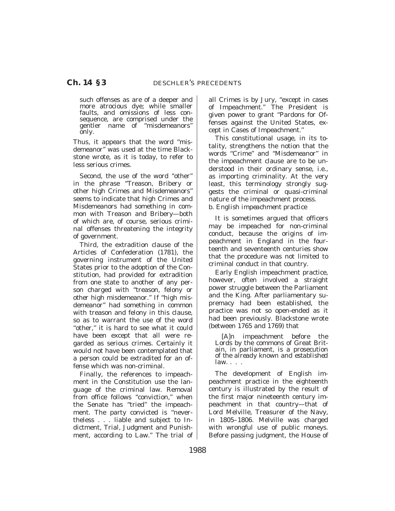such offenses as are of a deeper and more atrocious dye; while smaller faults, and omissions of less consequence, are comprised under the gentler name of ''misdemeanors'' only.

Thus, it appears that the word "misdemeanor'' was used at the time Blackstone wrote, as it is today, to refer to less serious crimes.

Second, the use of the word "other" in the phrase ''Treason, Bribery or other high Crimes and Misdemeanors'' seems to indicate that high Crimes and Misdemeanors had something in common with Treason and Bribery—both of which are, of course, serious *criminal* offenses threatening the integrity of government.

Third, the extradition clause of the Articles of Confederation (1781), the governing instrument of the United States prior to the adoption of the Constitution, had provided for extradition from one state to another of any person charged with "treason, felony or *other* high misdemeanor.'' If ''high misdemeanor'' had something in common with treason and felony in this clause, so as to warrant the use of the word "other," it is hard to see what it could have been except that all were regarded as serious crimes. Certainly it would not have been contemplated that a person could be extradited for an offense which was non-criminal.

Finally, the references to impeachment in the Constitution use the language of the criminal law. Removal from office follows "conviction," when the Senate has ''tried'' the impeachment. The party convicted is "nevertheless . . . liable and subject to Indictment, Trial, Judgment and Punishment, according to Law.'' The trial of all Crimes is by Jury, "except in cases of Impeachment.'' The President is given power to grant ''Pardons for Offenses against the United States, except in Cases of Impeachment.''

This constitutional usage, in its totality, strengthens the notion that the words ''Crime'' and ''Misdemeanor'' in the impeachment clause are to be understood in their ordinary sense, i.e., as importing criminality. At the very least, this terminology strongly suggests the criminal or quasi-criminal nature of the impeachment process. *b. English impeachment practice*

It is sometimes argued that officers may be impeached for non-criminal conduct, because the origins of impeachment in England in the fourteenth and seventeenth centuries show that the procedure was not limited to criminal conduct in that country.

Early English impeachment practice, however, often involved a straight power struggle between the Parliament and the King. After parliamentary supremacy had been established, the practice was not so open-ended as it had been previously. Blackstone wrote (between 1765 and 1769) that

[A]n impeachment before the Lords by the commons of Great Britain, in parliament, is a prosecution of *the already known and established law. . . .*

The development of English impeachment practice in the eighteenth century is illustrated by the result of the first major nineteenth century impeachment in that country—that of Lord Melville, Treasurer of the Navy, in 1805–1806. Melville was charged with wrongful use of public moneys. Before passing judgment, the House of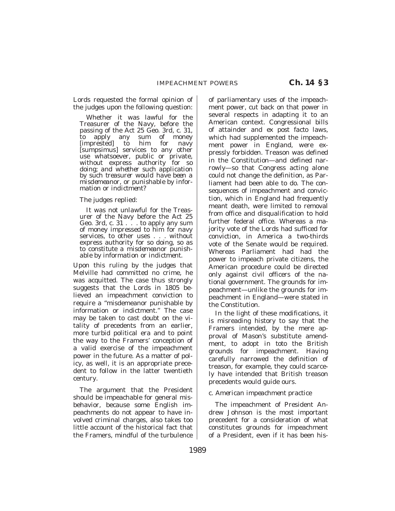Lords requested the formal opinion of the judges upon the following question:

Whether it was lawful for the Treasurer of the Navy, before the passing of the Act 25 Geo. 3rd, c. 31,<br>to apply any sum of money to apply any sum of money [imprested] to him for navy [sumpsimus] services to any other use whatsoever, public or private, without express authority for so doing; *and whether such application by such treasurer would have been a misdemeanor, or punishable by information or indictment?*

#### The judges replied:

It was *not unlawful* for the Treasurer of the Navy before the Act 25 Geo. 3rd, c. 31 . . to apply any sum of money impressed to him for navy services, to other uses . . . without express authority for so doing, *so as to constitute a misdemeanor punishable by information or indictment.*

Upon this ruling by the judges that Melville had committed no crime, he was acquitted. The case thus strongly suggests that the Lords in 1805 believed an impeachment conviction to require a ''misdemeanor punishable by information or indictment.'' The case may be taken to cast doubt on the vitality of precedents from an earlier, more turbid political era and to point the way to the Framers' conception of a valid exercise of the impeachment power in the future. As a matter of policy, as well, it is an appropriate precedent to follow in the latter twentieth century.

The argument that the President should be impeachable for general misbehavior, because some English impeachments do not appear to have involved criminal charges, also takes too little account of the historical fact that the Framers, mindful of the turbulence

of parliamentary uses of the impeachment power, cut back on that power in several respects in adapting it to an American context. Congressional bills of attainder and *ex post facto* laws, which had supplemented the impeachment power in England, were expressly forbidden. Treason was defined in the Constitution—and defined narrowly—so that Congress acting alone could not change the definition, as Parliament had been able to do. The consequences of impeachment and conviction, which in England had frequently meant death, were limited to removal from office and disqualification to hold further federal office. Whereas a majority vote of the Lords had sufficed for conviction, in America a two-thirds vote of the Senate would be required. Whereas Parliament had had the power to impeach private citizens, the American procedure could be directed only against civil officers of the national government. The grounds for impeachment—unlike the grounds for impeachment in England—were stated in the Constitution.

In the light of these modifications, it is misreading history to say that the Framers intended, by the mere approval of Mason's substitute amendment, to adopt *in toto* the British grounds for impeachment. Having carefully narrowed the definition of treason, for example, they could scarcely have intended that British treason precedents would guide ours.

### *c. American impeachment practice*

The impeachment of President Andrew Johnson is the most important precedent for a consideration of what constitutes grounds for impeachment of a President, even if it has been his-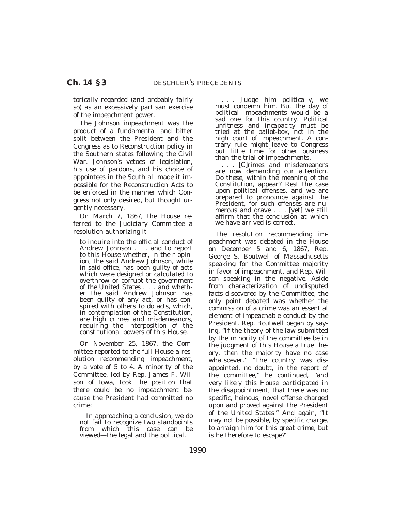torically regarded (and probably fairly so) as an excessively partisan exercise of the impeachment power.

The Johnson impeachment was the product of a fundamental and bitter split between the President and the Congress as to Reconstruction policy in the Southern states following the Civil War. Johnson's vetoes of legislation, his use of pardons, and his choice of appointees in the South all made it impossible for the Reconstruction Acts to be enforced in the manner which Congress not only desired, but thought urgently necessary.

On March 7, 1867, the House referred to the Judiciary Committee a resolution authorizing it

to inquire into the *official conduct of* Andrew Johnson . . . and to report to this House whether, in their opinion, the said Andrew Johnson, while in said office, has been guilty of acts which were *designed or calculated to overthrow or corrupt the government of the United States* . . . and whether the said Andrew Johnson has been guilty of any act, or has conspired with others to do acts, which, in contemplation of the Constitution, are high crimes and misdemeanors, requiring the interposition of the constitutional powers of this House.

On November 25, 1867, the Committee reported to the full House a resolution recommending impeachment, by a vote of 5 to 4. A minority of the Committee, led by Rep. James F. Wilson of Iowa, took the position that there could be no impeachment because the President had committed no crime:

In approaching a conclusion, we do not fail to recognize two standpoints from which this case can be viewed—the legal and the political.

. . . Judge him politically, we must condemn him. But the day of political impeachments would be a sad one for this country. Political unfitness and incapacity must be tried at the ballot-box, not in the high court of impeachment. A contrary rule might leave to Congress but little time for other business than the trial of impeachments.

. . . [C]rimes and misdemeanors are now demanding our attention. Do these, within the meaning of the Constitution, appear? Rest the case upon political offenses, and we are prepared to pronounce against the President, for such offenses are numerous and grave . . . [yet] we still affirm that the conclusion at which we have arrived is correct.

The resolution recommending impeachment was debated in the House on December 5 and 6, 1867, Rep. George S. Boutwell of Massachusetts speaking for the Committee majority in favor of impeachment, and Rep. Wilson speaking in the negative. Aside from characterization of undisputed facts discovered by the Committee, the only point debated was whether the commission of a crime was an essential element of impeachable conduct by the President. Rep. Boutwell began by saying, ''If the theory of the law submitted by the minority of the committee be in the judgment of this House a true theory, then the majority have no case whatsoever." "The country was disappointed, no doubt, in the report of the committee,'' he continued, ''and very likely this House participated in the disappointment, that there was no specific, heinous, novel offense charged upon and proved against the President of the United States.'' And again, ''It may not be possible, by specific charge, to arraign him for this great crime, but is he therefore to escape?''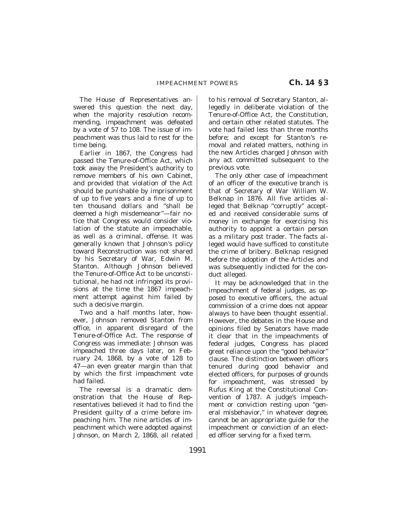The House of Representatives answered this question the next day, when the majority resolution recommending, impeachment was defeated by a vote of 57 to 108. The issue of impeachment was thus laid to rest for the time being.

Earlier in 1867, the Congress had passed the Tenure-of-Office Act, which took away the President's authority to remove members of his own Cabinet, and provided that violation of the Act should be punishable by imprisonment of up to five years and a fine of up to ten thousand dollars and ''shall be deemed a high misdemeanor''—fair notice that Congress would consider violation of the statute an impeachable, as well as a criminal, offense. It was generally known that Johnson's policy toward Reconstruction was not shared by his Secretary of War, Edwin M. Stanton. Although Johnson believed the Tenure-of-Office Act to be unconstitutional, he had not infringed its provisions at the time the 1867 impeachment attempt against him failed by such a decisive margin.

Two and a half months later, however, Johnson removed Stanton from office, in apparent disregard of the Tenure-of-Office Act. The response of Congress was immediate: Johnson was impeached three days later, on February 24, 1868, by a vote of 128 to 47—an even greater margin than that by which the first impeachment vote had failed.

The reversal is a dramatic demonstration that the House of Representatives believed it had to find the President guilty of a crime before impeaching him. The nine articles of impeachment which were adopted against Johnson, on March 2, 1868, all related

to his removal of Secretary Stanton, allegedly in deliberate violation of the Tenure-of-Office Act, the Constitution, and certain other related statutes. The vote had failed less than three months before; and except for Stanton's removal and related matters, nothing in the new Articles charged Johnson with any act committed subsequent to the previous vote.

The only other case of impeachment of an officer of the executive branch is that of Secretary of War William W. Belknap in 1876. All five articles alleged that Belknap "corruptly" accepted and received considerable sums of money in exchange for exercising his authority to appoint a certain person as a military post trader. The facts alleged would have sufficed to constitute the crime of bribery. Belknap resigned before the adoption of the Articles and was subsequently indicted for the conduct alleged.

It may be acknowledged that in the impeachment of federal judges, as opposed to executive officers, the actual commission of a crime does not appear always to have been thought essential. However, the debates in the House and opinions filed by Senators have made it clear that in the impeachments of federal judges, Congress has placed great reliance upon the ''good behavior'' clause. The distinction between officers tenured during good behavior and elected officers, for purposes of grounds for impeachment, was stressed by Rufus King at the Constitutional Convention of 1787. A judge's impeachment or conviction resting upon "general misbehavior,'' in whatever degree, cannot be an appropriate guide for the impeachment or conviction of an elected officer serving for a fixed term.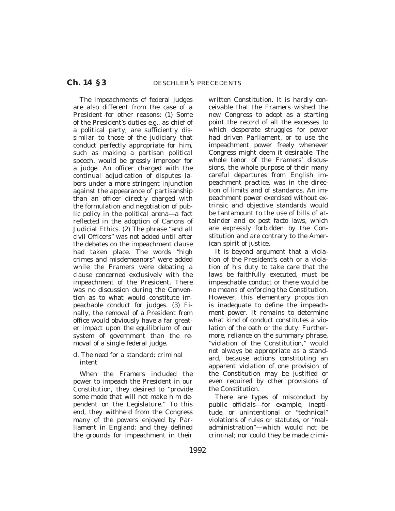The impeachments of federal judges are also different from the case of a President for other reasons: (1) Some of the President's duties *e.g.,* as chief of a political party, are sufficiently dissimilar to those of the judiciary that conduct perfectly appropriate for him, such as making a partisan political speech, would be grossly improper for a judge. An officer charged with the continual adjudication of disputes labors under a more stringent injunction against the appearance of partisanship than an officer directly charged with the formulation and negotiation of public policy in the political arena—a fact reflected in the adoption of Canons of Judicial Ethics. (2) The phrase ''and all civil Officers'' was not added until after the debates on the impeachment clause had taken place. The words ''high crimes and misdemeanors'' were added while the Framers were debating a clause concerned exclusively with the impeachment of the President. There was no discussion during the Convention as to what would constitute impeachable conduct for judges. (3) Finally, the removal of a President from office would obviously have a far greater impact upon the equilibrium of our system of government than the removal of a single federal judge.

## *d. The need for a standard: criminal intent*

When the Framers included the power to impeach the President in our Constitution, they desired to ''provide some mode that will not make him dependent on the Legislature.'' To this end, they withheld from the Congress many of the powers enjoyed by Parliament in England; and they defined the grounds for impeachment in their written Constitution. It is hardly conceivable that the Framers wished the new Congress to adopt as a starting point the record of all the excesses to which desperate struggles for power had driven Parliament, or to use the impeachment power freely whenever Congress might deem it desirable. The whole tenor of the Framers' discussions, the whole purpose of their many careful departures from English impeachment practice, was in the direction of limits and of standards. An impeachment power exercised without extrinsic and objective standards would be tantamount to the use of bills of attainder and *ex post facto* laws, which are expressly forbidden by the Constitution and are contrary to the American spirit of justice.

It is beyond argument that a violation of the President's oath or a violation of his duty to take care that the laws be faithfully executed, must be impeachable conduct or there would be no means of enforcing the Constitution. However, this elementary proposition is inadequate to define the impeachment power. It remains to determine what kind of conduct constitutes a violation of the oath or the duty. Furthermore, reliance on the summary phrase, ''violation of the Constitution,'' would not always be appropriate as a standard, because actions constituting an apparent violation of one provision of the Constitution may be justified or even required by other provisions of the Constitution.

There are types of misconduct by public officials—for example, ineptitude, or unintentional or ''technical'' violations of rules or statutes, or ''maladministration''—which would not be criminal; nor could they be made crimi-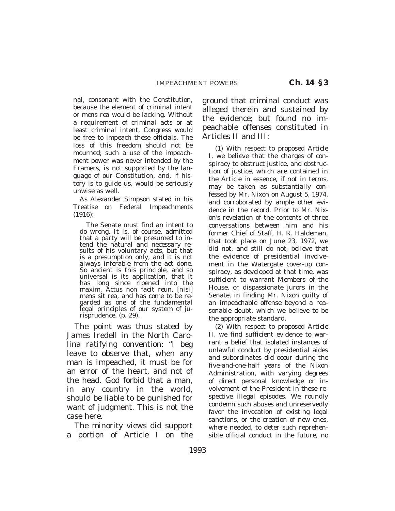nal, consonant with the Constitution, because the element of criminal intent or *mens rea* would be lacking. Without a requirement of criminal acts or at least criminal intent, Congress would be free to impeach these officials. The loss of this freedom should not be mourned; such a use of the impeachment power was never intended by the Framers, is not supported by the language of our Constitution, and, if history is to guide us, would be seriously unwise as well.

As Alexander Simpson stated in his *Treatise on Federal Impeachments* (1916):

The Senate must find an intent to do wrong. It is, of course, admitted that a party will be presumed to intend the natural and necessary results of his voluntary acts, but that is a presumption only, and it is not always inferable from the act done. So ancient is this principle, and so universal is its application, that it has long since ripened into the maxim, *Actus non facit reun, [nisi] mens sit rea,* and has come to be regarded as one of the fundamental legal principles of our system of jurisprudence. (p. 29).

The point was thus stated by James Iredell in the North Carolina ratifying convention: ''I beg leave to observe that, when any man is impeached, it must be for an error of the heart, and not of the head. God forbid that a man, in any country in the world, should be liable to be punished for want of judgment. This is not the case here.

The minority views did support a portion of Article I on the

ground that criminal conduct was alleged therein and sustained by the evidence; but found no impeachable offenses constituted in Articles II and III:

(1) With respect to proposed Article I, we believe that the charges of conspiracy to obstruct justice, and obstruction of justice, which are contained in the Article in essence, if not in terms, may be taken as substantially confessed by Mr. Nixon on August 5, 1974, and corroborated by ample other evidence in the record. Prior to Mr. Nixon's revelation of the contents of three conversations between him and his former Chief of Staff, H. R. Haldeman, that took place on June 23, 1972, we did not, and still do not, believe that the evidence of presidential involvement in the Watergate cover-up conspiracy, as developed at that time, was sufficient to warrant Members of the House, or dispassionate jurors in the Senate, in finding Mr. Nixon guilty of an impeachable offense beyond a reasonable doubt, which we believe to be the appropriate standard.

(2) With respect to proposed Article II, we find sufficient evidence to warrant a belief that isolated instances of unlawful conduct by presidential aides and subordinates did occur during the five-and-one-half years of the Nixon Administration, with varying degrees of direct personal knowledge or involvement of the President in these respective illegal episodes. We roundly condemn such abuses and unreservedly favor the invocation of existing legal sanctions, or the creation of new ones, where needed, to deter such reprehensible official conduct in the future, no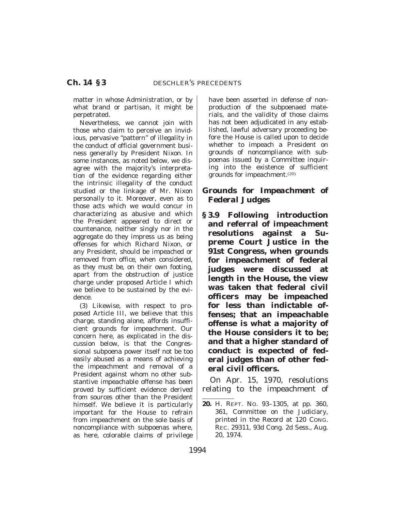matter in whose Administration, or by what brand or partisan, it might be perpetrated.

Nevertheless, we cannot join with those who claim to perceive an invidious, pervasive "pattern" of illegality in the conduct of official government business generally by President Nixon. In some instances, as noted below, we disagree with the majority's interpretation of the evidence regarding either the intrinsic illegality of the conduct studied or the linkage of Mr. Nixon personally to it. Moreover, even as to those acts which we would concur in characterizing as abusive and which the President appeared to direct or countenance, neither singly nor in the aggregate do they impress us as being offenses for which Richard Nixon, or any President, should be impeached or removed from office, when considered, *as they must be,* on their own footing, apart from the obstruction of justice charge under proposed Article I which we believe to be sustained by the evidence.

(3) Likewise, with respect to proposed Article III, we believe that this charge, standing alone, affords insufficient grounds for impeachment. Our concern here, as explicated in the discussion below, is that the Congressional subpoena power itself not be too easily abused as a means of achieving the impeachment and removal of a President against whom no other substantive impeachable offense has been proved by sufficient evidence derived from sources other than the President himself. We believe it is particularly important for the House to refrain from impeachment on the sole basis of noncompliance with subpoenas where, as here, colorable claims of privilege have been asserted in defense of nonproduction of the subpoenaed materials, and the validity of those claims has not been adjudicated in any established, lawful adversary proceeding before the House is called upon to decide whether to impeach a President on grounds of noncompliance with subpoenas issued by a Committee inquiring into the existence of sufficient grounds for impeachment.(20)

# *Grounds for Impeachment of Federal Judges*

**§ 3.9 Following introduction and referral of impeachment resolutions against a Supreme Court Justice in the 91st Congress, when grounds for impeachment of federal judges were discussed at length in the House, the view was taken that federal civil officers may be impeached for less than indictable offenses; that an impeachable offense is what a majority of the House considers it to be; and that a higher standard of conduct is expected of federal judges than of other federal civil officers.**

On Apr. 15, 1970, resolutions relating to the impeachment of

**<sup>20.</sup>** H. REPT. NO. 93–1305, at pp. 360, 361, Committee on the Judiciary, printed in the Record at 120 CONG. REC. 29311, 93d Cong. 2d Sess., Aug. 20, 1974.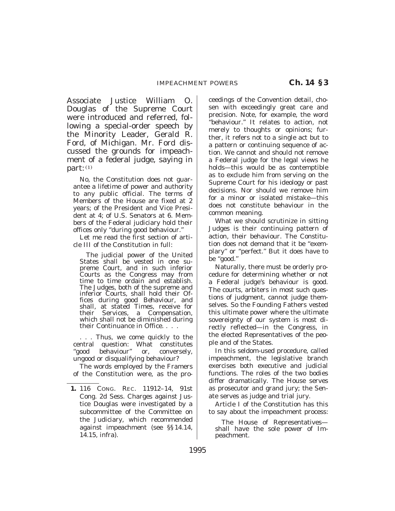Associate Justice William O. Douglas of the Supreme Court were introduced and referred, following a special-order speech by the Minority Leader, Gerald R. Ford, of Michigan. Mr. Ford discussed the grounds for impeachment of a federal judge, saying in part:  $(1)$ 

No, the Constitution does not guarantee a lifetime of power and authority to any public official. The terms of Members of the House are fixed at 2 years; of the President and Vice President at 4; of U.S. Senators at 6. Members of the Federal judiciary hold their offices only ''during good behaviour.''

Let me read the first section of article III of the Constitution in full:

The judicial power of the United States shall be vested in one supreme Court, and in such inferior Courts as the Congress may from time to time ordain and establish. The Judges, both of the supreme and inferior Courts, shall hold their Offices *during good Behaviour,* and shall, at stated Times, receive for their Services, a Compensation, which shall not be diminished during their Continuance in Office. . . .

. . . Thus, we come quickly to the central question: What constitutes "good behaviour" or, conversely, ungood or disqualifying behaviour?

The words employed by the Framers of the Constitution were, as the pro-

ceedings of the Convention detail, chosen with exceedingly great care and precision. Note, for example, the word ''behaviour.'' It relates to action, not merely to thoughts or opinions; further, it refers not to a single act but to a pattern or continuing sequence of action. We cannot and should not remove a Federal judge for the legal views he holds—this would be as contemptible as to exclude him from serving on the Supreme Court for his ideology or past decisions. Nor should we remove him for a minor or isolated mistake—this does not constitute behaviour in the common meaning.

What we should scrutinize in sitting Judges is their continuing pattern of action, their behaviour. The Constitution does not demand that it be ''exemplary'' or ''perfect.'' But it does have to be ''good.''

Naturally, there must be orderly procedure for determining whether or not a Federal judge's behaviour is good. The courts, arbiters in most such questions of judgment, cannot judge themselves. So the Founding Fathers vested this ultimate power where the ultimate sovereignty of our system is most directly reflected—in the Congress, in the elected Representatives of the people and of the States.

In this seldom-used procedure, called impeachment, the legislative branch exercises both executive and judicial functions. The roles of the two bodies differ dramatically. The House serves as prosecutor and grand jury; the Senate serves as judge and trial jury.

Article I of the Constitution has this to say about the impeachment process:

The House of Representatives shall have the sole power of Impeachment.

**<sup>1.</sup>** 116 CONG. REC. 11912–14, 91st Cong. 2d Sess. Charges against Justice Douglas were investigated by a subcommittee of the Committee on the Judiciary, which recommended against impeachment (see §§ 14.14, 14.15, infra).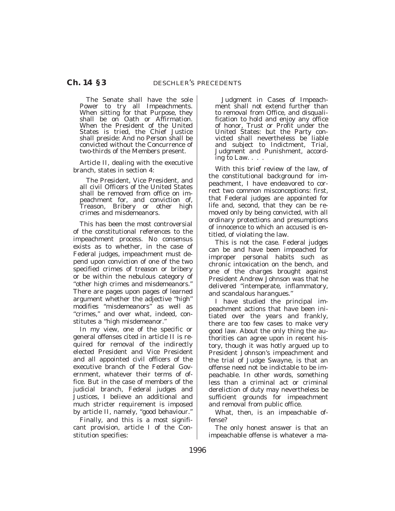The Senate shall have the sole Power to try all Impeachments. When sitting for that Purpose, they shall be on Oath or Affirmation. When the President of the United States is tried, the Chief Justice shall preside: And no Person shall be convicted without the Concurrence of two-thirds of the Members present.

Article II, dealing with the executive branch, states in section 4:

The President, Vice President, and all civil Officers of the United States shall be removed from office on impeachment for, and conviction of, Treason, Bribery or other high crimes and misdemeanors.

This has been the most controversial of the constitutional references to the impeachment process. No consensus exists as to whether, in the case of Federal judges, impeachment must depend upon conviction of one of the two specified crimes of treason or bribery or be within the nebulous category of ''other high crimes and misdemeanors.'' There are pages upon pages of learned argument whether the adjective ''high'' modifies ''misdemeanors'' as well as "crimes," and over what, indeed, constitutes a ''high misdemeanor.''

In my view, one of the specific or general offenses cited in article II is required for removal of the indirectly elected President and Vice President and all appointed civil officers of the executive branch of the Federal Government, whatever their terms of office. But in the case of members of the judicial branch, Federal judges and Justices, I believe an additional and much stricter requirement is imposed by article II, namely, "good behaviour."

Finally, and this is a most significant provision, article I of the Constitution specifies:

Judgment in Cases of Impeachment shall not extend further than to removal from Office, and disqualification to hold and enjoy any office of honor, Trust or Profit under the United States: but the Party convicted shall nevertheless be liable and subject to Indictment, Trial, Judgment and Punishment, according to Law. . . .

With this brief review of the law, of the constitutional background for impeachment, I have endeavored to correct two common misconceptions: first, that Federal judges are appointed for life and, second, that they can be removed only by being convicted, with all ordinary protections and presumptions of innocence to which an accused is entitled, of violating the law.

This is not the case. Federal judges can be and have been impeached for improper personal habits such as chronic intoxication on the bench, and one of the charges brought against President Andrew Johnson was that he delivered ''intemperate, inflammatory, and scandalous harangues.''

I have studied the principal impeachment actions that have been initiated over the years and frankly, there are too few cases to make very good law. About the only thing the authorities can agree upon in recent history, though it was hotly argued up to President Johnson's impeachment and the trial of Judge Swayne, is that an offense need not be indictable to be impeachable. In other words, something less than a criminal act or criminal dereliction of duty may nevertheless be sufficient grounds for impeachment and removal from public office.

What, then, is an impeachable offense?

The only honest answer is that an impeachable offense is whatever a ma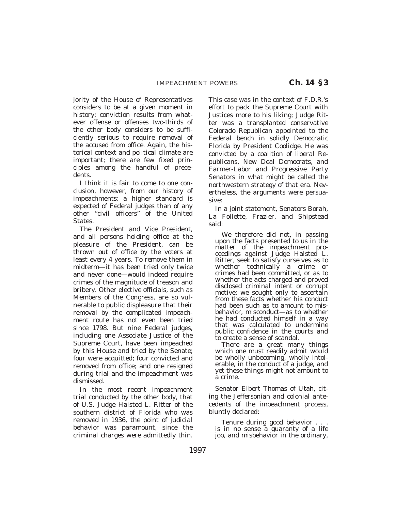jority of the House of Representatives considers to be at a given moment in history; conviction results from whatever offense or offenses two-thirds of the other body considers to be sufficiently serious to require removal of the accused from office. Again, the historical context and political climate are important; there are few fixed principles among the handful of precedents.

I think it is fair to come to one conclusion, however, from our history of impeachments: a higher standard is expected of Federal judges than of any other "civil officers" of the United States.

The President and Vice President, and all persons holding office at the pleasure of the President, can be thrown out of office by the voters at least every 4 years. To remove them in midterm—it has been tried only twice and never done—would indeed require crimes of the magnitude of treason and bribery. Other elective officials, such as Members of the Congress, are so vulnerable to public displeasure that their removal by the complicated impeachment route has not even been tried since 1798. But nine Federal judges, including one Associate Justice of the Supreme Court, have been impeached by this House and tried by the Senate; four were acquitted; four convicted and removed from office; and one resigned during trial and the impeachment was dismissed.

In the most recent impeachment trial conducted by the other body, that of U.S. Judge Halsted L. Ritter of the southern district of Florida who was removed in 1936, the point of judicial behavior was paramount, since the criminal charges were admittedly thin. This case was in the context of F.D.R.'s effort to pack the Supreme Court with Justices more to his liking; Judge Ritter was a transplanted conservative Colorado Republican appointed to the Federal bench in solidly Democratic Florida by President Coolidge. He was convicted by a coalition of liberal Republicans, New Deal Democrats, and Farmer-Labor and Progressive Party Senators in what might be called the northwestern strategy of that era. Nevertheless, the arguments were persuasive:

In a joint statement, Senators Borah, La Follette, Frazier, and Shipstead said:

We therefore did not, in passing upon the facts presented to us in the matter of the impeachment proceedings against Judge Halsted L. Ritter, seek to satisfy ourselves as to whether technically a crime or crimes had been committed, or as to whether the acts charged and proved disclosed criminal intent or corrupt motive: we sought only to ascertain from these facts whether his conduct had been such as to amount to misbehavior, misconduct—as to whether he had conducted himself in a way that was calculated to undermine public confidence in the courts and to create a sense of scandal.

There are a great many things which one must readily admit would be wholly unbecoming, wholly intolerable, in the conduct of a judge, and yet these things might not amount to a crime.

Senator Elbert Thomas of Utah, citing the Jeffersonian and colonial antecedents of the impeachment process, bluntly declared:

Tenure during good behavior . . . is in no sense a guaranty of a life job, and misbehavior in the ordinary,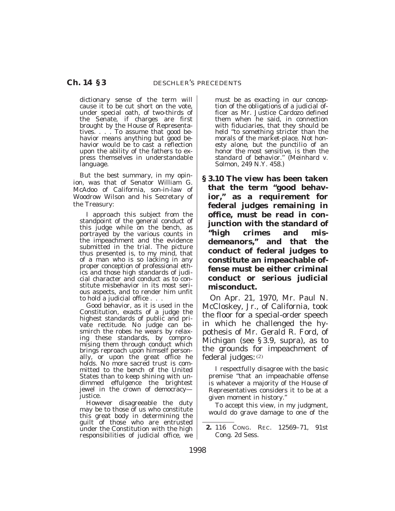dictionary sense of the term will cause it to be cut short on the vote, under special oath, of two-thirds of the Senate, if charges are first brought by the House of Representatives. . . . To assume that good behavior means anything but good behavior would be to cast a reflection upon the ability of the fathers to express themselves in understandable language.

But the best summary, in my opinion, was that of Senator William G. McAdoo of California, son-in-law of Woodrow Wilson and his Secretary of the Treasury:

I approach this subject from the standpoint of the general conduct of this judge while on the bench, as portrayed by the various counts in the impeachment and the evidence submitted in the trial. The picture thus presented is, to my mind, that of a man who is so lacking in any proper conception of professional ethics and those high standards of judicial character and conduct as to constitute misbehavior in its most serious aspects, and to render him unfit to hold a judicial office . . .

Good behavior, as it is used in the Constitution, exacts of a judge the highest standards of public and private rectitude. No judge can besmirch the robes he wears by relaxing these standards, by compromising them through conduct which brings reproach upon himself personally, or upon the great office he holds. No more sacred trust is committed to the bench of the United States than to keep shining with undimmed effulgence the brightest jewel in the crown of democracy justice.

However disagreeable the duty may be to those of us who constitute this great body in determining the guilt of those who are entrusted under the Constitution with the high responsibilities of judicial office, we

must be as exacting in our conception of the obligations of a judicial officer as Mr. Justice Cardozo defined them when he said, in connection with fiduciaries, that they should be held "to something stricter than the morals of the market-place. *Not honesty alone, but the punctilio of an honor the most sensitive, is then the standard of behavior.*'' (Meinhard v. Solmon, 249 N.Y. 458.)

**§ 3.10 The view has been taken that the term ''good behavior,'' as a requirement for federal judges remaining in office, must be read in conjunction with the standard of ''high crimes and misdemeanors,'' and that the conduct of federal judges to constitute an impeachable offense must be either criminal conduct or serious judicial misconduct.**

On Apr. 21, 1970, Mr. Paul N. McCloskey, Jr., of California, took the floor for a special-order speech in which he challenged the hypothesis of Mr. Gerald R. Ford, of Michigan (see § 3.9, supra), as to the grounds for impeachment of federal judges: (2)

I respectfully disagree with the basic premise ''that an impeachable offense is whatever a majority of the House of Representatives considers it to be at a given moment in history.''

To accept this view, in my judgment, would do grave damage to one of the

**<sup>2.</sup>** 116 CONG. REC. 12569–71, 91st Cong. 2d Sess.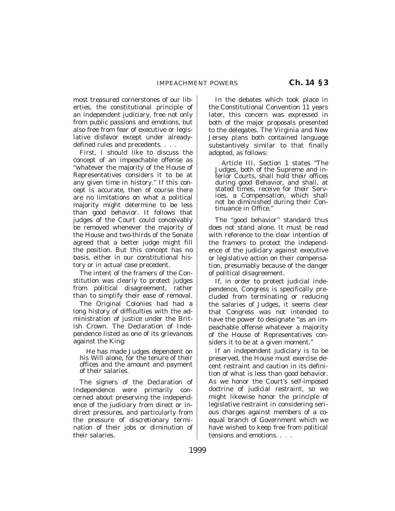most treasured cornerstones of our liberties, the constitutional principle of an independent judiciary, free not only from public passions and emotions, but also free from fear of executive or legislative disfavor except under alreadydefined rules and precedents. . . .

First, I should like to discuss the concept of an impeachable offense as ''whatever the majority of the House of Representatives considers it to be at any given time in history.'' If this concept is accurate, then of course there are no limitations on what a political majority might determine to be less than good behavior. It follows that judges of the Court could conceivably be removed whenever the majority of the House and two-thirds of the Senate agreed that a better judge might fill the position. But this concept has no basis, either in our constitutional history or in actual case precedent.

The intent of the framers of the Constitution was clearly to protect judges from political disagreement, rather than to simplify their ease of removal.

The Original Colonies had had a long history of difficulties with the administration of justice under the British Crown. The Declaration of Independence listed as one of its grievances against the King:

He has made Judges dependent on his Will alone, for the tenure of their offices and the amount and payment of their salaries.

The signers of the Declaration of Independence were primarily concerned about preserving the independence of the judiciary from direct or indirect pressures, and particularly from the pressure of discretionary termination of their jobs or diminution of their salaries.

In the debates which took place in the Constitutional Convention 11 years later, this concern was expressed in both of the major proposals presented to the delegates. The Virginia and New Jersey plans both contained language substantively similar to that finally adopted, as follows:

Article III, Section 1 states ''The Judges, both of the Supreme and inferior Courts, shall hold their offices during good Behavior, and shall, at stated times, receive for their Services, a Compensation, which shall not be diminished during their Continuance in Office.''

The "good behavior" standard thus does not stand alone. It must be read with reference to the clear intention of the framers to protect the independence of the judiciary against executive or legislative action on their compensation, presumably because of the danger of political disagreement.

If, in order to protect judicial independence, Congress is specifically precluded from terminating or reducing the salaries of Judges, it seems clear that Congress was not intended to have the power to designate "as an impeachable offense whatever a majority of the House of Representatives considers it to be at a given moment.''

If an independent judiciary is to be preserved, the House must exercise decent restraint and caution in its definition of what is less than good behavior. As we honor the Court's self-imposed doctrine of judicial restraint, so we might likewise honor the principle of legislative restraint in considering serious charges against members of a coequal branch of Government which we have wished to keep free from political tensions and emotions. . . .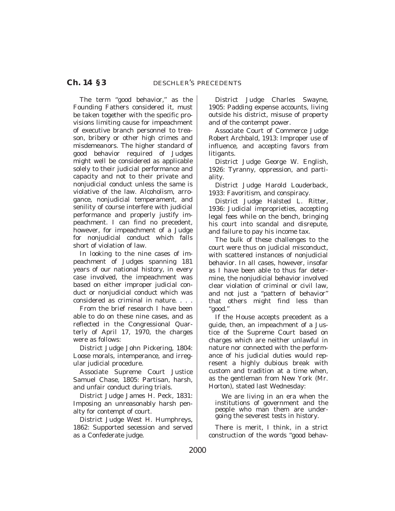The term "good behavior," as the Founding Fathers considered it, must be taken together with the specific provisions limiting cause for impeachment of executive branch personnel to treason, bribery or other high crimes and misdemeanors. The higher standard of good behavior required of Judges might well be considered as applicable solely to their judicial performance and capacity and not to their private and nonjudicial conduct unless the same is violative of the law. Alcoholism, arrogance, nonjudicial temperament, and senility of course interfere with judicial performance and properly justify impeachment. I can find no precedent, however, for impeachment of a Judge for nonjudicial conduct which falls short of violation of law.

In looking to the nine cases of impeachment of Judges spanning 181 years of our national history, in every case involved, the impeachment was based on either improper judicial conduct or nonjudicial conduct which was considered as criminal in nature. . . .

From the brief research I have been able to do on these nine cases, and as reflected in the Congressional Quarterly of April 17, 1970, the charges were as follows:

District Judge John Pickering, 1804: Loose morals, intemperance, and irregular judicial procedure.

Associate Supreme Court Justice Samuel Chase, 1805: Partisan, harsh, and unfair conduct during trials.

District Judge James H. Peck, 1831: Imposing an unreasonably harsh penalty for contempt of court.

District Judge West H. Humphreys, 1862: Supported secession and served as a Confederate judge.

District Judge Charles Swayne, 1905: Padding expense accounts, living outside his district, misuse of property and of the contempt power.

Associate Court of Commerce Judge Robert Archbald, 1913: Improper use of influence, and accepting favors from litigants.

District Judge George W. English, 1926: Tyranny, oppression, and partiality.

District Judge Harold Louderback, 1933: Favoritism, and conspiracy.

District Judge Halsted L. Ritter, 1936: Judicial improprieties, accepting legal fees while on the bench, bringing his court into scandal and disrepute, and failure to pay his income tax.

The bulk of these challenges to the court were thus on judicial misconduct, with scattered instances of nonjudicial behavior. In all cases, however, insofar as I have been able to thus far determine, the nonjudicial behavior involved clear violation of criminal or civil law, and not just a ''pattern of behavior'' that others might find less than ''good.''

If the House accepts precedent as a guide, then, an impeachment of a Justice of the Supreme Court based on charges which are neither unlawful in nature nor connected with the performance of his judicial duties would represent a highly dubious break with custom and tradition at a time when, as the gentleman from New York (Mr. Horton), stated last Wednesday:

We are living in an era when the institutions of government and the people who man them are undergoing the severest tests in history.

There is merit, I think, in a strict construction of the words ''good behav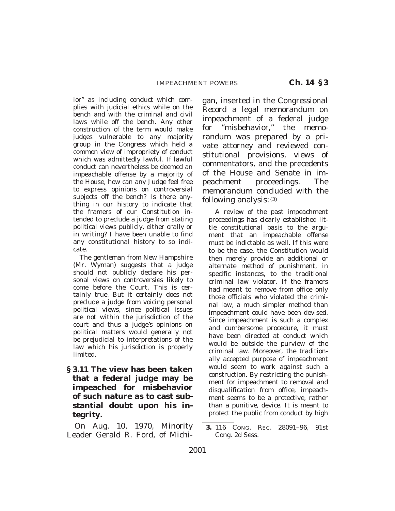ior'' as including conduct which complies with judicial ethics while on the bench and with the criminal and civil laws while off the bench. Any other construction of the term would make judges vulnerable to any majority group in the Congress which held a common view of impropriety of conduct which was admittedly lawful. If lawful conduct can nevertheless be deemed an impeachable offense by a majority of the House, how can any Judge feel free to express opinions on controversial subjects off the bench? Is there anything in our history to indicate that the framers of our Constitution intended to preclude a judge from stating political views publicly, either orally or in writing? I have been unable to find any constitutional history to so indicate.

The gentleman from New Hampshire (Mr. Wyman) suggests that a judge should not publicly declare his personal views on controversies likely to come before the Court. This is certainly true. But it certainly does not preclude a judge from voicing personal political views, since political issues are not within the jurisdiction of the court and thus a judge's opinions on political matters would generally not be prejudicial to interpretations of the law which his jurisdiction is properly limited.

**§ 3.11 The view has been taken that a federal judge may be impeached for misbehavior of such nature as to cast substantial doubt upon his integrity.**

On Aug. 10, 1970, Minority Leader Gerald R. Ford, of Michi-

gan, inserted in the *Congressional Record* a legal memorandum on impeachment of a federal judge for ''misbehavior,'' the memorandum was prepared by a private attorney and reviewed constitutional provisions, views of commentators, and the precedents of the House and Senate in impeachment proceedings. The memorandum concluded with the following analysis: (3)

A review of the past impeachment proceedings has clearly established little constitutional basis to the argument that an impeachable offense must be indictable as well. If this were to be the case, the Constitution would then merely provide an additional or alternate method of punishment, in specific instances, to the traditional criminal law violator. If the framers had meant to remove from office only those officials who violated the criminal law, a much simpler method than impeachment could have been devised. Since impeachment is such a complex and cumbersome procedure, it must have been directed at conduct which would be outside the purview of the criminal law. Moreover, the traditionally accepted purpose of impeachment would seem to work against such a construction. By restricting the punishment for impeachment to removal and disqualification from office, impeachment seems to be a protective, rather than a punitive, device. It is meant to protect the public from conduct by high

**<sup>3.</sup>** 116 CONG. REC. 28091–96, 91st Cong. 2d Sess.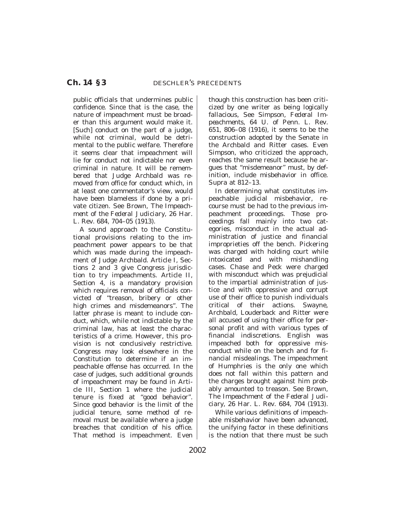public officials that undermines public confidence. Since that is the case, the nature of impeachment must be broader than this argument would make it. [Such] conduct on the part of a judge, while not criminal, would be detrimental to the public welfare. Therefore it seems clear that impeachment will lie for conduct not indictable nor even criminal in nature. It will be remembered that Judge Archbald was removed from office for conduct which, in at least one commentator's view, would have been blameless if done by a private citizen. See Brown, *The Impeachment of the Federal Judiciary,* 26 Har. L. Rev. 684, 704–05 (1913).

A sound approach to the Constitutional provisions relating to the impeachment power appears to be that which was made during the impeachment of Judge Archbald. Article I, Sections 2 and 3 give Congress jurisdiction to try impeachments. Article II, Section 4, is a mandatory provision which requires removal of officials convicted of ''treason, bribery or other high crimes and misdemeanors''. The latter phrase is meant to include conduct, which, while not indictable by the criminal law, has at least the characteristics of a crime. However, this provision is not conclusively restrictive. Congress may look elsewhere in the Constitution to determine if an impeachable offense has occurred. In the case of judges, such additional grounds of impeachment may be found in Article III, Section 1 where the judicial tenure is fixed at ''good behavior''. Since good behavior is the limit of the judicial tenure, some method of removal must be available where a judge breaches that condition of his office. That method is impeachment. Even though this construction has been criticized by one writer as being logically fallacious, See Simpson, *Federal Impeachments,* 64 U. of Penn. L. Rev. 651, 806–08 (1916), it seems to be the construction adopted by the Senate in the Archbald and Ritter cases. Even Simpson, who criticized the approach, reaches the same result because he argues that ''misdemeanor'' must, by definition, include misbehavior in office. *Supra* at 812–13.

In determining what constitutes impeachable judicial misbehavior, recourse must be had to the previous impeachment proceedings. Those proceedings fall mainly into two categories, misconduct in the actual administration of justice and financial improprieties off the bench. Pickering was charged with holding court while intoxicated and with mishandling cases. Chase and Peck were charged with misconduct which was prejudicial to the impartial administration of justice and with oppressive and corrupt use of their office to punish individuals critical of their actions. Swayne, Archbald, Louderback and Ritter were all accused of using their office for personal profit and with various types of financial indiscretions. English was impeached both for oppressive misconduct while on the bench and for financial misdealings. The impeachment of Humphries is the only one which does not fall within this pattern and the charges brought against him probably amounted to treason. See Brown, *The Impeachment of the Federal Judiciary,* 26 Har. L. Rev. 684, 704 (1913).

While various definitions of impeachable misbehavior have been advanced, the unifying factor in these definitions is the notion that there must be such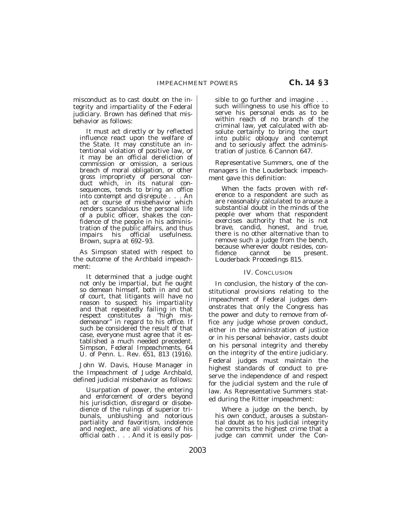misconduct as to cast doubt on the integrity and impartiality of the Federal judiciary. Brown has defined that misbehavior as follows:

It must act directly or by reflected influence react upon the welfare of the State. It may constitute an intentional violation of positive law, or it may be an official dereliction of commission or omission, a serious breach of moral obligation, or other gross impropriety of personal conduct which, in its natural consequences, tends to bring an office into contempt and disrepute . . . An act or course of misbehavior which renders scandalous the personal life of a public officer, shakes the confidence of the people in his administration of the public affairs, and thus<br>impairs <br>his official usefulness. impairs his Brown, *supra* at 692–93.

As Simpson stated with respect to the outcome of the Archbald impeachment:

It determined that a judge ought not only be impartial, but he ought so demean himself, both in and out of court, that litigants will have no reason to suspect his impartiality and that repeatedly failing in that respect constitutes a ''high misdemeanor'' in regard to his office. If such be considered the result of that case, everyone must agree that it established a much needed precedent. Simpson, *Federal Impeachments,* 64 U. of Penn. L. Rev. 651, 813 (1916).

John W. Davis, House Manager in the Impeachment of Judge Archbald, defined judicial misbehavior as follows:

Usurpation of power, the entering and enforcement of orders beyond his jurisdiction, disregard or disobedience of the rulings of superior tribunals, unblushing and notorious partiality and favoritism, indolence and neglect, are all violations of his official oath . . . And it is easily possible to go further and imagine . . . such willingness to use his office to serve his personal ends as to be within reach of no branch of the criminal law, yet calculated with absolute certainty to bring the court into public obloquy and contempt and to seriously affect the administration of justice. 6 Cannon 647.

Representative Summers, one of the managers in the Louderback impeachment gave this definition:

When the facts proven with reference to a respondent are such as are reasonably calculated to arouse a substantial doubt in the minds of the people over whom that respondent exercises authority that he is not brave, candid, honest, and true, there is no other alternative than to remove such a judge from the bench, because wherever doubt resides, confidence cannot be present. Louderback Proceedings 815.

### IV. CONCLUSION

In conclusion, the history of the constitutional provisions relating to the impeachment of Federal judges demonstrates that only the Congress has the power and duty to remove from office any judge whose proven conduct, either in the administration of justice or in his personal behavior, casts doubt on his personal integrity and thereby on the integrity of the entire judiciary. Federal judges must maintain the highest standards of conduct to preserve the independence of and respect for the judicial system and the rule of law. As Representative Summers stated during the Ritter impeachment:

Where a judge on the bench, by his own conduct, arouses a substantial doubt as to his judicial integrity he commits the highest crime that a judge can commit under the Con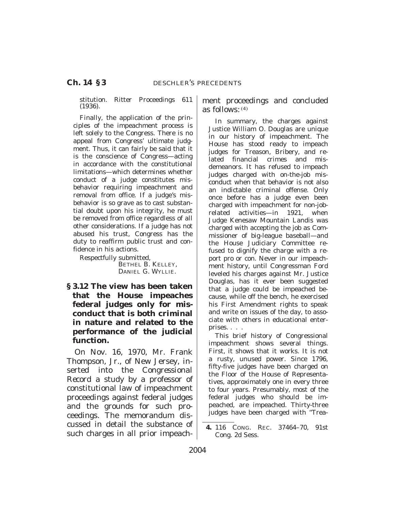stitution. Ritter Proceedings 611 (1936).

Finally, the application of the principles of the impeachment process is left solely to the Congress. There is no appeal from Congress' ultimate judgment. Thus, it can fairly be said that it is the conscience of Congress—acting in accordance with the constitutional limitations—which determines whether conduct of a judge constitutes misbehavior requiring impeachment and removal from office. If a judge's misbehavior is so grave as to cast substantial doubt upon his integrity, he must be removed from office regardless of all other considerations. If a judge has not abused his trust, Congress has the duty to reaffirm public trust and confidence in his actions.

Respectfully submitted, BETHEL B. KELLEY, DANIEL G. WYLLIE.

**§ 3.12 The view has been taken that the House impeaches federal judges only for misconduct that is both criminal in nature and related to the performance of the judicial function.**

On Nov. 16, 1970, Mr. Frank Thompson, Jr., of New Jersey, inserted into the *Congressional Record* a study by a professor of constitutional law of impeachment proceedings against federal judges and the grounds for such proceedings. The memorandum discussed in detail the substance of such charges in all prior impeachment proceedings and concluded as follows: (4)

In summary, the charges against Justice William O. Douglas are unique in our history of impeachment. The House has stood ready to impeach judges for Treason, Bribery, and related financial crimes and misdemeanors. It has refused to impeach judges charged with on-the-job misconduct when that behavior is not also an indictable criminal offense. Only once before has a judge even been charged with impeachment for non-jobrelated activities—in 1921, when Judge Kenesaw Mountain Landis was charged with accepting the job as Commissioner of big-league baseball—and the House Judiciary Committee refused to dignify the charge with a report pro or con. Never in our impeachment history, until Congressman Ford leveled his charges against Mr. Justice Douglas, has it ever been suggested that a judge could be impeached because, while off the bench, he exercised his First Amendment rights to speak and write on issues of the day, to associate with others in educational enterprises. . . .

This brief history of Congressional impeachment shows several things. First, it shows that it works. It is not a rusty, unused power. Since 1796, fifty-five judges have been charged on the Floor of the House of Representatives, approximately one in every three to four years. Presumably, most of the federal judges who should be impeached, are impeached. Thirty-three judges have been charged with "Trea-

**<sup>4.</sup>** 116 CONG. REC. 37464–70, 91st Cong. 2d Sess.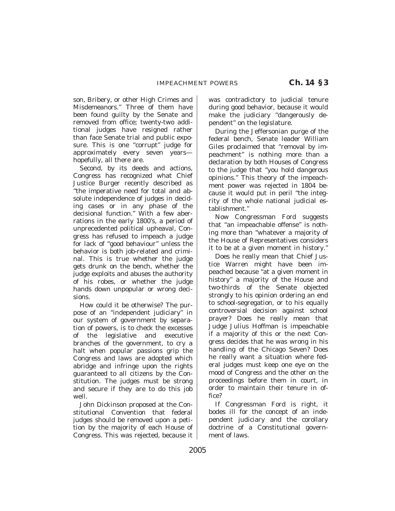son, Bribery, or other High Crimes and Misdemeanors.'' Three of them have been found guilty by the Senate and removed from office; twenty-two additional judges have resigned rather than face Senate trial and public exposure. This is one "corrupt" judge for approximately every seven years hopefully, all there are.

Second, by its deeds and actions, Congress has recognized what Chief Justice Burger recently described as ''the imperative need for total and absolute independence of judges in deciding cases or in any phase of the decisional function.'' With a few aberrations in the early 1800's, a period of unprecedented political upheaval, Congress has refused to impeach a judge for lack of ''good behaviour'' unless the behavior is both job-related and criminal. This is true whether the judge gets drunk on the bench, whether the judge exploits and abuses the authority of his robes, or whether the judge hands down unpopular or wrong decisions.

How could it be otherwise? The purpose of an ''independent judiciary'' in our system of government by separation of powers, is to check the excesses of the legislative and executive branches of the government, to cry a halt when popular passions grip the Congress and laws are adopted which abridge and infringe upon the rights guaranteed to all citizens by the Constitution. The judges must be strong and secure if they are to do this job well.

John Dickinson proposed at the Constitutional Convention that federal judges should be removed upon a petition by the majority of each House of Congress. This was rejected, because it was contradictory to judicial tenure during good behavior, because it would make the judiciary ''dangerously dependent'' on the legislature.

During the Jeffersonian purge of the federal bench, Senate leader William Giles proclaimed that ''removal by impeachment'' is nothing more than a declaration by both Houses of Congress to the judge that ''you hold dangerous opinions.'' This theory of the impeachment power was rejected in 1804 because it would put in peril ''the integrity of the whole national judicial establishment.''

Now Congressman Ford suggests that ''an impeachable offense'' is nothing more than ''whatever a majority of the House of Representatives considers it to be at a given moment in history.''

Does he really mean that Chief Justice Warren might have been impeached because ''at a given moment in history'' a majority of the House and two-thirds of the Senate objected strongly to his opinion ordering an end to school-segregation, or to his equally controversial decision against school prayer? Does he really mean that Judge Julius Hoffman is impeachable if a majority of this or the next Congress decides that he was wrong in his handling of the Chicago Seven? Does he really want a situation where federal judges must keep one eye on the mood of Congress and the other on the proceedings before them in court, in order to maintain their tenure in office?

If Congressman Ford is right, it bodes ill for the concept of an independent judiciary and the corollary doctrine of a Constitutional government of laws.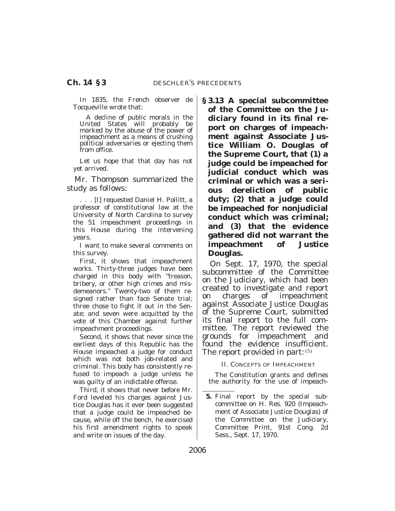In 1835, the French observer de Tocqueville wrote that:

A decline of public morals in the United States will probably be marked by the abuse of the power of impeachment as a means of crushing political adversaries or ejecting them from office.

Let us hope that that day has not yet arrived.

Mr. Thompson summarized the study as follows:

. . . [I] requested Daniel H. Pollitt, a professor of constitutional law at the University of North Carolina to survey the 51 impeachment proceedings in this House during the intervening years.

I want to make several comments on this survey.

First, it shows that impeachment works. Thirty-three judges have been charged in this body with ''treason, bribery, or other high crimes and misdemeanors.'' Twenty-two of them resigned rather than face Senate trial; three chose to fight it out in the Senate; and seven were acquitted by the vote of this Chamber against further impeachment proceedings.

Second, it shows that never since the earliest days of this Republic has the House impeached a judge for conduct which was not both job-related and criminal. This body has consistently refused to impeach a judge unless he was guilty of an indictable offense.

Third, it shows that never before Mr. Ford leveled his charges against Justice Douglas has it ever been suggested that a judge could be impeached because, while off the bench, he exercised his first amendment rights to speak and write on issues of the day.

**§ 3.13 A special subcommittee of the Committee on the Judiciary found in its final report on charges of impeachment against Associate Justice William O. Douglas of the Supreme Court, that (1) a judge could be impeached for judicial conduct which was criminal or which was a serious dereliction of public duty; (2) that a judge could be impeached for nonjudicial conduct which was criminal; and (3) that the evidence gathered did not warrant the impeachment of Justice Douglas.**

On Sept. 17, 1970, the special subcommittee of the Committee on the Judiciary, which had been created to investigate and report on charges of impeachment against Associate Justice Douglas of the Supreme Court, submitted its final report to the full committee. The report reviewed the grounds for impeachment and found the evidence insufficient. The report provided in part: (5)

II. CONCEPTS OF IMPEACHMENT

The Constitution grants and defines the authority for the use of impeach-

**<sup>5.</sup>** Final report by the special subcommittee on H. Res. 920 (Impeachment of Associate Justice Douglas) of the Committee on the Judiciary, Committee Print, 91st Cong. 2d Sess., Sept. 17, 1970.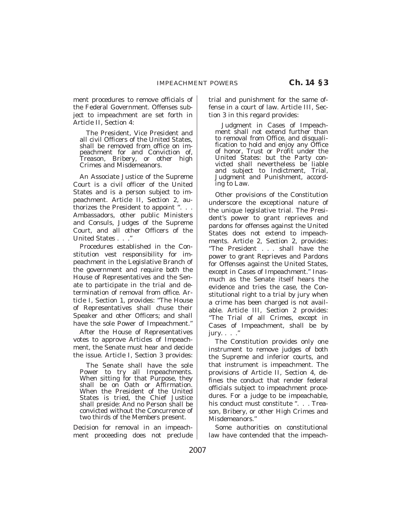ment procedures to remove officials of the Federal Government. Offenses subject to impeachment are set forth in Article II, Section 4:

The President, Vice President and all civil Officers of the United States, shall be removed from office on impeachment for and Conviction of, Treason, Bribery, or other high Crimes and Misdemeanors.

An Associate Justice of the Supreme Court is a civil officer of the United States and is a person subject to impeachment. Article II, Section 2, authorizes the President to appoint ''. . . Ambassadors, other public Ministers and Consuls, Judges of the Supreme Court, and all other Officers of the United States . . .''

Procedures established in the Constitution vest responsibility for impeachment in the Legislative Branch of the government and require both the House of Representatives and the Senate to participate in the trial and determination of removal from office. Article I, Section 1, provides: ''The House of Representatives shall chuse their Speaker and other Officers; and shall have the sole Power of Impeachment.''

After the House of Representatives votes to approve Articles of Impeachment, the Senate must hear and decide the issue. Article I, Section 3 provides:

The Senate shall have the sole Power to try all Impeachments. When sitting for that Purpose, they shall be on Oath or Affirmation. When the President of the United States is tried, the Chief Justice shall preside: And no Person shall be convicted without the Concurrence of two thirds of the Members present.

Decision for removal in an impeachment proceeding does not preclude

trial and punishment for the same offense in a court of law. Article III, Section 3 in this regard provides:

Judgment in Cases of Impeachment shall not extend further than to removal from Office, and disqualification to hold and enjoy any Office of honor, Trust or Profit under the United States: but the Party convicted shall nevertheless be liable and subject to Indictment, Trial, Judgment and Punishment, according to Law.

Other provisions of the Constitution underscore the exceptional nature of the unique legislative trial. The President's power to grant reprieves and pardons for offenses against the United States does not extend to impeachments. Article 2, Section 2, provides: ''The President . . . shall have the power to grant Reprieves and Pardons for Offenses against the United States, except in Cases of Impeachment.'' Inasmuch as the Senate itself hears the evidence and tries the case, the Constitutional right to a trial by jury when a crime has been charged is not available. Article III, Section 2 provides: ''The Trial of all Crimes, except in Cases of Impeachment, shall be by jury. . . .''

The Constitution provides only one instrument to remove judges of both the Supreme and inferior courts, and that instrument is impeachment. The provisions of Article II, Section 4, defines the conduct that render federal officials subject to impeachment procedures. For a judge to be impeachable, his conduct must constitute ". . . Treason, Bribery, or other High Crimes and Misdemeanors.''

Some authorities on constitutional law have contended that the impeach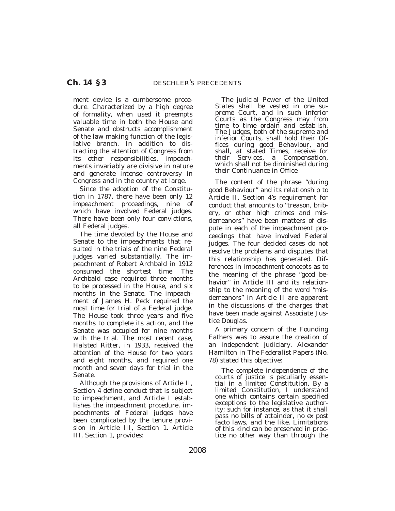ment device is a cumbersome procedure. Characterized by a high degree of formality, when used it preempts valuable time in both the House and Senate and obstructs accomplishment of the law making function of the legislative branch. In addition to distracting the attention of Congress from its other responsibilities, impeachments invariably are divisive in nature and generate intense controversy in Congress and in the country at large.

Since the adoption of the Constitution in 1787, there have been only 12 impeachment proceedings, nine of which have involved Federal judges. There have been only four convictions, all Federal judges.

The time devoted by the House and Senate to the impeachments that resulted in the trials of the nine Federal judges varied substantially. The impeachment of Robert Archbald in 1912 consumed the shortest time. The Archbald case required three months to be processed in the House, and six months in the Senate. The impeachment of James H. Peck required the most time for trial of a Federal judge. The House took three years and five months to complete its action, and the Senate was occupied for nine months with the trial. The most recent case, Halsted Ritter, in 1933, received the attention of the House for two years and eight months, and required one month and seven days for trial in the Senate.

Although the provisions of Article II, Section 4 define conduct that is subject to impeachment, and Article I establishes the impeachment procedure, impeachments of Federal judges have been complicated by the tenure provision in Article III, Section 1. Article III, Section 1, provides:

The judicial Power of the United States shall be vested in one supreme Court, and in such inferior Courts as the Congress may from time to time ordain and establish. The Judges, both of the supreme and inferior Courts, shall hold their Offices during good Behaviour, and shall, at stated Times, receive for their Services, a Compensation, which shall not be diminished during their Continuance in Office

The content of the phrase "during" good Behaviour'' and its relationship to Article II, Section 4's requirement for conduct that amounts to ''treason, bribery, or other high crimes and misdemeanors'' have been matters of dispute in each of the impeachment proceedings that have involved Federal judges. The four decided cases do not resolve the problems and disputes that this relationship has generated. Differences in impeachment concepts as to the meaning of the phrase "good behavior'' in Article III and its relationship to the meaning of the word ''misdemeanors'' in Article II are apparent in the discussions of the charges that have been made against Associate Justice Douglas.

A primary concern of the Founding Fathers was to assure the creation of an independent judiciary. Alexander Hamilton in *The Federalist Papers* (No. 78) stated this objective:

The complete independence of the courts of justice is peculiarly essential in a limited Constitution. By a limited Constitution, I understand one which contains certain specified exceptions to the legislative authority; such for instance, as that it shall pass no bills of attainder, no *ex post facto* laws, and the like. Limitations of this kind can be preserved in practice no other way than through the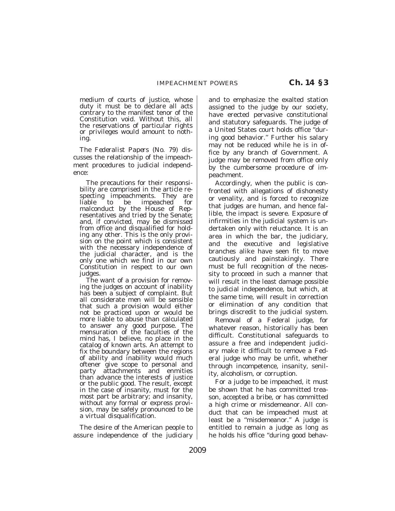medium of courts of justice, whose duty it must be to declare all acts contrary to the manifest tenor of the Constitution void. Without this, all the reservations of particular rights or privileges would amount to nothing.

*The Federalist Papers* (No. 79) discusses the relationship of the impeachment procedures to judicial independence:

The precautions for their responsibility are comprised in the article respecting impeachments. They are<br>liable to be impeached for liable to be impeached for malconduct by the House of Representatives and tried by the Senate; and, if convicted, may be dismissed from office and disqualified for holding any other. This is the only provision on the point which is consistent with the necessary independence of the judicial character, and is the only one which we find in our own Constitution in respect to our own judges.

The want of a provision for removing the judges on account of inability has been a subject of complaint. But all considerate men will be sensible that such a provision would either not be practiced upon or would be more liable to abuse than calculated to answer any good purpose. The mensuration of the faculties of the mind has, I believe, no place in the catalog of known arts. An attempt to fix the boundary between the regions of ability and inability would much oftener give scope to personal and party attachments and enmities than advance the interests of justice or the public good. The result, except in the case of insanity, must for the most part be arbitrary; and insanity, without any formal or express provision, may be safely pronounced to be a virtual disqualification.

The desire of the American people to assure independence of the judiciary

and to emphasize the exalted station assigned to the judge by our society, have erected pervasive constitutional and statutory safeguards. The judge of a United States court holds office ''during good behavior.'' Further his salary may not be reduced while he is in office by any branch of Government. A judge may be removed from office only by the cumbersome procedure of impeachment.

Accordingly, when the public is confronted with allegations of dishonesty or venality, and is forced to recognize that judges are human, and hence fallible, the impact is severe. Exposure of infirmities in the judicial system is undertaken only with reluctance. It is an area in which the bar, the judiciary, and the executive and legislative branches alike have seen fit to move cautiously and painstakingly. There must be full recognition of the necessity to proceed in such a manner that will result in the least damage possible to judicial independence, but which, at the same time, will result in correction or elimination of any condition that brings discredit to the judicial system.

Removal of a Federal judge, for whatever reason, historically has been difficult. Constitutional safeguards to assure a free and independent judiciary make it difficult to remove a Federal judge who may be unfit, whether through incompetence, insanity, senility, alcoholism, or corruption.

For a judge to be impeached, it must be shown that he has committed treason, accepted a bribe, or has committed a high crime or misdemeanor. All conduct that can be impeached must at least be a "misdemeanor." A judge is entitled to remain a judge as long as he holds his office ''during good behav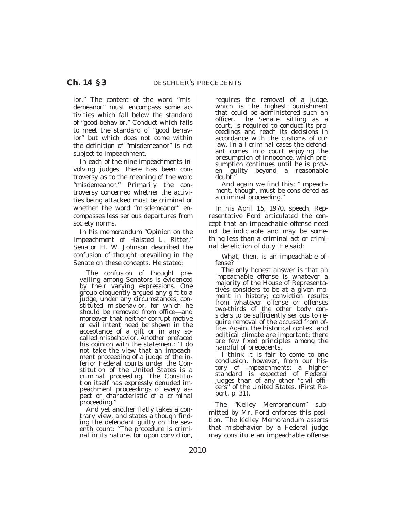ior.'' The content of the word ''misdemeanor'' must encompass some activities which fall below the standard of ''good behavior.'' Conduct which fails to meet the standard of ''good behavior'' but which does not come within the definition of ''misdemeanor'' is not subject to impeachment.

In each of the nine impeachments involving judges, there has been controversy as to the meaning of the word "misdemeanor." Primarily the controversy concerned whether the activities being attacked must be criminal or whether the word "misdemeanor" encompasses less serious departures from society norms.

In his memorandum ''Opinion on the Impeachment of Halsted L. Ritter,'' Senator H. W. Johnson described the confusion of thought prevailing in the Senate on these concepts. He stated:

The confusion of thought prevailing among Senators is evidenced by their varying expressions. One group eloquently argued any gift to a judge, under any circumstances, constituted misbehavior, for which he should be removed from office—and moreover that neither corrupt motive or evil intent need be shown in the acceptance of a gift or in any socalled misbehavior. Another prefaced his opinion with the statement: ''I do not take the view that an impeachment proceeding of a judge of the inferior Federal courts under the Constitution of the United States is a criminal proceeding. The Constitution itself has expressly denuded impeachment proceedings of every aspect or characteristic of a criminal proceeding.''

And yet another flatly takes a contrary view, and states although finding the defendant guilty on the seventh count: ''The procedure is criminal in its nature, for upon conviction,

requires the removal of a judge, which is the highest punishment that could be administered such an officer. The Senate, sitting as a court, is required to conduct its proceedings and reach its decisions in accordance with the customs of our law. In all criminal cases the defendant comes into court enjoying the presumption of innocence, which presumption continues until he is proven guilty beyond a reasonable doubt.'

And again we find this: ''Impeachment, though, must be considered as a criminal proceeding.''

In his April 15, 1970, speech, Representative Ford articulated the concept that an impeachable offense need not be indictable and may be something less than a criminal act or criminal dereliction of duty. He said:

What, then, is an impeachable offense?

The only honest answer is that an impeachable offense is whatever a majority of the House of Representatives considers to be at a given moment in history; conviction results from whatever offense or offenses two-thirds of the other body considers to be sufficiently serious to require removal of the accused from office. Again, the historical context and political climate are important; there are few fixed principles among the handful of precedents.

I think it is fair to come to one conclusion, however, from our history of impeachments: a higher standard is expected of Federal judges than of any other "civil officers'' of the United States. (First Report, p. 31).

The "Kelley Memorandum" submitted by Mr. Ford enforces this position. The Kelley Memorandum asserts that misbehavior by a Federal judge may constitute an impeachable offense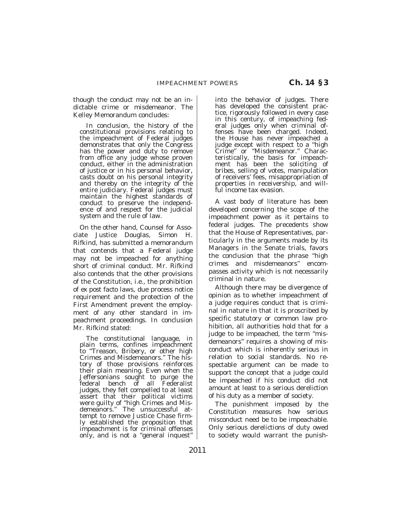though the conduct may not be an indictable crime or misdemeanor. The Kelley Memorandum concludes:

In conclusion, the history of the constitutional provisions relating to the impeachment of Federal judges demonstrates that only the Congress has the power and duty to remove from office any judge whose proven conduct, either in the administration of justice or in his personal behavior, casts doubt on his personal integrity and thereby on the integrity of the entire judiciary. Federal judges must maintain the highest standards of conduct to preserve the independence of and respect for the judicial system and the rule of law.

On the other hand, Counsel for Associate Justice Douglas, Simon H. Rifkind, has submitted a memorandum that contends that a Federal judge may not be impeached for anything short of criminal conduct. Mr. Rifkind also contends that the other provisions of the Constitution, i.e., the prohibition of *ex post facto* laws, due process notice requirement and the protection of the First Amendment prevent the employment of any other standard in impeachment proceedings. In conclusion Mr. Rifkind stated:

The constitutional language, in plain terms, confines impeachment to "Treason, Bribery, or other high Crimes and Misdemeanors.'' The history of those provisions reinforces their plain meaning. Even when the Jeffersonians sought to purge the federal bench of all Federalist judges, they felt compelled to at least assert that their political victims were guilty of ''high Crimes and Misdemeanors.'' The unsuccessful attempt to remove Justice Chase firmly established the proposition that impeachment is for *criminal* offenses only, and is not a ''general inquest''

into the behavior of judges. There has developed the consistent practice, rigorously followed in every case in this century, of impeaching federal judges only when criminal offenses have been charged. Indeed, the House has never impeached a judge except with respect to a "high" Crime'' or ''Misdemeanor.'' Characteristically, the basis for impeachment has been the soliciting of bribes, selling of votes, manipulation of receivers' fees, misappropriation of properties in receivership, and willful income tax evasion.

A vast body of literature has been developed concerning the scope of the impeachment power as it pertains to federal judges. The precedents show that the House of Representatives, particularly in the arguments made by its Managers in the Senate trials, favors the conclusion that the phrase ''high crimes and misdemeanors'' encompasses activity which is not necessarily criminal in nature.

Although there may be divergence of opinion as to whether impeachment of a judge requires conduct that is criminal in nature in that it is proscribed by specific statutory or common law prohibition, all authorities hold that for a judge to be impeached, the term "misdemeanors'' requires a showing of misconduct which is inherently serious in relation to social standards. No respectable argument can be made to support the concept that a judge could be impeached if his conduct did not amount at least to a serious dereliction of his duty as a member of society.

The punishment imposed by the Constitution measures how serious misconduct need be to be impeachable. Only serious derelictions of duty owed to society would warrant the punish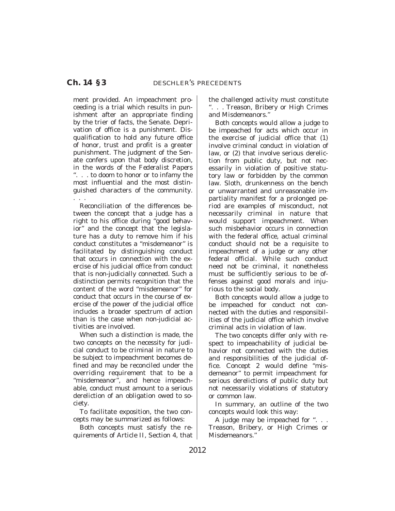ment provided. An impeachment proceeding is a trial which results in punishment after an appropriate finding by the trier of facts, the Senate. Deprivation of office is a punishment. Disqualification to hold any future office of honor, trust and profit is a greater punishment. The judgment of the Senate confers upon that body discretion, in the words of the *Federalist Papers* ''. . . to doom to honor or to infamy the most influential and the most distinguished characters of the community. ...

Reconciliation of the differences between the concept that a judge has a right to his office during ''good behavior'' and the concept that the legislature has a duty to remove him if his conduct constitutes a ''misdemeanor'' is facilitated by distinguishing conduct that occurs in connection with the exercise of his judicial office from conduct that is non-judicially connected. Such a distinction permits recognition that the content of the word "misdemeanor" for conduct that occurs in the course of exercise of the power of the judicial office includes a broader spectrum of action than is the case when non-judicial activities are involved.

When such a distinction is made, the two concepts on the necessity for judicial conduct to be criminal in nature to be subject to impeachment becomes defined and may be reconciled under the overriding requirement that to be a ''misdemeanor'', and hence impeachable, conduct must amount to a serious dereliction of an obligation owed to society.

To facilitate exposition, the two concepts may be summarized as follows:

Both concepts must satisfy the requirements of Article II, Section 4, that the challenged activity must constitute ''. . . Treason, Bribery or High Crimes and Misdemeanors.''

Both concepts would allow a judge to be impeached for acts which occur in the exercise of judicial office that (1) involve criminal conduct in violation of law, or (2) that involve serious dereliction from public duty, but not necessarily in violation of positive statutory law or forbidden by the common law. Sloth, drunkenness on the bench or unwarranted and unreasonable impartiality manifest for a prolonged period are examples of misconduct, not necessarily criminal in nature that would support impeachment. When such misbehavior occurs in connection with the federal office, actual criminal conduct should not be a requisite to impeachment of a judge or any other federal official. While such conduct need not be criminal, it nonetheless must be sufficiently serious to be offenses against good morals and injurious to the social body.

Both concepts would allow a judge to be impeached for conduct not connected with the duties and responsibilities of the judicial office which involve criminal acts in violation of law.

The two concepts differ only with respect to impeachability of judicial behavior not connected with the duties and responsibilities of the judicial office. Concept 2 would define "misdemeanor'' to permit impeachment for serious derelictions of public duty but not necessarily violations of statutory or common law.

In summary, an outline of the two concepts would look this way:

A judge may be impeached for "... Treason, Bribery, or High Crimes or Misdemeanors.''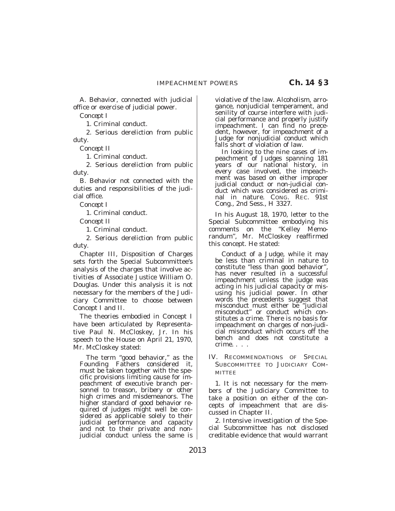A. Behavior, connected with judicial office or exercise of judicial power.

*Concept I*

1. Criminal conduct.

2. Serious dereliction from public duty.

*Concept II*

1. Criminal conduct.

2. Serious dereliction from public duty.

B. Behavior not connected with the duties and responsibilities of the judicial office.

*Concept I*

1. Criminal conduct.

*Concept II*

1. Criminal conduct.

2. Serious dereliction from public duty.

Chapter III, Disposition of Charges sets forth the Special Subcommittee's analysis of the charges that involve activities of Associate Justice William O. Douglas. Under this analysis it is not necessary for the members of the Judiciary Committee to choose between Concept I and II.

The theories embodied in Concept I have been articulated by Representative Paul N. McCloskey, Jr. In his speech to the House on April 21, 1970, Mr. McCloskey stated:

The term "good behavior," as the Founding Fathers considered it, must be taken together with the specific provisions limiting cause for impeachment of executive branch personnel to treason, bribery or other high crimes and misdemeanors. The higher standard of good behavior required of judges might well be considered as applicable solely to their judicial performance and capacity and not to their private and nonjudicial conduct unless the same is violative of the law. Alcoholism, arrogance, nonjudicial temperament, and senility of course interfere with judicial performance and properly justify impeachment. I can find no precedent, however, for impeachment of a Judge for nonjudicial conduct which falls short of violation of law.

In looking to the nine cases of impeachment of Judges spanning 181 years of our national history, in every case involved, the impeachment was based on either improper judicial conduct or non-judicial conduct which was considered as criminal in nature. CONG. REC. 91st Cong., 2nd Sess., H 3327.

In his August 18, 1970, letter to the Special Subcommittee embodying his comments on the "Kelley Memorandum'', Mr. McCloskey reaffirmed this concept. He stated:

Conduct of a Judge, while it may be less than criminal in nature to constitute ''less than good behavior'', has never resulted in a successful impeachment unless the judge was acting in his *judicial* capacity or misusing his *judicial* power. In other words the precedents suggest that misconduct must either be ''*judicial* misconduct'' or conduct which constitutes a crime. There is no basis for impeachment on charges of *non*-judicial misconduct which occurs off the bench and does *not* constitute a crime. . . .

IV. RECOMMENDATIONS OF SPECIAL SUBCOMMITTEE TO JUDICIARY COM-MITTEE

1. It is not necessary for the members of the Judiciary Committee to take a position on either of the concepts of impeachment that are discussed in Chapter II.

2. Intensive investigation of the Special Subcommittee has not disclosed creditable evidence that would warrant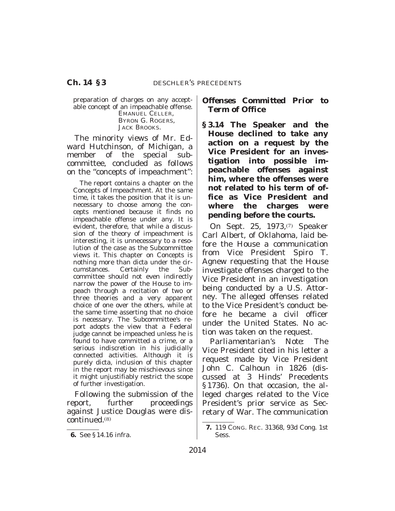preparation of charges on any acceptable concept of an impeachable offense. EMANUEL CELLER, BYRON G. ROGERS, JACK BROOKS.

The minority views of Mr. Edward Hutchinson, of Michigan, a member of the special subcommittee, concluded as follows on the ''concepts of impeachment'':

The report contains a chapter on the Concepts of Impeachment. At the same time, it takes the position that it is unnecessary to choose among the concepts mentioned because it finds no impeachable offense under any. It is evident, therefore, that while a discussion of the theory of impeachment is interesting, it is unnecessary to a resolution of the case as the Subcommittee views it. This chapter on Concepts is nothing more than dicta under the circumstances. Certainly the Subcommittee should not even indirectly narrow the power of the House to impeach through a recitation of two or three theories and a very apparent choice of one over the others, while at the same time asserting that no choice is necessary. The Subcommittee's report adopts the view that a Federal judge cannot be impeached unless he is found to have committed a crime, or a serious indiscretion in his judicially connected activities. Although it is purely dicta, inclusion of this chapter in the report may be mischievous since it might unjustifiably restrict the scope of further investigation.

Following the submission of the report, further proceedings against Justice Douglas were discontinued.(8)

## *Offenses Committed Prior to Term of Office*

**§ 3.14 The Speaker and the House declined to take any action on a request by the Vice President for an investigation into possible impeachable offenses against him, where the offenses were not related to his term of office as Vice President and where the charges were pending before the courts.**

On Sept. 25, 1973,(7) Speaker Carl Albert, of Oklahoma, laid before the House a communication from Vice President Spiro T. Agnew requesting that the House investigate offenses charged to the Vice President in an investigation being conducted by a U.S. Attorney. The alleged offenses related to the Vice President's conduct before he became a civil officer under the United States. No action was taken on the request.

*Parliamentarian's Note:* The Vice President cited in his letter a request made by Vice President John C. Calhoun in 1826 (discussed at 3 Hinds' Precedents § 1736). On that occasion, the alleged charges related to the Vice President's prior service as Secretary of War. The communication

**<sup>6.</sup>** See § 14.16 infra.

**<sup>7.</sup>** 119 CONG. REC. 31368, 93d Cong. 1st Sess.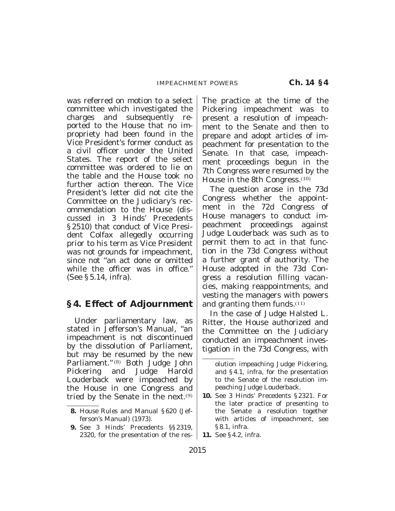was referred on motion to a select committee which investigated the charges and subsequently reported to the House that no impropriety had been found in the Vice President's former conduct as a civil officer under the United States. The report of the select committee was ordered to lie on the table and the House took no further action thereon. The Vice President's letter did not cite the Committee on the Judiciary's recommendation to the House (discussed in 3 Hinds' Precedents § 2510) that conduct of Vice President Colfax allegedly occurring prior to his term as Vice President was not grounds for impeachment, since not ''an act done or omitted while the officer was in office.'' (See § 5.14, infra).

# **§ 4. Effect of Adjournment**

Under parliamentary law, as stated in Jefferson's Manual, ''an impeachment is not discontinued by the dissolution of Parliament, but may be resumed by the new Parliament.'' (8) Both Judge John Pickering and Judge Harold Louderback were impeached by the House in one Congress and tried by the Senate in the next.<sup>(9)</sup>

The practice at the time of the Pickering impeachment was to present a resolution of impeachment to the Senate and then to prepare and adopt articles of impeachment for presentation to the Senate. In that case, impeachment proceedings begun in the 7th Congress were resumed by the House in the 8th Congress.(10)

The question arose in the 73d Congress whether the appointment in the 72d Congress of House managers to conduct impeachment proceedings against Judge Louderback was such as to permit them to act in that function in the 73d Congress without a further grant of authority. The House adopted in the 73d Congress a resolution filling vacancies, making reappointments, and vesting the managers with powers and granting them funds.  $(11)$ 

In the case of Judge Halsted L. Ritter, the House authorized and the Committee on the Judiciary conducted an impeachment investigation in the 73d Congress, with

**11.** See § 4.2, infra.

**<sup>8.</sup>** *House Rules and Manual* § 620 (Jefferson's Manual) (1973).

**<sup>9.</sup>** See 3 Hinds' Precedents §§ 2319, 2320, for the presentation of the res-

olution impeaching Judge Pickering, and § 4.1, infra, for the presentation to the Senate of the resolution impeaching Judge Louderback.

**<sup>10.</sup>** See 3 Hinds' Precedents § 2321. For the later practice of presenting to the Senate a resolution together with articles of impeachment, see § 8.1, infra.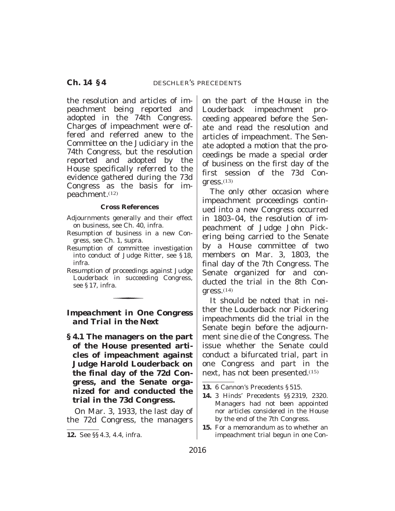the resolution and articles of impeachment being reported and adopted in the 74th Congress. Charges of impeachment were offered and referred anew to the Committee on the Judiciary in the 74th Congress, but the resolution reported and adopted by the House specifically referred to the evidence gathered during the 73d Congress as the basis for impeachment.(12)

### **Cross References**

- Adjournments generally and their effect on business, see Ch. 40, infra.
- Resumption of business in a new Congress, see Ch. 1, supra.
- Resumption of committee investigation into conduct of Judge Ritter, see § 18, infra.
- Resumption of proceedings against Judge Louderback in succeeding Congress, see § 17, infra.

**Contract Contract Contract** 

## *Impeachment in One Congress and Trial in the Next*

**§ 4.1 The managers on the part of the House presented articles of impeachment against Judge Harold Louderback on the final day of the 72d Congress, and the Senate organized for and conducted the trial in the 73d Congress.**

On Mar. 3, 1933, the last day of the 72d Congress, the managers

on the part of the House in the Louderback impeachment proceeding appeared before the Senate and read the resolution and articles of impeachment. The Senate adopted a motion that the proceedings be made a special order of business on the first day of the first session of the 73d Con $gress.$ <sup>(13)</sup>

The only other occasion where impeachment proceedings continued into a new Congress occurred in 1803–04, the resolution of impeachment of Judge John Pickering being carried to the Senate by a House committee of two members on Mar. 3, 1803, the final day of the 7th Congress. The Senate organized for and conducted the trial in the 8th Congress.(14)

It should be noted that in neither the Louderback nor Pickering impeachments did the trial in the Senate begin before the adjournment *sine die* of the Congress. The issue whether the Senate could conduct a bifurcated trial, part in one Congress and part in the next, has not been presented.(15)

- **13.** 6 Cannon's Precedents § 515.
- **14.** 3 Hinds' Precedents §§ 2319, 2320. Managers had not been appointed nor articles considered in the House by the end of the 7th Congress.
- **15.** For a memorandum as to whether an impeachment trial begun in one Con-

**<sup>12.</sup>** See §§ 4.3, 4.4, infra.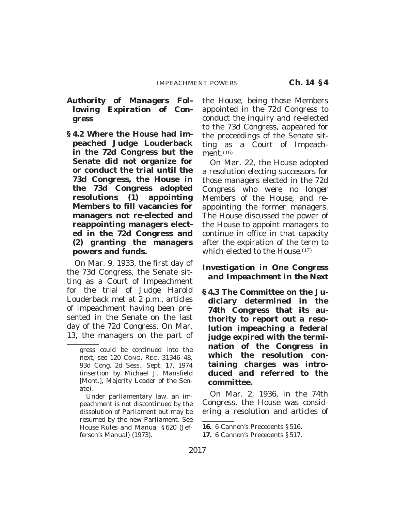## *Authority of Managers Following Expiration of Congress*

**§ 4.2 Where the House had impeached Judge Louderback in the 72d Congress but the Senate did not organize for or conduct the trial until the 73d Congress, the House in the 73d Congress adopted resolutions (1) appointing Members to fill vacancies for managers not re-elected and reappointing managers elected in the 72d Congress and (2) granting the managers powers and funds.**

On Mar. 9, 1933, the first day of the 73d Congress, the Senate sitting as a Court of Impeachment for the trial of Judge Harold Louderback met at 2 p.m., articles of impeachment having been presented in the Senate on the last day of the 72d Congress. On Mar. 13, the managers on the part of

Under parliamentary law, an impeachment is not discontinued by the dissolution of Parliament but may be resumed by the new Parliament. See *House Rules and Manual* § 620 (Jefferson's Manual) (1973).

the House, being those Members appointed in the 72d Congress to conduct the inquiry and re-elected to the 73d Congress, appeared for the proceedings of the Senate sitting as a Court of Impeach $ment.<sup>(16)</sup>$ 

On Mar. 22, the House adopted a resolution electing successors for those managers elected in the 72d Congress who were no longer Members of the House, and reappointing the former managers. The House discussed the power of the House to appoint managers to continue in office in that capacity after the expiration of the term to which elected to the House.<sup>(17)</sup>

## *Investigation in One Congress and Impeachment in the Next*

**§ 4.3 The Committee on the Judiciary determined in the 74th Congress that its authority to report out a resolution impeaching a federal judge expired with the termination of the Congress in which the resolution containing charges was introduced and referred to the committee.**

On Mar. 2, 1936, in the 74th Congress, the House was considering a resolution and articles of

gress could be continued into the next, see 120 CONG. REC. 31346–48, 93d Cong. 2d Sess., Sept. 17, 1974 (insertion by Michael J. Mansfield [Mont.], Majority Leader of the Senate).

**<sup>16.</sup>** 6 Cannon's Precedents § 516.

**<sup>17.</sup>** 6 Cannon's Precedents § 517.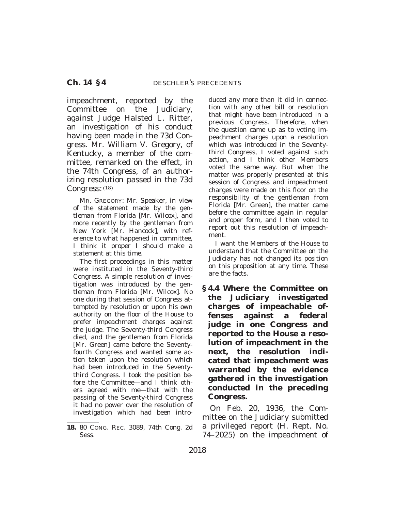impeachment, reported by the Committee on the Judiciary, against Judge Halsted L. Ritter, an investigation of his conduct having been made in the 73d Congress. Mr. William V. Gregory, of Kentucky, a member of the committee, remarked on the effect, in the 74th Congress, of an authorizing resolution passed in the 73d Congress: (18)

MR. GREGORY: Mr. Speaker, in view of the statement made by the gentleman from Florida [Mr. Wilcox], and more recently by the gentleman from New York [Mr. Hancock], with reference to what happened in committee, I think it proper I should make a statement at this time.

The first proceedings in this matter were instituted in the Seventy-third Congress. A simple resolution of investigation was introduced by the gentleman from Florida [Mr. Wilcox]. No one during that session of Congress attempted by resolution or upon his own authority on the floor of the House to prefer impeachment charges against the judge. The Seventy-third Congress died, and the gentleman from Florida [Mr. Green] came before the Seventyfourth Congress and wanted some action taken upon the resolution which had been introduced in the Seventythird Congress. I took the position before the Committee—and I think others agreed with me—that with the passing of the Seventy-third Congress it had no power over the resolution of investigation which had been intro-

duced any more than it did in connection with any other bill or resolution that might have been introduced in a previous Congress. Therefore, when the question came up as to voting impeachment charges upon a resolution which was introduced in the Seventythird Congress, I voted against such action, and I think other Members voted the same way. But when the matter was properly presented at this session of Congress and impeachment charges were made on this floor on the responsibility of the gentleman from Florida [Mr. Green], the matter came before the committee again in regular and proper form, and I then voted to report out this resolution of impeachment.

I want the Members of the House to understand that the Committee on the Judiciary has not changed its position on this proposition at any time. These are the facts.

**§ 4.4 Where the Committee on the Judiciary investigated charges of impeachable offenses against a federal judge in one Congress and reported to the House a resolution of impeachment in the next, the resolution indicated that impeachment was warranted by the evidence gathered in the investigation conducted in the preceding Congress.**

On Feb. 20, 1936, the Committee on the Judiciary submitted a privileged report (H. Rept. No. 74–2025) on the impeachment of

**<sup>18.</sup>** 80 CONG. REC. 3089, 74th Cong. 2d Sess.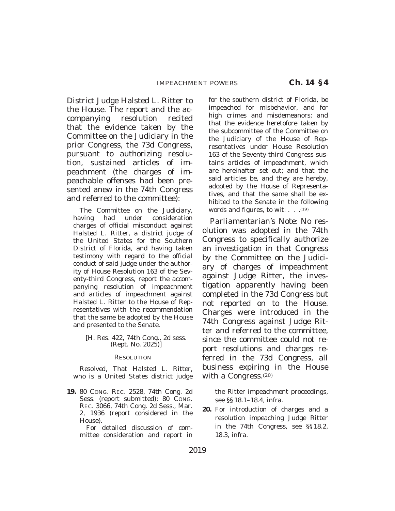District Judge Halsted L. Ritter to the House. The report and the accompanying resolution recited that the evidence taken by the Committee on the Judiciary in the prior Congress, the 73d Congress, pursuant to authorizing resolution, sustained articles of impeachment (the charges of impeachable offenses had been presented anew in the 74th Congress and referred to the committee):

The Committee on the Judiciary, having had under consideration charges of official misconduct against Halsted L. Ritter, a district judge of the United States for the Southern District of Florida, and having taken testimony with regard to the official conduct of said judge under the authority of House Resolution 163 of the Seventy-third Congress, report the accompanying resolution of impeachment and articles of impeachment against Halsted L. Ritter to the House of Representatives with the recommendation that the same be adopted by the House and presented to the Senate.

#### [H. Res. 422, 74th Cong., 2d sess. (Rept. No. 2025)]

#### **RESOLUTION**

*Resolved,* That Halsted L. Ritter, who is a United States district judge

For detailed discussion of committee consideration and report in

for the southern district of Florida, be impeached for misbehavior, and for high crimes and misdemeanors; and that the evidence heretofore taken by the subcommittee of the Committee on the Judiciary of the House of Representatives under House Resolution 163 of the Seventy-third Congress sustains articles of impeachment, which are hereinafter set out; and that the said articles be, and they are hereby, adopted by the House of Representatives, and that the same shall be exhibited to the Senate in the following words and figures, to wit:  $\ldots$ . (19)

*Parliamentarian's Note:* No resolution was adopted in the 74th Congress to specifically authorize an investigation in that Congress by the Committee on the Judiciary of charges of impeachment against Judge Ritter, the investigation apparently having been completed in the 73d Congress but not reported on to the House. Charges were introduced in the 74th Congress against Judge Ritter and referred to the committee, since the committee could not report resolutions and charges referred in the 73d Congress, all business expiring in the House with a Congress.<sup>(20)</sup>

**<sup>19.</sup>** 80 CONG. REC. 2528, 74th Cong. 2d Sess. (report submitted); 80 CONG. REC. 3066, 74th Cong. 2d Sess., Mar. 2, 1936 (report considered in the House).

the Ritter impeachment proceedings, see §§ 18.1–18.4, infra.

**<sup>20.</sup>** For introduction of charges and a resolution impeaching Judge Ritter in the 74th Congress, see §§ 18.2, 18.3, infra.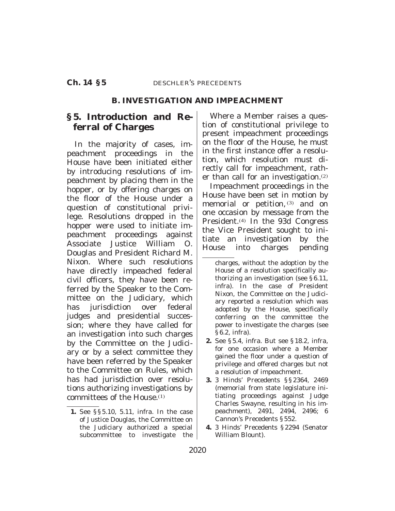## **B. INVESTIGATION AND IMPEACHMENT**

# **§ 5. Introduction and Referral of Charges**

In the majority of cases, impeachment proceedings in the House have been initiated either by introducing resolutions of impeachment by placing them in the hopper, or by offering charges on the floor of the House under a question of constitutional privilege. Resolutions dropped in the hopper were used to initiate impeachment proceedings against Associate Justice William O. Douglas and President Richard M. Nixon. Where such resolutions have directly impeached federal civil officers, they have been referred by the Speaker to the Committee on the Judiciary, which has jurisdiction over federal judges and presidential succession; where they have called for an investigation into such charges by the Committee on the Judiciary or by a select committee they have been referred by the Speaker to the Committee on Rules, which has had jurisdiction over resolutions authorizing investigations by committees of the House.(1)

Where a Member raises a question of constitutional privilege to present impeachment proceedings on the floor of the House, he must in the first instance offer a resolution, which resolution must directly call for impeachment, rather than call for an investigation.(2)

Impeachment proceedings in the House have been set in motion by memorial or petition, (3) and on one occasion by message from the President.(4) In the 93d Congress the Vice President sought to initiate an investigation by the House into charges pending

- **2.** See § 5.4, infra. But see § 18.2, infra, for one occasion where a Member gained the floor under a question of privilege and offered charges but not a resolution of impeachment.
- **3.** 3 Hinds' Precedents § § 2364, 2469 (memorial from state legislature initiating proceedings against Judge Charles Swayne, resulting in his impeachment), 2491, 2494, 2496; 6 Cannon's Precedents § 552.
- **4.** 3 Hinds' Precedents § 2294 (Senator William Blount).

**<sup>1.</sup>** See § § 5.10, 5.11, infra. In the case of Justice Douglas, the Committee on the Judiciary authorized a special subcommittee to investigate the

charges, without the adoption by the House of a resolution specifically authorizing an investigation (see § 6.11, infra). In the case of President Nixon, the Committee on the Judiciary reported a resolution which was adopted by the House, specifically conferring on the committee the power to investigate the charges (see § 6.2, infra).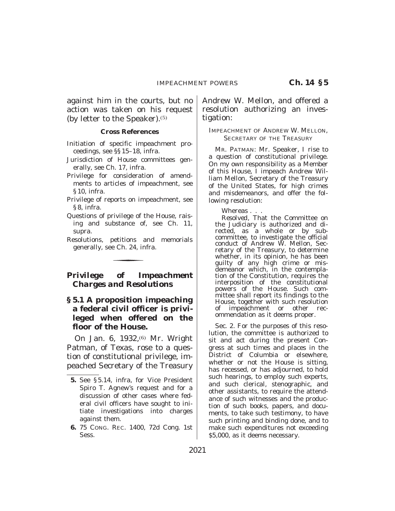against him in the courts, but no action was taken on his request (by letter to the Speaker).(5)

## **Cross References**

- Initiation of specific impeachment proceedings, see §§ 15–18, infra.
- Jurisdiction of House committees generally, see Ch. 17, infra.
- Privilege for consideration of amendments to articles of impeachment, see § 10, infra.
- Privilege of reports on impeachment, see § 8, infra.
- Questions of privilege of the House, raising and substance of, see Ch. 11, supra.
- Resolutions, petitions and memorials generally, see Ch. 24, infra.

the control of the con-

## *Privilege of Impeachment Charges and Resolutions*

## **§ 5.1 A proposition impeaching a federal civil officer is privileged when offered on the floor of the House.**

On Jan. 6, 1932,<sup>(6)</sup> Mr. Wright Patman, of Texas, rose to a question of constitutional privilege, impeached Secretary of the Treasury

**6.** 75 CONG. REC. 1400, 72d Cong. 1st Sess.

Andrew W. Mellon, and offered a resolution authorizing an investigation:

### IMPEACHMENT OF ANDREW W. MELLON, SECRETARY OF THE TREASURY

MR. PATMAN: Mr. Speaker, I rise to a question of constitutional privilege. On my own responsibility as a Member of this House, I impeach Andrew William Mellon, Secretary of the Treasury of the United States, for high crimes and misdemeanors, and offer the following resolution:

Whereas . . .

*Resolved,* That the Committee on the Judiciary is authorized and directed, as a whole or by subcommittee, to investigate the official conduct of Andrew W. Mellon, Secretary of the Treasury, to determine whether, in its opinion, he has been guilty of any high crime or misdemeanor which, in the contemplation of the Constitution, requires the interposition of the constitutional powers of the House. Such committee shall report its findings to the House, together with such resolution of impeachment or other recommendation as it deems proper.

Sec. 2. For the purposes of this resolution, the committee is authorized to sit and act during the present Congress at such times and places in the District of Columbia or elsewhere, whether or not the House is sitting, has recessed, or has adjourned, to hold such hearings, to employ such experts, and such clerical, stenographic, and other assistants, to require the attendance of such witnesses and the production of such books, papers, and documents, to take such testimony, to have such printing and binding done, and to make such expenditures not exceeding \$5,000, as it deems necessary.

**<sup>5.</sup>** See § 5.14, infra, for Vice President Spiro T. Agnew's request and for a discussion of other cases where federal civil officers have sought to initiate investigations into charges against them.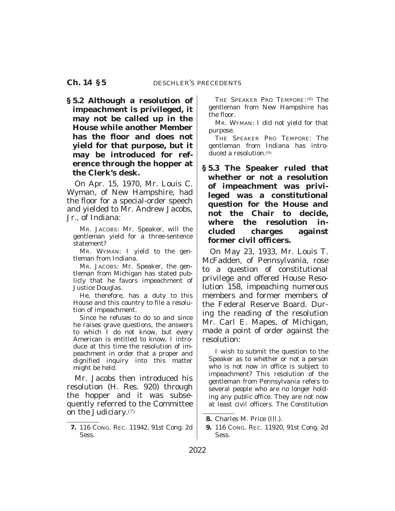# **§ 5.2 Although a resolution of impeachment is privileged, it may not be called up in the House while another Member has the floor and does not yield for that purpose, but it may be introduced for reference through the hopper at the Clerk's desk.**

On Apr. 15, 1970, Mr. Louis C. Wyman, of New Hampshire, had the floor for a special-order speech and yielded to Mr. Andrew Jacobs, Jr., of Indiana:

MR. JACOBS: Mr. Speaker, will the gentleman yield for a three-sentence statement?

MR. WYMAN: I yield to the gentleman from Indiana.

MR. JACOBS: Mr. Speaker, the gentleman from Michigan has stated publicly that he favors impeachment of Justice Douglas.

He, therefore, has a duty to this House and this country to file a resolution of impeachment.

Since he refuses to do so and since he raises grave questions, the answers to which I do not know, but every American is entitled to know, I introduce at this time the resolution of impeachment in order that a proper and dignified inquiry into this matter might be held.

Mr. Jacobs then introduced his resolution (H. Res. 920) through the hopper and it was subsequently referred to the Committee on the Judiciary.(7)

THE SPEAKER PRO TEMPORE: (8) The gentleman from New Hampshire has the floor.

MR. WYMAN: I did not yield for that purpose.

THE SPEAKER PRO TEMPORE: The gentleman from Indiana has introduced a resolution.(9)

**§ 5.3 The Speaker ruled that whether or not a resolution of impeachment was privileged was a constitutional question for the House and not the Chair to decide, where the resolution included charges against former civil officers.**

On May 23, 1933, Mr. Louis T. McFadden, of Pennsylvania, rose to a question of constitutional privilege and offered House Resolution 158, impeaching numerous members and former members of the Federal Reserve Board. During the reading of the resolution Mr. Carl E. Mapes, of Michigan, made a point of order against the resolution:

I wish to submit the question to the Speaker as to whether or not a person who is not now in office is subject to impeachment? This resolution of the gentleman from Pennsylvania refers to several people who are no longer holding any public office. They are not now at least civil officers. The Constitution

**<sup>7.</sup>** 116 CONG. REC. 11942, 91st Cong. 2d Sess.

**<sup>8.</sup>** Charles M. Price (Ill.).

**<sup>9.</sup>** 116 CONG. REC. 11920, 91st Cong. 2d Sess.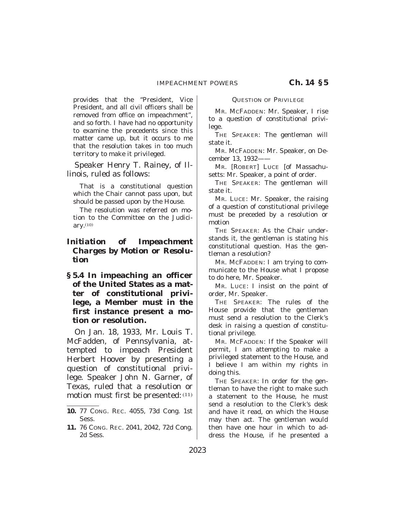provides that the "President, Vice President, and all civil officers shall be removed from office on impeachment'', and so forth. I have had no opportunity to examine the precedents since this matter came up, but it occurs to me that the resolution takes in too much territory to make it privileged.

Speaker Henry T. Rainey, of Illinois, ruled as follows:

That is a constitutional question which the Chair cannot pass upon, but should be passed upon by the House.

The resolution was referred on motion to the Committee on the Judiciary.(10)

## *Initiation of Impeachment Charges by Motion or Resolution*

# **§ 5.4 In impeaching an officer of the United States as a matter of constitutional privilege, a Member must in the first instance present a motion or resolution.**

On Jan. 18, 1933, Mr. Louis T. McFadden, of Pennsylvania, attempted to impeach President Herbert Hoover by presenting a question of constitutional privilege. Speaker John N. Garner, of Texas, ruled that a resolution or motion must first be presented: (11)

#### QUESTION OF PRIVILEGE

MR. MCFADDEN: Mr. Speaker, I rise to a question of constitutional privilege.

THE SPEAKER: The gentleman will state it.

MR. MCFADDEN: Mr. Speaker, on December 13, 1932——

MR. [ROBERT] LUCE [of Massachusetts: Mr. Speaker, a point of order.

THE SPEAKER: The gentleman will state it.

MR. LUCE: Mr. Speaker, the raising of a question of constitutional privilege must be preceded by a resolution or motion

THE SPEAKER: As the Chair understands it, the gentleman is stating his constitutional question. Has the gentleman a resolution?

MR. MCFADDEN: I am trying to communicate to the House what I propose to do here, Mr. Speaker.

MR. LUCE: I insist on the point of order, Mr. Speaker.

THE SPEAKER: The rules of the House provide that the gentleman must send a resolution to the Clerk's desk in raising a question of constitutional privilege.

MR. MCFADDEN: If the Speaker will permit, I am attempting to make a privileged statement to the House, and I believe I am within my rights in doing this.

THE SPEAKER: In order for the gentleman to have the right to make such a statement to the House, he must send a resolution to the Clerk's desk and have it read, on which the House may then act. The gentleman would then have one hour in which to address the House, if he presented a

**<sup>10.</sup>** 77 CONG. REC. 4055, 73d Cong. 1st Sess.

**<sup>11.</sup>** 76 CONG. REC. 2041, 2042, 72d Cong. 2d Sess.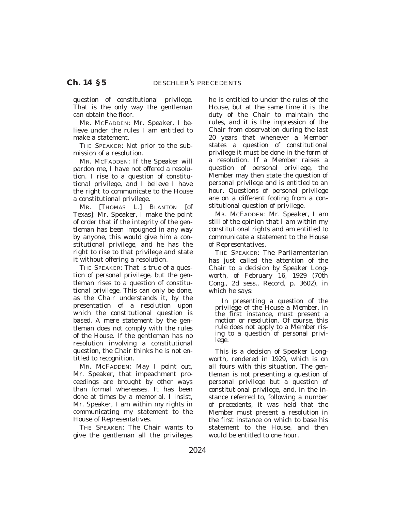question of constitutional privilege. That is the only way the gentleman can obtain the floor.

MR. MCFADDEN: Mr. Speaker, I believe under the rules I am entitled to make a statement.

THE SPEAKER: Not prior to the submission of a resolution.

MR. MCFADDEN: If the Speaker will pardon me, I have not offered a resolution. I rise to a question of constitutional privilege, and I believe I have the right to communicate to the House a constitutional privilege.

MR. [THOMAS L.] BLANTON [of Texas]: Mr. Speaker, I make the point of order that if the integrity of the gentleman has been impugned in any way by anyone, this would give him a constitutional privilege, and he has the right to rise to that privilege and state it without offering a resolution.

THE SPEAKER: That is true of a question of personal privilege, but the gentleman rises to a question of constitutional privilege. This can only be done, as the Chair understands it, by the presentation of a resolution upon which the constitutional question is based. A mere statement by the gentleman does not comply with the rules of the House. If the gentleman has no resolution involving a constitutional question, the Chair thinks he is not entitled to recognition.

MR. MCFADDEN: May I point out, Mr. Speaker, that impeachment proceedings are brought by other ways than formal whereases. It has been done at times by a memorial. I insist, Mr. Speaker, I am within my rights in communicating my statement to the House of Representatives.

THE SPEAKER: The Chair wants to give the gentleman all the privileges

he is entitled to under the rules of the House, but at the same time it is the duty of the Chair to maintain the rules, and it is the impression of the Chair from observation during the last 20 years that whenever a Member states a question of constitutional privilege it must be done in the form of a resolution. If a Member raises a question of personal privilege, the Member may then state the question of personal privilege and is entitled to an hour. Questions of personal privilege are on a different footing from a constitutional question of privilege.

MR. MCFADDEN: Mr. Speaker, I am still of the opinion that I am within my constitutional rights and am entitled to communicate a statement to the House of Representatives.

THE SPEAKER: The Parliamentarian has just called the attention of the Chair to a decision by Speaker Longworth, of February 16, 1929 (70th Cong., 2d sess., Record, p. 3602), in which he says:

In presenting a question of the privilege of the House a Member, in the first instance, must present a motion or resolution. Of course, this rule does not apply to a Member rising to a question of personal privilege.

This is a decision of Speaker Longworth, rendered in 1929, which is on all fours with this situation. The gentleman is not presenting a question of personal privilege but a question of constitutional privilege, and, in the instance referred to, following a number of precedents, it was held that the Member must present a resolution in the first instance on which to base his statement to the House, and then would be entitled to one hour.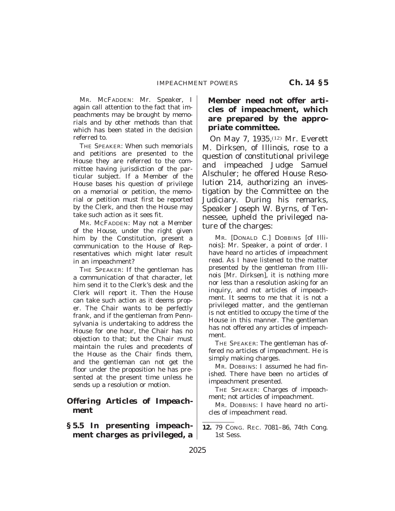MR. MCFADDEN: Mr. Speaker, I again call attention to the fact that impeachments may be brought by memorials and by other methods than that which has been stated in the decision referred to.

THE SPEAKER: When such memorials and petitions are presented to the House they are referred to the committee having jurisdiction of the particular subject. If a Member of the House bases his question of privilege on a memorial or petition, the memorial or petition must first be reported by the Clerk, and then the House may take such action as it sees fit.

MR. MCFADDEN: May not a Member of the House, under the right given him by the Constitution, present a communication to the House of Representatives which might later result in an impeachment?

THE SPEAKER: If the gentleman has a communication of that character, let him send it to the Clerk's desk and the Clerk will report it. Then the House can take such action as it deems proper. The Chair wants to be perfectly frank, and if the gentleman from Pennsylvania is undertaking to address the House for one hour, the Chair has no objection to that; but the Chair must maintain the rules and precedents of the House as the Chair finds them, and the gentleman can not get the floor under the proposition he has presented at the present time unless he sends up a resolution or motion.

## *Offering Articles of Impeachment*

**§ 5.5 In presenting impeachment charges as privileged, a**

# **Member need not offer articles of impeachment, which are prepared by the appropriate committee.**

On May 7, 1935,(12) Mr. Everett M. Dirksen, of Illinois, rose to a question of constitutional privilege and impeached Judge Samuel Alschuler; he offered House Resolution 214, authorizing an investigation by the Committee on the Judiciary. During his remarks, Speaker Joseph W. Byrns, of Tennessee, upheld the privileged nature of the charges:

MR. [DONALD C.] DOBBINS [of Illinois]: Mr. Speaker, a point of order. I have heard no articles of impeachment read. As I have listened to the matter presented by the gentleman from Illinois [Mr. Dirksen], it is nothing more nor less than a resolution asking for an inquiry, and not articles of impeachment. It seems to me that it is not a privileged matter, and the gentleman is not entitled to occupy the time of the House in this manner. The gentleman has not offered any articles of impeachment.

THE SPEAKER: The gentleman has offered no articles of impeachment. He is simply making charges.

MR. DOBBINS: I assumed he had finished. There have been no articles of impeachment presented.

THE SPEAKER: Charges of impeachment; not articles of impeachment.

MR. DOBBINS: I have heard no articles of impeachment read.

**12.** 79 CONG. REC. 7081–86, 74th Cong. 1st Sess.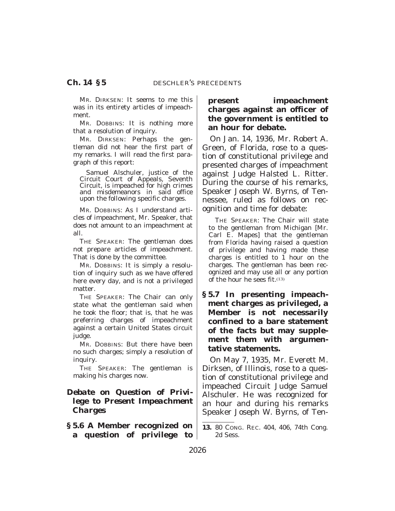MR. DIRKSEN: It seems to me this was in its entirety articles of impeachment.

MR. DOBBINS: It is nothing more that a resolution of inquiry.

MR. DIRKSEN: Perhaps the gentleman did not hear the first part of my remarks. I will read the first paragraph of this report:

Samuel Alschuler, justice of the Circuit Court of Appeals, Seventh Circuit, is impeached for high crimes and misdemeanors in said office upon the following specific charges.

MR. DOBBINS: As I understand articles of impeachment, Mr. Speaker, that does not amount to an impeachment at all.

THE SPEAKER: The gentleman does not prepare articles of impeachment. That is done by the committee.

MR. DOBBINS: It is simply a resolution of inquiry such as we have offered here every day, and is not a privileged matter.

THE SPEAKER: The Chair can only state what the gentleman said when he took the floor; that is, that he was preferring charges of impeachment against a certain United States circuit judge.

MR. DOBBINS: But there have been no such charges; simply a resolution of inquiry.

THE SPEAKER: The gentleman is making his charges now.

## *Debate on Question of Privilege to Present Impeachment Charges*

## **§ 5.6 A Member recognized on a question of privilege to**

# **present impeachment charges against an officer of the government is entitled to an hour for debate.**

On Jan. 14, 1936, Mr. Robert A. Green, of Florida, rose to a question of constitutional privilege and presented charges of impeachment against Judge Halsted L. Ritter. During the course of his remarks, Speaker Joseph W. Byrns, of Tennessee, ruled as follows on recognition and time for debate:

THE SPEAKER: The Chair will state to the gentleman from Michigan [Mr. Carl E. Mapes] that the gentleman from Florida having raised a question of privilege and having made these charges is entitled to 1 hour on the charges. The gentleman has been recognized and may use all or any portion of the hour he sees fit.(13)

# **§ 5.7 In presenting impeachment charges as privileged, a Member is not necessarily confined to a bare statement of the facts but may supplement them with argumentative statements.**

On May 7, 1935, Mr. Everett M. Dirksen, of Illinois, rose to a question of constitutional privilege and impeached Circuit Judge Samuel Alschuler. He was recognized for an hour and during his remarks Speaker Joseph W. Byrns, of Ten-

**<sup>13.</sup>** 80 CONG. REC. 404, 406, 74th Cong. 2d Sess.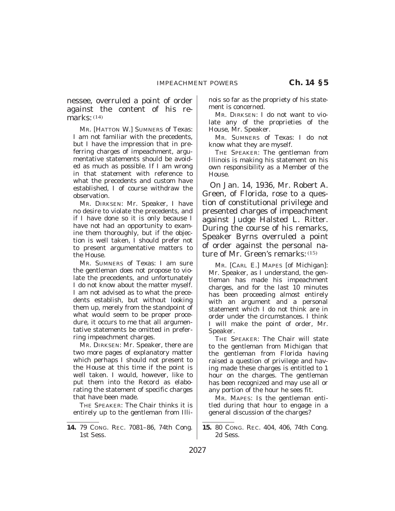nessee, overruled a point of order against the content of his remarks:  $(14)$ 

MR. [HATTON W.] SUMNERS of Texas: I am not familiar with the precedents, but I have the impression that in preferring charges of impeachment, argumentative statements should be avoided as much as possible. If I am wrong in that statement with reference to what the precedents and custom have established, I of course withdraw the observation.

MR. DIRKSEN: Mr. Speaker, I have no desire to violate the precedents, and if I have done so it is only because I have not had an opportunity to examine them thoroughly, but if the objection is well taken, I should prefer not to present argumentative matters to the House.

MR. SUMNERS of Texas: I am sure the gentleman does not propose to violate the precedents, and unfortunately I do not know about the matter myself. I am not advised as to what the precedents establish, but without looking them up, merely from the standpoint of what would seem to be proper procedure, it occurs to me that all argumentative statements be omitted in preferring impeachment charges.

MR. DIRKSEN: Mr. Speaker, there are two more pages of explanatory matter which perhaps I should not present to the House at this time if the point is well taken. I would, however, like to put them into the Record as elaborating the statement of specific charges that have been made.

THE SPEAKER: The Chair thinks it is entirely up to the gentleman from Illi-

**14.** 79 CONG. REC. 7081–86, 74th Cong. 1st Sess.

nois so far as the propriety of his statement is concerned.

MR. DIRKSEN: I do not want to violate any of the proprieties of the House, Mr. Speaker.

MR. SUMNERS of Texas: I do not know what they are myself.

THE SPEAKER: The gentleman from Illinois is making his statement on his own responsibility as a Member of the House.

On Jan. 14, 1936, Mr. Robert A. Green, of Florida, rose to a question of constitutional privilege and presented charges of impeachment against Judge Halsted L. Ritter. During the course of his remarks, Speaker Byrns overruled a point of order against the personal nature of Mr. Green's remarks: (15)

MR. [CARL E.] MAPES [of Michigan]: Mr. Speaker, as I understand, the gentleman has made his impeachment charges, and for the last 10 minutes has been proceeding almost entirely with an argument and a personal statement which I do not think are in order under the circumstances. I think I will make the point of order, Mr. Speaker.

THE SPEAKER: The Chair will state to the gentleman from Michigan that the gentleman from Florida having raised a question of privilege and having made these charges is entitled to 1 hour on the charges. The gentleman has been recognized and may use all or any portion of the hour he sees fit.

MR. MAPES: Is the gentleman entitled during that hour to engage in a general discussion of the charges?

**<sup>15.</sup>** 80 CONG. REC. 404, 406, 74th Cong. 2d Sess.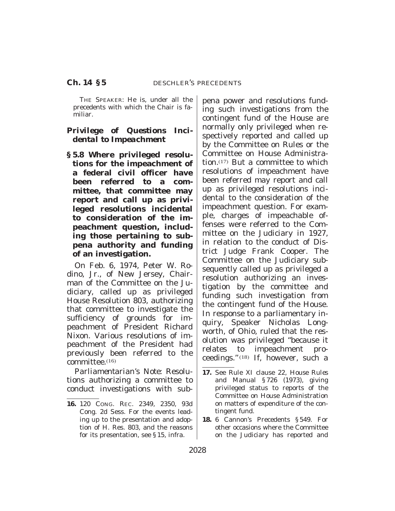THE SPEAKER: He is, under all the precedents with which the Chair is familiar.

## *Privilege of Questions Incidental to Impeachment*

**§ 5.8 Where privileged resolutions for the impeachment of a federal civil officer have been referred to a committee, that committee may report and call up as privileged resolutions incidental to consideration of the impeachment question, including those pertaining to subpena authority and funding of an investigation.**

On Feb. 6, 1974, Peter W. Rodino, Jr., of New Jersey, Chairman of the Committee on the Judiciary, called up as privileged House Resolution 803, authorizing that committee to investigate the sufficiency of grounds for impeachment of President Richard Nixon. Various resolutions of impeachment of the President had previously been referred to the committee.(16)

*Parliamentarian's Note:* Resolutions authorizing a committee to conduct investigations with sub-

pena power and resolutions funding such investigations from the contingent fund of the House are normally only privileged when respectively reported and called up by the Committee on Rules or the Committee on House Administration.(17) But a committee to which resolutions of impeachment have been referred may report and call up as privileged resolutions incidental to the consideration of the impeachment question. For example, charges of impeachable offenses were referred to the Committee on the Judiciary in 1927, in relation to the conduct of District Judge Frank Cooper. The Committee on the Judiciary subsequently called up as privileged a resolution authorizing an investigation by the committee and funding such investigation from the contingent fund of the House. In response to a parliamentary inquiry, Speaker Nicholas Longworth, of Ohio, ruled that the resolution was privileged ''because it relates to impeachment proceedings.'' (18) If, however, such a

**18.** 6 Cannon's Precedents § 549. For other occasions where the Committee on the Judiciary has reported and

**<sup>16.</sup>** 120 CONG. REC. 2349, 2350, 93d Cong. 2d Sess. For the events leading up to the presentation and adoption of H. Res. 803, and the reasons for its presentation, see § 15, infra.

**<sup>17.</sup>** See Rule XI clause 22, *House Rules and Manual* § 726 (1973), giving privileged status to reports of the Committee on House Administration on matters of expenditure of the contingent fund.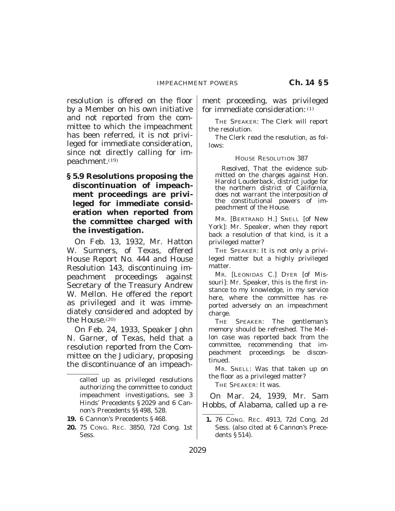resolution is offered on the floor by a Member on his own initiative and not reported from the committee to which the impeachment has been referred, it is not privileged for immediate consideration, since not directly calling for impeachment.(19)

**§ 5.9 Resolutions proposing the discontinuation of impeachment proceedings are privileged for immediate consideration when reported from the committee charged with the investigation.**

On Feb. 13, 1932, Mr. Hatton W. Sumners, of Texas, offered House Report No. 444 and House Resolution 143, discontinuing impeachment proceedings against Secretary of the Treasury Andrew W. Mellon. He offered the report as privileged and it was immediately considered and adopted by the House.(20)

On Feb. 24, 1933, Speaker John N. Garner, of Texas, held that a resolution reported from the Committee on the Judiciary, proposing the discontinuance of an impeachment proceeding, was privileged for immediate consideration: (1)

THE SPEAKER: The Clerk will report the resolution.

The Clerk read the resolution, as follows:

#### HOUSE RESOLUTION 387

*Resolved,* That the evidence submitted on the charges against Hon. Harold Louderback, district judge for the northern district of California, does not warrant the interposition of the constitutional powers of impeachment of the House.

MR. [BERTRAND H.] SNELL [of New York]: Mr. Speaker, when they report back a resolution of that kind, is it a privileged matter?

THE SPEAKER: It is not only a privileged matter but a highly privileged matter.

MR. [LEONIDAS C.] DYER [of Missouri]: Mr. Speaker, this is the first instance to my knowledge, in my service here, where the committee has reported adversely on an impeachment charge.

THE SPEAKER: The gentleman's memory should be refreshed. The Mellon case was reported back from the committee, recommending that impeachment proceedings be discontinued.

MR. SNELL: Was that taken up on the floor as a privileged matter?

THE SPEAKER: It was.

On Mar. 24, 1939, Mr. Sam Hobbs, of Alabama, called up a re-

called up as privileged resolutions authorizing the committee to conduct impeachment investigations, see 3 Hinds' Precedents § 2029 and 6 Cannon's Precedents §§ 498, 528.

**<sup>19.</sup>** 6 Cannon's Precedents § 468.

**<sup>20.</sup>** 75 CONG. REC. 3850, 72d Cong. 1st Sess.

**<sup>1.</sup>** 76 CONG. REC. 4913, 72d Cong. 2d Sess. (also cited at 6 Cannon's Precedents § 514).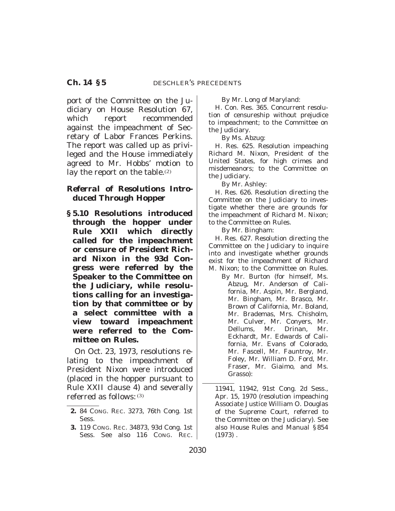port of the Committee on the Judiciary on House Resolution 67, which report recommended against the impeachment of Secretary of Labor Frances Perkins. The report was called up as privileged and the House immediately agreed to Mr. Hobbs' motion to lay the report on the table.(2)

# *Referral of Resolutions Introduced Through Hopper*

**§ 5.10 Resolutions introduced through the hopper under Rule XXII which directly called for the impeachment or censure of President Richard Nixon in the 93d Congress were referred by the Speaker to the Committee on the Judiciary, while resolutions calling for an investigation by that committee or by a select committee with a view toward impeachment were referred to the Committee on Rules.**

On Oct. 23, 1973, resolutions relating to the impeachment of President Nixon were introduced (placed in the hopper pursuant to Rule XXII clause 4) and severally referred as follows: (3)

By Mr. Long of Maryland:

H. Con. Res. 365. Concurrent resolution of censureship without prejudice to impeachment; to the Committee on the Judiciary.

By Ms. Abzug:

H. Res. 625. Resolution impeaching Richard M. Nixon, President of the United States, for high crimes and misdemeanors; to the Committee on the Judiciary.

By Mr. Ashley:

H. Res. 626. Resolution directing the Committee on the Judiciary to investigate whether there are grounds for the impeachment of Richard M. Nixon; to the Committee on Rules.

By Mr. Bingham:

H. Res. 627. Resolution directing the Committee on the Judiciary to inquire into and investigate whether grounds exist for the impeachment of Richard M. Nixon; to the Committee on Rules.

By Mr. Burton (for himself, Ms. Abzug, Mr. Anderson of California, Mr. Aspin, Mr. Bergland, Mr. Bingham, Mr. Brasco, Mr. Brown of California, Mr. Boland, Mr. Brademas, Mrs. Chisholm, Mr. Culver, Mr. Conyers, Mr. Dellums, Mr. Drinan, Mr. Eckhardt, Mr. Edwards of California, Mr. Evans of Colorado, Mr. Fascell, Mr. Fauntroy, Mr. Foley, Mr. William D. Ford, Mr. Fraser, Mr. Giaimo, and Ms. Grasso):

**<sup>2.</sup>** 84 CONG. REC. 3273, 76th Cong. 1st Sess.

**<sup>3.</sup>** 119 CONG. REC. 34873, 93d Cong. 1st Sess. See also 116 CONG. REC.

<sup>11941, 11942, 91</sup>st Cong. 2d Sess., Apr. 15, 1970 (resolution impeaching Associate Justice William O. Douglas of the Supreme Court, referred to the Committee on the Judiciary). See also *House Rules and Manual* § 854 (1973) .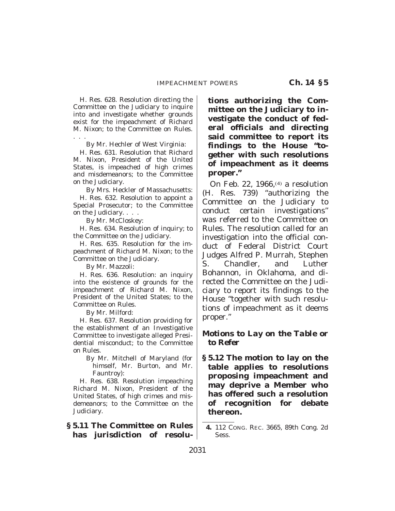H. Res. 628. Resolution directing the Committee on the Judiciary to inquire into and investigate whether grounds exist for the impeachment of Richard M. Nixon; to the Committee on Rules. ...

By Mr. Hechler of West Virginia:

H. Res. 631. Resolution that Richard M. Nixon, President of the United States, is impeached of high crimes and misdemeanors; to the Committee on the Judiciary.

By Mrs. Heckler of Massachusetts:

H. Res. 632. Resolution to appoint a Special Prosecutor; to the Committee on the Judiciary. . . .

By Mr. McCloskey:

H. Res. 634. Resolution of inquiry; to the Committee on the Judiciary.

H. Res. 635. Resolution for the impeachment of Richard M. Nixon; to the Committee on the Judiciary.

By Mr. Mazzoli:

H. Res. 636. Resolution: an inquiry into the existence of grounds for the impeachment of Richard M. Nixon, President of the United States; to the Committee on Rules.

By Mr. Milford:

H. Res. 637. Resolution providing for the establishment of an Investigative Committee to investigate alleged Presidential misconduct; to the Committee on Rules.

> By Mr. Mitchell of Maryland (for himself, Mr. Burton, and Mr. Fauntroy):

H. Res. 638. Resolution impeaching Richard M. Nixon, President of the United States, of high crimes and misdemeanors; to the Committee on the Judiciary.

## **§ 5.11 The Committee on Rules has jurisdiction of resolu-**

**tions authorizing the Committee on the Judiciary to investigate the conduct of federal officials and directing said committee to report its findings to the House ''together with such resolutions of impeachment as it deems proper.''**

On Feb. 22, 1966, $(4)$  a resolution (H. Res. 739) ''authorizing the Committee on the Judiciary to conduct certain investigations'' was referred to the Committee on Rules. The resolution called for an investigation into the official conduct of Federal District Court Judges Alfred P. Murrah, Stephen S. Chandler, and Luther Bohannon, in Oklahoma, and directed the Committee on the Judiciary to report its findings to the House ''together with such resolutions of impeachment as it deems proper.''

## *Motions to Lay on the Table or to Refer*

**§ 5.12 The motion to lay on the table applies to resolutions proposing impeachment and may deprive a Member who has offered such a resolution of recognition for debate thereon.**

**<sup>4.</sup>** 112 CONG. REC. 3665, 89th Cong. 2d Sess.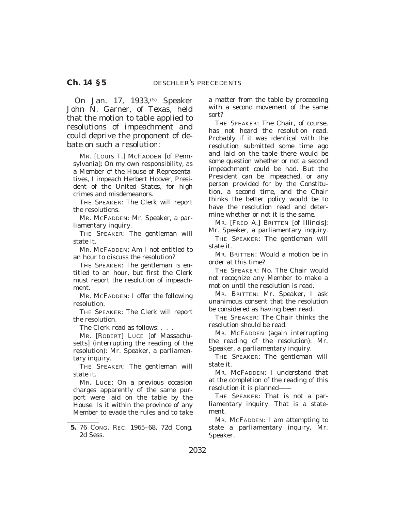On Jan. 17, 1933,<sup>(5)</sup> Speaker John N. Garner, of Texas, held that the motion to table applied to resolutions of impeachment and could deprive the proponent of debate on such a resolution:

MR. [LOUIS T.] MCFADDEN [of Pennsylvania]: On my own responsibility, as a Member of the House of Representatives, I impeach Herbert Hoover, President of the United States, for high crimes and misdemeanors.

THE SPEAKER: The Clerk will report the resolutions.

MR. MCFADDEN: Mr. Speaker, a parliamentary inquiry.

THE SPEAKER: The gentleman will state it.

MR. MCFADDEN: Am I not entitled to an hour to discuss the resolution?

THE SPEAKER: The gentleman is entitled to an hour, but first the Clerk must report the resolution of impeachment.

MR. MCFADDEN: I offer the following resolution.

THE SPEAKER: The Clerk will report the resolution.

The Clerk read as follows: . . .

MR. [ROBERT] LUCE [of Massachusetts] (interrupting the reading of the resolution): Mr. Speaker, a parliamentary inquiry.

THE SPEAKER: The gentleman will state it.

MR. LUCE: On a previous occasion charges apparently of the same purport were laid on the table by the House. Is it within the province of any Member to evade the rules and to take

a matter from the table by proceeding with a second movement of the same sort?

THE SPEAKER: The Chair, of course, has not heard the resolution read. Probably if it was identical with the resolution submitted some time ago and laid on the table there would be some question whether or not a second impeachment could be had. But the President can be impeached, or any person provided for by the Constitution, a second time, and the Chair thinks the better policy would be to have the resolution read and determine whether or not it is the same.

MR. [FRED A.] BRITTEN [of Illinois]: Mr. Speaker, a parliamentary inquiry.

THE SPEAKER: The gentleman will state it.

MR. BRITTEN: Would a motion be in order at this time?

THE SPEAKER: No. The Chair would not recognize any Member to make a motion until the resolution is read.

MR. BRITTEN: Mr. Speaker, I ask unanimous consent that the resolution be considered as having been read.

THE SPEAKER: The Chair thinks the resolution should be read.

MR. MCFADDEN (again interrupting the reading of the resolution): Mr. Speaker, a parliamentary inquiry.

THE SPEAKER: The gentleman will state it.

MR. MCFADDEN: I understand that at the completion of the reading of this resolution it is planned——

THE SPEAKER: That is not a parliamentary inquiry. That is a statement.

MR. MCFADDEN: I am attempting to state a parliamentary inquiry, Mr. Speaker.

**<sup>5.</sup>** 76 CONG. REC. 1965–68, 72d Cong. 2d Sess.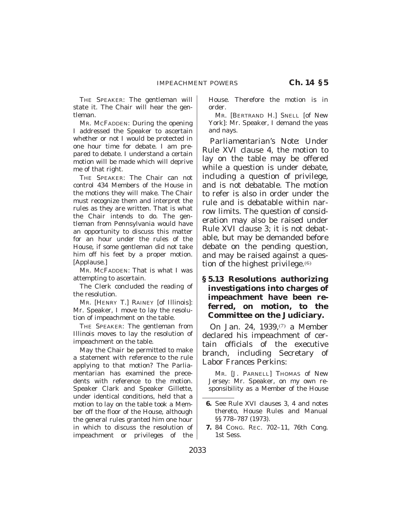THE SPEAKER: The gentleman will state it. The Chair will hear the gentleman.

MR. MCFADDEN: During the opening I addressed the Speaker to ascertain whether or not I would be protected in one hour time for debate. I am prepared to debate. I understand a certain motion will be made which will deprive me of that right.

THE SPEAKER: The Chair can not control 434 Members of the House in the motions they will make. The Chair must recognize them and interpret the rules as they are written. That is what the Chair intends to do. The gentleman from Pennsylvania would have an opportunity to discuss this matter for an hour under the rules of the House, if some gentleman did not take him off his feet by a proper motion. [Applause.]

MR. MCFADDEN: That is what I was attempting to ascertain.

The Clerk concluded the reading of the resolution.

MR. [HENRY T.] RAINEY [of Illinois]: Mr. Speaker, I move to lay the resolution of impeachment on the table.

THE SPEAKER: The gentleman from Illinois moves to lay the resolution of impeachment on the table.

May the Chair be permitted to make a statement with reference to the rule applying to that motion? The Parliamentarian has examined the precedents with reference to the motion. Speaker Clark and Speaker Gillette, under identical conditions, held that a motion to lay on the table took a Member off the floor of the House, although the general rules granted him one hour in which to discuss the resolution of impeachment or privileges of the House. Therefore the motion is in order.

MR. [BERTRAND H.] SNELL [of New York]: Mr. Speaker, I demand the yeas and nays.

*Parliamentarian's Note:* Under Rule XVI clause 4, the motion to lay on the table may be offered while a question is under debate, including a question of privilege, and is not debatable. The motion to refer is also in order under the rule and is debatable within narrow limits. The question of consideration may also be raised under Rule XVI clause 3; it is not debatable, but may be demanded before debate on the pending question, and may be raised against a question of the highest privilege.(6)

## **§ 5.13 Resolutions authorizing investigations into charges of impeachment have been referred, on motion, to the Committee on the Judiciary.**

On Jan. 24, 1939,(7) a Member declared his impeachment of certain officials of the executive branch, including Secretary of Labor Frances Perkins:

MR. [J. PARNELL] THOMAS of New Jersey: Mr. Speaker, on my own responsibility as a Member of the House

**7.** 84 CONG. REC. 702–11, 76th Cong. 1st Sess.

**<sup>6.</sup>** See Rule XVI clauses 3, 4 and notes thereto, *House Rules and Manual* §§ 778–787 (1973).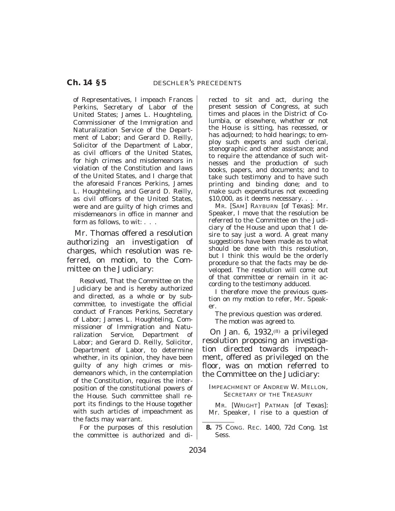of Representatives, I impeach Frances Perkins, Secretary of Labor of the United States; James L. Houghteling, Commissioner of the Immigration and Naturalization Service of the Department of Labor; and Gerard D. Reilly, Solicitor of the Department of Labor, as civil officers of the United States, for high crimes and misdemeanors in violation of the Constitution and laws of the United States, and I charge that the aforesaid Frances Perkins, James L. Houghteling, and Gerard D. Reilly, as civil officers of the United States, were and are guilty of high crimes and misdemeanors in office in manner and form as follows, to wit:

Mr. Thomas offered a resolution authorizing an investigation of charges, which resolution was referred, on motion, to the Committee on the Judiciary:

*Resolved,* That the Committee on the Judiciary be and is hereby authorized and directed, as a whole or by subcommittee, to investigate the official conduct of Frances Perkins, Secretary of Labor; James L. Houghteling, Commissioner of Immigration and Naturalization Service, Department of Labor; and Gerard D. Reilly, Solicitor, Department of Labor, to determine whether, in its opinion, they have been guilty of any high crimes or misdemeanors which, in the contemplation of the Constitution, requires the interposition of the constitutional powers of the House. Such committee shall report its findings to the House together with such articles of impeachment as the facts may warrant.

For the purposes of this resolution the committee is authorized and directed to sit and act, during the present session of Congress, at such times and places in the District of Columbia, or elsewhere, whether or not the House is sitting, has recessed, or has adjourned; to hold hearings; to employ such experts and such clerical, stenographic and other assistance; and to require the attendance of such witnesses and the production of such books, papers, and documents; and to take such testimony and to have such printing and binding done; and to make such expenditures not exceeding \$10,000, as it deems necessary. . . .

MR. [SAM] RAYBURN [of Texas]: Mr. Speaker, I move that the resolution be referred to the Committee on the Judiciary of the House and upon that I desire to say just a word. A great many suggestions have been made as to what should be done with this resolution, but I think this would be the orderly procedure so that the facts may be developed. The resolution will come out of that committee or remain in it according to the testimony adduced.

I therefore move the previous question on my motion to refer, Mr. Speaker.

The previous question was ordered. The motion was agreed to.

On Jan. 6,  $1932^{(8)}$  a privileged resolution proposing an investigation directed towards impeachment, offered as privileged on the floor, was on motion referred to the Committee on the Judiciary:

IMPEACHMENT OF ANDREW W. MELLON, SECRETARY OF THE TREASURY

MR. [WRIGHT] PATMAN [of Texas]: Mr. Speaker, I rise to a question of

**<sup>8.</sup>** 75 CONG. REC. 1400, 72d Cong. 1st Sess.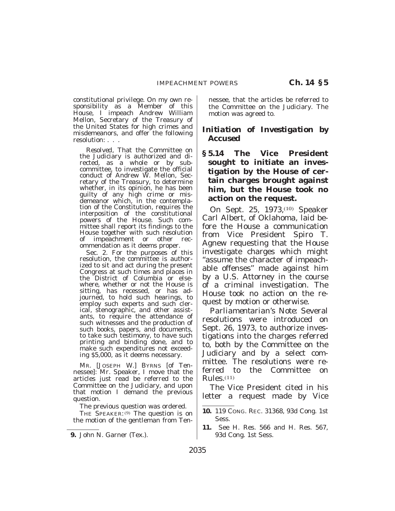constitutional privilege. On my own responsibility as a Member of this House, I impeach Andrew William Mellon, Secretary of the Treasury of the United States for high crimes and misdemeanors, and offer the following resolution: . . .

*Resolved,* That the Committee on the Judiciary is authorized and directed, as a whole or by subcommittee, to investigate the official conduct of Andrew W. Mellon, Secretary of the Treasury, to determine whether, in its opinion, he has been guilty of any high crime or misdemeanor which, in the contemplation of the Constitution, requires the interposition of the constitutional powers of the House. Such committee shall report its findings to the House together with such resolution of impeachment or other recommendation as it deems proper.

Sec. 2. For the purposes of this resolution, the committee is authorized to sit and act during the present Congress at such times and places in the District of Columbia or elsewhere, whether or not the House is sitting, has recessed, or has adjourned, to hold such hearings, to employ such experts and such clerical, stenographic, and other assistants, to require the attendance of such witnesses and the production of such books, papers, and documents, to take such testimony, to have such printing and binding done, and to make such expenditures not exceeding \$5,000, as it deems necessary.

MR. [JOSEPH W.] BYRNS [of Tennessee]: Mr. Speaker, I move that the articles just read be referred to the Committee on the Judiciary, and upon that motion I demand the previous question.

The previous question was ordered.

THE SPEAKER: (9) The question is on the motion of the gentleman from Tennessee, that the articles be referred to the Committee on the Judiciary. The motion was agreed to.

## *Initiation of Investigation by Accused*

## **§ 5.14 The Vice President sought to initiate an investigation by the House of certain charges brought against him, but the House took no action on the request.**

On Sept. 25, 1973,(10) Speaker Carl Albert, of Oklahoma, laid before the House a communication from Vice President Spiro T. Agnew requesting that the House investigate charges which might ''assume the character of impeachable offenses'' made against him by a U.S. Attorney in the course of a criminal investigation. The House took no action on the request by motion or otherwise.

*Parliamentarian's Note:* Several resolutions were introduced on Sept. 26, 1973, to authorize investigations into the charges referred to, both by the Committee on the Judiciary and by a select committee. The resolutions were referred to the Committee on  $Rules.$ (11)

The Vice President cited in his letter a request made by Vice

**<sup>9.</sup>** John N. Garner (Tex.).

**<sup>10.</sup>** 119 CONG. REC. 31368, 93d Cong. 1st Sess.

**<sup>11.</sup>** See H. Res. 566 and H. Res. 567, 93d Cong. 1st Sess.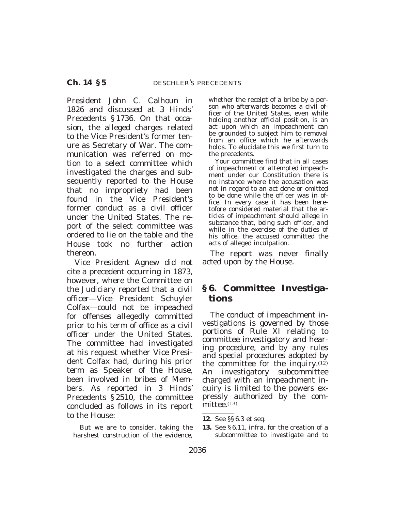President John C. Calhoun in 1826 and discussed at 3 Hinds' Precedents § 1736. On that occasion, the alleged charges related to the Vice President's former tenure as Secretary of War. The communication was referred on motion to a select committee which investigated the charges and subsequently reported to the House that no impropriety had been found in the Vice President's former conduct as a civil officer under the United States. The report of the select committee was ordered to lie on the table and the House took no further action thereon.

Vice President Agnew did not cite a precedent occurring in 1873, however, where the Committee on the Judiciary reported that a civil officer—Vice President Schuyler Colfax—could not be impeached for offenses allegedly committed prior to his term of office as a civil officer under the United States. The committee had investigated at his request whether Vice President Colfax had, during his prior term as Speaker of the House, been involved in bribes of Members. As reported in 3 Hinds' Precedents § 2510, the committee concluded as follows in its report to the House:

But we are to consider, taking the harshest construction of the evidence, whether the receipt of a bribe by a person who afterwards becomes a civil officer of the United States, even while holding another official position, is an act upon which an impeachment can be grounded to subject him to removal from an office which he afterwards holds. To elucidate this we first turn to the precedents.

Your committee find that in all cases of impeachment or attempted impeachment under our Constitution there is no instance where the accusation was not in regard to an act done or omitted to be done while the officer was in office. In every case it has been heretofore considered material that the articles of impeachment should allege in substance that, being such officer, and while in the exercise of the duties of his office, the accused committed the acts of alleged inculpation.

The report was never finally acted upon by the House.

# **§ 6. Committee Investigations**

The conduct of impeachment investigations is governed by those portions of Rule XI relating to committee investigatory and hearing procedure, and by any rules and special procedures adopted by the committee for the inquiry.  $(12)$ An investigatory subcommittee charged with an impeachment inquiry is limited to the powers expressly authorized by the com $mittee.$  $(13)$ 

**<sup>12.</sup>** See §§ 6.3 et seq.

**<sup>13.</sup>** See § 6.11, infra, for the creation of a subcommittee to investigate and to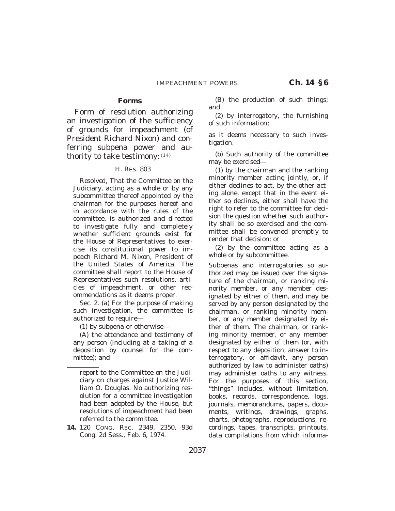## **Forms**

Form of resolution authorizing an investigation of the sufficiency of grounds for impeachment (of President Richard Nixon) and conferring subpena power and authority to take testimony: (14)

#### H. RES. 803

*Resolved,* That the Committee on the Judiciary, acting as a whole or by any subcommittee thereof appointed by the chairman for the purposes hereof and in accordance with the rules of the committee, is authorized and directed to investigate fully and completely whether sufficient grounds exist for the House of Representatives to exercise its constitutional power to impeach Richard M. Nixon, President of the United States of America. The committee shall report to the House of Representatives such resolutions, articles of impeachment, or other recommendations as it deems proper.

Sec. 2. (a) For the purpose of making such investigation, the committee is authorized to require—

(1) by subpena or otherwise—

(A) the attendance and testimony of any person (including at a taking of a deposition by counsel for the committee); and

**14.** 120 CONG. REC. 2349, 2350, 93d Cong. 2d Sess., Feb. 6, 1974.

(B) the production of such things; and

(2) by interrogatory, the furnishing of such information;

as it deems necessary to such investigation.

(b) Such authority of the committee may be exercised—

(1) by the chairman and the ranking minority member acting jointly, or, if either declines to act, by the other acting alone, except that in the event either so declines, either shall have the right to refer to the committee for decision the question whether such authority shall be so exercised and the committee shall be convened promptly to render that decision; or

(2) by the committee acting as a whole or by subcommittee.

Subpenas and interrogatories so authorized may be issued over the signature of the chairman, or ranking minority member, or any member designated by either of them, and may be served by any person designated by the chairman, or ranking minority member, or any member designated by either of them. The chairman, or ranking minority member, or any member designated by either of them (or, with respect to any deposition, answer to interrogatory, or affidavit, any person authorized by law to administer oaths) may administer oaths to any witness. For the purposes of this section, ''things'' includes, without limitation, books, records, correspondence, logs, journals, memorandums, papers, documents, writings, drawings, graphs, charts, photographs, reproductions, recordings, tapes, transcripts, printouts, data compilations from which informa-

report to the Committee on the Judiciary on charges against Justice William O. Douglas. No authorizing resolution for a committee investigation had been adopted by the House, but resolutions of impeachment had been referred to the committee.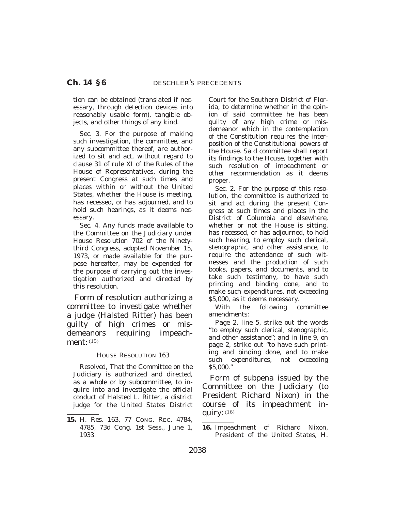tion can be obtained (translated if necessary, through detection devices into reasonably usable form), tangible objects, and other things of any kind.

Sec. 3. For the purpose of making such investigation, the committee, and any subcommittee thereof, are authorized to sit and act, without regard to clause 31 of rule XI of the Rules of the House of Representatives, during the present Congress at such times and places within or without the United States, whether the House is meeting, has recessed, or has adjourned, and to hold such hearings, as it deems necessary.

Sec. 4. Any funds made available to the Committee on the Judiciary under House Resolution 702 of the Ninetythird Congress, adopted November 15, 1973, or made available for the purpose hereafter, may be expended for the purpose of carrying out the investigation authorized and directed by this resolution.

Form of resolution authorizing a committee to investigate whether a judge (Halsted Ritter) has been guilty of high crimes or misdemeanors requiring impeachment: (15)

## HOUSE RESOLUTION 163

*Resolved,* That the Committee on the Judiciary is authorized and directed, as a whole or by subcommittee, to inquire into and investigate the official conduct of Halsted L. Ritter, a district judge for the United States District

Court for the Southern District of Florida, to determine whether in the opinion of said committee he has been guilty of any high crime or misdemeanor which in the contemplation of the Constitution requires the interposition of the Constitutional powers of the House. Said committee shall report its findings to the House, together with such resolution of impeachment or other recommendation as it deems proper.

Sec. 2. For the purpose of this resolution, the committee is authorized to sit and act during the present Congress at such times and places in the District of Columbia and elsewhere, whether or not the House is sitting, has recessed, or has adjourned, to hold such hearing, to employ such clerical, stenographic, and other assistance, to require the attendance of such witnesses and the production of such books, papers, and documents, and to take such testimony, to have such printing and binding done, and to make such expenditures, not exceeding \$5,000, as it deems necessary.

With the following committee amendments:

Page 2, line 5, strike out the words ''to employ such clerical, stenographic, and other assistance''; and in line 9, on page 2, strike out ''to have such printing and binding done, and to make such expenditures, not exceeding \$5,000.''

Form of subpena issued by the Committee on the Judiciary (to President Richard Nixon) in the course of its impeachment inquiry:  $(16)$ 

**<sup>15.</sup>** H. Res. 163, 77 CONG. REC. 4784, 4785, 73d Cong. 1st Sess., June 1, 1933.

**<sup>16.</sup>** Impeachment of Richard Nixon, President of the United States, H.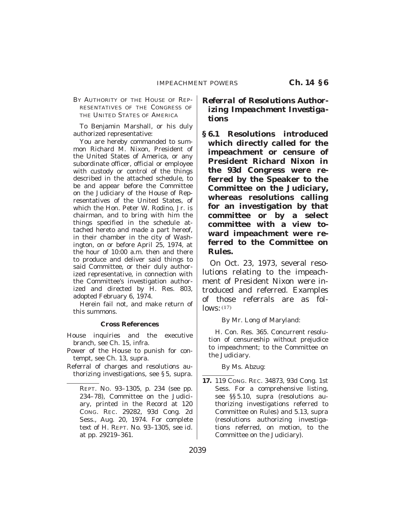## BY AUTHORITY OF THE HOUSE OF REP-RESENTATIVES OF THE CONGRESS OF THE UNITED STATES OF AMERICA

To Benjamin Marshall, or his duly authorized representative:

You are hereby commanded to summon Richard M. Nixon, President of the United States of America, or any subordinate officer, official or employee with custody or control of the things described in the attached schedule, to be and appear before the Committee on the Judiciary of the House of Representatives of the United States, of which the Hon. Peter W. Rodino, Jr. is chairman, and to bring with him the things specified in the schedule attached hereto and made a part hereof, in their chamber in the city of Washington, on or before April 25, 1974, at the hour of 10:00 a.m. then and there to produce and deliver said things to said Committee, or their duly authorized representative, in connection with the Committee's investigation authorized and directed by H. Res. 803, adopted February 6, 1974.

Herein fail not, and make return of this summons.

### **Cross References**

House inquiries and the executive branch, see Ch. 15, infra.

- Power of the House to punish for contempt, see Ch. 13, supra.
- Referral of charges and resolutions authorizing investigations, see § 5, supra.

## *Referral of Resolutions Authorizing Impeachment Investigations*

**§ 6.1 Resolutions introduced which directly called for the impeachment or censure of President Richard Nixon in the 93d Congress were referred by the Speaker to the Committee on the Judiciary, whereas resolutions calling for an investigation by that committee or by a select committee with a view toward impeachment were referred to the Committee on Rules.**

On Oct. 23, 1973, several resolutions relating to the impeachment of President Nixon were introduced and referred. Examples of those referrals are as fol- $\textbf{lows}: (17)$ 

By Mr. Long of Maryland:

H. Con. Res. 365. Concurrent resolution of censureship without prejudice to impeachment; to the Committee on the Judiciary.

By Ms. Abzug:

**17.** 119 CONG. REC. 34873, 93d Cong. 1st Sess. For a comprehensive listing, see §§ 5.10, supra (resolutions authorizing investigations referred to Committee on Rules) and 5.13, supra (resolutions authorizing investigations referred, on motion, to the Committee on the Judiciary).

REPT. NO. 93–1305, p. 234 (see pp. 234–78), Committee on the Judiciary, printed in the Record at 120 CONG. REC. 29282, 93d Cong. 2d Sess., Aug. 20, 1974. For complete text of H. REPT. No. 93–1305, see *id.* at pp. 29219–361.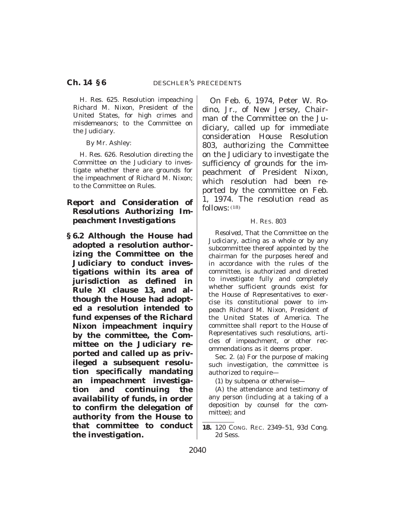H. Res. 625. Resolution impeaching Richard M. Nixon, President of the United States, for high crimes and misdemeanors; to the Committee on the Judiciary.

By Mr. Ashley:

H. Res. 626. Resolution directing the Committee on the Judiciary to investigate whether there are grounds for the impeachment of Richard M. Nixon; to the Committee on Rules.

# *Report and Consideration of Resolutions Authorizing Impeachment Investigations*

**§ 6.2 Although the House had adopted a resolution authorizing the Committee on the Judiciary to conduct investigations within its area of jurisdiction as defined in Rule XI clause 13, and although the House had adopted a resolution intended to fund expenses of the Richard Nixon impeachment inquiry by the committee, the Committee on the Judiciary reported and called up as privileged a subsequent resolution specifically mandating an impeachment investigation and continuing the availability of funds, in order to confirm the delegation of authority from the House to that committee to conduct the investigation.**

On Feb. 6, 1974, Peter W. Rodino, Jr., of New Jersey, Chairman of the Committee on the Judiciary, called up for immediate consideration House Resolution 803, authorizing the Committee on the Judiciary to investigate the sufficiency of grounds for the impeachment of President Nixon, which resolution had been reported by the committee on Feb. 1, 1974. The resolution read as follows:  $(18)$ 

### H. RES. 803

*Resolved,* That the Committee on the Judiciary, acting as a whole or by any subcommittee thereof appointed by the chairman for the purposes hereof and in accordance with the rules of the committee, is authorized and directed to investigate fully and completely whether sufficient grounds exist for the House of Representatives to exercise its constitutional power to impeach Richard M. Nixon, President of the United States of America. The committee shall report to the House of Representatives such resolutions, articles of impeachment, or other recommendations as it deems proper.

Sec. 2. (a) For the purpose of making such investigation, the committee is authorized to require—

(1) by subpena or otherwise—

(A) the attendance and testimony of any person (including at a taking of a deposition by counsel for the committee); and

**<sup>18.</sup>** 120 CONG. REC. 2349–51, 93d Cong. 2d Sess.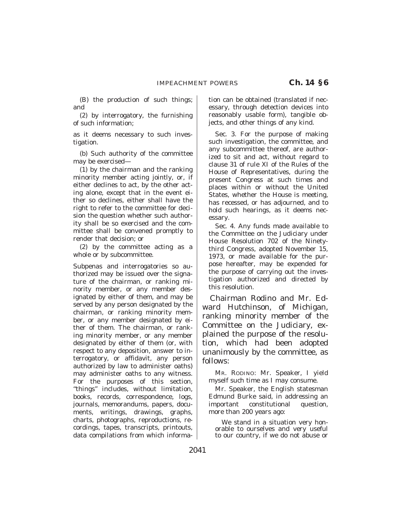(B) the production of such things; and

(2) by interrogatory, the furnishing of such information;

as it deems necessary to such investigation.

(b) Such authority of the committee may be exercised—

(1) by the chairman and the ranking minority member acting jointly, or, if either declines to act, by the other acting alone, except that in the event either so declines, either shall have the right to refer to the committee for decision the question whether such authority shall be so exercised and the committee shall be convened promptly to render that decision; or

(2) by the committee acting as a whole or by subcommittee.

Subpenas and interrogatories so authorized may be issued over the signature of the chairman, or ranking minority member, or any member designated by either of them, and may be served by any person designated by the chairman, or ranking minority member, or any member designated by either of them. The chairman, or ranking minority member, or any member designated by either of them (or, with respect to any deposition, answer to interrogatory, or affidavit, any person authorized by law to administer oaths) may administer oaths to any witness. For the purposes of this section, ''things'' includes, without limitation, books, records, correspondence, logs, journals, memorandums, papers, documents, writings, drawings, graphs, charts, photographs, reproductions, recordings, tapes, transcripts, printouts, data compilations from which informa-

tion can be obtained (translated if necessary, through detection devices into reasonably usable form), tangible objects, and other things of any kind.

Sec. 3. For the purpose of making such investigation, the committee, and any subcommittee thereof, are authorized to sit and act, without regard to clause 31 of rule XI of the Rules of the House of Representatives, during the present Congress at such times and places within or without the United States, whether the House is meeting, has recessed, or has adjourned, and to hold such hearings, as it deems necessary.

Sec. 4. Any funds made available to the Committee on the Judiciary under House Resolution 702 of the Ninetythird Congress, adopted November 15, 1973, or made available for the purpose hereafter, may be expended for the purpose of carrying out the investigation authorized and directed by this resolution.

Chairman Rodino and Mr. Edward Hutchinson, of Michigan, ranking minority member of the Committee on the Judiciary, explained the purpose of the resolution, which had been adopted unanimously by the committee, as follows:

MR. RODINO: Mr. Speaker, I yield myself such time as I may consume.

Mr. Speaker, the English statesman Edmund Burke said, in addressing an important constitutional question, more than 200 years ago:

We stand in a situation very honorable to ourselves and very useful to our country, if we do not abuse or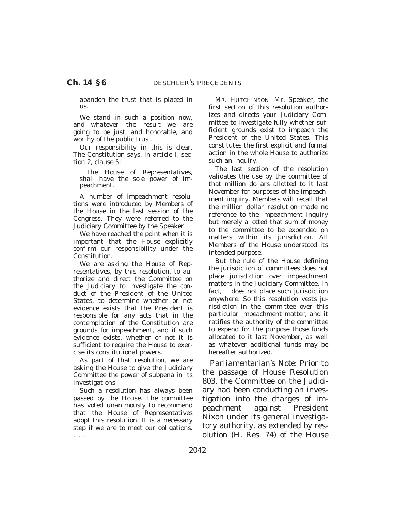abandon the trust that is placed in us.

We stand in such a position now, and—whatever the result—we are going to be just, and honorable, and worthy of the public trust.

Our responsibility in this is clear. The Constitution says, in article I, section 2, clause 5:

The House of Representatives, shall have the sole power of impeachment.

A number of impeachment resolutions were introduced by Members of the House in the last session of the Congress. They were referred to the Judiciary Committee by the Speaker.

We have reached the point when it is important that the House explicitly confirm our responsibility under the Constitution.

We are asking the House of Representatives, by this resolution, to authorize and direct the Committee on the Judiciary to investigate the conduct of the President of the United States, to determine whether or not evidence exists that the President is responsible for any acts that in the contemplation of the Constitution are grounds for impeachment, and if such evidence exists, whether or not it is sufficient to require the House to exercise its constitutional powers.

As part of that resolution, we are asking the House to give the Judiciary Committee the power of subpena in its investigations.

Such a resolution has always been passed by the House. The committee has voted unanimously to recommend that the House of Representatives adopt this resolution. It is a necessary step if we are to meet our obligations. ...

MR. HUTCHINSON: Mr. Speaker, the first section of this resolution authorizes and directs your Judiciary Committee to investigate fully whether sufficient grounds exist to impeach the President of the United States. This constitutes the first explicit and formal action in the whole House to authorize such an inquiry.

The last section of the resolution validates the use by the committee of that million dollars allotted to it last November for purposes of the impeachment inquiry. Members will recall that the million dollar resolution made no reference to the impeachment inquiry but merely allotted that sum of money to the committee to be expended on matters within its jurisdiction. All Members of the House understood its intended purpose.

But the rule of the House defining the jurisdiction of committees does not place jurisdiction over impeachment matters in the Judiciary Committee. In fact, it does not place such jurisdiction anywhere. So this resolution vests jurisdiction in the committee over this particular impeachment matter, and it ratifies the authority of the committee to expend for the purpose those funds allocated to it last November, as well as whatever additional funds may be hereafter authorized.

*Parliamentarian's Note:* Prior to the passage of House Resolution 803, the Committee on the Judiciary had been conducting an investigation into the charges of impeachment against President Nixon under its general investigatory authority, as extended by resolution (H. Res. 74) of the House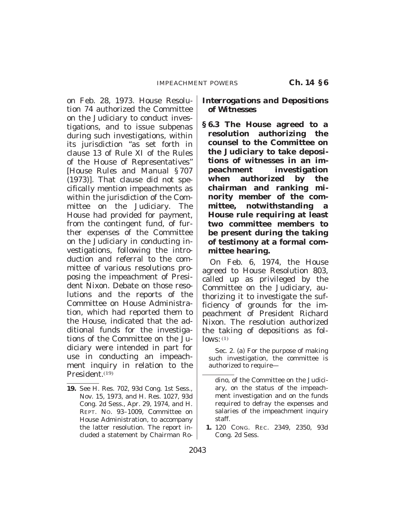on Feb. 28, 1973. House Resolution 74 authorized the Committee on the Judiciary to conduct investigations, and to issue subpenas during such investigations, within its jurisdiction ''as set forth in clause 13 of Rule XI of the Rules of the House of Representatives'' [*House Rules and Manual* § 707 (1973)]. That clause did not specifically mention impeachments as within the jurisdiction of the Committee on the Judiciary. The House had provided for payment, from the contingent fund, of further expenses of the Committee on the Judiciary in conducting investigations, following the introduction and referral to the committee of various resolutions proposing the impeachment of President Nixon. Debate on those resolutions and the reports of the Committee on House Administration, which had reported them to the House, indicated that the additional funds for the investigations of the Committee on the Judiciary were intended in part for use in conducting an impeachment inquiry in relation to the President.<sup>(19)</sup>

## *Interrogations and Depositions of Witnesses*

**§ 6.3 The House agreed to a resolution authorizing the counsel to the Committee on the Judiciary to take depositions of witnesses in an impeachment investigation when authorized by the chairman and ranking minority member of the committee, notwithstanding a House rule requiring at least two committee members to be present during the taking of testimony at a formal committee hearing.**

On Feb. 6, 1974, the House agreed to House Resolution 803, called up as privileged by the Committee on the Judiciary, authorizing it to investigate the sufficiency of grounds for the impeachment of President Richard Nixon. The resolution authorized the taking of depositions as fol- $\textbf{lows}: \mathbf{^{(1)}}$ 

Sec. 2. (a) For the purpose of making such investigation, the committee is authorized to require—

**1.** 120 CONG. REC. 2349, 2350, 93d Cong. 2d Sess.

**<sup>19.</sup>** See H. Res. 702, 93d Cong. 1st Sess., Nov. 15, 1973, and H. Res. 1027, 93d Cong. 2d Sess., Apr. 29, 1974, and H. REPT. NO. 93–1009, Committee on House Administration, to accompany the latter resolution. The report included a statement by Chairman Ro-

dino, of the Committee on the Judiciary, on the status of the impeachment investigation and on the funds required to defray the expenses and salaries of the impeachment inquiry staff.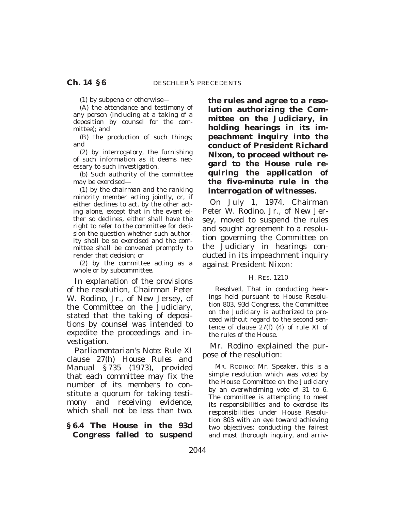(1) by subpena or otherwise—

(A) the attendance and testimony of any person (including at a taking of a deposition by counsel for the committee); and

(B) the production of such things; and

(2) by interrogatory, the furnishing of such information as it deems necessary to such investigation.

(b) Such authority of the committee may be exercised—

(1) by the chairman and the ranking minority member acting jointly, or, if either declines to act, by the other acting alone, except that in the event either so declines, either shall have the right to refer to the committee for decision the question whether such authority shall be so exercised and the committee shall be convened promptly to render that decision; or

(2) by the committee acting as a whole or by subcommittee.

In explanation of the provisions of the resolution, Chairman Peter W. Rodino, Jr., of New Jersey, of the Committee on the Judiciary, stated that the taking of depositions by counsel was intended to expedite the proceedings and investigation.

*Parliamentarian's Note:* Rule XI clause 27(h) *House Rules and Manual* § 735 (1973), provided that each committee may fix the number of its members to constitute a quorum for taking testimony and receiving evidence, which shall not be less than two.

## **§ 6.4 The House in the 93d Congress failed to suspend**

**the rules and agree to a resolution authorizing the Committee on the Judiciary, in holding hearings in its impeachment inquiry into the conduct of President Richard Nixon, to proceed without regard to the House rule requiring the application of the five-minute rule in the interrogation of witnesses.**

On July 1, 1974, Chairman Peter W. Rodino, Jr., of New Jersey, moved to suspend the rules and sought agreement to a resolution governing the Committee on the Judiciary in hearings conducted in its impeachment inquiry against President Nixon:

## H. RES. 1210

*Resolved,* That in conducting hearings held pursuant to House Resolution 803, 93d Congress, the Committee on the Judiciary is authorized to proceed without regard to the second sentence of clause 27(f) (4) of rule XI of the rules of the House.

Mr. Rodino explained the purpose of the resolution:

MR. RODINO: Mr. Speaker, this is a simple resolution which was voted by the House Committee on the Judiciary by an overwhelming vote of 31 to 6. The committee is attempting to meet its responsibilities and to exercise its responsibilities under House Resolution 803 with an eye toward achieving two objectives: conducting the fairest and most thorough inquiry, and arriv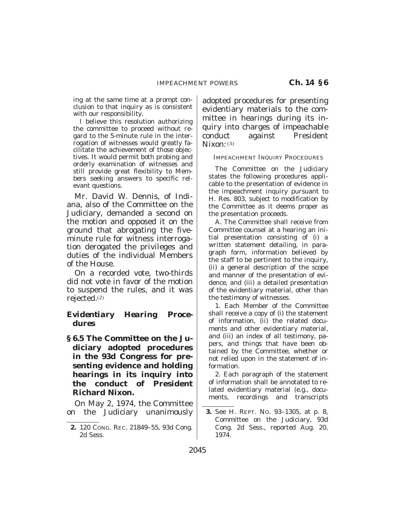ing at the same time at a prompt conclusion to that inquiry as is consistent with our responsibility.

I believe this resolution authorizing the committee to proceed without regard to the 5-minute rule in the interrogation of witnesses would greatly facilitate the achievement of those objectives. It would permit both probing and orderly examination of witnesses and still provide great flexibility to Members seeking answers to specific relevant questions.

Mr. David W. Dennis, of Indiana, also of the Committee on the Judiciary, demanded a second on the motion and opposed it on the ground that abrogating the fiveminute rule for witness interrogation derogated the privileges and duties of the individual Members of the House.

On a recorded vote, two-thirds did not vote in favor of the motion to suspend the rules, and it was rejected.(2)

## *Evidentiary Hearing Procedures*

**§ 6.5 The Committee on the Judiciary adopted procedures in the 93d Congress for presenting evidence and holding hearings in its inquiry into the conduct of President Richard Nixon.**

On May 2, 1974, the Committee on the Judiciary unanimously adopted procedures for presenting evidentiary materials to the committee in hearings during its inquiry into charges of impeachable conduct against President Nixon: (3)

#### IMPEACHMENT INQUIRY PROCEDURES

The Committee on the Judiciary states the following procedures applicable to the presentation of evidence in the impeachment inquiry pursuant to H. Res. 803, subject to modification by the Committee as it deems proper as the presentation proceeds.

A. The Committee shall receive from Committee counsel at a hearing an initial presentation consisting of (i) a written statement detailing, in paragraph form, information believed by the staff to be pertinent to the inquiry, (ii) a general description of the scope and manner of the presentation of evidence, and (iii) a detailed presentation of the evidentiary material, other than the testimony of witnesses.

1. Each Member of the Committee shall receive a copy of (i) the statement of information, (ii) the related documents and other evidentiary material, and (iii) an index of all testimony, papers, and things that have been obtained by the Committee, whether or not relied upon in the statement of information.

2. Each paragraph of the statement of information shall be annotated to related evidentiary material (e.g., documents, recordings and transcripts

**<sup>2.</sup>** 120 CONG. REC. 21849–55, 93d Cong. 2d Sess.

**<sup>3.</sup>** See H. REPT. NO. 93–1305, at p. 8, Committee on the Judiciary, 93d Cong. 2d Sess., reported Aug. 20, 1974.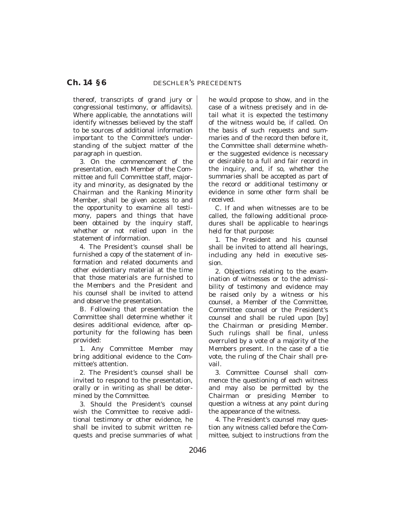thereof, transcripts of grand jury or congressional testimony, or affidavits). Where applicable, the annotations will identify witnesses believed by the staff to be sources of additional information important to the Committee's understanding of the subject matter of the paragraph in question.

3. On the commencement of the presentation, each Member of the Committee and full Committee staff, majority and minority, as designated by the Chairman and the Ranking Minority Member, shall be given access to and the opportunity to examine all testimony, papers and things that have been obtained by the inquiry staff, whether or not relied upon in the statement of information.

4. The President's counsel shall be furnished a copy of the statement of information and related documents and other evidentiary material at the time that those materials are furnished to the Members and the President and his counsel shall be invited to attend and observe the presentation.

B. Following that presentation the Committee shall determine whether it desires additional evidence, after opportunity for the following has been provided:

1. Any Committee Member may bring additional evidence to the Committee's attention.

2. The President's counsel shall be invited to respond to the presentation, orally or in writing as shall be determined by the Committee.

3. Should the President's counsel wish the Committee to receive additional testimony or other evidence, he shall be invited to submit written requests and precise summaries of what he would propose to show, and in the case of a witness precisely and in detail what it is expected the testimony of the witness would be, if called. On the basis of such requests and summaries and of the record then before it, the Committee shall determine whether the suggested evidence is necessary or desirable to a full and fair record in the inquiry, and, if so, whether the summaries shall be accepted as part of the record or additional testimony or evidence in some other form shall be received.

C. If and when witnesses are to be called, the following additional procedures shall be applicable to hearings held for that purpose:

1. The President and his counsel shall be invited to attend all hearings, including any held in executive session.

2. Objections relating to the examination of witnesses or to the admissibility of testimony and evidence may be raised only by a witness or his counsel, a Member of the Committee, Committee counsel or the President's counsel and shall be ruled upon [by] the Chairman or presiding Member. Such rulings shall be final, unless overruled by a vote of a majority of the Members present. In the case of a tie vote, the ruling of the Chair shall prevail.

3. Committee Counsel shall commence the questioning of each witness and may also be permitted by the Chairman or presiding Member to question a witness at any point during the appearance of the witness.

4. The President's counsel may question any witness called before the Committee, subject to instructions from the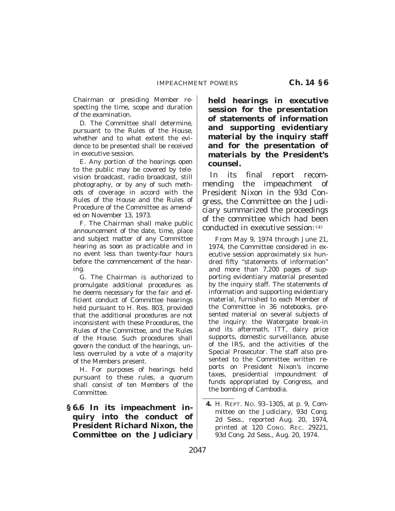Chairman or presiding Member respecting the time, scope and duration of the examination.

D. The Committee shall determine, pursuant to the Rules of the House, whether and to what extent the evidence to be presented shall be received in executive session.

E. Any portion of the hearings open to the public may be covered by television broadcast, radio broadcast, still photography, or by any of such methods of coverage in accord with the Rules of the House and the Rules of Procedure of the Committee as amended on November 13, 1973.

F. The Chairman shall make public announcement of the date, time, place and subject matter of any Committee hearing as soon as practicable and in no event less than twenty-four hours before the commencement of the hearing.

G. The Chairman is authorized to promulgate additional procedures as he deems necessary for the fair and efficient conduct of Committee hearings held pursuant to H. Res. 803, provided that the additional procedures are not inconsistent with these Procedures, the Rules of the Committee, and the Rules of the House. Such procedures shall govern the conduct of the hearings, unless overruled by a vote of a majority of the Members present.

H. For purposes of hearings held pursuant to these rules, a quorum shall consist of ten Members of the Committee.

**§ 6.6 In its impeachment inquiry into the conduct of President Richard Nixon, the Committee on the Judiciary** **held hearings in executive session for the presentation of statements of information and supporting evidentiary material by the inquiry staff and for the presentation of materials by the President's counsel.**

In its final report recommending the impeachment of President Nixon in the 93d Congress, the Committee on the Judiciary summarized the proceedings of the committee which had been conducted in executive session: (4)

From May 9, 1974 through June 21, 1974, the Committee considered in executive session approximately six hundred fifty ''statements of information'' and more than 7,200 pages of supporting evidentiary material presented by the inquiry staff. The statements of information and supporting evidentiary material, furnished to each Member of the Committee in 36 notebooks, presented material on several subjects of the inquiry: the Watergate break-in and its aftermath, ITT, dairy price supports, domestic surveillance, abuse of the IRS, and the activities of the Special Prosecutor. The staff also presented to the Committee written reports on President Nixon's income taxes, presidential impoundment of funds appropriated by Congress, and the bombing of Cambodia.

**<sup>4.</sup>** H. REPT. NO. 93–1305, at p. 9, Committee on the Judiciary, 93d Cong. 2d Sess., reported Aug. 20, 1974, printed at 120 CONG. REC. 29221, 93d Cong. 2d Sess., Aug. 20, 1974.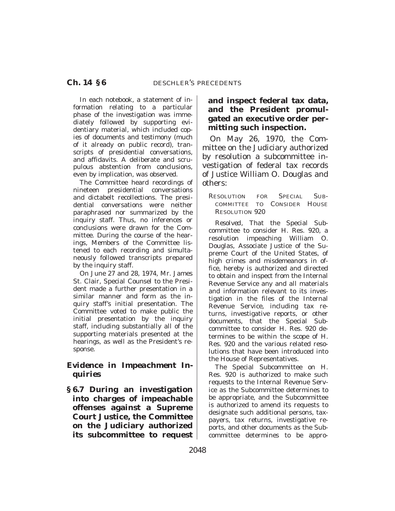In each notebook, a statement of information relating to a particular phase of the investigation was immediately followed by supporting evidentiary material, which included copies of documents and testimony (much of it already on public record), transcripts of presidential conversations, and affidavits. A deliberate and scrupulous abstention from conclusions, even by implication, was observed.

The Committee heard recordings of nineteen presidential conversations and dictabelt recollections. The presidential conversations were neither paraphrased nor summarized by the inquiry staff. Thus, no inferences or conclusions were drawn for the Committee. During the course of the hearings, Members of the Committee listened to each recording and simultaneously followed transcripts prepared by the inquiry staff.

On June 27 and 28, 1974, Mr. James St. Clair, Special Counsel to the President made a further presentation in a similar manner and form as the inquiry staff's initial presentation. The Committee voted to make public the initial presentation by the inquiry staff, including substantially all of the supporting materials presented at the hearings, as well as the President's response.

## *Evidence in Impeachment Inquiries*

**§ 6.7 During an investigation into charges of impeachable offenses against a Supreme Court Justice, the Committee on the Judiciary authorized its subcommittee to request**

# **and inspect federal tax data, and the President promulgated an executive order permitting such inspection.**

On May 26, 1970, the Committee on the Judiciary authorized by resolution a subcommittee investigation of federal tax records of Justice William O. Douglas and others:

#### RESOLUTION FOR SPECIAL SUB-COMMITTEE TO CONSIDER HOUSE RESOLUTION 920

*Resolved,* That the Special Subcommittee to consider H. Res. 920, a resolution impeaching William O. Douglas, Associate Justice of the Supreme Court of the United States, of high crimes and misdemeanors in office, hereby is authorized and directed to obtain and inspect from the Internal Revenue Service any and all materials and information relevant to its investigation in the files of the Internal Revenue Service, including tax returns, investigative reports, or other documents, that the Special Subcommittee to consider H. Res. 920 determines to be within the scope of H. Res. 920 and the various related resolutions that have been introduced into the House of Representatives.

The Special Subcommittee on H. Res. 920 is authorized to make such requests to the Internal Revenue Service as the Subcommittee determines to be appropriate, and the Subcommittee is authorized to amend its requests to designate such additional persons, taxpayers, tax returns, investigative reports, and other documents as the Subcommittee determines to be appro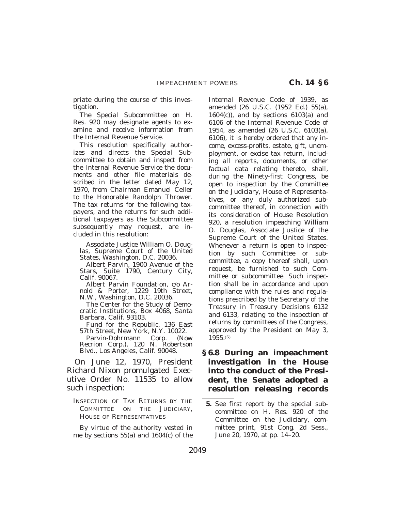priate during the course of this investigation.

The Special Subcommittee on H. Res. 920 may designate agents to examine and receive information from the Internal Revenue Service.

This resolution specifically authorizes and directs the Special Subcommittee to obtain and inspect from the Internal Revenue Service the documents and other file materials described in the letter dated May 12, 1970, from Chairman Emanuel Celler to the Honorable Randolph Thrower. The tax returns for the following taxpayers, and the returns for such additional taxpayers as the Subcommittee subsequently may request, are included in this resolution:

Associate Justice William O. Douglas, Supreme Court of the United States, Washington, D.C. 20036.

Albert Parvin, 1900 Avenue of the Stars, Suite 1790, Century City, Calif. 90067.

Albert Parvin Foundation, c/o Arnold & Porter, 1229 19th Street, N.W., Washington, D.C. 20036.

The Center for the Study of Democratic Institutions, Box 4068, Santa Barbara, Calif. 93103.

Fund for the Republic, 136 East 57th Street, New York, N.Y. 10022.

Parvin-Dohrmann Corp. (Now Recrion Corp.), 120 N. Robertson Blvd., Los Angeles, Calif. 90048.

On June 12, 1970, President Richard Nixon promulgated Executive Order No. 11535 to allow such inspection:

INSPECTION OF TAX RETURNS BY THE COMMITTEE ON THE JUDICIARY, HOUSE OF REPRESENTATIVES

By virtue of the authority vested in me by sections 55(a) and 1604(c) of the

Internal Revenue Code of 1939, as amended (26 U.S.C. (1952 Ed.) 55(a),  $1604(c)$ , and by sections  $6103(a)$  and 6106 of the Internal Revenue Code of 1954, as amended (26 U.S.C. 6103(a), 6106), it is hereby ordered that any income, excess-profits, estate, gift, unemployment, or excise tax return, including all reports, documents, or other factual data relating thereto, shall, during the Ninety-first Congress, be open to inspection by the Committee on the Judiciary, House of Representatives, or any duly authorized subcommittee thereof, in connection with its consideration of House Resolution 920, a resolution impeaching William O. Douglas, Associate Justice of the Supreme Court of the United States. Whenever a return is open to inspection by such Committee or subcommittee, a copy thereof shall, upon request, be furnished to such Committee or subcommittee. Such inspection shall be in accordance and upon compliance with the rules and regulations prescribed by the Secretary of the Treasury in Treasury Decisions 6132 and 6133, relating to the inspection of returns by committees of the Congress, approved by the President on May 3, 1955.(5)

**§ 6.8 During an impeachment investigation in the House into the conduct of the President, the Senate adopted a resolution releasing records**

**<sup>5.</sup>** See first report by the special subcommittee on H. Res. 920 of the Committee on the Judiciary, committee print, 91st Cong. 2d Sess., June 20, 1970, at pp. 14–20.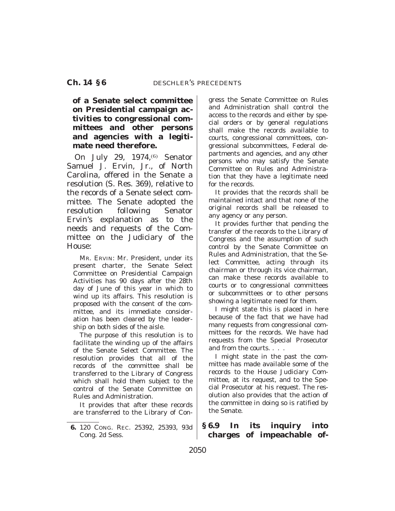# **of a Senate select committee on Presidential campaign activities to congressional committees and other persons and agencies with a legitimate need therefore.**

On July 29, 1974,<sup>(6)</sup> Senator Samuel J. Ervin, Jr., of North Carolina, offered in the Senate a resolution (S. Res. 369), relative to the records of a Senate select committee. The Senate adopted the resolution following Senator Ervin's explanation as to the needs and requests of the Committee on the Judiciary of the House:

MR. ERVIN: Mr. President, under its present charter, the Senate Select Committee on Presidential Campaign Activities has 90 days after the 28th day of June of this year in which to wind up its affairs. This resolution is proposed with the consent of the committee, and its immediate consideration has been cleared by the leadership on both sides of the aisle.

The purpose of this resolution is to facilitate the winding up of the affairs of the Senate Select Committee. The resolution provides that all of the records of the committee shall be transferred to the Library of Congress which shall hold them subject to the control of the Senate Committee on Rules and Administration.

It provides that after these records are transferred to the Library of Con-

gress the Senate Committee on Rules and Administration shall control the access to the records and either by special orders or by general regulations shall make the records available to courts, congressional committees, congressional subcommittees, Federal departments and agencies, and any other persons who may satisfy the Senate Committee on Rules and Administration that they have a legitimate need for the records.

It provides that the records shall be maintained intact and that none of the original records shall be released to any agency or any person.

It provides further that pending the transfer of the records to the Library of Congress and the assumption of such control by the Senate Committee on Rules and Administration, that the Select Committee, acting through its chairman or through its vice chairman, can make these records available to courts or to congressional committees or subcommittees or to other persons showing a legitimate need for them.

I might state this is placed in here because of the fact that we have had many requests from congressional committees for the records. We have had requests from the Special Prosecutor and from the courts. . . .

I might state in the past the committee has made available some of the records to the House Judiciary Committee, at its request, and to the Special Prosecutor at his request. The resolution also provides that the action of the committee in doing so is ratified by the Senate.

**§ 6.9 In its inquiry into charges of impeachable of-**

**<sup>6.</sup>** 120 CONG. REC. 25392, 25393, 93d Cong. 2d Sess.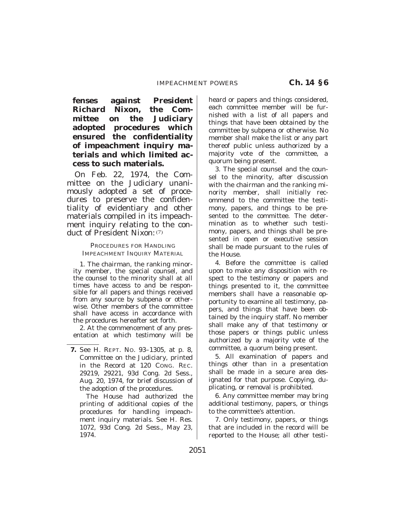**fenses against President Richard Nixon, the Committee on the Judiciary adopted procedures which ensured the confidentiality of impeachment inquiry materials and which limited access to such materials.**

On Feb. 22, 1974, the Committee on the Judiciary unanimously adopted a set of procedures to preserve the confidentiality of evidentiary and other materials compiled in its impeachment inquiry relating to the conduct of President Nixon: (7)

> PROCEDURES FOR HANDLING IMPEACHMENT INQUIRY MATERIAL

1. The chairman, the ranking minority member, the special counsel, and the counsel to the minority shall at all times have access to and be responsible for all papers and things received from any source by subpena or otherwise. Other members of the committee shall have access in accordance with the procedures hereafter set forth.

2. At the commencement of any presentation at which testimony will be

**7.** See H. REPT. NO. 93–1305, at p. 8, Committee on the Judiciary, printed in the Record at 120 CONG. REC. 29219, 29221, 93d Cong. 2d Sess., Aug. 20, 1974, for brief discussion of the adoption of the procedures.

The House had authorized the printing of additional copies of the procedures for handling impeachment inquiry materials. See H. Res. 1072, 93d Cong. 2d Sess., May 23, 1974.

heard or papers and things considered, each committee member will be furnished with a list of all papers and things that have been obtained by the committee by subpena or otherwise. No member shall make the list or any part thereof public unless authorized by a majority vote of the committee, a quorum being present.

3. The special counsel and the counsel to the minority, after discussion with the chairman and the ranking minority member, shall initially recommend to the committee the testimony, papers, and things to be presented to the committee. The determination as to whether such testimony, papers, and things shall be presented in open or executive session shall be made pursuant to the rules of the House.

4. Before the committee is called upon to make any disposition with respect to the testimony or papers and things presented to it, the committee members shall have a reasonable opportunity to examine all testimony, papers, and things that have been obtained by the inquiry staff. No member shall make any of that testimony or those papers or things public unless authorized by a majority vote of the committee, a quorum being present.

5. All examination of papers and things other than in a presentation shall be made in a secure area designated for that purpose. Copying, duplicating, or removal is prohibited.

6. Any committee member may bring additional testimony, papers, or things to the committee's attention.

7. Only testimony, papers, or things that are included in the record will be reported to the House; all other testi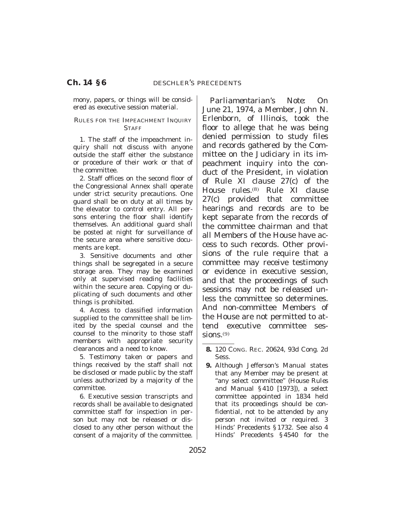mony, papers, or things will be considered as executive session material.

#### RULES FOR THE IMPEACHMENT INQUIRY **STAFF**

1. The staff of the impeachment inquiry shall not discuss with anyone outside the staff either the substance or procedure of their work or that of the committee.

2. Staff offices on the second floor of the Congressional Annex shall operate under strict security precautions. One guard shall be on duty at all times by the elevator to control entry. All persons entering the floor shall identify themselves. An additional guard shall be posted at night for surveillance of the secure area where sensitive documents are kept.

3. Sensitive documents and other things shall be segregated in a secure storage area. They may be examined only at supervised reading facilities within the secure area. Copying or duplicating of such documents and other things is prohibited.

4. Access to classified information supplied to the committee shall be limited by the special counsel and the counsel to the minority to those staff members with appropriate security clearances and a need to know.

5. Testimony taken or papers and things received by the staff shall not be disclosed or made public by the staff unless authorized by a majority of the committee.

6. Executive session transcripts and records shall be available to designated committee staff for inspection in person but may not be released or disclosed to any other person without the consent of a majority of the committee.

*Parliamentarian's Note:* On June 21, 1974, a Member, John N. Erlenborn, of Illinois, took the floor to allege that he was being denied permission to study files and records gathered by the Committee on the Judiciary in its impeachment inquiry into the conduct of the President, in violation of Rule XI clause 27(c) of the House rules.(8) Rule XI clause 27(c) provided that committee hearings and records are to be kept separate from the records of the committee chairman and that all Members of the House have access to such records. Other provisions of the rule require that a committee may receive testimony or evidence in executive session, and that the proceedings of such sessions may not be released unless the committee so determines. And non-committee Members of the House are not permitted to attend executive committee sessions. $(9)$ 

**9.** Although Jefferson's Manual states that any Member may be present at ''any select committee'' (*House Rules and Manual* § 410 [1973]), a select committee appointed in 1834 held that its proceedings should be confidential, not to be attended by any person not invited or required. 3 Hinds' Precedents § 1732. See also 4 Hinds' Precedents § 4540 for the

**<sup>8.</sup>** 120 CONG. REC. 20624, 93d Cong. 2d Sess.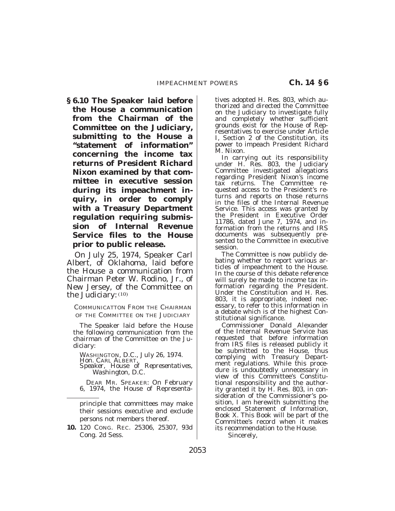**§ 6.10 The Speaker laid before the House a communication from the Chairman of the Committee on the Judiciary, submitting to the House a ''statement of information'' concerning the income tax returns of President Richard Nixon examined by that committee in executive session during its impeachment inquiry, in order to comply with a Treasury Department regulation requiring submission of Internal Revenue Service files to the House prior to public release.**

On July 25, 1974, Speaker Carl Albert, of Oklahoma, laid before the House a communication from Chairman Peter W. Rodino, Jr., of New Jersey, of the Committee on the Judiciary: (10)

COMMUNICATTON FROM THE CHAIRMAN OF THE COMMITTEE ON THE JUDICIARY

The Speaker laid before the House the following communication from the chairman of the Committee on the Judiciary:

WASHINGTON, D.C., *July 26, 1974.* Hon. CARL ALBERT, *Speaker, House of Representatives, Washington, D.C.*

DEAR MR. SPEAKER: On February 6, 1974, the House of Representa-

principle that committees may make their sessions executive and exclude persons not members thereof.

**10.** 120 CONG. REC. 25306, 25307, 93d Cong. 2d Sess.

tives adopted H. Res. 803, which authorized and directed the Committee on the Judiciary to investigate fully and completely whether sufficient grounds exist for the House of Representatives to exercise under Article I, Section 2 of the Constitution, its power to impeach President Richard M. Nixon.

In carrying out its responsibility under H. Res. 803, the Judiciary Committee investigated allegations regarding President Nixon's income tax returns. The Committee requested access to the President's returns and reports on those returns in the files of the Internal Revenue Service. This access was granted by the President in Executive Order 11786, dated June 7, 1974, and information from the returns and IRS documents was subsequently presented to the Committee in executive session.

The Committee is now publicly de-<br>bating whether to report various articles of impeachment to the House. In the course of this debate reference will surely be made to income tax information regarding the President. Under the Constitution and H. Res. 803, it is appropriate, indeed necessary, to refer to this information in a debate which is of the highest Constitutional significance.

Commissioner Donald Alexander of the Internal Revenue Service has requested that before information from IRS files is released publicly it be submitted to the House, thus complying with Treasury Department regulations. While this procedure is undoubtedly unnecessary in view of this Committee's Constitutional responsibility and the authority granted it by H. Res. 803, in consideration of the Commissioner's position, I am herewith submitting the enclosed Statement of Information, Book X. This Book will be part of the Committee's record when it makes its recommendation to the House.

Sincerely,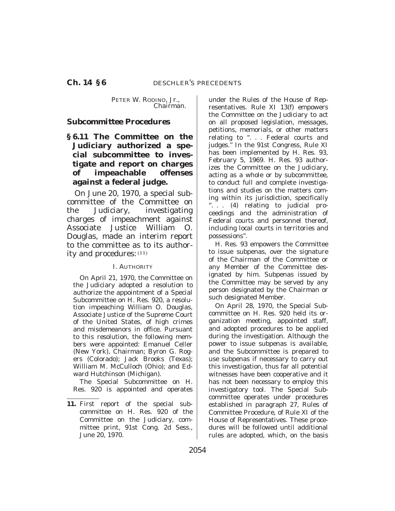PETER W. RODINO, Jr., *Chairman.*

#### *Subcommittee Procedures*

# **§ 6.11 The Committee on the Judiciary authorized a special subcommittee to investigate and report on charges of impeachable offenses against a federal judge.**

On June 20, 1970, a special subcommittee of the Committee on the Judiciary, investigating charges of impeachment against Associate Justice William O. Douglas, made an interim report to the committee as to its authority and procedures: (11)

I. AUTHORITY

On April 21, 1970, the Committee on the Judiciary adopted a resolution to authorize the appointment of a Special Subcommittee on H. Res. 920, a resolution impeaching William O. Douglas, Associate Justice of the Supreme Court of the United States, of high crimes and misdemeanors in office. Pursuant to this resolution, the following members were appointed: Emanuel Celler (New York), Chairman; Byron G. Rogers (Colorado); Jack Brooks (Texas); William M. McCulloch (Ohio); and Edward Hutchinson (Michigan).

The Special Subcommittee on H. Res. 920 is appointed and operates under the Rules of the House of Representatives. Rule XI 13(f) empowers the Committee on the Judiciary to act on all proposed legislation, messages, petitions, memorials, or other matters relating to ". . . Federal courts and judges.'' In the 91st Congress, Rule XI has been implemented by H. Res. 93, February 5, 1969. H. Res. 93 authorizes the Committee on the Judiciary, acting as a whole or by subcommittee, to conduct full and complete investigations and studies on the matters coming within its jurisdiction, specifically ''. . . (4) relating to judicial proceedings and the administration of Federal courts and personnel thereof, including local courts in territories and possessions''.

H. Res. 93 empowers the Committee to issue subpenas, over the signature of the Chairman of the Committee or any Member of the Committee designated by him. Subpenas issued by the Committee may be served by any person designated by the Chairman or such designated Member.

On April 28, 1970, the Special Subcommittee on H. Res. 920 held its organization meeting, appointed staff, and adopted procedures to be applied during the investigation. Although the power to issue subpenas is available, and the Subcommittee is prepared to use subpenas if necessary to carry out this investigation, thus far all potential witnesses have been cooperative and it has not been necessary to employ this investigatory tool. The Special Subcommittee operates under procedures established in paragraph 27, Rules of Committee Procedure, of Rule XI of the House of Representatives. These procedures will be followed until additional rules are adopted, which, on the basis

**<sup>11.</sup>** First report of the special subcommittee on H. Res. 920 of the Committee on the Judiciary, committee print, 91st Cong. 2d Sess., June 20, 1970.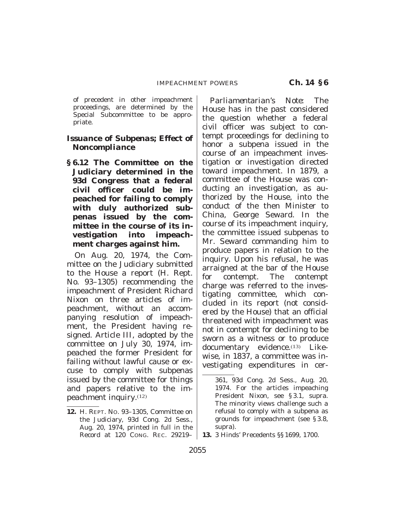of precedent in other impeachment proceedings, are determined by the Special Subcommittee to be appropriate.

## *Issuance of Subpenas; Effect of Noncompliance*

**§ 6.12 The Committee on the Judiciary determined in the 93d Congress that a federal civil officer could be impeached for failing to comply with duly authorized subpenas issued by the committee in the course of its investigation into impeachment charges against him.**

On Aug. 20, 1974, the Committee on the Judiciary submitted to the House a report (H. Rept. No. 93–1305) recommending the impeachment of President Richard Nixon on three articles of impeachment, without an accompanying resolution of impeachment, the President having resigned. Article III, adopted by the committee on July 30, 1974, impeached the former President for failing without lawful cause or excuse to comply with subpenas issued by the committee for things and papers relative to the impeachment inquiry.(12)

*Parliamentarian's Note:* The House has in the past considered the question whether a federal civil officer was subject to contempt proceedings for declining to honor a subpena issued in the course of an impeachment investigation or investigation directed toward impeachment. In 1879, a committee of the House was conducting an investigation, as authorized by the House, into the conduct of the then Minister to China, George Seward. In the course of its impeachment inquiry, the committee issued subpenas to Mr. Seward commanding him to produce papers in relation to the inquiry. Upon his refusal, he was arraigned at the bar of the House for contempt. The contempt charge was referred to the investigating committee, which concluded in its report (not considered by the House) that an official threatened with impeachment was not in contempt for declining to be sworn as a witness or to produce documentary evidence.<sup>(13)</sup> Likewise, in 1837, a committee was investigating expenditures in cer-

**<sup>12.</sup>** H. REPT. NO. 93–1305, Committee on the Judiciary, 93d Cong. 2d Sess., Aug. 20, 1974, printed in full in the Record at 120 CONG. REC. 29219–

<sup>361, 93</sup>d Cong. 2d Sess., Aug. 20, 1974. For the articles impeaching President Nixon, see § 3.1, supra. The minority views challenge such a refusal to comply with a subpena as grounds for impeachment (see § 3.8, supra).

**<sup>13.</sup>** 3 Hinds' Precedents §§ 1699, 1700.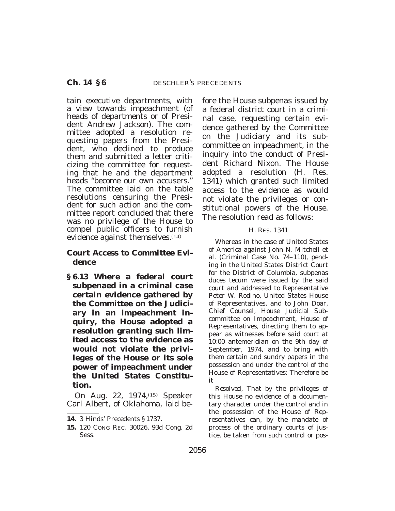tain executive departments, with a view towards impeachment (of heads of departments or of President Andrew Jackson). The committee adopted a resolution requesting papers from the President, who declined to produce them and submitted a letter criticizing the committee for requesting that he and the department heads ''become our own accusers.'' The committee laid on the table resolutions censuring the President for such action and the committee report concluded that there was no privilege of the House to compel public officers to furnish evidence against themselves.<sup>(14)</sup>

## *Court Access to Committee Evidence*

**§ 6.13 Where a federal court subpenaed in a criminal case certain evidence gathered by the Committee on the Judiciary in an impeachment inquiry, the House adopted a resolution granting such limited access to the evidence as would not violate the privileges of the House or its sole power of impeachment under the United States Constitution.**

On Aug. 22, 1974,(15) Speaker Carl Albert, of Oklahoma, laid be-

fore the House subpenas issued by a federal district court in a criminal case, requesting certain evidence gathered by the Committee on the Judiciary and its subcommittee on impeachment, in the inquiry into the conduct of President Richard Nixon. The House adopted a resolution (H. Res. 1341) which granted such limited access to the evidence as would not violate the privileges or constitutional powers of the House. The resolution read as follows:

#### H. RES. 1341

Whereas in the case of United States of America against John N. Mitchell et al. (Criminal Case No. 74–110), pending in the United States District Court for the District of Columbia, subpenas duces tecum were issued by the said court and addressed to Representative Peter W. Rodino, United States House of Representatives, and to John Doar, Chief Counsel, House Judicial Subcommittee on Impeachment, House of Representatives, directing them to appear as witnesses before said court at 10:00 antemeridian on the 9th day of September, 1974, and to bring with them certain and sundry papers in the possession and under the control of the House of Representatives: Therefore be it

*Resolved,* That by the privileges of this House no evidence of a documentary character under the control and in the possession of the House of Representatives can, by the mandate of process of the ordinary courts of justice, be taken from such control or pos-

**<sup>14.</sup>** 3 Hinds' Precedents § 1737.

**<sup>15.</sup>** 120 CONG REC. 30026, 93d Cong. 2d Sess.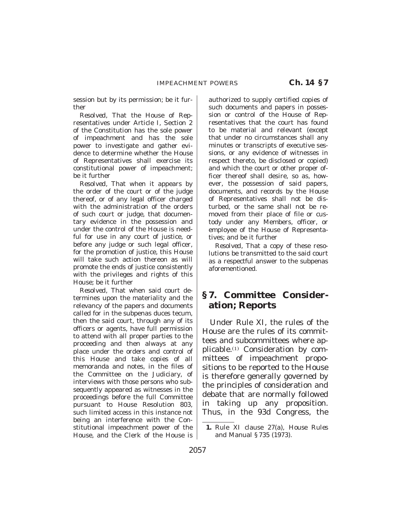session but by its permission; be it further

*Resolved,* That the House of Representatives under Article I, Section 2 of the Constitution has the sole power of impeachment and has the sole power to investigate and gather evidence to determine whether the House of Representatives shall exercise its constitutional power of impeachment; be it further

*Resolved,* That when it appears by the order of the court or of the judge thereof, or of any legal officer charged with the administration of the orders of such court or judge, that documentary evidence in the possession and under the control of the House is needful for use in any court of justice, or before any judge or such legal officer, for the promotion of justice, this House will take such action thereon as will promote the ends of justice consistently with the privileges and rights of this House; be it further

*Resolved,* That when said court determines upon the materiality and the relevancy of the papers and documents called for in the subpenas duces tecum, then the said court, through any of its officers or agents, have full permission to attend with all proper parties to the proceeding and then always at any place under the orders and control of this House and take copies of all memoranda and notes, in the files of the Committee on the Judiciary, of interviews with those persons who subsequently appeared as witnesses in the proceedings before the full Committee pursuant to House Resolution 803, such limited access in this instance not being an interference with the Constitutional impeachment power of the House, and the Clerk of the House is

authorized to supply certified copies of such documents and papers in possession or control of the House of Representatives that the court has found to be material and relevant (except that under no circumstances shall any minutes or transcripts of executive sessions, or any evidence of witnesses in respect thereto, be disclosed or copied) and which the court or other proper officer thereof shall desire, so as, however, the possession of said papers, documents, and records by the House of Representatives shall not be disturbed, or the same shall not be removed from their place of file or custody under any Members, officer, or employee of the House of Representatives; and be it further

*Resolved,* That a copy of these resolutions be transmitted to the said court as a respectful answer to the subpenas aforementioned.

# **§ 7. Committee Consideration; Reports**

Under Rule XI, the rules of the House are the rules of its committees and subcommittees where applicable.(1) Consideration by committees of impeachment propositions to be reported to the House is therefore generally governed by the principles of consideration and debate that are normally followed in taking up any proposition. Thus, in the 93d Congress, the

**<sup>1.</sup>** Rule XI clause 27(a), *House Rules and Manual* § 735 (1973).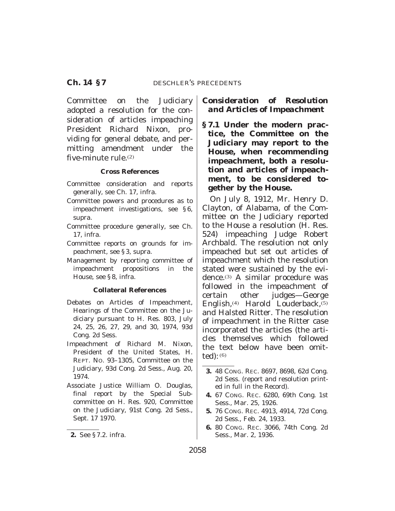Committee on the Judiciary adopted a resolution for the consideration of articles impeaching President Richard Nixon, providing for general debate, and permitting amendment under the five-minute rule.(2)

#### **Cross References**

- Committee consideration and reports generally, see Ch. 17, infra.
- Committee powers and procedures as to impeachment investigations, see § 6, supra.
- Committee procedure generally, see Ch. 17, infra.
- Committee reports on grounds for impeachment, see § 3, supra.
- Management by reporting committee of impeachment propositions in the House, see § 8, infra.

#### **Collateral References**

- Debates on Articles of Impeachment, Hearings of the Committee on the Judiciary pursuant to H. Res. 803, July 24, 25, 26, 27, 29, and 30, 1974, 93d Cong. 2d Sess.
- Impeachment of Richard M. Nixon, President of the United States, H. REPT. NO. 93–1305, Committee on the Judiciary, 93d Cong. 2d Sess., Aug. 20, 1974.
- Associate Justice William O. Douglas, final report by the Special Subcommittee on H. Res. 920, Committee on the Judiciary, 91st Cong. 2d Sess., Sept. 17 1970.

## *Consideration of Resolution and Articles of Impeachment*

**§ 7.1 Under the modern practice, the Committee on the Judiciary may report to the House, when recommending impeachment, both a resolution and articles of impeachment, to be considered together by the House.**

On July 8, 1912, Mr. Henry D. Clayton, of Alabama, of the Committee on the Judiciary reported to the House a resolution (H. Res. 524) impeaching Judge Robert Archbald. The resolution not only impeached but set out articles of impeachment which the resolution stated were sustained by the evidence.(3) A similar procedure was followed in the impeachment of certain other judges—George English,(4) Harold Louderback,(5) and Halsted Ritter. The resolution of impeachment in the Ritter case incorporated the articles (the articles themselves which followed the text below have been omit $ted)$ : (6)

- **4.** 67 CONG. REC. 6280, 69th Cong. 1st Sess., Mar. 25, 1926.
- **5.** 76 CONG. REC. 4913, 4914, 72d Cong. 2d Sess., Feb. 24, 1933.
- **6.** 80 CONG. REC. 3066, 74th Cong. 2d Sess., Mar. 2, 1936.

**<sup>2.</sup>** See § 7.2. infra.

**<sup>3.</sup>** 48 CONG. REC. 8697, 8698, 62d Cong. 2d Sess. (report and resolution printed in full in the Record).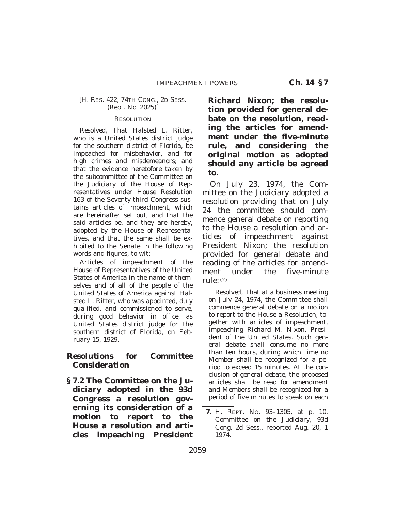#### [H. RES. 422, 74TH CONG., 2D SESS. (Rept. No. 2025)]

#### **RESOLUTION**

*Resolved,* That Halsted L. Ritter, who is a United States district judge for the southern district of Florida, be impeached for misbehavior, and for high crimes and misdemeanors; and that the evidence heretofore taken by the subcommittee of the Committee on the Judiciary of the House of Representatives under House Resolution 163 of the Seventy-third Congress sustains articles of impeachment, which are hereinafter set out, and that the said articles be, and they are hereby, adopted by the House of Representatives, and that the same shall be exhibited to the Senate in the following words and figures, to wit:

Articles of impeachment of the House of Representatives of the United States of America in the name of themselves and of all of the people of the United States of America against Halsted L. Ritter, who was appointed, duly qualified, and commissioned to serve, during good behavior in office, as United States district judge for the southern district of Florida, on February 15, 1929.

## *Resolutions for Committee Consideration*

**§ 7.2 The Committee on the Judiciary adopted in the 93d Congress a resolution governing its consideration of a motion to report to the House a resolution and articles impeaching President** **Richard Nixon; the resolution provided for general debate on the resolution, reading the articles for amendment under the five-minute rule, and considering the original motion as adopted should any article be agreed to.**

On July 23, 1974, the Committee on the Judiciary adopted a resolution providing that on July 24 the committee should commence general debate on reporting to the House a resolution and articles of impeachment against President Nixon; the resolution provided for general debate and reading of the articles for amendment under the five-minute rule: (7)

*Resolved,* That at a business meeting on July 24, 1974, the Committee shall commence general debate on a motion to report to the House a Resolution, together with articles of impeachment, impeaching Richard M. Nixon, President of the United States. Such general debate shall consume no more than ten hours, during which time no Member shall be recognized for a period to exceed 15 minutes. At the conclusion of general debate, the proposed articles shall be read for amendment and Members shall be recognized for a period of five minutes to speak on each

**<sup>7.</sup>** H. REPT. NO. 93–1305, at p. 10, Committee on the Judiciary, 93d Cong. 2d Sess., reported Aug. 20, 1 1974.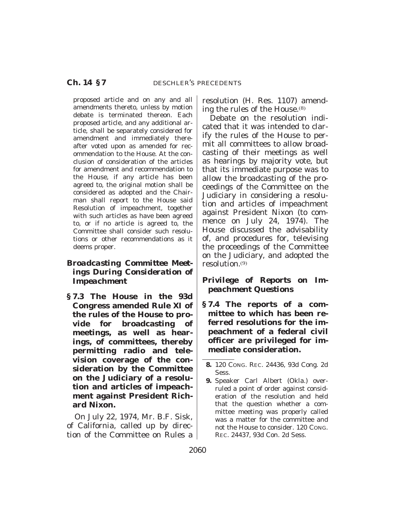proposed article and on any and all amendments thereto, unless by motion debate is terminated thereon. Each proposed article, and any additional article, shall be separately considered for amendment and immediately thereafter voted upon as amended for recommendation to the House. At the conclusion of consideration of the articles for amendment and recommendation to the House, if any article has been agreed to, the original motion shall be considered as adopted and the Chairman shall report to the House said Resolution of impeachment, together with such articles as have been agreed to, or if no article is agreed to, the Committee shall consider such resolutions or other recommendations as it deems proper.

# *Broadcasting Committee Meetings During Consideration of Impeachment*

**§ 7.3 The House in the 93d Congress amended Rule XI of the rules of the House to provide for broadcasting of meetings, as well as hearings, of committees, thereby permitting radio and television coverage of the consideration by the Committee on the Judiciary of a resolution and articles of impeachment against President Richard Nixon.**

On July 22, 1974, Mr. B.F. Sisk, of California, called up by direction of the Committee on Rules a

resolution (H. Res. 1107) amending the rules of the House.(8)

Debate on the resolution indicated that it was intended to clarify the rules of the House to permit all committees to allow broadcasting of their meetings as well as hearings by majority vote, but that its immediate purpose was to allow the broadcasting of the proceedings of the Committee on the Judiciary in considering a resolution and articles of impeachment against President Nixon (to commence on July 24, 1974). The House discussed the advisability of, and procedures for, televising the proceedings of the Committee on the Judiciary, and adopted the resolution.(9)

## *Privilege of Reports on Impeachment Questions*

**§ 7.4 The reports of a committee to which has been referred resolutions for the impeachment of a federal civil officer are privileged for immediate consideration.**

**<sup>8.</sup>** 120 CONG. REC. 24436, 93d Cong. 2d Sess.

**<sup>9.</sup>** Speaker Carl Albert (Okla.) overruled a point of order against consideration of the resolution and held that the question whether a committee meeting was properly called was a matter for the committee and not the House to consider. 120 CONG. REC. 24437, 93d Con. 2d Sess.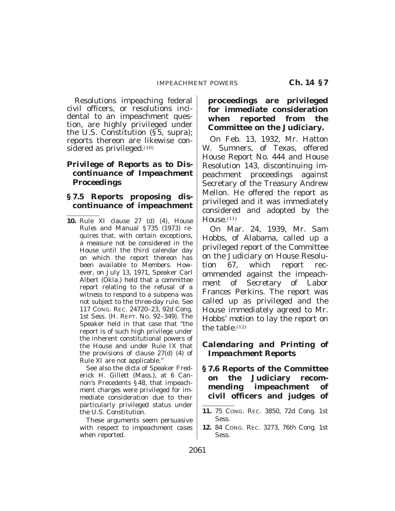Resolutions impeaching federal civil officers, or resolutions incidental to an impeachment question, are highly privileged under the U.S. Constitution (§ 5, supra); reports thereon are likewise considered as privileged. $(10)$ 

# *Privilege of Reports as to Discontinuance of Impeachment Proceedings*

#### **§ 7.5 Reports proposing discontinuance of impeachment**

**10.** Rule XI clause 27 (d) (4), *House Rules and Manual* § 735 (1973) requires that, with certain exceptions, a measure not be considered in the House until the third calendar day on which the report thereon has been available to Members. However, on July 13, 1971, Speaker Carl Albert (Okla.) held that a committee report relating to the refusal of a witness to respond to a subpena was not subject to the three-day rule. See 117 CONG. REC. 24720–23, 92d Cong. 1st Sess. (H. REPT. NO. 92–349). The Speaker held in that case that ''the report is of such high privilege under the inherent constitutional powers of the House and under Rule IX that the provisions of clause 27(d) (4) of Rule XI are not applicable.''

See also the dicta of Speaker Frederick H. Gillett (Mass.), at 6 Cannon's Precedents § 48, that impeachment charges were privileged for immediate consideration due to their particularly privileged status under the U.S. Constitution.

These arguments seem persuasive with respect to impeachment cases when reported.

# **proceedings are privileged for immediate consideration when reported from the Committee on the Judiciary.**

On Feb. 13, 1932, Mr. Hatton W. Sumners, of Texas, offered House Report No. 444 and House Resolution 143, discontinuing impeachment proceedings against Secretary of the Treasury Andrew Mellon. He offered the report as privileged and it was immediately considered and adopted by the House.<sup>(11)</sup>

On Mar. 24, 1939, Mr. Sam Hobbs, of Alabama, called up a privileged report of the Committee on the Judiciary on House Resolution 67, which report recommended against the impeachment of Secretary of Labor Frances Perkins. The report was called up as privileged and the House immediately agreed to Mr. Hobbs' motion to lay the report on the table. $(12)$ 

## *Calendaring and Printing of Impeachment Reports*

- **§ 7.6 Reports of the Committee on the Judiciary recommending impeachment of civil officers and judges of**
- **11.** 75 CONG. REC. 3850, 72d Cong. 1st Sess.
- **12.** 84 CONG. REC. 3273, 76th Cong. 1st Sess.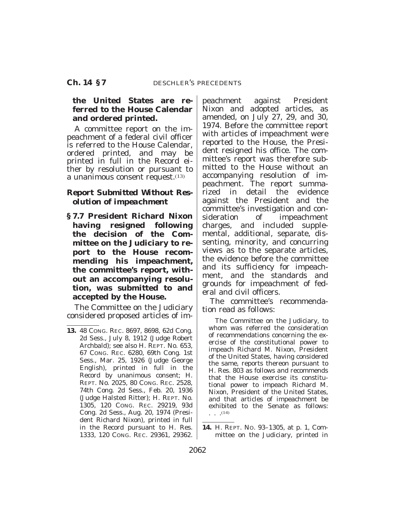## **the United States are referred to the House Calendar and ordered printed.**

A committee report on the impeachment of a federal civil officer is referred to the House Calendar, ordered printed, and may be printed in full in the Record either by resolution or pursuant to a unanimous consent request. $(13)$ 

## *Report Submitted Without Resolution of impeachment*

**§ 7.7 President Richard Nixon having resigned following the decision of the Committee on the Judiciary to report to the House recommending his impeachment, the committee's report, without an accompanying resolution, was submitted to and accepted by the House.**

The Committee on the Judiciary considered proposed articles of im-

**13.** 48 CONG. REC. 8697, 8698, 62d Cong. 2d Sess., July 8, 1912 (Judge Robert Archbald); see also H. REPT. No. 653, 67 CONG. REC. 6280, 69th Cong. 1st Sess., Mar. 25, 1926 (Judge George English), printed in full in the Record by unanimous consent; H. REPT. No. 2025, 80 CONG. REC. 2528, 74th Cong. 2d Sess., Feb. 20, 1936 (Judge Halsted Ritter); H. REPT. No. 1305, 120 CONG. REC. 29219, 93d Cong. 2d Sess., Aug. 20, 1974 (President Richard Nixon), printed in full in the Record pursuant to H. Res. 1333, 120 CONG. REC. 29361, 29362.

peachment against President Nixon and adopted articles, as amended, on July 27, 29, and 30, 1974. Before the committee report with articles of impeachment were reported to the House, the President resigned his office. The committee's report was therefore submitted to the House without an accompanying resolution of impeachment. The report summarized in detail the evidence against the President and the committee's investigation and consideration of impeachment charges, and included supplemental, additional, separate, dissenting, minority, and concurring views as to the separate articles, the evidence before the committee and its sufficiency for impeachment, and the standards and grounds for impeachment of federal and civil officers.

The committee's recommendation read as follows:

The Committee on the Judiciary, to whom was referred the consideration of recommendations concerning the exercise of the constitutional power to impeach Richard M. Nixon, President of the United States, having considered the same, reports thereon pursuant to H. Res. 803 as follows and recommends that the House exercise its constitutional power to impeach Richard M. Nixon, President of the United States, and that articles of impeachment be exhibited to the Senate as follows: ...(14)

**14.** H. REPT. NO. 93–1305, at p. 1, Committee on the Judiciary, printed in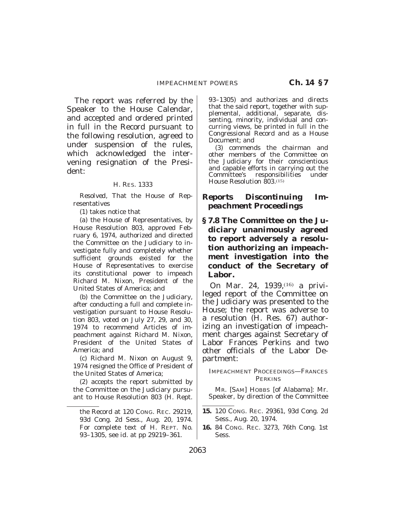The report was referred by the Speaker to the House Calendar, and accepted and ordered printed in full in the Record pursuant to the following resolution, agreed to under suspension of the rules, which acknowledged the intervening resignation of the President:

#### H. RES. 1333

*Resolved,* That the House of Representatives

(1) takes notice that

(a) the House of Representatives, by House Resolution 803, approved February 6, 1974, authorized and directed the Committee on the Judiciary to investigate fully and completely whether sufficient grounds existed for the House of Representatives to exercise its constitutional power to impeach Richard M. Nixon, President of the United States of America; and

(b) the Committee on the Judiciary, after conducting a full and complete investigation pursuant to House Resolution 803, voted on July 27, 29, and 30, 1974 to recommend Articles of impeachment against Richard M. Nixon, President of the United States of America; and

(c) Richard M. Nixon on August 9, 1974 resigned the Office of President of the United States of America;

(2) accepts the report submitted by the Committee on the Judiciary pursuant to House Resolution 803 (H. Rept.

93–1305) and authorizes and directs that the said report, together with supplemental, additional, separate, dissenting, minority, individual and concurring views, be printed in full in the Congressional Record and as a House Document; and

(3) commends the chairman and other members of the Committee on the Judiciary for their conscientious and capable efforts in carrying out the Committee's responsibilities under House Resolution 803.(15)

#### *Reports Discontinuing Impeachment Proceedings*

**§ 7.8 The Committee on the Judiciary unanimously agreed to report adversely a resolution authorizing an impeachment investigation into the conduct of the Secretary of Labor.**

On Mar. 24, 1939,(16) a privileged report of the Committee on the Judiciary was presented to the House; the report was adverse to a resolution (H. Res. 67) authorizing an investigation of impeachment charges against Secretary of Labor Frances Perkins and two other officials of the Labor Department:

IMPEACHMENT PROCEEDINGS—FRANCES **PERKINS** 

MR. [SAM] HOBBS [of Alabama]: Mr. Speaker, by direction of the Committee

**16.** 84 CONG. REC. 3273, 76th Cong. 1st Sess.

the Record at 120 CONG. REC. 29219, 93d Cong. 2d Sess., Aug. 20, 1974. For complete text of H. REPT. No. 93–1305, see *id.* at pp 29219–361.

**<sup>15.</sup>** 120 CONG. REC. 29361, 93d Cong. 2d Sess., Aug. 20, 1974.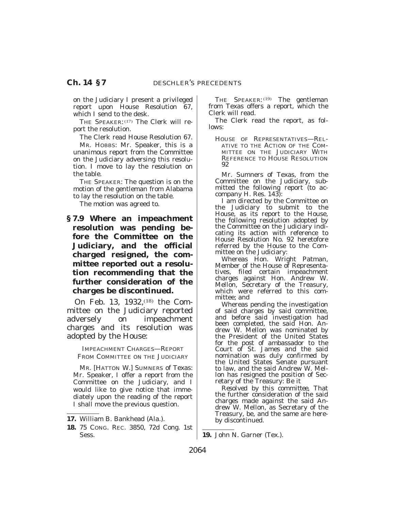on the Judiciary I present a privileged report upon House Resolution 67, which I send to the desk.

THE SPEAKER: (17) The Clerk will report the resolution.

The Clerk read House Resolution 67. MR. HOBBS: Mr. Speaker, this is a unanimous report from the Committee on the Judiciary adversing this resolution. I move to lay the resolution on the table.

THE SPEAKER: The question is on the motion of the gentleman from Alabama to lay the resolution on the table.

The motion was agreed to.

**§ 7.9 Where an impeachment resolution was pending before the Committee on the Judiciary, and the official charged resigned, the committee reported out a resolution recommending that the further consideration of the charges be discontinued.**

On Feb. 13, 1932, (18) the Committee on the Judiciary reported adversely on impeachment charges and its resolution was adopted by the House:

IMPEACHMENT CHARGES—REPORT FROM COMMITTEE ON THE JUDICIARY

MR. [HATTON W.] SUMNERS of Texas: Mr. Speaker, I offer a report from the Committee on the Judiciary, and I would like to give notice that immediately upon the reading of the report I shall move the previous question.

- **17.** William B. Bankhead (Ala.).
- **18.** 75 CONG. REC. 3850, 72d Cong. 1st Sess. **19.** John N. Garner (Tex.).

THE SPEAKER: (19) The gentleman from Texas offers a report, which the Clerk will read.

The Clerk read the report, as follows:

HOUSE OF REPRESENTATIVES—REL- ATIVE TO THE ACTION OF THE COM- MITTEE ON THE JUDICIARY WITH REFERENCE TO HOUSE RESOLUTION 92

Mr. Sumners of Texas, from the Committee on the Judiciary, submitted the following report (to accompany H. Res. 143):

I am directed by the Committee on the Judiciary to submit to the House, as its report to the House, the following resolution adopted by the Committee on the Judiciary indicating its action with reference to House Resolution No. 92 heretofore referred by the House to the Committee on the Judiciary:

Whereas Hon. Wright Patman, Member of the House of Representatives, filed certain impeachment charges against Hon. Andrew W. Mellon, Secretary of the Treasury, which were referred to this committee; and

Whereas pending the investigation of said charges by said committee, and before said investigation had been completed, the said Hon. Andrew W. Mellon was nominated by the President of the United States for the post of ambassador to the Court of St. James and the said nomination was duly confirmed by the United States Senate pursuant to law, and the said Andrew W. Mellon has resigned the position of Secretary of the Treasury: Be it

*Resolved by this committee,* That the further consideration of the said charges made against the said Andrew W. Mellon, as Secretary of the Treasury, be, and the same are hereby discontinued.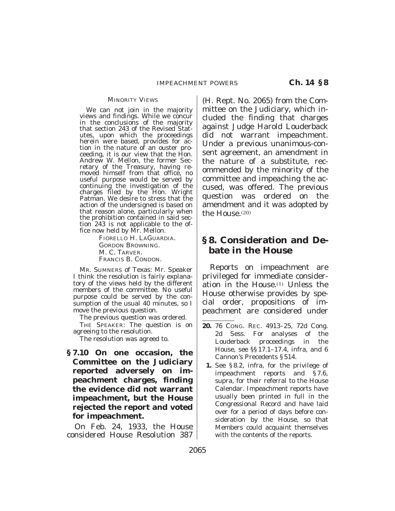#### MINORITY VIEWS

We can not join in the majority views and findings. While we concur in the conclusions of the majority that section 243 of the Revised Statutes, upon which the proceedings herein were based, provides for action in the nature of an ouster proceeding, it is our view that the Hon. Andrew W. Mellon, the former Secretary of the Treasury, having removed himself from that office, no useful purpose would be served by continuing the investigation of the charges filed by the Hon. Wright Patman. We desire to stress that the action of the undersigned is based on that reason alone, particularly when the prohibition contained in said section 243 is not applicable to the office now held by Mr. Mellon.

> FIORELLO H. LAGUARDIA. GORDON BROWNING. M. C. TARVER. FRANCIS B. CONDON.

MR. SUMNERS of Texas: Mr. Speaker I think the resolution is fairly explanatory of the views held by the different members of the committee. No useful purpose could be served by the consumption of the usual 40 minutes, so I move the previous question.

The previous question was ordered.

THE SPEAKER: The question is on agreeing to the resolution.

The resolution was agreed to.

**§ 7.10 On one occasion, the Committee on the Judiciary reported adversely on impeachment charges, finding the evidence did not warrant impeachment, but the House rejected the report and voted for impeachment.**

On Feb. 24, 1933, the House considered House Resolution 387

(H. Rept. No. 2065) from the Committee on the Judiciary, which included the finding that charges against Judge Harold Louderback did not warrant impeachment. Under a previous unanimous-consent agreement, an amendment in the nature of a substitute, recommended by the minority of the committee and impeaching the accused, was offered. The previous question was ordered on the amendment and it was adopted by the House.(20)

# **§ 8. Consideration and Debate in the House**

Reports on impeachment are privileged for immediate consideration in the House.(1) Unless the House otherwise provides by special order, propositions of impeachment are considered under

- **20.** 76 CONG. REC. 4913–25, 72d Cong. 2d Sess. For analyses of the Louderback proceedings in the House, see §§ 17.1–17.4, infra, and 6 Cannon's Precedents § 514.
- **1.** See § 8.2, infra, for the privilege of impeachment reports and § 7.6, supra, for their referral to the House Calendar. Impeachment reports have usually been printed in full in the *Congressional Record* and have laid over for a period of days before consideration by the House, so that Members could acquaint themselves with the contents of the reports.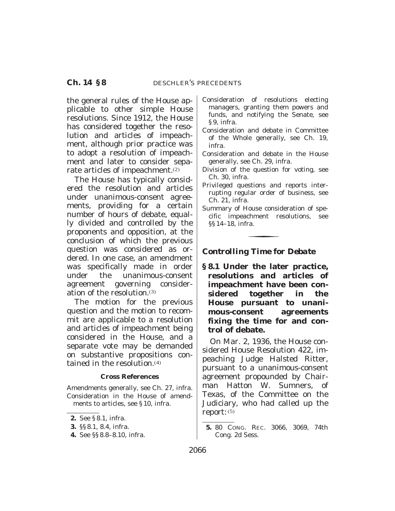the general rules of the House applicable to other simple House resolutions. Since 1912, the House has considered together the resolution and articles of impeachment, although prior practice was to adopt a resolution of impeachment and later to consider separate articles of impeachment.(2)

The House has typically considered the resolution and articles under unanimous-consent agreements, providing for a certain number of hours of debate, equally divided and controlled by the proponents and opposition, at the conclusion of which the previous question was considered as ordered. In one case, an amendment was specifically made in order under the unanimous-consent agreement governing consideration of the resolution.(3)

The motion for the previous question and the motion to recommit are applicable to a resolution and articles of impeachment being considered in the House, and a separate vote may be demanded on substantive propositions contained in the resolution.(4)

#### **Cross References**

Amendments generally, see Ch. 27, infra. Consideration in the House of amendments to articles, see § 10, infra.

- Consideration of resolutions electing managers, granting them powers and funds, and notifying the Senate, see § 9, infra.
- Consideration and debate in Committee of the Whole generally, see Ch. 19, infra.
- Consideration and debate in the House generally, see Ch. 29, infra.
- Division of the question for voting, see Ch. 30, infra.
- Privileged questions and reports interrupting regular order of business, see Ch. 21, infra.
- Summary of House consideration of specific impeachment resolutions, see §§ 14–18, infra.

**Contract Contract Contract** 

#### *Controlling Time for Debate*

**§ 8.1 Under the later practice, resolutions and articles of impeachment have been considered together in the House pursuant to unanimous-consent agreements fixing the time for and control of debate.**

On Mar. 2, 1936, the House considered House Resolution 422, impeaching Judge Halsted Ritter, pursuant to a unanimous-consent agreement propounded by Chairman Hatton W. Sumners, of Texas, of the Committee on the Judiciary, who had called up the report:  $(5)$ 

**<sup>2.</sup>** See § 8.1, infra.

**<sup>3.</sup>** §§ 8.1, 8.4, infra.

**<sup>4.</sup>** See §§ 8.8–8.10, infra.

**<sup>5.</sup>** 80 CONG. REC. 3066, 3069, 74th Cong. 2d Sess.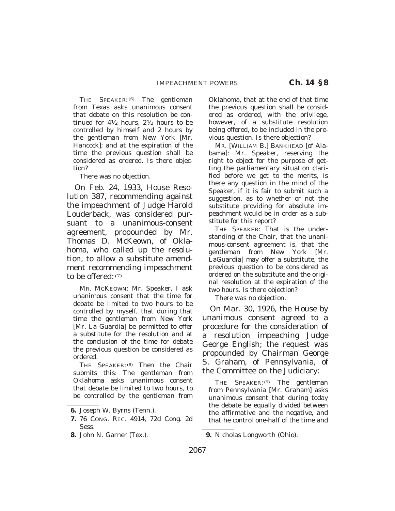THE SPEAKER: <sup>(6)</sup> The gentleman from Texas asks unanimous consent that debate on this resolution be continued for  $4\frac{1}{2}$  hours,  $2\frac{1}{2}$  hours to be controlled by himself and 2 hours by the gentleman from New York [Mr. Hancock]; and at the expiration of the time the previous question shall be considered as ordered. Is there objection?

There was no objection.

On Feb. 24, 1933, House Resolution 387, recommending against the impeachment of Judge Harold Louderback, was considered pursuant to a unanimous-consent agreement, propounded by Mr. Thomas D. McKeown, of Oklahoma, who called up the resolution, to allow a substitute amendment recommending impeachment to be offered: (7)

MR. MCKEOWN: Mr. Speaker, I ask unanimous consent that the time for debate be limited to two hours to be controlled by myself, that during that time the gentleman from New York [Mr. La Guardia] be permitted to offer a substitute for the resolution and at the conclusion of the time for debate the previous question be considered as ordered.

THE SPEAKER: (8) Then the Chair submits this: The gentleman from Oklahoma asks unanimous consent that debate be limited to two hours, to be controlled by the gentleman from

Oklahoma, that at the end of that time the previous question shall be considered as ordered, with the privilege, however, of a substitute resolution being offered, to be included in the previous question. Is there objection?

MR. [WILLIAM B.] BANKHEAD [of Alabama]: Mr. Speaker, reserving the right to object for the purpose of getting the parliamentary situation clarified before we get to the merits, is there any question in the mind of the Speaker, if it is fair to submit such a suggestion, as to whether or not the substitute providing for absolute impeachment would be in order as a substitute for this report?

THE SPEAKER: That is the understanding of the Chair, that the unanimous-consent agreement is, that the gentleman from New York [Mr. LaGuardia] may offer a substitute, the previous question to be considered as ordered on the substitute and the original resolution at the expiration of the two hours. Is there objection?

There was no objection.

On Mar. 30, 1926, the House by unanimous consent agreed to a procedure for the consideration of a resolution impeaching Judge George English; the request was propounded by Chairman George S. Graham, of Pennsylvania, of the Committee on the Judiciary:

THE SPEAKER: (9) The gentleman from Pennsylvania [Mr. Graham] asks unanimous consent that during today the debate be equally divided between the affirmative and the negative, and that he control one-half of the time and

**<sup>6.</sup>** Joseph W. Byrns (Tenn.).

**<sup>7.</sup>** 76 CONG. REC. 4914, 72d Cong. 2d Sess.

**<sup>8.</sup>** John N. Garner (Tex.). **9.** Nicholas Longworth (Ohio).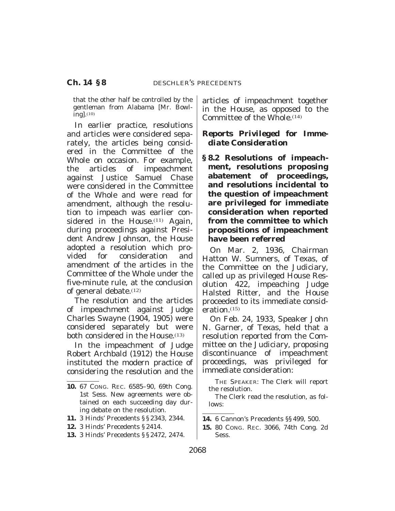that the other half be controlled by the gentleman from Alabama [Mr. Bowling] $(10)$ 

In earlier practice, resolutions and articles were considered separately, the articles being considered in the Committee of the Whole on occasion. For example, the articles of impeachment against Justice Samuel Chase were considered in the Committee of the Whole and were read for amendment, although the resolution to impeach was earlier considered in the House. $(11)$  Again, during proceedings against President Andrew Johnson, the House adopted a resolution which provided for consideration and amendment of the articles in the Committee of the Whole under the five-minute rule, at the conclusion of general debate.(12)

The resolution and the articles of impeachment against Judge Charles Swayne (1904, 1905) were considered separately but were both considered in the House.<sup>(13)</sup>

In the impeachment of Judge Robert Archbald (1912) the House instituted the modern practice of considering the resolution and the

- **11.** 3 Hinds' Precedents § § 2343, 2344.
- **12.** 3 Hinds' Precedents § 2414.
- **13.** 3 Hinds' Precedents § § 2472, 2474.

articles of impeachment together in the House, as opposed to the Committee of the Whole.(14)

## *Reports Privileged for Immediate Consideration*

**§ 8.2 Resolutions of impeachment, resolutions proposing abatement of proceedings, and resolutions incidental to the question of impeachment are privileged for immediate consideration when reported from the committee to which propositions of impeachment have been referred**

On Mar. 2, 1936, Chairman Hatton W. Sumners, of Texas, of the Committee on the Judiciary, called up as privileged House Resolution 422, impeaching Judge Halsted Ritter, and the House proceeded to its immediate consideration. $(15)$ 

On Feb. 24, 1933, Speaker John N. Garner, of Texas, held that a resolution reported from the Committee on the Judiciary, proposing discontinuance of impeachment proceedings, was privileged for immediate consideration:

THE SPEAKER: The Clerk will report the resolution.

The Clerk read the resolution, as follows:

**15.** 80 CONG. REC. 3066, 74th Cong. 2d Sess.

**<sup>10.</sup>** 67 CONG. REC. 6585–90, 69th Cong. 1st Sess. New agreements were obtained on each succeeding day during debate on the resolution.

**<sup>14.</sup>** 6 Cannon's Precedents §§ 499, 500.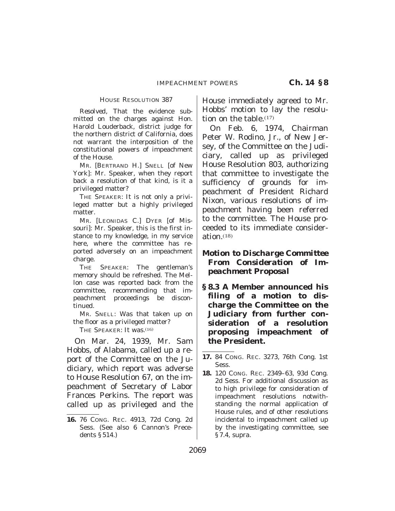#### HOUSE RESOLUTION 387

*Resolved,* That the evidence submitted on the charges against Hon. Harold Louderback, district judge for the northern district of California, does not warrant the interposition of the constitutional powers of impeachment of the House.

MR. [BERTRAND H.] SNELL [of New York]: Mr. Speaker, when they report back a resolution of that kind, is it a privileged matter?

THE SPEAKER: It is not only a privileged matter but a highly privileged matter.

MR. [LEONIDAS C.] DYER [of Missouri]: Mr. Speaker, this is the first instance to my knowledge, in my service here, where the committee has reported adversely on an impeachment charge.

THE SPEAKER: The gentleman's memory should be refreshed. The Mellon case was reported back from the committee, recommending that impeachment proceedings be discontinued.

MR. SNELL: Was that taken up on the floor as a privileged matter?

THE SPEAKER: It was. (16)

On Mar. 24, 1939, Mr. Sam Hobbs, of Alabama, called up a report of the Committee on the Judiciary, which report was adverse to House Resolution 67, on the impeachment of Secretary of Labor Frances Perkins. The report was called up as privileged and the House immediately agreed to Mr. Hobbs' motion to lay the resolution on the table.<sup>(17)</sup>

On Feb. 6, 1974, Chairman Peter W. Rodino, Jr., of New Jersey, of the Committee on the Judiciary, called up as privileged House Resolution 803, authorizing that committee to investigate the sufficiency of grounds for impeachment of President Richard Nixon, various resolutions of impeachment having been referred to the committee. The House proceeded to its immediate consideration. $(18)$ 

# *Motion to Discharge Committee From Consideration of Impeachment Proposal*

**§ 8.3 A Member announced his filing of a motion to discharge the Committee on the Judiciary from further consideration of a resolution proposing impeachment of the President.**

**<sup>16.</sup>** 76 CONG. REC. 4913, 72d Cong. 2d Sess. (See also 6 Cannon's Precedents § 514.)

**<sup>17.</sup>** 84 CONG. REC. 3273, 76th Cong. 1st Sess.

**<sup>18.</sup>** 120 CONG. REC. 2349–63, 93d Cong. 2d Sess. For additional discussion as to high privilege for consideration of impeachment resolutions notwithstanding the normal application of House rules, and of other resolutions incidental to impeachment called up by the investigating committee, see § 7.4, supra.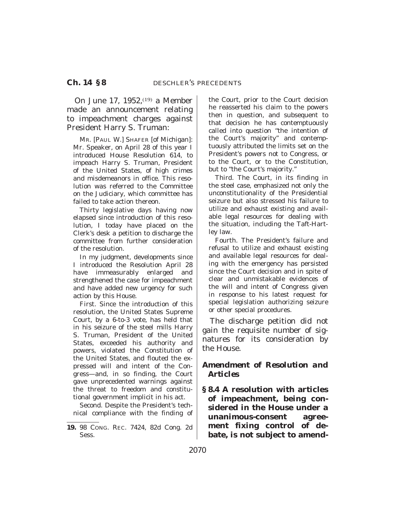On June 17, 1952,(19) a Member made an announcement relating to impeachment charges against President Harry S. Truman:

MR. [PAUL W.] SHAFER [of Michigan]: Mr. Speaker, on April 28 of this year I introduced House Resolution 614, to impeach Harry S. Truman, President of the United States, of high crimes and misdemeanors in office. This resolution was referred to the Committee on the Judiciary, which committee has failed to take action thereon.

Thirty legislative days having now elapsed since introduction of this resolution, I today have placed on the Clerk's desk a petition to discharge the committee from further consideration of the resolution.

In my judgment, developments since I introduced the Resolution April 28 have immeasurably enlarged and strengthened the case for impeachment and have added new urgency for such action by this House.

First. Since the introduction of this resolution, the United States Supreme Court, by a 6-to-3 vote, has held that in his seizure of the steel mills Harry S. Truman, President of the United States, exceeded his authority and powers, violated the Constitution of the United States, and flouted the expressed will and intent of the Congress—and, in so finding, the Court gave unprecedented warnings against the threat to freedom and constitutional government implicit in his act.

Second. Despite the President's technical compliance with the finding of

the Court, prior to the Court decision he reasserted his claim to the powers then in question, and subsequent to that decision he has contemptuously called into question ''the intention of the Court's majority'' and contemptuously attributed the limits set on the President's powers not to Congress, or to the Court, or to the Constitution, but to "the Court's majority."

Third. The Court, in its finding in the steel case, emphasized not only the unconstitutionality of the Presidential seizure but also stressed his failure to utilize and exhaust existing and available legal resources for dealing with the situation, including the Taft-Hartley law.

Fourth. The President's failure and refusal to utilize and exhaust existing and available legal resources for dealing with the emergency has persisted since the Court decision and in spite of clear and unmistakable evidences of the will and intent of Congress given in response to his latest request for special legislation authorizing seizure or other special procedures.

The discharge petition did not gain the requisite number of signatures for its consideration by the House.

## *Amendment of Resolution and Articles*

**§ 8.4 A resolution with articles of impeachment, being considered in the House under a unanimous-consent agreement fixing control of debate, is not subject to amend-**

**<sup>19.</sup>** 98 CONG. REC. 7424, 82d Cong. 2d Sess.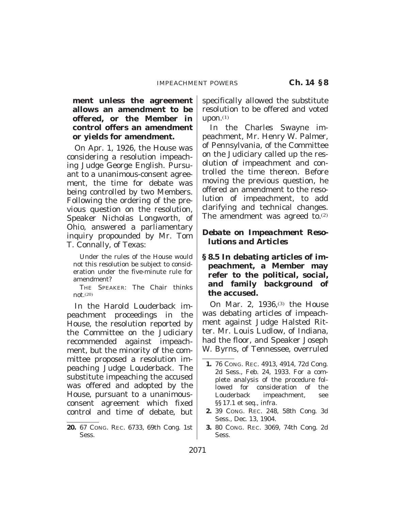## **ment unless the agreement allows an amendment to be offered, or the Member in control offers an amendment or yields for amendment.**

On Apr. 1, 1926, the House was considering a resolution impeaching Judge George English. Pursuant to a unanimous-consent agreement, the time for debate was being controlled by two Members. Following the ordering of the previous question on the resolution, Speaker Nicholas Longworth, of Ohio, answered a parliamentary inquiry propounded by Mr. Tom T. Connally, of Texas:

Under the rules of the House would not this resolution be subject to consideration under the five-minute rule for amendment?

THE SPEAKER: The Chair thinks not.(20)

In the Harold Louderback impeachment proceedings in the House, the resolution reported by the Committee on the Judiciary recommended against impeachment, but the minority of the committee proposed a resolution impeaching Judge Louderback. The substitute impeaching the accused was offered and adopted by the House, pursuant to a unanimousconsent agreement which fixed control and time of debate, but

specifically allowed the substitute resolution to be offered and voted upon. $(1)$ 

In the Charles Swayne impeachment, Mr. Henry W. Palmer, of Pennsylvania, of the Committee on the Judiciary called up the resolution of impeachment and controlled the time thereon. Before moving the previous question, he offered an amendment to the resolution of impeachment, to add clarifying and technical changes. The amendment was agreed to.(2)

## *Debate on Impeachment Resolutions and Articles*

## **§ 8.5 In debating articles of impeachment, a Member may refer to the political, social, and family background of the accused.**

On Mar. 2, 1936,(3) the House was debating articles of impeachment against Judge Halsted Ritter. Mr. Louis Ludlow, of Indiana, had the floor, and Speaker Joseph W. Byrns, of Tennessee, overruled

- **2.** 39 CONG. REC. 248, 58th Cong. 3d Sess., Dec. 13, 1904.
- **3.** 80 CONG. REC. 3069, 74th Cong. 2d Sess.

**<sup>20.</sup>** 67 CONG. REC. 6733, 69th Cong. 1st Sess.

**<sup>1.</sup>** 76 CONG. REC. 4913, 4914, 72d Cong. 2d Sess., Feb. 24, 1933. For a complete analysis of the procedure followed for consideration of the Louderback impeachment, see §§ 17.1 et seq., infra.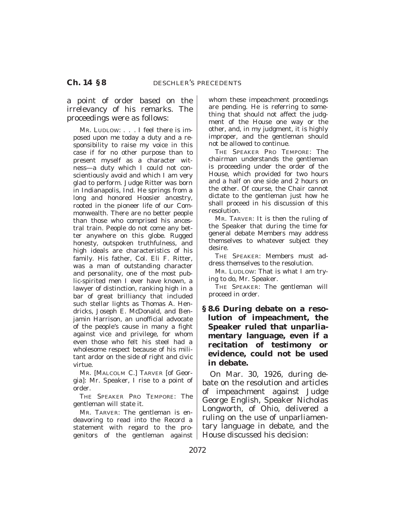a point of order based on the irrelevancy of his remarks. The proceedings were as follows:

MR. LUDLOW: . . . I feel there is imposed upon me today a duty and a responsibility to raise my voice in this case if for no other purpose than to present myself as a character witness—a duty which I could not conscientiously avoid and which I am very glad to perform. Judge Ritter was born in Indianapolis, Ind. He springs from a long and honored Hoosier ancestry, rooted in the pioneer life of our Commonwealth. There are no better people than those who comprised his ancestral train. People do not come any better anywhere on this globe. Rugged honesty, outspoken truthfulness, and high ideals are characteristics of his family. His father, Col. Eli F. Ritter, was a man of outstanding character and personality, one of the most public-spirited men I ever have known, a lawyer of distinction, ranking high in a bar of great brilliancy that included such stellar lights as Thomas A. Hendricks, Joseph E. McDonald, and Benjamin Harrison, an unofficial advocate of the people's cause in many a fight against vice and privilege, for whom even those who felt his steel had a wholesome respect because of his militant ardor on the side of right and civic virtue.

MR. [MALCOLM C.] TARVER [of Georgia]: Mr. Speaker, I rise to a point of order.

THE SPEAKER PRO TEMPORE: The gentleman will state it.

MR. TARVER: The gentleman is endeavoring to read into the Record a statement with regard to the progenitors of the gentleman against

whom these impeachment proceedings are pending. He is referring to something that should not affect the judgment of the House one way or the other, and, in my judgment, it is highly improper, and the gentleman should not be allowed to continue.

THE SPEAKER PRO TEMPORE: The chairman understands the gentleman is proceeding under the order of the House, which provided for two hours and a half on one side and 2 hours on the other. Of course, the Chair cannot dictate to the gentleman just how he shall proceed in his discussion of this resolution.

MR. TARVER: It is then the ruling of the Speaker that during the time for general debate Members may address themselves to whatever subject they desire.

THE SPEAKER: Members must address themselves to the resolution.

MR. LUDLOW: That is what I am trying to do, Mr. Speaker.

THE SPEAKER: The gentleman will proceed in order.

# **§ 8.6 During debate on a resolution of impeachment, the Speaker ruled that unparliamentary language, even if a recitation of testimony or evidence, could not be used in debate.**

On Mar. 30, 1926, during debate on the resolution and articles of impeachment against Judge George English, Speaker Nicholas Longworth, of Ohio, delivered a ruling on the use of unparliamentary language in debate, and the House discussed his decision: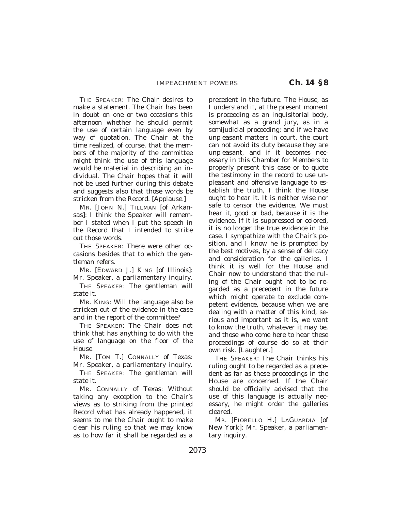THE SPEAKER: The Chair desires to make a statement. The Chair has been in doubt on one or two occasions this afternoon whether he should permit the use of certain language even by way of quotation. The Chair at the time realized, of course, that the members of the majority of the committee might think the use of this language would be material in describing an individual. The Chair hopes that it will not be used further during this debate and suggests also that those words be stricken from the Record. [Applause.]

MR. [JOHN N.] TILLMAN [of Arkansas]: I think the Speaker will remember I stated when I put the speech in the Record that I intended to strike out those words.

THE SPEAKER: There were other occasions besides that to which the gentleman refers.

MR. [EDWARD J.] KING [of Illinois]: Mr. Speaker, a parliamentary inquiry.

THE SPEAKER: The gentleman will state it.

MR. KING: Will the language also be stricken out of the evidence in the case and in the report of the committee?

THE SPEAKER: The Chair does not think that has anything to do with the use of language on the floor of the House.

MR. [TOM T.] CONNALLY of Texas: Mr. Speaker, a parliamentary inquiry.

THE SPEAKER: The gentleman will state it.

MR. CONNALLY of Texas: Without taking any exception to the Chair's views as to striking from the printed Record what has already happened, it seems to me the Chair ought to make clear his ruling so that we may know as to how far it shall be regarded as a

precedent in the future. The House, as I understand it, at the present moment is proceeding as an inquisitorial body, somewhat as a grand jury, as in a semijudicial proceeding; and if we have unpleasant matters in court, the court can not avoid its duty because they are unpleasant, and if it becomes necessary in this Chamber for Members to properly present this case or to quote the testimony in the record to use unpleasant and offensive language to establish the truth, I think the House ought to hear it. It is neither wise nor safe to censor the evidence. We must hear it, good or bad, because it is the evidence. If it is suppressed or colored, it is no longer the true evidence in the case. I sympathize with the Chair's position, and I know he is prompted by the best motives, by a sense of delicacy and consideration for the galleries. I think it is well for the House and Chair now to understand that the ruling of the Chair ought not to be regarded as a precedent in the future which might operate to exclude competent evidence, because when we are dealing with a matter of this kind, serious and important as it is, we want to know the truth, whatever it may be, and those who come here to hear these proceedings of course do so at their own risk. [Laughter.]

THE SPEAKER: The Chair thinks his ruling ought to be regarded as a precedent as far as these proceedings in the House are concerned. If the Chair should be officially advised that the use of this language is actually necessary, he might order the galleries cleared.

MR. [FIORELLO H.] LAGUARDIA [of New York]: Mr. Speaker, a parliamentary inquiry.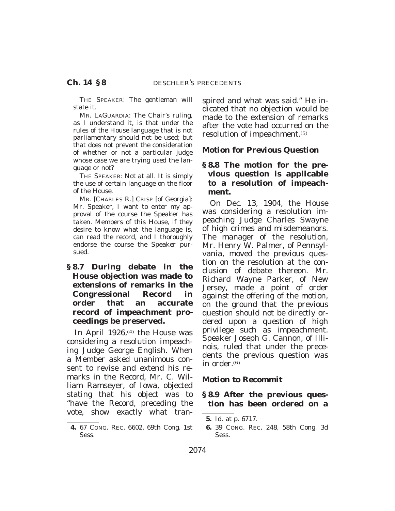THE SPEAKER: The gentleman will state it.

MR. LAGUARDIA: The Chair's ruling, as I understand it, is that under the rules of the House language that is not parliamentary should not be used; but that does not prevent the consideration of whether or not a particular judge whose case we are trying used the language or not?

THE SPEAKER: Not at all. It is simply the use of certain language on the floor of the House.

MR. [CHARLES R.] CRISP [of Georgia]: Mr. Speaker, I want to enter my approval of the course the Speaker has taken. Members of this House, if they desire to know what the language is, can read the record, and I thoroughly endorse the course the Speaker pursued.

**§ 8.7 During debate in the House objection was made to extensions of remarks in the Congressional Record in order that an accurate record of impeachment proceedings be preserved.**

In April  $1926^{(4)}$  the House was considering a resolution impeaching Judge George English. When a Member asked unanimous consent to revise and extend his remarks in the Record, Mr. C. William Ramseyer, of Iowa, objected stating that his object was to ''have the Record, preceding the vote, show exactly what transpired and what was said.'' He indicated that no objection would be made to the extension of remarks after the vote had occurred on the resolution of impeachment.(5)

## *Motion for Previous Question*

# **§ 8.8 The motion for the previous question is applicable to a resolution of impeachment.**

On Dec. 13, 1904, the House was considering a resolution impeaching Judge Charles Swayne of high crimes and misdemeanors. The manager of the resolution, Mr. Henry W. Palmer, of Pennsylvania, moved the previous question on the resolution at the conclusion of debate thereon. Mr. Richard Wayne Parker, of New Jersey, made a point of order against the offering of the motion, on the ground that the previous question should not be directly ordered upon a question of high privilege such as impeachment. Speaker Joseph G. Cannon, of Illinois, ruled that under the precedents the previous question was in order. $(6)$ 

## *Motion to Recommit*

## **§ 8.9 After the previous question has been ordered on a**

**<sup>4.</sup>** 67 CONG. REC. 6602, 69th Cong. 1st Sess.

**<sup>5.</sup>** *Id.* at p. 6717.

**<sup>6.</sup>** 39 CONG. REC. 248, 58th Cong. 3d Sess.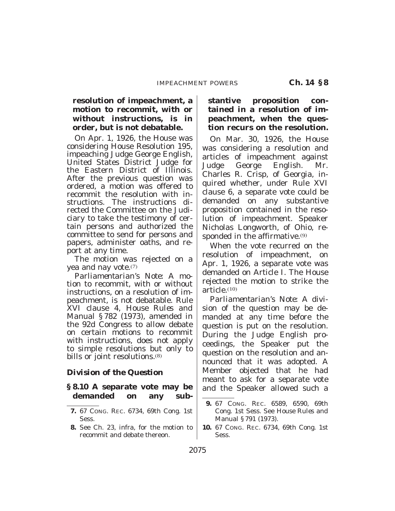## **resolution of impeachment, a motion to recommit, with or without instructions, is in order, but is not debatable.**

On Apr. 1, 1926, the House was considering House Resolution 195, impeaching Judge George English, United States District Judge for the Eastern District of Illinois. After the previous question was ordered, a motion was offered to recommit the resolution with instructions. The instructions directed the Committee on the Judiciary to take the testimony of certain persons and authorized the committee to send for persons and papers, administer oaths, and report at any time.

The motion was rejected on a yea and nay vote.(7)

*Parliamentarian's Note:* A motion to recommit, with or without instructions, on a resolution of impeachment, is not debatable. Rule XVI clause 4, *House Rules and Manual* § 782 (1973), amended in the 92d Congress to allow debate on certain motions to recommit with instructions, does not apply to simple resolutions but only to bills or joint resolutions.(8)

## *Division of the Question*

## **§ 8.10 A separate vote may be demanded on any sub-**

- **7.** 67 CONG. REC. 6734, 69th Cong. 1st Sess.
- **8.** See Ch. 23, infra, for the motion to recommit and debate thereon.

# **stantive proposition contained in a resolution of impeachment, when the question recurs on the resolution.**

On Mar. 30, 1926, the House was considering a resolution and articles of impeachment against Judge George English. Mr. Charles R. Crisp, of Georgia, inquired whether, under Rule XVI clause 6, a separate vote could be demanded on any substantive proposition contained in the resolution of impeachment. Speaker Nicholas Longworth, of Ohio, responded in the affirmative.<sup>(9)</sup>

When the vote recurred on the resolution of impeachment, on Apr. 1, 1926, a separate vote was demanded on Article I. The House rejected the motion to strike the article. $(10)$ 

*Parliamentarian's Note:* A division of the question may be demanded at any time before the question is put on the resolution. During the Judge English proceedings, the Speaker put the question on the resolution and announced that it was adopted. A Member objected that he had meant to ask for a separate vote and the Speaker allowed such a

**<sup>9.</sup>** 67 CONG. REC. 6589, 6590, 69th Cong. 1st Sess. See *House Rules and Manual* § 791 (1973).

**<sup>10.</sup>** 67 CONG. REC. 6734, 69th Cong. 1st Sess.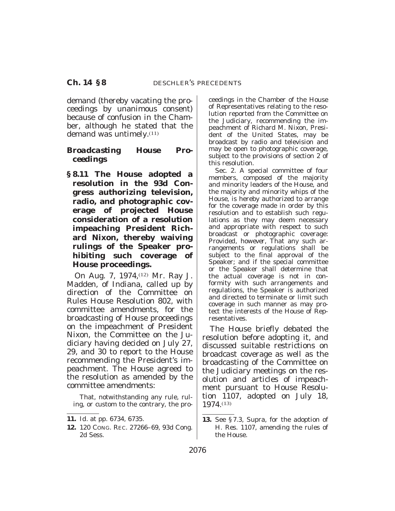demand (thereby vacating the proceedings by unanimous consent) because of confusion in the Chamber, although he stated that the demand was untimely.(11)

# *Broadcasting House Proceedings*

**§ 8.11 The House adopted a resolution in the 93d Congress authorizing television, radio, and photographic coverage of projected House consideration of a resolution impeaching President Richard Nixon, thereby waiving rulings of the Speaker prohibiting such coverage of House proceedings.**

On Aug. 7, 1974,(12) Mr. Ray J. Madden, of Indiana, called up by direction of the Committee on Rules House Resolution 802, with committee amendments, for the broadcasting of House proceedings on the impeachment of President Nixon, the Committee on the Judiciary having decided on July 27, 29, and 30 to report to the House recommending the President's impeachment. The House agreed to the resolution as amended by the committee amendments:

That, notwithstanding any rule, ruling, or custom to the contrary, the pro-

ceedings in the Chamber of the House of Representatives relating to the resolution reported from the Committee on the Judiciary, recommending the impeachment of Richard M. Nixon, President of the United States, may be broadcast by radio and television and may be open to photographic coverage, subject to the provisions of section 2 of this resolution.

Sec. 2. A special committee of four members, composed of the majority and minority leaders of the House, and the majority and minority whips of the House, is hereby authorized to arrange for the coverage made in order by this resolution and to establish such regulations as they may deem necessary and appropriate with respect to such broadcast or photographic coverage: *Provided, however,* That any such arrangements or regulations shall be subject to the final approval of the Speaker; and if the special committee or the Speaker shall determine that the actual coverage is not in conformity with such arrangements and regulations, the Speaker is authorized and directed to terminate or limit such coverage in such manner as may protect the interests of the House of Representatives.

The House briefly debated the resolution before adopting it, and discussed suitable restrictions on broadcast coverage as well as the broadcasting of the Committee on the Judiciary meetings on the resolution and articles of impeachment pursuant to House Resolution 1107, adopted on July 18, 1974.(13)

**<sup>11.</sup>** *Id.* at pp. 6734, 6735.

**<sup>12.</sup>** 120 CONG. REC. 27266–69, 93d Cong. 2d Sess.

**<sup>13.</sup>** See § 7.3, Supra, for the adoption of H. Res. 1107, amending the rules of the House.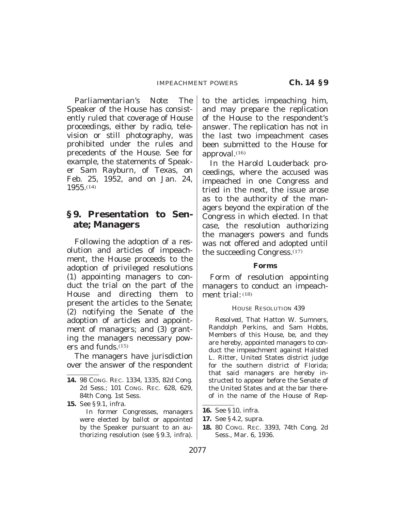*Parliamentarian's Note:* The Speaker of the House has consistently ruled that coverage of House proceedings, either by radio, television or still photography, was prohibited under the rules and precedents of the House. See for example, the statements of Speaker Sam Rayburn, of Texas, on Feb. 25, 1952, and on Jan. 24, 1955.(14)

# **§ 9. Presentation to Senate; Managers**

Following the adoption of a resolution and articles of impeachment, the House proceeds to the adoption of privileged resolutions (1) appointing managers to conduct the trial on the part of the House and directing them to present the articles to the Senate; (2) notifying the Senate of the adoption of articles and appointment of managers; and (3) granting the managers necessary powers and funds. $(15)$ 

The managers have jurisdiction over the answer of the respondent

**15.** See § 9.1, infra. In former Congresses, managers were elected by ballot or appointed by the Speaker pursuant to an authorizing resolution (see § 9.3, infra). to the articles impeaching him, and may prepare the replication of the House to the respondent's answer. The replication has not in the last two impeachment cases been submitted to the House for approval.(16)

In the Harold Louderback proceedings, where the accused was impeached in one Congress and tried in the next, the issue arose as to the authority of the managers beyond the expiration of the Congress in which elected. In that case, the resolution authorizing the managers powers and funds was not offered and adopted until the succeeding Congress.(17)

#### **Forms**

Form of resolution appointing managers to conduct an impeachment trial: (18)

#### HOUSE RESOLUTION 439

*Resolved,* That Hatton W. Sumners, Randolph Perkins, and Sam Hobbs, Members of this House, be, and they are hereby, appointed managers to conduct the impeachment against Halsted L. Ritter, United States district judge for the southern district of Florida; that said managers are hereby instructed to appear before the Senate of the United States and at the bar thereof in the name of the House of Rep-

**<sup>14.</sup>** 98 CONG. REC. 1334, 1335, 82d Cong. 2d Sess.; 101 CONG. REC. 628, 629, 84th Cong. 1st Sess.

**<sup>16.</sup>** See § 10, infra.

**<sup>17.</sup>** See § 4.2, supra.

**<sup>18.</sup>** 80 CONG. REC. 3393, 74th Cong. 2d Sess., Mar. 6, 1936.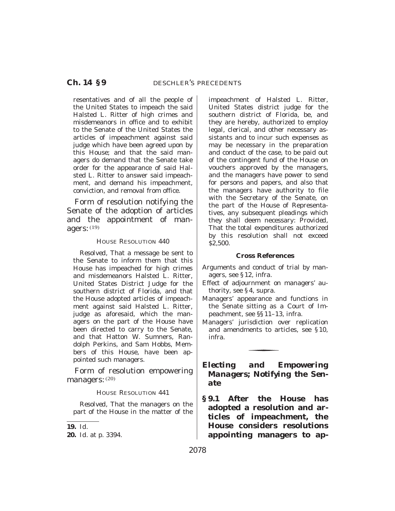resentatives and of all the people of the United States to impeach the said Halsted L. Ritter of high crimes and misdemeanors in office and to exhibit to the Senate of the United States the articles of impeachment against said judge which have been agreed upon by this House; and that the said managers do demand that the Senate take order for the appearance of said Halsted L. Ritter to answer said impeachment, and demand his impeachment, conviction, and removal from office.

Form of resolution notifying the Senate of the adoption of articles and the appointment of managers:  $(19)$ 

HOUSE RESOLUTION 440

*Resolved,* That a message be sent to the Senate to inform them that this House has impeached for high crimes and misdemeanors Halsted L. Ritter, United States District Judge for the southern district of Florida, and that the House adopted articles of impeachment against said Halsted L. Ritter, judge as aforesaid, which the managers on the part of the House have been directed to carry to the Senate, and that Hatton W. Sumners, Randolph Perkins, and Sam Hobbs, Members of this House, have been appointed such managers.

Form of resolution empowering managers: (20)

#### HOUSE RESOLUTION 441

*Resolved,* That the managers on the part of the House in the matter of the

impeachment of Halsted L. Ritter, United States district judge for the southern district of Florida, be, and they are hereby, authorized to employ legal, clerical, and other necessary assistants and to incur such expenses as may be necessary in the preparation and conduct of the case, to be paid out of the contingent fund of the House on vouchers approved by the managers, and the managers have power to send for persons and papers, and also that the managers have authority to file with the Secretary of the Senate, on the part of the House of Representatives, any subsequent pleadings which they shall deem necessary: *Provided,* That the total expenditures authorized by this resolution shall not exceed \$2,500.

#### **Cross References**

- Arguments and conduct of trial by managers, see § 12, infra.
- Effect of adjournment on managers' authority, see § 4, supra.
- Managers' appearance and functions in the Senate sitting as a Court of Impeachment, see §§ 11–13, infra.
- Managers' jurisdiction over replication and amendments to articles, see § 10, infra.

**Contract Contract Contract Contract** 

## *Electing and Empowering Managers; Notifying the Senate*

**§ 9.1 After the House has adopted a resolution and articles of impeachment, the House considers resolutions appointing managers to ap-**

**<sup>19.</sup>** *Id.*

**<sup>20.</sup>** *Id.* at p. 3394.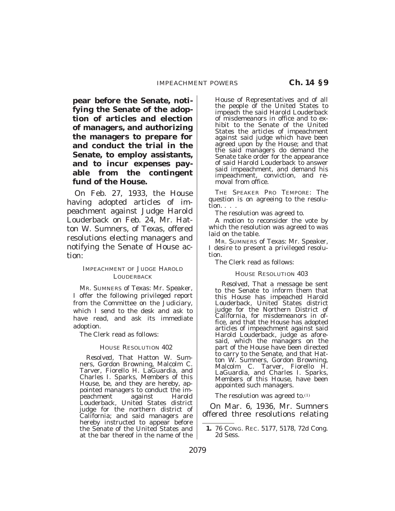**pear before the Senate, notifying the Senate of the adoption of articles and election of managers, and authorizing the managers to prepare for and conduct the trial in the Senate, to employ assistants, and to incur expenses payable from the contingent fund of the House.**

On Feb. 27, 1933, the House having adopted articles of impeachment against Judge Harold Louderback on Feb. 24, Mr. Hatton W. Sumners, of Texas, offered resolutions electing managers and notifying the Senate of House action:

#### IMPEACHMENT OF JUDGE HAROLD **LOUDERBACK**

MR. SUMNERS of Texas: Mr. Speaker, I offer the following privileged report from the Committee on the Judiciary, which I send to the desk and ask to have read, and ask its immediate adoption.

The Clerk read as follows:

#### HOUSE RESOLUTION 402

*Resolved,* That Hatton W. Sumners, Gordon Browning, Malcolm C. Tarver, Fiorello H. LaGuardia, and Charles I. Sparks, Members of this House, be, and they are hereby, appointed managers to conduct the im-<br>peachment against Harold peachment Louderback, United States district judge for the northern district of California; and said managers are hereby instructed to appear before the Senate of the United States and at the bar thereof in the name of the House of Representatives and of all the people of the United States to impeach the said Harold Louderback of misdemeanors in office and to exhibit to the Senate of the United States the articles of impeachment against said judge which have been agreed upon by the House; and that the said managers do demand the Senate take order for the appearance of said Harold Louderback to answer said impeachment, and demand his impeachment, conviction, and removal from office.

THE SPEAKER PRO TEMPORE: The question is on agreeing to the resolution. . . .

The resolution was agreed to.

A motion to reconsider the vote by which the resolution was agreed to was laid on the table.

MR. SUMNERS of Texas: Mr. Speaker, I desire to present a privileged resolution.

The Clerk read as follows:

#### HOUSE RESOLUTION 403

*Resolved,* That a message be sent to the Senate to inform them that this House has impeached Harold Louderback, United States district judge for the Northern District of California, for misdemeanors in office, and that the House has adopted articles of impeachment against said Harold Louderback, judge as aforesaid, which the managers on the part of the House have been directed to carry to the Senate, and that Hatton W. Sumners, Gordon Browning, Malcolm C. Tarver, Fiorello H. LaGuardia, and Charles I. Sparks, Members of this House, have been appointed such managers.

The resolution was agreed to. $(1)$ 

On Mar. 6, 1936, Mr. Sumners offered three resolutions relating

**1.** 76 CONG. REC. 5177, 5178, 72d Cong. 2d Sess.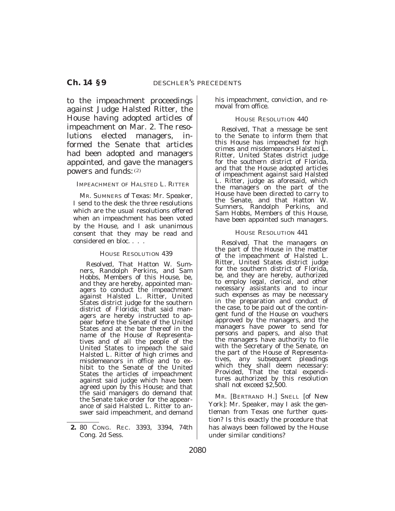to the impeachment proceedings against Judge Halsted Ritter, the House having adopted articles of impeachment on Mar. 2. The resolutions elected managers, informed the Senate that articles had been adopted and managers appointed, and gave the managers powers and funds: (2)

#### IMPEACHMENT OF HALSTED L. RITTER

MR. SUMNERS of Texas: Mr. Speaker, I send to the desk the three resolutions which are the usual resolutions offered when an impeachment has been voted by the House, and I ask unanimous consent that they may be read and considered en bloc. . . .

#### HOUSE RESOLUTION 439

*Resolved,* That Hatton W. Sumners, Randolph Perkins, and Sam Hobbs, Members of this House, be, and they are hereby, appointed managers to conduct the impeachment against Halsted L. Ritter, United States district judge for the southern district of Florida; that said managers are hereby instructed to appear before the Senate of the United States and at the bar thereof in the name of the House of Representatives and of all the people of the United States to impeach the said Halsted L. Ritter of high crimes and misdemeanors in office and to exhibit to the Senate of the United States the articles of impeachment against said judge which have been agreed upon by this House; and that the said managers do demand that the Senate take order for the appearance of said Halsted L. Ritter to answer said impeachment, and demand his impeachment, conviction, and removal from office.

#### HOUSE RESOLUTION 440

*Resolved,* That a message be sent to the Senate to inform them that this House has impeached for high crimes and misdemeanors Halsted L. Ritter, United States district judge for the southern district of Florida, and that the House adopted articles of impeachment against said Halsted L. Ritter, judge as aforesaid, which the managers on the part of the House have been directed to carry to the Senate, and that Hatton W. Sumners, Randolph Perkins, and Sam Hobbs, Members of this House, have been appointed such managers.

#### HOUSE RESOLUTION 441

*Resolved,* That the managers on the part of the House in the matter of the impeachment of Halsted L. Ritter, United States district judge for the southern district of Florida, be, and they are hereby, authorized to employ legal, clerical, and other necessary assistants and to incur such expenses as may be necessary in the preparation and conduct of the case, to be paid out of the contingent fund of the House on vouchers approved by the managers, and the managers have power to send for persons and papers, and also that the managers have authority to file with the Secretary of the Senate, on the part of the House of Representatives, any subsequent pleadings which they shall deem necessary: *Provided,* That the total expenditures authorized by this resolution shall not exceed \$2,500.

MR. [BERTRAND H.] SNELL [of New York]: Mr. Speaker, may I ask the gentleman from Texas one further question? Is this exactly the procedure that has always been followed by the House under similar conditions?

**<sup>2.</sup>** 80 CONG. REC. 3393, 3394, 74th Cong. 2d Sess.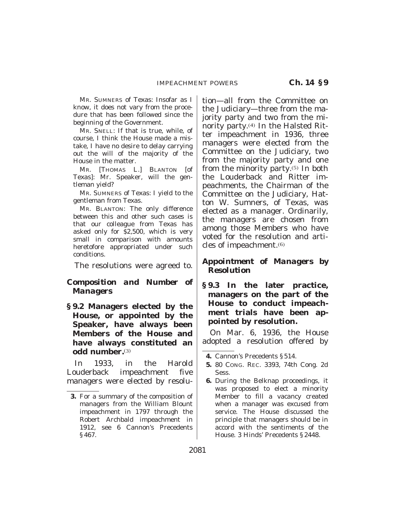MR. SUMNERS of Texas: Insofar as I know, it does not vary from the procedure that has been followed since the beginning of the Government.

MR. SNELL: If that is true, while, of course, I think the House made a mistake, I have no desire to delay carrying out the will of the majority of the House in the matter.

MR. [THOMAS L.] BLANTON [of Texas]: Mr. Speaker, will the gentleman yield?

MR. SUMNERS of Texas: I yield to the gentleman from Texas.

MR. BLANTON: The only difference between this and other such cases is that our colleague from Texas has asked only for \$2,500, which is very small in comparison with amounts heretofore appropriated under such conditions.

The resolutions were agreed to.

#### *Composition and Number of Managers*

**§ 9.2 Managers elected by the House, or appointed by the Speaker, have always been Members of the House and have always constituted an odd number.**(3)

In 1933, in the Harold Louderback impeachment five managers were elected by resolu-

tion—all from the Committee on the Judiciary—three from the majority party and two from the minority party.(4) In the Halsted Ritter impeachment in 1936, three managers were elected from the Committee on the Judiciary, two from the majority party and one from the minority party.(5) In both the Louderback and Ritter impeachments, the Chairman of the Committee on the Judiciary, Hatton W. Sumners, of Texas, was elected as a manager. Ordinarily, the managers are chosen from among those Members who have voted for the resolution and articles of impeachment.(6)

## *Appointment of Managers by Resolution*

**§ 9.3 In the later practice, managers on the part of the House to conduct impeachment trials have been appointed by resolution.**

On Mar. 6, 1936, the House adopted a resolution offered by

- **4.** Cannon's Precedents § 514.
- **5.** 80 CONG. REC. 3393, 74th Cong. 2d Sess.
- **6.** During the Belknap proceedings, it was proposed to elect a minority Member to fill a vacancy created when a manager was excused from service. The House discussed the principle that managers should be in accord with the sentiments of the House. 3 Hinds' Precedents § 2448.

**<sup>3.</sup>** For a summary of the composition of managers from the William Blount impeachment in 1797 through the Robert Archbald impeachment in 1912, see 6 Cannon's Precedents § 467.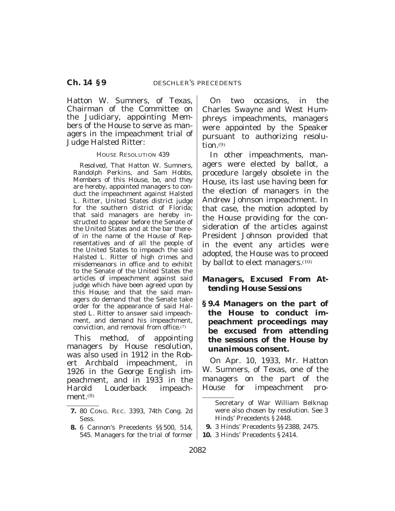Hatton W. Sumners, of Texas, Chairman of the Committee on the Judiciary, appointing Members of the House to serve as managers in the impeachment trial of Judge Halsted Ritter:

#### HOUSE RESOLUTION 439

*Resolved,* That Hatton W. Sumners, Randolph Perkins, and Sam Hobbs, Members of this House, be, and they are hereby, appointed managers to conduct the impeachment against Halsted L. Ritter, United States district judge for the southern district of Florida; that said managers are hereby instructed to appear before the Senate of the United States and at the bar thereof in the name of the House of Representatives and of all the people of the United States to impeach the said Halsted L. Ritter of high crimes and misdemeanors in office and to exhibit to the Senate of the United States the articles of impeachment against said judge which have been agreed upon by this House; and that the said managers do demand that the Senate take order for the appearance of said Halsted L. Ritter to answer said impeachment, and demand his impeachment, conviction, and removal from office.(7)

This method, of appointing managers by House resolution, was also used in 1912 in the Robert Archbald impeachment, in 1926 in the George English impeachment, and in 1933 in the Harold Louderback impeach $ment.<sup>(8)</sup>$ 

On two occasions, in the Charles Swayne and West Humphreys impeachments, managers were appointed by the Speaker pursuant to authorizing resolution. $(9)$ 

In other impeachments, managers were elected by ballot, a procedure largely obsolete in the House, its last use having been for the election of managers in the Andrew Johnson impeachment. In that case, the motion adopted by the House providing for the consideration of the articles against President Johnson provided that in the event any articles were adopted, the House was to proceed by ballot to elect managers. $(10)$ 

## *Managers, Excused From Attending House Sessions*

**§ 9.4 Managers on the part of the House to conduct impeachment proceedings may be excused from attending the sessions of the House by unanimous consent.**

On Apr. 10, 1933, Mr. Hatton W. Sumners, of Texas, one of the managers on the part of the House for impeachment pro-

- **9.** 3 Hinds' Precedents §§ 2388, 2475.
- **10.** 3 Hinds' Precedents § 2414.

**<sup>7.</sup>** 80 CONG. REC. 3393, 74th Cong. 2d Sess.

**<sup>8.</sup>** 6 Cannon's Precedents §§ 500, 514, 545. Managers for the trial of former

Secretary of War William Belknap were also chosen by resolution. See 3 Hinds' Precedents § 2448.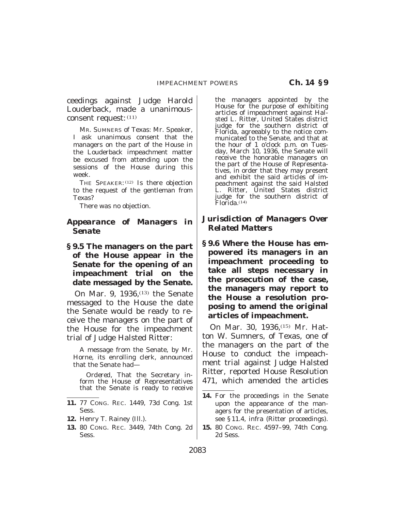ceedings against Judge Harold Louderback, made a unanimousconsent request: (11)

MR. SUMNERS of Texas: Mr. Speaker, I ask unanimous consent that the managers on the part of the House in the Louderback impeachment matter be excused from attending upon the sessions of the House during this week.

THE SPEAKER: (12) Is there objection to the request of the gentleman from Texas?

There was no objection.

#### *Appearance of Managers in Senate*

## **§ 9.5 The managers on the part of the House appear in the Senate for the opening of an impeachment trial on the date messaged by the Senate.**

On Mar. 9, 1936, <sup>(13)</sup> the Senate messaged to the House the date the Senate would be ready to receive the managers on the part of the House for the impeachment trial of Judge Halsted Ritter:

A message from the Senate, by Mr. Horne, its enrolling clerk, announced that the Senate had—

*Ordered,* That the Secretary inform the House of Representatives that the Senate is ready to receive

- **11.** 77 CONG. REC. 1449, 73d Cong. 1st Sess.
- **12.** Henry T. Rainey (Ill.).
- **13.** 80 CONG. REC. 3449, 74th Cong. 2d Sess.

the managers appointed by the House for the purpose of exhibiting articles of impeachment against Halsted L. Ritter, United States district judge for the southern district of Florida, agreeably to the notice communicated to the Senate, and that at the hour of 1 o'clock p.m. on Tuesday, March 10, 1936, the Senate will receive the honorable managers on the part of the House of Representatives, in order that they may present and exhibit the said articles of impeachment against the said Halsted L. Ritter, United States district judge for the southern district of Florida.(14)

## *Jurisdiction of Managers Over Related Matters*

**§ 9.6 Where the House has empowered its managers in an impeachment proceeding to take all steps necessary in the prosecution of the case, the managers may report to the House a resolution proposing to amend the original articles of impeachment.**

On Mar. 30, 1936,(15) Mr. Hatton W. Sumners, of Texas, one of the managers on the part of the House to conduct the impeachment trial against Judge Halsted Ritter, reported House Resolution 471, which amended the articles

**15.** 80 CONG. REC. 4597–99, 74th Cong. 2d Sess.

**<sup>14.</sup>** For the proceedings in the Senate upon the appearance of the managers for the presentation of articles, see § 11.4, infra (Ritter proceedings).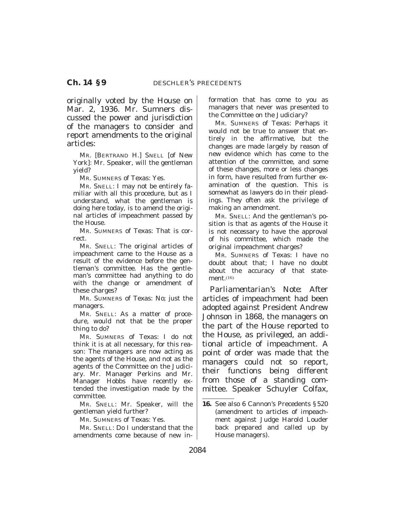originally voted by the House on Mar. 2, 1936. Mr. Sumners discussed the power and jurisdiction of the managers to consider and report amendments to the original articles:

MR. [BERTRAND H.] SNELL [of New York]: Mr. Speaker, will the gentleman yield?

MR. SUMNERS of Texas: Yes.

MR. SNELL: I may not be entirely familiar with all this procedure, but as I understand, what the gentleman is doing here today, is to amend the original articles of impeachment passed by the House.

MR. SUMNERS of Texas: That is correct.

MR. SNELL: The original articles of impeachment came to the House as a result of the evidence before the gentleman's committee. Has the gentleman's committee had anything to do with the change or amendment of these charges?

MR. SUMNERS of Texas: No; just the managers.

MR. SNELL: As a matter of procedure, would not that be the proper thing to do?

MR. SUMNERS of Texas: I do not think it is at all necessary, for this reason: The managers are now acting as the agents of the House, and not as the agents of the Committee on the Judiciary. Mr. Manager Perkins and Mr. Manager Hobbs have recently extended the investigation made by the committee.

MR. SNELL: Mr. Speaker, will the gentleman yield further?

MR. SUMNERS of Texas: Yes.

MR. SNELL: Do I understand that the amendments come because of new in-

formation that has come to you as managers that never was presented to the Committee on the Judiciary?

MR. SUMNERS of Texas: Perhaps it would not be true to answer that entirely in the affirmative, but the changes are made largely by reason of new evidence which has come to the attention of the committee, and some of these changes, more or less changes in form, have resulted from further examination of the question. This is somewhat as lawyers do in their pleadings. They often ask the privilege of making an amendment.

MR. SNELL: And the gentleman's position is that as agents of the House it is not necessary to have the approval of his committee, which made the original impeachment charges?

MR. SUMNERS of Texas: I have no doubt about that; I have no doubt about the accuracy of that statement.(16)

*Parliamentarian's Note:* After articles of impeachment had been adopted against President Andrew Johnson in 1868, the managers on the part of the House reported to the House, as privileged, an additional article of impeachment. A point of order was made that the managers could not so report, their functions being different from those of a standing committee. Speaker Schuyler Colfax,

**<sup>16.</sup>** See also 6 Cannon's Precedents § 520 (amendment to articles of impeachment against Judge Harold Louder back prepared and called up by House managers).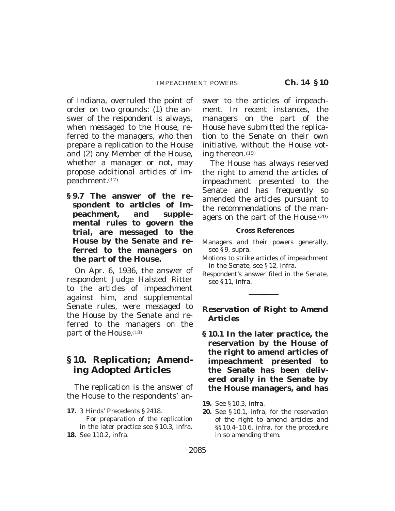of Indiana, overruled the point of order on two grounds: (1) the answer of the respondent is always, when messaged to the House, referred to the managers, who then prepare a replication to the House and (2) any Member of the House, whether a manager or not, may propose additional articles of impeachment.(17)

**§ 9.7 The answer of the respondent to articles of impeachment, and supplemental rules to govern the trial, are messaged to the House by the Senate and referred to the managers on the part of the House.**

On Apr. 6, 1936, the answer of respondent Judge Halsted Ritter to the articles of impeachment against him, and supplemental Senate rules, were messaged to the House by the Senate and referred to the managers on the part of the House.<sup>(18)</sup>

## **§ 10. Replication; Amending Adopted Articles**

The replication is the answer of the House to the respondents' an-

**17.** 3 Hinds' Precedents § 2418.

For preparation of the replication in the later practice see § 10.3, infra.

**18.** See 110.2, infra.

swer to the articles of impeachment. In recent instances, the managers on the part of the House have submitted the replication to the Senate on their own initiative, without the House voting thereon. $(19)$ 

The House has always reserved the right to amend the articles of impeachment presented to the Senate and has frequently so amended the articles pursuant to the recommendations of the managers on the part of the House.(20)

#### **Cross References**

- Managers and their powers generally, see § 9, supra.
- Motions to strike articles of impeachment in the Senate, see § 12, infra.
- Respondent's answer filed in the Senate, see § 11, infra.

**Contract Contract Contract** 

#### *Reservation of Right to Amend Articles*

**§ 10.1 In the later practice, the reservation by the House of the right to amend articles of impeachment presented to the Senate has been delivered orally in the Senate by the House managers, and has**

**<sup>19.</sup>** See § 10.3, infra.

**<sup>20.</sup>** See § 10.1, infra, for the reservation of the right to amend articles and §§ 10.4–10.6, infra, for the procedure in so amending them.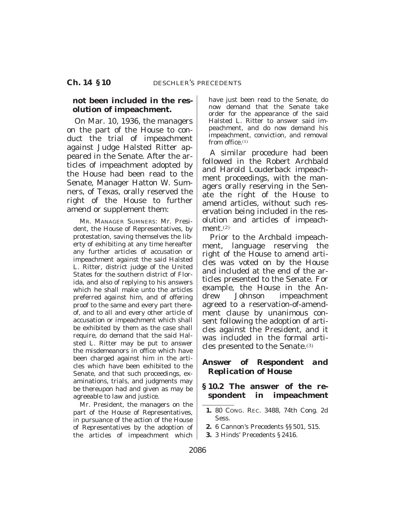#### **not been included in the resolution of impeachment.**

On Mar. 10, 1936, the managers on the part of the House to conduct the trial of impeachment against Judge Halsted Ritter appeared in the Senate. After the articles of impeachment adopted by the House had been read to the Senate, Manager Hatton W. Sumners, of Texas, orally reserved the right of the House to further amend or supplement them:

MR. MANAGER SUMNERS: Mr. President, the House of Representatives, by protestation, saving themselves the liberty of exhibiting at any time hereafter any further articles of accusation or impeachment against the said Halsted L. Ritter, district judge of the United States for the southern district of Florida, and also of replying to his answers which he shall make unto the articles preferred against him, and of offering proof to the same and every part thereof, and to all and every other article of accusation or impeachment which shall be exhibited by them as the case shall require, do demand that the said Halsted L. Ritter may be put to answer the misdemeanors in office which have been charged against him in the articles which have been exhibited to the Senate, and that such proceedings, examinations, trials, and judgments may be thereupon had and given as may be agreeable to law and justice.

Mr. President, the managers on the part of the House of Representatives, in pursuance of the action of the House of Representatives by the adoption of the articles of impeachment which have just been read to the Senate, do now demand that the Senate take order for the appearance of the said Halsted L. Ritter to answer said impeachment, and do now demand his impeachment, conviction, and removal from office.<sup>(1)</sup>

A similar procedure had been followed in the Robert Archbald and Harold Louderback impeachment proceedings, with the managers orally reserving in the Senate the right of the House to amend articles, without such reservation being included in the resolution and articles of impeach $ment<sub>.</sub>(2)$ 

Prior to the Archbald impeachment, language reserving the right of the House to amend articles was voted on by the House and included at the end of the articles presented to the Senate. For example, the House in the Andrew Johnson impeachment agreed to a reservation-of-amendment clause by unanimous consent following the adoption of articles against the President, and it was included in the formal articles presented to the Senate.(3)

#### *Answer of Respondent and Replication of House*

#### **§ 10.2 The answer of the respondent in impeachment**

- **1.** 80 CONG. REC. 3488, 74th Cong. 2d Sess.
- **2.** 6 Cannon's Precedents §§ 501, 515.
- **3.** 3 Hinds' Precedents § 2416.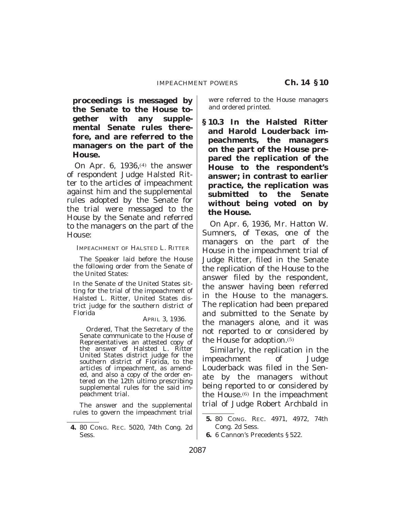**proceedings is messaged by the Senate to the House together with any supplemental Senate rules therefore, and are referred to the managers on the part of the House.**

On Apr. 6,  $1936^{(4)}$  the answer of respondent Judge Halsted Ritter to the articles of impeachment against him and the supplemental rules adopted by the Senate for the trial were messaged to the House by the Senate and referred to the managers on the part of the House:

IMPEACHMENT OF HALSTED L. RITTER

The Speaker laid before the House the following order from the Senate of the United States:

In the Senate of the United States sitting for the trial of the impeachment of Halsted L. Ritter, United States district judge for the southern district of Florida

APRIL 3, 1936.

*Ordered,* That the Secretary of the Senate communicate to the House of Representatives an attested copy of the answer of Halsted L. Ritter United States district judge for the southern district of Florida, to the articles of impeachment, as amended, and also a copy of the order entered on the 12th ultimo prescribing supplemental rules for the said impeachment trial.

The answer and the supplemental rules to govern the impeachment trial were referred to the House managers and ordered printed.

**§ 10.3 In the Halsted Ritter and Harold Louderback impeachments, the managers on the part of the House prepared the replication of the House to the respondent's answer; in contrast to earlier practice, the replication was submitted to the Senate without being voted on by the House.**

On Apr. 6, 1936, Mr. Hatton W. Sumners, of Texas, one of the managers on the part of the House in the impeachment trial of Judge Ritter, filed in the Senate the replication of the House to the answer filed by the respondent, the answer having been referred in the House to the managers. The replication had been prepared and submitted to the Senate by the managers alone, and it was not reported to or considered by the House for adoption.(5)

Similarly, the replication in the impeachment of Judge Louderback was filed in the Senate by the managers without being reported to or considered by the House.(6) In the impeachment trial of Judge Robert Archbald in

**<sup>4.</sup>** 80 CONG. REC. 5020, 74th Cong. 2d Sess.

**<sup>5.</sup>** 80 CONG. REC. 4971, 4972, 74th Cong. 2d Sess.

**<sup>6.</sup>** 6 Cannon's Precedents § 522.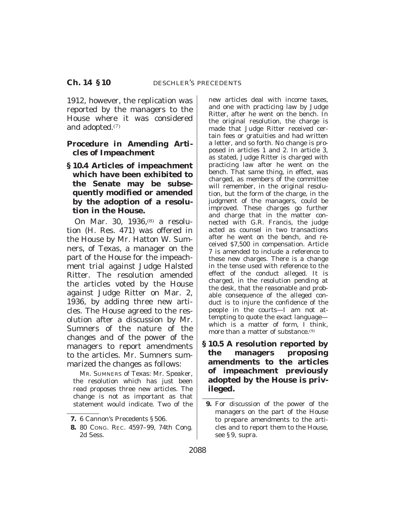1912, however, the replication was reported by the managers to the House where it was considered and adopted.(7)

#### *Procedure in Amending Articles of Impeachment*

## **§ 10.4 Articles of impeachment which have been exhibited to the Senate may be subsequently modified or amended by the adoption of a resolution in the House.**

On Mar. 30, 1936,<sup>(8)</sup> a resolution (H. Res. 471) was offered in the House by Mr. Hatton W. Sumners, of Texas, a manager on the part of the House for the impeachment trial against Judge Halsted Ritter. The resolution amended the articles voted by the House against Judge Ritter on Mar. 2, 1936, by adding three new articles. The House agreed to the resolution after a discussion by Mr. Sumners of the nature of the changes and of the power of the managers to report amendments to the articles. Mr. Sumners summarized the changes as follows:

MR. SUMNERS of Texas: Mr. Speaker, the resolution which has just been read proposes three new articles. The change is not as important as that statement would indicate. Two of the new articles deal with income taxes, and one with practicing law by Judge Ritter, after he went on the bench. In the original resolution, the charge is made that Judge Ritter received certain fees or gratuities and had written a letter, and so forth. No change is proposed in articles 1 and 2. In article 3, as stated, Judge Ritter is charged with practicing law after he went on the bench. That same thing, in effect, was charged, as members of the committee will remember, in the original resolution, but the form of the charge, in the judgment of the managers, could be improved. These charges go further and charge that in the matter connected with G.R. Francis, the judge acted as counsel in two transactions after he went on the bench, and received \$7,500 in compensation. Article 7 is amended to include a reference to these new charges. There is a change in the tense used with reference to the effect of the conduct alleged. It is charged, in the resolution pending at the desk, that the reasonable and probable consequence of the alleged conduct is to injure the confidence of the people in the courts—I am not attempting to quote the exact language which is a matter of form, I think, more than a matter of substance.<sup>(9)</sup>

**§ 10.5 A resolution reported by the managers proposing amendments to the articles of impeachment previously adopted by the House is privileged.**

**<sup>7.</sup>** 6 Cannon's Precedents § 506.

**<sup>8.</sup>** 80 CONG. REC. 4597–99, 74th Cong. 2d Sess.

**<sup>9.</sup>** For discussion of the power of the managers on the part of the House to prepare amendments to the articles and to report them to the House, see § 9, supra.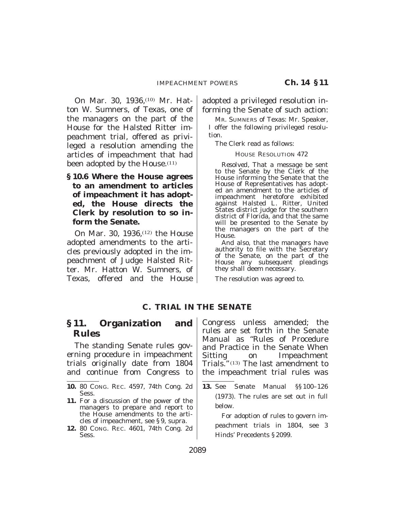On Mar. 30, 1936, (10) Mr. Hatton W. Sumners, of Texas, one of the managers on the part of the House for the Halsted Ritter impeachment trial, offered as privileged a resolution amending the articles of impeachment that had been adopted by the House.<sup>(11)</sup>

**§ 10.6 Where the House agrees to an amendment to articles of impeachment it has adopted, the House directs the Clerk by resolution to so inform the Senate.**

On Mar. 30, 1936, <sup>(12)</sup> the House adopted amendments to the articles previously adopted in the impeachment of Judge Halsted Ritter. Mr. Hatton W. Sumners, of Texas, offered and the House

adopted a privileged resolution informing the Senate of such action:

MR. SUMNERS of Texas: Mr. Speaker, I offer the following privileged resolution.

The Clerk read as follows:

HOUSE RESOLUTION 472

*Resolved,* That a message be sent to the Senate by the Clerk of the House informing the Senate that the House of Representatives has adopted an amendment to the articles of impeachment heretofore exhibited against Halsted L. Ritter, United States district judge for the southern district of Florida, and that the same will be presented to the Senate by the managers on the part of the House.

And also, that the managers have authority to file with the Secretary of the Senate, on the part of the House any subsequent pleadings they shall deem necessary.

The resolution was agreed to.

#### **C. TRIAL IN THE SENATE**

## **§ 11. Organization and Rules**

The standing Senate rules governing procedure in impeachment trials originally date from 1804 and continue from Congress to

- **10.** 80 CONG. REC. 4597, 74th Cong. 2d Sess.
- **11.** For a discussion of the power of the managers to prepare and report to the House amendments to the articles of impeachment, see § 9, supra.
- **12.** 80 CONG. REC. 4601, 74th Cong. 2d Sess.

Congress unless amended; the rules are set forth in the Senate Manual as ''Rules of Procedure and Practice in the Senate When Sitting on Impeachment Trials.'' (13) The last amendment to the impeachment trial rules was

**13.** See *Senate Manual* §§ 100–126 (1973). The rules are set out in full below.

For adoption of rules to govern impeachment trials in 1804, see 3 Hinds' Precedents § 2099.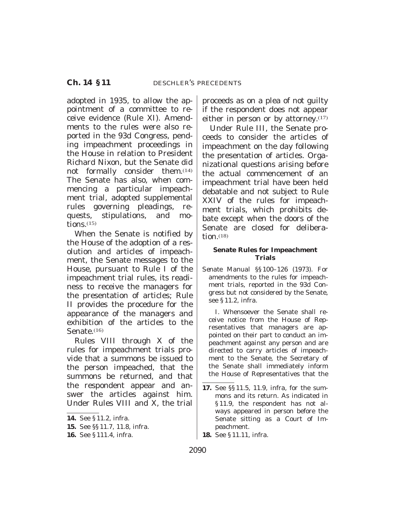adopted in 1935, to allow the appointment of a committee to receive evidence (Rule XI). Amendments to the rules were also reported in the 93d Congress, pending impeachment proceedings in the House in relation to President Richard Nixon, but the Senate did not formally consider them.(14) The Senate has also, when commencing a particular impeachment trial, adopted supplemental rules governing pleadings, requests, stipulations, and motions. $(15)$ 

When the Senate is notified by the House of the adoption of a resolution and articles of impeachment, the Senate messages to the House, pursuant to Rule I of the impeachment trial rules, its readiness to receive the managers for the presentation of articles; Rule II provides the procedure for the appearance of the managers and exhibition of the articles to the Senate.<sup>(16)</sup>

Rules VIII through X of the rules for impeachment trials provide that a summons be issued to the person impeached, that the summons be returned, and that the respondent appear and answer the articles against him. Under Rules VIII and X, the trial

**16.** See § 111.4, infra.

proceeds as on a plea of not guilty if the respondent does not appear either in person or by attorney. $(17)$ 

Under Rule III, the Senate proceeds to consider the articles of impeachment on the day following the presentation of articles. Organizational questions arising before the actual commencement of an impeachment trial have been held debatable and not subject to Rule XXIV of the rules for impeachment trials, which prohibits debate except when the doors of the Senate are closed for deliberation. $(18)$ 

#### **Senate Rules for Impeachment Trials**

*Senate Manual* §§ 100–126 (1973). For amendments to the rules for impeachment trials, reported in the 93d Congress but not considered by the Senate, see § 11.2, infra.

I. Whensoever the Senate shall receive notice from the House of Representatives that managers are appointed on their part to conduct an impeachment against any person and are directed to carry articles of impeachment to the Senate, the Secretary of the Senate shall immediately inform the House of Representatives that the

**18.** See § 11.11, infra.

2090

**<sup>14.</sup>** See § 11.2, infra.

**<sup>15.</sup>** See §§ 11.7, 11.8, infra.

**<sup>17.</sup>** See §§ 11.5, 11.9, infra, for the summons and its return. As indicated in § 11.9, the respondent has not always appeared in person before the Senate sitting as a Court of Impeachment.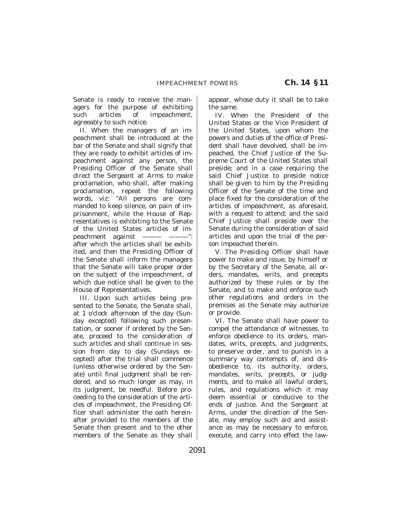Senate is ready to receive the managers for the purpose of exhibiting such articles of impeachment, agreeably to such notice.

II. When the managers of an impeachment shall be introduced at the bar of the Senate and shall signify that they are ready to exhibit articles of impeachment against any person, the Presiding Officer of the Senate shall direct the Sergeant at Arms to make proclamation, who shall, after making proclamation, repeat the following words, viz: ''All persons are commanded to keep silence, on pain of imprisonment, while the House of Representatives is exhibiting to the Senate of the United States articles of impeachment against ——— ———'': after which the articles shall be exhibited, and then the Presiding Officer of the Senate shall inform the managers that the Senate will take proper order on the subject of the impeachment, of which due notice shall be given to the House of Representatives.

III. Upon such articles being presented to the Senate, the Senate shall, at 1 o'clock afternoon of the day (Sunday excepted) following such presentation, or sooner if ordered by the Senate, proceed to the consideration of such articles and shall continue in session from day to day (Sundays excepted) after the trial shall commence (unless otherwise ordered by the Senate) until final judgment shall be rendered, and so much longer as may, in its judgment, be needful. Before proceeding to the consideration of the articles of impeachment, the Presiding Officer shall administer the oath hereinafter provided to the members of the Senate then present and to the other members of the Senate as they shall

appear, whose duty it shall be to take the same.

IV. When the President of the United States or the Vice President of the United States, upon whom the powers and duties of the office of President shall have devolved, shall be impeached, the Chief Justice of the Supreme Court of the United States shall preside; and in a case requiring the said Chief Justice to preside notice shall be given to him by the Presiding Officer of the Senate of the time and place fixed for the consideration of the articles of impeachment, as aforesaid, with a request to attend; and the said Chief Justice shall preside over the Senate during the consideration of said articles and upon the trial of the person impeached therein.

V. The Presiding Officer shall have power to make and issue, by himself or by the Secretary of the Senate, all orders, mandates, writs, and precepts authorized by these rules or by the Senate, and to make and enforce such other regulations and orders in the premises as the Senate may authorize or provide.

VI. The Senate shall have power to compel the attendance of witnesses, to enforce obedience to its orders, mandates, writs, precepts, and judgments, to preserve order, and to punish in a summary way contempts of, and disobedience to, its authority, orders, mandates, writs, precepts, or judgments, and to make all lawful orders, rules, and regulations which it may deem essential or conducive to the ends of justice. And the Sergeant at Arms, under the direction of the Senate, may employ such aid and assistance as may be necessary to enforce, execute, and carry into effect the law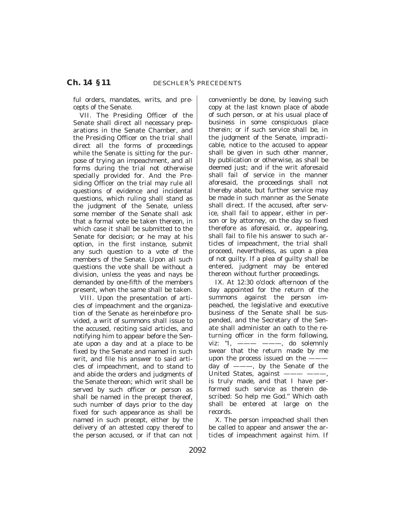ful orders, mandates, writs, and precepts of the Senate.

VII. The Presiding Officer of the Senate shall direct all necessary preparations in the Senate Chamber, and the Presiding Officer on the trial shall direct all the forms of proceedings while the Senate is sitting for the purpose of trying an impeachment, and all forms during the trial not otherwise specially provided for. And the Presiding Officer on the trial may rule all questions of evidence and incidental questions, which ruling shall stand as the judgment of the Senate, unless some member of the Senate shall ask that a formal vote be taken thereon, in which case it shall be submitted to the Senate for decision; or he may at his option, in the first instance, submit any such question to a vote of the members of the Senate. Upon all such questions the vote shall be without a division, unless the yeas and nays be demanded by one-fifth of the members present, when the same shall be taken.

VIII. Upon the presentation of articles of impeachment and the organization of the Senate as hereinbefore provided, a writ of summons shall issue to the accused, reciting said articles, and notifying him to appear before the Senate upon a day and at a place to be fixed by the Senate and named in such writ, and file his answer to said articles of impeachment, and to stand to and abide the orders and judgments of the Senate thereon; which writ shall be served by such officer or person as shall be named in the precept thereof, such number of days prior to the day fixed for such appearance as shall be named in such precept, either by the delivery of an attested copy thereof to the person accused, or if that can not

conveniently be done, by leaving such copy at the last known place of abode of such person, or at his usual place of business in some conspicuous place therein; or if such service shall be, in the judgment of the Senate, impracticable, notice to the accused to appear shall be given in such other manner, by publication or otherwise, as shall be deemed just; and if the writ aforesaid shall fail of service in the manner aforesaid, the proceedings shall not thereby abate, but further service may be made in such manner as the Senate shall direct. If the accused, after service, shall fail to appear, either in person or by attorney, on the day so fixed therefore as aforesaid, or, appearing, shall fail to file his answer to such articles of impeachment, the trial shall proceed, nevertheless, as upon a plea of not guilty. If a plea of guilty shall be entered, judgment may be entered thereon without further proceedings.

IX. At 12:30 o'clock afternoon of the day appointed for the return of the summons against the person impeached, the legislative and executive business of the Senate shall be suspended, and the Secretary of the Senate shall administer an oath to the returning officer in the form following, viz: "I,  $\longrightarrow$   $\longrightarrow$   $\longrightarrow$   $\longrightarrow$  do solemnly swear that the return made by me upon the process issued on the  $$ day of ———, by the Senate of the United States, against ——— is truly made, and that I have performed such service as therein described: So help me God.'' Which oath shall be entered at large on the records.

X. The person impeached shall then be called to appear and answer the articles of impeachment against him. If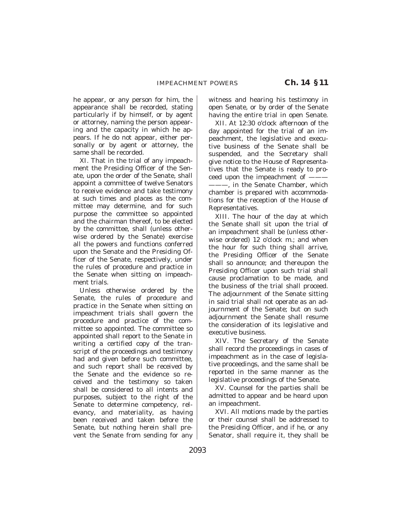he appear, or any person for him, the appearance shall be recorded, stating particularly if by himself, or by agent or attorney, naming the person appearing and the capacity in which he appears. If he do not appear, either personally or by agent or attorney, the same shall be recorded.

XI. That in the trial of any impeachment the Presiding Officer of the Senate, upon the order of the Senate, shall appoint a committee of twelve Senators to receive evidence and take testimony at such times and places as the committee may determine, and for such purpose the committee so appointed and the chairman thereof, to be elected by the committee, shall (unless otherwise ordered by the Senate) exercise all the powers and functions conferred upon the Senate and the Presiding Officer of the Senate, respectively, under the rules of procedure and practice in the Senate when sitting on impeachment trials.

Unless otherwise ordered by the Senate, the rules of procedure and practice in the Senate when sitting on impeachment trials shall govern the procedure and practice of the committee so appointed. The committee so appointed shall report to the Senate in writing a certified copy of the transcript of the proceedings and testimony had and given before such committee, and such report shall be received by the Senate and the evidence so received and the testimony so taken shall be considered to all intents and purposes, subject to the right of the Senate to determine competency, relevancy, and materiality, as having been received and taken before the Senate, but nothing herein shall prevent the Senate from sending for any

witness and hearing his testimony in open Senate, or by order of the Senate having the entire trial in open Senate.

XII. At 12:30 o'clock afternoon of the day appointed for the trial of an impeachment, the legislative and executive business of the Senate shall be suspended, and the Secretary shall give notice to the House of Representatives that the Senate is ready to proceed upon the impeachment of -———, in the Senate Chamber, which chamber is prepared with accommodations for the reception of the House of Representatives.

XIII. The hour of the day at which the Senate shall sit upon the trial of an impeachment shall be (unless otherwise ordered) 12 o'clock m.; and when the hour for such thing shall arrive, the Presiding Officer of the Senate shall so announce; and thereupon the Presiding Officer upon such trial shall cause proclamation to be made, and the business of the trial shall proceed. The adjournment of the Senate sitting in said trial shall not operate as an adjournment of the Senate; but on such adjournment the Senate shall resume the consideration of its legislative and executive business.

XIV. The Secretary of the Senate shall record the proceedings in cases of impeachment as in the case of legislative proceedings, and the same shall be reported in the same manner as the legislative proceedings of the Senate.

XV. Counsel for the parties shall be admitted to appear and be heard upon an impeachment.

XVI. All motions made by the parties or their counsel shall be addressed to the Presiding Officer, and if he, or any Senator, shall require it, they shall be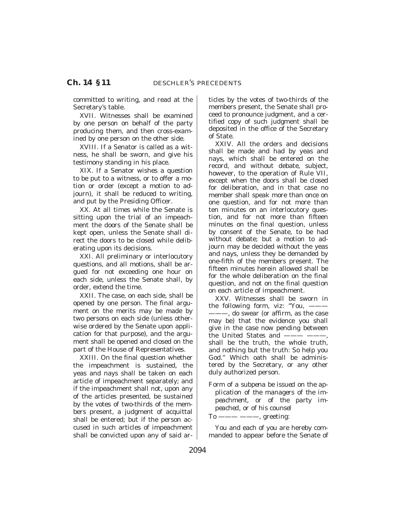committed to writing, and read at the Secretary's table.

XVII. Witnesses shall be examined by one person on behalf of the party producing them, and then cross-examined by one person on the other side.

XVIII. If a Senator is called as a witness, he shall be sworn, and give his testimony standing in his place.

XIX. If a Senator wishes a question to be put to a witness, or to offer a motion or order (except a motion to adjourn), it shall be reduced to writing, and put by the Presiding Officer.

XX. At all times while the Senate is sitting upon the trial of an impeachment the doors of the Senate shall be kept open, unless the Senate shall direct the doors to be closed while deliberating upon its decisions.

XXI. All preliminary or interlocutory questions, and all motions, shall be argued for not exceeding one hour on each side, unless the Senate shall, by order, extend the time.

XXII. The case, on each side, shall be opened by one person. The final argument on the merits may be made by two persons on each side (unless otherwise ordered by the Senate upon application for that purpose), and the argument shall be opened and closed on the part of the House of Representatives.

XXIII. On the final question whether the impeachment is sustained, the yeas and nays shall be taken on each article of impeachment separately; and if the impeachment shall not, upon any of the articles presented, be sustained by the votes of two-thirds of the members present, a judgment of acquittal shall be entered; but if the person accused in such articles of impeachment shall be convicted upon any of said ar-

ticles by the votes of two-thirds of the members present, the Senate shall proceed to pronounce judgment, and a certified copy of such judgment shall be deposited in the office of the Secretary of State.

XXIV. All the orders and decisions shall be made and had by yeas and nays, which shall be entered on the record, and without debate, subject, however, to the operation of Rule VII, except when the doors shall be closed for deliberation, and in that case no member shall speak more than once on one question, and for not more than ten minutes on an interlocutory question, and for not more than fifteen minutes on the final question, unless by consent of the Senate, to be had without debate; but a motion to adjourn may be decided without the yeas and nays, unless they be demanded by one-fifth of the members present. The fifteen minutes herein allowed shall be for the whole deliberation on the final question, and not on the final question on each article of impeachment.

XXV. Witnesses shall be sworn in the following form, viz: "You, -———, do swear (or affirm, as the case may be) that the evidence you shall give in the case now pending between the United States and  $$ shall be the truth, the whole truth, and nothing but the truth: So help you God.'' Which oath shall be administered by the Secretary, or any other duly authorized person.

*Form of a subpena be issued on the application of the managers of the impeachment, or of the party impeached, or of his counsel*

 $To — — — —, greeting:$ 

You and each of you are hereby commanded to appear before the Senate of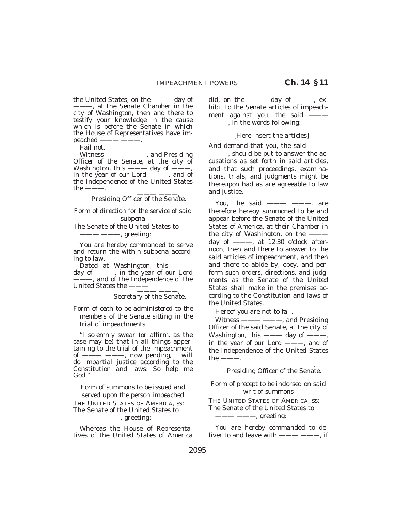the United States, on the ——— day of ———, at the Senate Chamber in the city of Washington, then and there to testify your knowledge in the cause which is before the Senate in which the House of Representatives have impeached -

Fail not.

Witness  $\frac{---}{---}$ , and Presiding Officer of the Senate, at the city of Washington, this  $\frac{1}{2}$  day of  $\frac{1}{2}$ in the year of our Lord ———, and of the Independence of the United States the ———.<br>Presiding Officer of the Senate.

#### *Form of direction for the service of said subpena*

# The Senate of the United States to

 $\begin{array}{c}\n--\n--\n... \end{array}$  greeting:

You are hereby commanded to serve and return the within subpena according to law.

Dated at Washington, this day of ———, in the year of our Lord ———, and of the Independence of the United States the ———.<br>Secretary of the Senate.

*Form of oath to be administered to the members of the Senate sitting in the trial of impeachments*

''I solemnly swear (or affirm, as the case may be) that in all things appertaining to the trial of the impeachment of  $\begin{array}{c} \text{---} \text{---} \\ \text{---} \text{---} \\ \end{array}$  now pending, I will do impartial justice according to the Constitution and laws: So help me God.''

*Form of summons to be issued and served upon the person impeached* THE UNITED STATES OF AMERICA, *ss:* The Senate of the United States to  $---,$  greeting:

Whereas the House of Representatives of the United States of America

did, on the  $\frac{---}{}$  day of  $\frac{---}{}$ , exhibit to the Senate articles of impeachment against you, the said -———, in the words following:

#### [Here insert the articles]

And demand that you, the said ———  $-$ , should be put to answer the accusations as set forth in said articles, and that such proceedings, examinations, trials, and judgments might be thereupon had as are agreeable to law and justice.

You, the said  $\begin{array}{ccc} - & \cdots & - \end{array}$  are therefore hereby summoned to be and appear before the Senate of the United States of America, at their Chamber in the city of Washington, on the  $$ day of  $\text{---}$ , at 12:30 o'clock afternoon, then and there to answer to the said articles of impeachment, and then and there to abide by, obey, and perform such orders, directions, and judgments as the Senate of the United States shall make in the premises according to the Constitution and laws of the United States.

Hereof you are not to fail.

Witness  $\frac{---}{---}$ , and Presiding Officer of the said Senate, at the city of Washington, this  $\frac{1}{2}$  day of  $\frac{1}{2}$ in the year of our Lord ———, and of the Independence of the United States the ———.<br>Presiding Officer of the Senate.

*Form of precept to be indorsed on said writ of summons*

THE UNITED STATES OF AMERICA, *ss:* The Senate of the United States to  $---$ , greeting:

You are hereby commanded to deliver to and leave with ——— ——, if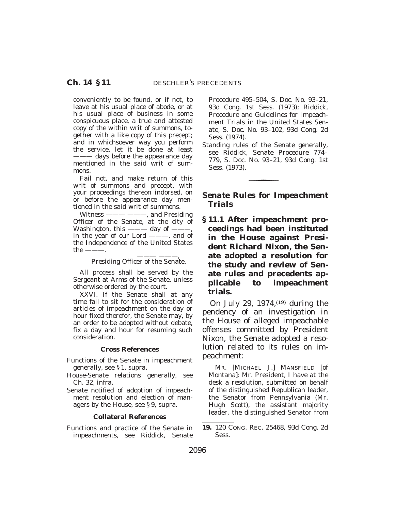conveniently to be found, or if not, to leave at his usual place of abode, or at his usual place of business in some conspicuous place, a true and attested copy of the within writ of summons, together with a like copy of this precept; and in whichsoever way you perform the service, let it be done at least – days before the appearance day mentioned in the said writ of summons.

Fail not, and make return of this writ of summons and precept, with your proceedings thereon indorsed, on or before the appearance day mentioned in the said writ of summons.

Witness ——— ———, and Presiding Officer of the Senate, at the city of Washington, this ——— day of ———,<br>in the year of our Lord ———, and of in the year of our Lord  $$ the Independence of the United States the ———.<br>Presiding Officer of the Senate.

All process shall be served by the Sergeant at Arms of the Senate, unless otherwise ordered by the court.

XXVI. If the Senate shall at any time fail to sit for the consideration of articles of impeachment on the day or hour fixed therefor, the Senate may, by an order to be adopted without debate, fix a day and hour for resuming such consideration.

#### **Cross References**

Functions of the Senate in impeachment generally, see § 1, supra.

- House-Senate relations generally, see Ch. 32, infra.
- Senate notified of adoption of impeachment resolution and election of managers by the House, see § 9, supra.

#### **Collateral References**

Functions and practice of the Senate in impeachments, see Riddick, Senate

Procedure 495–504, S. Doc. No. 93–21, 93d Cong. 1st Sess. (1973); Riddick, Procedure and Guidelines for Impeachment Trials in the United States Senate, S. Doc. No. 93–102, 93d Cong. 2d Sess. (1974).

Standing rules of the Senate generally, see Riddick, Senate Procedure 774– 779, S. Doc. No. 93–21, 93d Cong. 1st Sess. (1973).

#### *Senate Rules for Impeachment Trials*

**§ 11.1 After impeachment proceedings had been instituted in the House against President Richard Nixon, the Senate adopted a resolution for the study and review of Senate rules and precedents applicable to impeachment trials.**

On July 29,  $1974<sub>1</sub>(19)$  during the pendency of an investigation in the House of alleged impeachable offenses committed by President Nixon, the Senate adopted a resolution related to its rules on impeachment:

MR. [MICHAEL J.] MANSFIELD [of Montana]: Mr. President, I have at the desk a resolution, submitted on behalf of the distinguished Republican leader, the Senator from Pennsylvania (Mr. Hugh Scott), the assistant majority leader, the distinguished Senator from

**<sup>19.</sup>** 120 CONG. REC. 25468, 93d Cong. 2d Sess.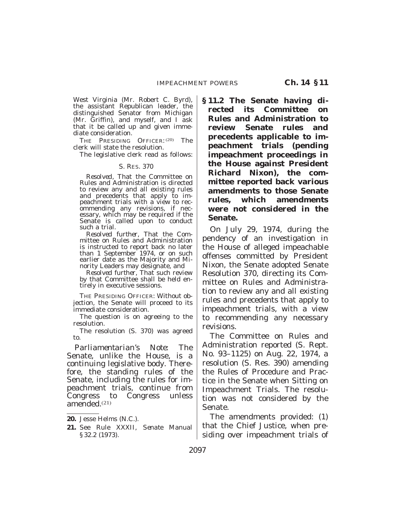West Virginia (Mr. Robert C. Byrd), the assistant Republican leader, the distinguished Senator from Michigan (Mr. Griffin), and myself, and I ask that it be called up and given immediate consideration.

THE PRESIDING OFFICER: (20) The clerk will state the resolution.

The legislative clerk read as follows:

#### S. RES. 370

*Resolved,* That the Committee on Rules and Administration is directed to review any and all existing rules and precedents that apply to impeachment trials with a view to recommending any revisions, if necessary, which may be required if the Senate is called upon to conduct such a trial.

*Resolved further,* That the Committee on Rules and Administration is instructed to report back no later than 1 September 1974, or on such earlier date as the Majority and Minority Leaders may designate, and

*Resolved further,* That such review by that Committee shall be held entirely in executive sessions.

THE PRESIDING OFFICER: Without objection, the Senate will proceed to its immediate consideration.

The question is on agreeing to the resolution.

The resolution (S. 370) was agreed to.

*Parliamentarian's Note:* The Senate, unlike the House, is a continuing legislative body. Therefore, the standing rules of the Senate, including the rules for impeachment trials, continue from Congress to Congress unless amended.(21)

**§ 11.2 The Senate having directed its Committee on Rules and Administration to review Senate rules and precedents applicable to impeachment trials (pending impeachment proceedings in the House against President Richard Nixon), the committee reported back various amendments to those Senate rules, which amendments were not considered in the Senate.**

On July 29, 1974, during the pendency of an investigation in the House of alleged impeachable offenses committed by President Nixon, the Senate adopted Senate Resolution 370, directing its Committee on Rules and Administration to review any and all existing rules and precedents that apply to impeachment trials, with a view to recommending any necessary revisions.

The Committee on Rules and Administration reported (S. Rept. No. 93–1125) on Aug. 22, 1974, a resolution (S. Res. 390) amending the Rules of Procedure and Practice in the Senate when Sitting on Impeachment Trials. The resolution was not considered by the Senate.

The amendments provided: (1) that the Chief Justice, when presiding over impeachment trials of

**<sup>20.</sup>** Jesse Helms (N.C.).

**<sup>21.</sup>** See Rule XXXII, *Senate Manual* § 32.2 (1973).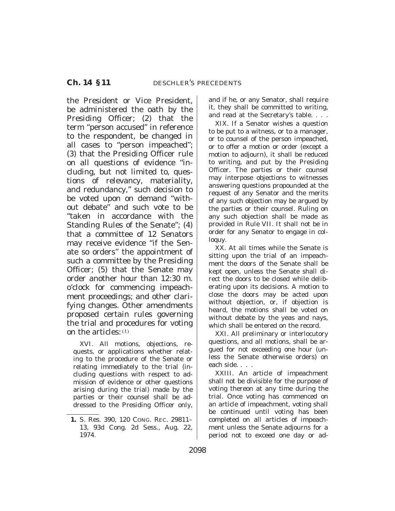the President or Vice President, be administered the oath by the Presiding Officer; (2) that the term ''person accused'' in reference to the respondent, be changed in all cases to ''person impeached''; (3) that the Presiding Officer rule on all questions of evidence ''including, but not limited to, questions of relevancy, materiality, and redundancy,'' such decision to be voted upon on demand ''without debate'' and such vote to be ''taken in accordance with the Standing Rules of the Senate''; (4) that a committee of 12 Senators may receive evidence ''if the Senate so orders'' the appointment of such a committee by the Presiding Officer; (5) that the Senate may order another hour than 12:30 m. o'clock for commencing impeachment proceedings; and other clarifying changes. Other amendments proposed certain rules governing the trial and procedures for voting on the articles: (1)

XVI. All motions, objections, requests, or applications whether relating to the procedure of the Senate or relating immediately to the trial (including questions with respect to admission of evidence or other questions arising during the trial) made by the parties or their counsel shall be addressed to the Presiding Officer only,

and if he, or any Senator, shall require it, they shall be committed to writing, and read at the Secretary's table. . . .

XIX. If a Senator wishes a question to be put to a witness, or to a manager, or to counsel of the person impeached, or to offer a motion or order (except a motion to adjourn), it shall be reduced to writing, and put by the Presiding Officer. The parties or their counsel may interpose objections to witnesses answering questions propounded at the request of any Senator and the merits of any such objection may be argued by the parties or their counsel. Ruling on any such objection shall be made as provided in Rule VII. It shall not be in order for any Senator to engage in colloquy.

XX. At all times while the Senate is sitting upon the trial of an impeachment the doors of the Senate shall be kept open, unless the Senate shall direct the doors to be closed while deliberating upon its decisions. A motion to close the doors may be acted upon without objection, or, if objection is heard, the motions shall be voted on without debate by the yeas and nays, which shall be entered on the record.

XXI. All preliminary or interlocutory questions, and all motions, shall be argued for not exceeding one hour (unless the Senate otherwise orders) on each side. . . .

XXIII. An article of impeachment shall not be divisible for the purpose of voting thereon at any time during the trial. Once voting has commenced on an article of impeachment, voting shall be continued until voting has been completed on all articles of impeachment unless the Senate adjourns for a period not to exceed one day or ad-

**<sup>1.</sup>** S. Res. 390, 120 CONG. REC. 29811– 13, 93d Cong. 2d Sess., Aug. 22, 1974.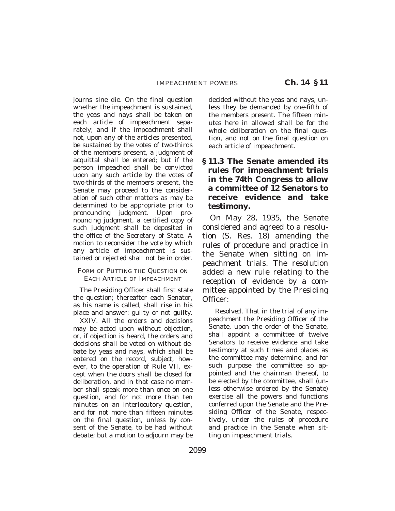journs sine die. On the final question whether the impeachment is sustained, the yeas and nays shall be taken on each article of impeachment separately; and if the impeachment shall not, upon any of the articles presented, be sustained by the votes of two-thirds of the members present, a judgment of acquittal shall be entered; but if the person impeached shall be convicted upon any such article by the votes of two-thirds of the members present, the Senate may proceed to the consideration of such other matters as may be determined to be appropriate prior to pronouncing judgment. Upon pronouncing judgment, a certified copy of such judgment shall be deposited in the office of the Secretary of State. A motion to reconsider the vote by which any article of impeachment is sustained or rejected shall not be in order.

#### FORM OF PUTTING THE QUESTION ON EACH ARTICLE OF IMPEACHMENT

The Presiding Officer shall first state the question; thereafter each Senator, as his name is called, shall rise in his place and answer: guilty or not guilty.

XXIV. All the orders and decisions may be acted upon without objection, or, if objection is heard, the orders and decisions shall be voted on without debate by yeas and nays, which shall be entered on the record, subject, however, to the operation of Rule VII, except when the doors shall be closed for deliberation, and in that case no member shall speak more than once on one question, and for not more than ten minutes on an interlocutory question, and for not more than fifteen minutes on the final question, unless by consent of the Senate, to be had without debate; but a motion to adjourn may be

decided without the yeas and nays, unless they be demanded by one-fifth of the members present. The fifteen minutes here in allowed shall be for the whole deliberation on the final question, and not on the final question on each article of impeachment.

## **§ 11.3 The Senate amended its rules for impeachment trials in the 74th Congress to allow a committee of 12 Senators to receive evidence and take testimony.**

On May 28, 1935, the Senate considered and agreed to a resolution (S. Res. 18) amending the rules of procedure and practice in the Senate when sitting on impeachment trials. The resolution added a new rule relating to the reception of evidence by a committee appointed by the Presiding Officer:

*Resolved,* That in the trial of any impeachment the Presiding Officer of the Senate, upon the order of the Senate, shall appoint a committee of twelve Senators to receive evidence and take testimony at such times and places as the committee may determine, and for such purpose the committee so appointed and the chairman thereof, to be elected by the committee, shall (unless otherwise ordered by the Senate) exercise all the powers and functions conferred upon the Senate and the Presiding Officer of the Senate, respectively, under the rules of procedure and practice in the Senate when sitting on impeachment trials.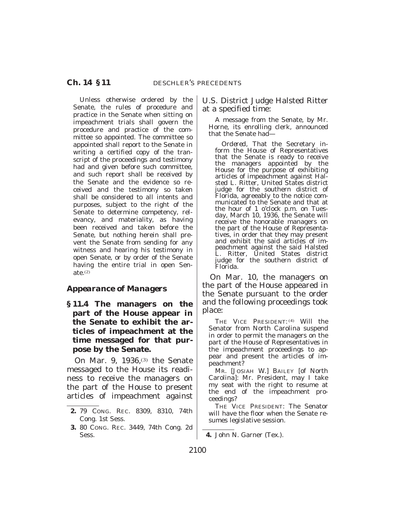Unless otherwise ordered by the Senate, the rules of procedure and practice in the Senate when sitting on impeachment trials shall govern the procedure and practice of the committee so appointed. The committee so appointed shall report to the Senate in writing a certified copy of the transcript of the proceedings and testimony had and given before such committee, and such report shall be received by the Senate and the evidence so received and the testimony so taken shall be considered to all intents and purposes, subject to the right of the Senate to determine competency, relevancy, and materiality, as having been received and taken before the Senate, but nothing herein shall prevent the Senate from sending for any witness and hearing his testimony in open Senate, or by order of the Senate having the entire trial in open Sen $ate(2)$ 

#### *Appearance of Managers*

**§ 11.4 The managers on the part of the House appear in the Senate to exhibit the articles of impeachment at the time messaged for that purpose by the Senate.**

On Mar. 9, 1936,<sup>(3)</sup> the Senate messaged to the House its readiness to receive the managers on the part of the House to present articles of impeachment against

#### U.S. District Judge Halsted Ritter at a specified time:

A message from the Senate, by Mr. Horne, its enrolling clerk, announced that the Senate had—

*Ordered,* That the Secretary inform the House of Representatives that the Senate is ready to receive the managers appointed by the House for the purpose of exhibiting articles of impeachment against Halsted L. Ritter, United States district judge for the southern district of Florida, agreeably to the notice communicated to the Senate and that at the hour of 1 o'clock p.m. on Tuesday, March 10, 1936, the Senate will receive the honorable managers on the part of the House of Representatives, in order that they may present and exhibit the said articles of impeachment against the said Halsted L. Ritter, United States district judge for the southern district of Florida.

On Mar. 10, the managers on the part of the House appeared in the Senate pursuant to the order and the following proceedings took place:

THE VICE PRESIDENT: (4) Will the Senator from North Carolina suspend in order to permit the managers on the part of the House of Representatives in the impeachment proceedings to appear and present the articles of impeachment?

MR. [JOSIAH W.] BAILEY [of North Carolina]: Mr. President, may I take my seat with the right to resume at the end of the impeachment proceedings?

THE VICE PRESIDENT: The Senator will have the floor when the Senate resumes legislative session.

**<sup>2.</sup>** 79 CONG. REC. 8309, 8310, 74th Cong. 1st Sess.

**<sup>3.</sup>** 80 CONG. REC. 3449, 74th Cong. 2d Sess. **4.** John N. Garner (Tex.).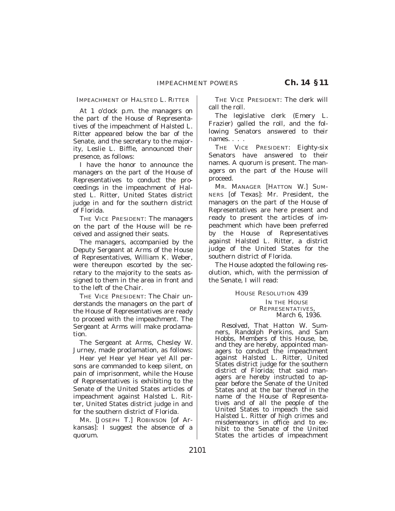IMPEACHMENT OF HALSTED L. RITTER

At 1 o'clock p.m. the managers on the part of the House of Representatives of the impeachment of Halsted L. Ritter appeared below the bar of the Senate, and the secretary to the majority, Leslie L. Biffle, announced their presence, as follows:

I have the honor to announce the managers on the part of the House of Representatives to conduct the proceedings in the impeachment of Halsted L. Ritter, United States district judge in and for the southern district of Florida.

THE VICE PRESIDENT: The managers on the part of the House will be received and assigned their seats.

The managers, accompanied by the Deputy Sergeant at Arms of the House of Representatives, William K. Weber, were thereupon escorted by the secretary to the majority to the seats assigned to them in the area in front and to the left of the Chair.

THE VICE PRESIDENT: The Chair understands the managers on the part of the House of Representatives are ready to proceed with the impeachment. The Sergeant at Arms will make proclamation.

The Sergeant at Arms, Chesley W. Jurney, made proclamation, as follows:

Hear ye! Hear ye! Hear ye! All persons are commanded to keep silent, on pain of imprisonment, while the House of Representatives is exhibiting to the Senate of the United States articles of impeachment against Halsted L. Ritter, United States district judge in and for the southern district of Florida.

MR. [JOSEPH T.] ROBINSON [of Arkansas]: I suggest the absence of a quorum.

THE VICE PRESIDENT: The clerk will call the roll.

The legislative clerk (Emery L. Frazier) galled the roll, and the following Senators answered to their names. . . .

THE VICE PRESIDENT: Eighty-six Senators have answered to their names. A quorum is present. The managers on the part of the House will proceed.

MR. MANAGER [HATTON W.] SUM-NERS [of Texas]: Mr. President, the managers on the part of the House of Representatives are here present and ready to present the articles of impeachment which have been preferred by the House of Representatives against Halsted L. Ritter, a district judge of the United States for the southern district of Florida.

The House adopted the following resolution, which, with the permission of the Senate, I will read:

HOUSE RESOLUTION 439

IN THE HOUSE OF REPRESENTATIVES, *March 6, 1936.*

*Resolved,* That Hatton W. Sumners, Randolph Perkins, and Sam Hobbs, Members of this House, be, and they are hereby, appointed managers to conduct the impeachment against Halsted L. Ritter, United States district judge for the southern district of Florida; that said managers are hereby instructed to appear before the Senate of the United States and at the bar thereof in the name of the House of Representatives and of all the people of the United States to impeach the said Halsted L. Ritter of high crimes and misdemeanors in office and to exhibit to the Senate of the United States the articles of impeachment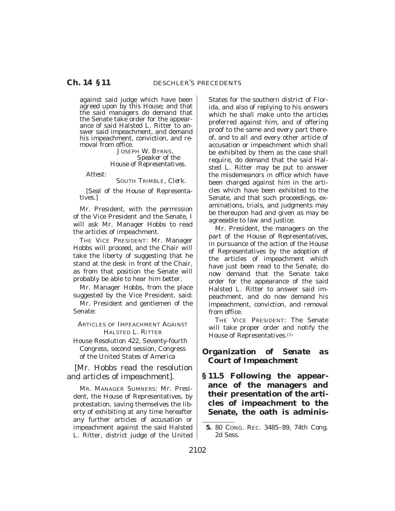against said judge which have been agreed upon by this House; and that the said managers do demand that the Senate take order for the appearance of said Halsted L. Ritter to answer said impeachment, and demand his impeachment, conviction, and removal from office.

> JOSEPH W. BYRNS, *Speaker of the House of Representatives.*

Attest:

SOUTH TRIMBLE, *Clerk.*

[Seal of the House of Representatives.]

Mr. President, with the permission of the Vice President and the Senate, I will ask Mr. Manager Hobbs to read the articles of impeachment.

THE VICE PRESIDENT: Mr. Manager Hobbs will proceed, and the Chair will take the liberty of suggesting that he stand at the desk in front of the Chair, as from that position the Senate will probably be able to hear him better.

Mr. Manager Hobbs, from the place suggested by the Vice President, said:

Mr. President and gentlemen of the Senate:

ARTICLES OF IMPEACHMENT AGAINST HALSTED L. RITTER

House Resolution 422, Seventy-fourth Congress, second session, Congress of the United States of America

[Mr. Hobbs read the resolution and articles of impeachment].

MR. MANAGER SUMNERS: Mr. President, the House of Representatives, by protestation, saving themselves the liberty of exhibiting at any time hereafter any further articles of accusation or impeachment against the said Halsted L. Ritter, district judge of the United

States for the southern district of Florida, and also of replying to his answers which he shall make unto the articles preferred against him, and of offering proof to the same and every part thereof, and to all and every other article of accusation or impeachment which shall be exhibited by them as the case shall require, do demand that the said Halsted L. Ritter may be put to answer the misdemeanors in office which have been charged against him in the articles which have been exhibited to the Senate, and that such proceedings, examinations, trials, and judgments may be thereupon had and given as may be agreeable to law and justice.

Mr. President, the managers on the part of the House of Representatives, in pursuance of the action of the House of Representatives by the adoption of the articles of impeachment which have just been read to the Senate, do now demand that the Senate take order for the appearance of the said Halsted L. Ritter to answer said impeachment, and do now demand his impeachment, conviction, and removal from office.

THE VICE PRESIDENT: The Senate will take proper order and notify the House of Representatives.(5)

#### *Organization of Senate as Court of Impeachment*

## **§ 11.5 Following the appearance of the managers and their presentation of the articles of impeachment to the Senate, the oath is adminis-**

**<sup>5.</sup>** 80 CONG. REC. 3485–89, 74th Cong. 2d Sess.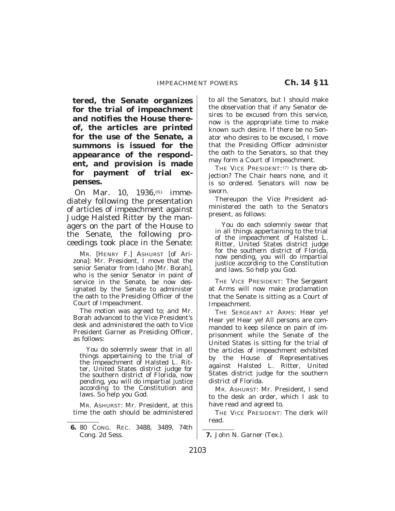**tered, the Senate organizes for the trial of impeachment and notifies the House thereof, the articles are printed for the use of the Senate, a summons is issued for the appearance of the respondent, and provision is made for payment of trial expenses.**

On Mar. 10, 1936, <sup>(6)</sup> immediately following the presentation of articles of impeachment against Judge Halsted Ritter by the managers on the part of the House to the Senate, the following proceedings took place in the Senate:

MR. [HENRY F.] ASHURST [of Arizona]: Mr. President, I move that the senior Senator from Idaho [Mr. Borah], who is the senior Senator in point of service in the Senate, be now designated by the Senate to administer the oath to the Presiding Officer of the Court of Impeachment.

The motion was agreed to; and Mr. Borah advanced to the Vice President's desk and administered the oath to Vice President Garner as Presiding Officer, as follows:

You do solemnly swear that in all things appertaining to the trial of the impeachment of Halsted L. Ritter, United States district judge for the southern district of Florida, now pending, you will do impartial justice according to the Constitution and laws. So help you God.

MR. ASHURST: Mr. President, at this time the oath should be administered

to all the Senators, but I should make the observation that if any Senator desires to be excused from this service, now is the appropriate time to make known such desire. If there be no Senator who desires to be excused, I move that the Presiding Officer administer the oath to the Senators, so that they may form a Court of Impeachment.

THE VICE PRESIDENT: (7) Is there objection? The Chair hears none, and it is so ordered. Senators will now be sworn.

Thereupon the Vice President administered the oath to the Senators present, as follows:

You do each solemnly swear that in all things appertaining to the trial of the impeachment of Halsted L. Ritter, United States district judge for the southern district of Florida, now pending, you will do impartial justice according to the Constitution and laws. So help you God.

THE VICE PRESIDENT: The Sergeant at Arms will now make proclamation that the Senate is sitting as a Court of Impeachment.

THE SERGEANT AT ARMS: Hear ye! Hear ye! Hear ye! All persons are commanded to keep silence on pain of imprisonment while the Senate of the United States is sitting for the trial of the articles of impeachment exhibited by the House of Representatives against Halsted L. Ritter, United States district judge for the southern district of Florida.

MR. ASHURST: Mr. President, I send to the desk an order, which I ask to have read and agreed to.

THE VICE PRESIDENT: The clerk will read.

**<sup>6.</sup>** 80 CONG. REC. 3488, 3489, 74th Cong. 2d Sess. **7.** John N. Garner (Tex.).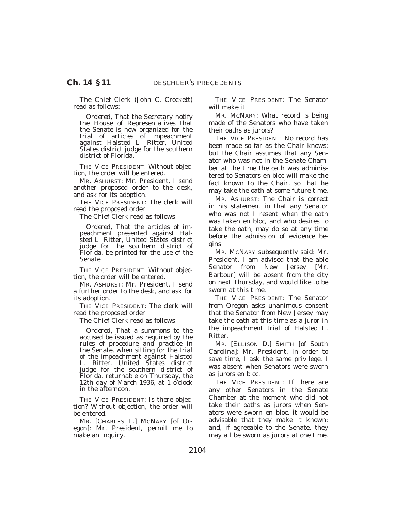The Chief Clerk (John C. Crockett) read as follows:

*Ordered,* That the Secretary notify the House of Representatives that the Senate is now organized for the trial of articles of impeachment against Halsted L. Ritter, United States district judge for the southern district of Florida.

THE VICE PRESIDENT: Without objection, the order will be entered.

MR. ASHURST: Mr. President, I send another proposed order to the desk, and ask for its adoption.

THE VICE PRESIDENT: The clerk will read the proposed order.

The Chief Clerk read as follows:

*Ordered,* That the articles of impeachment presented against Halsted L. Ritter, United States district judge for the southern district of Florida, be printed for the use of the Senate.

THE VICE PRESIDENT: Without objection, the order will be entered.

MR. ASHURST: Mr. President, I send a further order to the desk, and ask for its adoption.

THE VICE PRESIDENT: The clerk will read the proposed order.

The Chief Clerk read as follows:

*Ordered,* That a summons to the accused be issued as required by the rules of procedure and practice in the Senate, when sitting for the trial of the impeachment against Halsted L. Ritter, United States district judge for the southern district of Florida, returnable on Thursday, the 12th day of March 1936, at 1 o'clock in the afternoon.

THE VICE PRESIDENT: Is there objection? Without objection, the order will be entered.

MR. [CHARLES L.] MCNARY [of Oregon]: Mr. President, permit me to make an inquiry.

THE VICE PRESIDENT: The Senator will make it.

MR. MCNARY: What record is being made of the Senators who have taken their oaths as jurors?

THE VICE PRESIDENT: No record has been made so far as the Chair knows; but the Chair assumes that any Senator who was not in the Senate Chamber at the time the oath was administered to Senators en bloc will make the fact known to the Chair, so that he may take the oath at some future time.

MR. ASHURST: The Chair is correct in his statement in that any Senator who was not I resent when the oath was taken en bloc, and who desires to take the oath, may do so at any time before the admission of evidence begins.

MR. MCNARY subsequently said: Mr. President, I am advised that the able Senator from New Jersey [Mr. Barbour] will be absent from the city on next Thursday, and would like to be sworn at this time.

THE VICE PRESIDENT: The Senator from Oregon asks unanimous consent that the Senator from New Jersey may take the oath at this time as a juror in the impeachment trial of Halsted L. Ritter.

MR. [ELLISON D.] SMITH [of South Carolina]: Mr. President, in order to save time, I ask the same privilege. I was absent when Senators were sworn as jurors en bloc.

THE VICE PRESIDENT: If there are any other Senators in the Senate Chamber at the moment who did not take their oaths as jurors when Senators were sworn en bloc, it would be advisable that they make it known; and, if agreeable to the Senate, they may all be sworn as jurors at one time.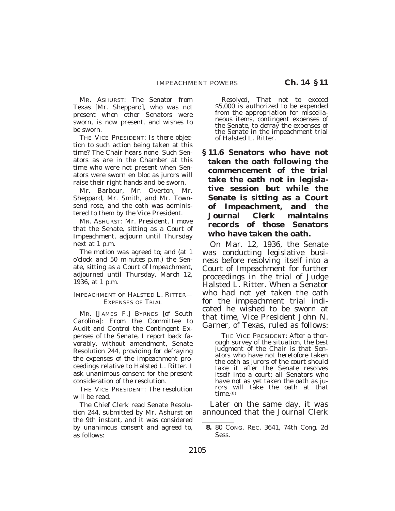MR. ASHURST: The Senator from Texas [Mr. Sheppard], who was not present when other Senators were sworn, is now present, and wishes to be sworn.

THE VICE PRESIDENT: Is there objection to such action being taken at this time? The Chair hears none. Such Senators as are in the Chamber at this time who were not present when Senators were sworn en bloc as jurors will raise their right hands and be sworn.

Mr. Barbour, Mr. Overton, Mr. Sheppard, Mr. Smith, and Mr. Townsend rose, and the oath was administered to them by the Vice President.

MR. ASHURST: Mr. President, I move that the Senate, sitting as a Court of Impeachment, adjourn until Thursday next at 1 p.m.

The motion was agreed to; and (at 1 o'clock and 50 minutes p.m.) the Senate, sitting as a Court of Impeachment, adjourned until Thursday, March 12, 1936, at 1 p.m.

#### IMPEACHMENT OF HALSTED L. RITTER— EXPENSES OF TRIAL

MR. [JAMES F.] BYRNES [of South Carolina]: From the Committee to Audit and Control the Contingent Expenses of the Senate, I report back favorably, without amendment, Senate Resolution 244, providing for defraying the expenses of the impeachment proceedings relative to Halsted L. Ritter. I ask unanimous consent for the present consideration of the resolution.

THE VICE PRESIDENT: The resolution will be read.

The Chief Clerk read Senate Resolution 244, submitted by Mr. Ashurst on the 9th instant, and it was considered by unanimous consent and agreed to, as follows:

*Resolved,* That not to exceed \$5,000 is authorized to be expended from the appropriation for miscellaneous items, contingent expenses of the Senate, to defray the expenses of the Senate in the impeachment trial of Halsted L. Ritter.

**§ 11.6 Senators who have not taken the oath following the commencement of the trial take the oath not in legislative session but while the Senate is sitting as a Court of Impeachment, and the Journal Clerk maintains records of those Senators who have taken the oath.**

On Mar. 12, 1936, the Senate was conducting legislative business before resolving itself into a Court of Impeachment for further proceedings in the trial of Judge Halsted L. Ritter. When a Senator who had not yet taken the oath for the impeachment trial indicated he wished to be sworn at that time, Vice President John N. Garner, of Texas, ruled as follows:

THE VICE PRESIDENT: After a thorough survey of the situation, the best judgment of the Chair is that Senators who have not heretofore taken the oath as jurors of the court should take it after the Senate resolves itself into a court; all Senators who have not as yet taken the oath as jurors will take the oath at that time.<sup>(8)</sup>

Later on the same day, it was announced that the Journal Clerk

**<sup>8.</sup>** 80 CONG. REC. 3641, 74th Cong. 2d Sess.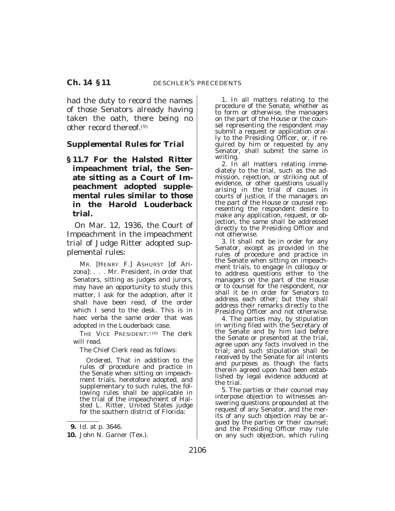had the duty to record the names of those Senators already having taken the oath, there being no other record thereof.(9)

#### *Supplemental Rules for Trial*

**§ 11.7 For the Halsted Ritter impeachment trial, the Senate sitting as a Court of Impeachment adopted supplemental rules similar to those in the Harold Louderback trial.**

On Mar. 12, 1936, the Court of Impeachment in the impeachment trial of Judge Ritter adopted supplemental rules:

MR. [HENRY F.] ASHURST [of Arizona]: . . . Mr. President, in order that Senators, sitting as judges and jurors, may have an opportunity to study this matter, I ask for the adoption, after it shall have been read, of the order which I send to the desk. This is in haec verba the same order that was adopted in the Louderback case.

THE VICE PRESIDENT: (10) The clerk will read.

The Chief Clerk read as follows:

*Ordered,* That in addition to the rules of procedure and practice in the Senate when sitting on impeachment trials, heretofore adopted, and supplementary to such rules, the following rules shall be applicable in the trial of the impeachment of Halsted L. Ritter, United States judge for the southern district of Florida:

**10.** John N. Garner (Tex.).

1. In all matters relating to the procedure of the Senate, whether as to form or otherwise, the managers on the part of the House or the counsel representing the respondent may submit a request or application orally to the Presiding Officer, or, if required by him or requested by any Senator, shall submit the same in writing.

2. In all matters relating imme- diately to the trial, such as the admission, rejection, or striking out of evidence, or other questions usually arising in the trial of causes in courts of justice, if the managers on the part of the House or counsel representing the respondent desire to make any application, request, or objection, the same shall be addressed directly to the Presiding Officer and not otherwise.

3. It shall not be in order for any Senator, except as provided in the rules of procedure and practice in the Senate when sitting on impeachment trials, to engage in colloquy or to address questions either to the managers on the part of the House or to counsel for the respondent, nor shall it be in order for Senators to address each other; but they shall address their remarks directly to the Presiding Officer and not otherwise.

4. The parties may, by stipulation in writing filed with the Secretary of the Senate and by him laid before the Senate or presented at the trial, agree upon any facts involved in the trial; and such stipulation shall be received by the Senate for all intents and purposes as though the facts therein agreed upon had been established by legal evidence adduced at the trial.

5. The parties or their counsel may interpose objection to witnesses answering questions propounded at the request of any Senator, and the merits of any such objection may be argued by the parties or their counsel; and the Presiding Officer may rule on any such objection, which ruling

**<sup>9.</sup>** *Id.* at p. 3646.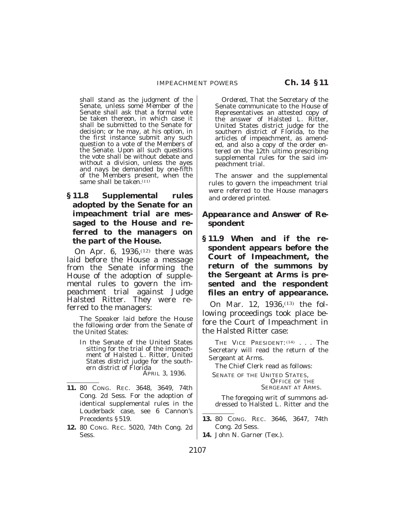shall stand as the judgment of the Senate, unless some Member of the Senate shall ask that a formal vote be taken thereon, in which case it shall be submitted to the Senate for decision; or he may, at his option, in the first instance submit any such question to a vote of the Members of the Senate. Upon all such questions the vote shall be without debate and without a division, unless the ayes and nays be demanded by one-fifth of the Members present, when the same shall be taken. $(11)$ 

## **§ 11.8 Supplemental rules adopted by the Senate for an impeachment trial are messaged to the House and referred to the managers on the part of the House.**

On Apr. 6, 1936, (12) there was laid before the House a message from the Senate informing the House of the adoption of supplemental rules to govern the impeachment trial against Judge Halsted Ritter. They were referred to the managers:

The Speaker laid before the House the following order from the Senate of the United States:

- In the Senate of the United States sitting for the trial of the impeachment of Halsted L. Ritter, United States district judge for the southern district of Florida APRIL 3, 1936.
- **11.** 80 CONG. REC. 3648, 3649, 74th Cong. 2d Sess. For the adoption of identical supplemental rules in the Louderback case, see 6 Cannon's Precedents § 519.
- **12.** 80 CONG. REC. 5020, 74th Cong. 2d Sess.

*Ordered,* That the Secretary of the Senate communicate to the House of Representatives an attested copy of the answer of Halsted L. Ritter, United States district judge for the southern district of Florida, to the articles of impeachment, as amended, and also a copy of the order entered on the 12th ultimo prescribing supplemental rules for the said impeachment trial.

The answer and the supplemental rules to govern the impeachment trial were referred to the House managers and ordered printed.

#### *Appearance and Answer of Respondent*

**§ 11.9 When and if the respondent appears before the Court of Impeachment, the return of the summons by the Sergeant at Arms is presented and the respondent files an entry of appearance.**

On Mar. 12, 1936, <sup>(13)</sup> the following proceedings took place before the Court of Impeachment in the Halsted Ritter case:

THE VICE PRESIDENT: (14) . . . The Secretary will read the return of the Sergeant at Arms.

The Chief Clerk read as follows: SENATE OF THE UNITED STATES,<br>OFFICE OF THE

SERGEANT AT ARMS.

The foregoing writ of summons addressed to Halsted L. Ritter and the

- **13.** 80 CONG. REC. 3646, 3647, 74th Cong. 2d Sess.
- **14.** John N. Garner (Tex.).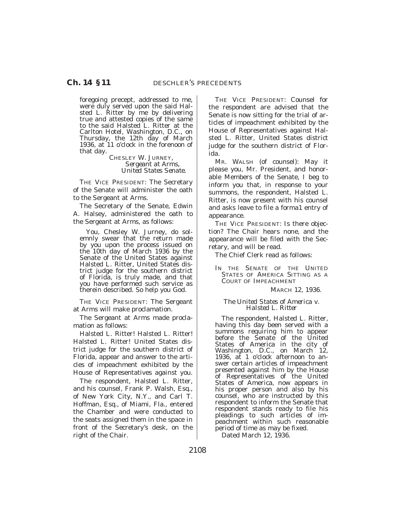foregoing precept, addressed to me, were duly served upon the said Halsted L. Ritter by me by delivering true and attested copies of the same to the said Halsted L. Ritter at the Carlton Hotel, Washington, D.C., on Thursday, the 12th day of March 1936, at 11 o'clock in the forenoon of that day.

> CHESLEY W. JURNEY, *Sergeant at Arms, United States Senate.*

THE VICE PRESIDENT: The Secretary of the Senate will administer the oath to the Sergeant at Arms.

The Secretary of the Senate, Edwin A. Halsey, administered the oath to the Sergeant at Arms, as follows:

You, Chesley W. Jurney, do solemnly swear that the return made by you upon the process issued on the 10th day of March 1936 by the Senate of the United States against Halsted L. Ritter, United States district judge for the southern district of Florida, is truly made, and that you have performed such service as therein described. So help you God.

THE VICE PRESIDENT: The Sergeant at Arms will make proclamation.

The Sergeant at Arms made proclamation as follows:

Halsted L. Ritter! Halsted L. Ritter! Halsted L. Ritter! United States district judge for the southern district of Florida, appear and answer to the articles of impeachment exhibited by the House of Representatives against you.

The respondent, Halsted L. Ritter, and his counsel, Frank P. Walsh, Esq., of New York City, N.Y., and Carl T. Hoffman, Esq., of Miami, Fla., entered the Chamber and were conducted to the seats assigned them in the space in front of the Secretary's desk, on the right of the Chair.

THE VICE PRESIDENT: Counsel for the respondent are advised that the Senate is now sitting for the trial of articles of impeachment exhibited by the House of Representatives against Halsted L. Ritter, United States district judge for the southern district of Florida.

MR. WALSH (of counsel): May it please you, Mr. President, and honorable Members of the Senate, I beg to inform you that, in response to your summons, the respondent, Halsted L. Ritter, is now present with his counsel and asks leave to file a forma1 entry of appearance.

THE VICE PRESIDENT: Is there objection? The Chair hears none, and the appearance will be filed with the Secretary, and will be read.

The Chief Clerk read as follows:

IN THE SENATE OF THE UNITED STATES OF AMERICA SITTING AS A COURT OF IMPEACHMENT

MARCH 12, 1936.

#### *The United States of America* v. *Halsted L. Ritter*

The respondent, Halsted L. Ritter, having this day been served with a summons requiring him to appear before the Senate of the United States of America in the city of Washington, D.C., on March 12, 1936, at 1 o'clock afternoon to answer certain articles of impeachment presented against him by the House of Representatives of the United States of America, now appears in his proper person and also by his counsel, who are instructed by this respondent to inform the Senate that respondent stands ready to file his pleadings to such articles of impeachment within such reasonable period of time as may be fixed.

Dated March 12, 1936.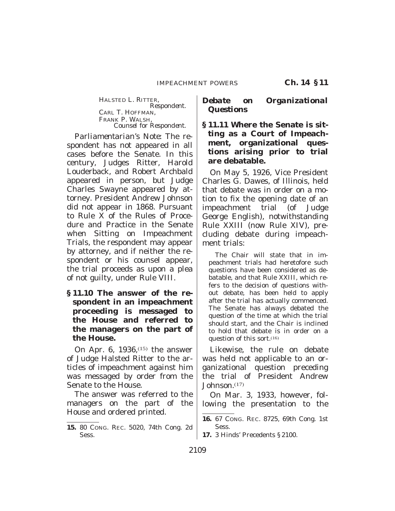HALSTED L. RITTER, *Respondent.* CARL T. HOFFMAN, FRANK P. WALSH, *Counsel for Respondent.*

*Parliamentarian's Note:* The respondent has not appeared in all cases before the Senate. In this century, Judges Ritter, Harold Louderback, and Robert Archbald appeared in person, but Judge Charles Swayne appeared by attorney. President Andrew Johnson did not appear in 1868. Pursuant to Rule X of the Rules of Procedure and Practice in the Senate when Sitting on Impeachment Trials, the respondent may appear by attorney, and if neither the respondent or his counsel appear, the trial proceeds as upon a plea of not guilty, under Rule VIII.

## **§ 11.10 The answer of the respondent in an impeachment proceeding is messaged to the House and referred to the managers on the part of the House.**

On Apr. 6, 1936,  $(15)$  the answer of Judge Halsted Ritter to the articles of impeachment against him was messaged by order from the Senate to the House.

The answer was referred to the managers on the part of the House and ordered printed.

#### *Debate on Organizational Questions*

## **§ 11.11 Where the Senate is sitting as a Court of Impeachment, organizational questions arising prior to trial are debatable.**

On May 5, 1926, Vice President Charles G. Dawes, of Illinois, held that debate was in order on a motion to fix the opening date of an impeachment trial (of Judge George English), notwithstanding Rule XXIII (now Rule XIV), precluding debate during impeachment trials:

The Chair will state that in impeachment trials had heretofore such questions have been considered as debatable, and that Rule XXIII, which refers to the decision of questions without debate, has been held to apply after the trial has actually commenced. The Senate has always debated the question of the time at which the trial should start, and the Chair is inclined to hold that debate is in order on a question of this sort.(16)

Likewise, the rule on debate was held not applicable to an organizational question preceding the trial of President Andrew Johnson. $(17)$ 

On Mar. 3, 1933, however, following the presentation to the

**<sup>15.</sup>** 80 CONG. REC. 5020, 74th Cong. 2d Sess.

**<sup>16.</sup>** 67 CONG. REC. 8725, 69th Cong. 1st Sess.

**<sup>17.</sup>** 3 Hinds' Precedents § 2100.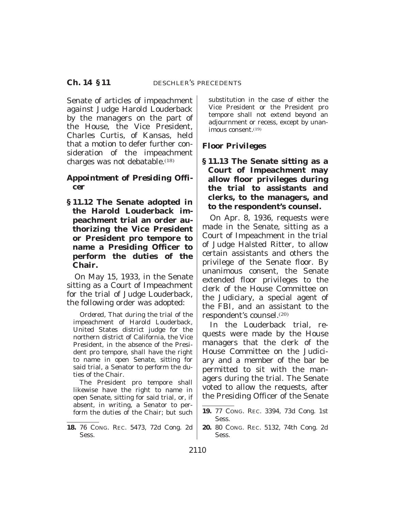Senate of articles of impeachment against Judge Harold Louderback by the managers on the part of the House, the Vice President, Charles Curtis, of Kansas, held that a motion to defer further consideration of the impeachment charges was not debatable. $(18)$ 

## *Appointment of Presiding Officer*

**§ 11.12 The Senate adopted in the Harold Louderback impeachment trial an order authorizing the Vice President or President pro tempore to name a Presiding Officer to perform the duties of the Chair.**

On May 15, 1933, in the Senate sitting as a Court of Impeachment for the trial of Judge Louderback, the following order was adopted:

*Ordered,* That during the trial of the impeachment of Harold Louderback, United States district judge for the northern district of California, the Vice President, in the absence of the President pro tempore, shall have the right to name in open Senate, sitting for said trial, a Senator to perform the duties of the Chair.

The President pro tempore shall likewise have the right to name in open Senate, sitting for said trial, or, if absent, in writing, a Senator to perform the duties of the Chair; but such substitution in the case of either the Vice President or the President pro tempore shall not extend beyond an adjournment or recess, except by unanimous consent.(19)

#### *Floor Privileges*

## **§ 11.13 The Senate sitting as a Court of Impeachment may allow floor privileges during the trial to assistants and clerks, to the managers, and to the respondent's counsel.**

On Apr. 8, 1936, requests were made in the Senate, sitting as a Court of Impeachment in the trial of Judge Halsted Ritter, to allow certain assistants and others the privilege of the Senate floor. By unanimous consent, the Senate extended floor privileges to the clerk of the House Committee on the Judiciary, a special agent of the FBI, and an assistant to the respondent's counsel.(20)

In the Louderback trial, requests were made by the House managers that the clerk of the House Committee on the Judiciary and a member of the bar be permitted to sit with the managers during the trial. The Senate voted to allow the requests, after the Presiding Officer of the Senate

**<sup>18.</sup>** 76 CONG. REC. 5473, 72d Cong. 2d Sess.

**<sup>19.</sup>** 77 CONG. REC. 3394, 73d Cong. 1st Sess.

**<sup>20.</sup>** 80 CONG. REC. 5132, 74th Cong. 2d Sess.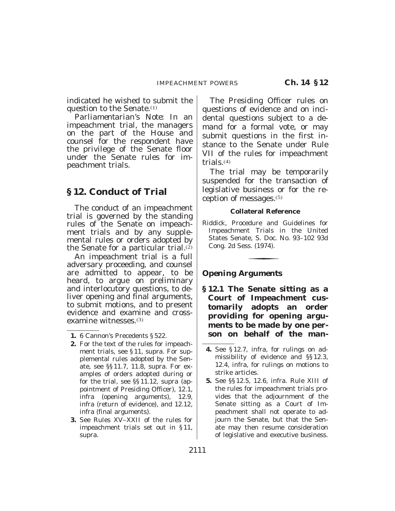indicated he wished to submit the question to the Senate.(1)

*Parliamentarian's Note:* In an impeachment trial, the managers on the part of the House and counsel for the respondent have the privilege of the Senate floor under the Senate rules for impeachment trials.

### **§ 12. Conduct of Trial**

The conduct of an impeachment trial is governed by the standing rules of the Senate on impeachment trials and by any supplemental rules or orders adopted by the Senate for a particular trial.(2)

An impeachment trial is a full adversary proceeding, and counsel are admitted to appear, to be heard, to argue on preliminary and interlocutory questions, to deliver opening and final arguments, to submit motions, and to present evidence and examine and crossexamine witnesses.(3)

**1.** 6 Cannon's Precedents § 522.

- **2.** For the text of the rules for impeachment trials, see § 11, supra. For supplemental rules adopted by the Senate, see §§ 11.7, 11.8, supra. For examples of orders adopted during or for the trial, see §§ 11.12, supra (appointment of Presiding Officer), 12.1, infra (opening arguments), 12.9, infra (return of evidence), and 12.12, infra (final arguments).
- **3.** See Rules XV–XXII of the rules for impeachment trials set out in § 11, supra.

The Presiding Officer rules on questions of evidence and on incidental questions subject to a demand for a formal vote, or may submit questions in the first instance to the Senate under Rule VII of the rules for impeachment trials. $(4)$ 

The trial may be temporarily suspended for the transaction of legislative business or for the reception of messages.(5)

#### **Collateral Reference**

Riddick, Procedure and Guidelines for Impeachment Trials in the United States Senate, S. Doc. No. 93–102 93d Cong. 2d Sess. (1974).

the contract of the con-

#### *Opening Arguments*

**§ 12.1 The Senate sitting as a Court of Impeachment customarily adopts an order providing for opening arguments to be made by one person on behalf of the man-**

**5.** See §§ 12.5, 12.6, infra. Rule XIII of the rules for impeachment trials provides that the adjournment of the Senate sitting as a Court of Impeachment shall not operate to adjourn the Senate, but that the Senate may then resume consideration of legislative and executive business.

**<sup>4.</sup>** See § 12.7, infra, for rulings on admissibility of evidence and §§ 12.3, 12.4, infra, for rulings on motions to strike articles.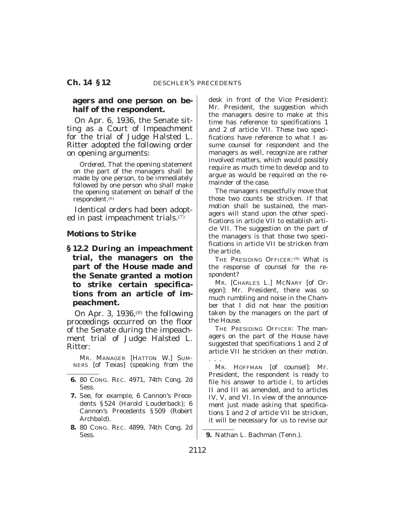#### **agers and one person on behalf of the respondent.**

On Apr. 6, 1936, the Senate sitting as a Court of Impeachment for the trial of Judge Halsted L. Ritter adopted the following order on opening arguments:

*Ordered,* That the opening statement on the part of the managers shall be made by one person, to be immediately followed by one person who shall make the opening statement on behalf of the respondent.(6)

Identical orders had been adopted in past impeachment trials.(7)

#### *Motions to Strike*

**§ 12.2 During an impeachment trial, the managers on the part of the House made and the Senate granted a motion to strike certain specifications from an article of impeachment.**

On Apr. 3, 1936,  $(8)$  the following proceedings occurred on the floor of the Senate during the impeachment trial of Judge Halsted L. Ritter:

MR. MANAGER [HATTON W.] SUM-NERS [of Texas] (speaking from the

- **7.** See, for example, 6 Cannon's Precedents § 524 (Harold Louderback); 6 Cannon's Precedents § 509 (Robert Archbald).
- **8.** 80 CONG. REC. 4899, 74th Cong. 2d Sess. **9.** Nathan L. Bachman (Tenn.).

desk in front of the Vice President): Mr. President, the suggestion which the managers desire to make at this time has reference to specifications 1 and 2 of article VII. These two specifications have reference to what I assume counsel for respondent and the managers as well, recognize are rather involved matters, which would possibly require as much time to develop and to argue as would be required on the remainder of the case.

The managers respectfully move that those two counts be stricken. If that motion shall be sustained, the managers will stand upon the other specifications in article VII to establish article VII. The suggestion on the part of the managers is that those two specifications in article VII be stricken from the article.

THE PRESIDING OFFICER: (9) What is the response of counsel for the respondent?

MR. [CHARLES L.] MCNARY [of Oregon]: Mr. President, there was so much rumbling and noise in the Chamber that I did not hear the position taken by the managers on the part of the House.

THE PRESIDING OFFICER: The managers on the part of the House have suggested that specifications 1 and 2 of article VII be stricken on their motion. ...

MR. HOFFMAN [of counsel]: Mr. President, the respondent is ready to file his answer to article I, to articles II and III as amended, and to articles IV, V, and VI. In view of the announcement just made asking that specifications 1 and 2 of article VII be stricken, it will be necessary for us to revise our

**<sup>6.</sup>** 80 CONG. REC. 4971, 74th Cong. 2d Sess.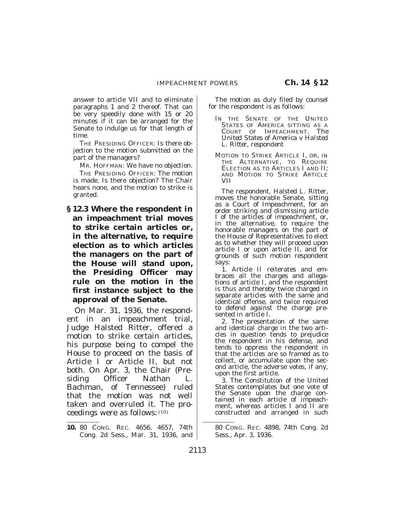answer to article VII and to eliminate paragraphs 1 and 2 thereof. That can be very speedily done with 15 or 20 minutes if it can be arranged for the Senate to indulge us for that length of time.

THE PRESIDING OFFICER: Is there objection to the motion submitted on the part of the managers?

MR. HOFFMAN: We have no objection.

THE PRESIDING OFFICER: The motion is made. Is there objection? The Chair hears none, and the motion to strike is granted.

**§ 12.3 Where the respondent in an impeachment trial moves to strike certain articles or, in the alternative, to require election as to which articles the managers on the part of the House will stand upon, the Presiding Officer may rule on the motion in the first instance subject to the approval of the Senate.**

On Mar. 31, 1936, the respondent in an impeachment trial, Judge Halsted Ritter, offered a motion to strike certain articles, his purpose being to compel the House to proceed on the basis of Article I or Article II, but not both. On Apr. 3, the Chair (Presiding Officer Nathan L. Bachman, of Tennessee) ruled that the motion was not well taken and overruled it. The proceedings were as follows: (10)

The motion as duly filed by counsel for the respondent is as follows:

- IN THE SENATE OF THE UNITED STATES OF AMERICA SITTING AS A COURT OF IMPEACHMENT. *The United States of America* v *Halsted L. Ritter, respondent*
- MOTION TO STRIKE ARTICLE I, OR, IN THE ALTERNATIVE, TO REQUIRE ELECTION AS TO ARTICLES I AND II; AND MOTION TO STRIKE ARTICLE VII

The respondent, Halsted L. Ritter, moves the honorable Senate, sitting as a Court of Impeachment, for an order striking and dismissing article I of the articles of impeachment, or, in the alternative, to require the honorable managers on the part of the House of Representatives to elect as to whether they will proceed upon article I or upon article II, and for grounds of such motion respondent says:

1. Article II reiterates and embraces all the charges and allegations of article I, and the respondent is thus and thereby twice charged in separate articles with the same and identical offense, and twice required to defend against the charge presented in article I.

2. The presentation of the same and identical charge in the two articles in question tends to prejudice the respondent in his defense, and tends to oppress the respondent in that the articles are so framed as to collect, or accumulate upon the second article, the adverse votes, if any, upon the first article.

3. The Constitution of the United States contemplates but one vote of the Senate upon the charge contained in each article of impeachment, whereas articles I and II are constructed and arranged in such

**<sup>10.</sup>** 80 CONG. REC. 4656, 4657, 74th Cong. 2d Sess., Mar. 31, 1936, and

<sup>80</sup> CONG. REC. 4898, 74th Cong. 2d Sess., Apr. 3, 1936.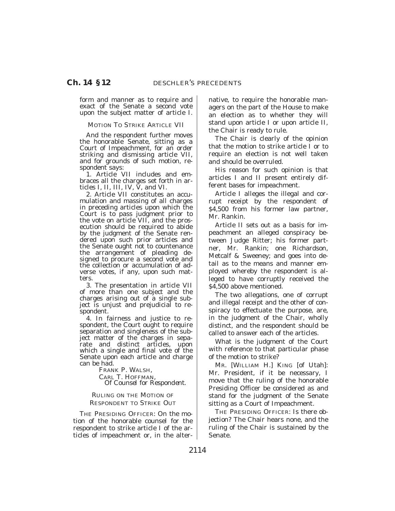form and manner as to require and exact of the Senate a second vote upon the subject matter of article I.

MOTION TO STRIKE ARTICLE VII

And the respondent further moves the honorable Senate, sitting as a Court of Impeachment, for an order striking and dismissing article VII, and for grounds of such motion, respondent says:

1. Article VII includes and embraces all the charges set forth in articles I, II, III, IV, V, and VI.

2. Article VII constitutes an accumulation and massing of all charges in preceding articles upon which the Court is to pass judgment prior to the vote on article VII, and the prosecution should be required to abide by the judgment of the Senate rendered upon such prior articles and the Senate ought not to countenance the arrangement of pleading designed to procure a second vote and the collection or accumulation of adverse votes, if any, upon such matters.

3. The presentation in article VII of more than one subject and the charges arising out of a single subject is unjust and prejudicial to respondent.

4. In fairness and justice to respondent, the Court ought to require separation and singleness of the subject matter of the charges in separate and distinct articles, upon which a single and final vote of the Senate upon each article and charge can be had.

FRANK P. WALSH,<br>CARL T. HOFFMAN, **Of Counsel for Respondent.** 

RULING ON THE MOTION OF RESPONDENT TO STRIKE OUT

THE PRESIDING OFFICER: On the motion of the honorable counsel for the respondent to strike article I of the articles of impeachment or, in the alternative, to require the honorable managers on the part of the House to make an election as to whether they will stand upon article I or upon article II, the Chair is ready to rule.

The Chair is clearly of the opinion that the motion to strike article I or to require an election is not well taken and should be overruled.

His reason for such opinion is that articles I and II present entirely different bases for impeachment.

Article I alleges the illegal and corrupt receipt by the respondent of \$4,500 from his former law partner, Mr. Rankin.

Article II sets out as a basis for impeachment an alleged conspiracy between Judge Ritter; his former partner, Mr. Rankin; one Richardson, Metcalf & Sweeney; and goes into detail as to the means and manner employed whereby the respondent is alleged to have corruptly received the \$4,500 above mentioned.

The two allegations, one of corrupt and illegal receipt and the other of conspiracy to effectuate the purpose, are, in the judgment of the Chair, wholly distinct, and the respondent should be called to answer each of the articles.

What is the judgment of the Court with reference to that particular phase of the motion to strike?

MR. [WILLIAM H.] KING [of Utah]: Mr. President, if it be necessary, I move that the ruling of the honorable Presiding Officer be considered as and stand for the judgment of the Senate sitting as a Court of Impeachment.

THE PRESIDING OFFICER: Is there objection? The Chair hears none, and the ruling of the Chair is sustained by the Senate.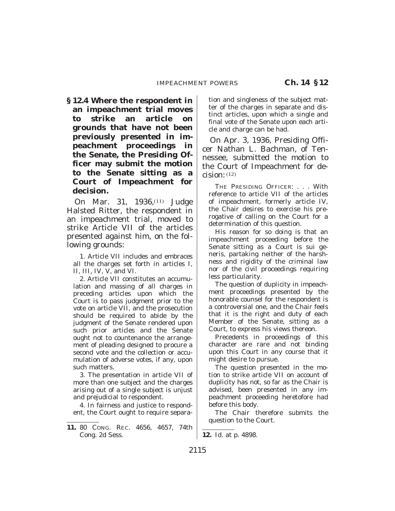**§ 12.4 Where the respondent in an impeachment trial moves to strike an article on grounds that have not been previously presented in impeachment proceedings in the Senate, the Presiding Officer may submit the motion to the Senate sitting as a Court of Impeachment for decision.**

On Mar. 31, 1936, <sup>(11)</sup> Judge Halsted Ritter, the respondent in an impeachment trial, moved to strike Article VII of the articles presented against him, on the following grounds:

1. Article VII includes and embraces all the charges set forth in articles I, II, III, IV, V, and VI.

2. Article VII constitutes an accumulation and massing of all charges in preceding articles upon which the Court is to pass judgment prior to the vote on article VII, and the prosecution should be required to abide by the judgment of the Senate rendered upon such prior articles and the Senate ought not to countenance the arrangement of pleading designed to procure a second vote and the collection or accumulation of adverse votes, if any, upon such matters.

3. The presentation in article VII of more than one subject and the charges arising out of a single subject is unjust and prejudicial to respondent.

4. In fairness and justice to respondent, the Court ought to require separation and singleness of the subject matter of the charges in separate and distinct articles, upon which a single and final vote of the Senate upon each article and charge can be had.

On Apr. 3, 1936, Presiding Officer Nathan L. Bachman, of Tennessee, submitted the motion to the Court of Impeachment for de $cision: (12)$ 

THE PRESIDING OFFICER: . . . With reference to article VII of the articles of impeachment, formerly article IV, the Chair desires to exercise his prerogative of calling on the Court for a determination of this question.

His reason for so doing is that an impeachment proceeding before the Senate sitting as a Court is sui generis, partaking neither of the harshness and rigidity of the criminal law nor of the civil proceedings requiring less particularity.

The question of duplicity in impeachment proceedings presented by the honorable counsel for the respondent is a controversial one, and the Chair feels that it is the right and duty of each Member of the Senate, sitting as a Court, to express his views thereon.

Precedents in proceedings of this character are rare and not binding upon this Court in any course that it might desire to pursue.

The question presented in the motion to strike article VII on account of duplicity has not, so far as the Chair is advised, been presented in any impeachment proceeding heretofore had before this body.

The Chair therefore submits the question to the Court.

**<sup>11.</sup>** 80 CONG. REC. 4656, 4657, 74th Cong. 2d Sess. **12.** *Id.* at p. 4898.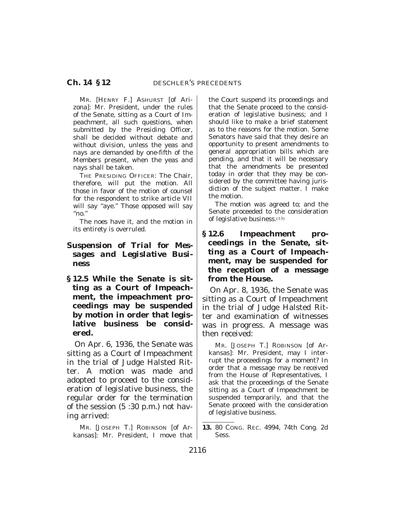MR. [HENRY F.] ASHURST [of Arizona]: Mr. President, under the rules of the Senate, sitting as a Court of Impeachment, all such questions, when submitted by the Presiding Officer, shall be decided without debate and without division, unless the yeas and nays are demanded by one-fifth of the Members present, when the yeas and nays shall be taken.

THE PRESIDING OFFICER: The Chair, therefore, will put the motion. All those in favor of the motion of counsel for the respondent to strike article VII will say "aye." Those opposed will say ''no.''

The noes have it, and the motion in its entirety is overruled.

### *Suspension of Trial for Messages and Legislative Business*

**§ 12.5 While the Senate is sitting as a Court of Impeachment, the impeachment proceedings may be suspended by motion in order that legislative business be considered.**

On Apr. 6, 1936, the Senate was sitting as a Court of Impeachment in the trial of Judge Halsted Ritter. A motion was made and adopted to proceed to the consideration of legislative business, the regular order for the termination of the session (5 :30 p.m.) not having arrived:

MR. [JOSEPH T.] ROBINSON [of Arkansas]: Mr. President, I move that

the Court suspend its proceedings and that the Senate proceed to the consideration of legislative business; and I should like to make a brief statement as to the reasons for the motion. Some Senators have said that they desire an opportunity to present amendments to general appropriation bills which are pending, and that it will be necessary that the amendments be presented today in order that they may be considered by the committee having jurisdiction of the subject matter. I make the motion.

The motion was agreed to; and the Senate proceeded to the consideration of legislative business.(13)

## **§ 12.6 Impeachment proceedings in the Senate, sitting as a Court of Impeachment, may be suspended for the reception of a message from the House.**

On Apr. 8, 1936, the Senate was sitting as a Court of Impeachment in the trial of Judge Halsted Ritter and examination of witnesses was in progress. A message was then received:

MR. [JOSEPH T.] ROBINSON [of Arkansas]: Mr. President, may I interrupt the proceedings for a moment? In order that a message may be received from the House of Representatives, I ask that the proceedings of the Senate sitting as a Court of Impeachment be suspended temporarily, and that the Senate proceed with the consideration of legislative business.

**<sup>13.</sup>** 80 CONG. REC. 4994, 74th Cong. 2d Sess.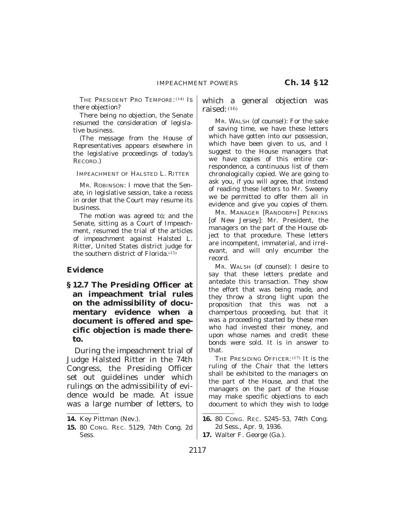THE PRESIDENT PRO TEMPORE: (14) Is there objection?

There being no objection, the Senate resumed the consideration of legislative business.

(The message from the House of Representatives appears elsewhere in the legislative proceedings of today's RECORD.)

IMPEACHMENT OF HALSTED L. RITTER

MR. ROBINSON: I move that the Senate, in legislative session, take a recess in order that the Court may resume its business.

The motion was agreed to; and the Senate, sitting as a Court of Impeachment, resumed the trial of the articles of impeachment against Halsted L. Ritter, United States district judge for the southern district of Florida.(15)

#### *Evidence*

**§ 12.7 The Presiding Officer at an impeachment trial rules on the admissibility of documentary evidence when a document is offered and specific objection is made thereto.**

During the impeachment trial of Judge Halsted Ritter in the 74th Congress, the Presiding Officer set out guidelines under which rulings on the admissibility of evidence would be made. At issue was a large number of letters, to

which a general objection was raised:  $(16)$ 

MR. WALSH (of counsel): For the sake of saving time, we have these letters which have gotten into our possession, which have been given to us, and I suggest to the House managers that we have copies of this entire correspondence, a continuous list of them chronologically copied. We are going to ask you, if you will agree, that instead of reading these letters to Mr. Sweeny we be permitted to offer them all in evidence and give you copies of them.

MR. MANAGER [RANDOBPH] PERKINS [of New Jersey]: Mr. President, the managers on the part of the House object to that procedure. These letters are incompetent, immaterial, and irrelevant, and will only encumber the record.

MR. WALSH (of counsel): I desire to say that these letters predate and antedate this transaction. They show the effort that was being made, and they throw a strong light upon the proposition that this was not a champertous proceeding, but that it was a proceeding started by these men who had invested their money, and upon whose names and credit these bonds were sold. It is in answer to that.

THE PRESIDING OFFICER: (17) It is the ruling of the Chair that the letters shall be exhibited to the managers on the part of the House, and that the managers on the part of the House may make specific objections to each document to which they wish to lodge

**17.** Walter F. George (Ga.).

**<sup>14.</sup>** Key Pittman (Nev.).

**<sup>15.</sup>** 80 CONG. REC. 5129, 74th Cong. 2d Sess.

**<sup>16.</sup>** 80 CONG. REC. 5245–53, 74th Cong. 2d Sess., Apr. 9, 1936.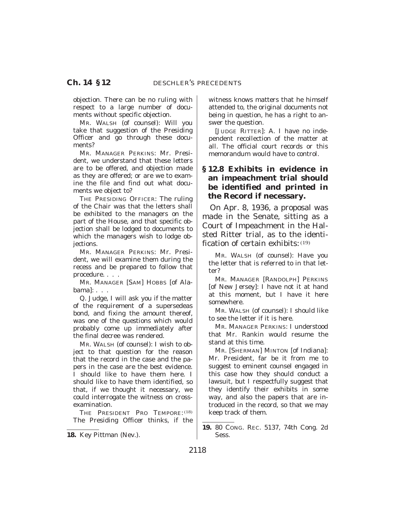objection. There can be no ruling with respect to a large number of documents without specific objection.

MR. WALSH (of counsel): Will you take that suggestion of the Presiding Officer and go through these documents?

MR. MANAGER PERKINS: Mr. President, we understand that these letters are to be offered, and objection made as they are offered; or are we to examine the file and find out what documents we object to?

THE PRESIDING OFFICER: The ruling of the Chair was that the letters shall be exhibited to the managers on the part of the House, and that specific objection shall be lodged to documents to which the managers wish to lodge objections.

MR. MANAGER PERKINS: Mr. President, we will examine them during the recess and be prepared to follow that procedure. . . .

MR. MANAGER [SAM] HOBBS [of Alabama]: . . .

Q. Judge, I will ask you if the matter of the requirement of a supersedeas bond, and fixing the amount thereof, was one of the questions which would probably come up immediately after the final decree was rendered.

MR. WALSH (of counsel): I wish to object to that question for the reason that the record in the case and the papers in the case are the best evidence. I should like to have them here. I should like to have them identified, so that, if we thought it necessary, we could interrogate the witness on crossexamination.

THE PRESIDENT PRO TEMPORE: (18) The Presiding Officer thinks, if the

witness knows matters that he himself attended to, the original documents not being in question, he has a right to answer the question.

[JUDGE RITTER]: A. I have no independent recollection of the matter at all. The official court records or this memorandum would have to control.

## **§ 12.8 Exhibits in evidence in an impeachment trial should be identified and printed in the Record if necessary.**

On Apr. 8, 1936, a proposal was made in the Senate, sitting as a Court of Impeachment in the Halsted Ritter trial, as to the identification of certain exhibits: (19)

MR. WALSH (of counsel): Have you the letter that is referred to in that letter?

MR. MANAGER [RANDOLPH] PERKINS [of New Jersey]: I have not it at hand at this moment, but I have it here somewhere.

MR. WALSH (of counsel): I should like to see the letter if it is here.

MR. MANAGER PERKINS: I understood that Mr. Rankin would resume the stand at this time.

MR. [SHERMAN] MINTON [of Indiana]: Mr. President, far be it from me to suggest to eminent counsel engaged in this case how they should conduct a lawsuit, but I respectfully suggest that they identify their exhibits in some way, and also the papers that are introduced in the record, so that we may keep track of them.

**<sup>18.</sup>** Key Pittman (Nev.).

**<sup>19.</sup>** 80 CONG. REC. 5137, 74th Cong. 2d Sess.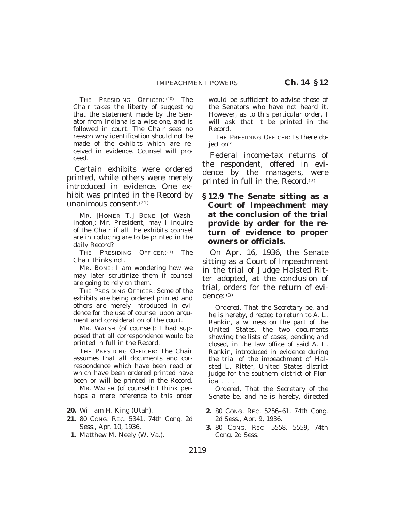THE PRESIDING OFFICER: (20) The Chair takes the liberty of suggesting that the statement made by the Senator from Indiana is a wise one, and is followed in court. The Chair sees no reason why identification should not be made of the exhibits which are received in evidence. Counsel will proceed.

Certain exhibits were ordered printed, while others were merely introduced in evidence. One exhibit was printed in the Record by unanimous consent.(21)

MR. [HOMER T.] BONE [of Washington]: Mr. President, may I inquire of the Chair if all the exhibits counsel are introducing are to be printed in the daily Record?

THE PRESIDING OFFICER: (1) The Chair thinks not.

MR. BONE: I am wondering how we may later scrutinize them if counsel are going to rely on them.

THE PRESIDING OFFICER: Some of the exhibits are being ordered printed and others are merely introduced in evidence for the use of counsel upon argument and consideration of the court.

MR. WALSH (of counsel): I had supposed that all correspondence would be printed in full in the Record.

THE PRESIDING OFFICER: The Chair assumes that all documents and correspondence which have been read or which have been ordered printed have been or will be printed in the Record.

MR. WALSH (of counsel): I think perhaps a mere reference to this order

**20.** William H. King (Utah).

- **21.** 80 CONG. REC. 5341, 74th Cong. 2d Sess., Apr. 10, 1936.
- **1.** Matthew M. Neely (W. Va.).

would be sufficient to advise those of the Senators who have not heard it. However, as to this particular order, I will ask that it be printed in the Record.

THE PRESIDING OFFICER: Is there objection?

Federal income-tax returns of the respondent, offered in evidence by the managers, were printed in full in the, Record.(2)

## **§ 12.9 The Senate sitting as a Court of Impeachment may at the conclusion of the trial provide by order for the return of evidence to proper owners or officials.**

On Apr. 16, 1936, the Senate sitting as a Court of Impeachment in the trial of Judge Halsted Ritter adopted, at the conclusion of trial, orders for the return of evidence:  $(3)$ 

*Ordered,* That the Secretary be, and he is hereby, directed to return to A. L. Rankin, a witness on the part of the United States, the two documents showing the lists of cases, pending and closed, in the law office of said A. L. Rankin, introduced in evidence during the trial of the impeachment of Halsted L. Ritter, United States district judge for the southern district of Florida. . . .

*Ordered,* That the Secretary of the Senate be, and he is hereby, directed

**3.** 80 CONG. REC. 5558, 5559, 74th Cong. 2d Sess.

**<sup>2.</sup>** 80 CONG. REC. 5256–61, 74th Cong. 2d Sess., Apr. 9, 1936.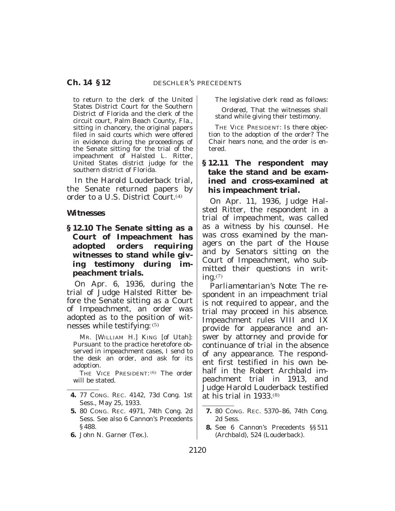to return to the clerk of the United States District Court for the Southern District of Florida and the clerk of the circuit court, Palm Beach County, Fla., sitting in chancery, the original papers filed in said courts which were offered in evidence during the proceedings of the Senate sitting for the trial of the impeachment of Halsted L. Ritter, United States district judge for the southern district of Florida.

In the Harold Louderback trial, the Senate returned papers by order to a U.S. District Court.(4)

#### *Witnesses*

**§ 12.10 The Senate sitting as a Court of Impeachment has adopted orders requiring witnesses to stand while giving testimony during impeachment trials.**

On Apr. 6, 1936, during the trial of Judge Halsted Ritter before the Senate sitting as a Court of Impeachment, an order was adopted as to the position of witnesses while testifying: (5)

MR. [WILLIAM H.] KING [of Utah]: Pursuant to the practice heretofore observed in impeachment cases, I send to the desk an order, and ask for its adoption.

THE VICE PRESIDENT: (6) The order will be stated.

- **4.** 77 CONG. REC. 4142, 73d Cong. 1st Sess., May 25, 1933.
- **5.** 80 CONG. REC. 4971, 74th Cong. 2d Sess. See also 6 Cannon's Precedents § 488.
- **6.** John N. Garner (Tex.).

The legislative clerk read as follows:

*Ordered,* That the witnesses shall stand while giving their testimony.

THE VICE PRESIDENT: Is there objection to the adoption of the order? The Chair hears none, and the order is entered.

## **§ 12.11 The respondent may take the stand and be examined and cross-examined at his impeachment trial.**

On Apr. 11, 1936, Judge Halsted Ritter, the respondent in a trial of impeachment, was called as a witness by his counsel. He was cross examined by the managers on the part of the House and by Senators sitting on the Court of Impeachment, who submitted their questions in writing. $(7)$ 

*Parliamentarian's Note:* The respondent in an impeachment trial is not required to appear, and the trial may proceed in his absence. Impeachment rules VIII and IX provide for appearance and answer by attorney and provide for continuance of trial in the absence of any appearance. The respondent first testified in his own behalf in the Robert Archbald impeachment trial in 1913, and Judge Harold Louderback testified at his trial in 1933.(8)

**8.** See 6 Cannon's Precedents §§ 511 (Archbald), 524 (Louderback).

**<sup>7.</sup>** 80 CONG. REC. 5370–86, 74th Cong. 2d Sess.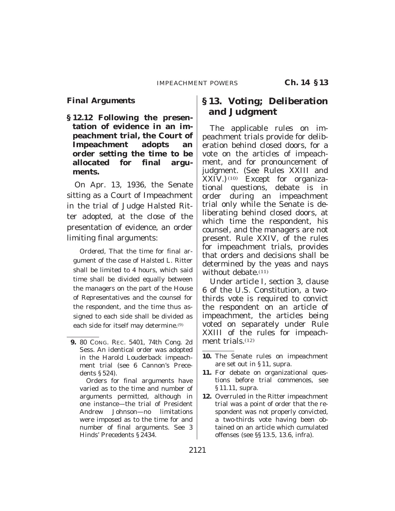#### *Final Arguments*

**§ 12.12 Following the presentation of evidence in an impeachment trial, the Court of Impeachment adopts an order setting the time to be allocated for final arguments.**

On Apr. 13, 1936, the Senate sitting as a Court of Impeachment in the trial of Judge Halsted Ritter adopted, at the close of the presentation of evidence, an order limiting final arguments:

*Ordered,* That the time for final argument of the case of Halsted L. Ritter shall be limited to 4 hours, which said time shall be divided equally between the managers on the part of the House of Representatives and the counsel for the respondent, and the time thus assigned to each side shall be divided as each side for itself may determine.(9)

Orders for final arguments have varied as to the time and number of arguments permitted, although in one instance—the trial of President Andrew Johnson—no limitations were imposed as to the time for and number of final arguments. See 3 Hinds' Precedents § 2434.

# **§ 13. Voting; Deliberation and Judgment**

The applicable rules on impeachment trials provide for deliberation behind closed doors, for a vote on the articles of impeachment, and for pronouncement of judgment. (See Rules XXIII and  $XXIV.$ )<sup>(10)</sup> Except for organizational questions, debate is in order during an impeachment trial only while the Senate is deliberating behind closed doors, at which time the respondent, his counsel, and the managers are not present. Rule XXIV, of the rules for impeachment trials, provides that orders and decisions shall be determined by the yeas and nays without debate.<sup>(11)</sup>

Under article I, section 3, clause 6 of the U.S. Constitution, a twothirds vote is required to convict the respondent on an article of impeachment, the articles being voted on separately under Rule XXIII of the rules for impeachment trials.<sup>(12)</sup>

- **10.** The Senate rules on impeachment are set out in § 11, supra.
- **11.** For debate on organizational questions before trial commences, see § 11.11, supra.
- **12.** Overruled in the Ritter impeachment trial was a point of order that the respondent was not properly convicted, a two-thirds vote having been obtained on an article which cumulated offenses (see §§ 13.5, 13.6, infra).

**<sup>9.</sup>** 80 CONG. REC. 5401, 74th Cong. 2d Sess. An identical order was adopted in the Harold Louderback impeachment trial (see 6 Cannon's Precedents § 524).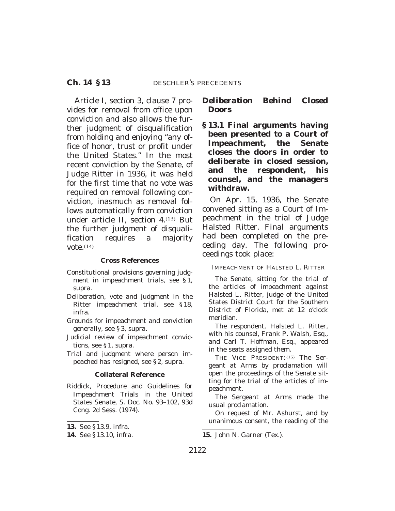Article I, section 3, clause 7 provides for removal from office upon conviction and also allows the further judgment of disqualification from holding and enjoying ''any office of honor, trust or profit under the United States.'' In the most recent conviction by the Senate, of Judge Ritter in 1936, it was held for the first time that no vote was required on removal following conviction, inasmuch as removal follows automatically from conviction under article II, section 4.(13) But the further judgment of disqualification requires a majority vote. $(14)$ 

#### **Cross References**

- Constitutional provisions governing judgment in impeachment trials, see § 1, supra.
- Deliberation, vote and judgment in the Ritter impeachment trial, see § 18, infra.
- Grounds for impeachment and conviction generally, see § 3, supra.
- Judicial review of impeachment convictions, see § 1, supra.
- Trial and judgment where person impeached has resigned, see § 2, supra.

#### **Collateral Reference**

Riddick, Procedure and Guidelines for Impeachment Trials in the United States Senate, S. Doc. No. 93–102, 93d Cong. 2d Sess. (1974).

# *Deliberation Behind Closed Doors*

**§ 13.1 Final arguments having been presented to a Court of Impeachment, the Senate closes the doors in order to deliberate in closed session, and the respondent, his counsel, and the managers withdraw.**

On Apr. 15, 1936, the Senate convened sitting as a Court of Impeachment in the trial of Judge Halsted Ritter. Final arguments had been completed on the preceding day. The following proceedings took place:

IMPEACHMENT OF HALSTED L. RITTER

The Senate, sitting for the trial of the articles of impeachment against Halsted L. Ritter, judge of the United States District Court for the Southern District of Florida, met at 12 o'clock meridian.

The respondent, Halsted L. Ritter, with his counsel, Frank P. Walsh, Esq., and Carl T. Hoffman, Esq., appeared in the seats assigned them.

THE VICE PRESIDENT: (15) The Sergeant at Arms by proclamation will open the proceedings of the Senate sitting for the trial of the articles of impeachment.

The Sergeant at Arms made the usual proclamation.

On request of Mr. Ashurst, and by unanimous consent, the reading of the

**14.** See § 13.10, infra. **15.** John N. Garner (Tex.).

**<sup>13.</sup>** See § 13.9, infra.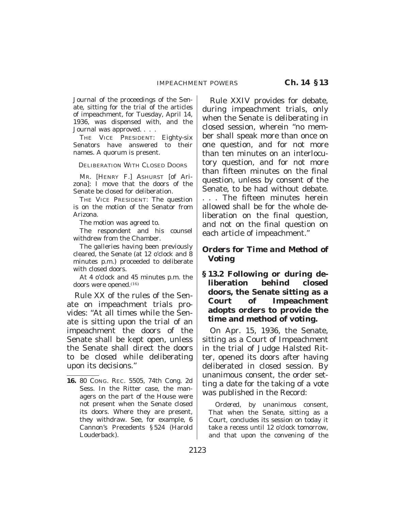Journal of the proceedings of the Senate, sitting for the trial of the articles of impeachment, for Tuesday, April 14, 1936, was dispensed with, and the Journal was approved. . . .

THE VICE PRESIDENT: Eighty-six Senators have answered to their names. A quorum is present.

DELIBERATION WITH CLOSED DOORS

MR. [HENRY F.] ASHURST [of Arizona]: I move that the doors of the Senate be closed for deliberation.

THE VICE PRESIDENT: The question is on the motion of the Senator from Arizona.

The motion was agreed to.

The respondent and his counsel withdrew from the Chamber.

The galleries having been previously cleared, the Senate (at 12 o'clock and 8 minutes p.m.) proceeded to deliberate with closed doors.

At 4 o'clock and 45 minutes p.m. the doors were opened.<sup>(16)</sup>

Rule XX of the rules of the Senate on impeachment trials provides: ''At all times while the Senate is sitting upon the trial of an impeachment the doors of the Senate shall be kept open, unless the Senate shall direct the doors to be closed while deliberating upon its decisions.''

Rule XXIV provides for debate, during impeachment trials, only when the Senate is deliberating in closed session, wherein ''no member shall speak more than once on one question, and for not more than ten minutes on an interlocutory question, and for not more than fifteen minutes on the final question, unless by consent of the Senate, to be had without debate. . . . The fifteen minutes herein allowed shall be for the whole deliberation on the final question, and not on the final question on each article of impeachment.''

### *Orders for Time and Method of Voting*

**§ 13.2 Following or during deliberation behind closed doors, the Senate sitting as a Court of Impeachment adopts orders to provide the time and method of voting.**

On Apr. 15, 1936, the Senate, sitting as a Court of Impeachment in the trial of Judge Halsted Ritter, opened its doors after having deliberated in closed session. By unanimous consent, the order setting a date for the taking of a vote was published in the Record:

*Ordered,* by unanimous consent, That when the Senate, sitting as a Court, concludes its session on today it take a recess until 12 o'clock tomorrow, and that upon the convening of the

**<sup>16.</sup>** 80 CONG. REC. 5505, 74th Cong. 2d Sess. In the Ritter case, the managers on the part of the House were not present when the Senate closed its doors. Where they are present, they withdraw. See, for example, 6 Cannon's Precedents § 524 (Harold Louderback).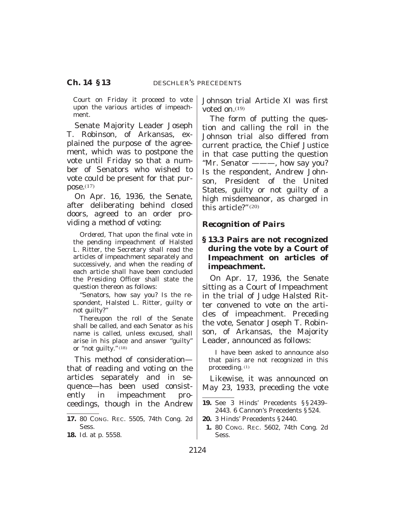Court on Friday it proceed to vote upon the various articles of impeachment.

Senate Majority Leader Joseph T. Robinson, of Arkansas, explained the purpose of the agreement, which was to postpone the vote until Friday so that a number of Senators who wished to vote could be present for that pur $pose.<sub>(17)</sub>$ 

On Apr. 16, 1936, the Senate, after deliberating behind closed doors, agreed to an order providing a method of voting:

*Ordered,* That upon the final vote in the pending impeachment of Halsted L. Ritter, the Secretary shall read the articles of impeachment separately and successively, and when the reading of each article shall have been concluded the Presiding Officer shall state the question thereon as follows:

''Senators, how say you? Is the respondent, Halsted L. Ritter, guilty or not guilty?''

Thereupon the roll of the Senate shall be called, and each Senator as his name is called, unless excused, shall arise in his place and answer ''guilty'' or "not guilty." (18)

This method of consideration that of reading and voting on the articles separately and in sequence—has been used consistently in impeachment proceedings, though in the Andrew

**18.** Id. at p. 5558.

Johnson trial Article XI was first voted on.<sup>(19)</sup>

The form of putting the question and calling the roll in the Johnson trial also differed from current practice, the Chief Justice in that case putting the question ''Mr. Senator ———, how say you? Is the respondent, Andrew Johnson, President of the United States, guilty or not guilty of a high misdemeanor, as charged in this article?'' (20)

### *Recognition of Pairs*

### **§ 13.3 Pairs are not recognized during the vote by a Court of Impeachment on articles of impeachment.**

On Apr. 17, 1936, the Senate sitting as a Court of Impeachment in the trial of Judge Halsted Ritter convened to vote on the articles of impeachment. Preceding the vote, Senator Joseph T. Robinson, of Arkansas, the Majority Leader, announced as follows:

I have been asked to announce also that pairs are not recognized in this proceeding. (1)

Likewise, it was announced on May 23, 1933, preceding the vote

- **19.** See 3 Hinds' Precedents § § 2439– 2443. 6 Cannon's Precedents § 524.
- **20.** 3 Hinds' Precedents § 2440.
- **1.** 80 CONG. REC. 5602, 74th Cong. 2d Sess.

**<sup>17.</sup>** 80 CONG. REC. 5505, 74th Cong. 2d Sess.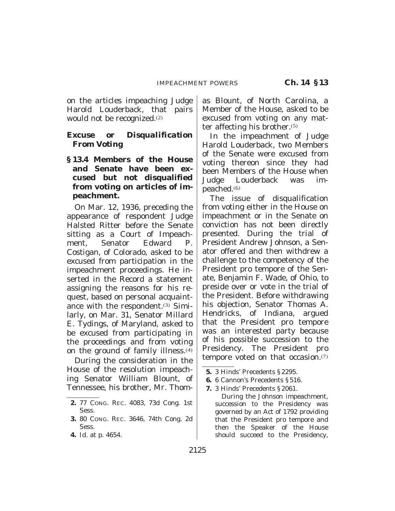on the articles impeaching Judge Harold Louderback, that pairs would not be recognized.(2)

#### *Excuse or Disqualification From Voting*

# **§ 13.4 Members of the House and Senate have been excused but not disqualified from voting on articles of impeachment.**

On Mar. 12, 1936, preceding the appearance of respondent Judge Halsted Ritter before the Senate sitting as a Court of Impeachment, Senator Edward P. Costigan, of Colorado, asked to be excused from participation in the impeachment proceedings. He inserted in the Record a statement assigning the reasons for his request, based on personal acquaintance with the respondent.(3) Similarly, on Mar. 31, Senator Millard E. Tydings, of Maryland, asked to be excused from participating in the proceedings and from voting on the ground of family illness.(4)

During the consideration in the House of the resolution impeaching Senator William Blount, of Tennessee, his brother, Mr. Thom-

**4.** *Id.* at p. 4654.

as Blount, of North Carolina, a Member of the House, asked to be excused from voting on any matter affecting his brother.(5)

In the impeachment of Judge Harold Louderback, two Members of the Senate were excused from voting thereon since they had been Members of the House when Judge Louderback was impeached. $(6)$ 

The issue of disqualification from voting either in the House on impeachment or in the Senate on conviction has not been directly presented. During the trial of President Andrew Johnson, a Senator offered and then withdrew a challenge to the competency of the President pro tempore of the Senate, Benjamin F. Wade, of Ohio, to preside over or vote in the trial of the President. Before withdrawing his objection, Senator Thomas A. Hendricks, of Indiana, argued that the President pro tempore was an interested party because of his possible succession to the Presidency. The President pro tempore voted on that occasion.(7)

**<sup>2.</sup>** 77 CONG. REC. 4083, 73d Cong. 1st Sess.

**<sup>3.</sup>** 80 CONG. REC. 3646, 74th Cong. 2d Sess.

**<sup>5.</sup>** 3 Hinds' Precedents § 2295.

**<sup>6.</sup>** 6 Cannon's Precedents § 516.

**<sup>7.</sup>** 3 Hinds' Precedents § 2061.

During the Johnson impeachment, succession to the Presidency was governed by an Act of 1792 providing that the President pro tempore and then the Speaker of the House should succeed to the Presidency,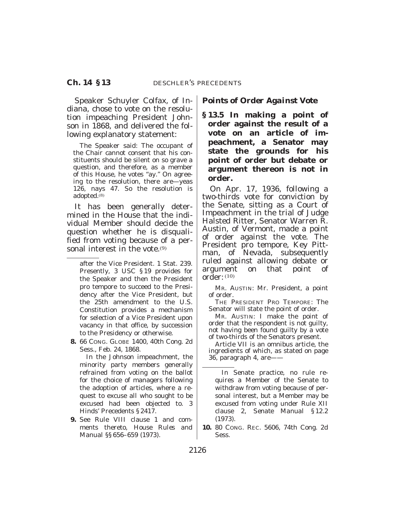Speaker Schuyler Colfax, of Indiana, chose to vote on the resolution impeaching President Johnson in 1868, and delivered the following explanatory statement:

The Speaker said: The occupant of the Chair cannot consent that his constituents should be silent on so grave a question, and therefore, as a member of this House, he votes "ay." On agreeing to the resolution, there are—yeas 126, nays 47. So the resolution is adopted.(8)

It has been generally determined in the House that the individual Member should decide the question whether he is disqualified from voting because of a personal interest in the vote.<sup>(9)</sup>

after the Vice President. 1 Stat. 239. Presently, 3 USC § 19 provides for the Speaker and then the President pro tempore to succeed to the Presidency after the Vice President, but the 25th amendment to the U.S. Constitution provides a mechanism for selection of a Vice President upon vacancy in that office, by succession to the Presidency or otherwise.

**8.** 66 CONG. GLOBE 1400, 40th Cong. 2d Sess., Feb. 24, 1868.

In the Johnson impeachment, the minority party members generally refrained from voting on the ballot for the choice of managers following the adoption of articles, where a request to excuse all who sought to be excused had been objected to. 3 Hinds' Precedents § 2417.

**9.** See Rule VIII clause 1 and comments thereto, *House Rules and Manual* §§ 656–659 (1973).

#### *Points of Order Against Vote*

**§ 13.5 In making a point of order against the result of a vote on an article of impeachment, a Senator may state the grounds for his point of order but debate or argument thereon is not in order.**

On Apr. 17, 1936, following a two-thirds vote for conviction by the Senate, sitting as a Court of Impeachment in the trial of Judge Halsted Ritter, Senator Warren R. Austin, of Vermont, made a point of order against the vote. The President pro tempore, Key Pittman, of Nevada, subsequently ruled against allowing debate or argument on that point of order:  $(10)$ 

MR. AUSTIN: Mr. President, a point of order.

THE PRESIDENT PRO TEMPORE: The Senator will state the point of order.

MR. AUSTIN: I make the point of order that the respondent is not guilty, not having been found guilty by a vote of two-thirds of the Senators present.

Article VII is an omnibus article, the ingredients of which, as stated on page 36, paragraph 4, are——

In Senate practice, no rule requires a Member of the Senate to withdraw from voting because of personal interest, but a Member may be excused from voting under Rule XII clause 2, *Senate Manual* § 12.2 (1973).

**10.** 80 CONG. REC. 5606, 74th Cong. 2d Sess.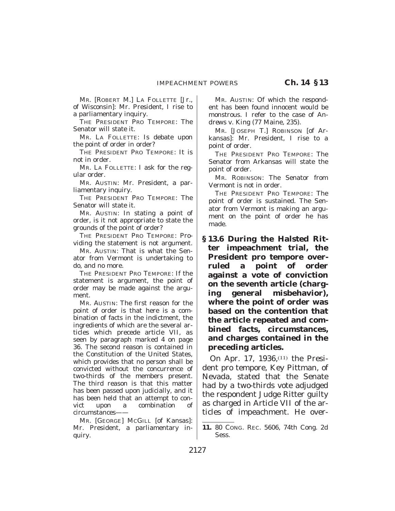MR. [ROBERT M.] LA FOLLETTE [Jr., of Wisconsin]: Mr. President, I rise to a parliamentary inquiry.

THE PRESIDENT PRO TEMPORE: The Senator will state it.

MR. LA FOLLETTE: Is debate upon the point of order in order?

THE PRESIDENT PRO TEMPORE: It is not in order.

MR. LA FOLLETTE: I ask for the regular order.

MR. AUSTIN: Mr. President, a parliamentary inquiry.

THE PRESIDENT PRO TEMPORE: The Senator will state it.

MR. AUSTIN: In stating a point of order, is it not appropriate to state the grounds of the point of order?

THE PRESIDENT PRO TEMPORE: Providing the statement is not argument.

MR. AUSTIN: That is what the Senator from Vermont is undertaking to do, and no more.

THE PRESIDENT PRO TEMPORE: If the statement is argument, the point of order may be made against the argument.

MR. AUSTIN: The first reason for the point of order is that here is a combination of facts in the indictment, the ingredients of which are the several articles which precede article VII, as seen by paragraph marked 4 on page 36. The second reason is contained in the Constitution of the United States, which provides that no person shall be convicted without the concurrence of two-thirds of the members present. The third reason is that this matter has been passed upon judicially, and it has been held that an attempt to convict upon a combination of circumstances——

MR. [GEORGE] MCGILL [of Kansas]: Mr. President, a parliamentary inquiry.

MR. AUSTIN: Of which the respondent has been found innocent would be monstrous. I refer to the case of *Andrews* v. *King* (77 Maine, 235).

MR. [JOSEPH T.] ROBINSON [of Arkansas]: Mr. President, I rise to a point of order.

THE PRESIDENT PRO TEMPORE: The Senator from Arkansas will state the point of order.

MR. ROBINSON: The Senator from Vermont is not in order.

THE PRESIDENT PRO TEMPORE: The point of order is sustained. The Senator from Vermont is making an argument on the point of order he has made.

**§ 13.6 During the Halsted Ritter impeachment trial, the President pro tempore overruled a point of order against a vote of conviction on the seventh article (charging general misbehavior), where the point of order was based on the contention that the article repeated and combined facts, circumstances, and charges contained in the preceding articles.**

On Apr. 17, 1936,(11) the President pro tempore, Key Pittman, of Nevada, stated that the Senate had by a two-thirds vote adjudged the respondent Judge Ritter guilty as charged in Article VII of the articles of impeachment. He over-

**<sup>11.</sup>** 80 CONG. REC. 5606, 74th Cong. 2d Sess.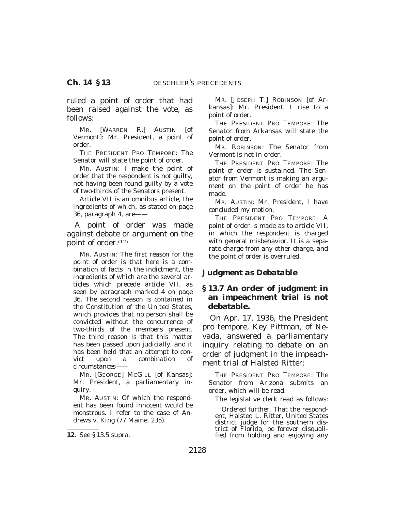ruled a point of order that had been raised against the vote, as follows:

MR. [WARREN R.] AUSTIN [of Vermont]: Mr. President, a point of order.

THE PRESIDENT PRO TEMPORE: The Senator will state the point of order.

MR. AUSTIN: I make the point of order that the respondent is not guilty, not having been found guilty by a vote of two-thirds of the Senators present.

Article VII is an omnibus article, the ingredients of which, as stated on page 36, paragraph 4, are——

A point of order was made against debate or argument on the point of order.(12)

MR. AUSTIN: The first reason for the point of order is that here is a combination of facts in the indictment, the ingredients of which are the several articles which precede article VII, as seen by paragraph marked 4 on page 36. The second reason is contained in the Constitution of the United States, which provides that no person shall be convicted without the concurrence of two-thirds of the members present. The third reason is that this matter has been passed upon judicially, and it has been held that an attempt to convict upon a combination of circumstances——

MR. [GEORGE] MCGILL [of Kansas]: Mr. President, a parliamentary inquiry.

MR. AUSTIN: Of which the respondent has been found innocent would be monstrous. I refer to the case of *Andrews* v. *King* (77 Maine, 235).

MR. [JOSEPH T.] ROBINSON [of Arkansas]: Mr. President, I rise to a point of order.

THE PRESIDENT PRO TEMPORE: The Senator from Arkansas will state the point of order.

MR. ROBINSON: The Senator from Vermont is not in order.

THE PRESIDENT PRO TEMPORE: The point of order is sustained. The Senator from Vermont is making an argument on the point of order he has made.

MR. AUSTIN: Mr. President, I have concluded my motion.

THE PRESIDENT PRO TEMPORE: A point of order is made as to article VII, in which the respondent is charged with general misbehavior. It is a separate charge from any other charge, and the point of order is overruled.

#### *Judgment as Debatable*

## **§ 13.7 An order of judgment in an impeachment trial is not debatable.**

On Apr. 17, 1936, the President pro tempore, Key Pittman, of Nevada, answered a parliamentary inquiry relating to debate on an order of judgment in the impeachment trial of Halsted Ritter:

THE PRESIDENT PRO TEMPORE: The Senator from Arizona submits an order, which will be read.

The legislative clerk read as follows:

*Ordered further,* That the respondent, Halsted L. Ritter, United States district judge for the southern district of Florida, be forever disqualified from holding and enjoying any

**<sup>12.</sup>** See § 13.5 supra.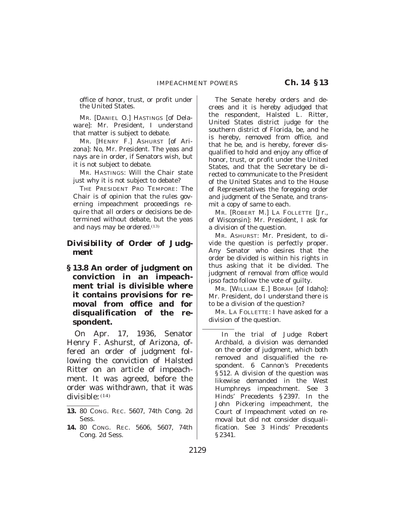office of honor, trust, or profit under the United States.

MR. [DANIEL O.] HASTINGS [of Delaware]: Mr. President, I understand that matter is subject to debate.

MR. [HENRY F.] ASHURST [of Arizona]: No, Mr. President. The yeas and nays are in order, if Senators wish, but it is not subject to debate.

MR. HASTINGS: Will the Chair state just why it is not subject to debate?

THE PRESIDENT PRO TEMPORE: The Chair is of opinion that the rules governing impeachment proceedings require that all orders or decisions be determined without debate, but the yeas and nays may be ordered.(13)

#### *Divisibility of Order of Judgment*

**§ 13.8 An order of judgment on conviction in an impeachment trial is divisible where it contains provisions for removal from office and for disqualification of the respondent.**

On Apr. 17, 1936, Senator Henry F. Ashurst, of Arizona, offered an order of judgment following the conviction of Halsted Ritter on an article of impeachment. It was agreed, before the order was withdrawn, that it was divisible: (14)

The Senate hereby orders and decrees and it is hereby adjudged that the respondent, Halsted L. Ritter, United States district judge for the southern district of Florida, be, and he is hereby, removed from office, and that he be, and is hereby, forever disqualified to hold and enjoy any office of honor, trust, or profit under the United States, and that the Secretary be directed to communicate to the President of the United States and to the House of Representatives the foregoing order and judgment of the Senate, and transmit a copy of same to each.

MR. [ROBERT M.] LA FOLLETTE [Jr., of Wisconsin]: Mr. President, I ask for a division of the question.

MR. ASHURST: Mr. President, to divide the question is perfectly proper. Any Senator who desires that the order be divided is within his rights in thus asking that it be divided. The judgment of removal from office would ipso facto follow the vote of guilty.

MR. [WILLIAM E.] BORAH [of Idaho]: Mr. President, do I understand there is to be a division of the question?

MR. LA FOLLETTE: I have asked for a division of the question.

In the trial of Judge Robert Archbald, a division was demanded on the order of judgment, which both removed and disqualified the respondent. 6 Cannon's Precedents § 512. A division of the question was likewise demanded in the West Humphreys impeachment. See 3 Hinds' Precedents § 2397. In the John Pickering impeachment, the Court of Impeachment voted on removal but did not consider disqualification. See 3 Hinds' Precedents § 2341.

**<sup>13.</sup>** 80 CONG. REC. 5607, 74th Cong. 2d Sess.

**<sup>14.</sup>** 80 CONG. REC. 5606, 5607, 74th Cong. 2d Sess.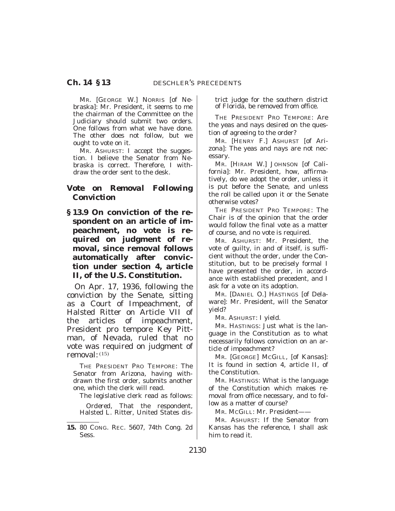MR. [GEORGE W.] NORRIS [of Nebraska]: Mr. President, it seems to me the chairman of the Committee on the Judiciary should submit two orders. One follows from what we have done. The other does not follow, but we ought to vote on it.

MR. ASHURST: I accept the suggestion. I believe the Senator from Nebraska is correct. Therefore, I withdraw the order sent to the desk.

#### *Vote on Removal Following Conviction*

**§ 13.9 On conviction of the respondent on an article of impeachment, no vote is required on judgment of removal, since removal follows automatically after conviction under section 4, article II, of the U.S. Constitution.**

On Apr. 17, 1936, following the conviction by the Senate, sitting as a Court of Impeachment, of Halsted Ritter on Article VII of the articles of impeachment, President pro tempore Key Pittman, of Nevada, ruled that no vote was required on judgment of removal: (15)

THE PRESIDENT PRO TEMPORE: The Senator from Arizona, having withdrawn the first order, submits another one, which the clerk will read.

The legislative clerk read as follows:

*Ordered,* That the respondent, Halsted L. Ritter, United States dis-

**15.** 80 CONG. REC. 5607, 74th Cong. 2d Sess.

trict judge for the southern district of Florida, be removed from office.

THE PRESIDENT PRO TEMPORE: Are the yeas and nays desired on the question of agreeing to the order?

MR. [HENRY F.] ASHURST [of Arizona]: The yeas and nays are not necessary.

MR. [HIRAM W.] JOHNSON [of California]: Mr. President, how, affirmatively, do we adopt the order, unless it is put before the Senate, and unless the roll be called upon it or the Senate otherwise votes?

THE PRESIDENT PRO TEMPORE: The Chair is of the opinion that the order would follow the final vote as a matter of course, and no vote is required.

MR. ASHURST: Mr. President, the vote of guilty, in and of itself, is sufficient without the order, under the Constitution, but to be precisely formal I have presented the order, in accordance with established precedent, and I ask for a vote on its adoption.

MR. [DANIEL O.] HASTINGS [of Delaware]: Mr. President, will the Senator yield?

MR. ASHURST: I yield.

MR. HASTINGS: Just what is the language in the Constitution as to what necessarily follows conviction on an article of impeachment?

MR. [GEORGE] MCGILL, [of Kansas]: It is found in section 4, article II, of the Constitution.

MR. HASTINGS: What is the language of the Constitution which makes removal from office necessary, and to follow as a matter of course?

MR. MCGILL: Mr. President——

MR. ASHURST: If the Senator from Kansas has the reference, I shall ask him to read it.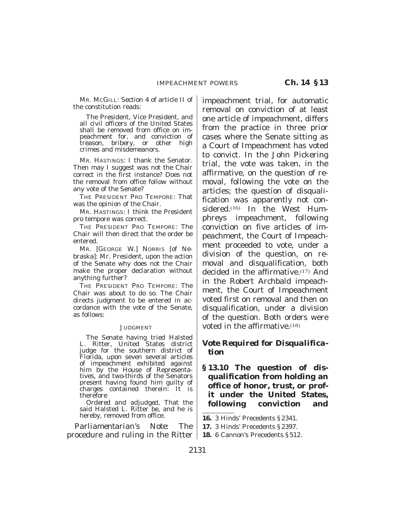MR. MCGILL: Section 4 of article II of the constitution reads:

The President, Vice President, and all civil officers of the United States shall be removed from office on impeachment for, and conviction of treason, bribery, or other high crimes and misdemeanors.

MR. HASTINGS: I thank the Senator. Then may I suggest was not the Chair correct in the first instance? Does not the removal from office follow without any vote of the Senate?

THE PRESIDENT PRO TEMPORE: That was the opinion of the Chair.

MR. HASTINGS: I think the President pro tempore was correct.

THE PRESIDENT PRO TEMPORE: The Chair will then direct that the order be entered.

MR. [GEORGE W.] NORRIS [of Nebraska]: Mr. President, upon the action of the Senate why does not the Chair make the proper declaration without anything further?

THE PRESIDENT PRO TEMPORE: The Chair was about to do so. The Chair directs judgment to be entered in accordance with the vote of the Senate, as follows:

#### JUDGMENT

The Senate having tried Halsted L. Ritter, United States district judge for the southern district of Florida, upon seven several articles of impeachment exhibited against him by the House of Representatives, and two-thirds of the Senators present having found him guilty of charges contained therein: It is therefore

*Ordered and adjudged,* That the said Halsted L. Ritter be, and he is hereby, removed from office.

*Parliamentarian's Note:* The procedure and ruling in the Ritter impeachment trial, for automatic removal on conviction of at least one article of impeachment, differs from the practice in three prior cases where the Senate sitting as a Court of Impeachment has voted to convict. In the John Pickering trial, the vote was taken, in the affirmative, on the question of removal, following the vote on the articles; the question of disqualification was apparently not considered.<sup>(16)</sup> In the West Humphreys impeachment, following conviction on five articles of impeachment, the Court of Impeachment proceeded to vote, under a division of the question, on removal and disqualification, both decided in the affirmative.(17) And in the Robert Archbald impeachment, the Court of Impeachment voted first on removal and then on disqualification, under a division of the question. Both orders were voted in the affirmative. $(18)$ 

#### *Vote Required for Disqualification*

**§ 13.10 The question of disqualification from holding an office of honor, trust, or profit under the United States, following conviction and**

- **17.** 3 Hinds' Precedents § 2397.
- **18.** 6 Cannon's Precedents § 512.

**<sup>16.</sup>** 3 Hinds' Precedents § 2341.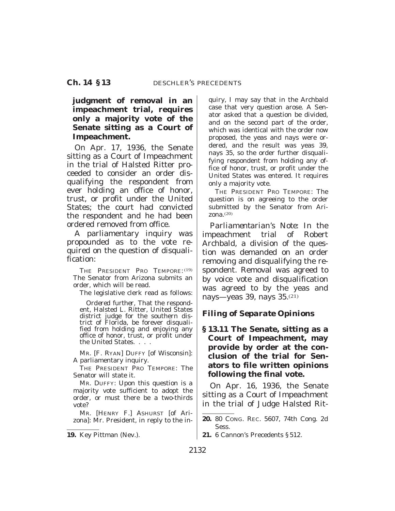## **judgment of removal in an impeachment trial, requires only a majority vote of the Senate sitting as a Court of Impeachment.**

On Apr. 17, 1936, the Senate sitting as a Court of Impeachment in the trial of Halsted Ritter proceeded to consider an order disqualifying the respondent from ever holding an office of honor, trust, or profit under the United States; the court had convicted the respondent and he had been ordered removed from office.

A parliamentary inquiry was propounded as to the vote required on the question of disqualification:

THE PRESIDENT PRO TEMPORE: (19) The Senator from Arizona submits an order, which will be read.

The legislative clerk read as follows:

*Ordered further,* That the respondent, Halsted L. Ritter, United States district judge for the southern district of Florida, be forever disqualified from holding and enjoying any office of honor, trust, or profit under the United States....

MR. [F. RYAN] DUFFY [of Wisconsin]: A parliamentary inquiry.

THE PRESIDENT PRO TEMPORE: The Senator will state it.

MR. DUFFY: Upon this question is a majority vote sufficient to adopt the order, or must there be a two-thirds vote?

MR. [HENRY F.] ASHURST [of Arizona]: Mr. President, in reply to the in-

**19.** Key Pittman (Nev.).

quiry, I may say that in the Archbald case that very question arose. A Senator asked that a question be divided, and on the second part of the order, which was identical with the order now proposed, the yeas and nays were ordered, and the result was yeas 39, nays 35, so the order further disqualifying respondent from holding any office of honor, trust, or profit under the United States was entered. It requires only a majority vote.

THE PRESIDENT PRO TEMPORE: The question is on agreeing to the order submitted by the Senator from Arizona.(20)

*Parliamentarian's Note:* In the impeachment trial of Robert Archbald, a division of the question was demanded on an order removing and disqualifying the respondent. Removal was agreed to by voice vote and disqualification was agreed to by the yeas and nays—yeas 39, nays 35.(21)

### *Filing of Separate Opinions*

# **§ 13.11 The Senate, sitting as a Court of Impeachment, may provide by order at the conclusion of the trial for Senators to file written opinions following the final vote.**

On Apr. 16, 1936, the Senate sitting as a Court of Impeachment in the trial of Judge Halsted Rit-

**21.** 6 Cannon's Precedents § 512.

2132

**<sup>20.</sup>** 80 CONG. REC. 5607, 74th Cong. 2d Sess.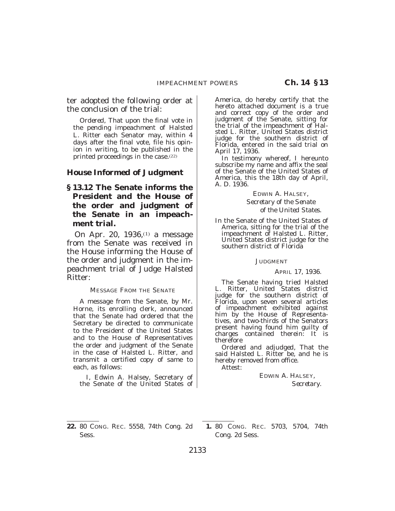ter adopted the following order at the conclusion of the trial:

*Ordered,* That upon the final vote in the pending impeachment of Halsted L. Ritter each Senator may, within 4 days after the final vote, file his opinion in writing, to be published in the printed proceedings in the case.(22)

#### *House Informed of Judgment*

## **§ 13.12 The Senate informs the President and the House of the order and judgment of the Senate in an impeachment trial.**

On Apr. 20, 1936,(1) a message from the Senate was received in the House informing the House of the order and judgment in the impeachment trial of Judge Halsted Ritter:

MESSAGE FROM THE SENATE

A message from the Senate, by Mr. Horne, its enrolling clerk, announced that the Senate had ordered that the Secretary be directed to communicate to the President of the United States and to the House of Representatives the order and judgment of the Senate in the case of Halsted L. Ritter, and transmit a certified copy of same to each, as follows:

I, Edwin A. Halsey, Secretary of the Senate of the United States of America, do hereby certify that the hereto attached document is a true and correct copy of the order and judgment of the Senate, sitting for the trial of the impeachment of Halsted L. Ritter, United States district judge for the southern district of Florida, entered in the said trial on April 17, 1936.

In testimony whereof, I hereunto subscribe my name and affix the seal of the Senate of the United States of America, this the 18th day of April, A. D. 1936.

EDWIN A. HALSEY,

*Secretary of the Senate of the United States.*

In the Senate of the United States of America, sitting for the trial of the impeachment of Halsted L. Ritter, United States district judge for the southern district of Florida

**JUDGMENT** 

APRIL 17, 1936.

The Senate having tried Halsted L. Ritter, United States district judge for the southern district of Florida, upon seven several articles of impeachment exhibited against him by the House of Representatives, and two-thirds of the Senators present having found him guilty of charges contained therein: It is therefore

*Ordered and adjudged,* That the said Halsted L. Ritter be, and he is hereby removed from office.

Attest:

EDWIN A. HALSEY, *Secretary.*

- **22.** 80 CONG. REC. 5558, 74th Cong. 2d Sess.
- **1.** 80 CONG. REC. 5703, 5704, 74th Cong. 2d Sess.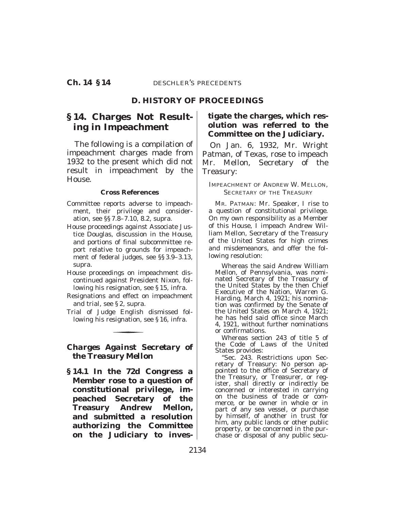#### **D. HISTORY OF PROCEEDINGS**

# **§ 14. Charges Not Resulting in Impeachment**

The following is a compilation of impeachment charges made from 1932 to the present which did not result in impeachment by the House.

#### **Cross References**

- Committee reports adverse to impeachment, their privilege and consideration, see §§ 7.8–7.10, 8.2, supra.
- House proceedings against Associate Justice Douglas, discussion in the House, and portions of final subcommittee report relative to grounds for impeachment of federal judges, see §§ 3.9–3.13, supra.
- House proceedings on impeachment discontinued against President Nixon, following his resignation, see § 15, infra.
- Resignations and effect on impeachment and trial, see § 2, supra.
- Trial of Judge English dismissed following his resignation, see § 16, infra.

### *Charges Against Secretary of the Treasury Mellon*

**§ 14.1 In the 72d Congress a Member rose to a question of constitutional privilege, impeached Secretary of the Treasury Andrew Mellon, and submitted a resolution authorizing the Committee on the Judiciary to inves-**

# **tigate the charges, which resolution was referred to the Committee on the Judiciary.**

On Jan. 6, 1932, Mr. Wright Patman, of Texas, rose to impeach Mr. Mellon, Secretary of the Treasury:

IMPEACHMENT OF ANDREW W. MELLON, SECRETARY OF THE TREASURY

MR. PATMAN: Mr. Speaker, I rise to a question of constitutional privilege. On my own responsibility as a Member of this House, I impeach Andrew William Mellon, Secretary of the Treasury of the United States for high crimes and misdemeanors, and offer the following resolution:

Whereas the said Andrew William Mellon, of Pennsylvania, was nominated Secretary of the Treasury of the United States by the then Chief Executive of the Nation, Warren G. Harding, March 4, 1921; his nomination was confirmed by the Senate of the United States on March 4, 1921; he has held said office since March 4, 1921, without further nominations or confirmations.

Whereas section 243 of title 5 of the Code of Laws of the United States provides:

'Sec. 243. Restrictions upon Secretary of Treasury: No person appointed to the office of Secretary of the Treasury, or Treasurer, or register, shall directly or indirectly be concerned or interested in carrying on the business of trade or commerce, or be owner in whole or in part of any sea vessel, or purchase by himself, of another in trust for him, any public lands or other public property, or be concerned in the purchase or disposal of any public secu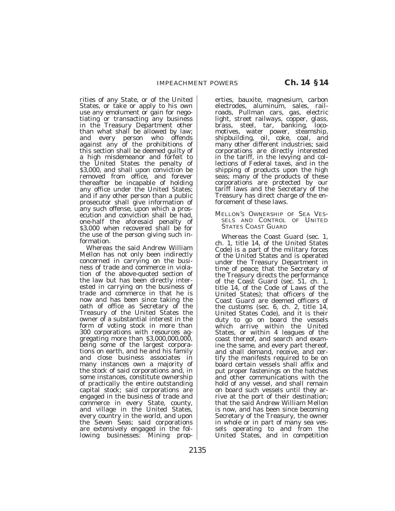rities of any State, or of the United States, or take or apply to his own use any emolument or gain for negotiating or transacting any business in the Treasury Department other than what shall be allowed by law; and every person who offends against any of the prohibitions of this section shall be deemed guilty of a high misdemeanor and forfeit to the United States the penalty of \$3,000, and shall upon conviction be removed from office, and forever thereafter be incapable of holding any office under the United States; and if any other person than a public prosecutor shall give information of any such offense, upon which a prosecution and conviction shall be had, one-half the aforesaid penalty of \$3,000 when recovered shall be for the use of the person giving such information.

Whereas the said Andrew William Mellon has not only been indirectly concerned in carrying on the business of trade and commerce in violation of the above-quoted section of the law but has been directly interested in carrying on the business of trade and commerce in that he is now and has been since taking the oath of office as Secretary of the Treasury of the United States the owner of a substantial interest in the form of voting stock in more than 300 corporations with resources aggregating more than  $$3,000,000,000$ , being some of the largest corporations on earth, and he and his family and close business associates in many instances own a majority of the stock of said corporations and, in some instances, constitute ownership of practically the entire outstanding capital stock; said corporations are engaged in the business of trade and commerce in every State, county, and village in the United States, every country in the world, and upon the Seven Seas; said corporations are extensively engaged in the following businesses: Mining prop-

erties, bauxite, magnesium, carbon electrodes, aluminum, sales, railroads, Pullman cars, gas, electric light, street railways, copper, glass, brass, steel, tar, banking, locomotives, water power, steamship, shipbuilding, oil, coke, coal, and many other different industries; said corporations are directly interested in the tariff, in the levying and collections of Federal taxes, and in the shipping of products upon the high seas; many of the products of these corporations are protected by our tariff laws and the Secretary of the Treasury has direct charge of the enforcement of these laws.

MELLON'S OWNERSHIP OF SEA VES- SELS AND CONTROL OF UNITED STATES COAST GUARD

Whereas the Coast Guard (sec. 1, ch. 1, title 14, of the United States Code) is a part of the military forces of the United States and is operated under the Treasury Department in time of peace; that the Secretary of the Treasury directs the performance of the Coast Guard (sec. 51, ch. 1, title 14, of the Code of Laws of the United States); that officers of the Coast Guard are deemed officers of the customs (sec. 6, ch. 2, title 14, United States Code), and it is their duty to go on board the vessels which arrive within the United States, or within 4 leagues of the coast thereof, and search and examine the same, and every part thereof, and shall demand, receive, and certify the manifests required to be on board certain vessels shall affix and put proper fastenings on the hatches and other communications with the hold of any vessel, and shall remain on board such vessels until they arrive at the port of their destination; that the said Andrew William Mellon is now, and has been since becoming Secretary of the Treasury, the owner in whole or in part of many sea vessels operating to and from the United States, and in competition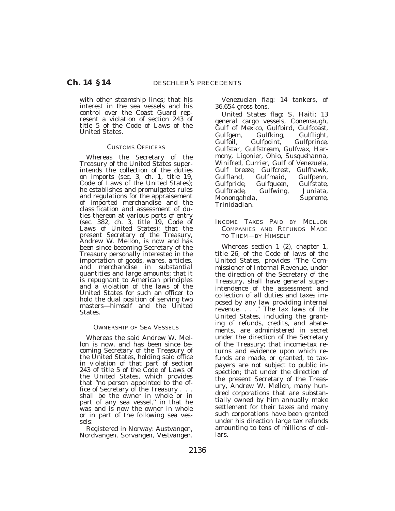with other steamship lines; that his interest in the sea vessels and his control over the Coast Guard represent a violation of section 243 of title 5 of the Code of Laws of the United States.

#### CUSTOMS OFFICERS

Whereas the Secretary of the Treasury of the United States superintends the collection of the duties on imports (sec. 3, ch. 1, title 19, Code of Laws of the United States); he establishes and promulgates rules and regulations for the appraisement of imported merchandise and the classification and assessment of duties thereon at various ports of entry (sec. 382, ch. 3, title 19, Code of Laws of United States); that the present Secretary of the Treasury, Andrew W. Mellon, is now and has been since becoming Secretary of the Treasury personally interested in the importation of goods, wares, articles, and merchandise in substantial quantities and large amounts; that it is repugnant to American principles and a violation of the laws of the United States for such an officer to hold the dual position of serving two masters—himself and the United States.

#### OWNERSHIP OF SEA VESSELS

Whereas the said Andrew W. Mellon is now, and has been since becoming Secretary of the Treasury of the United States, holding said office in violation of that part of section 243 of title 5 of the Code of Laws of the United States, which provides that ''no person appointed to the office of Secretary of the Treasury . . . shall be the owner in whole or in part of any sea vessel,'' in that he was and is now the owner in whole or in part of the following sea vessels:

Registered in Norway: *Austvangen, Nordvangen, Sorvangen, Vestvangen.*

Venezuelan flag: 14 tankers, of 36,654 gross tons.

United States flag: *S. Haiti;* 13 general cargo vessels, *Conemaugh, Gulf of Mexico, Gulfbird, Gulfcoast, Gulfgem, Gulfking, Gulflight, Gulfoil, Gulfpoint, Gulfprince, Gulfstar, Gulfstream, Gulfwax, Harmony, Ligonier, Ohio, Susquehanna, Winifred, Currier, Gulf of Venezuela, Gulf breeze, Gulfcrest, Gulfhawk, Gulfland, Gulfmaid, Gulfpenn, Gulfpride, Gulfqueen, Gulfstate, Gulftrade, Gulfwing, Juniata, Monongahela, Trinidadian.*

INCOME TAXES PAID BY MELLON COMPANIES AND REFUNDS MADE TO THEM—BY HIMSELF

Whereas section 1 (2), chapter 1, title 26, of the Code of laws of the United States, provides ''The Commissioner of Internal Revenue, under the direction of the Secretary of the Treasury, shall have general superintendence of the assessment and collection of all duties and taxes imposed by any law providing internal revenue. . . .'' The tax laws of the United States, including the granting of refunds, credits, and abatements, are administered in secret under the direction of the Secretary of the Treasury; that income-tax returns and evidence upon which refunds are made, or granted, to taxpayers are not subject to public inspection; that under the direction of the present Secretary of the Treasury, Andrew W. Mellon, many hundred corporations that are substantially owned by him annually make settlement for their taxes and many such corporations have been granted under his direction large tax refunds amounting to tens of millions of dollars.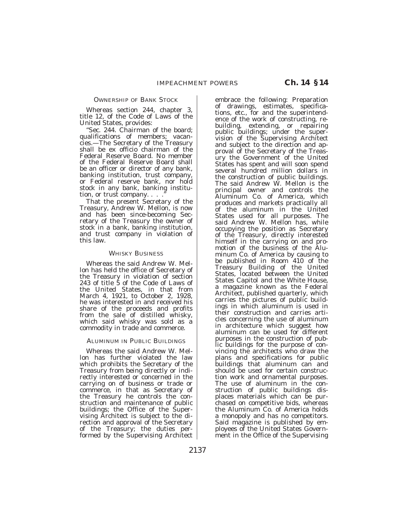#### OWNERSHIP OF BANK STOCK

Whereas section 244, chapter 3, title 12, of the Code of Laws of the United States, provides:

''Sec. 244. Chairman of the board; qualifications of members; vacancies.—The Secretary of the Treasury shall be ex officio chairman of the Federal Reserve Board. No member of the Federal Reserve Board shall be an officer or director of any bank, banking institution, trust company, or Federal reserve bank, nor hold stock in any bank, banking institution, or trust company. . . .''

That the present Secretary of the Treasury, Andrew W. Mellon, is now and has been since-becoming Secretary of the Treasury the owner of stock in a bank, banking institution, and trust company in violation of this law.

#### WHISKY BUSINESS

Whereas the said Andrew W. Mellon has held the office of Secretary of the Treasury in violation of section 243 of title 5 of the Code of Laws of the United States, in that from March 4, 1921, to October 2, 1928, he was interested in and received his share of the proceeds and profits from the sale of distilled whisky, which said whisky was sold as a commodity in trade and commerce.

#### ALUMINUM IN PUBLIC BUILDINGS

Whereas the said Andrew W. Mellon has further violated the law which prohibits the Secretary of the Treasury from being directly or indirectly interested or concerned in the carrying on of business or trade or commerce, in that as Secretary of the Treasury he controls the construction and maintenance of public buildings; the Office of the Supervising Architect is subject to the direction and approval of the Secretary of the Treasury; the duties performed by the Supervising Architect

embrace the following: Preparation of drawings, estimates, specifications, etc., for and the superintendence of the work of constructing, rebuilding, extending, or repairing public buildings; under the supervision of the Supervising Architect and subject to the direction and approval of the Secretary of the Treasury the Government of the United States has spent and will soon spend several hundred million dollars in the construction of public buildings. The said Andrew W. Mellon is the principal owner and controls the Aluminum Co. of America, which produces and markets practically all of the aluminum in the United States used for all purposes. The said Andrew W. Mellon has, while occupying the position as Secretary of the Treasury, directly interested himself in the carrying on and promotion of the business of the Aluminum Co. of America by causing to be published in Room 410 of the Treasury Building of the United States, located between the United States Capitol and the White House, a magazine known as the Federal Architect, published quarterly, which carries the pictures of public buildings in which aluminum is used in their construction and carries articles concerning the use of aluminum in architecture which suggest how aluminum can be used for different purposes in the construction of public buildings for the purpose of convincing the architects who draw the plans and specifications for public buildings that aluminum can and should be used for certain construction work and ornamental purposes. The use of aluminum in the construction of public buildings displaces materials which can be purchased on competitive bids, whereas the Aluminum Co. of America holds a monopoly and has no competitors. Said magazine is published by employees of the United States Government in the Office of the Supervising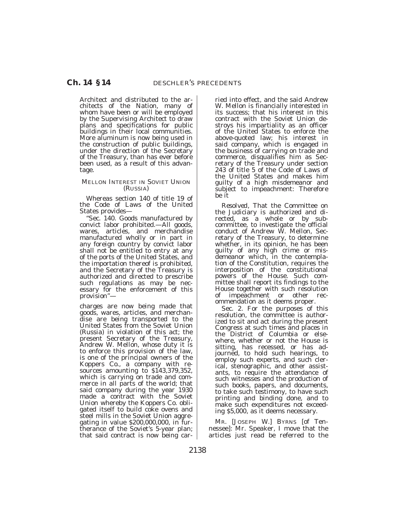Architect and distributed to the architects of the Nation, many of whom have been or will be employed by the Supervising Architect to draw plans and specifications for public buildings in their local communities. More aluminum is now being used in the construction of public buildings, under the direction of the Secretary of the Treasury, than has ever before been used, as a result of this advantage.

#### MELLON INTEREST IN SOVIET UNION (RUSSIA)

Whereas section 140 of title 19 of the Code of Laws of the United States provides—

''Sec. 140. Goods manufactured by convict labor prohibited.—All goods, wares, articles, and merchandise manufactured wholly or in part in any foreign country by convict labor shall not be entitled to entry at any of the ports of the United States, and the importation thereof is prohibited, and the Secretary of the Treasury is authorized and directed to prescribe such regulations as may be necessary for the enforcement of this provision''—

charges are now being made that goods, wares, articles, and merchandise are being transported to the United States from the Soviet Union (Russia) in violation of this act; the present Secretary of the Treasury, Andrew W. Mellon, whose duty it is to enforce this provision of the law, is one of the principal owners of the Koppers Co., a company with resources amounting to \$143,379,352, which is carrying on trade and commerce in all parts of the world; that said company during the year 1930 made a contract with the Soviet Union whereby the Koppers Co. obligated itself to build coke ovens and steel mills in the Soviet Union aggregating in value \$200,000,000, in furtherance of the Soviet's 5-year plan; that said contract is now being car-

ried into effect, and the said Andrew W. Mellon is financially interested in its success; that his interest in this contract with the Soviet Union destroys his impartiality as an officer of the United States to enforce the above-quoted law; his interest in said company, which is engaged in the business of carrying on trade and commerce, disqualifies him as Secretary of the Treasury under section 243 of title 5 of the Code of Laws of the United States and makes him guilty of a high misdemeanor and subject to impeachment: Therefore be it

*Resolved,* That the Committee on the Judiciary is authorized and directed, as a whole or by subcommittee, to investigate the official conduct of Andrew W. Mellon, Secretary of the Treasury, to determine whether, in its opinion, he has been guilty of any high crime or misdemeanor which, in the contemplation of the Constitution, requires the interposition of the constitutional powers of the House. Such committee shall report its findings to the House together with such resolution of impeachment or other recommendation as it deems proper.

Sec. 2. For the purposes of this resolution, the committee is authorized to sit and act during the present Congress at such times and places in the District of Columbia or elsewhere, whether or not the House is sitting, has recessed, or has adjourned, to hold such hearings, to employ such experts, and such clerical, stenographic, and other assistants, to require the attendance of such witnesses and the production of such books, papers, and documents, to take such testimony, to have such printing and binding done, and to make such expenditures not exceeding \$5,000, as it deems necessary.

MR. [JOSEPH W.] BYRNS [of Tennessee]: Mr. Speaker, I move that the articles just read be referred to the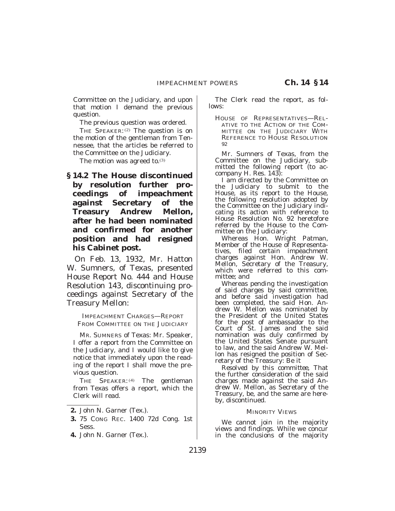Committee on the Judiciary, and upon that motion I demand the previous question.

The previous question was ordered.

THE SPEAKER: (2) The question is on the motion of the gentleman from Tennessee, that the articles be referred to the Committee on the Judiciary.

The motion was agreed to.(3)

**§ 14.2 The House discontinued by resolution further proceedings of impeachment against Secretary of the Treasury Andrew Mellon, after he had been nominated and confirmed for another position and had resigned his Cabinet post.**

On Feb. 13, 1932, Mr. Hatton W. Sumners, of Texas, presented House Report No. 444 and House Resolution 143, discontinuing proceedings against Secretary of the Treasury Mellon:

IMPEACHMENT CHARGES—REPORT FROM COMMITTEE ON THE JUDICIARY

MR. SUMNERS of Texas: Mr. Speaker, I offer a report from the Committee on the Judiciary, and I would like to give notice that immediately upon the reading of the report I shall move the previous question.

THE SPEAKER: (4) The gentleman from Texas offers a report, which the Clerk will read.

- **2.** John N. Garner (Tex.).
- **3.** 75 CONG REC. 1400 72d Cong. 1st Sess.
- **4.** John N. Garner (Tex.).

The Clerk read the report, as follows:

HOUSE OF REPRESENTATIVES—REL- ATIVE TO THE ACTION OF THE COM- MITTEE ON THE JUDICIARY WITH REFERENCE TO HOUSE RESOLUTION **92** 

Mr. Sumners of Texas, from the Committee on the Judiciary, submitted the following report (to accompany H. Res. 143):

the Judiciary to submit to the House, as its report to the House, the following resolution adopted by the Committee on the Judiciary indicating its action with reference to House Resolution No. 92 heretofore referred by the House to the Committee on the Judiciary:

Whereas Hon. Wright Patman, Member of the House of Representatives, filed certain impeachment charges against Hon. Andrew W. Mellon, Secretary of the Treasury, which were referred to this committee; and

Whereas pending the investigation of said charges by said committee, and before said investigation had been completed, the said Hon. Andrew W. Mellon was nominated by the President of the United States for the post of ambassador to the Court of St. James and the said nomination was duly confirmed by the United States Senate pursuant to law, and the said Andrew W. Mellon has resigned the position of Secretary of the Treasury: Be it

*Resolved by this committee,* That the further consideration of the said charges made against the said Andrew W. Mellon, as Secretary of the Treasury, be, and the same are hereby, discontinued.

#### MINORITY VIEWS

We cannot join in the majority views and findings. While we concur in the conclusions of the majority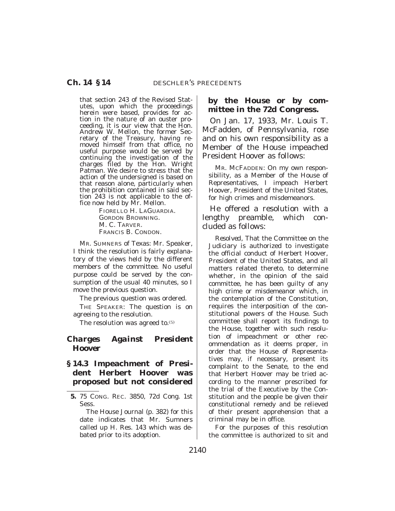that section 243 of the Revised Statutes, upon which the proceedings herein were based, provides for action in the nature of an ouster proceeding, it is our view that the Hon. Andrew W. Mellon, the former Secretary of the Treasury, having removed himself from that office, no useful purpose would be served by continuing the investigation of the charges filed by the Hon. Wright Patman. We desire to stress that the action of the undersigned is based on that reason alone, particularly when the prohibition contained in said section 243 is not applicable to the office now held by Mr. Mellon.

> FIORELLO H. LAGUARDIA. GORDON BROWNING. M. C. TARVER. FRANCIS B. CONDON.

MR. SUMNERS of Texas: Mr. Speaker, I think the resolution is fairly explanatory of the views held by the different members of the committee. No useful purpose could be served by the consumption of the usual 40 minutes, so I move the previous question.

The previous question was ordered.

THE SPEAKER: The question is on agreeing to the resolution.

The resolution was agreed to.(5)

#### *Charges Against President Hoover*

- **§ 14.3 Impeachment of President Herbert Hoover was proposed but not considered**
- **5.** 75 CONG. REC. 3850, 72d Cong. 1st Sess.

The House Journal (p. 382) for this date indicates that Mr. Sumners called up H. Res. 143 which was debated prior to its adoption.

#### **by the House or by committee in the 72d Congress.**

On Jan. 17, 1933, Mr. Louis T. McFadden, of Pennsylvania, rose and on his own responsibility as a Member of the House impeached President Hoover as follows:

MR. MCFADDEN: On my own responsibility, as a Member of the House of Representatives, I impeach Herbert Hoover, President of the United States, for high crimes and misdemeanors.

He offered a resolution with a lengthy preamble, which concluded as follows:

*Resolved,* That the Committee on the Judiciary is authorized to investigate the official conduct of Herbert Hoover, President of the United States, and all matters related thereto, to determine whether, in the opinion of the said committee, he has been guilty of any high crime or misdemeanor which, in the contemplation of the Constitution, requires the interposition of the constitutional powers of the House. Such committee shall report its findings to the House, together with such resolution of impeachment or other recommendation as it deems proper, in order that the House of Representatives may, if necessary, present its complaint to the Senate, to the end that Herbert Hoover may be tried according to the manner prescribed for the trial of the Executive by the Constitution and the people be given their constitutional remedy and be relieved of their present apprehension that a criminal may be in office.

For the purposes of this resolution the committee is authorized to sit and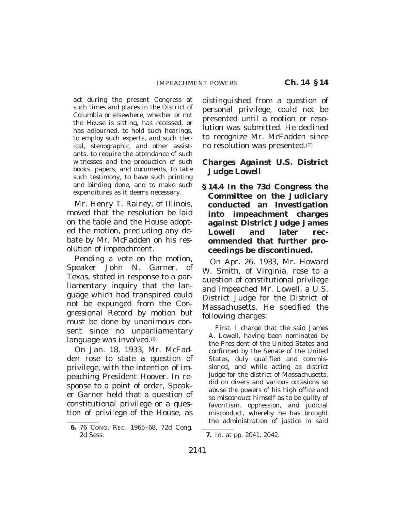act during the present Congress at such times and places in the District of Columbia or elsewhere, whether or not the House is sitting, has recessed, or has adjourned, to hold such hearings, to employ such experts, and such clerical, stenographic, and other assistants, to require the attendance of such witnesses and the production of such books, papers, and documents, to take such testimony, to have such printing and binding done, and to make such expenditures as it deems necessary.

Mr. Henry T. Rainey, of Illinois, moved that the resolution be laid on the table and the House adopted the motion, precluding any debate by Mr. McFadden on his resolution of impeachment.

Pending a vote on the motion, Speaker John N. Garner, of Texas, stated in response to a parliamentary inquiry that the language which had transpired could not be expunged from the *Congressional Record* by motion but must be done by unanimous consent since no unparliamentary language was involved.<sup>(6)</sup>

On Jan. 18, 1933, Mr. McFadden rose to state a question of privilege, with the intention of impeaching President Hoover. In response to a point of order, Speaker Garner held that a question of constitutional privilege or a question of privilege of the House, as

distinguished from a question of personal privilege, could not be presented until a motion or resolution was submitted. He declined to recognize Mr. McFadden since no resolution was presented.(7)

## *Charges Against U.S. District Judge Lowell*

**§ 14.4 In the 73d Congress the Committee on the Judiciary conducted an investigation into impeachment charges against District Judge James Lowell and later recommended that further proceedings be discontinued.**

On Apr. 26, 1933, Mr. Howard W. Smith, of Virginia, rose to a question of constitutional privilege and impeached Mr. Lowell, a U.S. District Judge for the District of Massachusetts. He specified the following charges:

First. I charge that the said James A. Lowell, having been nominated by the President of the United States and confirmed by the Senate of the United States, duly qualified and commissioned, and while acting as district judge for the district of Massachusetts, did on divers and various occasions so abuse the powers of his high office and so misconduct himself as to be guilty of favoritism, oppression, and judicial misconduct, whereby he has brought the administration of justice in said

**<sup>6.</sup>** 76 CONG. REC. 1965–68, 72d Cong. 2d Sess. **7.** *Id.* at pp. 2041, 2042.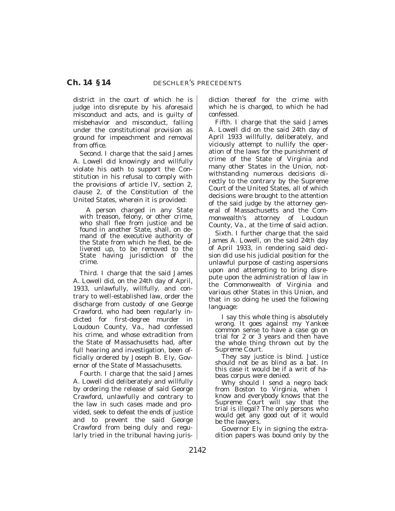district in the court of which he is judge into disrepute by his aforesaid misconduct and acts, and is guilty of misbehavior and misconduct, falling under the constitutional provision as ground for impeachment and removal from office.

Second. I charge that the said James A. Lowell did knowingly and willfully violate his oath to support the Constitution in his refusal to comply with the provisions of article IV, section 2, clause 2, of the Constitution of the United States, wherein it is provided:

A person charged in any State with treason, felony, or other crime, who shall flee from justice and be found in another State, shall, on demand of the executive authority of the State from which he fled, be delivered up, to be removed to the State having jurisdiction of the crime.

Third. I charge that the said James A. Lowell did, on the 24th day of April, 1933, unlawfully, willfully, and contrary to well-established law, order the discharge from custody of one George Crawford, who had been regularly indicted for first-degree murder in Loudoun County, Va., had confessed his crime, and whose extradition from the State of Massachusetts had, after full hearing and investigation, been officially ordered by Joseph B. Ely, Governor of the State of Massachusetts.

Fourth. I charge that the said James A. Lowell did deliberately and willfully by ordering the release of said George Crawford, unlawfully and contrary to the law in such cases made and provided, seek to defeat the ends of justice and to prevent the said George Crawford from being duly and regularly tried in the tribunal having jurisdiction thereof for the crime with which he is charged, to which he had confessed.

Fifth. I charge that the said James A. Lowell did on the said 24th day of April 1933 willfully, deliberately, and viciously attempt to nullify the operation of the laws for the punishment of crime of the State of Virginia and many other States in the Union, notwithstanding numerous decisions directly to the contrary by the Supreme Court of the United States, all of which decisions were brought to the attention of the said judge by the attorney general of Massachusetts and the Commonwealth's attorney of Loudoun County, Va., at the time of said action.

Sixth. I further charge that the said James A. Lowell, on the said 24th day of April 1933, in rendering said decision did use his judicial position for the unlawful purpose of casting aspersions upon and attempting to bring disrepute upon the administration of law in the Commonwealth of Virginia and various other States in this Union, and that in so doing he used the following language:

I say this whole thing is absolutely wrong. It goes against my Yankee common sense to have a case go on trial for 2 or 3 years and then have the whole thing thrown out by the Supreme Court.

They say justice is blind. Justice should not be as blind as a bat. In this case it would be if a writ of habeas corpus were denied.

Why should I send a negro back from Boston to Virginia, when I know and everybody knows that the Supreme Court will say that the trial is illegal? The only persons who would get any good out of it would be the lawyers.

Governor Ely in signing the extradition papers was bound only by the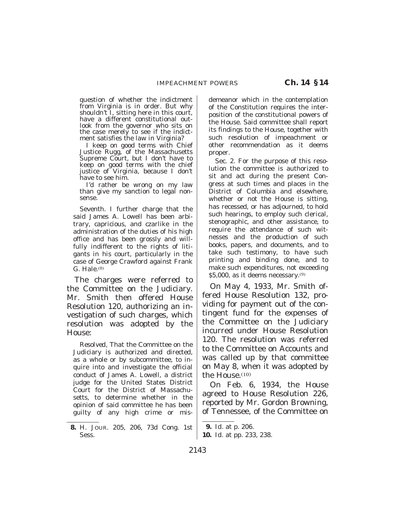question of whether the indictment from Virginia is in order. But why shouldn't I, sitting here in this court, have a different constitutional outlook from the governor who sits on the case merely to see if the indictment satisfies the law in Virginia?

I keep on good terms with Chief Justice Rugg, of the Massachusetts Supreme Court, but I don't have to keep on good terms with the chief justice of Virginia, because I don't have to see him.

I'd rather be wrong on my law than give my sanction to legal nonsense.

Seventh. I further charge that the said James A. Lowell has been arbitrary, capricious, and czarlike in the administration of the duties of his high office and has been grossly and willfully indifferent to the rights of litigants in his court, particularly in the case of George Crawford against Frank G. Hale.(8)

The charges were referred to the Committee on the Judiciary. Mr. Smith then offered House Resolution 120, authorizing an investigation of such charges, which resolution was adopted by the House:

*Resolved,* That the Committee on the Judiciary is authorized and directed, as a whole or by subcommittee, to inquire into and investigate the official conduct of James A. Lowell, a district judge for the United States District Court for the District of Massachusetts, to determine whether in the opinion of said committee he has been guilty of any high crime or mis-

demeanor which in the contemplation of the Constitution requires the interposition of the constitutional powers of the House. Said committee shall report its findings to the House, together with such resolution of impeachment or other recommendation as it deems proper.

Sec. 2. For the purpose of this resolution the committee is authorized to sit and act during the present Congress at such times and places in the District of Columbia and elsewhere, whether or not the House is sitting, has recessed, or has adjourned, to hold such hearings, to employ such clerical, stenographic, and other assistance, to require the attendance of such witnesses and the production of such books, papers, and documents, and to take such testimony, to have such printing and binding done, and to make such expenditures, not exceeding \$5,000, as it deems necessary.(9)

On May 4, 1933, Mr. Smith offered House Resolution 132, providing for payment out of the contingent fund for the expenses of the Committee on the Judiciary incurred under House Resolution 120. The resolution was referred to the Committee on Accounts and was called up by that committee on May 8, when it was adopted by the House.(10)

On Feb. 6, 1934, the House agreed to House Resolution 226, reported by Mr. Gordon Browning, of Tennessee, of the Committee on

**<sup>8.</sup>** H. JOUR. 205, 206, 73d Cong. 1st Sess.

**<sup>9.</sup>** *Id.* at p. 206.

**<sup>10.</sup>** *Id.* at pp. 233, 238.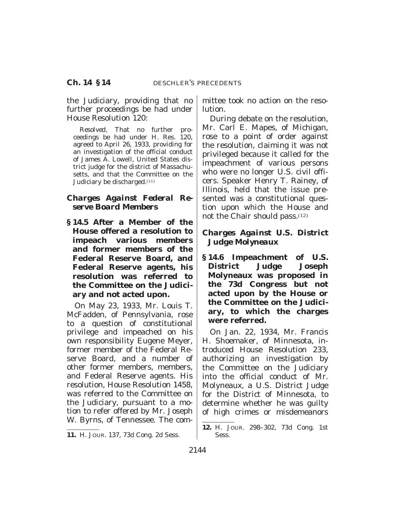the Judiciary, providing that no further proceedings be had under House Resolution 120:

*Resolved,* That no further proceedings be had under H. Res. 120, agreed to April 26, 1933, providing for an investigation of the official conduct of James A. Lowell, United States district judge for the district of Massachusetts, and that the Committee on the Judiciary be discharged.(11)

#### *Charges Against Federal Reserve Board Members*

**§ 14.5 After a Member of the House offered a resolution to impeach various members and former members of the Federal Reserve Board, and Federal Reserve agents, his resolution was referred to the Committee on the Judiciary and not acted upon.**

On May 23, 1933, Mr. Louis T. McFadden, of Pennsylvania, rose to a question of constitutional privilege and impeached on his own responsibility Eugene Meyer, former member of the Federal Reserve Board, and a number of other former members, members, and Federal Reserve agents. His resolution, House Resolution 1458, was referred to the Committee on the Judiciary, pursuant to a motion to refer offered by Mr. Joseph W. Byrns, of Tennessee. The com-

mittee took no action on the resolution.

During debate on the resolution, Mr. Carl E. Mapes, of Michigan, rose to a point of order against the resolution, claiming it was not privileged because it called for the impeachment of various persons who were no longer U.S. civil officers. Speaker Henry T. Rainey, of Illinois, held that the issue presented was a constitutional question upon which the House and not the Chair should pass.  $(12)$ 

## *Charges Against U.S. District Judge Molyneaux*

**§ 14.6 Impeachment of U.S. District Judge Joseph Molyneaux was proposed in the 73d Congress but not acted upon by the House or the Committee on the Judiciary, to which the charges were referred.**

On Jan. 22, 1934, Mr. Francis H. Shoemaker, of Minnesota, introduced House Resolution 233, authorizing an investigation by the Committee on the Judiciary into the official conduct of Mr. Molyneaux, a U.S. District Judge for the District of Minnesota, to determine whether he was guilty of high crimes or misdemeanors

**<sup>11.</sup>** H. JOUR. 137, 73d Cong. 2d Sess.

**<sup>12.</sup>** H. JOUR. 298–302, 73d Cong. 1st Sess.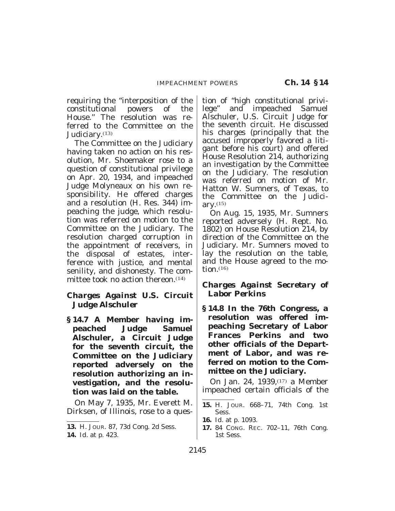requiring the ''interposition of the constitutional powers of the House.'' The resolution was referred to the Committee on the Judiciary.(13)

The Committee on the Judiciary having taken no action on his resolution, Mr. Shoemaker rose to a question of constitutional privilege on Apr. 20, 1934, and impeached Judge Molyneaux on his own responsibility. He offered charges and a resolution (H. Res. 344) impeaching the judge, which resolution was referred on motion to the Committee on the Judiciary. The resolution charged corruption in the appointment of receivers, in the disposal of estates, interference with justice, and mental senility, and dishonesty. The committee took no action thereon.  $(14)$ 

### *Charges Against U.S. Circuit Judge Alschuler*

**§ 14.7 A Member having impeached Judge Samuel Alschuler, a Circuit Judge for the seventh circuit, the Committee on the Judiciary reported adversely on the resolution authorizing an investigation, and the resolution was laid on the table.**

On May 7, 1935, Mr. Everett M. Dirksen, of Illinois, rose to a ques-

tion of ''high constitutional privilege'' and impeached Samuel Alschuler, U.S. Circuit Judge for the seventh circuit. He discussed his charges (principally that the accused improperly favored a litigant before his court) and offered House Resolution 214, authorizing an investigation by the Committee on the Judiciary. The resolution was referred on motion of Mr. Hatton W. Sumners, of Texas, to the Committee on the Judiciary. $(15)$ 

On Aug. 15, 1935, Mr. Sumners reported adversely (H. Rept. No. 1802) on House Resolution 214, by direction of the Committee on the Judiciary. Mr. Sumners moved to lay the resolution on the table, and the House agreed to the motion. $(16)$ 

#### *Charges Against Secretary of Labor Perkins*

**§ 14.8 In the 76th Congress, a resolution was offered impeaching Secretary of Labor Frances Perkins and two other officials of the Department of Labor, and was referred on motion to the Committee on the Judiciary.**

On Jan. 24, 1939,(17) a Member impeached certain officials of the

**15.** H. JOUR. 668–71, 74th Cong. 1st Sess.

**17.** 84 CONG. REC. 702–11, 76th Cong. 1st Sess.

**<sup>13.</sup>** H. JOUR. 87, 73d Cong. 2d Sess.

**<sup>14.</sup>** *Id.* at p. 423.

**<sup>16.</sup>** *Id.* at p. 1093.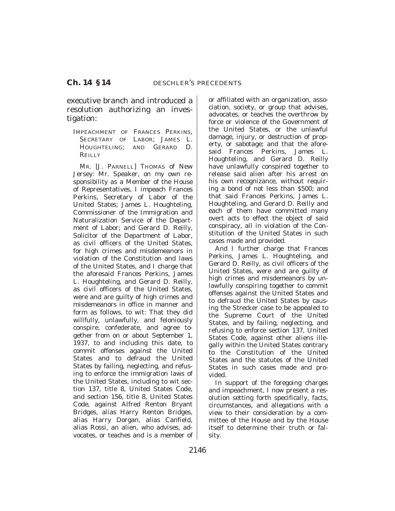executive branch and introduced a resolution authorizing an investigation:

IMPEACHMENT OF FRANCES PERKINS, SECRETARY OF LABOR; JAMES L. HOUGHTELING; AND GERARD D. **REILLY** 

MR. [J. PARNELL] THOMAS of New Jersey: Mr. Speaker, on my own responsibility as a Member of the House of Representatives, I impeach Frances Perkins, Secretary of Labor of the United States; James L. Houghteling, Commissioner of the Immigration and Naturalization Service of the Department of Labor; and Gerard D. Reilly, Solicitor of the Department of Labor, as civil officers of the United States, for high crimes and misdemeanors in violation of the Constitution and laws of the United States, and I charge that the aforesaid Frances Perkins, James L. Houghteling, and Gerard D. Reilly, as civil officers of the United States, were and are guilty of high crimes and misdemeanors in office in manner and form as follows, to wit: That they did willfully, unlawfully, and feloniously conspire, confederate, and agree together from on or about September 1, 1937, to and including this date, to commit offenses against the United States and to defraud the United States by failing, neglecting, and refusing to enforce the immigration laws of the United States, including to wit section 137, title 8, United States Code, and section 156, title 8, United States Code, against Alfred Renton Bryant Bridges, alias Harry Renton Bridges, alias Harry Dorgan, alias Canfield, alias Rossi, an alien, who advises, advocates, or teaches and is a member of

or affiliated with an organization, association, society, or group that advises, advocates, or teaches the overthrow by force or violence of the Government of the United States, or the unlawful damage, injury, or destruction of property, or sabotage; and that the aforesaid Frances Perkins, James L. Houghteling, and Gerard D. Reilly have unlawfully conspired together to release said alien after his arrest on his own recognizance, without requiring a bond of not less than \$500; and that said Frances Perkins, James L. Houghteling, and Gerard D. Reilly and each of them have committed many overt acts to effect the object of said conspiracy, all in violation of the Constitution of the United States in such cases made and provided.

And I further charge that Frances Perkins, James L. Houghteling, and Gerard D. Reilly, as civil officers of the United States, were and are guilty of high crimes and misdemeanors by unlawfully conspiring together to commit offenses against the United States and to defraud the United States by causing the Strecker case to be appealed to the Supreme Court of the United States, and by failing, neglecting, and refusing to enforce section 137, United States Code, against other aliens illegally within the United States contrary to the Constitution of the United States and the statutes of the United States in such cases made and provided.

In support of the foregoing charges and impeachment, I now present a resolution setting forth specifically, facts, circumstances, and allegations with a view to their consideration by a committee of the House and by the House itself to determine their truth or falsity.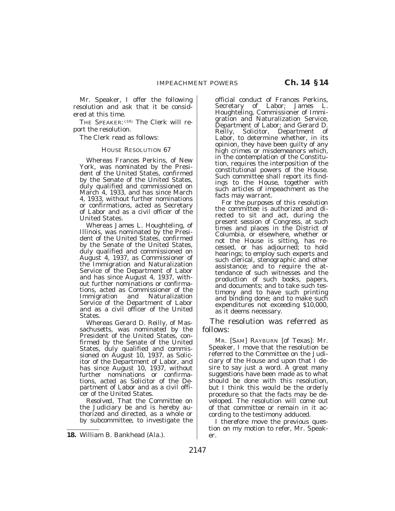Mr. Speaker, I offer the following resolution and ask that it be considered at this time.

THE SPEAKER: (18) The Clerk will report the resolution.

The Clerk read as follows:

#### HOUSE RESOLUTION 67

Whereas Frances Perkins, of New York, was nominated by the President of the United States, confirmed by the Senate of the United States, duly qualified and commissioned on March 4, 1933, and has since March 4, 1933, without further nominations or confirmations, acted as Secretary of Labor and as a civil officer of the United States.

Whereas James L. Houghteling, of Illinois, was nominated by the President of the United States, confirmed by the Senate of the United States, duly qualified and commissioned on August 4, 1937, as Commissioner of the Immigration and Naturalization Service of the Department of Labor and has since August 4, 1937, without further nominations or confirmations, acted as Commissioner of the Immigration and Naturalization Service of the Department of Labor and as a civil officer of the United States.

Whereas Gerard D. Reilly, of Massachusetts, was nominated by the President of the United States, confirmed by the Senate of the United States, duly qualified and commissioned on August 10, 1937, as Solicitor of the Department of Labor, and has since August 10, 1937, without further nominations or confirmations, acted as Solicitor of the Department of Labor and as a civil officer of the United States.

*Resolved,* That the Committee on the Judiciary be and is hereby authorized and directed, as a whole or by subcommittee, to investigate the

official conduct of Frances Perkins, Secretary of Labor; James L. Houghteling, Commissioner of Immigration and Naturalization Service, Department of Labor; and Gerard D. Reilly, Solicitor, Department of Labor, to determine whether, in its opinion, they have been guilty of any high crimes or misdemeanors which, in the contemplation of the Constitution, requires the interposition of the constitutional powers of the House. Such committee shall report its findings to the House, together with such articles of impeachment as the facts may warrant.

For the purposes of this resolution the committee is authorized and directed to sit and act, during the present session of Congress, at such times and places in the District of Columbia, or elsewhere, whether or not the House is sitting, has recessed, or has adjourned; to hold hearings; to employ such experts and such clerical, stenographic and other assistance; and to require the attendance of such witnesses and the production of such books, papers, and documents; and to take such testimony and to have such printing and binding done; and to make such expenditures not exceeding \$10,000, as it deems necessary.

The resolution was referred as follows:

MR. [SAM] RAYBURN [of Texas]: Mr. Speaker, I move that the resolution be referred to the Committee on the Judiciary of the House and upon that I desire to say just a word. A great many suggestions have been made as to what should be done with this resolution, but I think this would be the orderly procedure so that the facts may be developed. The resolution will come out of that committee or remain in it according to the testimony adduced.

I therefore move the previous question on my motion to refer, Mr. Speaker.

**<sup>18.</sup>** William B. Bankhead (Ala.).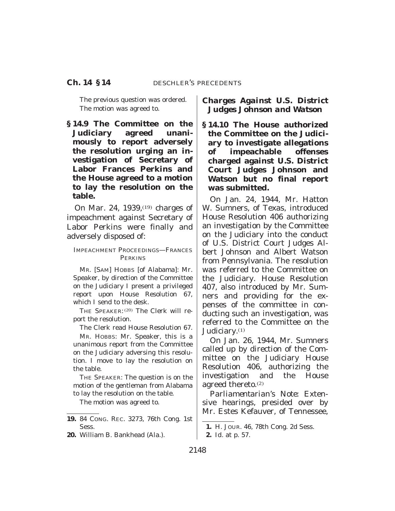The previous question was ordered. The motion was agreed to.

**§ 14.9 The Committee on the Judiciary agreed unanimously to report adversely the resolution urging an investigation of Secretary of Labor Frances Perkins and the House agreed to a motion to lay the resolution on the table.**

On Mar. 24, 1939,(19) charges of impeachment against Secretary of Labor Perkins were finally and adversely disposed of:

#### IMPEACHMENT PROCEEDINGS—FRANCES **PERKINS**

MR. [SAM] HOBBS [of Alabama]: Mr. Speaker, by direction of the Committee on the Judiciary I present a privileged report upon House Resolution 67, which I send to the desk.

THE SPEAKER: (20) The Clerk will report the resolution.

The Clerk read House Resolution 67. MR. HOBBS: Mr. Speaker, this is a unanimous report from the Committee on the Judiciary adversing this resolution. I move to lay the resolution on the table.

THE SPEAKER: The question is on the motion of the gentleman from Alabama to lay the resolution on the table.

The motion was agreed to.

### *Charges Against U.S. District Judges Johnson and Watson*

**§ 14.10 The House authorized the Committee on the Judiciary to investigate allegations of impeachable offenses charged against U.S. District Court Judges Johnson and Watson but no final report was submitted.**

On Jan. 24, 1944, Mr. Hatton W. Sumners, of Texas, introduced House Resolution 406 authorizing an investigation by the Committee on the Judiciary into the conduct of U.S. District Court Judges Albert Johnson and Albert Watson from Pennsylvania. The resolution was referred to the Committee on the Judiciary. House Resolution 407, also introduced by Mr. Sumners and providing for the expenses of the committee in conducting such an investigation, was referred to the Committee on the Judiciary.<sup>(1)</sup>

On Jan. 26, 1944, Mr. Sumners called up by direction of the Committee on the Judiciary House Resolution 406, authorizing the investigation and the House agreed thereto.(2)

*Parliamentarian's Note:* Extensive hearings, presided over by Mr. Estes Kefauver, of Tennessee,

**<sup>19.</sup>** 84 CONG. REC. 3273, 76th Cong. 1st Sess.

**<sup>20.</sup>** William B. Bankhead (Ala.).

**<sup>1.</sup>** H. JOUR. 46, 78th Cong. 2d Sess.

**<sup>2.</sup>** *Id.* at p. 57.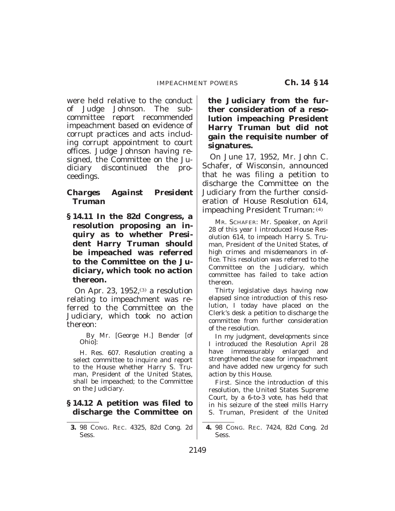were held relative to the conduct of Judge Johnson. The subcommittee report recommended impeachment based on evidence of corrupt practices and acts including corrupt appointment to court offices. Judge Johnson having resigned, the Committee on the Judiciary discontinued the proceedings.

#### *Charges Against President Truman*

**§ 14.11 In the 82d Congress, a resolution proposing an inquiry as to whether President Harry Truman should be impeached was referred to the Committee on the Judiciary, which took no action thereon.**

On Apr. 23,  $1952^{(3)}$  a resolution relating to impeachment was referred to the Committee on the Judiciary, which took no action thereon:

> By Mr. [George H.] Bender [of Ohio]:

H. Res. 607. Resolution creating a select committee to inquire and report to the House whether Harry S. Truman, President of the United States, shall be impeached; to the Committee on the Judiciary.

#### **§ 14.12 A petition was filed to discharge the Committee on**

**the Judiciary from the further consideration of a resolution impeaching President Harry Truman but did not gain the requisite number of signatures.**

On June 17, 1952, Mr. John C. Schafer, of Wisconsin, announced that he was filing a petition to discharge the Committee on the Judiciary from the further consideration of House Resolution 614, impeaching President Truman: (4)

MR. SCHAFER: Mr. Speaker, on April 28 of this year I introduced House Resolution 614, to impeach Harry S. Truman, President of the United States, of high crimes and misdemeanors in office. This resolution was referred to the Committee on the Judiciary, which committee has failed to take action thereon.

Thirty legislative days having now elapsed since introduction of this resolution, I today have placed on the Clerk's desk a petition to discharge the committee from further consideration of the resolution.

In my judgment, developments since I introduced the Resolution April 28 have immeasurably enlarged and strengthened the case for impeachment and have added new urgency for such action by this House.

First. Since the introduction of this resolution, the United States Supreme Court, by a 6-to-3 vote, has held that in his seizure of the steel mills Harry S. Truman, President of the United

**<sup>3.</sup>** 98 CONG. REC. 4325, 82d Cong. 2d Sess.

**<sup>4.</sup>** 98 CONG. REC. 7424, 82d Cong. 2d Sess.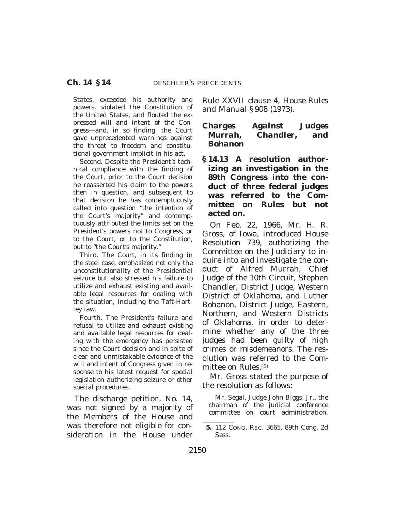States, exceeded his authority and powers, violated the Constitution of the United States, and flouted the expressed will and intent of the Congress—and, in so finding, the Court gave unprecedented warnings against the threat to freedom and constitutional government implicit in his act.

Second. Despite the President's technical compliance with the finding of the Court, prior to the Court decision he reasserted his claim to the powers then in question, and subsequent to that decision he has contemptuously called into question ''the intention of the Court's majority'' and contemptuously attributed the limits set on the President's powers not to Congress, or to the Court, or to the Constitution, but to "the Court's majority."

Third. The Court, in its finding in the steel case, emphasized not only the unconstitutionality of the Presidential seizure but also stressed his failure to utilize and exhaust existing and available legal resources for dealing with the situation, including the Taft-Hartley law.

Fourth. The President's failure and refusal to utilize and exhaust existing and available legal resources for dealing with the emergency has persisted since the Court decision and in spite of clear and unmistakable evidence of the will and intent of Congress given in response to his latest request for special legislation authorizing seizure or other special procedures.

The discharge petition, No. 14, was not signed by a majority of the Members of the House and was therefore not eligible for consideration in the House under Rule XXVII clause 4, *House Rules and Manual* § 908 (1973).

## *Charges Against Judges Murrah, Chandler, and Bohanon*

**§ 14.13 A resolution authorizing an investigation in the 89th Congress into the conduct of three federal judges was referred to the Committee on Rules but not acted on.**

On Feb. 22, 1966, Mr. H. R. Gross, of Iowa, introduced House Resolution 739, authorizing the Committee on the Judiciary to inquire into and investigate the conduct of Alfred Murrah, Chief Judge of the 10th Circuit, Stephen Chandler, District Judge, Western District of Oklahoma, and Luther Bohanon, District Judge, Eastern, Northern, and Western Districts of Oklahoma, in order to determine whether any of the three judges had been guilty of high crimes or misdemeanors. The resolution was referred to the Committee on Rules.(5)

Mr. Gross stated the purpose of the resolution as follows:

Mr. Segal, Judge John Biggs, Jr., the chairman of the judicial conference committee on court administration,

**<sup>5.</sup>** 112 CONG. REC. 3665, 89th Cong. 2d Sess.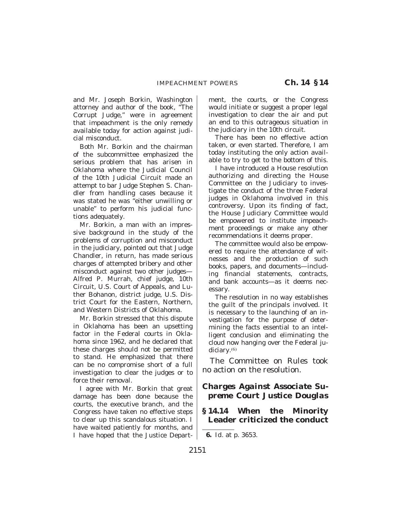and Mr. Joseph Borkin, Washington attorney and author of the book, ''The Corrupt Judge,'' were in agreement that impeachment is the only remedy available today for action against judicial misconduct.

Both Mr. Borkin and the chairman of the subcommittee emphasized the serious problem that has arisen in Oklahoma where the Judicial Council of the 10th Judicial Circuit made an attempt to bar Judge Stephen S. Chandler from handling cases because it was stated he was ''either unwilling or unable'' to perform his judicial functions adequately.

Mr. Borkin, a man with an impressive background in the study of the problems of corruption and misconduct in the judiciary, pointed out that Judge Chandler, in return, has made serious charges of attempted bribery and other misconduct against two other judges— Alfred P. Murrah, chief judge, 10th Circuit, U.S. Court of Appeals, and Luther Bohanon, district judge, U.S. District Court for the Eastern, Northern, and Western Districts of Oklahoma.

Mr. Borkin stressed that this dispute in Oklahoma has been an upsetting factor in the Federal courts in Oklahoma since 1962, and he declared that these charges should not be permitted to stand. He emphasized that there can be no compromise short of a full investigation to clear the judges or to force their removal.

I agree with Mr. Borkin that great damage has been done because the courts, the executive branch, and the Congress have taken no effective steps to clear up this scandalous situation. I have waited patiently for months, and I have hoped that the Justice Department, the courts, or the Congress would initiate or suggest a proper legal investigation to clear the air and put an end to this outrageous situation in the judiciary in the 10th circuit.

There has been no effective action taken, or even started. Therefore, I am today instituting the only action available to try to get to the bottom of this.

I have introduced a House resolution authorizing and directing the House Committee on the Judiciary to investigate the conduct of the three Federal judges in Oklahoma involved in this controversy. Upon its finding of fact, the House Judiciary Committee would be empowered to institute impeachment proceedings or make any other recommendations it deems proper.

The committee would also be empowered to require the attendance of witnesses and the production of such books, papers, and documents—including financial statements, contracts, and bank accounts—as it deems necessary.

The resolution in no way establishes the guilt of the principals involved. It is necessary to the launching of an investigation for the purpose of determining the facts essential to an intelligent conclusion and eliminating the cloud now hanging over the Federal judiciary.<sup>(6)</sup>

The Committee on Rules took no action on the resolution.

### *Charges Against Associate Supreme Court Justice Douglas*

### **§ 14.14 When the Minority Leader criticized the conduct**

**<sup>6.</sup>** *Id.* at p. 3653.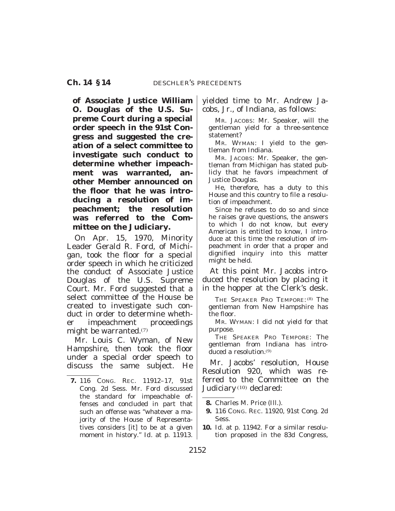**of Associate Justice William O. Douglas of the U.S. Supreme Court during a special order speech in the 91st Congress and suggested the creation of a select committee to investigate such conduct to determine whether impeachment was warranted, another Member announced on the floor that he was introducing a resolution of impeachment; the resolution was referred to the Committee on the Judiciary.**

On Apr. 15, 1970, Minority Leader Gerald R. Ford, of Michigan, took the floor for a special order speech in which he criticized the conduct of Associate Justice Douglas of the U.S. Supreme Court. Mr. Ford suggested that a select committee of the House be created to investigate such conduct in order to determine whether impeachment proceedings might be warranted.(7)

Mr. Louis C. Wyman, of New Hampshire, then took the floor under a special order speech to discuss the same subject. He yielded time to Mr. Andrew Jacobs, Jr., of Indiana, as follows:

MR. JACOBS: Mr. Speaker, will the gentleman yield for a three-sentence statement?

MR. WYMAN: I yield to the gentleman from Indiana.

MR. JACOBS: Mr. Speaker, the gentleman from Michigan has stated publicly that he favors impeachment of Justice Douglas.

He, therefore, has a duty to this House and this country to file a resolution of impeachment.

Since he refuses to do so and since he raises grave questions, the answers to which I do not know, but every American is entitled to know, I introduce at this time the resolution of impeachment in order that a proper and dignified inquiry into this matter might be held.

At this point Mr. Jacobs introduced the resolution by placing it in the hopper at the Clerk's desk.

THE SPEAKER PRO TEMPORE: (8) The gentleman from New Hampshire has the floor.

MR. WYMAN: I did not yield for that purpose.

THE SPEAKER PRO TEMPORE: The gentleman from Indiana has introduced a resolution.(9)

Mr. Jacobs' resolution, House Resolution 920, which was referred to the Committee on the Judiciary<sup>(10)</sup> declared:

- **8.** Charles M. Price (Ill.).
- **9.** 116 CONG. REC. 11920, 91st Cong. 2d Sess.
- **10.** *Id.* at p. 11942. For a similar resolution proposed in the 83d Congress,

**<sup>7.</sup>** 116 CONG. REC. 11912–17, 91st Cong. 2d Sess. Mr. Ford discussed the standard for impeachable offenses and concluded in part that such an offense was ''whatever a majority of the House of Representatives considers [it] to be at a given moment in history.'' *Id.* at p. 11913.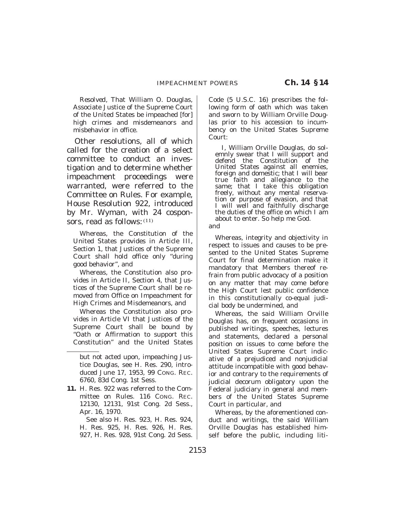*Resolved,* That William O. Douglas, Associate Justice of the Supreme Court of the United States be impeached [for] high crimes and misdemeanors and misbehavior in office.

Other resolutions, all of which called for the creation of a select committee to conduct an investigation and to determine whether impeachment proceedings were warranted, were referred to the Committee on Rules. For example, House Resolution 922, introduced by Mr. Wyman, with 24 cosponsors, read as follows: (11)

Whereas, the Constitution of the United States provides in Article III, Section 1, that Justices of the Supreme Court shall hold office only ''during good behavior'', and

Whereas, the Constitution also provides in Article II, Section 4, that Justices of the Supreme Court shall be removed from Office on Impeachment for High Crimes and Misdemeanors, and

Whereas the Constitution also provides in Article VI that Justices of the Supreme Court shall be bound by ''Oath or Affirmation to support this Constitution'' and the United States

**11.** H. Res. 922 was referred to the Committee on Rules. 116 CONG. REC. 12130, 12131, 91st Cong. 2d Sess., Apr. 16, 1970.

See also H. Res. 923, H. Res. 924, H. Res. 925, H. Res. 926, H. Res. 927, H. Res. 928, 91st Cong. 2d Sess.

Code (5 U.S.C. 16) prescribes the following form of oath which was taken and sworn to by William Orville Douglas prior to his accession to incumbency on the United States Supreme Court:

I, William Orville Douglas, do solemnly swear that I will support and defend the Constitution of the United States against all enemies, foreign and domestic; that I will bear true faith and allegiance to the same; that I take this obligation freely, without any mental reservation or purpose of evasion, and that I will well and faithfully discharge the duties of the office on which I am about to enter. So help me God. and

Whereas, integrity and objectivity in respect to issues and causes to be presented to the United States Supreme Court for final determination make it mandatory that Members thereof refrain from public advocacy of a position on any matter that may come before the High Court lest public confidence in this constitutionally co-equal judicial body be undermined, and

Whereas, the said William Orville Douglas has, on frequent occasions in published writings, speeches, lectures and statements, declared a personal position on issues to come before the United States Supreme Court indicative of a prejudiced and nonjudicial attitude incompatible with good behavior and contrary to the requirements of judicial decorum obligatory upon the Federal judiciary in general and members of the United States Supreme Court in particular, and

Whereas, by the aforementioned conduct and writings, the said William Orville Douglas has established himself before the public, including liti-

but not acted upon, impeaching Justice Douglas, see H. Res. 290, introduced June 17, 1953, 99 CONG. REC. 6760, 83d Cong. 1st Sess.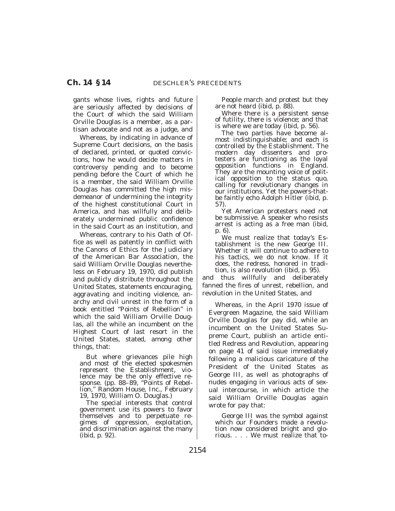gants whose lives, rights and future are seriously affected by decisions of the Court of which the said William Orville Douglas is a member, as a partisan advocate and not as a judge, and

Whereas, by indicating in advance of Supreme Court decisions, on the basis of declared, printed, or quoted convictions, how he would decide matters in controversy pending and to become pending before the Court of which he is a member, the said William Orville Douglas has committed the high misdemeanor of undermining the integrity of the highest constitutional Court in America, and has willfully and deliberately undermined public confidence in the said Court as an institution, and

Whereas, contrary to his Oath of Office as well as patently in conflict with the Canons of Ethics for the Judiciary of the American Bar Association, the said William Orville Douglas nevertheless on February 19, 1970, did publish and publicly distribute throughout the United States, statements encouraging, aggravating and inciting violence, anarchy and civil unrest in the form of a book entitled ''Points of Rebellion'' in which the said William Orville Douglas, all the while an incumbent on the Highest Court of last resort in the United States, stated, among other things, that:

But where grievances pile high and most of the elected spokesmen represent the Establishment, violence may be the only effective response. (pp. 88-89, "Points of Rebellion,'' Random House, Inc., February 19, 1970, William O. Douglas.)

The special interests that control government use its powers to favor themselves and to perpetuate regimes of oppression, exploitation, and discrimination against the many (ibid, p. 92).

People march and protest but they are not heard (ibid, p. 88).

Where there is a persistent sense of futility, there is violence; and that is where we are today (ibid, p. 56).

The two parties have become almost indistinguishable; and each is controlled by the Establishment. The modern day dissenters and protesters are functioning as the loyal opposition functions in England. They are the mounting voice of political opposition to the status quo, calling for revolutionary changes in our institutions. Yet the powers-thatbe faintly echo Adolph Hitler (ibid, p. 57).

Yet American protesters need not be submissive. A speaker who resists arrest is acting as a free man (ibid, p. 6).

We must realize that today's Establishment is the new George III. Whether it will continue to adhere to his tactics, we do not know. If it does, the redress, honored in tradition, is also revolution (ibid, p. 95).

and thus willfully and deliberately fanned the fires of unrest, rebellion, and revolution in the United States, and

Whereas, in the April 1970 issue of Evergreen Magazine, the said William Orville Douglas for pay did, while an incumbent on the United States Supreme Court, publish an article entitled Redress and Revolution, appearing on page 41 of said issue immediately following a malicious caricature of the President of the United States as George III, as well as photographs of nudes engaging in various acts of sexual intercourse, in which article the said William Orville Douglas again wrote for pay that:

George III was the symbol against which our Founders made a revolution now considered bright and glorious. . . . We must realize that to-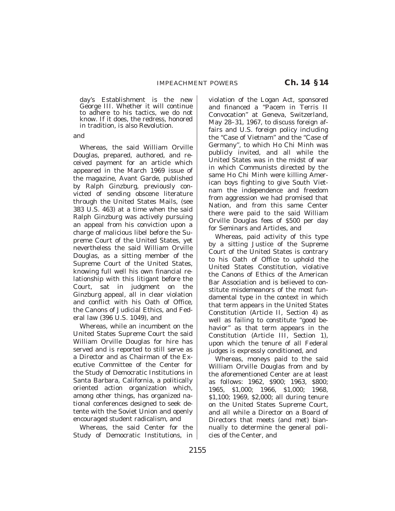day's Establishment is the new George III. Whether it will continue to adhere to his tactics, we do not know. If it does, the redress, honored in tradition, is also Revolution.

and

Whereas, the said William Orville Douglas, prepared, authored, and received payment for an article which appeared in the March 1969 issue of the magazine, Avant Garde, published by Ralph Ginzburg, previously convicted of sending obscene literature through the United States Mails, (see 383 U.S. 463) at a time when the said Ralph Ginzburg was actively pursuing an appeal from his conviction upon a charge of malicious libel before the Supreme Court of the United States, yet nevertheless the said William Orville Douglas, as a sitting member of the Supreme Court of the United States, knowing full well his own financial relationship with this litigant before the Court, sat in judgment on the Ginzburg appeal, all in clear violation and conflict with his Oath of Office, the Canons of Judicial Ethics, and Federal law (396 U.S. 1049), and

Whereas, while an incumbent on the United States Supreme Court the said William Orville Douglas for hire has served and is reported to still serve as a Director and as Chairman of the Executive Committee of the Center for the Study of Democratic Institutions in Santa Barbara, California, a politically oriented action organization which, among other things, has organized national conferences designed to seek detente with the Soviet Union and openly encouraged student radicalism, and

Whereas, the said Center for the Study of Democratic Institutions, in

violation of the Logan Act, sponsored and financed a ''Pacem in Terris II Convocation'' at Geneva, Switzerland, May 28–31, 1967, to discuss foreign affairs and U.S. foreign policy including the "Case of Vietnam" and the "Case of Germany'', to which Ho Chi Minh was publicly invited, and all while the United States was in the midst of war in which Communists directed by the same Ho Chi Minh were killing American boys fighting to give South Vietnam the independence and freedom from aggression we had promised that Nation, and from this same Center there were paid to the said William Orville Douglas fees of \$500 per day for Seminars and Articles, and

Whereas, paid activity of this type by a sitting Justice of the Supreme Court of the United States is contrary to his Oath of Office to uphold the United States Constitution, violative the Canons of Ethics of the American Bar Association and is believed to constitute misdemeanors of the most fundamental type in the context in which that term appears in the United States Constitution (Article II, Section 4) as well as failing to constitute ''good behavior'' as that term appears in the Constitution (Article III, Section 1), upon which the tenure of all Federal judges is expressly conditioned, and

Whereas, moneys paid to the said William Orville Douglas from and by the aforementioned Center are at least as follows: 1962, \$900; 1963, \$800; 1965, \$1,000; 1966, \$1,000; 1968, \$1,100; 1969, \$2,000; all during tenure on the United States Supreme Court, and all while a Director on a Board of Directors that meets (and met) biannually to determine the general policies of the Center, and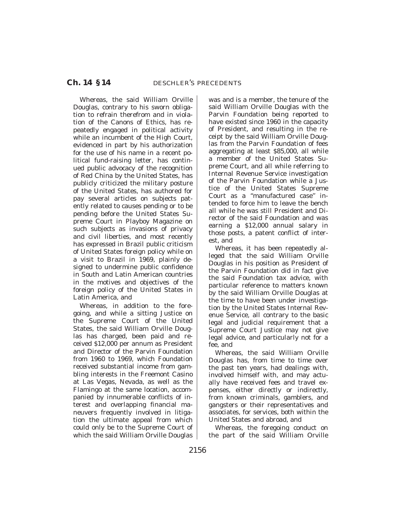Whereas, the said William Orville Douglas, contrary to his sworn obligation to refrain therefrom and in violation of the Canons of Ethics, has repeatedly engaged in political activity while an incumbent of the High Court, evidenced in part by his authorization for the use of his name in a recent political fund-raising letter, has continued public advocacy of the recognition of Red China by the United States, has publicly criticized the military posture of the United States, has authored for pay several articles on subjects patently related to causes pending or to be pending before the United States Supreme Court in Playboy Magazine on such subjects as invasions of privacy and civil liberties, and most recently has expressed in Brazil public criticism of United States foreign policy while on a visit to Brazil in 1969, plainly designed to undermine public confidence in South and Latin American countries in the motives and objectives of the foreign policy of the United States in Latin America, and

Whereas, in addition to the foregoing, and while a sitting Justice on the Supreme Court of the United States, the said William Orville Douglas has charged, been paid and received \$12,000 per annum as President and Director of the Parvin Foundation from 1960 to 1969, which Foundation received substantial income from gambling interests in the Freemont Casino at Las Vegas, Nevada, as well as the Flamingo at the same location, accompanied by innumerable conflicts of interest and overlapping financial maneuvers frequently involved in litigation the ultimate appeal from which could only be to the Supreme Court of which the said William Orville Douglas was and is a member, the tenure of the said William Orville Douglas with the Parvin Foundation being reported to have existed since 1960 in the capacity of President, and resulting in the receipt by the said William Orville Douglas from the Parvin Foundation of fees aggregating at least \$85,000, all while a member of the United States Supreme Court, and all while referring to Internal Revenue Service investigation of the Parvin Foundation while a Justice of the United States Supreme Court as a ''manufactured case'' intended to force him to leave the bench all while he was still President and Director of the said Foundation and was earning a \$12,000 annual salary in those posts, a patent conflict of interest, and

Whereas, it has been repeatedly alleged that the said William Orville Douglas in his position as President of the Parvin Foundation did in fact give the said Foundation tax advice, with particular reference to matters known by the said William Orville Douglas at the time to have been under investigation by the United States Internal Revenue Service, all contrary to the basic legal and judicial requirement that a Supreme Court Justice may not give legal advice, and particularly not for a fee, and

Whereas, the said William Orville Douglas has, from time to time over the past ten years, had dealings with, involved himself with, and may actually have received fees and travel expenses, either directly or indirectly, from known criminals, gamblers, and gangsters or their representatives and associates, for services, both within the United States and abroad, and

Whereas, the foregoing conduct on the part of the said William Orville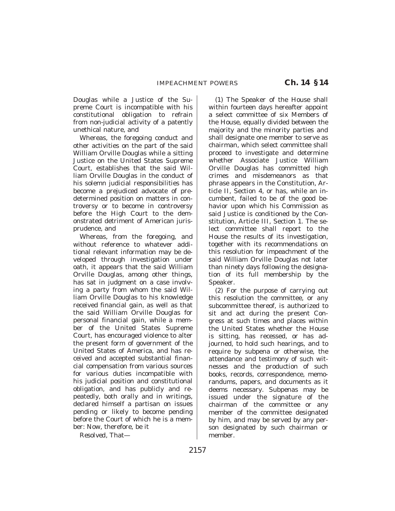Douglas while a Justice of the Supreme Court is incompatible with his constitutional obligation to refrain from non-judicial activity of a patently unethical nature, and

Whereas, the foregoing conduct and other activities on the part of the said William Orville Douglas while a sitting Justice on the United States Supreme Court, establishes that the said William Orville Douglas in the conduct of his solemn judicial responsibilities has become a prejudiced advocate of predetermined position on matters in controversy or to become in controversy before the High Court to the demonstrated detriment of American jurisprudence, and

Whereas, from the foregoing, and without reference to whatever additional relevant information may be developed through investigation under oath, it appears that the said William Orville Douglas, among other things, has sat in judgment on a case involving a party from whom the said William Orville Douglas to his knowledge received financial gain, as well as that the said William Orville Douglas for personal financial gain, while a member of the United States Supreme Court, has encouraged violence to alter the present form of government of the United States of America, and has received and accepted substantial financial compensation from various sources for various duties incompatible with his judicial position and constitutional obligation, and has publicly and repeatedly, both orally and in writings, declared himself a partisan on issues pending or likely to become pending before the Court of which he is a member: Now, therefore, be it

*Resolved,* That—

(1) The Speaker of the House shall within fourteen days hereafter appoint a select committee of six Members of the House, equally divided between the majority and the minority parties and shall designate one member to serve as chairman, which select committee shall proceed to investigate and determine whether Associate Justice William Orville Douglas has committed high crimes and misdemeanors as that phrase appears in the Constitution, Article II, Section 4, or has, while an incumbent, failed to be of the good behavior upon which his Commission as said Justice is conditioned by the Constitution, Article III, Section 1. The select committee shall report to the House the results of its investigation, together with its recommendations on this resolution for impeachment of the said William Orville Douglas not later than ninety days following the designation of its full membership by the Speaker.

(2) For the purpose of carrying out this resolution the committee, or any subcommittee thereof, is authorized to sit and act during the present Congress at such times and places within the United States whether the House is sitting, has recessed, or has adjourned, to hold such hearings, and to require by subpena or otherwise, the attendance and testimony of such witnesses and the production of such books, records, correspondence, memorandums, papers, and documents as it deems necessary. Subpenas may be issued under the signature of the chairman of the committee or any member of the committee designated by him, and may be served by any person designated by such chairman or member.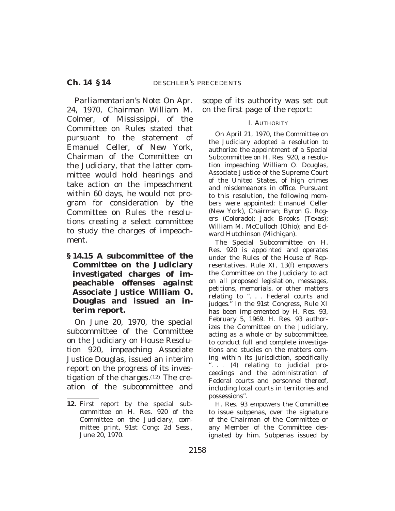*Parliamentarian's Note:* On Apr. 24, 1970, Chairman William M. Colmer, of Mississippi, of the Committee on Rules stated that pursuant to the statement of Emanuel Celler, of New York, Chairman of the Committee on the Judiciary, that the latter committee would hold hearings and take action on the impeachment within 60 days, he would not program for consideration by the Committee on Rules the resolutions creating a select committee to study the charges of impeachment.

**§ 14.15 A subcommittee of the Committee on the Judiciary investigated charges of impeachable offenses against Associate Justice William O. Douglas and issued an interim report.**

On June 20, 1970, the special subcommittee of the Committee on the Judiciary on House Resolution 920, impeaching Associate Justice Douglas, issued an interim report on the progress of its investigation of the charges. $(12)$  The creation of the subcommittee and

scope of its authority was set out on the first page of the report:

## I. AUTHORITY

On April 21, 1970, the Committee on the Judiciary adopted a resolution to authorize the appointment of a Special Subcommittee on H. Res. 920, a resolution impeaching William O. Douglas, Associate Justice of the Supreme Court of the United States, of high crimes and misdemeanors in office. Pursuant to this resolution, the following members were appointed: Emanuel Celler (New York), Chairman; Byron G. Rogers (Colorado); Jack Brooks (Texas); William M. McCulloch (Ohio); and Edward Hutchinson (Michigan).

The Special Subcommittee on H. Res. 920 is appointed and operates under the Rules of the House of Representatives. Rule XI, 13(f) empowers the Committee on the Judiciary to act on all proposed legislation, messages, petitions, memorials, or other matters relating to ". . . Federal courts and judges.'' In the 91st Congress, Rule XI has been implemented by H. Res. 93, February 5, 1969. H. Res. 93 authorizes the Committee on the Judiciary, acting as a whole or by subcommittee, to conduct full and complete investigations and studies on the matters coming within its jurisdiction, specifically ''. . . (4) relating to judicial proceedings and the administration of Federal courts and personnel thereof, including local courts in territories and possessions''.

H. Res. 93 empowers the Committee to issue subpenas, over the signature of the Chairman of the Committee or any Member of the Committee designated by him. Subpenas issued by

**<sup>12.</sup>** First report by the special subcommittee on H. Res. 920 of the Committee on the Judiciary, committee print, 91st Cong; 2d Sess., June 20, 1970.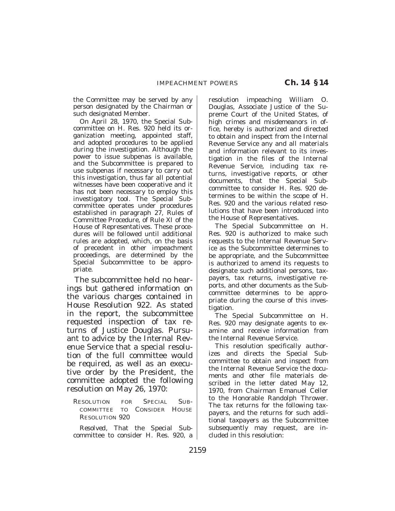the Committee may be served by any person designated by the Chairman or such designated Member.

On April 28, 1970, the Special Subcommittee on H. Res. 920 held its organization meeting, appointed staff, and adopted procedures to be applied during the investigation. Although the power to issue subpenas is available, and the Subcommittee is prepared to use subpenas if necessary to carry out this investigation, thus far all potential witnesses have been cooperative and it has not been necessary to employ this investigatory tool. The Special Subcommittee operates under procedures established in paragraph 27, Rules of Committee Procedure, of Rule XI of the House of Representatives. These procedures will be followed until additional rules are adopted, which, on the basis of precedent in other impeachment proceedings, are determined by the Special Subcommittee to be appropriate.

The subcommittee held no hearings but gathered information on the various charges contained in House Resolution 922. As stated in the report, the subcommittee requested inspection of tax returns of Justice Douglas. Pursuant to advice by the Internal Revenue Service that a special resolution of the full committee would be required, as well as an executive order by the President, the committee adopted the following resolution on May 26, 1970:

## RESOLUTION FOR SPECIAL SUB-COMMITTEE TO CONSIDER HOUSE RESOLUTION 920

*Resolved,* That the Special Subcommittee to consider H. Res. 920, a resolution impeaching William O. Douglas, Associate Justice of the Supreme Court of the United States, of high crimes and misdemeanors in office, hereby is authorized and directed to obtain and inspect from the Internal Revenue Service any and all materials and information relevant to its investigation in the files of the Internal Revenue Service, including tax returns, investigative reports, or other documents, that the Special Subcommittee to consider H. Res. 920 determines to be within the scope of H. Res. 920 and the various related resolutions that have been introduced into the House of Representatives.

The Special Subcommittee on H. Res. 920 is authorized to make such requests to the Internal Revenue Service as the Subcommittee determines to be appropriate, and the Subcommittee is authorized to amend its requests to designate such additional persons, taxpayers, tax returns, investigative reports, and other documents as the Subcommittee determines to be appropriate during the course of this investigation.

The Special Subcommittee on H. Res. 920 may designate agents to examine and receive information from the Internal Revenue Service.

This resolution specifically authorizes and directs the Special Subcommittee to obtain and inspect from the Internal Revenue Service the documents and other file materials described in the letter dated May 12, 1970, from Chairman Emanuel Celler to the Honorable Randolph Thrower. The tax returns for the following taxpayers, and the returns for such additional taxpayers as the Subcommittee subsequently may request, are included in this resolution: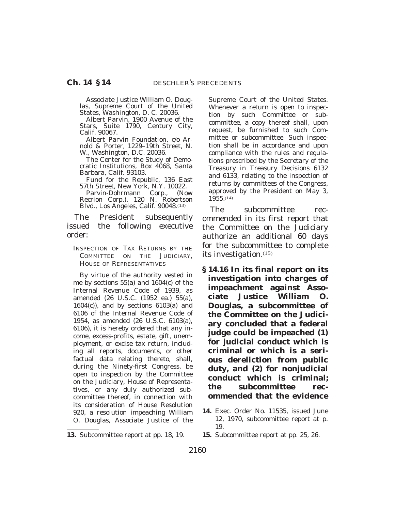Associate Justice William O. Douglas, Supreme Court of the United States, Washington, D. C. 20036.

Albert Parvin, 1900 Avenue of the Stars, Suite 1790, Century City, Calif. 90067.

Albert Parvin Foundation, c/o Arnold & Porter, 1229–19th Street, N. W., Washington, D.C. 20036.

The Center for the Study of Democratic Institutions, Box 4068, Santa Barbara, Calif. 93103.

Fund for the Republic, 136 East 57th Street, New York, N.Y. 10022.<br>Parvin-Dohrmann Corp., (No

Parvin-Dohrmann Corp., (Now Recrion Corp.), 120 N. Robertson Blvd., Los Angeles, Calif. 90048.(13)

The President subsequently issued the following executive order:

INSPECTION OF TAX RETURNS BY THE COMMITTEE ON THE JUDICIARY, HOUSE OF REPRESENTATIVES

By virtue of the authority vested in me by sections 55(a) and 1604(c) of the Internal Revenue Code of 1939, as amended (26 U.S.C. (1952 ea.) 55(a),  $1604(c)$ , and by sections  $6103(a)$  and 6106 of the Internal Revenue Code of 1954, as amended (26 U.S.C. 6103(a), 6106), it is hereby ordered that any income, excess-profits, estate, gift, unemployment, or excise tax return, including all reports, documents, or other factual data relating thereto, shall, during the Ninety-first Congress, be open to inspection by the Committee on the Judiciary, House of Representatives, or any duly authorized subcommittee thereof, in connection with its consideration of House Resolution 920, a resolution impeaching William O. Douglas, Associate Justice of the

**13.** Subcommittee report at pp. 18, 19.

Supreme Court of the United States. Whenever a return is open to inspection by such Committee or subcommittee, a copy thereof shall, upon request, be furnished to such Committee or subcommittee. Such inspection shall be in accordance and upon compliance with the rules and regulations prescribed by the Secretary of the Treasury in Treasury Decisions 6132 and 6133, relating to the inspection of returns by committees of the Congress, approved by the President on May 3,  $1955(14)$ 

The subcommittee recommended in its first report that the Committee on the Judiciary authorize an additional 60 days for the subcommittee to complete its investigation. $(15)$ 

**§ 14.16 In its final report on its investigation into charges of impeachment against Associate Justice William O. Douglas, a subcommittee of the Committee on the Judiciary concluded that a federal judge could be impeached (1) for judicial conduct which is criminal or which is a serious dereliction from public duty, and (2) for nonjudicial conduct which is criminal; the subcommittee recommended that the evidence**

**15.** Subcommittee report at pp. 25, 26.

**<sup>14.</sup>** Exec. Order No. 11535, issued June 12, 1970, subcommittee report at p. 19.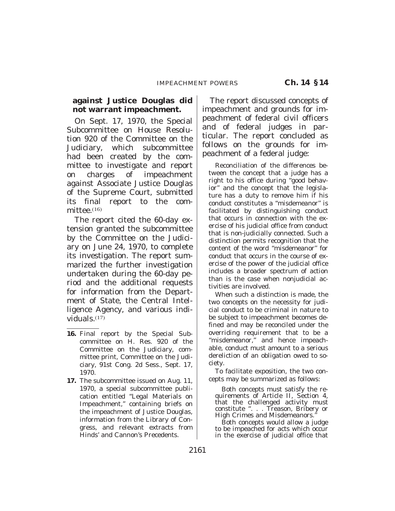## **against Justice Douglas did not warrant impeachment.**

On Sept. 17, 1970, the Special Subcommittee on House Resolution 920 of the Committee on the Judiciary, which subcommittee had been created by the committee to investigate and report on charges of impeachment against Associate Justice Douglas of the Supreme Court, submitted its final report to the committee. $(16)$ 

The report cited the 60-day extension granted the subcommittee by the Committee on the Judiciary on June 24, 1970, to complete its investigation. The report summarized the further investigation undertaken during the 60-day period and the additional requests for information from the Department of State, the Central Intelligence Agency, and various individuals.(17)

- **16.** Final report by the Special Subcommittee on H. Res. 920 of the Committee on the Judiciary, committee print, Committee on the Judiciary, 91st Cong. 2d Sess., Sept. 17, 1970.
- **17.** The subcommittee issued on Aug. 11, 1970, a special subcommittee publication entitled ''Legal Materials on Impeachment,'' containing briefs on the impeachment of Justice Douglas, information from the Library of Congress, and relevant extracts from Hinds' and Cannon's Precedents.

The report discussed concepts of impeachment and grounds for impeachment of federal civil officers and of federal judges in particular. The report concluded as follows on the grounds for impeachment of a federal judge:

Reconciliation of the differences between the concept that a judge has a right to his office during ''good behavior'' and the concept that the legislature has a duty to remove him if his conduct constitutes a ''misdemeanor'' is facilitated by distinguishing conduct that occurs in connection with the exercise of his judicial office from conduct that is non-judicially connected. Such a distinction permits recognition that the content of the word ''misdemeanor'' for conduct that occurs in the course of exercise of the power of the judicial office includes a broader spectrum of action than is the case when nonjudicial activities are involved.

When such a distinction is made, the two concepts on the necessity for judicial conduct to be criminal in nature to be subject to impeachment becomes defined and may be reconciled under the overriding requirement that to be a "misdemeanor," and hence impeachable, conduct must amount to a serious dereliction of an obligation owed to society.

To facilitate exposition, the two concepts may be summarized as follows:

Both concepts must satisfy the requirements of Article II, Section 4, that the challenged activity must constitute ''. . . Treason, Bribery or High Crimes and Misdemeanors.''

Both concepts would allow a judge to be impeached for acts which occur in the exercise of judicial office that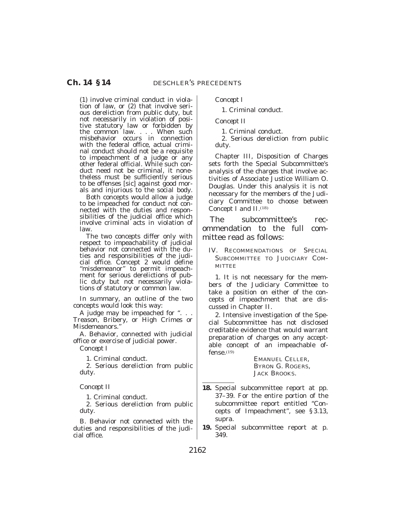(1) involve criminal conduct in violation of law, or (2) that involve serious dereliction from public duty, but not necessarily in violation of positive statutory law or forbidden by the common law. . . . When such misbehavior occurs in connection with the federal office, actual criminal conduct should not be a requisite to impeachment of a judge or any other federal official. While such conduct need not be criminal, it nonetheless must be sufficiently serious to be offenses [sic] against good morals and injurious to the social body.

Both concepts would allow a judge to be impeached for conduct not connected with the duties and responsibilities of the judicial office which involve criminal acts in violation of law.

The two concepts differ only with respect to impeachability of judicial behavior not connected with the duties and responsibilities of the judicial office. Concept 2 would define ''misdemeanor'' to permit impeachment for serious derelictions of public duty but not necessarily violations of statutory or common law.

In summary, an outline of the two concepts would look this way:

A judge may be impeached for "... Treason, Bribery, or High Crimes or Misdemeanors.''

A. Behavior, connected with judicial office or exercise of judicial power.

*Concept I*

1. Criminal conduct.

2. Serious dereliction from public duty.

*Concept II*

1. Criminal conduct.

2. Serious dereliction from public duty.

B. Behavior not connected with the duties and responsibilities of the judicial office.

*Concept I*

1. Criminal conduct.

*Concept II*

1. Criminal conduct.

2. Serious dereliction from public duty.

Chapter III, Disposition of Charges sets forth the Special Subcommittee's analysis of the charges that involve activities of Associate Justice William O. Douglas. Under this analysis it is not necessary for the members of the Judiciary Committee to choose between Concept I and II.(18)

The subcommittee's recommendation to the full committee read as follows:

IV. RECOMMENDATIONS OF SPECIAL SUBCOMMITTEE TO JUDICIARY COM-MITTEE

1. It is not necessary for the members of the Judiciary Committee to take a position on either of the concepts of impeachment that are discussed in Chapter II.

2. Intensive investigation of the Special Subcommittee has not disclosed creditable evidence that would warrant preparation of charges on any acceptable concept of an impeachable offense. $(19)$ 

EMANUEL CELLER, BYRON G. ROGERS, JACK BROOKS.

- **18.** Special subcommittee report at pp. 37–39. For the entire portion of the subcommittee report entitled ''Concepts of Impeachment'', see § 3.13, supra.
- **19.** Special subcommittee report at p. 349.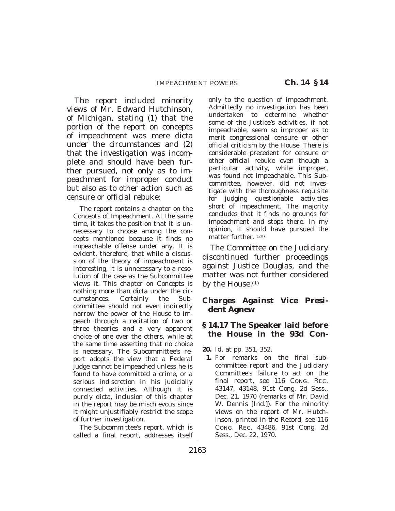The report included minority views of Mr. Edward Hutchinson, of Michigan, stating (1) that the portion of the report on concepts of impeachment was mere dicta under the circumstances and (2) that the investigation was incomplete and should have been further pursued, not only as to impeachment for improper conduct but also as to other action such as censure or official rebuke:

The report contains a chapter on the Concepts of Impeachment. At the same time, it takes the position that it is unnecessary to choose among the concepts mentioned because it finds no impeachable offense under any. It is evident, therefore, that while a discussion of the theory of impeachment is interesting, it is unnecessary to a resolution of the case as the Subcommittee views it. This chapter on Concepts is nothing more than dicta under the circumstances. Certainly the Subcommittee should not even indirectly narrow the power of the House to impeach through a recitation of two or three theories and a very apparent choice of one over the others, while at the same time asserting that no choice is necessary. The Subcommittee's report adopts the view that a Federal judge cannot be impeached unless he is found to have committed a crime, or a serious indiscretion in his judicially connected activities. Although it is purely dicta, inclusion of this chapter in the report may be mischievous since it might unjustifiably restrict the scope of further investigation.

The Subcommittee's report, which is called a final report, addresses itself

only to the question of impeachment. Admittedly no investigation has been undertaken to determine whether some of the Justice's activities, if not impeachable, seem so improper as to merit congressional censure or other official criticism by the House. There is considerable precedent for censure or other official rebuke even though a particular activity, while improper, was found not impeachable. This Subcommittee, however, did not investigate with the thoroughness requisite for judging questionable activities short of impeachment. The majority concludes that it finds no grounds for impeachment and stops there. In my opinion, it should have pursued the matter further. (20)

The Committee on the Judiciary discontinued further proceedings against Justice Douglas, and the matter was not further considered by the House.<sup>(1)</sup>

# *Charges Against Vice President Agnew*

# **§ 14.17 The Speaker laid before the House in the 93d Con-**

**20.** *Id.* at pp. 351, 352.

**1.** For remarks on the final subcommittee report and the Judiciary Committee's failure to act on the final report, see 116 CONG. REC. 43147, 43148, 91st Cong. 2d Sess., Dec. 21, 1970 (remarks of Mr. David W. Dennis [Ind.]). For the minority views on the report of Mr. Hutchinson, printed in the Record, see 116 CONG. REC. 43486, 91st Cong. 2d Sess., Dec. 22, 1970.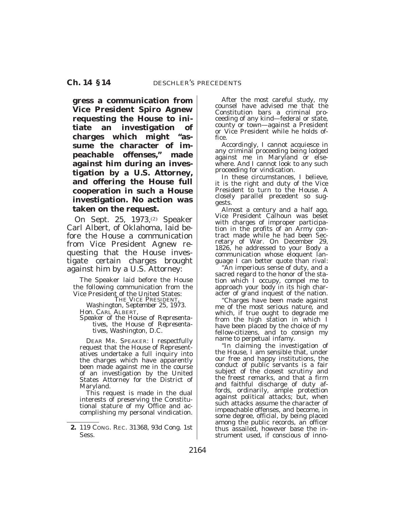**gress a communication from Vice President Spiro Agnew requesting the House to initiate an investigation of charges which might ''assume the character of impeachable offenses,'' made against him during an investigation by a U.S. Attorney, and offering the House full cooperation in such a House investigation. No action was taken on the request.**

On Sept. 25, 1973,(2) Speaker Carl Albert, of Oklahoma, laid before the House a communication from Vice President Agnew requesting that the House investigate certain charges brought against him by a U.S. Attorney:

The Speaker laid before the House the following communication from the Vice President of the United States:

THE VICE PRESIDENT, *Washington, September 25, 1973.*

Hon. CARL ALBERT, *Speaker of the House of Representatives, the House of Representatives, Washington, D.C.*

DEAR MR. SPEAKER: I respectfully request that the House of Representatives undertake a full inquiry into the charges which have apparently been made against me in the course of an investigation by the United States Attorney for the District of Maryland.

This request is made in the dual interests of preserving the Constitutional stature of my Office and accomplishing my personal vindication. After the most careful study, my counsel have advised me that the Constitution bars a criminal proceeding of any kind—federal or state, county or town—against a President or Vice President while he holds office.

Accordingly, I cannot acquiesce in any criminal proceeding being lodged against me in Maryland or elsewhere. And I cannot look to any such proceeding for vindication.

In these circumstances, I believe, it is the right and duty of the Vice President to turn to the House. A closely parallel precedent so suggests.

Almost a century and a half ago, Vice President Calhoun was beset with charges of improper participation in the profits of an Army contract made while he had been Secretary of War. On December 29, 1826, he addressed to your Body a communication whose eloquent language I can better quote than rival:

''An imperious sense of duty, and a sacred regard to the honor of the station which I occupy, compel me to approach your body in its high character of grand inquest of the nation.

''Charges have been made against me of the most serious nature, and which, if true ought to degrade me from the high station in which I have been placed by the choice of my fellow-citizens, and to consign my name to perpetual infamy.

''In claiming the investigation of the House, I am sensible that, under our free and happy institutions, the conduct of public servants is a fair subject of the closest scrutiny and the freest remarks, and that a firm and faithful discharge of duty affords, ordinarily, ample protection against political attacks; but, when such attacks assume the character of impeachable offenses, and become, in some degree, official, by being placed among the public records, an officer thus assailed, however base the instrument used, if conscious of inno-

**<sup>2.</sup>** 119 CONG. REC. 31368, 93d Cong. 1st Sess.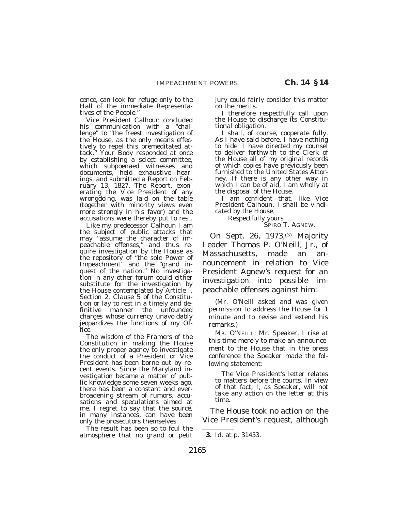cence, can look for refuge only to the Hall of the immediate Representatives of the People.''

Vice President Calhoun concluded his communication with a "challenge'' to ''the freest investigation of the House, as the only means effectively to repel this premeditated attack.'' Your Body responded at once by establishing a select committee, which subpoenaed witnesses and documents, held exhaustive hearings, and submitted a Report on February 13, 1827. The Report, exonerating the Vice President of any wrongdoing, was laid on the table (together with minority views even more strongly in his favor) and the accusations were thereby put to rest.

Like my predecessor Calhoun I am the subject of public attacks that may ''assume the character of impeachable offenses,'' and thus require investigation by the House as the repository of ''the sole Power of Impeachment'' and the ''grand inquest of the nation.'' No investigation in any other forum could either substitute for the investigation by the House contemplated by Article I, Section 2, Clause 5 of the Constitution or lay to rest in a timely and definitive manner the unfounded charges whose currency unavoidably jeopardizes the functions of my Office.

The wisdom of the Framers of the Constitution in making the House the only proper agency to investigate the conduct of a President or Vice President has been borne out by recent events. Since the Maryland investigation became a matter of public knowledge some seven weeks ago, there has been a constant and everbroadening stream of rumors, accusations and speculations aimed at me. I regret to say that the source, in many instances, can have been only the prosecutors themselves.

The result has been so to foul the atmosphere that no grand or petit jury could fairly consider this matter on the merits.

I therefore respectfully call upon the House to discharge its Constitutional obligation.

I shall, of course, cooperate fully. As I have said before, I have nothing to hide. I have directed my counsel to deliver forthwith to the Clerk of the House all of my original records of which copies have previously been furnished to the United States Attorney. If there is any other way in which I can be of aid, I am wholly at the disposal of the House.

I am confident that, like Vice President Calhoun, I shall be vindicated by the House.

> Respectfully yours SPIRO T. AGNEW.

On Sept. 26, 1973,<sup>(3)</sup> Majority Leader Thomas P. O'Neill, Jr., of Massachusetts, made an announcement in relation to Vice President Agnew's request for an investigation into possible impeachable offenses against him:

(Mr. O'Neill asked and was given permission to address the House for 1 minute and to revise and extend his remarks.)

MR. O'NEILL: Mr. Speaker, I rise at this time merely to make an announcement to the House that in the press conference the Speaker made the following statement:

The Vice President's letter relates to matters before the courts. In view of that fact, I, as Speaker, will not take any action on the letter at this time.

The House took no action on the Vice President's request, although

**<sup>3.</sup>** *Id.* at p. 31453.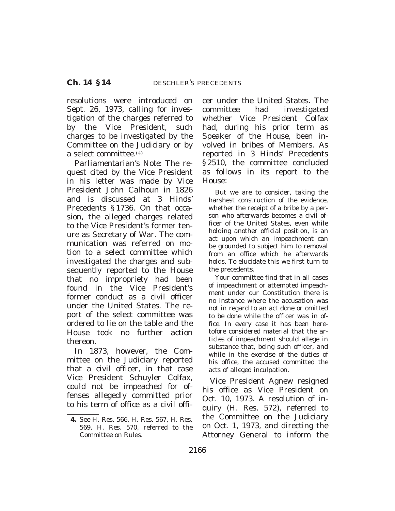resolutions were introduced on Sept. 26, 1973, calling for investigation of the charges referred to by the Vice President, such charges to be investigated by the Committee on the Judiciary or by a select committee.(4)

*Parliamentarian's Note:* The request cited by the Vice President in his letter was made by Vice President John Calhoun in 1826 and is discussed at 3 Hinds' Precedents § 1736. On that occasion, the alleged charges related to the Vice President's former tenure as Secretary of War. The communication was referred on motion to a select committee which investigated the charges and subsequently reported to the House that no impropriety had been found in the Vice President's former conduct as a civil officer under the United States. The report of the select committee was ordered to lie on the table and the House took no further action thereon.

In 1873, however, the Committee on the Judiciary reported that a civil officer, in that case Vice President Schuyler Colfax, could not be impeached for offenses allegedly committed prior to his term of office as a civil offi-

cer under the United States. The committee had investigated whether Vice President Colfax had, during his prior term as Speaker of the House, been involved in bribes of Members. As reported in 3 Hinds' Precedents § 2510, the committee concluded as follows in its report to the House:

But we are to consider, taking the harshest construction of the evidence, whether the receipt of a bribe by a person who afterwards becomes a civil officer of the United States, even while holding another official position, is an act upon which an impeachment can be grounded to subject him to removal from an office which he afterwards holds. To elucidate this we first turn to the precedents.

Your committee find that in all cases of impeachment or attempted impeachment under our Constitution there is no instance where the accusation was not in regard to an act done or omitted to be done while the officer was in office. In every case it has been heretofore considered material that the articles of impeachment should allege in substance that, being such officer, and while in the exercise of the duties of his office, the accused committed the acts of alleged inculpation.

Vice President Agnew resigned his office as Vice President on Oct. 10, 1973. A resolution of inquiry (H. Res. 572), referred to the Committee on the Judiciary on Oct. 1, 1973, and directing the Attorney General to inform the

**<sup>4.</sup>** See H. Res. 566, H. Res. 567, H. Res. 569, H. Res. 570, referred to the Committee on Rules.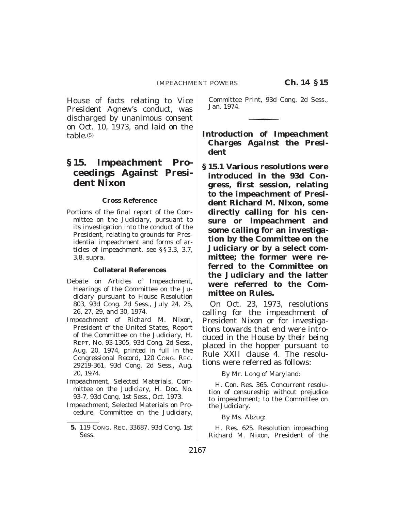House of facts relating to Vice President Agnew's conduct, was discharged by unanimous consent on Oct. 10, 1973, and laid on the table. $(5)$ 

# **§ 15. Impeachment Proceedings Against President Nixon**

#### **Cross Reference**

Portions of the final report of the Committee on the Judiciary, pursuant to its investigation into the conduct of the President, relating to grounds for Presidential impeachment and forms of articles of impeachment, see § § 3.3, 3.7, 3.8, supra.

#### **Collateral References**

- Debate on Articles of Impeachment, Hearings of the Committee on the Judiciary pursuant to House Resolution 803, 93d Cong. 2d Sess., July 24, 25, 26, 27, 29, and 30, 1974.
- Impeachment of Richard M. Nixon, President of the United States, Report of the Committee on the Judiciary, H. REPT. No. 93-1305, 93d Cong. 2d Sess., Aug. 20, 1974, printed in full in the *Congressional Record*, 120 CONG. REC. 29219-361, 93d Cong. 2d Sess., Aug. 20, 1974.
- Impeachment, Selected Materials, Committee on the Judiciary, H. Doc. No. 93-7, 93d Cong. 1st Sess., Oct. 1973.
- Impeachment, Selected Materials on Procedure, Committee on the Judiciary,
- **5.** 119 CONG. REC. 33687, 93d Cong. 1st Sess.

Committee Print, 93d Cong. 2d Sess., Jan. 1974.

# *Introduction of Impeachment Charges Against the President*

**§ 15.1 Various resolutions were introduced in the 93d Congress, first session, relating to the impeachment of President Richard M. Nixon, some directly calling for his censure or impeachment and some calling for an investigation by the Committee on the Judiciary or by a select committee; the former were referred to the Committee on the Judiciary and the latter were referred to the Committee on Rules.**

On Oct. 23, 1973, resolutions calling for the impeachment of President Nixon or for investigations towards that end were introduced in the House by their being placed in the hopper pursuant to Rule XXII clause 4. The resolutions were referred as follows:

By Mr. Long of Maryland:

H. Con. Res. 365. Concurrent resolution of censureship without prejudice to impeachment; to the Committee on the Judiciary.

By Ms. Abzug:

H. Res. 625. Resolution impeaching Richard M. Nixon, President of the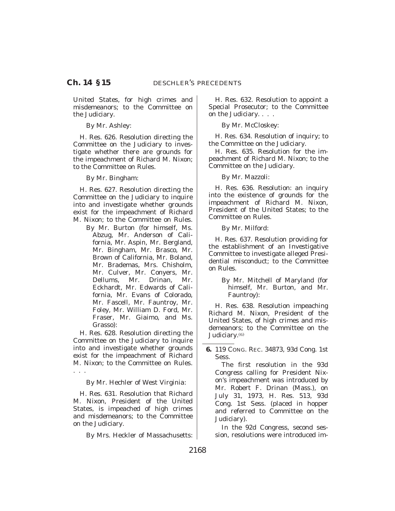United States, for high crimes and misdemeanors; to the Committee on the Judiciary.

## By Mr. Ashley:

H. Res. 626. Resolution directing the Committee on the Judiciary to investigate whether there are grounds for the impeachment of Richard M. Nixon; to the Committee on Rules.

By Mr. Bingham:

H. Res. 627. Resolution directing the Committee on the Judiciary to inquire into and investigate whether grounds exist for the impeachment of Richard M. Nixon; to the Committee on Rules.

> By Mr. Burton (for himself, Ms. Abzug, Mr. Anderson of California, Mr. Aspin, Mr. Bergland, Mr. Bingham, Mr. Brasco, Mr. Brown of California, Mr. Boland, Mr. Brademas, Mrs. Chisholm, Mr. Culver, Mr. Conyers, Mr. Dellums, Mr. Drinan, Mr. Eckhardt, Mr. Edwards of California, Mr. Evans of Colorado, Mr. Fascell, Mr. Fauntroy, Mr. Foley, Mr. William D. Ford, Mr. Fraser, Mr. Giaimo, and Ms. Grasso):

H. Res. 628. Resolution directing the Committee on the Judiciary to inquire into and investigate whether grounds exist for the impeachment of Richard M. Nixon; to the Committee on Rules. ...

By Mr. Hechler of West Virginia:

H. Res. 631. Resolution that Richard M. Nixon, President of the United States, is impeached of high crimes and misdemeanors; to the Committee on the Judiciary.

By Mrs. Heckler of Massachusetts:

H. Res. 632. Resolution to appoint a Special Prosecutor; to the Committee on the Judiciary. . . .

By Mr. McCloskey:

H. Res. 634. Resolution of inquiry; to the Committee on the Judiciary.

H. Res. 635. Resolution for the impeachment of Richard M. Nixon; to the Committee on the Judiciary.

By Mr. Mazzoli:

H. Res. 636. Resolution: an inquiry into the existence of grounds for the impeachment of Richard M. Nixon, President of the United States; to the Committee on Rules.

By Mr. Milford:

H. Res. 637. Resolution providing for the establishment of an Investigative Committee to investigate alleged Presidential misconduct; to the Committee on Rules.

> By Mr. Mitchell of Maryland (for himself, Mr. Burton, and Mr. Fauntroy):

H. Res. 638. Resolution impeaching Richard M. Nixon, President of the United States, of high crimes and misdemeanors; to the Committee on the Judiciary.<sup>(6)</sup>

The first resolution in the 93d Congress calling for President Nixon's impeachment was introduced by Mr. Robert F. Drinan (Mass.), on July 31, 1973, H. Res. 513, 93d Cong. 1st Sess. (placed in hopper and referred to Committee on the Judiciary).

In the 92d Congress, second session, resolutions were introduced im-

**<sup>6.</sup>** 119 CONG. REC. 34873, 93d Cong. 1st Sess.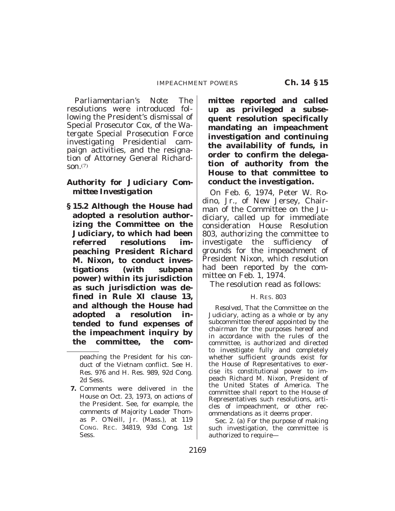*Parliamentarian's Note:* The resolutions were introduced following the President's dismissal of Special Prosecutor Cox, of the Watergate Special Prosecution Force investigating Presidential campaign activities, and the resignation of Attorney General Richardson. $(7)$ 

# *Authority for Judiciary Committee Investigation*

**§ 15.2 Although the House had adopted a resolution authorizing the Committee on the Judiciary, to which had been referred resolutions impeaching President Richard M. Nixon, to conduct investigations (with subpena power) within its jurisdiction as such jurisdiction was defined in Rule XI clause 13, and although the House had adopted a resolution intended to fund expenses of the impeachment inquiry by the committee, the com-** **mittee reported and called up as privileged a subsequent resolution specifically mandating an impeachment investigation and continuing the availability of funds, in order to confirm the delegation of authority from the House to that committee to conduct the investigation.**

On Feb. 6, 1974, Peter W. Rodino, Jr., of New Jersey, Chairman of the Committee on the Judiciary, called up for immediate consideration House Resolution 803, authorizing the committee to investigate the sufficiency of grounds for the impeachment of President Nixon, which resolution had been reported by the committee on Feb. 1, 1974.

The resolution read as follows:

## H. RES. 803

*Resolved,* That the Committee on the Judiciary, acting as a whole or by any subcommittee thereof appointed by the chairman for the purposes hereof and in accordance with the rules of the committee, is authorized and directed to investigate fully and completely whether sufficient grounds exist for the House of Representatives to exercise its constitutional power to impeach Richard M. Nixon, President of the United States of America. The committee shall report to the House of Representatives such resolutions, articles of impeachment, or other recommendations as it deems proper.

Sec. 2. (a) For the purpose of making such investigation, the committee is authorized to require—

peaching the President for his conduct of the Vietnam conflict. See H. Res. 976 and H. Res. 989, 92d Cong. 2d Sess.

**<sup>7.</sup>** Comments were delivered in the House on Oct. 23, 1973, on actions of the President. See, for example, the comments of Majority Leader Thomas P. O'Neill, Jr. (Mass.), at 119 CONG. REC. 34819, 93d Cong. 1st Sess.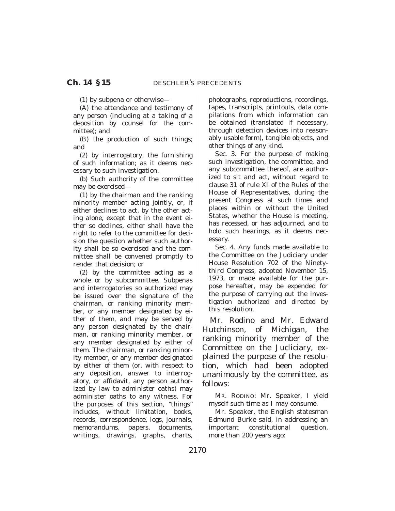(1) by subpena or otherwise—

(A) the attendance and testimony of any person (including at a taking of a deposition by counsel for the committee); and

(B) the production of such things; and

(2) by interrogatory, the furnishing of such information; as it deems necessary to such investigation.

(b) Such authority of the committee may be exercised—

(1) by the chairman and the ranking minority member acting jointly, or, if either declines to act, by the other acting alone, except that in the event either so declines, either shall have the right to refer to the committee for decision the question whether such authority shall be so exercised and the committee shall be convened promptly to render that decision; or

(2) by the committee acting as a whole or by subcommittee. Subpenas and interrogatories so authorized may be issued over the signature of the chairman, or ranking minority member, or any member designated by either of them, and may be served by any person designated by the chairman, or ranking minority member, or any member designated by either of them. The chairman, or ranking minority member, or any member designated by either of them (or, with respect to any deposition, answer to interrogatory, or affidavit, any person authorized by law to administer oaths) may administer oaths to any witness. For the purposes of this section, ''things'' includes, without limitation, books, records, correspondence, logs, journals, memorandums, papers, documents, writings, drawings, graphs, charts,

photographs, reproductions, recordings, tapes, transcripts, printouts, data compilations from which information can be obtained (translated if necessary, through detection devices into reasonably usable form), tangible objects, and other things of any kind.

Sec. 3. For the purpose of making such investigation, the committee, and any subcommittee thereof, are authorized to sit and act, without regard to clause 31 of rule XI of the Rules of the House of Representatives, during the present Congress at such times and places within or without the United States, whether the House is meeting, has recessed, or has adjourned, and to hold such hearings, as it deems necessary.

Sec. 4. Any funds made available to the Committee on the Judiciary under House Resolution 702 of the Ninetythird Congress, adopted November 15, 1973, or made available for the purpose hereafter, may be expended for the purpose of carrying out the investigation authorized and directed by this resolution.

Mr. Rodino and Mr. Edward Hutchinson, of Michigan, the ranking minority member of the Committee on the Jucliciary, explained the purpose of the resolution, which had been adopted unanimously by the committee, as follows:

MR. RODINO: Mr. Speaker, I yield myself such time as I may consume.

Mr. Speaker, the English statesman Edmund Burke said, in addressing an important constitutional question, more than 200 years ago: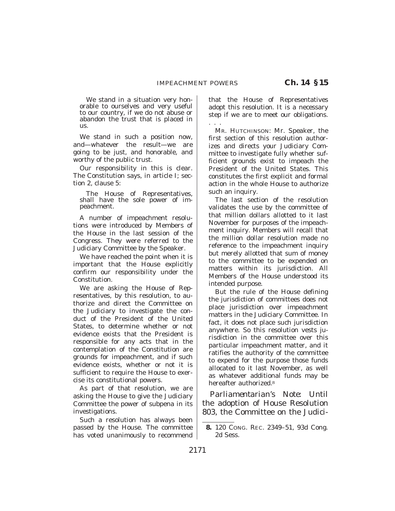We stand in a situation very honorable to ourselves and very useful to our country, if we do not abuse or abandon the trust that is placed in us.

We stand in such a position now, and—whatever the result—we are going to be just, and honorable, and worthy of the public trust.

Our responsibility in this is clear. The Constitution says, in article I; section 2, clause 5:

The House of Representatives, shall have the sole power of impeachment.

A number of impeachment resolutions were introduced by Members of the House in the last session of the Congress. They were referred to the Judiciary Committee by the Speaker.

We have reached the point when it is important that the House explicitly confirm our responsibility under the Constitution.

We are asking the House of Representatives, by this resolution, to authorize and direct the Committee on the Judiciary to investigate the conduct of the President of the United States, to determine whether or not evidence exists that the President is responsible for any acts that in the contemplation of the Constitution are grounds for impeachment, and if such evidence exists, whether or not it is sufficient to require the House to exercise its constitutional powers.

As part of that resolution, we are asking the House to give the Judiciary Committee the power of subpena in its investigations.

Such a resolution has always been passed by the House. The committee has voted unanimously to recommend

that the House of Representatives adopt this resolution. It is a necessary step if we are to meet our obligations. ...

MR. HUTCHINSON: Mr. Speaker, the first section of this resolution authorizes and directs your Judiciary Committee to investigate fully whether sufficient grounds exist to impeach the President of the United States. This constitutes the first explicit and formal action in the whole House to authorize such an inquiry.

The last section of the resolution validates the use by the committee of that million dollars allotted to it last November for purposes of the impeachment inquiry. Members will recall that the million dollar resolution made no reference to the impeachment inquiry but merely allotted that sum of money to the committee to be expended on matters within its jurisdiction. All Members of the House understood its intended purpose.

But the rule of the House defining the jurisdiction of committees does not place jurisdiction over impeachment matters in the Judiciary Committee. In fact, it does not place such jurisdiction anywhere. So this resolution vests jurisdiction in the committee over this particular impeachment matter, and it ratifies the authority of the committee to expend for the purpose those funds allocated to it last November, as well as whatever additional funds may be hereafter authorized.8

*Parliamentarian's Note:* Until the adoption of House Resolution 803, the Committee on the Judici-

**<sup>8.</sup>** 120 CONG. REC. 2349–51, 93d Cong. 2d Sess.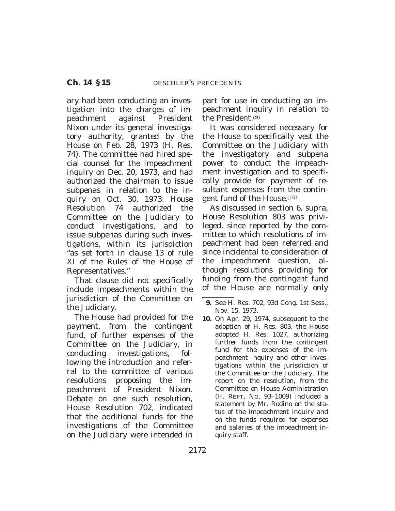ary had been conducting an investigation into the charges of impeachment against President Nixon under its general investigatory authority, granted by the House on Feb. 28, 1973 (H. Res. 74). The committee had hired special counsel for the impeachment inquiry on Dec. 20, 1973, and had authorized the chairman to issue subpenas in relation to the inquiry on Oct. 30, 1973. House Resolution 74 authorized the Committee on the Judiciary to conduct investigations, and to issue subpenas during such investigations, within its jurisdiction ''as set forth in clause 13 of rule XI of the Rules of the House of Representatives.''

That clause did not specifically include impeachments within the jurisdiction of the Committee on the Judiciary.

The House had provided for the payment, from the contingent fund, of further expenses of the Committee on the Judiciary, in conducting investigations, following the introduction and referral to the committee of various resolutions proposing the impeachment of President Nixon. Debate on one such resolution, House Resolution 702, indicated that the additional funds for the investigations of the Committee on the Judiciary were intended in

part for use in conducting an impeachment inquiry in relation to the President.(9)

It was considered necessary for the House to specifically vest the Committee on the Judiciary with the investigatory and subpena power to conduct the impeachment investigation and to specifically provide for payment of resultant expenses from the contingent fund of the House.(10)

As discussed in section 6, supra, House Resolution 803 was privileged, since reported by the committee to which resolutions of impeachment had been referred and since incidental to consideration of the impeachment question, although resolutions providing for funding from the contingent fund of the House are normally only

- **9.** See H. Res. 702, 93d Cong. 1st Sess., Nov. 15, 1973.
- **10.** On Apr. 29, 1974, subsequent to the adoption of H. Res. 803, the House adopted H. Res. 1027, authorizing further funds from the contingent fund for the expenses of the impeachment inquiry and other investigations within the jurisdiction of the Committee on the Judiciary. The report on the resolution, from the Committee on House Administration (H. REPT. NO. 93–1009) included a statement by Mr. Rodino on the status of the impeachment inquiry and on the funds required for expenses and salaries of the impeachment inquiry staff.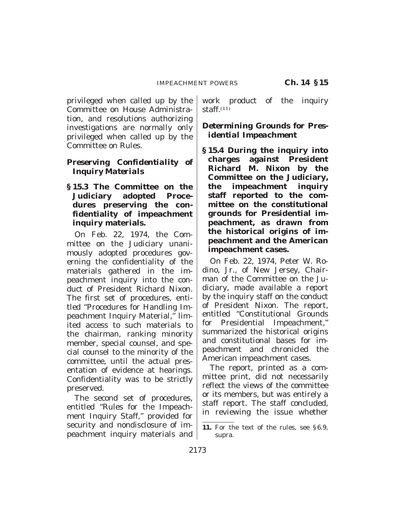privileged when called up by the Committee on House Administration, and resolutions authorizing investigations are normally only privileged when called up by the Committee on Rules.

# *Preserving Confidentiality of Inquiry Materials*

**§ 15.3 The Committee on the Judiciary adopted Procedures preserving the confidentiality of impeachment inquiry materials.**

On Feb. 22, 1974, the Committee on the Judiciary unanimously adopted procedures governing the confidentiality of the materials gathered in the impeachment inquiry into the conduct of President Richard Nixon. The first set of procedures, entitled ''Procedures for Handling Impeachment Inquiry Material,'' limited access to such materials to the chairman, ranking minority member, special counsel, and special counsel to the minority of the committee, until the actual presentation of evidence at hearings. Confidentiality was to be strictly preserved.

The second set of procedures, entitled ''Rules for the Impeachment Inquiry Staff,'' provided for security and nondisclosure of impeachment inquiry materials and

work product of the inquiry staff. $(11)$ 

# *Determining Grounds for Presidential Impeachment*

**§ 15.4 During the inquiry into charges against President Richard M. Nixon by the Committee on the Judiciary, the impeachment inquiry staff reported to the committee on the constitutional grounds for Presidential impeachment, as drawn from the historical origins of impeachment and the American impeachment cases.**

On Feb. 22, 1974, Peter W. Rodino, Jr., of New Jersey, Chairman of the Committee on the Judiciary, made available a report by the inquiry staff on the conduct of President Nixon. The report, entitled ''Constitutional Grounds for Presidential Impeachment,'' summarized the historical origins and constitutional bases for impeachment and chronicled the American impeachment cases.

The report, printed as a committee print, did not necessarily reflect the views of the committee or its members, but was entirely a staff report. The staff concluded, in reviewing the issue whether

**<sup>11.</sup>** For the text of the rules, see § 6.9, supra.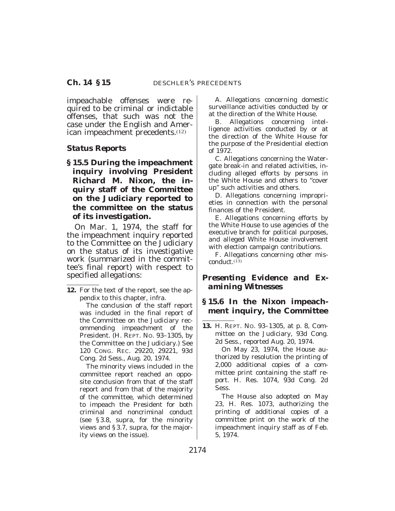impeachable offenses were required to be criminal or indictable offenses, that such was not the case under the English and American impeachment precedents.(12)

## *Status Reports*

**§ 15.5 During the impeachment inquiry involving President Richard M. Nixon, the inquiry staff of the Committee on the Judiciary reported to the committee on the status of its investigation.**

On Mar. 1, 1974, the staff for the impeachment inquiry reported to the Committee on the Judiciary on the status of its investigative work (summarized in the committee's final report) with respect to specified allegations:

**12.** For the text of the report, see the appendix to this chapter, infra.

The conclusion of the staff report was included in the final report of the Committee on the Judiciary recommending impeachment of the President. (H. REPT. NO. 93–1305, by the Committee on the Judiciary.) See 120 CONG. REC. 29220, 29221, 93d Cong. 2d Sess., Aug. 20, 1974.

The minority views included in the committee report reached an opposite conclusion from that of the staff report and from that of the majority of the committee, which determined to impeach the President for both criminal and noncriminal conduct (see § 3.8, supra, for the minority views and § 3.7, supra, for the majority views on the issue).

A. Allegations concerning domestic surveillance activities conducted by or at the direction of the White House.

B. Allegations concerning intelligence activities conducted by or at the direction of the White House for the purpose of the Presidential election of 1972.

C. Allegations concerning the Watergate break-in and related activities, including alleged efforts by persons in the White House and others to ''cover up'' such activities and others.

D. Allegations concerning improprieties in connection with the personal finances of the President.

E. Allegations concerning efforts by the White House to use agencies of the executive branch for political purposes, and alleged White House involvement with election campaign contributions.

F. Allegations concerning other misconduct.(13)

# *Presenting Evidence and Examining Witnesses*

# **§ 15.6 In the Nixon impeachment inquiry, the Committee**

**13.** H. REPT. NO. 93–1305, at p. 8, Committee on the Judiciary, 93d Cong. 2d Sess., reported Aug. 20, 1974.

On May 23, 1974, the House authorized by resolution the printing of 2,000 additional copies of a committee print containing the staff report. H. Res. 1074, 93d Cong. 2d Sess.

The House also adopted on May 23, H. Res. 1073, authorizing the printing of additional copies of a committee print on the work of the impeachment inquiry staff as of Feb. 5, 1974.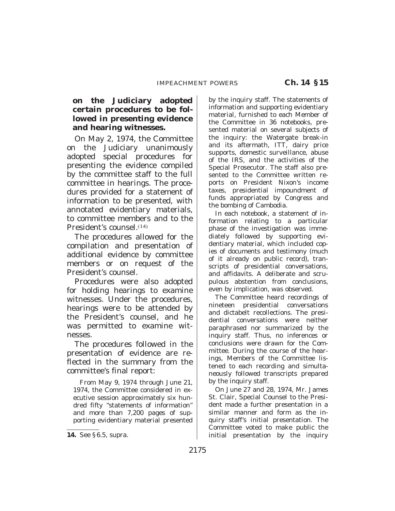# **on the Judiciary adopted certain procedures to be followed in presenting evidence and hearing witnesses.**

On May 2, 1974, the Committee on the Judiciary unanimously adopted special procedures for presenting the evidence compiled by the committee staff to the full committee in hearings. The procedures provided for a statement of information to be presented, with annotated evidentiary materials, to committee members and to the President's counsel.<sup>(14)</sup>

The procedures allowed for the compilation and presentation of additional evidence by committee members or on request of the President's counsel.

Procedures were also adopted for holding hearings to examine witnesses. Under the procedures, hearings were to be attended by the President's counsel, and he was permitted to examine witnesses.

The procedures followed in the presentation of evidence are reflected in the summary from the committee's final report:

From May 9, 1974 through June 21, 1974, the Committee considered in executive session approximately six hundred fifty ''statements of information'' and more than 7,200 pages of supporting evidentiary material presented

**14.** See § 6.5, supra.

by the inquiry staff. The statements of information and supporting evidentiary material, furnished to each Member of the Committee in 36 notebooks, presented material on several subjects of the inquiry: the Watergate break-in and its aftermath, ITT, dairy price supports, domestic surveillance, abuse of the IRS, and the activities of the Special Prosecutor. The staff also presented to the Committee written reports on President Nixon's income taxes, presidential impoundment of funds appropriated by Congress and the bombing of Cambodia.

In each notebook, a statement of information relating to a particular phase of the investigation was immediately followed by supporting evidentiary material, which included copies of documents and testimony (much of it already on public record), transcripts of presidential conversations, and affidavits. A deliberate and scrupulous abstention from conclusions, even by implication, was observed.

The Committee heard recordings of nineteen presidential conversations and dictabelt recollections. The presidential conversations were neither paraphrased nor summarized by the inquiry staff. Thus, no inferences or conclusions were drawn for the Committee. During the course of the hearings, Members of the Committee listened to each recording and simultaneously followed transcripts prepared by the inquiry staff.

On June 27 and 28, 1974, Mr. James St. Clair, Special Counsel to the President made a further presentation in a similar manner and form as the inquiry staff's initial presentation. The Committee voted to make public the initial presentation by the inquiry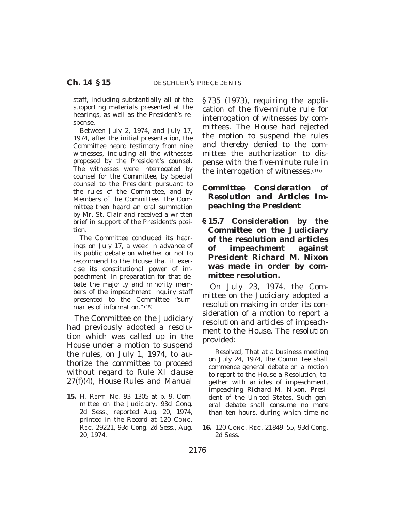staff, including substantially all of the supporting materials presented at the hearings, as well as the President's response.

Between July 2, 1974, and July 17, 1974, after the initial presentation, the Committee heard testimony from nine witnesses, including all the witnesses proposed by the President's counsel. The witnesses were interrogated by counsel for the Committee, by Special counsel to the President pursuant to the rules of the Committee, and by Members of the Committee. The Committee then heard an oral summation by Mr. St. Clair and received a written brief in support of the President's position.

The Committee concluded its hearings on July 17, a week in advance of its public debate on whether or not to recommend to the House that it exercise its constitutional power of impeachment. In preparation for that debate the majority and minority members of the impeachment inquiry staff presented to the Committee ''summaries of information." (15)

The Committee on the Judiciary had previously adopted a resolution which was called up in the House under a motion to suspend the rules, on July 1, 1974, to authorize the committee to proceed without regard to Rule XI clause 27(f)(4), *House Rules and Manual*

§ 735 (1973), requiring the application of the five-minute rule for interrogation of witnesses by committees. The House had rejected the motion to suspend the rules and thereby denied to the committee the authorization to dispense with the five-minute rule in the interrogation of witnesses.(16)

# *Committee Consideration of Resolution and Articles Impeaching the President*

**§ 15.7 Consideration by the Committee on the Judiciary of the resolution and articles of impeachment against President Richard M. Nixon was made in order by committee resolution.**

On July 23, 1974, the Committee on the Judiciary adopted a resolution making in order its consideration of a motion to report a resolution and articles of impeachment to the House. The resolution provided:

*Resolved,* That at a business meeting on July 24, 1974, the Committee shall commence general debate on a motion to report to the House a Resolution, together with articles of impeachment, impeaching Richard M. Nixon, President of the United States. Such general debate shall consume no more than ten hours, during which time no

**<sup>15.</sup>** H. REPT. NO. 93–1305 at p. 9, Committee on the Judiciary, 93d Cong. 2d Sess., reported Aug. 20, 1974, printed in the Record at 120 CONG. REC. 29221, 93d Cong. 2d Sess., Aug. 20, 1974.

**<sup>16.</sup>** 120 CONG. REC. 21849–55, 93d Cong. 2d Sess.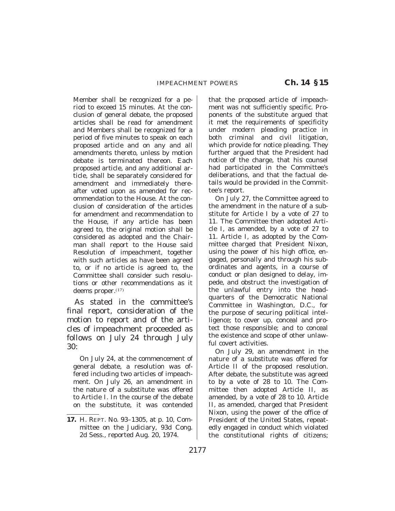Member shall be recognized for a period to exceed 15 minutes. At the conclusion of general debate, the proposed articles shall be read for amendment and Members shall be recognized for a period of five minutes to speak on each proposed article and on any and all amendments thereto, unless by motion debate is terminated thereon. Each proposed article, and any additional article, shall be separately considered for amendment and immediately thereafter voted upon as amended for recommendation to the House. At the conclusion of consideration of the articles for amendment and recommendation to the House, if any article has been agreed to, the original motion shall be considered as adopted and the Chairman shall report to the House said Resolution of impeachment, together with such articles as have been agreed to, or if no article is agreed to, the Committee shall consider such resolutions or other recommendations as it deems proper. $(17)$ 

As stated in the committee's final report, consideration of the motion to report and of the articles of impeachment proceeded as follows on July 24 through July 30:

On July 24, at the commencement of general debate, a resolution was offered including two articles of impeachment. On July 26, an amendment in the nature of a substitute was offered to Article I. In the course of the debate on the substitute, it was contended

that the proposed article of impeachment was not sufficiently specific. Proponents of the substitute argued that it met the requirements of specificity under modern pleading practice in both criminal and civil litigation, which provide for notice pleading. They further argued that the President had notice of the charge, that his counsel had participated in the Committee's deliberations, and that the factual details would be provided in the Committee's report.

On July 27, the Committee agreed to the amendment in the nature of a substitute for Article I by a vote of 27 to 11. The Committee then adopted Article I, as amended, by a vote of 27 to 11. Article I, as adopted by the Committee charged that President Nixon, using the power of his high office, engaged, personally and through his subordinates and agents, in a course of conduct or plan designed to delay, impede, and obstruct the investigation of the unlawful entry into the headquarters of the Democratic National Committee in Washington, D.C., for the purpose of securing political intelligence; to cover up, conceal and protect those responsible; and to conceal the existence and scope of other unlawful covert activities.

On July 29, an amendment in the nature of a substitute was offered for Article II of the proposed resolution. After debate, the substitute was agreed to by a vote of 28 to 10. The Committee then adopted Article II, as amended, by a vote of 28 to 10. Article II, as amended, charged that President Nixon, using the power of the office of President of the United States, repeatedly engaged in conduct which violated the constitutional rights of citizens;

**<sup>17.</sup>** H. REPT. No. 93–1305, at p. 10, Committee on the Judiciary, 93d Cong. 2d Sess., reported Aug. 20, 1974.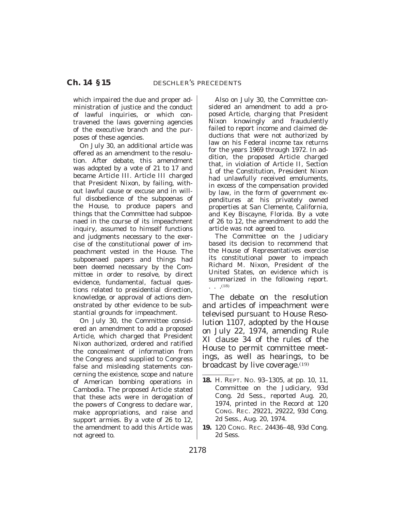which impaired the due and proper administration of justice and the conduct of lawful inquiries, or which contravened the laws governing agencies of the executive branch and the purposes of these agencies.

On July 30, an additional article was offered as an amendment to the resolution. After debate, this amendment was adopted by a vote of 21 to 17 and became Article III. Article III charged that President Nixon, by failing, without lawful cause or excuse and in willful disobedience of the subpoenas of the House, to produce papers and things that the Committee had subpoenaed in the course of its impeachment inquiry, assumed to himself functions and judgments necessary to the exercise of the constitutional power of impeachment vested in the House. The subpoenaed papers and things had been deemed necessary by the Committee in order to resolve, by direct evidence, fundamental, factual questions related to presidential direction, knowledge, or approval of actions demonstrated by other evidence to be substantial grounds for impeachment.

On July 30, the Committee considered an amendment to add a proposed Article, which charged that President Nixon authorized, ordered and ratified the concealment of information from the Congress and supplied to Congress false and misleading statements concerning the existence, scope and nature of American bombing operations in Cambodia. The proposed Article stated that these acts were in derogation of the powers of Congress to declare war, make appropriations, and raise and support armies. By a vote of 26 to 12, the amendment to add this Article was not agreed to.

Also on July 30, the Committee considered an amendment to add a proposed Article, charging that President Nixon knowingly and fraudulently failed to report income and claimed deductions that were not authorized by law on his Federal income tax returns for the years 1969 through 1972. In addition, the proposed Article charged that, in violation of Article II, Section 1 of the Constitution, President Nixon had unlawfully received emoluments, in excess of the compensation provided by law, in the form of government expenditures at his privately owned properties at San Clemente, California, and Key Biscayne, Florida. By a vote of 26 to 12, the amendment to add the article was not agreed to.

The Committee on the Judiciary based its decision to recommend that the House of Representatives exercise its constitutional power to impeach Richard M. Nixon, President of the United States, on evidence which is summarized in the following report. ...(18)

The debate on the resolution and articles of impeachment were televised pursuant to House Resolution 1107, adopted by the House on July 22, 1974, amending Rule XI clause 34 of the rules of the House to permit committee meetings, as well as hearings, to be broadcast by live coverage. $(19)$ 

**19.** 120 CONG. REC. 24436–48, 93d Cong. 2d Sess.

**<sup>18.</sup>** H. REPT. NO. 93–1305, at pp. 10, 11, Committee on the Judiciary, 93d Cong. 2d Sess., reported Aug. 20, 1974, printed in the Record at 120 CONG. REC. 29221, 29222, 93d Cong. 2d Sess., Aug. 20, 1974.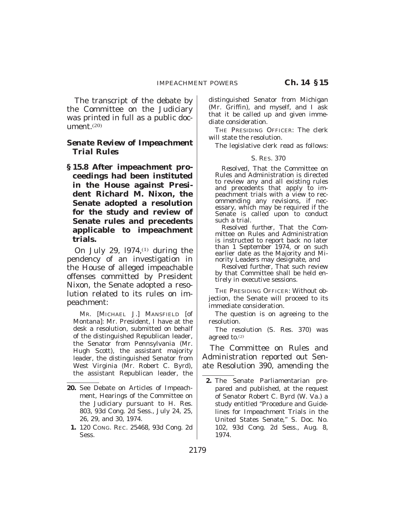The transcript of the debate by the Committee on the Judiciary was printed in full as a public document. $(20)$ 

## *Senate Review of Impeachment Trial Rules*

**§ 15.8 After impeachment proceedings had been instituted in the House against President Richard M. Nixon, the Senate adopted a resolution for the study and review of Senate rules and precedents applicable to impeachment trials.**

On July 29,  $1974(1)$  during the pendency of an investigation in the House of alleged impeachable offenses committed by President Nixon, the Senate adopted a resolution related to its rules on impeachment:

MR. [MICHAEL J.] MANSFIELD [of Montana]: Mr. President, I have at the desk a resolution, submitted on behalf of the distinguished Republican leader, the Senator from Pennsylvania (Mr. Hugh Scott), the assistant majority leader, the distinguished Senator from West Virginia (Mr. Robert C. Byrd), the assistant Republican leader, the distinguished Senator from Michigan (Mr. Griffin), and myself, and I ask that it be called up and given immediate consideration.

THE PRESIDING OFFICER: The clerk will state the resolution.

The legislative clerk read as follows:

## S. RES. 370

*Resolved,* That the Committee on Rules and Administration is directed to review any and all existing rules and precedents that apply to impeachment trials with a view to recommending any revisions, if necessary, which may be required if the Senate is called upon to conduct such a trial.

*Resolved further,* That the Committee on Rules and Administration is instructed to report back no later than 1 September 1974, or on such earlier date as the Majority and Minority Leaders may designate, and

*Resolved further,* That such review by that Committee shall be held entirely in executive sessions.

THE PRESIDING OFFICER: Without objection, the Senate will proceed to its immediate consideration.

The question is on agreeing to the resolution.

The resolution (S. Res. 370) was agreed to.(2)

The Committee on Rules and Administration reported out Senate Resolution 390, amending the

**<sup>20.</sup>** See Debate on Articles of Impeachment, Hearings of the Committee on the Judiciary pursuant to H. Res. 803, 93d Cong. 2d Sess., July 24, 25, 26, 29, and 30, 1974.

**<sup>1.</sup>** 120 CONG. REC. 25468, 93d Cong. 2d Sess.

**<sup>2.</sup>** The Senate Parliamentarian prepared and published, at the request of Senator Robert C. Byrd (W. Va.) a study entitled ''Procedure and Guidelines for Impeachment Trials in the United States Senate,'' S. Doc. No. 102, 93d Cong. 2d Sess., Aug. 8, 1974.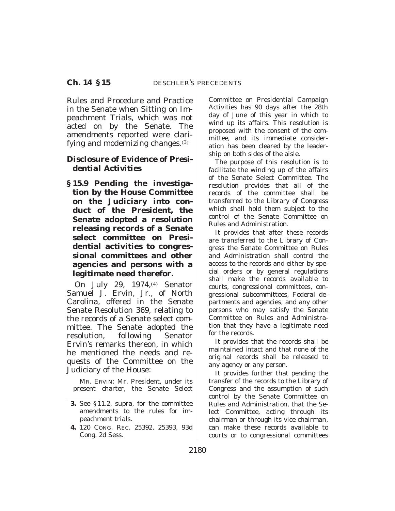Rules and Procedure and Practice in the Senate when Sitting on Impeachment Trials, which was not acted on by the Senate. The amendments reported were clarifying and modernizing changes.(3)

# *Disclosure of Evidence of Presidential Activities*

**§ 15.9 Pending the investigation by the House Committee on the Judiciary into conduct of the President, the Senate adopted a resolution releasing records of a Senate select committee on Presidential activities to congressional committees and other agencies and persons with a legitimate need therefor.**

On July 29, 1974,(4) Senator Samuel J. Ervin, Jr., of North Carolina, offered in the Senate Senate Resolution 369, relating to the records of a Senate select committee. The Senate adopted the resolution, following Senator Ervin's remarks thereon, in which he mentioned the needs and requests of the Committee on the Judiciary of the House:

MR. ERVIN: Mr. President, under its present charter, the Senate Select

**4.** 120 CONG. REC. 25392, 25393, 93d Cong. 2d Sess.

Committee on Presidential Campaign Activities has 90 days after the 28th day of June of this year in which to wind up its affairs. This resolution is proposed with the consent of the committee, and its immediate consideration has been cleared by the leadership on both sides of the aisle.

The purpose of this resolution is to facilitate the winding up of the affairs of the Senate Select Committee. The resolution provides that all of the records of the committee shall be transferred to the Library of Congress which shall hold them subject to the control of the Senate Committee on Rules and Administration.

It provides that after these records are transferred to the Library of Congress the Senate Committee on Rules and Administration shall control the access to the records and either by special orders or by general regulations shall make the records available to courts, congressional committees, congressional subcommittees, Federal departments and agencies, and any other persons who may satisfy the Senate Committee on Rules and Administration that they have a legitimate need for the records.

It provides that the records shall be maintained intact and that none of the original records shall be released to any agency or any person.

It provides further that pending the transfer of the records to the Library of Congress and the assumption of such control by the Senate Committee on Rules and Administration, that the Select Committee, acting through its chairman or through its vice chairman, can make these records available to courts or to congressional committees

**<sup>3.</sup>** See § 11.2, supra, for the committee amendments to the rules for impeachment trials.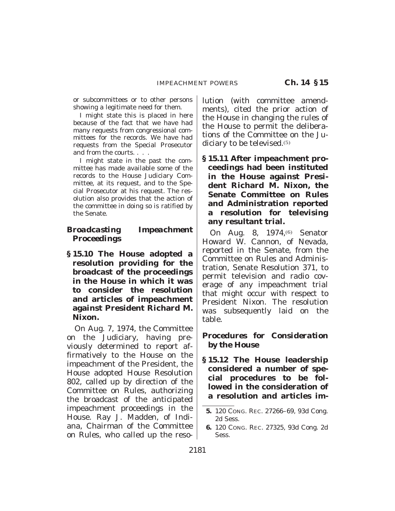or subcommittees or to other persons showing a legitimate need for them.

I might state this is placed in here because of the fact that we have had many requests from congressional committees for the records. We have had requests from the Special Prosecutor and from the courts. . . .

I might state in the past the committee has made available some of the records to the House Judiciary Committee, at its request, and to the Special Prosecutor at his request. The resolution also provides that the action of the committee in doing so is ratified by the Senate.

# *Broadcasting Impeachment Proceedings*

**§ 15.10 The House adopted a resolution providing for the broadcast of the proceedings in the House in which it was to consider the resolution and articles of impeachment against President Richard M. Nixon.**

On Aug. 7, 1974, the Committee on the Judiciary, having previously determined to report affirmatively to the House on the impeachment of the President, the House adopted House Resolution 802, called up by direction of the Committee on Rules, authorizing the broadcast of the anticipated impeachment proceedings in the House. Ray J. Madden, of Indiana, Chairman of the Committee on Rules, who called up the reso-

lution (with committee amendments), cited the prior action of the House in changing the rules of the House to permit the deliberations of the Committee on the Judiciary to be televised.(5)

**§ 15.11 After impeachment proceedings had been instituted in the House against President Richard M. Nixon, the Senate Committee on Rules and Administration reported a resolution for televising any resultant trial.**

On Aug. 8, 1974, <sup>(6)</sup> Senator Howard W. Cannon, of Nevada, reported in the Senate, from the Committee on Rules and Administration, Senate Resolution 371, to permit television and radio coverage of any impeachment trial that might occur with respect to President Nixon. The resolution was subsequently laid on the table.

# *Procedures for Consideration by the House*

**§ 15.12 The House leadership considered a number of special procedures to be followed in the consideration of a resolution and articles im-**

**<sup>5.</sup>** 120 CONG. REC. 27266–69, 93d Cong. 2d Sess.

**<sup>6.</sup>** 120 CONG. REC. 27325, 93d Cong. 2d Sess.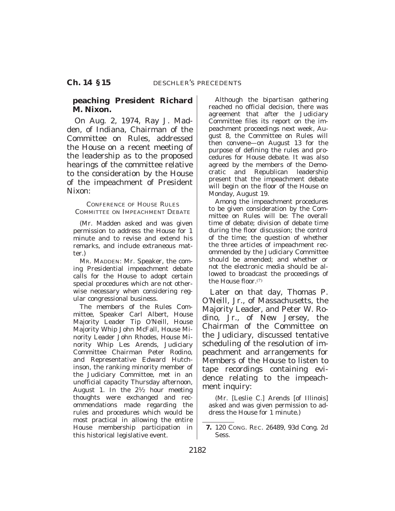# **peaching President Richard M. Nixon.**

On Aug. 2, 1974, Ray J. Madden, of Indiana, Chairman of the Committee on Rules, addressed the House on a recent meeting of the leadership as to the proposed hearings of the committee relative to the consideration by the House of the impeachment of President Nixon:

CONFERENCE OF HOUSE RULES COMMITTEE ON IMPEACHMENT DEBATE

(Mr. Madden asked and was given permission to address the House for 1 minute and to revise and extend his remarks, and include extraneous matter.)

MR. MADDEN: Mr. Speaker, the coming Presidential impeachment debate calls for the House to adopt certain special procedures which are not otherwise necessary when considering regular congressional business.

The members of the Rules Committee, Speaker Carl Albert, House Majority Leader Tip O'Neill, House Majority Whip John McFall, House Minority Leader John Rhodes, House Minority Whip Les Arends, Judiciary Committee Chairman Peter Rodino, and Representative Edward Hutchinson, the ranking minority member of the Judiciary Committee, met in an unofficial capacity Thursday afternoon, August 1. In the  $2\frac{1}{2}$  hour meeting thoughts were exchanged and recommendations made regarding the rules and procedures which would be most practical in allowing the entire House membership participation in this historical legislative event.

Although the bipartisan gathering reached no official decision, there was agreement that after the Judiciary Committee files its report on the impeachment proceedings next week, August 8, the Committee on Rules will then convene—on August 13 for the purpose of defining the rules and procedures for House debate. It was also agreed by the members of the Democratic and Republican leadership present that the impeachment debate will begin on the floor of the House on Monday, August 19.

Among the impeachment procedures to be given consideration by the Committee on Rules will be: The overall time of debate; division of debate time during the floor discussion; the control of the time; the question of whether the three articles of impeachment recommended by the Judiciary Committee should be amended; and whether or not the electronic media should be allowed to broadcast the proceedings of the House floor.(7)

Later on that day, Thomas P. O'Neill, Jr., of Massachusetts, the Majority Leader, and Peter W. Rodino, Jr., of New Jersey, the Chairman of the Committee on the Judiciary, discussed tentative scheduling of the resolution of impeachment and arrangements for Members of the House to listen to tape recordings containing evidence relating to the impeachment inquiry:

(Mr. [Leslie C.] Arends [of Illinois] asked and was given permission to address the House for 1 minute.)

**<sup>7.</sup>** 120 CONG. REC. 26489, 93d Cong. 2d Sess.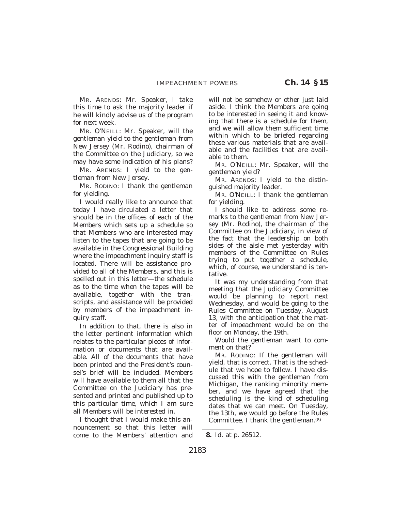MR. ARENDS: Mr. Speaker, I take this time to ask the majority leader if he will kindly advise us of the program for next week.

MR. O'NEILL: Mr. Speaker, will the gentleman yield to the gentleman from New Jersey (Mr. Rodino), chairman of the Committee on the Judiciary, so we may have some indication of his plans?

MR. ARENDS: I yield to the gentleman from New Jersey.

MR. RODINO: I thank the gentleman for yielding.

I would really like to announce that today I have circulated a letter that should be in the offices of each of the Members which sets up a schedule so that Members who are interested may listen to the tapes that are going to be available in the Congressional Building where the impeachment inquiry staff is located. There will be assistance provided to all of the Members, and this is spelled out in this letter—the schedule as to the time when the tapes will be available, together with the transcripts, and assistance will be provided by members of the impeachment inquiry staff.

In addition to that, there is also in the letter pertinent information which relates to the particular pieces of information or documents that are available. All of the documents that have been printed and the President's counsel's brief will be included. Members will have available to them all that the Committee on the Judiciary has presented and printed and published up to this particular time, which I am sure all Members will be interested in.

I thought that I would make this announcement so that this letter will come to the Members' attention and

will not be somehow or other just laid aside. I think the Members are going to be interested in seeing it and knowing that there is a schedule for them, and we will allow them sufficient time within which to be briefed regarding these various materials that are available and the facilities that are available to them.

MR. O'NEILL: Mr. Speaker, will the gentleman yield?

MR. ARENDS: I yield to the distinguished majority leader.

MR. O'NEILL: I thank the gentleman for yielding.

I should like to address some remarks to the gentleman from New Jersey (Mr. Rodino), the chairman of the Committee on the Judiciary, in view of the fact that the leadership on both sides of the aisle met yesterday with members of the Committee on Rules trying to put together a schedule, which, of course, we understand is tentative.

It was my understanding from that meeting that the Judiciary Committee would be planning to report next Wednesday, and would be going to the Rules Committee on Tuesday, August 13, with the anticipation that the matter of impeachment would be on the floor on Monday, the 19th.

Would the gentleman want to comment on that?

MR. RODINO: If the gentleman will yield, that is correct. That is the schedule that we hope to follow. I have discussed this with the gentleman from Michigan, the ranking minority member, and we have agreed that the scheduling is the kind of scheduling dates that we can meet. On Tuesday, the 13th, we would go before the Rules Committee. I thank the gentleman.(8)

**<sup>8.</sup>** *Id.* at p. 26512.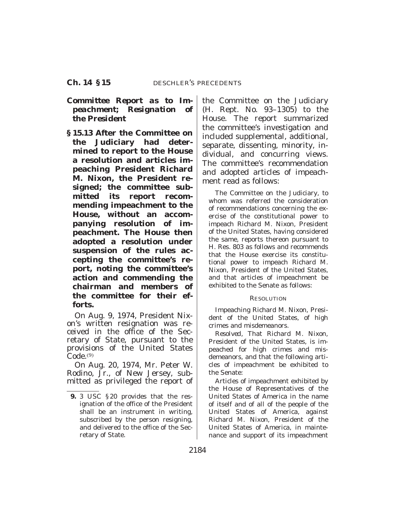# *Committee Report as to Impeachment; Resignation of the President*

**§ 15.13 After the Committee on the Judiciary had determined to report to the House a resolution and articles impeaching President Richard M. Nixon, the President resigned; the committee submitted its report recommending impeachment to the House, without an accompanying resolution of impeachment. The House then adopted a resolution under suspension of the rules accepting the committee's report, noting the committee's action and commending the chairman and members of the committee for their efforts.**

On Aug. 9, 1974, President Nixon's written resignation was received in the office of the Secretary of State, pursuant to the provisions of the United States  $Code.<sub>(9)</sub>$ 

On Aug. 20, 1974, Mr. Peter W. Rodino, Jr., of New Jersey, submitted as privileged the report of

the Committee on the Judiciary (H. Rept. No. 93–1305) to the House. The report summarized the committee's investigation and included supplemental, additional, separate, dissenting, minority, individual, and concurring views. The committee's recommendation and adopted articles of impeachment read as follows:

The Committee on the Judiciary, to whom was referred the consideration of recommendations concerning the exercise of the constitutional power to impeach Richard M. Nixon, President of the United States, having considered the same, reports thereon pursuant to H. Res. 803 as follows and recommends that the House exercise its constitutional power to impeach Richard M. Nixon, President of the United States, and that articles of impeachment be exhibited to the Senate as follows:

## **RESOLUTION**

Impeaching Richard M. Nixon, President of the United States, of high crimes and misdemeanors.

*Resolved,* That Richard M. Nixon, President of the United States, is impeached for high crimes and misdemeanors, and that the following articles of impeachment be exhibited to the Senate:

Articles of impeachment exhibited by the House of Representatives of the United States of America in the name of itself and of all of the people of the United States of America, against Richard M. Nixon, President of the United States of America, in maintenance and support of its impeachment

**<sup>9.</sup>** 3 USC § 20 provides that the resignation of the office of the President shall be an instrument in writing, subscribed by the person resigning, and delivered to the office of the Secretary of State.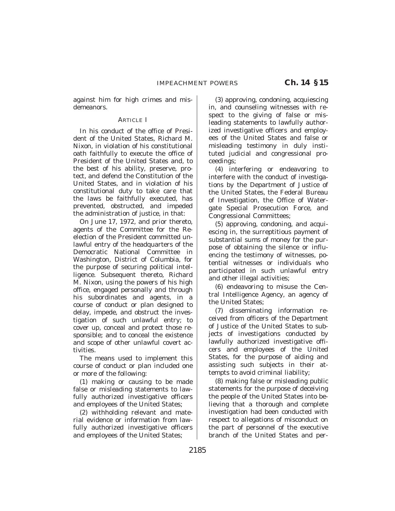against him for high crimes and misdemeanors.

## ARTICLE I

In his conduct of the office of President of the United States, Richard M. Nixon, in violation of his constitutional oath faithfully to execute the office of President of the United States and, to the best of his ability, preserve, protect, and defend the Constitution of the United States, and in violation of his constitutional duty to take care that the laws be faithfully executed, has prevented, obstructed, and impeded the administration of justice, in that:

On June 17, 1972, and prior thereto, agents of the Committee for the Reelection of the President committed unlawful entry of the headquarters of the Democratic National Committee in Washington, District of Columbia, for the purpose of securing political intelligence. Subsequent thereto, Richard M. Nixon, using the powers of his high office, engaged personally and through his subordinates and agents, in a course of conduct or plan designed to delay, impede, and obstruct the investigation of such unlawful entry; to cover up, conceal and protect those responsible; and to conceal the existence and scope of other unlawful covert activities.

The means used to implement this course of conduct or plan included one or more of the following:

(1) making or causing to be made false or misleading statements to lawfully authorized investigative officers and employees of the United States;

(2) withholding relevant and material evidence or information from lawfully authorized investigative officers and employees of the United States;

(3) approving, condoning, acquiescing in, and counseling witnesses with respect to the giving of false or misleading statements to lawfully authorized investigative officers and employees of the United States and false or misleading testimony in duly instituted judicial and congressional proceedings;

(4) interfering or endeavoring to interfere with the conduct of investigations by the Department of Justice of the United States, the Federal Bureau of Investigation, the Office of Watergate Special Prosecution Force, and Congressional Committees;

(5) approving, condoning, and acquiescing in, the surreptitious payment of substantial sums of money for the purpose of obtaining the silence or influencing the testimony of witnesses, potential witnesses or individuals who participated in such unlawful entry and other illegal activities;

(6) endeavoring to misuse the Central Intelligence Agency, an agency of the United States;

(7) disseminating information received from officers of the Department of Justice of the United States to subjects of investigations conducted by lawfully authorized investigative officers and employees of the United States, for the purpose of aiding and assisting such subjects in their attempts to avoid criminal liability;

(8) making false or misleading public statements for the purpose of deceiving the people of the United States into believing that a thorough and complete investigation had been conducted with respect to allegations of misconduct on the part of personnel of the executive branch of the United States and per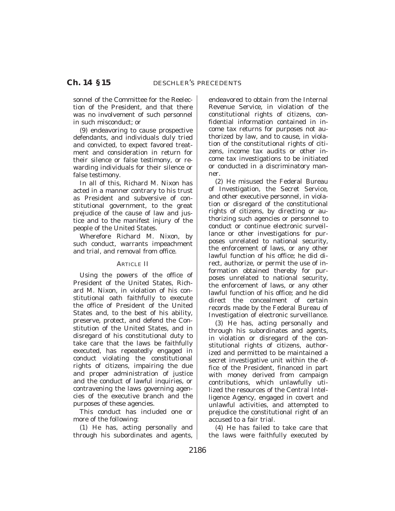sonnel of the Committee for the Reelection of the President, and that there was no involvement of such personnel in such misconduct; or

(9) endeavoring to cause prospective defendants, and individuals duly tried and convicted, to expect favored treatment and consideration in return for their silence or false testimony, or rewarding individuals for their silence or false testimony.

In all of this, Richard M. Nixon has acted in a manner contrary to his trust as President and subversive of constitutional government, to the great prejudice of the cause of law and justice and to the manifest injury of the people of the United States.

Wherefore Richard M. Nixon, by such conduct, warrants impeachment and trial, and removal from office.

## ARTICLE II

Using the powers of the office of President of the United States, Richard M. Nixon, in violation of his constitutional oath faithfully to execute the office of President of the United States and, to the best of his ability, preserve, protect, and defend the Constitution of the United States, and in disregard of his constitutional duty to take care that the laws be faithfully executed, has repeatedly engaged in conduct violating the constitutional rights of citizens, impairing the due and proper administration of justice and the conduct of lawful inquiries, or contravening the laws governing agencies of the executive branch and the purposes of these agencies.

This conduct has included one or more of the following:

(1) He has, acting personally and through his subordinates and agents,

endeavored to obtain from the Internal Revenue Service, in violation of the constitutional rights of citizens, confidential information contained in income tax returns for purposes not authorized by law, and to cause, in violation of the constitutional rights of citizens, income tax audits or other income tax investigations to be initiated or conducted in a discriminatory manner.

(2) He misused the Federal Bureau of Investigation, the Secret Service, and other executive personnel, in violation or disregard of the constitutional rights of citizens, by directing or authorizing such agencies or personnel to conduct or continue electronic surveillance or other investigations for purposes unrelated to national security, the enforcement of laws, or any other lawful function of his office; he did direct, authorize, or permit the use of information obtained thereby for purposes unrelated to national security, the enforcement of laws, or any other lawful function of his office; and he did direct the concealment of certain records made by the Federal Bureau of Investigation of electronic surveillance.

(3) He has, acting personally and through his subordinates and agents, in violation or disregard of the constitutional rights of citizens, authorized and permitted to be maintained a secret investigative unit within the office of the President, financed in part with money derived from campaign contributions, which unlawfully utilized the resources of the Central Intelligence Agency, engaged in covert and unlawful activities, and attempted to prejudice the constitutional right of an accused to a fair trial.

(4) He has failed to take care that the laws were faithfully executed by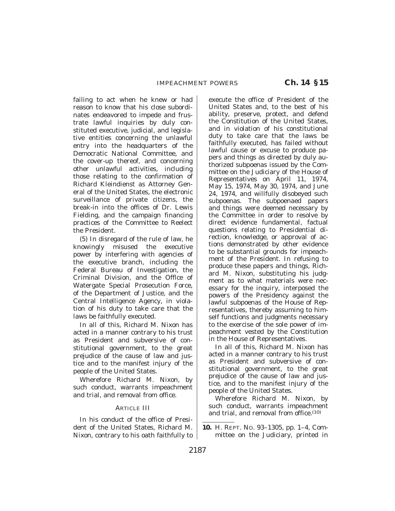failing to act when he knew or had reason to know that his close subordinates endeavored to impede and frustrate lawful inquiries by duly constituted executive, judicial, and legislative entities concerning the unlawful entry into the headquarters of the Democratic National Committee, and the cover-up thereof, and concerning other unlawful activities, including those relating to the confirmation of Richard Kleindienst as Attorney General of the United States, the electronic surveillance of private citizens, the break-in into the offices of Dr. Lewis Fielding, and the campaign financing practices of the Committee to Reelect the President.

(5) In disregard of the rule of law, he knowingly misused the executive power by interfering with agencies of the executive branch, including the Federal Bureau of Investigation, the Criminal Division, and the Offlce of Watergate Special Prosecution Force, of the Department of Justice, and the Central Intelligence Agency, in violation of his duty to take care that the laws be faithfully executed.

In all of this, Richard M. Nixon has acted in a manner contrary to his trust as President and subversive of constitutional government, to the great prejudice of the cause of law and justice and to the manifest injury of the people of the United States.

Wherefore Richard M. Nixon, by such conduct, warrants impeachment and trial, and removal from office.

## ARTICLE III

In his conduct of the office of President of the United States, Richard M. Nixon, contrary to his oath faithfully to

execute the office of President of the United States and, to the best of his ability, preserve, protect, and defend the Constitution of the United States, and in violation of his constitutional duty to take care that the laws be faithfully executed, has failed without lawful cause or excuse to produce papers and things as directed by duly authorized subpoenas issued by the Committee on the Judiciary of the House of Representatives on April 11, 1974, May 15, 1974, May 30, 1974, and June 24, 1974, and willfully disobeyed such subpoenas. The subpoenaed papers and things were deemed necessary by the Committee in order to resolve by direct evidence fundamental, factual questions relating to Presidential direction, knowledge, or approval of actions demonstrated by other evidence to be substantial grounds for impeachment of the President. In refusing to produce these papers and things, Richard M. Nixon, substituting his judgment as to what materials were necessary for the inquiry, interposed the powers of the Presidency against the lawful subpoenas of the House of Representatives, thereby assuming to himself functions and judgments necessary to the exercise of the sole power of impeachment vested by the Constitution in the House of Representatives.

In all of this, Richard M. Nixon has acted in a manner contrary to his trust as President and subversive of constitutional government, to the great prejudice of the cause of law and justice, and to the manifest injury of the people of the United States.

Wherefore Richard M. Nixon, by such conduct, warrants impeachment and trial, and removal from office. $(10)$ 

**10.** H. REPT. NO. 93–1305, pp. 1–4, Committee on the Judiciary, printed in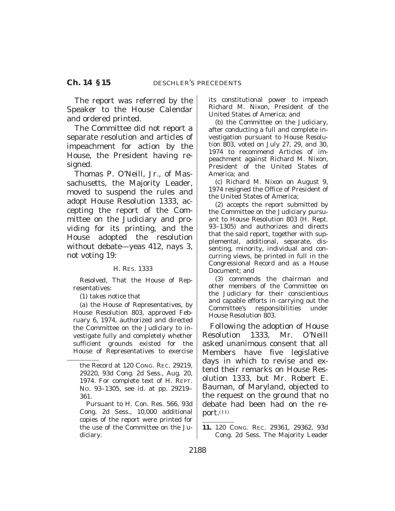The report was referred by the Speaker to the House Calendar and ordered printed.

The Committee did not report a separate resolution and articles of impeachment for action by the House, the President having resigned.

Thomas P. O'Neill, Jr., of Massachusetts, the Majority Leader, moved to suspend the rules and adopt House Resolution 1333, accepting the report of the Committee on the Judiciary and providing for its printing, and the House adopted the resolution without debate—yeas 412, nays 3, not voting 19:

## H. RES. 1333

*Resolved,* That the House of Representatives:

(1) takes notice that

(a) the House of Representatives, by House Resolution 803, approved February 6, 1974, authorized and directed the Committee on the Judiciary to investigate fully and completely whether sufficient grounds existed for the House of Representatives to exercise

Pursuant to H. Con. Res. 566, 93d Cong. 2d Sess., 10,000 additional copies of the report were printed for the use of the Committee on the Judiciary.

its constitutional power to impeach Richard M. Nixon, President of the United States of America; and

(b) the Committee on the Judiciary, after conducting a full and complete investigation pursuant to House Resolution 803, voted on July 27, 29, and 30, 1974 to recommend Articles of impeachment against Richard M. Nixon, President of the United States of America; and

(c) Richard M. Nixon on August 9, 1974 resigned the Office of President of the United States of America;

(2) accepts the report submitted by the Committee on the Judiciary pursuant to House Resolution 803 (H. Rept. 93–1305) and authorizes and directs that the said report, together with supplemental, additional, separate, dissenting, minority, individual and concurring views, be printed in full in the Congressional Record and as a House Document; and

(3) commends the chairman and other members of the Committee on the Judiciary for their conscientious and capable efforts in carrying out the Committee's responsibilities under House Resolution 803.

Following the adoption of House Resolution 1333, Mr. O'Neill asked unanimous consent that all Members have five legislative days in which to revise and extend their remarks on House Resolution 1333, but Mr. Robert E. Bauman, of Maryland, objected to the request on the ground that no debate had been had on the re $port.<sup>(11)</sup>$ 

the Record at 120 CONG. REC. 29219, 29220, 93d Cong. 2d Sess., Aug. 20, 1974. For complete text of H. REPT. NO. 93–1305, see *id.* at pp. 29219– 361.

**<sup>11.</sup>** 120 CONG. REC. 29361, 29362, 93d Cong. 2d Sess. The Majority Leader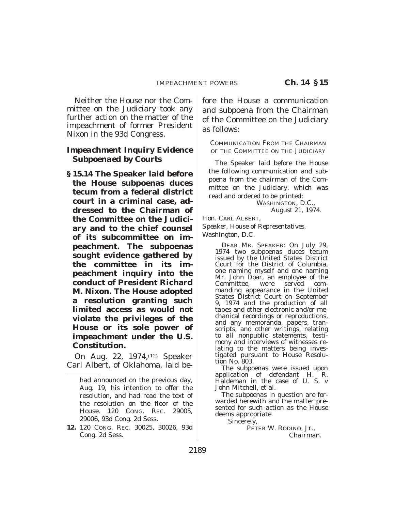Neither the House nor the Committee on the Judiciary took any further action on the matter of the impeachment of former President Nixon in the 93d Congress.

# *Impeachment Inquiry Evidence Subpoenaed by Courts*

**§ 15.14 The Speaker laid before the House subpoenas duces tecum from a federal district court in a criminal case, addressed to the Chairman of the Committee on the Judiciary and to the chief counsel of its subcommittee on impeachment. The subpoenas sought evidence gathered by the committee in its impeachment inquiry into the conduct of President Richard M. Nixon. The House adopted a resolution granting such limited access as would not violate the privileges of the House or its sole power of impeachment under the U.S. Constitution.**

On Aug. 22, 1974,(12) Speaker Carl Albert, of Oklahoma, laid be-

fore the House a communication and subpoena from the Chairman of the Committee on the Judiciary as follows:

COMMUNICATION FROM THE CHAIRMAN OF THE COMMITTEE ON THE JUDICIARY

The Speaker laid before the House the following communication and subpoena from the chairman of the Committee on the Judiciary, which was read and ordered to be printed:

> WASHINGTON, D.C., *August 21, 1974.*

Hon. CARL ALBERT,

*Speaker, House of Representatives, Washington, D.C.*

> DEAR MR. SPEAKER: On July 29, 1974 two subpoenas duces tecum issued by the United States District Court for the District of Columbia, one naming myself and one naming Mr. John Doar, an employee of the Committee, were served commanding appearance in the United States District Court on September 9, 1974 and the production of all tapes and other electronic and/or mechanical recordings or reproductions, and any memoranda, papers, transcripts, and other writings, relating to all nonpublic statements, testimony and interviews of witnesses relating to the matters being investigated pursuant to House Resolution No. 803.

> The subpoenas were issued upon application of defendant H. R. Haldeman in the case of U. S. v John Mitchell, et al.

> The subpoenas in question are forwarded herewith and the matter presented for such action as the House deems appropriate.

Sincerely,

PETER W. RODINO, Jr., *Chairman.*

had announced on the previous day, Aug. 19, his intention to offer the resolution, and had read the text of the resolution on the floor of the House. 120 CONG. REC. 29005, 29006, 93d Cong. 2d Sess.

**<sup>12.</sup>** 120 CONG. REC. 30025, 30026, 93d Cong. 2d Sess.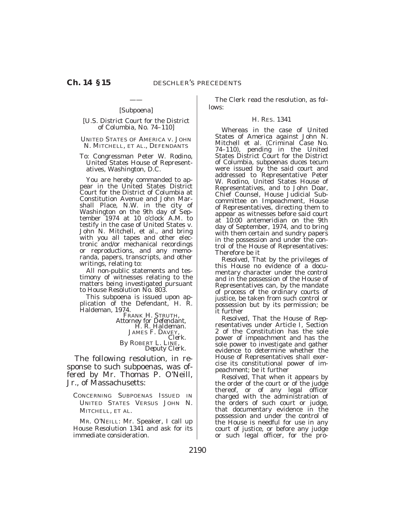# —— [Subpoena]

#### [U.S. District Court for the District of Columbia, No. 74–110]

UNITED STATES OF AMERICA V. JOHN N. MITCHELL, ET AL., DEFENDANTS

To: Congressman Peter W. Rodino, United States House of Representatives, Washington, D.C.

You are hereby commanded to appear in the United States District Court for the District of Columbia at Constitution Avenue and John Marshall Place, N.W. in the city of Washington on the 9th day of September 1974 at 10 o'clock A.M. to testify in the case of United States v. John N. Mitchell, et al., and bring with you all tapes and other electronic and/or mechanical recordings or reproductions, and any memoranda, papers, transcripts, and other writings, relating to:

All non-public statements and testimony of witnesses relating to the matters being investigated pursuant to House Resolution No. 803.

This subpoena is issued upon application of the Defendant, H. R. Haldeman, 1974.

FRANK H. STRUTH, *Attorney for Defendant, H. R. Haldeman.* JAMES F. DAVEY, *Clerk.* By ROBERT L. LINE, *Deputy Clerk.*

The following resolution, in response to such subpoenas, was offered by Mr. Thomas P. O'Neill, Jr., of Massachusetts:

CONCERNING SUBPOENAS ISSUED IN UNITED STATES VERSUS JOHN N. MITCHELL, ET AL.

MR. O'NEILL: Mr. Speaker, I call up House Resolution 1341 and ask for its immediate consideration.

The Clerk read the resolution, as follows:

#### H. RES. 1341

Whereas in the case of United States of America against John N. Mitchell et al. (Criminal Case No. 74–110), pending in the United States District Court for the District of Columbia, subpoenas duces tecum were issued by the said court and addressed to Representative Peter W. Rodino, United States House of Representatives, and to John Doar, Chief Counsel, House Judicial Subcommittee on Impeachment, House of Representatives, directing them to appear as witnesses before said court at 10:00 antemeridian on the 9th day of September, 1974, and to bring with them certain and sundry papers in the possession and under the control of the House of Representatives: Therefore be it

*Resolved,* That by the privileges of this House no evidence of a documentary character under the control and in the possession of the House of Representatives can, by the mandate of process of the ordinary courts of justice, be taken from such control or possession but by its permission; be it further

*Resolved,* That the House of Representatives under Article I, Section 2 of the Constitution has the sole power of impeachment and has the sole power to investigate and gather evidence to determine whether the House of Representatives shall exercise its constitutional power of impeachment; be it further

*Resolved,* That when it appears by the order of the court or of the judge thereof, or of any legal officer charged with the administration of the orders of such court or judge, that documentary evidence in the possession and under the control of the House is needful for use in any court of justice, or before any judge or such legal officer, for the pro-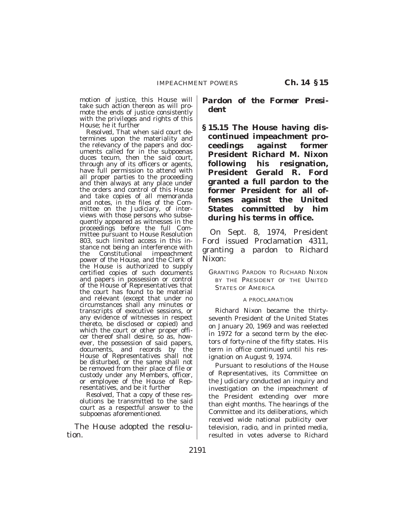motion of justice, this House will take such action thereon as will promote the ends of justice consistently with the privileges and rights of this House; he it further

*Resolved,* That when said court determines upon the materiality and the relevancy of the papers and documents called for in the subpoenas duces tecum, then the said court, through any of its officers or agents, have full permission to attend with all proper parties to the proceeding and then always at any place under the orders and control of this House and take copies of all memoranda and notes, in the files of the Committee on the Judiciary, of interviews with those persons who subsequently appeared as witnesses in the proceedings before the full Committee pursuant to House Resolution 803, such limited access in this instance not being an interference with the Constitutional impeachment power of the House, and the Clerk of the House is authorized to supply certified copies of such documents and papers in possession or control of the House of Representatives that the court has found to be material and relevant (except that under no circumstances shall any minutes or transcripts of executive sessions, or any evidence of witnesses in respect thereto, be disclosed or copied) and which the court or other proper officer thereof shall desire, so as, however, the possession of said papers, documents, and records by the House of Representatives shall not be disturbed, or the same shall not be removed from their place of file or custody under any Members, officer, or employee of the House of Representatives, and be it further

*Resolved,* That a copy of these res- olutions be transmitted to the said court as a respectful answer to the subpoenas aforementioned.

The House adopted the resolution.

# *Pardon of the Former President*

**§ 15.15 The House having discontinued impeachment proceedings against former President Richard M. Nixon following his resignation, President Gerald R. Ford granted a full pardon to the former President for all offenses against the United States committed by him during his terms in office.**

On Sept. 8, 1974, President Ford issued Proclamation 4311, granting a pardon to Richard Nixon:

GRANTING PARDON TO RICHARD NIXON BY THE PRESIDENT OF THE UNITED STATES OF AMERICA

#### A PROCLAMATION

Richard Nixon became the thirtyseventh President of the United States on January 20, 1969 and was reelected in 1972 for a second term by the electors of forty-nine of the fifty states. His term in office continued until his resignation on August 9, 1974.

Pursuant to resolutions of the House of Representatives, its Committee on the Judiciary conducted an inquiry and investigation on the impeachment of the President extending over more than eight months. The hearings of the Committee and its deliberations, which received wide national publicity over television, radio, and in printed media, resulted in votes adverse to Richard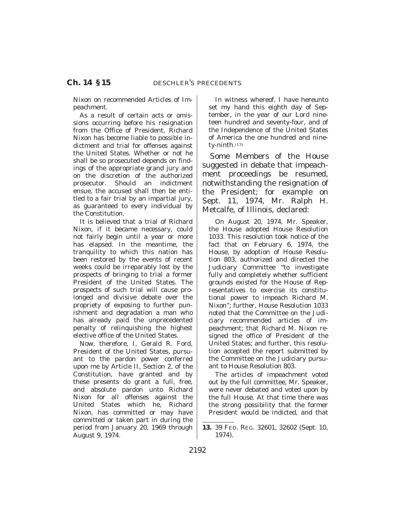Nixon on recommended Articles of Impeachment.

As a result of certain acts or omissions occurring before his resignation from the Office of President, Richard Nixon has become liable to possible indictment and trial for offenses against the United States. Whether or not he shall be so prosecuted depends on findings of the appropriate grand jury and on the discretion of the authorized prosecutor. Should an indictment ensue, the accused shall then be entitled to a fair trial by an impartial jury, as guaranteed to every individual by the Constitution.

It is believed that a trial of Richard Nixon, if it became necessary, could not fairly begin until a year or more has elapsed. In the meantime, the tranquility to which this nation has been restored by the events of recent weeks could be irreparably lost by the prospects of bringing to trial a former President of the United States. The prospects of such trial will cause prolonged and divisive debate over the propriety of exposing to further punishment and degradation a man who has already paid the unprecedented penalty of relinquishing the highest elective office of the United States.

Now, therefore, I, Gerald R. Ford, President of the United States, pursuant to the pardon power conferred upon me by Article II, Section 2, of the Constitution, have granted and by these presents do grant a full, free, and absolute pardon unto Richard Nixon for all offenses against the United States which he, Richard Nixon, has committed or may have committed or taken part in during the period from January 20, 1969 through August 9, 1974.

In witness whereof, I have hereunto set my hand this eighth day of September, in the year of our Lord nineteen hundred and seventy-four, and of the Independence of the United States of America the one hundred and ninety-ninth.(13)

Some Members of the House suggested in debate that impeachment proceedings be resumed, notwithstanding the resignation of the President; for example on Sept. 11, 1974, Mr. Ralph H. Metcalfe, of Illinois, declared:

On August 20, 1974, Mr. Speaker, the House adopted House Resolution 1033. This resolution took notice of the fact that on February 6, 1974, the House, by adoption of House Resolution 803, authorized and directed the Judiciary Committee ''to investigate fully and completely whether sufficient grounds existed for the House of Representatives to exercise its constitutional power to impeach Richard M. Nixon''; further, House Resolution 1033 noted that the Committee on the Judiciary recommended articles of impeachment; that Richard M. Nixon resigned the office of President of the United States; and further, this resolution accepted the report submitted by the Committee on the Judiciary pursuant to House Resolution 803.

The articles of impeachment voted out by the full committee, Mr. Speaker, were never debated and voted upon by the full House. At that time there was the strong possibility that the former President would be indicted, and that

**<sup>13.</sup>** 39 FED. REG. 32601, 32602 (Sept. 10, 1974).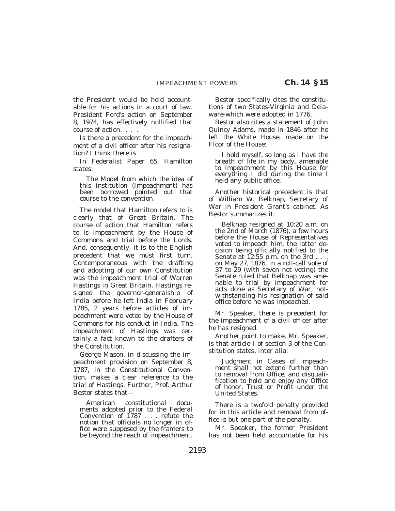the President would be held accountable for his actions in a court of law. President Ford's action on September 8, 1974, has effectively nullified that course of action....

Is there a precedent for the impeachment of a civil officer after his resignation? I think there is.

In Federalist Paper 65, Hamilton states:

The Model from which the idea of this institution (Impeachment) has been borrowed pointed out that course to the convention.

The model that Hamilton refers to is clearly that of Great Britain. The course of action that Hamilton refers to is impeachment by the House of Commons and trial before the Lords. And, consequently, it is to the English precedent that we must first turn. Contemporaneous with the drafting and adopting of our own Constitution was the impeachment trial of Warren Hastings in Great Britain. Hastings resigned the governor-generalship of India before he left India in February 1785, 2 years before articles of impeachment were voted by the House of Commons for his conduct in India. The impeachment of Hastings was certainly a fact known to the drafters of the Constitution.

George Mason, in discussing the impeachment provision on September 8, 1787, in the Constitutional Convention, makes a clear reference to the trial of Hastings. Further, Prof. Arthur Bestor states that—

American constitutional documents adopted prior to the Federal Convention of 1787 . . . refute the notion that officials no longer in office were supposed by the framers to be beyond the reach of impeachment.

Bestor specifically cites the constitutions of two States-Virginia and Delaware-which were adopted in 1776.

Bestor also cites a statement of John Quincy Adams, made in 1846 after he left the White House, made on the Floor of the House:

I hold myself, so long as I have the breath of life in my body, amenable to impeachment by this House for everything I did during the time I held any public office.

Another historical precedent is that of William W. Belknap, Secretary of War in President Grant's cabinet. As Bestor summarizes it:

Belknap resigned at 10:20 a.m. on the 2nd of March (1876), a few hours before the House of Representatives voted to impeach him, the latter decision being officially notified to the Senate at  $12:55$  p.m. on the 3rd  $\ldots$ on May 27, 1876, in a roll-call vote of 37 to 29 (with seven not voting) the Senate ruled that Belknap was amenable to trial by impeachment for acts done as Secretary of War, notwithstanding his resignation of said office before he was impeached.

Mr. Speaker, there is precedent for the impeachment of a civil officer after he has resigned.

Another point to make, Mr. Speaker, is that article I of section 3 of the Constitution states, inter alia:

Judgment in Cases of Impeachment shall not extend further than to removal from Office, and disqualification to hold and enjoy any Office of honor, Trust or Profit under the United States.

There is a twofold penalty provided for in this article and removal from office is but one part of the penalty.

Mr. Speaker, the former President has not been held accountable for his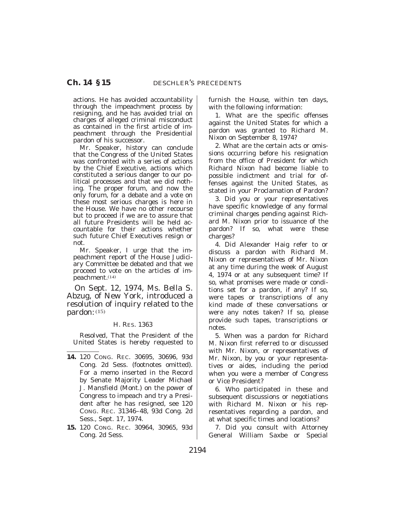actions. He has avoided accountability through the impeachment process by resigning, and he has avoided trial on charges of alleged criminal misconduct as contained in the first article of impeachment through the Presidential pardon of his successor.

Mr. Speaker, history can conclude that the Congress of the United States was confronted with a series of actions by the Chief Executive, actions which constituted a serious danger to our political processes and that we did nothing. The proper forum, and now the only forum, for a debate and a vote on these most serious charges is here in the House. We have no other recourse but to proceed if we are to assure that all future Presidents will be held accountable for their actions whether such future Chief Executives resign or not.

Mr. Speaker, I urge that the impeachment report of the House Judiciary Committee be debated and that we proceed to vote on the articles of im $peachment.$ <sup> $(14)$ </sup>

On Sept. 12, 1974, Ms. Bella S. Abzug, of New York, introduced a resolution of inquiry related to the pardon: (15)

H. RES. 1363

*Resolved,* That the President of the United States is hereby requested to

- **14.** 120 CONG. REC. 30695, 30696, 93d Cong. 2d Sess. (footnotes omitted). For a memo inserted in the Record by Senate Majority Leader Michael J. Mansfield (Mont.) on the power of Congress to impeach and try a President after he has resigned, see 120 CONG. REC. 31346–48, 93d Cong. 2d Sess., Sept. 17, 1974.
- **15.** 120 CONG. REC. 30964, 30965, 93d Cong. 2d Sess.

furnish the House, within ten days, with the following information:

1. What are the specific offenses against the United States for which a pardon was granted to Richard M. Nixon on September 8, 1974?

2. What are the certain acts or omissions occurring before his resignation from the office of President for which Richard Nixon had become liable to possible indictment and trial for offenses against the United States, as stated in your Proclamation of Pardon?

3. Did you or your representatives have specific knowledge of any formal criminal charges pending against Richard M. Nixon prior to issuance of the pardon? If so, what were these charges?

4. Did Alexander Haig refer to or discuss a pardon with Richard M. Nixon or representatives of Mr. Nixon at any time during the week of August 4, 1974 or at any subsequent time? If so, what promises were made or conditions set for a pardon, if any? If so, were tapes or transcriptions of any kind made of these conversations or were any notes taken? If so, please provide such tapes, transcriptions or notes.

5. When was a pardon for Richard M. Nixon first referred to or discussed with Mr. Nixon, or representatives of Mr. Nixon, by you or your representatives or aides, including the period when you were a member of Congress or Vice President?

6. Who participated in these and subsequent discussions or negotiations with Richard M. Nixon or his representatives regarding a pardon, and at what specific times and locations?

7. Did you consult with Attorney General William Saxbe or Special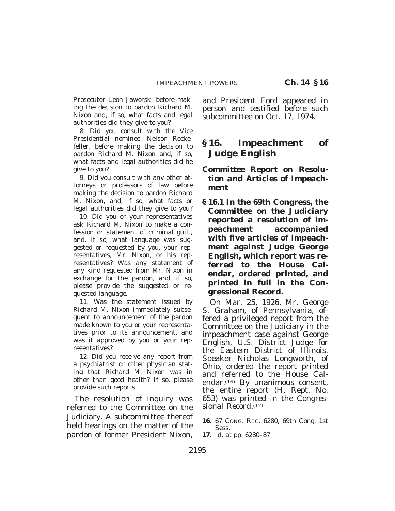Prosecutor Leon Jaworski before making the decision to pardon Richard M. Nixon and, if so, what facts and legal authorities did they give to you?

8. Did you consult with the Vice Presidential nominee, Nelson Rockefeller, before making the decision to pardon Richard M. Nixon and, if so, what facts and legal authorities did he give to you?

9. Did you consult with any other attorneys or professors of law before making the decision to pardon Richard M. Nixon, and, if so, what facts or legal authorities did they give to you?

10. Did you or your representatives ask Richard M. Nixon to make a confession or statement of criminal guilt, and, if so, what language was suggested or requested by you, your representatives, Mr. Nixon, or his representatives? Was any statement of any kind requested from Mr. Nixon in exchange for the pardon, and, if so, please provide the suggested or requested language.

11. Was the statement issued by Richard M. Nixon immediately subsequent to announcement of the pardon made known to you or your representatives prior to its announcement, and was it approved by you or your representatives?

12. Did you receive any report from a psychiatrist or other physician stating that Richard M. Nixon was in other than good health? If so, please provide such reports

The resolution of inquiry was referred to the Committee on the Judiciary. A subcommittee thereof held hearings on the matter of the pardon of former President Nixon,

and President Ford appeared in person and testified before such subcommittee on Oct. 17, 1974.

# **§ 16. Impeachment of Judge English**

# *Committee Report on Resolution and Articles of Impeachment*

**§ 16.1 In the 69th Congress, the Committee on the Judiciary reported a resolution of impeachment accompanied with five articles of impeachment against Judge George English, which report was referred to the House Calendar, ordered printed, and printed in full in the Congressional Record.**

On Mar. 25, 1926, Mr. George S. Graham, of Pennsylvania, offered a privileged report from the Committee on the Judiciary in the impeachment case against George English, U.S. District Judge for the Eastern District of Illinois. Speaker Nicholas Longworth, of Ohio, ordered the report printed and referred to the House Calendar.<sup>(16)</sup> By unanimous consent, the entire report (H. Rept. No. 653) was printed in the *Congressional Record*.(17)

**17.** *Id.* at pp. 6280–87.

**<sup>16.</sup>** 67 CONG. REC. 6280, 69th Cong. 1st Sess.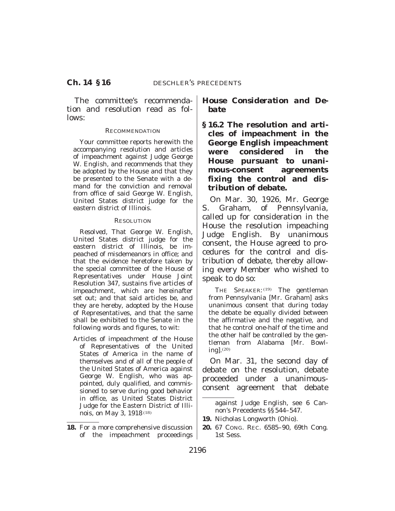The committee's recommendation and resolution read as follows:

## RECOMMENDATION

Your committee reports herewith the accompanying resolution and articles of impeachment against Judge George W. English, and recommends that they be adopted by the House and that they be presented to the Senate with a demand for the conviction and removal from office of said George W. English, United States district judge for the eastern district of Illinois.

## **RESOLUTION**

*Resolved,* That George W. English, United States district judge for the eastern district of Illinois, be impeached of misdemeanors in office; and that the evidence heretofore taken by the special committee of the House of Representatives under House Joint Resolution 347, sustains five articles of impeachment, which are hereinafter set out; and that said articles be, and they are hereby, adopted by the House of Representatives, and that the same shall be exhibited to the Senate in the following words and figures, to wit:

- Articles of impeachment of the House of Representatives of the United States of America in the name of themselves and of all of the people of the United States of America against George W. English, who was appointed, duly qualified, and commissioned to serve during good behavior in office, as United States District Judge for the Eastern District of Illinois, on May 3, 1918 (18)
- **18.** For a more comprehensive discussion of the impeachment proceedings

# *House Consideration and Debate*

**§ 16.2 The resolution and articles of impeachment in the George English impeachment were considered in the House pursuant to unanimous-consent agreements fixing the control and distribution of debate.**

On Mar. 30, 1926, Mr. George S. Graham, of Pennsylvania, called up for consideration in the House the resolution impeaching Judge English. By unanimous consent, the House agreed to procedures for the control and distribution of debate, thereby allowing every Member who wished to speak to do so:

THE SPEAKER: (19) The gentleman from Pennsylvania [Mr. Graham] asks unanimous consent that during today the debate be equally divided between the affirmative and the negative, and that he control one-half of the time and the other half be controlled by the gentleman from Alabama [Mr. Bowling] $(20)$ 

On Mar. 31, the second day of debate on the resolution, debate proceeded under a unanimousconsent agreement that debate

against Judge English, see 6 Cannon's Precedents §§ 544–547.

**<sup>19.</sup>** Nicholas Longworth (Ohio).

**<sup>20.</sup>** 67 CONG. REC. 6585–90, 69th Cong. 1st Sess.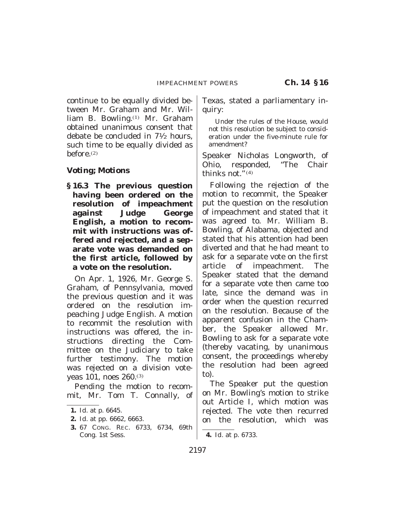continue to be equally divided between Mr. Graham and Mr. William B. Bowling.(1) Mr. Graham obtained unanimous consent that debate be concluded in  $7\frac{1}{2}$  hours. such time to be equally divided as before.(2)

# *Voting; Motions*

**§ 16.3 The previous question having been ordered on the resolution of impeachment against Judge George English, a motion to recommit with instructions was offered and rejected, and a separate vote was demanded on the first article, followed by a vote on the resolution.**

On Apr. 1, 1926, Mr. George S. Graham, of Pennsylvania, moved the previous question and it was ordered on the resolution impeaching Judge English. A motion to recommit the resolution with instructions was offered, the instructions directing the Committee on the Judiciary to take further testimony. The motion was rejected on a division voteyeas 101, noes 260.(3)

Pending the motion to recommit, Mr. Tom T. Connally, of

- **2.** *Id.* at pp. 6662, 6663.
- **3.** 67 CONG. REC. 6733, 6734, 69th Cong. 1st Sess. **4.** *Id.* at p. 6733.

Texas, stated a parliamentary inquiry:

Under the rules of the House, would not this resolution be subject to consideration under the five-minute rule for amendment?

Speaker Nicholas Longworth, of Ohio, responded, ''The Chair thinks not.'' (4)

Following the rejection of the motion to recommit, the Speaker put the question on the resolution of impeachment and stated that it was agreed to. Mr. William B. Bowling, of Alabama, objected and stated that his attention had been diverted and that he had meant to ask for a separate vote on the first article of impeachment. The Speaker stated that the demand for a separate vote then came too late, since the demand was in order when the question recurred on the resolution. Because of the apparent confusion in the Chamber, the Speaker allowed Mr. Bowling to ask for a separate vote (thereby vacating, by unanimous consent, the proceedings whereby the resolution had been agreed to).

The Speaker put the question on Mr. Bowling's motion to strike out Article I, which motion was rejected. The vote then recurred on the resolution, which was

**<sup>1.</sup>** *Id.* at p. 6645.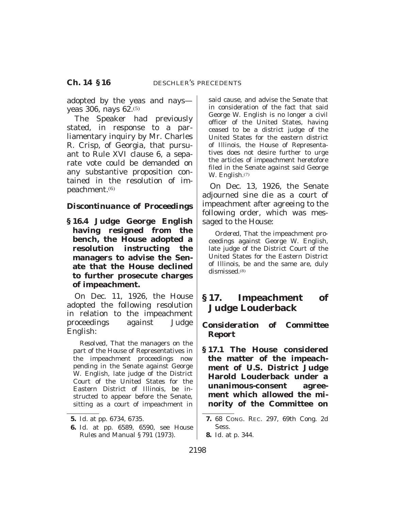adopted by the yeas and nays yeas 306, nays 62.(5)

The Speaker had previously stated, in response to a parliamentary inquiry by Mr. Charles R. Crisp, of Georgia, that pursuant to Rule XVI clause 6, a separate vote could be demanded on any substantive proposition contained in the resolution of impeachment.(6)

## *Discontinuance of Proceedings*

**§ 16.4 Judge George English having resigned from the bench, the House adopted a resolution instructing the managers to advise the Senate that the House declined to further prosecute charges of impeachment.**

On Dec. 11, 1926, the House adopted the following resolution in relation to the impeachment proceedings against Judge English:

*Resolved,* That the managers on the part of the House of Representatives in the impeachment proceedings now pending in the Senate against George W. English, late judge of the District Court of the United States for the Eastern District of Illinois, be instructed to appear before the Senate, sitting as a court of impeachment in said cause, and advise the Senate that in consideration of the fact that said George W. English is no longer a civil officer of the United States, having ceased to be a district judge of the United States for the eastern district of Illinois, the House of Representatives does not desire further to urge the articles of impeachment heretofore filed in the Senate against said George W. English.<sup>(7)</sup>

On Dec. 13, 1926, the Senate adjourned *sine die* as a court of impeachment after agreeing to the following order, which was messaged to the House:

*Ordered,* That the impeachment proceedings against George W. English, late judge of the District Court of the United States for the Eastern District of Illinois, be and the same are, duly dismissed.(8)

# **§ 17. Impeachment of Judge Louderback**

# *Consideration of Committee Report*

**§ 17.1 The House considered the matter of the impeachment of U.S. District Judge Harold Louderback under a unanimous-consent agreement which allowed the minority of the Committee on**

**8.** *Id.* at p. 344.

**<sup>5.</sup>** *Id.* at pp. 6734, 6735.

**<sup>6.</sup>** *Id.* at pp. 6589, 6590, see *House Rules and Manual* § 791 (1973).

**<sup>7.</sup>** 68 CONG. REC. 297, 69th Cong. 2d Sess.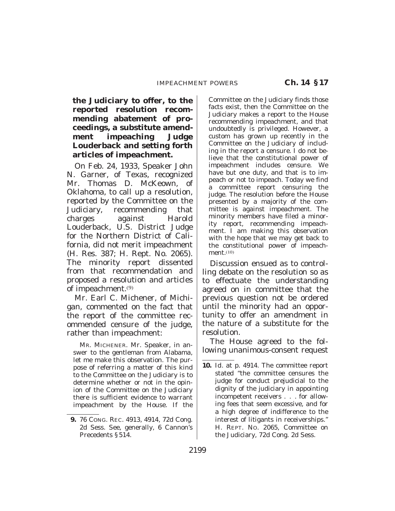**the Judiciary to offer, to the reported resolution recommending abatement of proceedings, a substitute amendment impeaching Judge Louderback and setting forth articles of impeachment.**

On Feb. 24, 1933, Speaker John N. Garner, of Texas, recognized Mr. Thomas D. McKeown, of Oklahoma, to call up a resolution, reported by the Committee on the Judiciary, recommending that charges against Harold Louderback, U.S. District Judge for the Northern District of California, did not merit impeachment (H. Res. 387; H. Rept. No. 2065). The minority report dissented from that recommendation and proposed a resolution and articles of impeachment.(9)

Mr. Earl C. Michener, of Michigan, commented on the fact that the report of the committee recommended censure of the judge, rather than impeachment:

MR. MICHENER. Mr. Speaker, in answer to the gentleman from Alabama, let me make this observation. The purpose of referring a matter of this kind to the Committee on the Judiciary is to determine whether or not in the opinion of the Committee on the Judiciary there is sufficient evidence to warrant impeachment by the House. If the

Committee on the Judiciary finds those facts exist, then the Committee on the Judiciary makes a report to the House recommending impeachment, and that undoubtedly is privileged. However, a custom has grown up recently in the Committee on the Judiciary of including in the report a censure. I do not believe that the constitutional power of impeachment includes censure. We have but one duty, and that is to impeach or not to impeach. Today we find a committee report censuring the judge. The resolution before the House presented by a majority of the committee is against impeachment. The minority members have filed a minority report, recommending impeachment. I am making this observation with the hope that we may get back to the constitutional power of impeachment.(10)

Discussion ensued as to controlling debate on the resolution so as to effectuate the understanding agreed on in committee that the previous question not be ordered until the minority had an opportunity to offer an amendment in the nature of a substitute for the resolution.

The House agreed to the following unanimous-consent request

**<sup>9.</sup>** 76 CONG. REC. 4913, 4914, 72d Cong. 2d Sess. See, generally, 6 Cannon's Precedents § 514.

**<sup>10.</sup>** *Id.* at p. 4914. The committee report stated ''the committee censures the judge for conduct prejudicial to the dignity of the judiciary in appointing incompetent receivers . . . for allowing fees that seem excessive, and for a high degree of indifference to the interest of litigants in receiverships.'' H. REPT. NO. 2065, Committee on the Judiciary, 72d Cong. 2d Sess.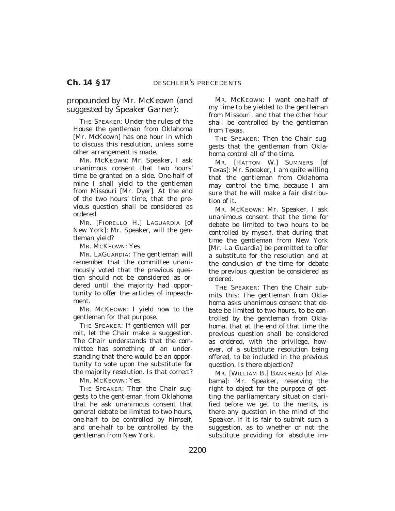propounded by Mr. McKeown (and suggested by Speaker Garner):

THE SPEAKER: Under the rules of the House the gentleman from Oklahoma [Mr. McKeown] has one hour in which to discuss this resolution, unless some other arrangement is made.

MR. MCKEOWN: Mr. Speaker, I ask unanimous consent that two hours' time be granted on a side. One-half of mine I shall yield to the gentleman from Missouri [Mr. Dyer]. At the end of the two hours' time, that the previous question shall be considered as ordered.

MR. [FIORELLO H.] LAGUARDIA [of New York]: Mr. Speaker, will the gentleman yield?

MR. MCKEOWN: Yes.

MR. LAGUARDIA: The gentleman will remember that the committee unanimously voted that the previous question should not be considered as ordered until the majority had opportunity to offer the articles of impeachment.

MR. MCKEOWN: I yield now to the gentleman for that purpose.

THE SPEAKER: If gentlemen will permit, let the Chair make a suggestion. The Chair understands that the committee has something of an understanding that there would be an opportunity to vote upon the substitute for the majority resolution. Is that correct?

MR. MCKEOWN: Yes.

THE SPEAKER: Then the Chair suggests to the gentleman from Oklahoma that he ask unanimous consent that general debate be limited to two hours, one-half to be controlled by himself, and one-half to be controlled by the gentleman from New York.

MR. MCKEOWN: I want one-half of my time to be yielded to the gentleman from Missouri, and that the other hour shall be controlled by the gentleman from Texas.

THE SPEAKER: Then the Chair suggests that the gentleman from Oklahoma control all of the time.

MR. [HATTON W.] SUMNERS [of Texas]: Mr. Speaker, I am quite willing that the gentleman from Oklahoma may control the time, because I am sure that he will make a fair distribution of it.

MR. MCKEOWN: Mr. Speaker, I ask unanimous consent that the time for debate be limited to two hours to be controlled by myself, that during that time the gentleman from New York [Mr. La Guardia] be permitted to offer a substitute for the resolution and at the conclusion of the time for debate the previous question be considered as ordered.

THE SPEAKER: Then the Chair submits this: The gentleman from Oklahoma asks unanimous consent that debate be limited to two hours, to be controlled by the gentleman from Oklahoma, that at the end of that time the previous question shall be considered as ordered, with the privilege, however, of a substitute resolution being offered, to be included in the previous question. Is there objection?

MR. [WILLIAM B.] BANKHEAD [of Alabama]: Mr. Speaker, reserving the right to object for the purpose of getting the parliamentary situation clarified before we get to the merits, is there any question in the mind of the Speaker, if it is fair to submit such a suggestion, as to whether or not the substitute providing for absolute im-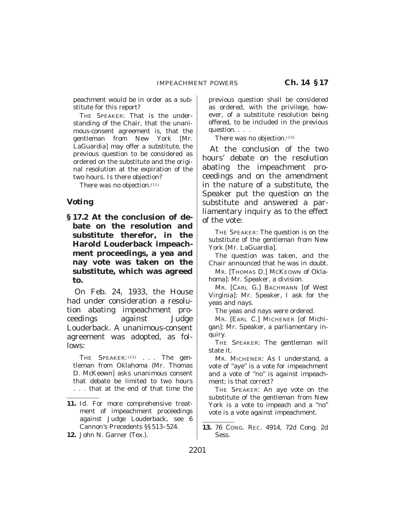peachment would be in order as a substitute for this report?

THE SPEAKER: That is the understanding of the Chair, that the unanimous-consent agreement is, that the gentleman from New York [Mr. LaGuardia] may offer a substitute, the previous question to be considered as ordered on the substitute and the original resolution at the expiration of the two hours. Is there objection?

There was no objection.<sup>(11)</sup>

# *Voting*

**§ 17.2 At the conclusion of debate on the resolution and substitute therefor, in the Harold Louderback impeachment proceedings, a yea and nay vote was taken on the substitute, which was agreed to.**

On Feb. 24, 1933, the House had under consideration a resolution abating impeachment proceedings against Judge Louderback. A unanimous-consent agreement was adopted, as follows:

THE SPEAKER: (12) . . . The gentleman from Oklahoma (Mr. Thomas D. McKeown] asks unanimous consent that debate be limited to two hours . . . that at the end of that time the

previous question shall be considered as ordered, with the privilege, however, of a substitute resolution being offered, to be included in the previous question. . . .

There was no objection.<sup>(13)</sup>

At the conclusion of the two hours' debate on the resolution abating the impeachment proceedings and on the amendment in the nature of a substitute, the Speaker put the question on the substitute and answered a parliamentary inquiry as to the effect of the vote:

THE SPEAKER: The question is on the substitute of the gentleman from New York [Mr. LaGuardia].

The question was taken, and the Chair announced that he was in doubt.

MR. [THOMAS D.] MCKEOWN of Oklahoma]: Mr. Speaker, a division.

MR. [CARL G.] BACHMANN [of West Virginia]: Mr. Speaker, I ask for the yeas and nays.

The yeas and nays were ordered.

MR. [EARL C.] MICHENER [of Michigan]: Mr. Speaker, a parliamentary inquiry.

THE SPEAKER: The gentleman will state it.

MR. MICHENER: As I understand, a vote of "aye" is a vote for impeachment and a vote of ''no'' is against impeachment; is that correct?

THE SPEAKER: An aye vote on the substitute of the gentleman from New York is a vote to impeach and a "no" vote is a vote against impeachment.

**<sup>11.</sup>** *Id.* For more comprehensive treatment of impeachment proceedings against Judge Louderback, see 6 Cannon's Precedents §§ 513–524.

**<sup>12.</sup>** John N. Garner (Tex.).

**<sup>13.</sup>** 76 CONG. REC. 4914, 72d Cong. 2d Sess.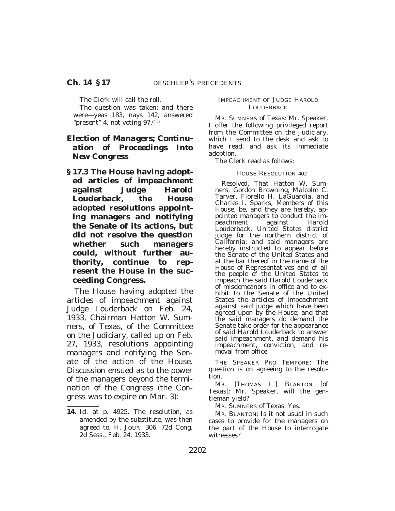The Clerk will call the roll.

The question was taken; and there were—yeas 183, nays 142, answered "present" 4, not voting  $97(14)$ 

# *Election of Managers; Continuation of Proceedings Into New Congress*

**§ 17.3 The House having adopted articles of impeachment against Judge Harold Louderback, the House adopted resolutions appointing managers and notifying the Senate of its actions, but did not resolve the question whether such managers could, without further authority, continue to represent the House in the succeeding Congress.**

The House having adopted the articles of impeachment against Judge Louderback on Feb. 24, 1933, Chairman Hatton W. Sumners, of Texas, of the Committee on the Judiciary, called up on Feb. 27, 1933, resolutions appointing managers and notifying the Senate of the action of the House. Discussion ensued as to the power of the managers beyond the termination of the Congress (the Congress was to expire on Mar. 3):

## IMPEACHMENT OF JUDGE HAROLD **LOUDERBACK**

MR. SUMNERS of Texas: Mr. Speaker, I offer the following privileged report from the Committee on the Judiciary, which I send to the desk and ask to have read, and ask its immediate adoption.

The Clerk read as follows:

## HOUSE RESOLUTION 402

*Resolved,* That Hatton W. Sumners, Gordon Browning, Malcolm C. Tarver, Fiorello H. LaGuardia, and Charles I. Sparks, Members of this House, be, and they are hereby, appointed managers to conduct the im-<br>peachment against Harold peachment against Harold Louderback, United States district judge for the northern district of California; and said managers are hereby instructed to appear before the Senate of the United States and at the bar thereof in the name of the House of Representatives and of all the people of the United States to impeach the said Harold Louderback of misdemeanors in office and to exhibit to the Senate of the United States the articles of impeachment against said judge which have been agreed upon by the House; and that the said managers do demand the Senate take order for the appearance of said Harold Louderback to answer said impeachment, and demand his impeachment, conviction, and removal from office.

THE SPEAKER PRO TEMPORE: The question is on agreeing to the resolution.

MR. [THOMAS L.] BLANTON [of Texas]: Mr. Speaker, will the gentleman yield?

MR. SUMNERS of Texas: Yes.

MR. BLANTON: Is it not usual in such cases to provide for the managers on the part of the House to interrogate witnesses?

**<sup>14.</sup>** *Id.* at p. 4925. The resolution, as amended by the substitute, was then agreed to. H. JOUR. 306, 72d Cong. 2d Sess., Feb. 24, 1933.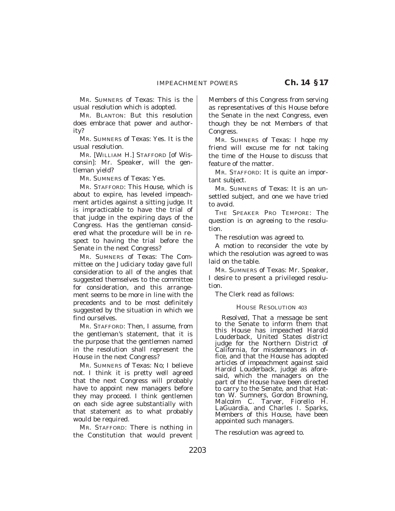MR. SUMNERS of Texas: This is the usual resolution which is adopted.

MR. BLANTON: But this resolution does embrace that power and authority?

MR. SUMNERS of Texas: Yes. It is the usual resolution.

MR. [WILLIAM H.] STAFFORD [of Wisconsin]: Mr. Speaker, will the gentleman yield?

MR. SUMNERS of Texas: Yes.

MR. STAFFORD: This House, which is about to expire, has leveled impeachment articles against a sitting judge. It is impracticable to have the trial of that judge in the expiring days of the Congress. Has the gentleman considered what the procedure will be in respect to having the trial before the Senate in the next Congress?

MR. SUMNERS of Texas: The Committee on the Judiciary today gave full consideration to all of the angles that suggested themselves to the committee for consideration, and this arrangement seems to be more in line with the precedents and to be most definitely suggested by the situation in which we find ourselves.

MR. STAFFORD: Then, I assume, from the gentleman's statement, that it is the purpose that the gentlemen named in the resolution shall represent the House in the next Congress?

MR. SUMNERS of Texas: No; I believe not. I think it is pretty well agreed that the next Congress will probably have to appoint new managers before they may proceed. I think gentlemen on each side agree substantially with that statement as to what probably would be required.

MR. STAFFORD: There is nothing in the Constitution that would prevent Members of this Congress from serving as representatives of this House before the Senate in the next Congress, even though they be not Members of that Congress.

MR. SUMNERS of Texas: I hope my friend will excuse me for not taking the time of the House to discuss that feature of the matter.

MR. STAFFORD: It is quite an important subject.

MR. SUMNERS of Texas: It is an unsettled subject, and one we have tried to avoid.

THE SPEAKER PRO TEMPORE: The question is on agreeing to the resolution.

The resolution was agreed to.

A motion to reconsider the vote by which the resolution was agreed to was laid on the table.

MR. SUMNERS of Texas: Mr. Speaker, I desire to present a privileged resolution.

The Clerk read as follows:

HOUSE RESOLUTION 403

*Resolved,* That a message be sent to the Senate to inform them that this House has impeached Harold Louderback, United States district judge for the Northern District of California, for misdemeanors in office, and that the House has adopted articles of impeachment against said Harold Louderback, judge as aforesaid, which the managers on the part of the House have been directed to carry to the Senate, and that Hatton W. Sumners, Gordon Browning, Malcolm C. Tarver, Fiorello H. LaGuardia, and Charles I. Sparks, Members of this House, have been appointed such managers.

The resolution was agreed to.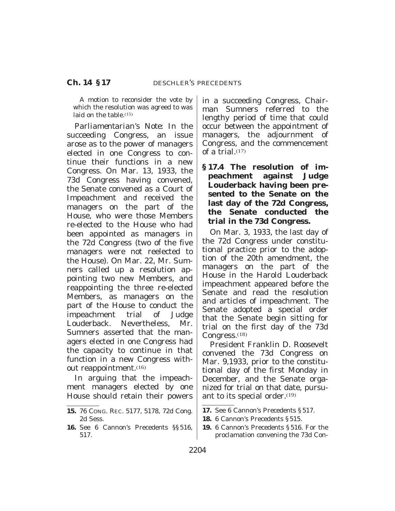A motion to reconsider the vote by which the resolution was agreed to was laid on the table. $(15)$ 

*Parliamentarian's Note:* In the succeeding Congress, an issue arose as to the power of managers elected in one Congress to continue their functions in a new Congress. On Mar. 13, 1933, the 73d Congress having convened, the Senate convened as a Court of Impeachment and received the managers on the part of the House, who were those Members re-elected to the House who had been appointed as managers in the 72d Congress (two of the five managers were not reelected to the House). On Mar. 22, Mr. Sumners called up a resolution appointing two new Members, and reappointing the three re-elected Members, as managers on the part of the House to conduct the impeachment trial of Judge Louderback. Nevertheless, Mr. Sumners asserted that the managers elected in one Congress had the capacity to continue in that function in a new Congress without reappointment.<sup>(16)</sup>

In arguing that the impeachment managers elected by one House should retain their powers

in a succeeding Congress, Chairman Sumners referred to the lengthy period of time that could occur between the appointment of managers, the adjournment of Congress, and the commencement of a trial. $(17)$ 

**§ 17.4 The resolution of impeachment against Judge Louderback having been presented to the Senate on the last day of the 72d Congress, the Senate conducted the trial in the 73d Congress.**

On Mar. 3, 1933, the last day of the 72d Congress under constitutional practice prior to the adoption of the 20th amendment, the managers on the part of the House in the Harold Louderback impeachment appeared before the Senate and read the resolution and articles of impeachment. The Senate adopted a special order that the Senate begin sitting for trial on the first day of the 73d Congress.<sup>(18)</sup>

President Franklin D. Roosevelt convened the 73d Congress on Mar. 9,1933, prior to the constitutional day of the first Monday in December, and the Senate organized for trial on that date, pursuant to its special order.<sup>(19)</sup>

**<sup>15.</sup>** 76 CONG. REC. 5177, 5178, 72d Cong. 2d Sess.

**<sup>16.</sup>** See 6 Cannon's Precedents §§ 516, 517.

**<sup>17.</sup>** See 6 Cannon's Precedents § 517.

**<sup>18.</sup>** 6 Cannon's Precedents § 515.

**<sup>19.</sup>** 6 Cannon's Precedents § 516. For the proclamation convening the 73d Con-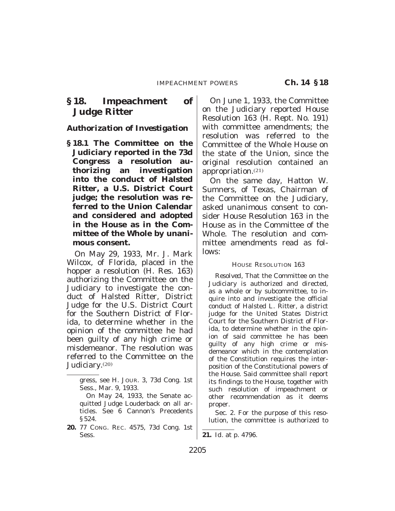# **§ 18. Impeachment of Judge Ritter**

# *Authorization of Investigation*

**§ 18.1 The Committee on the Judiciary reported in the 73d Congress a resolution authorizing an investigation into the conduct of Halsted Ritter, a U.S. District Court judge; the resolution was referred to the Union Calendar and considered and adopted in the House as in the Committee of the Whole by unanimous consent.**

On May 29, 1933, Mr. J. Mark Wilcox, of Florida, placed in the hopper a resolution (H. Res. 163) authorizing the Committee on the Judiciary to investigate the conduct of Halsted Ritter, District Judge for the U.S. District Court for the Southern District of Florida, to determine whether in the opinion of the committee he had been guilty of any high crime or misdemeanor. The resolution was referred to the Committee on the Judiciary.(20)

On June 1, 1933, the Committee on the Judiciary reported House Resolution 163 (H. Rept. No. 191) with committee amendments; the resolution was referred to the Committee of the Whole House on the state of the Union, since the original resolution contained an appropriation. $(21)$ 

On the same day, Hatton W. Sumners, of Texas, Chairman of the Committee on the Judiciary, asked unanimous consent to consider House Resolution 163 in the House as in the Committee of the Whole. The resolution and committee amendments read as follows:

## HOUSE RESOLUTION 163

*Resolved,* That the Committee on the Judiciary is authorized and directed, as a whole or by subcommittee, to inquire into and investigate the official conduct of Halsted L. Ritter, a district judge for the United States District Court for the Southern District of Florida, to determine whether in the opinion of said committee he has been guilty of any high crime or misdemeanor which in the contemplation of the Constitution requires the interposition of the Constitutional powers of the House. Said committee shall report its findings to the House, together with such resolution of impeachment or other recommendation as it deems proper.

Sec. 2. For the purpose of this resolution, the committee is authorized to

gress, see H. JOUR. 3, 73d Cong. 1st Sess., Mar. 9, 1933.

On May 24, 1933, the Senate acquitted Judge Louderback on all articles. See 6 Cannon's Precedents § 524.

**<sup>20.</sup>** 77 CONG. REC. 4575, 73d Cong. 1st Sess. **21.** *Id.* at p. 4796.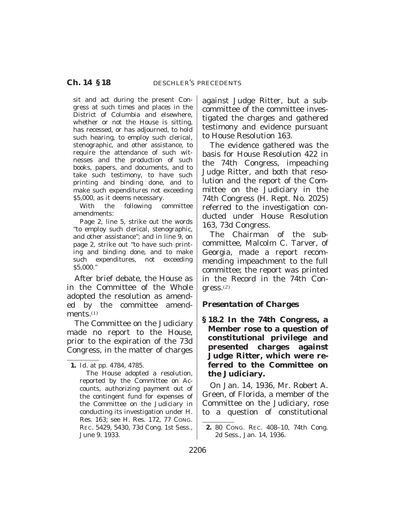sit and act during the present Congress at such times and places in the District of Columbia and elsewhere, whether or not the House is sitting, has recessed, or has adjourned, to hold such hearing, to employ such clerical, stenographic, and other assistance, to require the attendance of such witnesses and the production of such books, papers, and documents, and to take such testimony, to have such printing and binding done, and to make such expenditures not exceeding \$5,000, as it deems necessary.

With the following committee amendments:

Page 2, line 5, strike out the words ''to employ such clerical, stenographic, and other assistance''; and in line 9, on page 2, strike out ''to have such printing and binding done, and to make such expenditures, not exceeding \$5,000.''

After brief debate, the House as in the Committee of the Whole adopted the resolution as amended by the committee amendments. $(1)$ 

The Committee on the Judiciary made no report to the House, prior to the expiration of the 73d Congress, in the matter of charges

against Judge Ritter, but a subcommittee of the committee investigated the charges and gathered testimony and evidence pursuant to House Resolution 163.

The evidence gathered was the basis for House Resolution 422 in the 74th Congress, impeaching Judge Ritter, and both that resolution and the report of the Committee on the Judiciary in the 74th Congress (H. Rept. No. 2025) referred to the investigation conducted under House Resolution 163, 73d Congress.

The Chairman of the subcommittee, Malcolm C. Tarver, of Georgia, made a report recommending impeachment to the full committee; the report was printed in the Record in the 74th Con $gress.<sub>(2)</sub>$ 

# *Presentation of Charges*

**§ 18.2 In the 74th Congress, a Member rose to a question of constitutional privilege and presented charges against Judge Ritter, which were referred to the Committee on the Judiciary.**

On Jan. 14, 1936, Mr. Robert A. Green, of Florida, a member of the Committee on the Judiciary, rose to a question of constitutional

**<sup>1.</sup>** *Id.* at pp. 4784, 4785.

The House adopted a resolution, reported by the Committee on Accounts, authorizing payment out of the contingent fund for expenses of the Committee on the Judiciary in conducting its investigation under H. Res. 163; see H. Res. 172, 77 CONG. REC. 5429, 5430, 73d Cong. 1st Sess., June 9. 1933.

**<sup>2.</sup>** 80 CONG. REC. 408–10, 74th Cong. 2d Sess., Jan. 14, 1936.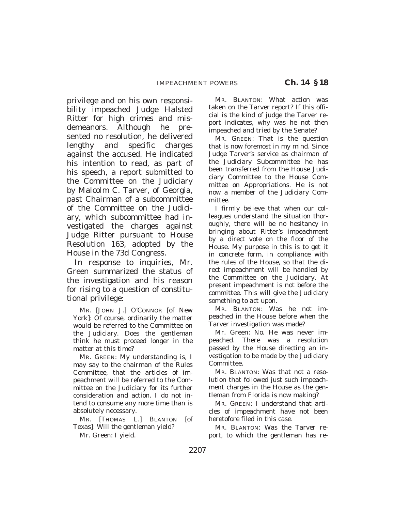privilege and on his own responsibility impeached Judge Halsted Ritter for high crimes and misdemeanors. Although he presented no resolution, he delivered lengthy and specific charges against the accused. He indicated his intention to read, as part of his speech, a report submitted to the Committee on the Judiciary by Malcolm C. Tarver, of Georgia, past Chairman of a subcommittee of the Committee on the Judiciary, which subcommittee had investigated the charges against Judge Ritter pursuant to House Resolution 163, adopted by the House in the 73d Congress.

In response to inquiries, Mr. Green summarized the status of the investigation and his reason for rising to a question of constitutional privilege:

MR. [JOHN J.] O'CONNOR [of New York]: Of course, ordinarily the matter would be referred to the Committee on the Judiciary. Does the gentleman think he must proceed longer in the matter at this time?

MR. GREEN: My understanding is, I may say to the chairman of the Rules Committee, that the articles of impeachment will be referred to the Committee on the Judiciary for its further consideration and action. I do not intend to consume any more time than is absolutely necessary.

MR. [THOMAS L.] BLANTON [of Texas]: Will the gentleman yield?

Mr. Green: I yield.

MR. BLANTON: What action was taken on the Tarver report? If this official is the kind of judge the Tarver report indicates, why was he not then impeached and tried by the Senate?

MR. GREEN: That is the question that is now foremost in my mind. Since Judge Tarver's service as chairman of the Judiciary Subcommittee he has been transferred from the House Judiciary Committee to the House Committee on Appropriations. He is not now a member of the Judiciary Committee.

I firmly believe that when our colleagues understand the situation thoroughly, there will be no hesitancy in bringing about Ritter's impeachment by a direct vote on the floor of the House. My purpose in this is to get it in concrete form, in compliance with the rules of the House, so that the direct impeachment will be handled by the Committee on the Judiciary. At present impeachment is not before the committee. This will give the Judiciary something to act upon.

MR. BLANTON: Was he not impeached in the House before when the Tarver investigation was made?

Mr. Green: No. He was never impeached. There was a resolution passed by the House directing an investigation to be made by the Judiciary Committee.

MR. BLANTON: Was that not a resolution that followed just such impeachment charges in the House as the gentleman from Florida is now making?

MR. GREEN: I understand that articles of impeachment have not been heretofore filed in this case.

MR. BLANTON: Was the Tarver report, to which the gentleman has re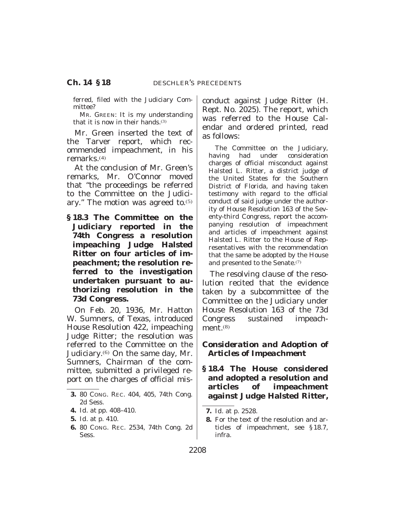ferred, filed with the Judiciary Committee?

MR. GREEN: It is my understanding that it is now in their hands.(3)

Mr. Green inserted the text of the Tarver report, which recommended impeachment, in his remarks.(4)

At the conclusion of Mr. Green's remarks, Mr. O'Connor moved that ''the proceedings be referred to the Committee on the Judiciary.'' The motion was agreed to.(5)

**§ 18.3 The Committee on the Judiciary reported in the 74th Congress a resolution impeaching Judge Halsted Ritter on four articles of impeachment; the resolution referred to the investigation undertaken pursuant to authorizing resolution in the 73d Congress.**

On Feb. 20, 1936, Mr. Hatton W. Sumners, of Texas, introduced House Resolution 422, impeaching Judge Ritter; the resolution was referred to the Committee on the Judiciary.(6) On the same day, Mr. Sumners, Chairman of the committee, submitted a privileged report on the charges of official mis-

- **4.** *Id. at pp. 408–410.*
- **5.** *Id.* at p. 410.
- **6.** 80 CONG. REC. 2534, 74th Cong. 2d Sess.

conduct against Judge Ritter (H. Rept. No. 2025). The report, which was referred to the House Calendar and ordered printed, read as follows:

The Committee on the Judiciary, having had under consideration charges of official misconduct against Halsted L. Ritter, a district judge of the United States for the Southern District of Florida, and having taken testimony with regard to the official conduct of said judge under the authority of House Resolution 163 of the Seventy-third Congress, report the accompanying resolution of impeachment and articles of impeachment against Halsted L. Ritter to the House of Representatives with the recommendation that the same be adopted by the House and presented to the Senate.(7)

The resolving clause of the resolution recited that the evidence taken by a subcommittee of the Committee on the Judiciary under House Resolution 163 of the 73d Congress sustained impeach $ment<sub>.</sub>(8)$ 

# *Consideration and Adoption of Articles of Impeachment*

**§ 18.4 The House considered and adopted a resolution and articles of impeachment against Judge Halsted Ritter,**

**<sup>3.</sup>** 80 CONG. REC. 404, 405, 74th Cong. 2d Sess.

**<sup>7.</sup>** *Id.* at p. 2528.

**<sup>8.</sup>** For the text of the resolution and articles of impeachment, see § 18.7, infra.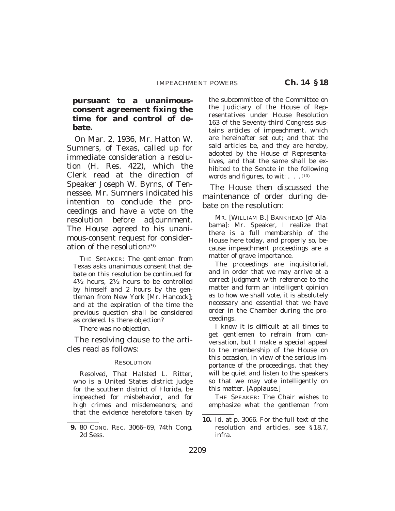# **pursuant to a unanimousconsent agreement fixing the time for and control of debate.**

On Mar. 2, 1936, Mr. Hatton W. Sumners, of Texas, called up for immediate consideration a resolution (H. Res. 422), which the Clerk read at the direction of Speaker Joseph W. Byrns, of Tennessee. Mr. Sumners indicated his intention to conclude the proceedings and have a vote on the resolution before adjournment. The House agreed to his unanimous-consent request for consideration of the resolution:(9)

THE SPEAKER: The gentleman from Texas asks unanimous consent that debate on this resolution be continued for  $4\frac{1}{2}$  hours,  $2\frac{1}{2}$  hours to be controlled by himself and 2 hours by the gentleman from New York [Mr. Hancock]; and at the expiration of the time the previous question shall be considered as ordered. Is there objection?

There was no objection.

The resolving clause to the articles read as follows:

## **RESOLUTION**

*Resolved*, That Halsted L. Ritter, who is a United States district judge for the southern district of Florida, be impeached for misbehavior, and for high crimes and misdemeanors; and that the evidence heretofore taken by

the subcommittee of the Committee on the Judiciary of the House of Representatives under House Resolution 163 of the Seventy-third Congress sustains articles of impeachment, which are hereinafter set out; and that the said articles be, and they are hereby, adopted by the House of Representatives, and that the same shall be exhibited to the Senate in the following words and figures, to wit:  $\ldots$  . (10)

The House then discussed the maintenance of order during debate on the resolution:

MR. [WILLIAM B.] BANKHEAD [of Alabama]: Mr. Speaker, I realize that there is a full membership of the House here today, and properly so, because impeachment proceedings are a matter of grave importance.

The proceedings are inquisitorial, and in order that we may arrive at a correct judgment with reference to the matter and form an intelligent opinion as to how we shall vote, it is absolutely necessary and essential that we have order in the Chamber during the proceedings.

I know it is difficult at all times to get gentlemen to refrain from conversation, but I make a special appeal to the membership of the House on this occasion, in view of the serious importance of the proceedings, that they will be quiet and listen to the speakers so that we may vote intelligently on this matter. [Applause.]

THE SPEAKER: The Chair wishes to emphasize what the gentleman from

**<sup>9.</sup>** 80 CONG. REC. 3066–69, 74th Cong. 2d Sess.

**<sup>10.</sup>** *Id.* at p. 3066. For the full text of the resolution and articles, see § 18.7, infra.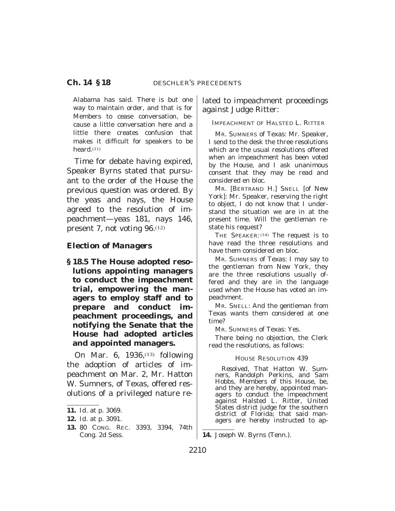Alabama has said. There is but one way to maintain order, and that is for Members to cease conversation, because a little conversation here and a little there creates confusion that makes it difficult for speakers to be heard.(11)

Time for debate having expired, Speaker Byrns stated that pursuant to the order of the House the previous question was ordered. By the yeas and nays, the House agreed to the resolution of impeachment—yeas 181, nays 146, present 7, not voting  $96^{(12)}$ 

# *Election of Managers*

**§ 18.5 The House adopted resolutions appointing managers to conduct the impeachment trial, empowering the managers to employ staff and to prepare and conduct impeachment proceedings, and notifying the Senate that the House had adopted articles and appointed managers.**

On Mar. 6, 1936, (13) following the adoption of articles of impeachment on Mar. 2, Mr. Hatton W. Sumners, of Texas, offered resolutions of a privileged nature related to impeachment proceedings against Judge Ritter:

## IMPEACHMENT OF HALSTED L. RITTER

MR. SUMNERS of Texas: Mr. Speaker, I send to the desk the three resolutions which are the usual resolutions offered when an impeachment has been voted by the House, and I ask unanimous consent that they may be read and considered en bloc.

MR. [BERTRAND H.] SNELL [of New York]: Mr. Speaker, reserving the right to object, I do not know that I understand the situation we are in at the present time. Will the gentleman restate his request?

THE SPEAKER: (14) The request is to have read the three resolutions and have them considered en bloc.

MR. SUMNERS of Texas: I may say to the gentleman from New York, they are the three resolutions usually offered and they are in the language used when the House has voted an impeachment.

MR. SNELL: And the gentleman from Texas wants them considered at one time?

MR. SUMNERS of Texas: Yes.

There being no objection, the Clerk read the resolutions, as follows:

## HOUSE RESOLUTION 439

*Resolved,* That Hatton W. Sumners, Randolph Perkins, and Sam Hobbs, Members of this House, be, and they are hereby, appointed managers to conduct the impeachment against Halsted L. Ritter, United States district judge for the southern district of Florida; that said managers are hereby instructed to ap-

**<sup>11.</sup>** *Id.* at p. 3069.

**<sup>12.</sup>** *Id.* at p. 3091.

**<sup>13.</sup>** 80 CONG. REC. 3393, 3394, 74th Cong. 2d Sess. **14.** Joseph W. Byrns (Tenn.).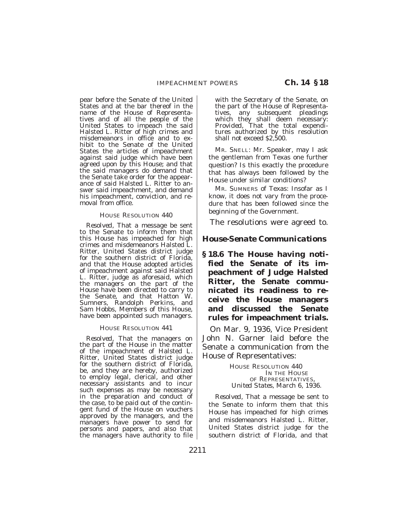pear before the Senate of the United States and at the bar thereof in the name of the House of Representatives and of all the people of the United States to impeach the said Halsted L. Ritter of high crimes and misdemeanors in office and to exhibit to the Senate of the United States the articles of impeachment against said judge which have been agreed upon by this House; and that the said managers do demand that the Senate take order for the appearance of said Halsted L. Ritter to answer said impeachment, and demand his impeachment, conviction, and removal from office.

## HOUSE RESOLUTION 440

*Resolved,* That a message be sent to the Senate to inform them that this House has impeached for high crimes and misdemeanors Halsted L. Ritter, United States district judge for the southern district of Florida, and that the House adopted articles of impeachment against said Halsted L. Ritter, judge as aforesaid, which the managers on the part of the House have been directed to carry to the Senate, and that Hatton W. Sumners, Randolph Perkins, and Sam Hobbs, Members of this House, have been appointed such managers.

## HOUSE RESOLUTION 441

*Resolved,* That the managers on the part of the House in the matter of the impeachment of Halsted L. Ritter, United States district judge for the southern district of Florida, be, and they are hereby, authorized to employ legal, clerical, and other necessary assistants and to incur such expenses as may be necessary in the preparation and conduct of the case, to be paid out of the contingent fund of the House on vouchers approved by the managers, and the managers have power to send for persons and papers, and also that the managers have authority to file

with the Secretary of the Senate, on the part of the House of Representatives, any subsequent pleadings which they shall deem necessary: *Provided,* That the total expenditures authorized by this resolution shall not exceed \$2,500.

MR. SNELL: Mr. Speaker, may I ask the gentleman from Texas one further question? Is this exactly the procedure that has always been followed by the House under similar conditions?

MR. SUMNERS of Texas: Insofar as I know, it does not vary from the procedure that has been followed since the beginning of the Government.

The resolutions were agreed to.

## *House-Senate Communications*

**§ 18.6 The House having notified the Senate of its impeachment of Judge Halsted Ritter, the Senate communicated its readiness to receive the House managers and discussed the Senate rules for impeachment trials.**

On Mar. 9, 1936, Vice President John N. Garner laid before the Senate a communication from the House of Representatives:

> HOUSE RESOLUTION 440 IN THE HOUSE<br>OF REPRESENTATIVES, United States, March 6, 1936.

*Resolved,* That a message be sent to the Senate to inform them that this House has impeached for high crimes and misdemeanors Halsted L. Ritter, United States district judge for the southern district of Florida, and that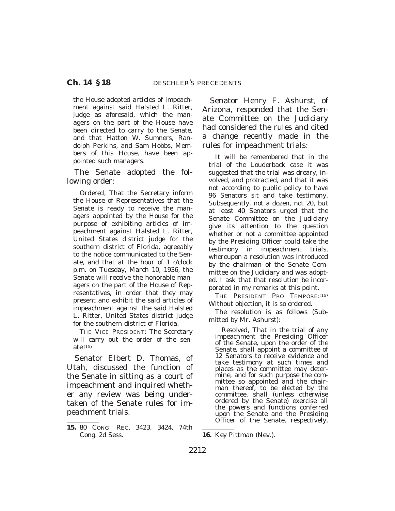the House adopted articles of impeachment against said Halsted L. Ritter, judge as aforesaid, which the managers on the part of the House have been directed to carry to the Senate, and that Hatton W. Sumners, Randolph Perkins, and Sam Hobbs, Members of this House, have been appointed such managers.

The Senate adopted the following order:

*Ordered,* That the Secretary inform the House of Representatives that the Senate is ready to receive the managers appointed by the House for the purpose of exhibiting articles of impeachment against Halsted L. Ritter, United States district judge for the southern district of Florida, agreeably to the notice communicated to the Senate, and that at the hour of 1 o'clock p.m. on Tuesday, March 10, 1936, the Senate will receive the honorable managers on the part of the House of Representatives, in order that they may present and exhibit the said articles of impeachment against the said Halsted L. Ritter, United States district judge for the southern district of Florida.

THE VICE PRESIDENT: The Secretary will carry out the order of the senate (15)

Senator Elbert D. Thomas, of Utah, discussed the function of the Senate in sitting as a court of impeachment and inquired whether any review was being undertaken of the Senate rules for impeachment trials.

Senator Henry F. Ashurst, of Arizona, responded that the Senate Committee on the Judiciary had considered the rules and cited a change recently made in the rules for impeachment trials:

It will be remembered that in the trial of the Louderback case it was suggested that the trial was dreary, involved, and protracted, and that it was not according to public policy to have 96 Senators sit and take testimony. Subsequently, not a dozen, not 20, but at least 40 Senators urged that the Senate Committee on the Judiciary give its attention to the question whether or not a committee appointed by the Presiding Officer could take the testimony in impeachment trials, whereupon a resolution was introduced by the chairman of the Senate Committee on the Judiciary and was adopted. I ask that that resolution be incorporated in my remarks at this point.

THE PRESIDENT PRO TEMPORE:(16) Without objection, it is so ordered.

The resolution is as follows (Submitted by Mr. Ashurst):

*Resolved,* That in the trial of any impeachment the Presiding Officer of the Senate, upon the order of the Senate, shall appoint a committee of 12 Senators to receive evidence and take testimony at such times and places as the committee may determine, and for such purpose the committee so appointed and the chairman thereof, to be elected by the committee, shall (unless otherwise ordered by the Senate) exercise all the powers and functions conferred upon the Senate and the Presiding Officer of the Senate, respectively,

**<sup>15.</sup>** 80 CONG. REC. 3423, 3424, 74th Cong. 2d Sess. **16.** Key Pittman (Nev.).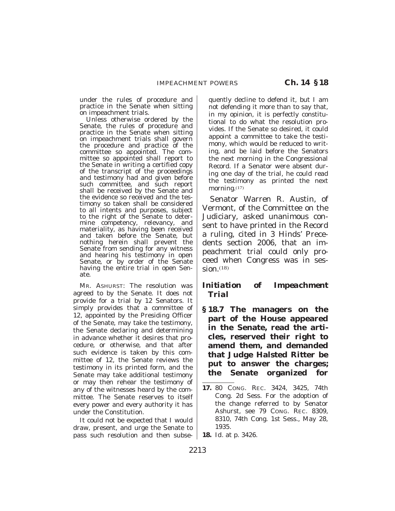under the rules of procedure and practice in the Senate when sitting on impeachment trials.

Unless otherwise ordered by the Senate, the rules of procedure and practice in the Senate when sitting on impeachment trials shall govern the procedure and practice of the committee so appointed. The committee so appointed shall report to the Senate in writing a certified copy of the transcript of the proceedings and testimony had and given before such committee, and such report shall be received by the Senate and the evidence so received and the testimony so taken shall be considered to all intents and purposes, subject to the right of the Senate to determine competency, relevancy, and materiality, as having been received and taken before the Senate, but nothing herein shall prevent the Senate from sending for any witness and hearing his testimony in open Senate, or by order of the Senate having the entire trial in open Senate.

MR. ASHURST: The resolution was agreed to by the Senate. It does not provide for a trial by 12 Senators. It simply provides that a committee of 12, appointed by the Presiding Officer of the Senate, may take the testimony, the Senate declaring and determining in advance whether it desires that procedure, or otherwise, and that after such evidence is taken by this committee of 12, the Senate reviews the testimony in its printed form, and the Senate may take additional testimony or may then rehear the testimony of any of the witnesses heard by the committee. The Senate reserves to itself every power and every authority it has under the Constitution.

It could not be expected that I would draw, present, and urge the Senate to pass such resolution and then subse-

quently decline to defend it, but I am not defending it more than to say that, in my opinion, it is perfectly constitutional to do what the resolution provides. If the Senate so desired, it could appoint a committee to take the testimony, which would be reduced to writing, and be laid before the Senators the next morning in the Congressional Record. If a Senator were absent during one day of the trial, he could read the testimony as printed the next morning.<sup>(17)</sup>

Senator Warren R. Austin, of Vermont, of the Committee on the Judiciary, asked unanimous consent to have printed in the Record a ruling, cited in 3 Hinds' Precedents section 2006, that an impeachment trial could only proceed when Congress was in session. $(18)$ 

# *Initiation of Impeachment Trial*

- **§ 18.7 The managers on the part of the House appeared in the Senate, read the articles, reserved their right to amend them, and demanded that Judge Halsted Ritter be put to answer the charges; the Senate organized for**
- **17.** 80 CONG. REC. 3424, 3425, 74th Cong. 2d Sess. For the adoption of the change referred to by Senator Ashurst, see 79 CONG. REC. 8309, 8310, 74th Cong. 1st Sess., May 28, 1935.
- **18.** *Id.* at p. 3426.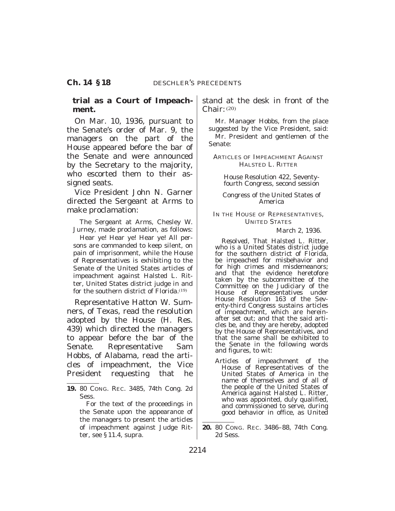# **trial as a Court of Impeachment.**

On Mar. 10, 1936, pursuant to the Senate's order of Mar. 9, the managers on the part of the House appeared before the bar of the Senate and were announced by the Secretary to the majority, who escorted them to their assigned seats.

Vice President John N. Garner directed the Sergeant at Arms to make proclamation:

The Sergeant at Arms, Chesley W. Jurney, made proclamation, as follows:

Hear ye! Hear ye! Hear ye! All persons are commanded to keep silent, on pain of imprisonment, while the House of Representatives is exhibiting to the Senate of the United States articles of impeachment against Halsted L. Ritter, United States district judge in and for the southern district of Florida.<sup>(19)</sup>

Representative Hatton W. Sumners, of Texas, read the resolution adopted by the House (H. Res. 439) which directed the managers to appear before the bar of the Senate. Representative Sam Hobbs, of Alabama, read the articles of impeachment, the Vice President requesting that he

For the text of the proceedings in the Senate upon the appearance of the managers to present the articles of impeachment against Judge Ritter, see § 11.4, supra.

stand at the desk in front of the  $Chair: (20)$ 

Mr. Manager Hobbs, from the place suggested by the Vice President, said: Mr. President and gentlemen of the Senate:

ARTICLES OF IMPEACHMENT AGAINST HALSTED L. RITTER

House Resolution 422, Seventyfourth Congress, second session

Congress of the United States of America

IN THE HOUSE OF REPRESENTATIVES, UNITED STATES

*March 2, 1936.*

*Resolved,* That Halsted L. Ritter, who is a United States district judge for the southern district of Florida, be impeached for misbehavior and for high crimes and misdemeanors; and that the evidence heretofore taken by the subcommittee of the Committee on the Judiciary of the House of Representatives under House Resolution 163 of the Seventy-third Congress sustains articles of impeachment, which are hereinafter set out; and that the said articles be, and they are hereby, adopted by the House of Representatives, and that the same shall be exhibited to the Senate in the following words and figures, to wit:

Articles of impeachment of the House of Representatives of the United States of America in the name of themselves and of all of the people of the United States of America against Halsted L. Ritter, who was appointed, duly qualified, and commissioned to serve, during good behavior in office, as United

**<sup>19.</sup>** 80 CONG. REC. 3485, 74th Cong. 2d Sess.

**<sup>20.</sup>** 80 CONG. REC. 3486–88, 74th Cong. 2d Sess.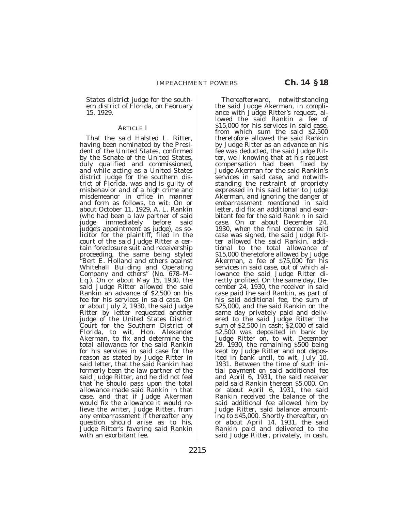States district judge for the southern district of Florida, on February

# ARTICLE I

15, 1929.

That the said Halsted L. Ritter, having been nominated by the President of the United States, confirmed by the Senate of the United States, duly qualified and commissioned, and while acting as a United States district judge for the southern district of Florida, was and is guilty of misbehavior and of a high crime and misdemeanor in office in manner and form as follows, to wit: On or about October 11, 1929, A. L. Rankin (who had been a law partner of said judge immediately before said judge's appointment as judge), as solicitor for the plaintiff, filed in the court of the said Judge Ritter a certain foreclosure suit and receivership proceeding, the same being styled ''Bert E. Holland and others against Whitehall Building and Operating Company and others'' (No. 678–M– Eq.). On or about May 15, 1930, the said Judge Ritter allowed the said Rankin an advance of \$2,500 on his fee for his services in said case. On or about July 2, 1930, the said Judge Ritter by letter requested another judge of the United States District Court for the Southern District of Florida, to wit, Hon. Alexander Akerman, to fix and determine the total allowance for the said Rankin for his services in said case for the reason as stated by Judge Ritter in said letter, that the said Rankin had formerly been the law partner of the said Judge Ritter, and he did not feel that he should pass upon the total allowance made said Rankin in that case, and that if Judge Akerman would fix the allowance it would relieve the writer, Judge Ritter, from any embarrassment if thereafter any question should arise as to his, Judge Ritter's favoring said Rankin with an exorbitant fee.

Thereafterward, notwithstanding the said Judge Akerman, in compliance with Judge Ritter's request, allowed the said Rankin a fee of \$15,000 for his services in said case, from which sum the said \$2,500 theretofore allowed the said Rankin by Judge Ritter as an advance on his fee was deducted, the said Judge Ritter, well knowing that at his request compensation had been fixed by Judge Akerman for the said Rankin's services in said case, and notwithstanding the restraint of propriety expressed in his said letter to Judge Akerman, and ignoring the danger of embarrassment mentioned in said letter, did fix an additional and exorbitant fee for the said Rankin in said case. On or about December 24, 1930, when the final decree in said case was signed, the said Judge Ritter allowed the said Rankin, additional to the total allowance of \$15,000 theretofore allowed by Judge Akerman, a fee of \$75,000 for his services in said case, out of which allowance the said Judge Ritter directly profited. On the same day, December 24, 1930, the receiver in said case paid the said Rankin, as part of his said additional fee, the sum of \$25,000, and the said Rankin on the same day privately paid and delivered to the said Judge Ritter the sum of \$2,500 in cash; \$2,000 of said \$2,500 was deposited in bank by Judge Ritter on, to wit, December 29, 1930, the remaining \$500 being kept by Judge Ritter and not deposited in bank until, to wit, July 10, 1931. Between the time of such initial payment on said additional fee and April 6, 1931, the said receiver paid said Rankin thereon \$5,000. On or about April 6, 1931, the said Rankin received the balance of the said additional fee allowed him by Judge Ritter, said balance amounting to \$45,000. Shortly thereafter, on or about April 14, 1931, the said Rankin paid and delivered to the said Judge Ritter, privately, in cash,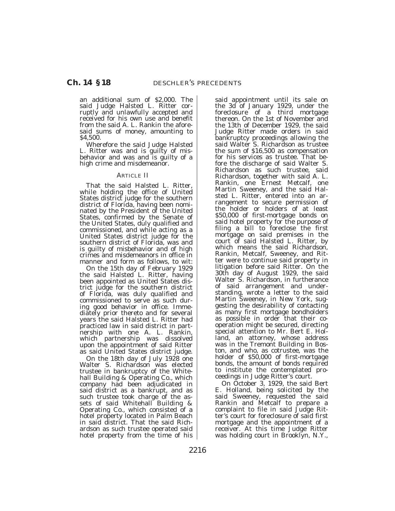an additional sum of \$2,000. The said Judge Halsted L. Ritter corruptly and unlawfully accepted and received for his own use and benefit from the said A. L. Rankin the aforesaid sums of money, amounting to \$4,500.

Wherefore the said Judge Halsted L. Ritter was and is guilty of misbehavior and was and is guilty of a high crime and misdemeanor.

## ARTICLE II

That the said Halsted L. Ritter, while holding the office of United States district judge for the southern district of Florida, having been nominated by the President of the United States, confirmed by the Senate of the United States, duly qualified and commissioned, and while acting as a United States district judge for the southern district of Florida, was and is guilty of misbehavior and of high crimes and misdemeanors in office in

manner and form as follows, to wit:<br>On the 15th day of February 1929 the said Halsted L. Ritter, having been appointed as United States district judge for the southern district of Florida, was duly qualified and commissioned to serve as such during good behavior in office. Immediately prior thereto and for several years the said Halsted L. Ritter had practiced law in said district in partnership with one A. L. Rankin, which partnership was dissolved upon the appointment of said Ritter as said United States district judge.

On the 18th day of July 1928 one Walter S. Richardson was elected trustee in bankruptcy of the Whitehall Building & Operating Co., which company had been adjudicated in said district as a bankrupt, and as such trustee took charge of the assets of said Whitehall Building  $\&$ Operating Co., which consisted of a hotel property located in Palm Beach in said district. That the said Richardson as such trustee operated said hotel property from the time of his

said appointment until its sale on the 3d of January 1929, under the foreclosure of a third mortgage thereon. On the 1st of November and the 13th of December 1929, the said Judge Ritter made orders in said bankruptcy proceedings allowing the said Walter S. Richardson as trustee the sum of \$16,500 as compensation for his services as trustee. That before the discharge of said Walter S. Richardson as such trustee, said Richardson, together with said A. L. Rankin, one Ernest Metcalf, one Martin Sweeney, and the said Halsted L. Ritter, entered into an arrangement to secure permission of the holder or holders of at least \$50,000 of first-mortgage bonds on said hotel property for the purpose of filing a bill to foreclose the first mortgage on said premises in the court of said Halsted L. Ritter, by which means the said Richardson, Rankin, Metcalf, Sweeney, and Ritter were to continue said property in litigation before said Ritter. On the 30th day of August 1929, the said Walter S. Richardson, in furtherance of said arrangement and understanding, wrote a letter to the said Martin Sweeney, in New York, suggesting the desirability of contacting as many first mortgage bondholders as possible in order that their cooperation might be secured, directing special attention to Mr. Bert E. Holland, an attorney, whose address was in the Tremont Building in Boston, and who, as cotrustee, was the holder of \$50,000 of first-mortgage bonds, the amount of bonds required to institute the contemplated proceedings in Judge Ritter's court.

On October 3, 1929, the said Bert E. Holland, being solicited by the said Sweeney, requested the said Rankin and Metcalf to prepare a complaint to file in said Judge Ritter's court for foreclosure of said first mortgage and the appointment of a receiver. At this time Judge Ritter was holding court in Brooklyn, N.Y.,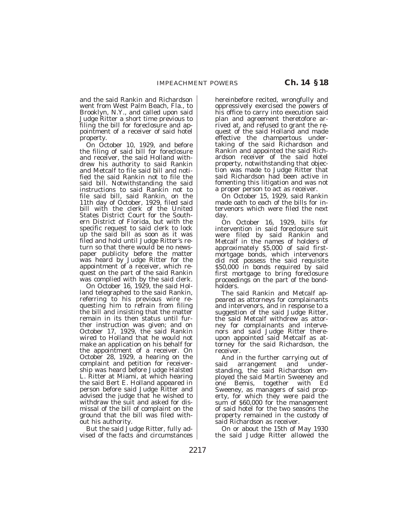and the said Rankin and Richardson went from West Palm Beach, Fla., to Brooklyn, N.Y., and called upon said Judge Ritter a short time previous to filing the bill for foreclosure and appointment of a receiver of said hotel property.

On October 10, 1929, and before the filing of said bill for foreclosure and receiver, the said Holland withdrew his authority to said Rankin and Metcalf to file said bill and notified the said Rankin not to file the said bill. Notwithstanding the said instructions to said Rankin not to file said bill, said Rankin, on the 11th day of October, 1929, filed said bill with the clerk of the United States District Court for the Southern District of Florida, but with the specific request to said clerk to lock up the said bill as soon as it was filed and hold until Judge Ritter's return so that there would be no newspaper publicity before the matter was heard by Judge Ritter for the appointment of a receiver, which request on the part of the said Rankin was complied with by the said clerk.

On October 16, 1929, the said Holland telegraphed to the said Rankin, referring to his previous wire requesting him to refrain from filing the bill and insisting that the matter remain in its then status until further instruction was given; and on October 17, 1929, the said Rankin wired to Holland that he would not make an application on his behalf for the appointment of a receiver. On October 28, 1929, a hearing on the complaint and petition for receivership was heard before Judge Halsted L. Ritter at Miami, at which hearing the said Bert E. Holland appeared in person before said Judge Ritter and advised the judge that he wished to withdraw the suit and asked for dismissal of the bill of complaint on the ground that the bill was filed without his authority.

But the said Judge Ritter, fully advised of the facts and circumstances hereinbefore recited, wrongfully and oppressively exercised the powers of his office to carry into execution said plan and agreement theretofore arrived at, and refused to grant the request of the said Holland and made effective the champertous undertaking of the said Richardson and Rankin and appointed the said Richardson receiver of the said hotel property, notwithstanding that objection was made to Judge Ritter that said Richardson had been active in fomenting this litigation and was not a proper person to act as receiver.

On October 15, 1929, said Rankin made oath to each of the bills for intervenors which were filed the next day.

On October 16, 1929, bills for intervention in said foreclosure suit were filed by said Rankin and Metcalf in the names of holders of approximately \$5,000 of said firstmortgage bonds, which intervenors did not possess the said requisite \$50,000 in bonds required by said first mortgage to bring foreclosure proceedings on the part of the bondholders.

The said Rankin and Metcalf appeared as attorneys for complainants and intervenors, and in response to a suggestion of the said Judge Ritter, the said Metcalf withdrew as attorney for complainants and intervenors and said Judge Ritter thereupon appointed said Metcalf as attorney for the said Richardson, the receiver.

And in the further carrying out of said arrangement and understanding, the said Richardson employed the said Martin Sweeney and<br>one Bemis, together with Ed one Bemis, together with Ed Sweeney, as managers of said property, for which they were paid the sum of \$60,000 for the management of said hotel for the two seasons the property remained in the custody of said Richardson as receiver.

On or about the 15th of May 1930 the said Judge Ritter allowed the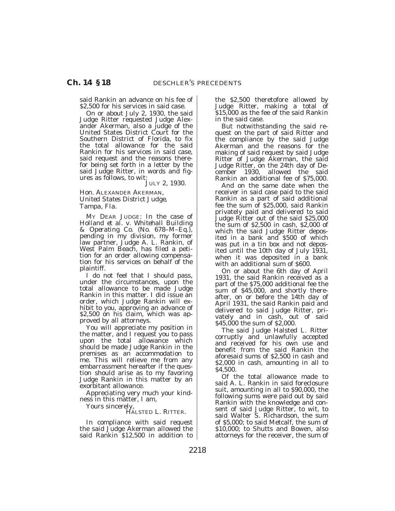said Rankin an advance on his fee of \$2,500 for his services in said case.

On or about July 2, 1930, the said Judge Ritter requested Judge Alexander Akerman, also a judge of the United States District Court for the Southern District of Florida, to fix the total allowance for the said Rankin for his services in said case, said request and the reasons therefor being set forth in a letter by the said Judge Ritter, in words and figures as follows, to wit:

JULY 2, 1930.

Hon. ALEXANDER AKERMAN, *United States District Judge, Tampa, Fla.*

MY DEAR JUDGE: In the case of *Holland et al.* v. *Whitehall Building & Operating Co.* (No. 678–M–Eq.), pending in my division, my former law partner, Judge A. L. Rankin, of West Palm Beach, has filed a petition for an order allowing compensation for his services on behalf of the plaintiff.

I do not feel that I should pass, under the circumstances, upon the total allowance to be made Judge Rankin in this matter. I did issue an order, which Judge Rankin will exhibit to you, approving an advance of \$2,500 on his claim, which was approved by all attorneys.

You will appreciate my position in the matter, and I request you to pass upon the total allowance which should be made Judge Rankin in the premises as an accommodation to me. This will relieve me from any embarrassment hereafter if the question should arise as to my favoring Judge Rankin in this matter by an exorbitant allowance.

Appreciating very much your kindness in this matter, I am,

Yours sincerely, HALSTED L. RITTER. In compliance with said request the said Judge Akerman allowed the said Rankin \$12,500 in addition to the \$2,500 theretofore allowed by Judge Ritter, making a total of \$15,000 as the fee of the said Rankin in the said case.

But notwithstanding the said request on the part of said Ritter and the compliance by the said Judge Akerman and the reasons for the making of said request by said Judge Ritter of Judge Akerman, the said Judge Ritter, on the 24th day of December 1930, allowed the said Rankin an additional fee of \$75,000.

And on the same date when the receiver in said case paid to the said Rankin as a part of said additional fee the sum of \$25,000, said Rankin privately paid and delivered to said Judge Ritter out of the said \$25,000 the sum of \$2,500 in cash, \$2,000 of which the said Judge Ritter deposited in a bank and \$500 of which was put in a tin box and not deposited until the 10th day of July 1931, when it was deposited in a bank with an additional sum of \$600.

On or about the 6th day of April 1931, the said Rankin received as a part of the \$75,000 additional fee the sum of \$45,000, and shortly thereafter, on or before the 14th day of April 1931, the said Rankin paid and delivered to said Judge Ritter, privately and in cash, out of said \$45,000 the sum of \$2,000.

The said Judge Halsted L. Ritter corruptly and unlawfully accepted and received for his own use and benefit from the said Rankin the aforesaid sums of \$2,500 in cash and \$2,000 in cash, amounting in all to \$4,500.

Of the total allowance made to said A. L. Rankin in said foreclosure suit, amounting in all to \$90,000, the following sums were paid out by said Rankin with the knowledge and consent of said Judge Ritter, to wit, to said Walter S. Richardson, the sum of \$5,000; to said Metcalf, the sum of \$10,000; to Shutts and Bowen, also attorneys for the receiver, the sum of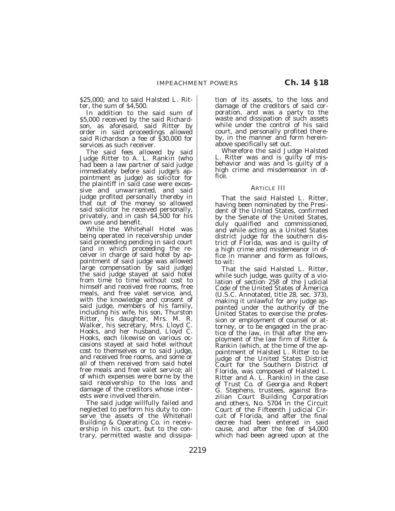\$25,000; and to said Halsted L. Ritter, the sum of \$4,500.

In addition to the said sum of \$5,000 received by the said Richardson, as aforesaid, said Ritter by order in said proceedings allowed said Richardson<sup>'</sup>a fee of \$30,000 for services as such receiver.

The said fees allowed by said Judge Ritter to A. L. Rankin (who had been a law partner of said judge immediately before said judge's appointment as judge) as solicitor for the plaintiff in said case were excessive and unwarranted, and said judge profited personally thereby in that out of the money so allowed said solicitor he received personally, privately, and in cash \$4,500 for his own use and benefit.

While the Whitehall Hotel was being operated in receivership under said proceeding pending in said court (and in which proceeding the receiver in charge of said hotel by appointment of said judge was allowed large compensation by said judge) the said judge stayed at said hotel from time to time without cost to himself and received free rooms, free meals, and free valet service, and, with the knowledge and consent of said judge, members of his family, including his wife, his son, Thurston Ritter, his daughter, Mrs. M. R. Walker, his secretary, Mrs. Lloyd C. Hooks, and her husband, Lloyd C. Hooks, each likewise on various occasions stayed at said hotel without cost to themselves or to said judge, and received free rooms, and some or all of them received from said hotel free meals and free valet service; all of which expenses were borne by the said receivership to the loss and damage of the creditors whose interests were involved therein.

The said judge willfully failed and neglected to perform his duty to conserve the assets of the Whitehall Building & Operating Co. in receivership in his court, but to the contrary, permitted waste and dissipation of its assets, to the loss and damage of the creditors of said corporation, and was a party to the waste and dissipation of such assets while under the control of his said court, and personally profited thereby, in the manner and form hereinabove specifically set out.

Wherefore the said Judge Halsted L. Ritter was and is guilty of misbehavior and was and is guilty of a high crime and misdemeanor in office.

## ARTICLE III

That the said Halsted L. Ritter, having been nominated by the President of the United States, confirmed by the Senate of the United States, duly qualified and commissioned, and while acting as a United States district judge for the southern district of Florida, was and is guilty of a high crime and misdemeanor in office in manner and form as follows, to wit:

That the said Halsted L. Ritter, while such judge, was guilty of a violation of section 258 of the Judicial Code of the United States of America (U.S.C. Annotated, title 28, sec. 373), making it unlawful for any judge appointed under the authority of the United States to exercise the profession or employment of counsel or attorney, or to be engaged in the practice of the law, in that after the employment of the law firm of Ritter & Rankin (which, at the time of the appointment of Halsted L. Ritter to be judge of the United States District Court for the Southern District of Florida, was composed of Halsted L. Ritter and A. L. Rankin) in the case of Trust Co. of Georgia and Robert G. Stephens, trustees, against Brazilian Court Building Corporation and others, No. 5704 in the Circuit Court of the Fifteenth Judicial Circuit of Florida, and after the final decree had been entered in said cause, and after the fee of \$4,000 which had been agreed upon at the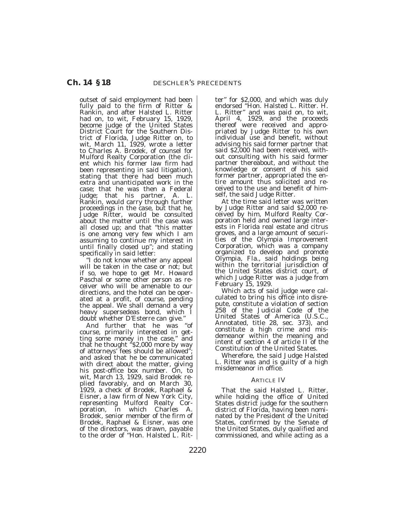outset of said employment had been fully paid to the firm of Ritter & Rankin, and after Halsted L. Ritter had on, to wit, February 15, 1929, become judge of the United States District Court for the Southern District of Florida, Judge Ritter on, to wit, March 11, 1929, wrote a letter to Charles A. Brodek, of counsel for Mulford Realty Corporation (the client which his former law firm had been representing in said litigation), stating that there had been much extra and unanticipated work in the case; that he was then a Federal judge; that his partner, A. L. Rankin, would carry through further proceedings in the case, but that he, Judge Ritter, would be consulted about the matter until the case was all closed up; and that ''this matter is one among very few which I am assuming to continue my interest in until finally closed up''; and stating specifically in said letter:

''I do not know whether any appeal will be taken in the case or not; but if so, we hope to get Mr. Howard Paschal or some other person as receiver who will be amenable to our directions, and the hotel can be operated at a profit, of course, pending the appeal. We shall demand a very heavy supersedeas bond, which I doubt whether D'Esterre can give.''

And further that he was ''of course, primarily interested in getting some money in the case,'' and that he thought "\$2,000 more by way of attorneys' fees should be allowed''; and asked that he be communicated with direct about the matter, giving his post-office box number. On, to wit, March 13, 1929, said Brodek replied favorably, and on March 30, 1929, a check of Brodek, Raphael & Eisner, a law firm of New York City, representing Mulford Realty Corporation, in which Charles A. Brodek, senior member of the firm of Brodek, Raphael & Eisner, was one of the directors, was drawn, payable to the order of ''Hon. Halsted L. Rit-

ter'' for \$2,000, and which was duly endorsed ''Hon. Halsted L. Ritter. H. L. Ritter'' and was paid on, to wit, April 4, 1929, and the proceeds thereof were received and appropriated by Judge Ritter to his own individual use and benefit, without advising his said former partner that said \$2,000 had been received, without consulting with his said former partner thereabout, and without the knowledge or consent of his said former partner, appropriated the entire amount thus solicited and received to the use and benefit of himself, the said Judge Ritter.

At the time said letter was written by Judge Ritter and said \$2,000 received by him, Mulford Realty Corporation held and owned large interests in Florida real estate and citrus groves, and a large amount of securities of the Olympia Improvement Corporation, which was a company organized to develop and promote Olympia, Fla., said holdings being within the territorial jurisdiction of the United States district court, of which Judge Ritter was a judge from February 15, 1929.

Which acts of said judge were cal-<br>culated to bring his office into disrepute, constitute a violation of section 258 of the Judicial Code of the United States of America (U.S.C., Annotated, title 28, sec. 373), and constitute a high crime and misdemeanor within the meaning and intent of section 4 of article II of the Constitution of the United States.

Wherefore, the said Judge Halsted L. Ritter was and is guilty of a high misdemeanor in office.

## ARTICLE IV

That the said Halsted L. Ritter, while holding the office of United States district judge for the southern district of Florida, having been nominated by the President of the United States, confirmed by the Senate of the United States, duly qualified and commissioned, and while acting as a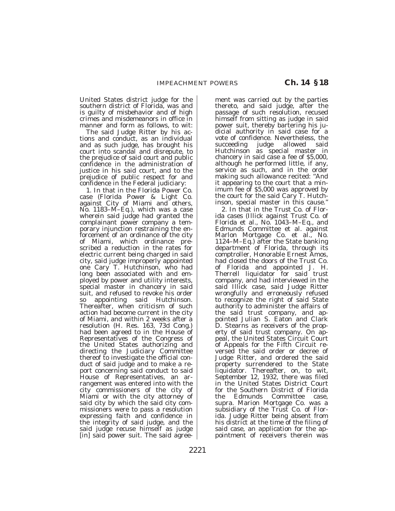United States district judge for the southern district of Florida, was and is guilty of misbehavior and of high crimes and misdemeanors in office in manner and form as follows, to wit:

The said Judge Ritter by his ac- tions and conduct, as an individual and as such judge, has brought his court into scandal and disrepute, to the prejudice of said court and public confidence in the administration of justice in his said court, and to the prejudice of public respect for and confidence in the Federal judiciary:

1. In that in the Florida Power Co. case (Florida Power & Light Co. against City of Miami and others, No. 1183–M–Eq.), which was a case wherein said judge had granted the complainant power company a temporary injunction restraining the enforcement of an ordinance of the city of Miami, which ordinance prescribed a reduction in the rates for electric current being charged in said city, said judge improperly appointed one Cary T. Hutchinson, who had long been associated with and employed by power and utility interests, special master in chancery in said suit, and refused to revoke his order so appointing said Hutchinson. Thereafter, when criticism of such action had become current in the city of Miami, and within 2 weeks after a resolution (H. Res. 163, 73d Cong.) had been agreed to in the House of Representatives of the Congress of the United States authorizing and directing the Judiciary Committee thereof to investigate the official conduct of said judge and to make a report concerning said conduct to said House of Representatives, an arrangement was entered into with the city commissioners of the city of Miami or with the city attorney of said city by which the said city commissioners were to pass a resolution expressing faith and confidence in the integrity of said judge, and the said judge recuse himself as judge [in] said power suit. The said agreement was carried out by the parties thereto, and said judge, after the passage of such resolution, recused himself from sitting as judge in said power suit, thereby bartering his judicial authority in said case for a vote of confidence. Nevertheless, the<br>succeeding judge allowed said succeeding judge allowed said Hutchinson as special master in chancery in said case a fee of \$5,000, although he performed little, if any, service as such, and in the order making such allowance recited: ''And it appearing to the court that a minimum fee of \$5,000 was approved by the court for the said Cary T. Hutchinson, special master in this cause.''

2. In that in the Trust Co. of Florida cases (Illick against Trust Co. of Florida et al., No. 1043–M–Eq., and Edmunds Committee et al. against Marlon Mortgage Co. et al., No. 1124–M–Eq.) after the State banking department of Florida, through its comptroller, Honorable Ernest Amos, had closed the doors of the Trust Co. of Florida and appointed J. H. Therrell liquidator for said trust company, and had interviewed in the said Illick case, said Judge Ritter wrongfully and erroneously refused to recognize the right of said State authority to administer the affairs of the said trust company, and appointed Julian S. Eaton and Clark D. Stearns as receivers of the property of said trust company. On appeal, the United States Circuit Court of Appeals for the Fifth Circuit reversed the said order or decree of Judge Ritter, and ordered the said property surrendered to the State liquidator. Thereafter, on, to wit, September 12, 1932, there was filed in the United States District Court for the Southern District of Florida<br>the Edmunds Committee case, the Edmunds Committee case, supra. Marion Mortgage Co. was a subsidiary of the Trust Co. of Florida. Judge Ritter being absent from his district at the time of the filing of said case, an application for the appointment of receivers therein was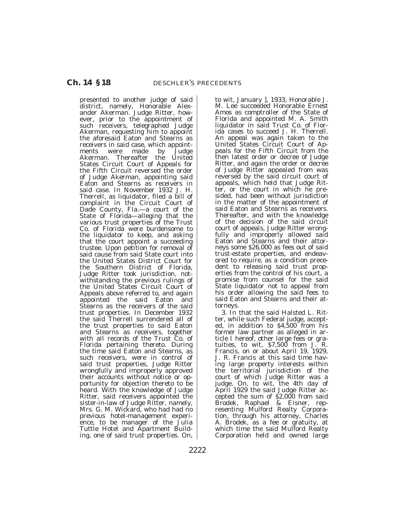presented to another judge of said district, namely, Honorable Alexander Akerman. Judge Ritter, however, prior to the appointment of such receivers, telegraphed Judge Akerman, requesting him to appoint the aforesaid Eaton and Stearns as receivers in said case, which appointments were made by Judge Akerman. Thereafter the United States Circuit Court of Appeals for the Fifth Circuit reversed the order of Judge Akerman, appointing said Eaton and Stearns as receivers in said case. In November 1932 J. H. Therrell, as liquidator, filed a bill of complaint in the Circuit Court of Dade County, Fla.—a court of the State of Florida—alleging that the various trust properties of the Trust Co. of Florida were burdensome to the liquidator to keep, and asking that the court appoint a succeeding trustee. Upon petition for removal of said cause from said State court into the United States District Court for the Southern District of Florida, Judge Ritter took jurisdiction, notwithstanding the previous rulings of the United States Circuit Court of Appeals above referred to, and again appointed the said Eaton and Stearns as the receivers of the said trust properties. In December 1932 the said Therrell surrendered all of the trust properties to said Eaton and Stearns as receivers, together with all records of the Trust Co. of Florida pertaining thereto. During the time said Eaton and Stearns, as such receivers, were in control of said trust properties, Judge Ritter wrongfully and improperly approved their accounts without notice or opportunity for objection thereto to be heard. With the knowledge of Judge Ritter, said receivers appointed the sister-in-law of Judge Ritter, namely, Mrs. G. M. Wickard, who had had no previous hotel-management experience, to be manager of the Julia Tuttle Hotel and Apartment Building, one of said trust properties. On,

to wit, January ], 1933, Honorable J. M. Lee succeeded Honorable Ernest Amos as comptroller of the State of Florida and appointed M. A. Smith liquidator in said Trust Co. of Florida cases to succeed J. H. Therrell. An appeal was again taken to the United States Circuit Court of Appeals for the Fifth Circuit from the then latest order or decree of Judge Ritter, and again the order or decree of Judge Ritter appealed from was reversed by the said circuit court of appeals, which held that Judge Ritter, or the court in which he presided, had been without jurisdiction in the matter of the appointment of said Eaton and Stearns as receivers. Thereafter, and with the knowledge of the decision of the said circuit court of appeals, Judge Ritter wrongfully and improperly allowed said Eaton and Stearns and their attorneys some \$26,000 as fees out of said trust-estate properties, and endeavored to require, as a condition precedent to releasing said trust properties from the control of his court, a promise from counsel for the said State liquidator not to appeal from his order allowing the said fees to said Eaton and Stearns and their attorneys.

3. In that the said Halsted L. Ritter, while such Federal judge, accepted, in addition to \$4,500 from his former law partner as alleged in article I hereof, other large fees or gratuities, to wit, \$7,500 from J. R. Francis, on or about April 19, 1929, J. R. Francis at this said time having large property interests within the territorial jurisdiction of the court of which Judge Ritter was a judge. On, to wit, the 4th day of April 1929 the said Judge Ritter accepted the sum of \$2,000 from said Brodek, Raphael & Eisner, representing Mulford Realty Corporation, through his attorney, Charles A. Brodek, as a fee or gratuity, at which time the said Mulford Realty Corporation held and owned large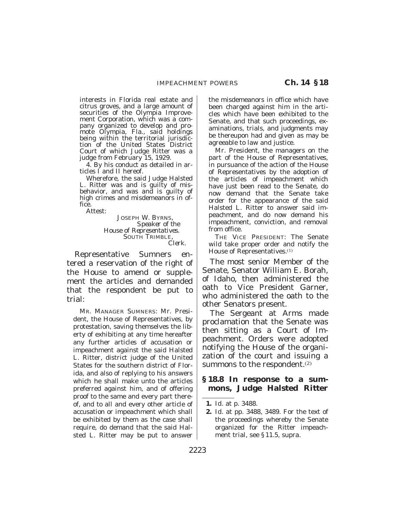interests in Florida real estate and citrus groves, and a large amount of securities of the Olympia Improvement Corporation, which was a company organized to develop and promote Olympia, Fla., said holdings being within the territorial jurisdiction of the United States District Court of which Judge Ritter was a judge from February 15, 1929.

4. By his conduct as detailed in articles I and II hereof.

Wherefore, the said Judge Halsted L. Ritter was and is guilty of misbehavior, and was and is guilty of high crimes and misdemeanors in office.

Attest:

JOSEPH W. BYRNS, *Speaker of the House of Representatives.* SOUTH TRIMBLE, *Clerk.*

Representative Sumners entered a reservation of the right of the House to amend or supplement the articles and demanded that the respondent be put to trial:

MR. MANAGER SUMNERS: Mr. President, the House of Representatives, by protestation, saving themselves the liberty of exhibiting at any time hereafter any further articles of accusation or impeachment against the said Halsted L. Ritter, district judge of the United States for the southern district of Florida, and also of replying to his answers which he shall make unto the articles preferred against him, and of offering proof to the same and every part thereof, and to all and every other article of accusation or impeachment which shall be exhibited by them as the case shall require, do demand that the said Halsted L. Ritter may be put to answer

the misdemeanors in office which have been charged against him in the articles which have been exhibited to the Senate, and that such proceedings, examinations, trials, and judgments may be thereupon had and given as may be agreeable to law and justice.

Mr. President, the managers on the part of the House of Representatives, in pursuance of the action of the House of Representatives by the adoption of the articles of impeachment which have just been read to the Senate, do now demand that the Senate take order for the appearance of the said Halsted L. Ritter to answer said impeachment, and do now demand his impeachment, conviction, and removal from office.

THE VICE PRESIDENT: The Senate wild take proper order and notify the House of Representatives.(1)

The most senior Member of the Senate, Senator William E. Borah, of Idaho, then administered the oath to Vice President Garner, who administered the oath to the other Senators present.

The Sergeant at Arms made proclamation that the Senate was then sitting as a Court of Impeachment. Orders were adopted notifying the House of the organization of the court and issuing a summons to the respondent.<sup>(2)</sup>

# **§ 18.8 In response to a summons, Judge Halsted Ritter**

**<sup>1.</sup>** *Id.* at p. 3488.

**<sup>2.</sup>** *Id.* at pp. 3488, 3489. For the text of the proceedings whereby the Senate organized for the Ritter impeachment trial, see § 11.5, supra.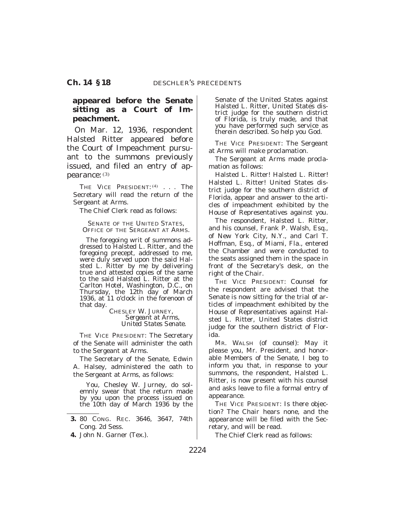# **appeared before the Senate sitting as a Court of Impeachment.**

On Mar. 12, 1936, respondent Halsted Ritter appeared before the Court of Impeachment pursuant to the summons previously issued, and filed an entry of appearance: (3)

THE VICE PRESIDENT: (4) . . . The Secretary will read the return of the Sergeant at Arms.

The Chief Clerk read as follows:

SENATE OF THE UNITED STATES, OFFICE OF THE SERGEANT AT ARMS.

The foregoing writ of summons addressed to Halsted L. Ritter, and the foregoing precept, addressed to me, were duly served upon the said Halsted L. Ritter by me by delivering true and attested copies of the same to the said Halsted L. Ritter at the Carlton Hotel, Washington, D.C., on Thursday, the 12th day of March 1936, at 11 o'clock in the forenoon of that day.

CHESLEY W. JURNEY, *Sergeant at Arms, United States Senate.*

THE VICE PRESIDENT: The Secretary of the Senate will administer the oath to the Sergeant at Arms.

The Secretary of the Senate, Edwin A. Halsey, administered the oath to the Sergeant at Arms, as follows:

You, Chesley W. Jurney, do solemnly swear that the return made by you upon the process issued on the 10th day of March 1936 by the

- **3.** 80 CONG. REC. 3646, 3647, 74th Cong. 2d Sess.
- **4.** John N. Garner (Tex.).

Senate of the United States against Halsted L. Ritter, United States district judge for the southern district of Florida, is truly made, and that you have performed such service as therein described. So help you God.

THE VICE PRESIDENT: The Sergeant at Arms will make proclamation.

The Sergeant at Arms made proclamation as follows:

Halsted L. Ritter! Halsted L. Ritter! Halsted L. Ritter! United States district judge for the southern district of Florida, appear and answer to the articles of impeachment exhibited by the House of Representatives against you.

The respondent, Halsted L. Ritter, and his counsel, Frank P. Walsh, Esq., of New York City, N.Y., and Carl T. Hoffman, Esq., of Miami, Fla., entered the Chamber and were conducted to the seats assigned them in the space in front of the Secretary's desk, on the right of the Chair.

THE VICE PRESIDENT: Counsel for the respondent are advised that the Senate is now sitting for the trial of articles of impeachment exhibited by the House of Representatives against Halsted L. Ritter, United States district judge for the southern district of Florida.

MR. WALSH (of counsel): May it please you, Mr. President, and honorable Members of the Senate, I beg to inform you that, in response to your summons, the respondent, Halsted L. Ritter, is now present with his counsel and asks leave to file a formal entry of appearance.

THE VICE PRESIDENT: Is there objection? The Chair hears none, and the appearance will be filed with the Secretary, and will be read.

The Chief Clerk read as follows: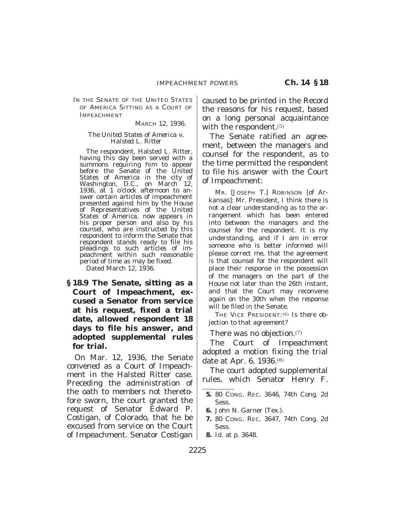IN THE SENATE OF THE UNITED STATES OF AMERICA SITTING AS A COURT OF IMPEACHMENT

MARCH 12, 1936.

## *The United States of America* v. *Halsted L. Ritter*

The respondent, Halsted L. Ritter, having this day been served with a summons requiring him to appear before the Senate of the United States of America in the city of Washington, D.C., on March 12, 1936, at 1 o'clock afternoon to answer certain articles of impeachment presented against him by the House of Representatives of the United States of America, now appears in his proper person and also by his counsel, who are instructed by this respondent to inform the Senate that respondent stands ready to file his pleadings to such articles of impeachment within such reasonable period of time as may be fixed.

Dated March 12, 1936.

**§ 18.9 The Senate, sitting as a Court of Impeachment, excused a Senator from service at his request, fixed a trial date, allowed respondent 18 days to file his answer, and adopted supplemental rules for trial.**

On Mar. 12, 1936, the Senate convened as a Court of Impeachment in the Halsted Ritter case. Preceding the administration of the oath to members not theretofore sworn, the court granted the request of Senator Edward P. Costigan, of Colorado, that he be excused from service on the Court of Impeachment. Senator Costigan

caused to be printed in the Record the reasons for his request, based on a long personal acquaintance with the respondent.<sup>(5)</sup>

The Senate ratified an agreement, between the managers and counsel for the respondent, as to the time permitted the respondent to file his answer with the Court of Impeachment:

MR. [JOSEPH T.] ROBINSON [of Arkansas]: Mr. President, I think there is not a clear understanding as to the arrangement which has been entered into between the managers and the counsel for the respondent. It is my understanding, and if I am in error someone who is better informed will please correct me, that the agreement is that counsel for the respondent will place their response in the possession of the managers on the part of the House not later than the 26th instant, and that the Court may reconvene again on the 30th when the response will be filed in the Senate.

THE VICE PRESIDENT: (6) Is there objection to that agreement?

There was no objection.(7)

The Court of Impeachment adopted a motion fixing the trial date at Apr. 6, 1936.(8)

The court adopted supplemental rules, which Senator Henry F.

- **5.** 80 CONG. REC. 3646, 74th Cong. 2d Sess.
- **6.** John N. Garner (Tex.).
- **7.** 80 CONG. REC. 3647, 74th Cong. 2d Sess.
- **8.** *Id.* at p. 3648.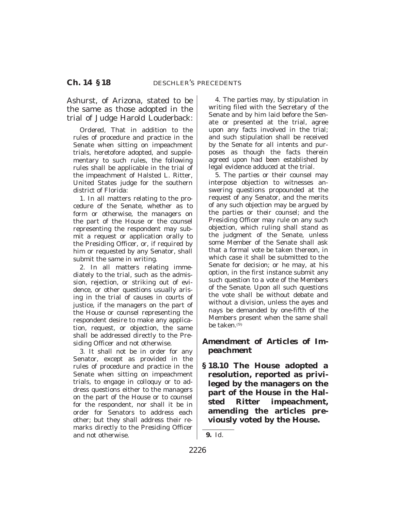Ashurst, of Arizona, stated to be the same as those adopted in the trial of Judge Harold Louderback:

*Ordered,* That in addition to the rules of procedure and practice in the Senate when sitting on impeachment trials, heretofore adopted, and supplementary to such rules, the following rules shall be applicable in the trial of the impeachment of Halsted L. Ritter, United States judge for the southern district of Florida:

1. In all matters relating to the procedure of the Senate, whether as to form or otherwise, the managers on the part of the House or the counsel representing the respondent may submit a request or application orally to the Presiding Officer, or, if required by him or requested by any Senator, shall submit the same in writing.

2. In all matters relating immediately to the trial, such as the admission, rejection, or striking out of evidence, or other questions usually arising in the trial of causes in courts of justice, if the managers on the part of the House or counsel representing the respondent desire to make any application, request, or objection, the same shall be addressed directly to the Presiding Officer and not otherwise.

3. It shall not be in order for any Senator, except as provided in the rules of procedure and practice in the Senate when sitting on impeachment trials, to engage in colloquy or to address questions either to the managers on the part of the House or to counsel for the respondent, nor shall it be in order for Senators to address each other; but they shall address their remarks directly to the Presiding Officer and not otherwise.

4. The parties may, by stipulation in writing filed with the Secretary of the Senate and by him laid before the Senate or presented at the trial, agree upon any facts involved in the trial; and such stipulation shall be received by the Senate for all intents and purposes as though the facts therein agreed upon had been established by legal evidence adduced at the trial.

5. The parties or their counsel may interpose objection to witnesses answering questions propounded at the request of any Senator, and the merits of any such objection may be argued by the parties or their counsel; and the Presiding Officer may rule on any such objection, which ruling shall stand as the judgment of the Senate, unless some Member of the Senate shall ask that a formal vote be taken thereon, in which case it shall be submitted to the Senate for decision; or he may, at his option, in the first instance submit any such question to a vote of the Members of the Senate. Upon all such questions the vote shall be without debate and without a division, unless the ayes and nays be demanded by one-fifth of the Members present when the same shall be taken.(9)

# *Amendment of Articles of Impeachment*

**§ 18.10 The House adopted a resolution, reported as privileged by the managers on the part of the House in the Halsted Ritter impeachment, amending the articles previously voted by the House.**

**<sup>9.</sup>** *Id.*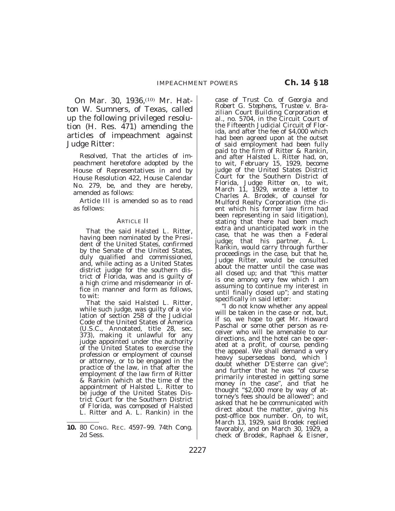On Mar. 30, 1936, (10) Mr. Hatton W. Sumners, of Texas, called up the following privileged resolution (H. Res. 471) amending the articles of impeachment against Judge Ritter:

*Resolved,* That the articles of impeachment heretofore adopted by the House of Representatives in and by House Resolution 422, House Calendar No. 279, be, and they are hereby, amended as follows:

Article III is amended so as to read as follows:

#### ARTICLE II

That the said Halsted L. Ritter, having been nominated by the President of the United States, confirmed by the Senate of the United States, duly qualified and commissioned, and, while acting as a United States district judge for the southern district of Florida, was and is guilty of a high crime and misdemeanor in office in manner and form as follows, to wit:

That the said Halsted L. Ritter, while such judge, was guilty of a violation of section 258 of the Judicial Code of the United States of America (U.S.C., Annotated, title 28, sec. 373), making it unlawful for any judge appointed under the authority of the United States to exercise the profession or employment of counsel or attorney, or to be engaged in the practice of the law, in that after the employment of the law firm of Ritter & Rankin (which at the time of the appointment of Halsted L. Ritter to be judge of the United States District Court for the Southern District of Florida, was composed of Halsted L. Ritter and A. L. Rankin) in the case of *Trust Co. of Georgia and Robert G. Stephens, Trustee* v. *Brazilian Court Building Corporation et al.,* no. 5704, in the Circuit Court of the Fifteenth Judicial Circuit of Florida, and after the fee of \$4,000 which had been agreed upon at the outset of said employment had been fully paid to the firm of Ritter & Rankin, and after Halsted L. Ritter had, on, to wit, February 15, 1929, become judge of the United States District Court for the Southern District of Florida, Judge Ritter on, to wit, March 11, 1929, wrote a letter to Charles A. Brodek, of counsel for Mulford Realty Corporation (the client which his former law firm had been representing in said litigation), stating that there had been much extra and unanticipated work in the case, that he was then a Federal judge; that his partner, A. L. Rankin, would carry through further proceedings in the case, but that he, Judge Ritter, would be consulted about the matter until the case was all closed up; and that ''this matter is one among very few which I am assuming to continue my interest in until finally closed up''; and stating specifically in said letter:

''I do not know whether any appeal will be taken in the case or not, but, if so, we hope to get Mr. Howard Paschal or some other person as receiver who will be amenable to our directions, and the hotel can be operated at a profit, of course, pending the appeal. We shall demand a very heavy supersedeas bond, which I doubt whether D'Esterre can give''; and further that he was ''of course primarily interested in getting some money in the case'', and that he thought ''\$2,000 more by way of attorney's fees should be allowed''; and asked that he be communicated with direct about the matter, giving his post-office box number. On, to wit, March 13, 1929, said Brodek replied favorably, and on March 30, 1929, a check of Brodek, Raphael & Eisner,

**<sup>10.</sup>** 80 CONG. REC. 4597–99. 74th Cong. 2d Sess.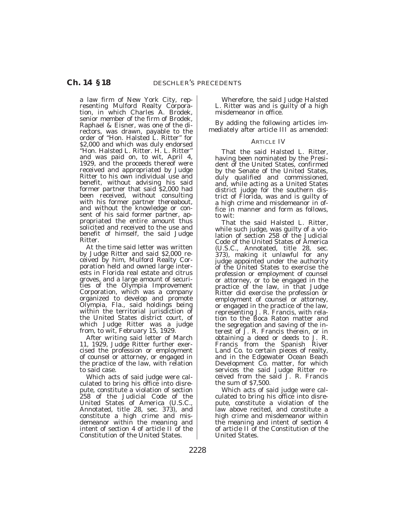a law firm of New York City, representing Mulford Realty Corporation, in which Charles A. Brodek, senior member of the firm of Brodek, Raphael & Eisner, was one of the directors, was drawn, payable to the order of ''Hon. Halsted L. Ritter'' for \$2,000 and which was duly endorsed ''Hon. Halsted L. Ritter. H. L. Ritter'' and was paid on, to wit, April 4, 1929, and the proceeds thereof were received and appropriated by Judge Ritter to his own individual use and benefit, without advising his said former partner that said \$2,000 had been received, without consulting with his former partner thereabout, and without the knowledge or consent of his said former partner, appropriated the entire amount thus solicited and received to the use and benefit of himself, the said Judge Ritter.

At the time said letter was written by Judge Ritter and said \$2,000 received by him, Mulford Realty Corporation held and owned large interests in Florida real estate and citrus groves, and a large amount of securities of the Olympia Improvement Corporation, which was a company organized to develop and promote Olympia, Fla., said holdings being within the territorial jurisdiction of the United States district court, of which Judge Ritter was a judge from, to wit, February 15, 1929.

After writing said letter of March 11, 1929, Judge Ritter further exercised the profession or employment of counsel or attorney, or engaged in the practice of the law, with relation to said case.

Which acts of said judge were calculated to bring his office into disrepute, constitute a violation of section 258 of the Judicial Code of the United States of America (U.S.C., Annotated, title 28, sec. 373), and constitute a high crime and misdemeanor within the meaning and intent of section 4 of article II of the Constitution of the United States.

Wherefore, the said Judge Halsted L. Ritter was and is guilty of a high misdemeanor in office.

By adding the following articles immediately after article III as amended:

#### ARTICLE IV

That the said Halsted L. Ritter, having been nominated by the President of the United States, confirmed by the Senate of the United States, duly qualified and commissioned, and, while acting as a United States district judge for the southern district of Florida, was and is guilty of a high crime and misdemeanor in office in manner and form as follows, to wit:

That the said Halsted L. Ritter, while such judge, was guilty of a violation of section 258 of the Judicial Code of the United States of America (U.S.C., Annotated, title 28, sec. 373), making it unlawful for any judge appointed under the authority of the United States to exercise the profession or employment of counsel or attorney, or to be engaged in the practice of the law, in that Judge Ritter did exercise the profession or employment of counsel or attorney, or engaged in the practice of the law, representing J. R. Francis, with relation to the Boca Raton matter and the segregation and saving of the interest of J. R. Francis therein, or in obtaining a deed or deeds to J. R. Francis from the Spanish River Land Co. to certain pieces of realty, and in the Edgewater Ocean Beach Development Co. matter, for which services the said Judge Ritter received from the said J. R. Francis the sum of \$7,500.

Which acts of said judge were calculated to bring his office into disrepute, constitute a violation of the law above recited, and constitute a high crime and misdemeanor within the meaning and intent of section 4 of article II of the Constitution of the United States.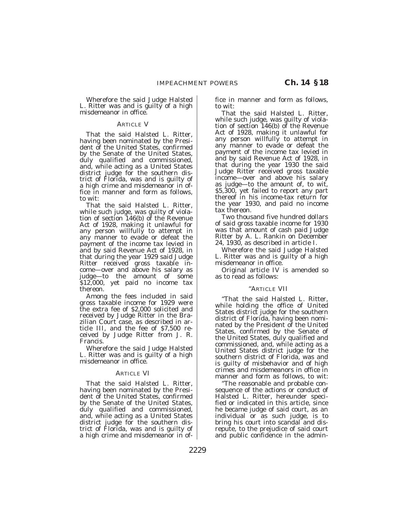Wherefore the said Judge Halsted L. Ritter was and is guilty of a high misdemeanor in office.

#### ARTICLE V

That the said Halsted L. Ritter, having been nominated by the President of the United States, confirmed by the Senate of the United States, duly qualified and commissioned, and, while acting as a United States district judge for the southern district of Florida, was and is guilty of a high crime and misdemeanor in office in manner and form as follows, to wit:

That the said Halsted L. Ritter, while such judge, was guilty of violation of section 146(b) of the Revenue Act of 1928, making it unlawful for any person willfully to attempt in any manner to evade or defeat the payment of the income tax levied in and by said Revenue Act of 1928, in that during the year 1929 said Judge Ritter received gross taxable income—over and above his salary as judge—to the amount of some \$12,000, yet paid no income tax thereon.

Among the fees included in said gross taxable income for 1929 were the extra fee of \$2,000 solicited and received by Judge Ritter in the Brazilian Court case, as described in article III, and the fee of \$7,500 received by Judge Ritter from J. R. Francis.

Wherefore the said Judge Halsted L. Ritter was and is guilty of a high misdemeanor in office.

#### ARTICLE VI

That the said Halsted L. Ritter, having been nominated by the President of the United States, confirmed by the Senate of the United States, duly qualified and commissioned, and, while acting as a United States district judge for the southern district of Florida, was and is guilty of a high crime and misdemeanor in office in manner and form as follows, to wit:

That the said Halsted L. Ritter, while such judge, was guilty of violation of section 146(b) of the Revenue Act of 1928, making it unlawful for any person willfully to attempt in any manner to evade or defeat the payment of the income tax levied in and by said Revenue Act of 1928, in that during the year 1930 the said Judge Ritter received gross taxable income—over and above his salary as judge—to the amount of, to wit, \$5,300, yet failed to report any part thereof in his income-tax return for the year 1930, and paid no income tax thereon.

Two thousand five hundred dollars of said gross taxable income for 1930 was that amount of cash paid Judge Ritter by A. L. Rankin on December 24, 1930, as described in article I.

Wherefore the said Judge Halsted L. Ritter was and is guilty of a high misdemeanor in office.

Original article IV is amended so as to read as follows:

#### ''ARTICLE VII

''That the said Halsted L. Ritter, while holding the office of United States district judge for the southern district of Florida, having been nominated by the President of the United States, confirmed by the Senate of the United States, duly qualified and commissioned, and, while acting as a United States district judge for the southern district of Florida, was and is guilty of misbehavior and of high crimes and misdemeanors in office in manner and form as follows, to wit:

''The reasonable and probable consequence of the actions or conduct of Halsted L. Ritter, hereunder specified or indicated in this article, since he became judge of said court, as an individual or as such judge, is to bring his court into scandal and disrepute, to the prejudice of said court and public confidence in the admin-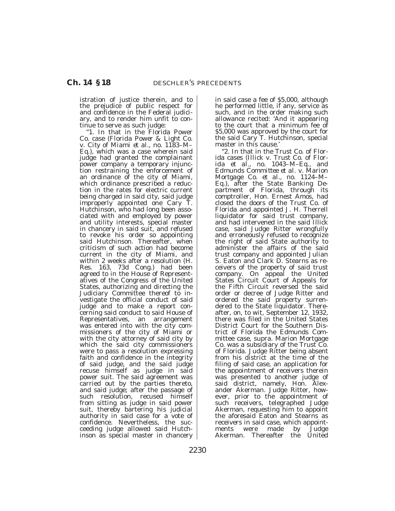istration of justice therein, and to the prejudice of public respect for and confidence in the Federal judiciary, and to render him unfit to continue to serve as such judge:

''1. In that in the Florida Power Co. case (*Florida Power & Light Co.* v. *City of Miami et al.*, no. 1183–M– Eq.), which was a case wherein said judge had granted the complainant power company a temporary injunction restraining the enforcement of an ordinance of the city of Miami, which ordinance prescribed a reduction in the rates for electric current being charged in said city, said judge improperly appointed one Cary T. Hutchinson, who had long been associated with and employed by power and utility interests, special master in chancery in said suit, and refused to revoke his order so appointing said Hutchinson. Thereafter, when criticism of such action had become current in the city of Miami, and within 2 weeks after a resolution (H. Res. 163, 73d Cong.) had been agreed to in the House of Representatives of the Congress of the United States, authorizing and directing the Judiciary Committee thereof to investigate the official conduct of said judge and to make a report concerning said conduct to said House of Representatives, an arrangement was entered into with the city commissioners of the city of Miami or with the city attorney of said city by which the said city commissioners were to pass a resolution expressing faith and confidence in the integrity of said judge, and the said judge recuse himself as judge in said power suit. The said agreement was carried out by the parties thereto, and said judge; after the passage of such resolution, recused himself from sitting as judge in said power suit, thereby bartering his judicial authority in said case for a vote of confidence. Nevertheless, the succeeding judge allowed said Hutchinson as special master in chancery in said case a fee of \$5,000, although he performed little, if any, service as such, and in the order making such allowance recited: 'And it appearing to the court that a minimum fee of \$5,000 was approved by the court for the said Cary T. Hutchinson, special master in this cause.'

''2. In that in the Trust Co. of Florida cases (*Illick* v. *Trust Co. of Florida et al.,* no. 1043–M–Eq., and *Edmunds Committee et al.* v. *Marion Mortgage Co. et al.,* no. 1124–M– Eq.), after the State Banking Department of Florida, through its comptroller, Hon. Ernest Amos, had closed the doors of the Trust Co. of Florida and appointed J. H. Therrell liquidator for said trust company, and had intervened in the said Illick case, said Judge Ritter wrongfully and erroneously refused to recognize the right of said State authority to administer the affairs of the said trust company and appointed Julian S. Eaton and Clark D. Stearns as receivers of the property of said trust company. On appeal the United States Circuit Court of Appeals for the Fifth Circuit reversed the said order or decree of Judge Ritter and ordered the said property surrendered to the State liquidator. Thereafter, on, to wit, September 12, 1932, there was filed in the United States District Court for the Southern District of Florida the Edmunds Committee case, supra. Marion Mortgage Co. was a subsidiary of the Trust Co. of Florida. Judge Ritter being absent from his district at the time of the filing of said case, an application for the appointment of receivers therein was presented to another judge of said district, namely, Hon. Alexander Akerman. Judge Ritter, however, prior to the appointment of such receivers, telegraphed Judge Akerman, requesting him to appoint the aforesaid Eaton and Stearns as receivers in said case, which appoint-<br>ments were made by Judge ments were made by Judge Akerman. Thereafter the United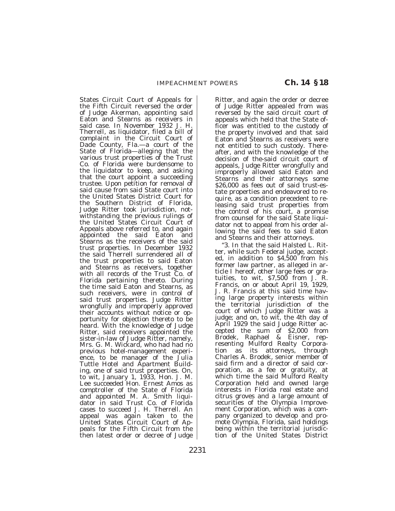States Circuit Court of Appeals for the Fifth Circuit reversed the order of Judge Akerman, appointing said Eaton and Stearns as receivers in said case. In November 1932 J. H. Therrell, as liquidator, filed a bill of complaint in the Circuit Court of Dade County, Fla.—a court of the State of Florida—alleging that the various trust properties of the Trust Co. of Florida were burdensome to the liquidator to keep, and asking that the court appoint a succeeding trustee. Upon petition for removal of said cause from said State court into the United States District Court for the Southern District of Florida, Judge Ritter took jurisdiction, notwithstanding the previous rulings of the United States Circuit Court of Appeals above referred to, and again appointed the said Eaton and Stearns as the receivers of the said trust properties. In December 1932 the said Therrell surrendered all of the trust properties to said Eaton and Stearns as receivers, together with all records of the Trust Co. of Florida pertaining thereto. During the time said Eaton and Stearns, as such receivers, were in control of said trust properties. Judge Ritter wrongfully and improperly approved their accounts without notice or opportunity for objection thereto to be heard. With the knowledge of Judge Ritter, said receivers appointed the sister-in-law of Judge Ritter, namely, Mrs. G. M. Wickard, who had had no previous hotel-management experience, to be manager of the Julia Tuttle Hotel and Apartment Building, one of said trust properties. On, to wit, January 1, 1933, Hon. J. M. Lee succeeded Hon. Ernest Amos as comptroller of the State of Florida and appointed M. A. Smith liquidator in said Trust Co. of Florida cases to succeed J. H. Therrell. An appeal was again taken to the United States Circuit Court of Appeals for the Fifth Circuit from the then latest order or decree of Judge Ritter, and again the order or decree of Judge Ritter appealed from was reversed by the said circuit court of appeals which held that the State officer was entitled to the custody of the property involved and that said Eaton and Stearns as receivers were not entitled to such custody. Thereafter, and with the knowledge of the decision of the-said circuit court of appeals, Judge Ritter wrongfully and improperly allowed said Eaton and Stearns and their attorneys some \$26,000 as fees out of said trust-estate properties and endeavored to require, as a condition precedent to releasing said trust properties from the control of his court, a promise from counsel for the said State liquidator not to appeal from his order allowing the said fees to said Eaton and Stearns and their attorneys.

''3. In that the said Halsted L. Ritter, while such Federal judge, accepted, in addition to \$4,500 from his former law partner, as alleged in article I hereof, other large fees or gratuities, to wit,  $$7,500$  from J. R. Francis, on or about April 19, 1929, J. R. Francis at this said time having large property interests within the territorial jurisdiction of the court of which Judge Ritter was a judge; and on, to wit, the 4th day of April 1929 the said Judge Ritter accepted the sum of \$2,000 from Brodek, Raphael & Eisner, representing Mulford Realty Corporation as its attorneys, through Charles A. Brodek, senior member of said firm and a director of said corporation, as a fee or gratuity, at which time the said Mulford Realty Corporation held and owned large interests in Florida real estate and citrus groves and a large amount of securities of the Olympia Improvement Corporation, which was a company organized to develop and promote Olympia, Florida, said holdings being within the territorial jurisdiction of the United States District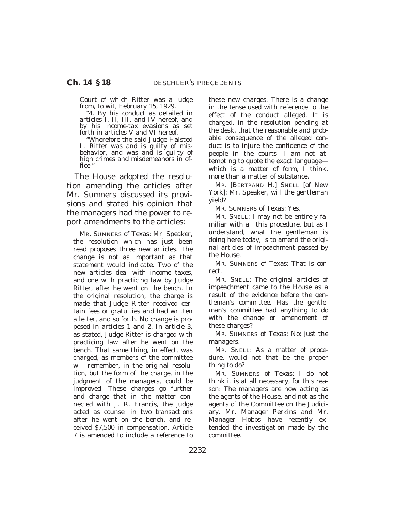Court of which Ritter was a judge from, to wit, February 15, 1929.

''4. By his conduct as detailed in articles I, II, III, and IV hereof, and by his income-tax evasions as set forth in articles V and VI hereof.

'Wherefore the said Judge Halsted L. Ritter was and is guilty of misbehavior, and was and is guilty of high crimes and misdemeanors in office.'

The House adopted the resolution amending the articles after Mr. Sumners discussed its provisions and stated his opinion that the managers had the power to report amendments to the articles:

MR. SUMNERS of Texas: Mr. Speaker, the resolution which has just been read proposes three new articles. The change is not as important as that statement would indicate. Two of the new articles deal with income taxes, and one with practicing law by Judge Ritter, after he went on the bench. In the original resolution, the charge is made that Judge Ritter received certain fees or gratuities and had written a letter, and so forth. No change is proposed in articles 1 and 2. In article 3, as stated, Judge Ritter is charged with practicing law after he went on the bench. That same thing, in effect, was charged, as members of the committee will remember, in the original resolution, but the form of the charge, in the judgment of the managers, could be improved. These charges go further and charge that in the matter connected with J. R. Francis, the judge acted as counsel in two transactions after he went on the bench, and received \$7,500 in compensation. Article 7 is amended to include a reference to

these new charges. There is a change in the tense used with reference to the effect of the conduct alleged. It is charged, in the resolution pending at the desk, that the reasonable and probable consequence of the alleged conduct is to injure the confidence of the people in the courts—I am not attempting to quote the exact language which is a matter of form, I think, more than a matter of substance.

MR. [BERTRAND H.] SNELL [of New York]: Mr. Speaker, will the gentleman yield?

MR. SUMNERS of Texas: Yes.

MR. SNELL: I may not be entirely familiar with all this procedure, but as I understand, what the gentleman is doing here today, is to amend the original articles of impeachment passed by the House.

MR. SUMNERS of Texas: That is correct.

MR. SNELL: The original articles of impeachment came to the House as a result of the evidence before the gentleman's committee. Has the gentleman's committee had anything to do with the change or amendment of these charges?

MR. SUMNERS of Texas: No; just the managers.

MR. SNELL: As a matter of procedure, would not that be the proper thing to do?

MR. SUMNERS of Texas: I do not think it is at all necessary, for this reason: The managers are now acting as the agents of the House, and not as the agents of the Committee on the Judiciary. Mr. Manager Perkins and Mr. Manager Hobbs have recently extended the investigation made by the committee.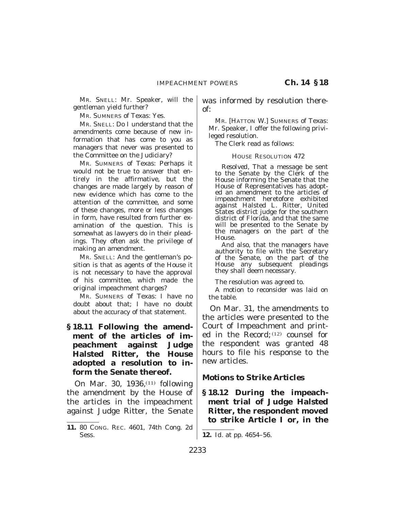MR. SNELL: Mr. Speaker, will the gentleman yield further?

MR. SUMNERS of Texas: Yes.

MR. SNELL: Do I understand that the amendments come because of new information that has come to you as managers that never was presented to the Committee on the Judiciary?

MR. SUMNERS of Texas: Perhaps it would not be true to answer that entirely in the affirmative, but the changes are made largely by reason of new evidence which has come to the attention of the committee, and some of these changes, more or less changes in form, have resulted from further examination of the question. This is somewhat as lawyers do in their pleadings. They often ask the privilege of making an amendment.

MR. SNELL: And the gentleman's position is that as agents of the House it is not necessary to have the approval of his committee, which made the original impeachment charges?

MR. SUMNERS of Texas: I have no doubt about that; I have no doubt about the accuracy of that statement.

# **§ 18.11 Following the amendment of the articles of impeachment against Judge Halsted Ritter, the House adopted a resolution to inform the Senate thereof.**

On Mar. 30, 1936, (11) following the amendment by the House of the articles in the impeachment against Judge Ritter, the Senate was informed by resolution thereof:

MR. [HATTON W.] SUMNERS of Texas: Mr. Speaker, I offer the following privileged resolution.

The Clerk read as follows:

#### HOUSE RESOLUTION 472

*Resolved,* That a message be sent to the Senate by the Clerk of the House informing the Senate that the House of Representatives has adopted an amendment to the articles of impeachment heretofore exhibited against Halsted L. Ritter, United States district judge for the southern district of Florida, and that the same will be presented to the Senate by the managers on the part of the House.

And also, that the managers have authority to file with the Secretary of the Senate, on the part of the House any subsequent pleadings they shall deem necessary.

The resolution was agreed to.

A motion to reconsider was laid on the table.

On Mar. 31, the amendments to the articles were presented to the Court of Impeachment and printed in the Record; (12) counsel for the respondent was granted 48 hours to file his response to the new articles.

## *Motions to Strike Articles*

**§ 18.12 During the impeachment trial of Judge Halsted Ritter, the respondent moved to strike Article I or, in the**

**<sup>11.</sup>** 80 CONG. REC. 4601, 74th Cong. 2d Sess. **12.** *Id.* at pp. 4654–56.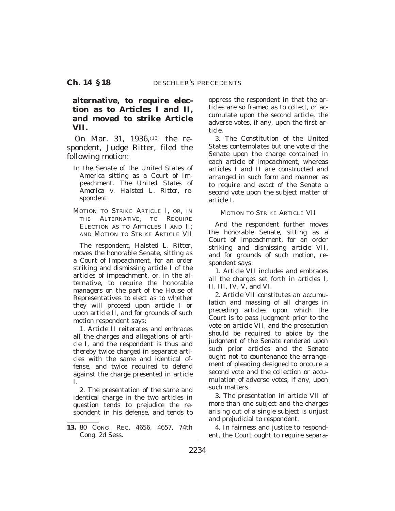# **alternative, to require election as to Articles I and II, and moved to strike Article VII.**

On Mar. 31, 1936, (13) the respondent, Judge Ritter, filed the following motion:

- In the Senate of the United States of America sitting as a Court of Impeachment. *The United States of America v. Halsted L. Ritter, respondent*
- MOTION TO STRIKE ARTICLE I, OR, IN THE ALTERNATIVE, TO REQUIRE ELECTION AS TO ARTICLES I AND II; AND MOTION TO STRIKE ARTICLE VII

The respondent, Halsted L. Ritter, moves the honorable Senate, sitting as a Court of Impeachment, for an order striking and dismissing article I of the articles of impeachment, or, in the alternative, to require the honorable managers on the part of the House of Representatives to elect as to whether they will proceed upon article I or upon article II, and for grounds of such motion respondent says:

1. Article II reiterates and embraces all the charges and allegations of article I, and the respondent is thus and thereby twice charged in separate articles with the same and identical offense, and twice required to defend against the charge presented in article I.

2. The presentation of the same and identical charge in the two articles in question tends to prejudice the respondent in his defense, and tends to oppress the respondent in that the articles are so framed as to collect, or accumulate upon the second article, the adverse votes, if any, upon the first article.

3. The Constitution of the United States contemplates but one vote of the Senate upon the charge contained in each article of impeachment, whereas articles I and II are constructed and arranged in such form and manner as to require and exact of the Senate a second vote upon the subject matter of article I.

## MOTION TO STRIKE ARTICLE VII

And the respondent further moves the honorable Senate, sitting as a Court of Impeachment, for an order striking and dismissing article VII, and for grounds of such motion, respondent says:

1. Article VII includes and embraces all the charges set forth in articles I, II, III, IV, V, and VI.

2. Article VII constitutes an accumulation and massing of all charges in preceding articles upon which the Court is to pass judgment prior to the vote on article VII, and the prosecution should be required to abide by the judgment of the Senate rendered upon such prior articles and the Senate ought not to countenance the arrangement of pleading designed to procure a second vote and the collection or accumulation of adverse votes, if any, upon such matters.

3. The presentation in article VII of more than one subject and the charges arising out of a single subject is unjust and prejudicial to respondent.

4. In fairness and justice to respondent, the Court ought to require separa-

**<sup>13.</sup>** 80 CONG. REC. 4656, 4657, 74th Cong. 2d Sess.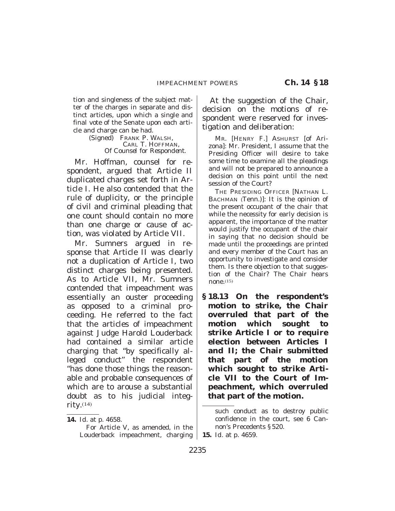tion and singleness of the subject matter of the charges in separate and distinct articles, upon which a single and final vote of the Senate upon each article and charge can be had.

(Signed) FRANK P. WALSH, CARL T. HOFFMAN, *Of Counsel for Respondent.*

Mr. Hoffman, counsel for respondent, argued that Article II duplicated charges set forth in Article I. He also contended that the rule of duplicity, or the principle of civil and criminal pleading that one count should contain no more than one charge or cause of action, was violated by Article VII.

Mr. Sumners argued in response that Article II was clearly not a duplication of Article I, two distinct charges being presented. As to Article VII, Mr. Sumners contended that impeachment was essentially an ouster proceeding as opposed to a criminal proceeding. He referred to the fact that the articles of impeachment against Judge Harold Louderback had contained a similar article charging that ''by specifically alleged conduct'' the respondent ''has done those things the reasonable and probable consequences of which are to arouse a substantial doubt as to his judicial integ- $\text{rity}.^{(14)}$ 

At the suggestion of the Chair, decision on the motions of respondent were reserved for investigation and deliberation:

MR. [HENRY F.] ASHURST [of Arizona]: Mr. President, I assume that the Presiding Officer will desire to take some time to examine all the pleadings and will not be prepared to announce a decision on this point until the next session of the Court?

THE PRESIDING OFFICER [NATHAN L. BACHMAN (Tenn.)]: It is the opinion of the present occupant of the chair that while the necessity for early decision is apparent, the importance of the matter would justify the occupant of the chair in saying that no decision should be made until the proceedings are printed and every member of the Court has an opportunity to investigate and consider them. Is there objection to that suggestion of the Chair? The Chair hears none. $(15)$ 

**§ 18.13 On the respondent's motion to strike, the Chair overruled that part of the motion which sought to strike Article I or to require election between Articles I and II; the Chair submitted that part of the motion which sought to strike Article VII to the Court of Impeachment, which overruled that part of the motion.**

**<sup>14.</sup>** *Id.* at p. 4658.

For Article V, as amended, in the Louderback impeachment, charging

such conduct as to destroy public confidence in the court, see 6 Cannon's Precedents § 520.

**<sup>15.</sup>** *Id.* at p. 4659.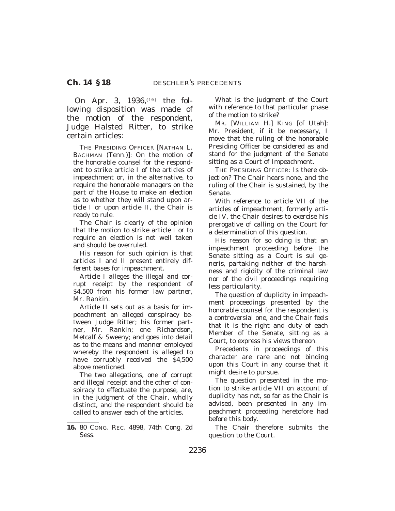On Apr. 3, 1936,(16) the following disposition was made of the motion of the respondent, Judge Halsted Ritter, to strike certain articles:

THE PRESIDING OFFICER [NATHAN L. BACHMAN (Tenn.)]: On the motion of the honorable counsel for the respondent to strike article I of the articles of impeachment or, in the alternative, to require the honorable managers on the part of the House to make an election as to whether they will stand upon article I or upon article II, the Chair is ready to rule.

The Chair is clearly of the opinion that the motion to strike article I or to require an election is not well taken and should be overruled.

His reason for such opinion is that articles I and II present entirely different bases for impeachment.

Article I alleges the illegal and corrupt receipt by the respondent of \$4,500 from his former law partner, Mr. Rankin.

Article II sets out as a basis for impeachment an alleged conspiracy between Judge Ritter; his former partner, Mr. Rankin; one Richardson, Metcalf & Sweeny; and goes into detail as to the means and manner employed whereby the respondent is alleged to have corruptly received the \$4,500 above mentioned.

The two allegations, one of corrupt and illegal receipt and the other of conspiracy to effectuate the purpose, are, in the judgment of the Chair, wholly distinct, and the respondent should be called to answer each of the articles.

What is the judgment of the Court with reference to that particular phase of the motion to strike?

MR. [WILLIAM H.] KING [of Utah]: Mr. President, if it be necessary, I move that the ruling of the honorable Presiding Officer be considered as and stand for the judgment of the Senate sitting as a Court of Impeachment.

THE PRESIDING OFFICER: Is there objection? The Chair hears none, and the ruling of the Chair is sustained, by the Senate.

With reference to article VII of the articles of impeachment, formerly article IV, the Chair desires to exercise his prerogative of calling on the Court for a determination of this question.

His reason for so doing is that an impeachment proceeding before the Senate sitting as a Court is sui generis, partaking neither of the harshness and rigidity of the criminal law nor of the civil proceedings requiring less particularity.

The question of duplicity in impeachment proceedings presented by the honorable counsel for the respondent is a controversial one, and the Chair feels that it is the right and duty of each Member of the Senate, sitting as a Court, to express his views thereon.

Precedents in proceedings of this character are rare and not binding upon this Court in any course that it might desire to pursue.

The question presented in the motion to strike article VII on account of duplicity has not, so far as the Chair is advised, been presented in any impeachment proceeding heretofore had before this body.

The Chair therefore submits the question to the Court.

**<sup>16.</sup>** 80 CONG. REC. 4898, 74th Cong. 2d Sess.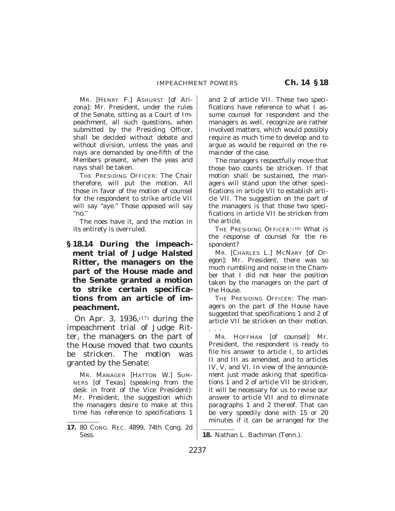MR. [HENRY F.] ASHURST [of Arizona]: Mr. President, under the rules of the Senate, sitting as a Court of Impeachment, all such questions, when submitted by the Presiding Officer, shall be decided without debate and without division, unless the yeas and nays are demanded by one-fifth of the Members present, when the yeas and nays shall be taken.

THE PRESIDING OFFICER: The Chair therefore, will put the motion. All those in favor of the motion of counsel for the respondent to strike article VII will say "aye." Those opposed will say ''no.''

The noes have it, and the motion in its entirety is overruled.

**§ 18.14 During the impeachment trial of Judge Halsted Ritter, the managers on the part of the House made and the Senate granted a motion to strike certain specifications from an article of impeachment.**

On Apr. 3,  $1936$ ,  $(17)$  during the impeachment trial of Judge Ritter, the managers on the part of the House moved that two counts be stricken. The motion was granted by the Senate:

MR. MANAGER [HATTON W.] SUM-NERS [of Texas] (speaking from the desk in front of the Vice President): Mr. President, the suggestion which the managers desire to make at this time has reference to specifications 1

and 2 of article VII. These two specifications have reference to what I assume counsel for respondent and the managers as well, recognize are rather involved matters, which would possibly require as much time to develop and to argue as would be required on the remainder of the case.

The managers respectfully move that those two counts be stricken. If that motion shall be sustained, the managers will stand upon the other specifications in article VII to establish article VII. The suggestion on the part of the managers is that those two specifications in article VII be stricken from the article.

THE PRESIDING OFFICER: (18) What is the response of counsel for the respondent?

MR. [CHARLES L.] MCNARY [of Oregon]: Mr. President, there was so much rumbling and noise in the Chamber that I did not hear the position taken by the managers on the part of the House.

THE PRESIDING OFFICER: The managers on the part of the House have suggested that specifications 1 and 2 of article VII be stricken on their motion.

MR. HOFFMAN [of counsel]: Mr. President, the respondent is ready to file his answer to article I, to articles II and III as amended, and to articles IV, V, and VI. In view of the announcement just made asking that specifications 1 and 2 of article VII be stricken, it will be necessary for us to revise our answer to article VII and to eliminate paragraphs 1 and 2 thereof. That can be very speedily done with 15 or 20 minutes if it can be arranged for the

**<sup>17.</sup>** 80 CONG. REC. 4899, 74th Cong. 2d Sess. **18.** Nathan L. Bachman (Tenn.).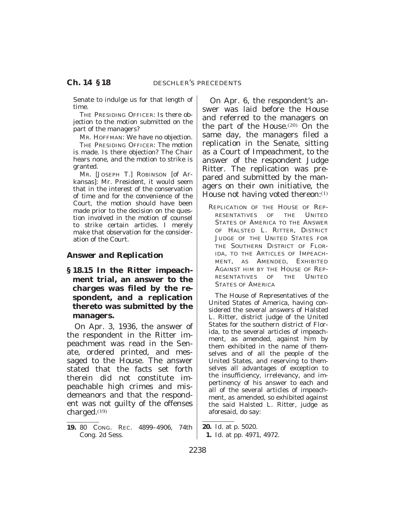Senate to indulge us for that length of time.

THE PRESIDING OFFICER: Is there objection to the motion submitted on the part of the managers?

MR. HOFFMAN: We have no objection.

THE PRESIDING OFFICER: The motion is made. Is there objection? The Chair hears none, and the motion to strike is granted.

MR. [JOSEPH T.] ROBINSON [of Arkansas]: Mr. President, it would seem that in the interest of the conservation of time and for the convenience of the Court, the motion should have been made prior to the decision on the question involved in the motion of counsel to strike certain articles. I merely make that observation for the consideration of the Court.

## *Answer and Replication*

**§ 18.15 In the Ritter impeachment trial, an answer to the charges was filed by the respondent, and a replication thereto was submitted by the managers.**

On Apr. 3, 1936, the answer of the respondent in the Ritter impeachment was read in the Senate, ordered printed, and messaged to the House. The answer stated that the facts set forth therein did not constitute impeachable high crimes and misdemeanors and that the respondent was not guilty of the offenses charged.(19)

On Apr. 6, the respondent's answer was laid before the House and referred to the managers on the part of the House.(20) On the same day, the managers filed a replication in the Senate, sitting as a Court of Impeachment, to the answer of the respondent Judge Ritter. The replication was prepared and submitted by the managers on their own initiative, the House not having voted thereon:(1)

REPLICATION OF THE HOUSE OF REP-RESENTATIVES OF THE UNITED STATES OF AMERICA TO THE ANSWER OF HALSTED L. RITTER, DISTRICT JUDGE OF THE UNITED STATES FOR THE SOUTHERN DISTRICT OF FLOR-IDA, TO THE ARTICLES OF IMPEACH-MENT, AS AMENDED, EXHIBITED AGAINST HIM BY THE HOUSE OF REP-RESENTATIVES OF THE UNITED STATES OF AMERICA

The House of Representatives of the United States of America, having considered the several answers of Halsted L. Ritter, district judge of the United States for the southern district of Florida, to the several articles of impeachment, as amended, against him by them exhibited in the name of themselves and of all the people of the United States, and reserving to themselves all advantages of exception to the insufficiency, irrelevancy, and impertinency of his answer to each and all of the several articles of impeachment, as amended, so exhibited against the said Halsted L. Ritter, judge as aforesaid, do say:

**1.** *Id.* at pp. 4971, 4972.

**<sup>19.</sup>** 80 CONG. REC. 4899–4906, 74th Cong. 2d Sess.

**<sup>20.</sup>** *Id.* at p. 5020.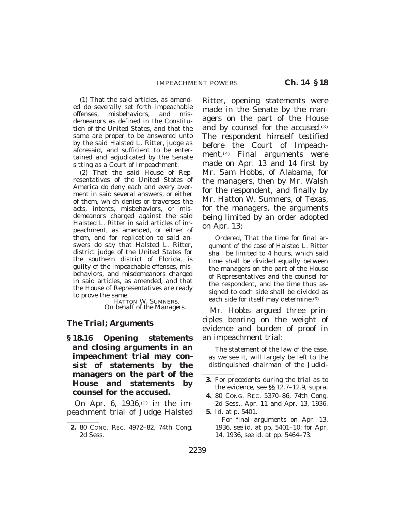(1) That the said articles, as amended do severally set forth impeachable offenses, misbehaviors, and misdemeanors as defined in the Constitution of the United States, and that the same are proper to be answered unto by the said Halsted L. Ritter, judge as aforesaid, and sufficient to be entertained and adjudicated by the Senate sitting as a Court of Impeachment.

(2) That the said House of Representatives of the United States of America do deny each and every averment in said several answers, or either of them, which denies or traverses the acts, intents, misbehaviors, or misdemeanors charged against the said Halsted L. Ritter in said articles of impeachment, as amended, or either of them, and for replication to said answers do say that Halsted L. Ritter, district judge of the United States for the southern district of Florida, is guilty of the impeachable offenses, misbehaviors, and misdemeanors charged in said articles, as amended, and that the House of Representatives are ready

to prove the same. HATTON W. SUMNERS, *On behalf of the Managers.*

## *The Trial; Arguments*

**§ 18.16 Opening statements and closing arguments in an impeachment trial may consist of statements by the managers on the part of the House and statements by counsel for the accused.**

On Apr. 6,  $1936^{(2)}$  in the impeachment trial of Judge Halsted

Ritter, opening statements were made in the Senate by the managers on the part of the House and by counsel for the accused.(3) The respondent himself testified before the Court of Impeachment.(4) Final arguments were made on Apr. 13 and 14 first by Mr. Sam Hobbs, of Alabama, for the managers, then by Mr. Walsh for the respondent, and finally by Mr. Hatton W. Sumners, of Texas, for the managers, the arguments being limited by an order adopted on Apr. 13:

Ordered, That the time for final argument of the case of Halsted L. Ritter shall be limited to 4 hours, which said time shall be divided equally between the managers on the part of the House of Representatives and the counsel for the respondent, and the time thus assigned to each side shall be divided as each side for itself may determine.(5)

Mr. Hobbs argued three principles bearing on the weight of evidence and burden of proof in an impeachment trial:

The statement of the law of the case, as we see it, will largely be left to the distinguished chairman of the Judici-

- **4.** 80 CONG. REC. 5370–86, 74th Cong. 2d Sess., Apr. 11 and Apr. 13, 1936.
- **5.** *Id.* at p. 5401. For final arguments on Apr. 13, 1936, *see id.* at pp. 5401–10; for Apr. 14, 1936, *see id.* at pp. 5464–73.

**<sup>2.</sup>** 80 CONG. REC. 4972–82, 74th Cong. 2d Sess.

**<sup>3.</sup>** For precedents during the trial as to the evidence, see §§ 12.7–12.9, supra.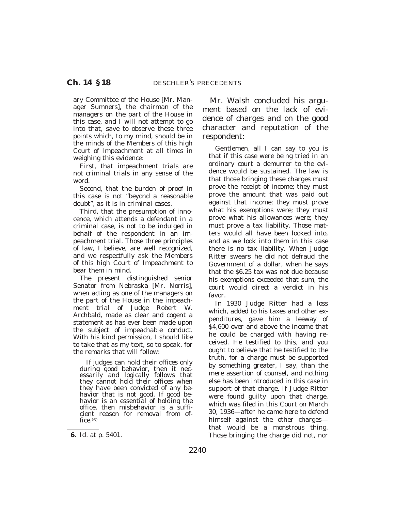ary Committee of the House [Mr. Manager Sumners], the chairman of the managers on the part of the House in this case, and I will not attempt to go into that, save to observe these three points which, to my mind, should be in the minds of the Members of this high Court of Impeachment at all times in weighing this evidence:

First, that impeachment trials are not criminal trials in any sense of the word.

Second, that the burden of proof in this case is not ''beyond a reasonable doubt'', as it is in criminal cases.

Third, that the presumption of innocence, which attends a defendant in a criminal case, is not to be indulged in behalf of the respondent in an impeachment trial. Those three principles of law, I believe, are well recognized, and we respectfully ask the Members of this high Court of Impeachment to bear them in mind.

The present distinguished senior Senator from Nebraska [Mr. Norris], when acting as one of the managers on the part of the House in the impeachment trial of Judge Robert W. Archbald, made as clear and cogent a statement as has ever been made upon the subject of impeachable conduct. With his kind permission, I should like to take that as my text, so to speak, for the remarks that will follow:

If judges can hold their offices only during good behavior, then it necessarily and logically follows that they cannot hold their offices when they have been convicted of any behavior that is not good. If good behavior is an essential of holding the office, then misbehavior is a sufficient reason for removal from office. $(6)$ 

**6.** *Id.* at p. 5401.

Mr. Walsh concluded his argument based on the lack of evidence of charges and on the good character and reputation of the respondent:

Gentlemen, all I can say to you is that if this case were being tried in an ordinary court a demurrer to the evidence would be sustained. The law is that those bringing these charges must prove the receipt of income; they must prove the amount that was paid out against that income; they must prove what his exemptions were; they must prove what his allowances were; they must prove a tax liability. Those matters would all have been looked into, and as we look into them in this case there is no tax liability. When Judge Ritter swears he did not defraud the Government of a dollar, when he says that the \$6.25 tax was not due because his exemptions exceeded that sum, the court would direct a verdict in his favor.

In 1930 Judge Ritter had a loss which, added to his taxes and other expenditures, gave him a leeway of \$4,600 over and above the income that he could be charged with having received. He testified to this, and you ought to believe that he testified to the truth, for a charge must be supported by something greater, I say, than the mere assertion of counsel, and nothing else has been introduced in this case in support of that charge. If Judge Ritter were found guilty upon that charge, which was filed in this Court on March 30, 1936—after he came here to defend himself against the other charges that would be a monstrous thing. Those bringing the charge did not, nor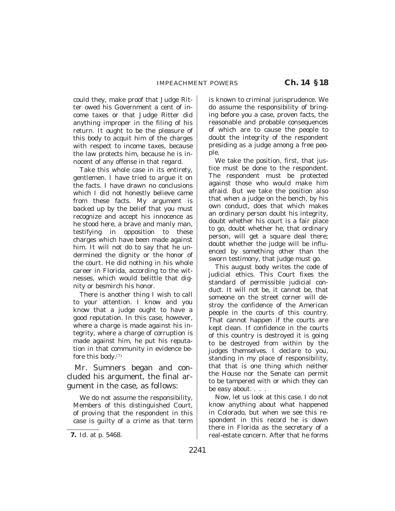could they, make proof that Judge Ritter owed his Government a cent of income taxes or that Judge Ritter did anything improper in the filing of his return. It ought to be the pleasure of this body to acquit him of the charges with respect to income taxes, because the law protects him, because he is innocent of any offense in that regard.

Take this whole case in its entirety, gentlemen. I have tried to argue it on the facts. I have drawn no conclusions which I did not honestly believe came from these facts. My argument is backed up by the belief that you must recognize and accept his innocence as he stood here, a brave and manly man, testifying in opposition to these charges which have been made against him. It will not do to say that he undermined the dignity or the honor of the court. He did nothing in his whole career in Florida, according to the witnesses, which would belittle that dignity or besmirch his honor.

There is another thing I wish to call to your attention. I know and you know that a judge ought to have a good reputation. In this case, however, where a charge is made against his integrity, where a charge of corruption is made against him, he put his reputation in that community in evidence before this body.(7)

Mr. Sumners began and concluded his argument, the final argument in the case, as follows:

We do not assume the responsibility, Members of this distinguished Court, of proving that the respondent in this case is guilty of a crime as that term

is known to criminal jurisprudence. We do assume the responsibility of bringing before you a case, proven facts, the reasonable and probable consequences of which are to cause the people to doubt the integrity of the respondent presiding as a judge among a free people.

We take the position, first, that justice must be done to the respondent. The respondent must be protected against those who would make him afraid. But we take the position also that when a judge on the bench, by his own conduct, does that which makes an ordinary person doubt his integrity, doubt whether his court is a fair place to go, doubt whether he, that ordinary person, will get a square deal there; doubt whether the judge will be influenced by something other than the sworn testimony, that judge must go.

This august body writes the code of judicial ethics. This Court fixes the standard of permissible judicial conduct. It will not be, it cannot be, that someone on the street corner will destroy the confidence of the American people in the courts of this country. That cannot happen if the courts are kept clean. If confidence in the courts of this country is destroyed it is going to be destroyed from within by the judges themselves. I declare to you, standing in my place of responsibility, that that is one thing which neither the House nor the Senate can permit to be tampered with or which they can be easy about. . . .

Now, let us look at this case. I do not know anything about what happened in Colorado, but when we see this respondent in this record he is down there in Florida as the secretary of a real-estate concern. After that he forms

**<sup>7.</sup>** *Id.* at p. 5468.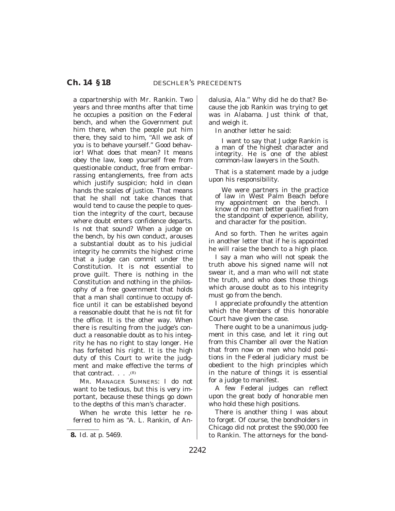a copartnership with Mr. Rankin. Two years and three months after that time he occupies a position on the Federal bench, and when the Government put him there, when the people put him there, they said to him, ''All we ask of you is to behave yourself.'' Good behavior! What does that mean? It means obey the law, keep yourself free from questionable conduct, free from embarrassing entanglements, free from acts which justify suspicion; hold in clean hands the scales of justice. That means that he shall not take chances that would tend to cause the people to question the integrity of the court, because where doubt enters confidence departs. Is not that sound? When a judge on the bench, by his own conduct, arouses a substantial doubt as to his judicial integrity he commits the highest crime that a judge can commit under the Constitution. It is not essential to prove guilt. There is nothing in the Constitution and nothing in the philosophy of a free government that holds that a man shall continue to occupy office until it can be established beyond a reasonable doubt that he is not fit for the office. It is the other way. When there is resulting from the judge's conduct a reasonable doubt as to his integrity he has no right to stay longer. He has forfeited his right. It is the high duty of this Court to write the judgment and make effective the terms of that contract... $^{(8)}$ 

MR. MANAGER SUMNERS: I do not want to be tedious, but this is very important, because these things go down to the depths of this man's character.

When he wrote this letter he referred to him as ''A. L. Rankin, of Andalusia, Ala.'' Why did he do that? Because the job Rankin was trying to get was in Alabama. Just think of that, and weigh it.

In another letter he said:

I want to say that Judge Rankin is a man of the highest character and integrity. He is one of the ablest common-law lawyers in the South.

That is a statement made by a judge upon his responsibility.

We were partners in the practice of law in West Palm Beach before my appointment on the bench. I know of no man better qualified from the standpoint of experience, ability, and character for the position.

And so forth. Then he writes again in another letter that if he is appointed he will raise the bench to a high place.

I say a man who will not speak the truth above his signed name will not swear it, and a man who will not state the truth, and who does those things which arouse doubt as to his integrity must go from the bench.

I appreciate profoundly the attention which the Members of this honorable Court have given the case.

There ought to be a unanimous judgment in this case, and let it ring out from this Chamber all over the Nation that from now on men who hold positions in the Federal judiciary must be obedient to the high principles which in the nature of things it is essential for a judge to manifest.

A few Federal judges can reflect upon the great body of honorable men who hold these high positions.

There is another thing I was about to forget. Of course, the bondholders in Chicago did not protest the \$90,000 fee to Rankin. The attorneys for the bond-

**<sup>8.</sup>** *Id.* at p. 5469.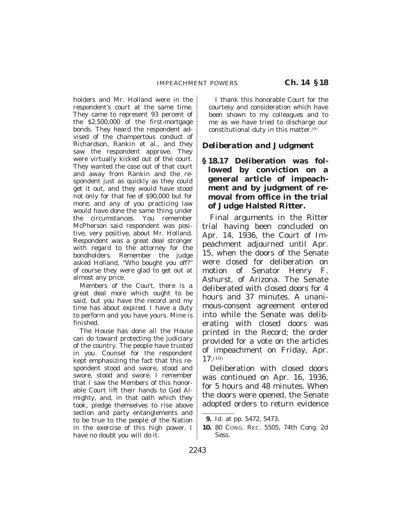holders and Mr. Holland were in the respondent's court at the same time. They came to represent 93 percent of the \$2,500,000 of the first-mortgage bonds. They heard the respondent advised of the champertous conduct of Richardson, Rankin et al., and they saw the respondent approve. They were virtually kicked out of the court. They wanted the case out of that court and away from Rankin and the respondent just as quickly as they could get it out, and they would have stood not only for that fee of \$90,000 but for more; and any of you practicing law would have done the same thing under the circumstances. You remember McPherson said respondent was positive, very positive, about Mr. Holland. Respondent was a great deal stronger with regard to the attorney for the bondholders. Remember the judge asked Holland, ''Who bought you off?'' of course they were glad to get out at almost any price.

Members of the Court, there is a great deal more which ought to be said, but you have the record and my time has about expired. I have a duty to perform and you have yours. Mine is finished.

The House has done all the House can do toward protecting the judiciary of the country. The people have trusted in you. Counsel for the respondent kept emphasizing the fact that this respondent stood and swore, stood and swore, stood and swore. I remember that I saw the Members of this honorable Court lift their hands to God Almighty, and, in that oath which they took, pledge themselves to rise above section and party entanglements and to be true to the people of the Nation in the exercise of this high power. I have no doubt you will do it.

I thank this honorable Court for the courtesy and consideration which have been shown to my colleagues and to me as we have tried to discharge our constitutional duty in this matter.(9)

## *Deliberation and Judgment*

# **§ 18.17 Deliberation was followed by conviction on a general article of impeachment and by judgment of removal from office in the trial of Judge Halsted Ritter.**

Final arguments in the Ritter trial having been concluded on Apr. 14, 1936, the Court of Impeachment adjourned until Apr. 15, when the doors of the Senate were closed for deliberation on motion of Senator Henry F. Ashurst, of Arizona. The Senate deliberated with closed doors for 4 hours and 37 minutes. A unanimous-consent agreement entered into while the Senate was deliberating with closed doors was printed in the Record; the order provided for a vote on the articles of impeachment on Friday, Apr. 17.(10)

Deliberation with closed doors was continued on Apr. 16, 1936, for 5 hours and 48 minutes. When the doors were opened, the Senate adopted orders to return evidence

**<sup>9.</sup>** *Id.* at pp. 5472, 5473.

**<sup>10.</sup>** 80 CONG. REC. 5505, 74th Cong. 2d Sess.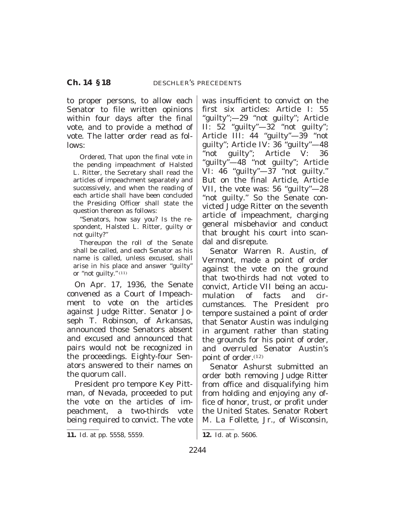to proper persons, to allow each Senator to file written opinions within four days after the final vote, and to provide a method of vote. The latter order read as follows:

Ordered, That upon the final vote in the pending impeachment of Halsted L. Ritter, the Secretary shall read the articles of impeachment separately and successively, and when the reading of each article shall have been concluded the Presiding Officer shall state the question thereon as follows:

''Senators, how say you? Is the respondent, Halsted L. Ritter, guilty or not guilty?''

Thereupon the roll of the Senate shall be called, and each Senator as his name is called, unless excused, shall arise in his place and answer ''guilty'' or "not guilty." (11)

On Apr. 17, 1936, the Senate convened as a Court of Impeachment to vote on the articles against Judge Ritter. Senator Joseph T. Robinson, of Arkansas, announced those Senators absent and excused and announced that pairs would not be recognized in the proceedings. Eighty-four Senators answered to their names on the quorum call.

President pro tempore Key Pittman, of Nevada, proceeded to put the vote on the articles of impeachment, a two-thirds vote being required to convict. The vote

**11.** *Id.* at pp. 5558, 5559. **12.** *Id.* at p. 5606.

was insufficient to convict on the first six articles: Article I: 55 ''guilty'';—29 ''not guilty''; Article II:  $52$  "guilty" $-32$  "not guilty"; Article III: 44 "guilty"-39 "not guilty''; Article IV: 36 ''guilty''—48 ''not guilty''; Article V: 36 "guilty"—48 "not guilty"; Article VI: 46 "guilty"—37 "not guilty." But on the final Article, Article VII, the vote was: 56 "guilty"—28 "not guilty." So the Senate convicted Judge Ritter on the seventh article of impeachment, charging general misbehavior and conduct that brought his court into scandal and disrepute.

Senator Warren R. Austin, of Vermont, made a point of order against the vote on the ground that two-thirds had not voted to convict, Article VII being an accumulation of facts and circumstances. The President pro tempore sustained a point of order that Senator Austin was indulging in argument rather than stating the grounds for his point of order, and overruled Senator Austin's point of order.(12)

Senator Ashurst submitted an order both removing Judge Ritter from office and disqualifying him from holding and enjoying any office of honor, trust, or profit under the United States. Senator Robert M. La Follette, Jr., of Wisconsin,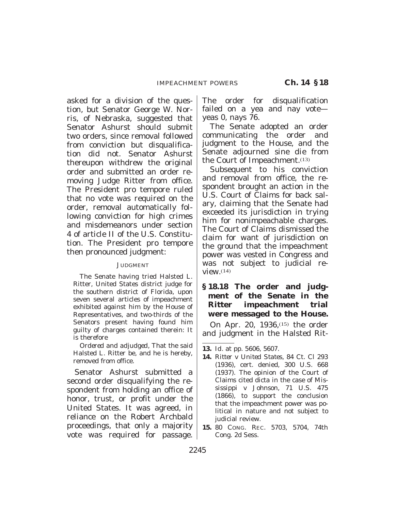asked for a division of the question, but Senator George W. Norris, of Nebraska, suggested that Senator Ashurst should submit two orders, since removal followed from conviction but disqualification did not. Senator Ashurst thereupon withdrew the original order and submitted an order removing Judge Ritter from office. The President pro tempore ruled that no vote was required on the order, removal automatically following conviction for high crimes and misdemeanors under section 4 of article II of the U.S. Constitution. The President pro tempore then pronounced judgment:

### JUDGMENT

The Senate having tried Halsted L. Ritter, United States district judge for the southern district of Florida, upon seven several articles of impeachment exhibited against him by the House of Representatives, and two-thirds of the Senators present having found him guilty of charges contained therein: It is therefore

*Ordered and adjudged,* That the said Halsted L. Ritter be, and he is hereby, removed from office.

Senator Ashurst submitted a second order disqualifying the respondent from holding an office of honor, trust, or profit under the United States. It was agreed, in reliance on the Robert Archbald proceedings, that only a majority vote was required for passage.

The order for disqualification failed on a yea and nay vote yeas 0, nays 76.

The Senate adopted an order communicating the order and judgment to the House, and the Senate adjourned *sine die* from the Court of Impeachment.(13)

Subsequent to his conviction and removal from office, the respondent brought an action in the U.S. Court of Claims for back salary, claiming that the Senate had exceeded its jurisdiction in trying him for nonimpeachable charges. The Court of Claims dismissed the claim for want of jurisdiction on the ground that the impeachment power was vested in Congress and was not subject to judicial re $view^{(14)}$ 

# **§ 18.18 The order and judgment of the Senate in the Ritter impeachment trial were messaged to the House.**

On Apr. 20, 1936,(15) the order and judgment in the Halsted Rit-

- **13.** *Id.* at pp. 5606, 5607.
- **14.** *Ritter* v *United States,* 84 Ct. Cl 293 (1936), cert. denied, 300 U.S. 668 (1937). The opinion of the Court of Claims cited dicta in the case of *Mississippi* v *Johnson,* 71 U.S. 475 (1866), to support the conclusion that the impeachment power was political in nature and not subject to judicial review.
- **15.** 80 CONG. REC. 5703, 5704, 74th Cong. 2d Sess.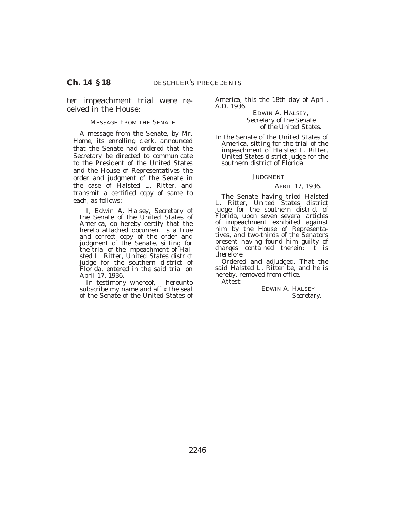ter impeachment trial were received in the House:

### MESSAGE FROM THE SENATE

A message from the Senate, by Mr. Home, its enrolling clerk, announced that the Senate had ordered that the Secretary be directed to communicate to the President of the United States and the House of Representatives the order and judgment of the Senate in the case of Halsted L. Ritter, and transmit a certified copy of same to each, as follows:

I, Edwin A. Halsey, Secretary of the Senate of the United States of America, do hereby certify that the hereto attached document is a true and correct copy of the order and judgment of the Senate, sitting for the trial of the impeachment of Halsted L. Ritter, United States district judge for the southern district of Florida, entered in the said trial on April 17, 1936.

In testimony whereof, I hereunto subscribe my name and affix the seal of the Senate of the United States of America, this the 18th day of April, A.D. 1936.

> EDWIN A. HALSEY, *Secretary of the Senate of the United States.*

In the Senate of the United States of America, sitting for the trial of the impeachment of Halsted L. Ritter, United States district judge for the southern district of Florida

**JUDGMENT** 

#### APRIL 17, 1936.

The Senate having tried Halsted L. Ritter, United States district judge for the southern district of Florida, upon seven several articles of impeachment exhibited against him by the House of Representatives, and two-thirds of the Senators present having found him guilty of charges contained therein: It is therefore

Ordered and adjudged, That the said Halsted L. Ritter be, and he is hereby, removed from office.

Attest:

EDWIN A. HALSEY *Secretary.*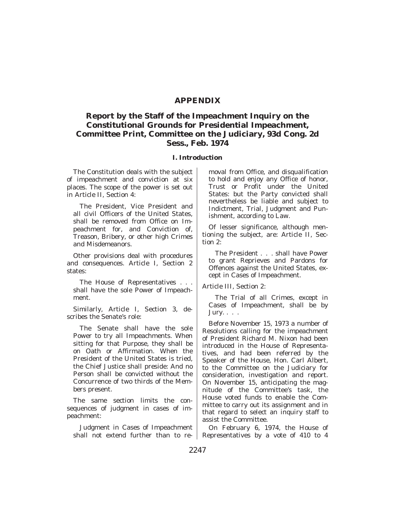## **APPENDIX**

# **Report by the Staff of the Impeachment Inquiry on the Constitutional Grounds for Presidential Impeachment, Committee Print, Committee on the Judiciary, 93d Cong. 2d Sess., Feb. 1974**

#### **I. Introduction**

The Constitution deals with the subject of impeachment and conviction at six places. The scope of the power is set out in Article II, Section 4:

The President, Vice President and all civil Officers of the United States, shall be removed from Office on Impeachment for, and Conviction of, Treason, Bribery, or other high Crimes and Misdemeanors.

Other provisions deal with procedures and consequences. Article I, Section 2 states:

The House of Representatives . . . shall have the sole Power of Impeachment.

Similarly, Article I, Section 3, describes the Senate's role:

The Senate shall have the sole Power to try all Impeachments. When sitting for that Purpose, they shall be on Oath or Affirmation. When the President of the United States is tried, the Chief Justice shall preside: And no Person shall be convicted without the Concurrence of two thirds of the Members present.

The same section limits the consequences of judgment in cases of impeachment:

Judgment in Cases of Impeachment shall not extend further than to re-

moval from Office, and disqualification to hold and enjoy any Office of honor, Trust or Profit under the United States: but the Party convicted shall nevertheless be liable and subject to Indictment, Trial, Judgment and Punishment, according to Law.

Of lesser significance, although mentioning the subject, are: Article II, Section 2:

The President . . . shall have Power to grant Reprieves and Pardons for Offences against the United States, except in Cases of Impeachment.

Article III, Section 2:

The Trial of all Crimes, except in Cases of Impeachment, shall be by Jury. . . .

Before November 15, 1973 a number of Resolutions calling for the impeachment of President Richard M. Nixon had been introduced in the House of Representatives, and had been referred by the Speaker of the House, Hon. Carl Albert, to the Committee on the Judiciary for consideration, investigation and report. On November 15, anticipating the magnitude of the Committee's task, the House voted funds to enable the Committee to carry out its assignment and in that regard to select an inquiry staff to assist the Committee.

On February 6, 1974, the House of Representatives by a vote of 410 to 4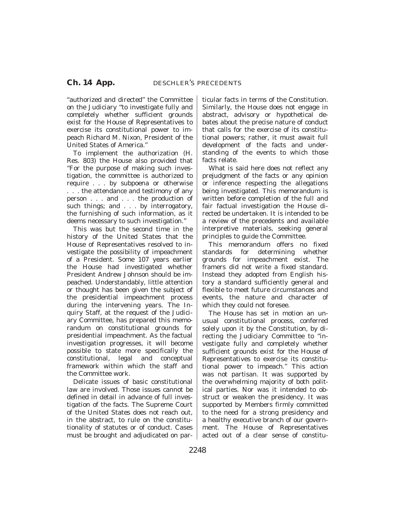"authorized and directed" the Committee on the Judiciary ''to investigate fully and completely whether sufficient grounds exist for the House of Representatives to exercise its constitutional power to impeach Richard M. Nixon, President of the United States of America.''

To implement the authorization (H. Res. 803) the House also provided that ''For the purpose of making such investigation, the committee is authorized to require . . . by subpoena or otherwise . . . the attendance and testimony of any person . . . and . . . the production of such things; and . . . by interrogatory, the furnishing of such information, as it deems necessary to such investigation.''

This was but the second time in the history of the United States that the House of Representatives resolved to investigate the possibility of impeachment of a President. Some 107 years earlier the House had investigated whether President Andrew Johnson should be impeached. Understandably, little attention or thought has been given the subject of the presidential impeachment process during the intervening years. The Inquiry Staff, at the request of the Judiciary Committee, has prepared this memorandum on constitutional grounds for presidential impeachment. As the factual investigation progresses, it will become possible to state more specifically the constitutional, legal and conceptual framework within which the staff and the Committee work.

Delicate issues of basic constitutional law are involved. Those issues cannot be defined in detail in advance of full investigation of the facts. The Supreme Court of the United States does not reach out, in the abstract, to rule on the constitutionality of statutes or of conduct. Cases must be brought and adjudicated on par-

ticular facts in terms of the Constitution. Similarly, the House does not engage in abstract, advisory or hypothetical debates about the precise nature of conduct that calls for the exercise of its constitutional powers; rather, it must await full development of the facts and understanding of the events to which those facts relate.

What is said here does not reflect any prejudgment of the facts or any opinion or inference respecting the allegations being investigated. This memorandum is written before completion of the full and fair factual investigation the House directed be undertaken. It is intended to be a review of the precedents and available interpretive materials, seeking general principles to guide the Committee.

This memorandum offers no fixed standards for determining whether grounds for impeachment exist. The framers did not write a fixed standard. Instead they adopted from English history a standard sufficiently general and flexible to meet future circumstances and events, the nature and character of which they could not foresee.

The House has set in motion an unusual constitutional process, conferred solely upon it by the Constitution, by directing the Judiciary Committee to ''investigate fully and completely whether sufficient grounds exist for the House of Representatives to exercise its constitutional power to impeach.'' This action was not partisan. It was supported by the overwhelming majority of both political parties. Nor was it intended to obstruct or weaken the presidency. It was supported by Members firmly committed to the need for a strong presidency and a healthy executive branch of our government. The House of Representatives acted out of a clear sense of constitu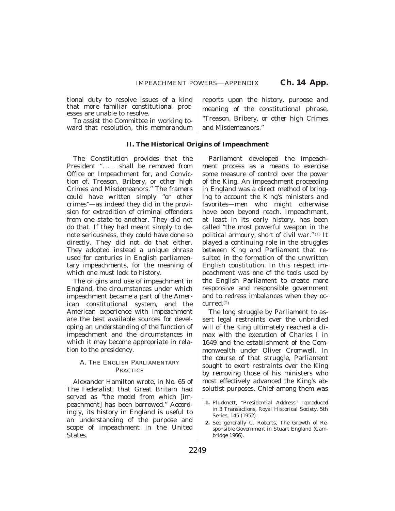tional duty to resolve issues of a kind that more familiar constitutional processes are unable to resolve.

To assist the Committee in working toward that resolution, this memorandum

reports upon the history, purpose and meaning of the constitutional phrase, ''Treason, Bribery, or other high Crimes and Misdemeanors.''

## **II. The Historical Origins of Impeachment**

The Constitution provides that the President ". . . shall be removed from Office on Impeachment for, and Conviction of, Treason, Bribery, or other high Crimes and Misdemeanors.'' The framers could have written simply ''or other crimes''—as indeed they did in the provision for extradition of criminal offenders from one state to another. They did not do that. If they had meant simply to denote seriousness, they could have done so directly. They did not do that either. They adopted instead a unique phrase used for centuries in English parliamentary impeachments, for the meaning of which one must look to history.

The origins and use of impeachment in England, the circumstances under which impeachment became a part of the American constitutional system, and the American experience with impeachment are the best available sources for developing an understanding of the function of impeachment and the circumstances in which it may become appropriate in relation to the presidency.

### A. THE ENGLISH PARLIAMENTARY **PRACTICE**

Alexander Hamilton wrote, in No. 65 of *The Federalist,* that Great Britain had served as "the model from which [impeachment] has been borrowed.'' Accordingly, its history in England is useful to an understanding of the purpose and scope of impeachment in the United States.

Parliament developed the impeachment process as a means to exercise some measure of control over the power of the King. An impeachment proceeding in England was a direct method of bringing to account the King's ministers and favorites—men who might otherwise have been beyond reach. Impeachment, at least in its early history, has been called ''the most powerful weapon in the political armoury, short of civil war.'' (1) It played a continuing role in the struggles between King and Parliament that resulted in the formation of the unwritten English constitution. In this respect impeachment was one of the tools used by the English Parliament to create more responsive and responsible government and to redress imbalances when they occurred.(2)

The long struggle by Parliament to assert legal restraints over the unbridled will of the King ultimately reached a climax with the execution of Charles I in 1649 and the establishment of the Commonwealth under Oliver Cromwell. In the course of that struggle, Parliament sought to exert restraints over the King by removing those of his ministers who most effectively advanced the King's absolutist purposes. Chief among them was

**<sup>1.</sup>** Plucknett, ''Presidential Address'' reproduced in 3 *Transactions, Royal Historical Society,* 5th Series, 145 (1952).

**<sup>2.</sup>** See generally C. Roberts, *The Growth of Responsible Government in Stuart England* (Cambridge 1966).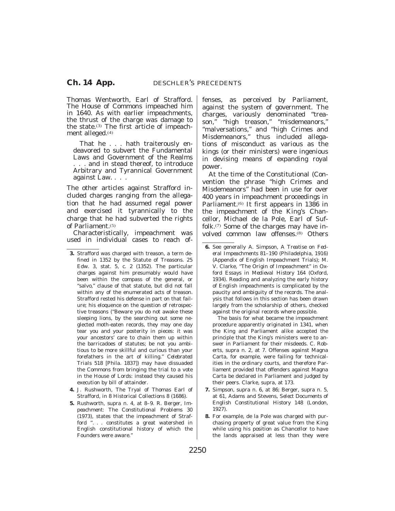Thomas Wentworth, Earl of Strafford. The House of Commons impeached him in 1640. As with earlier impeachments, the thrust of the charge was damage to the state.(3) The first article of impeachment alleged.(4)

That he . . . hath traiterously endeavored to subvert the Fundamental Laws and Government of the Realms . . . and in stead thereof, to introduce Arbitrary and Tyrannical Government against Law. . . .

The other articles against Strafford included charges ranging from the allegation that he had assumed regal power and exercised it tyrannically to the charge that he had subverted the rights of Parliament.(5)

Characteristically, impeachment was used in individual cases to reach of-

- **4.** J. Rushworth, *The Tryal of Thomas Earl of Strafford,* in 8 Historical Collections 8 (1686).
- **5.** Rushworth, *supra* n. 4, at 8–9. R. Berger, *Impeachment: The Constitutional Problems* 30 (1973), states that the impeachment of Strafford ". . . constitutes a great watershed in English constitutional history of which the Founders were aware.''

fenses, as perceived by Parliament, against the system of government. The charges, variously denominated ''treason,'' ''high treason,'' ''misdemeanors,'' ''malversations,'' and ''high Crimes and Misdemeanors,'' thus included allegations of misconduct as various as the kings (or their ministers) were ingenious in devising means of expanding royal power.

At the time of the Constitutional (Convention the phrase ''high Crimes and Misdemeanors'' had been in use for over 400 years in impeachment proceedings in Parliament.(6) It first appears in 1386 in the impeachment of the King's Chancellor, Michael de la Pole, Earl of Suffolk.(7) Some of the charges may have involved common law offenses.(8) Others

The basis for what became the impeachment procedure apparently originated in 1341, when the King and Parliament alike accepted the principle that the King's ministers were to answer in Parliament for their misdeeds. C. Roberts, *supra* n. 2, at 7. Offenses against Magna Carta, for example, were failing for technicalities in the ordinary courts, and therefore Parliament provided that offenders against Magna Carta be declared in Parliament and judged by their peers. Clarke, *supra,* at 173.

- **7.** Simpson, *supra* n. 6, at 86; Berger, *supra* n. 5, at 61, Adams and Stevens, *Select Documents of English Constitutional History* 148 (London, 1927).
- **8.** For example, de la Pole was charged with purchasing property of great value from the King while using his position as Chancellor to have the lands appraised at less than they were

**<sup>3.</sup>** Strafford was charged with treason, a term defined in 1352 by the Statute of Treasons. 25 Edw. 3, stat. 5, c. 2 (1352). The particular charges against him presumably would have been within the compass of the general, or "salvo," clause of that statute, but did not fall within any of the enumerated acts of treason. Strafford rested his defense in part on that failure; his eloquence on the question of retrospective treasons (''Beware you do not awake these sleeping lions, by the searching out some neglected moth-eaten records, they may one day tear you and your posterity in pieces: it was your ancestors' care to chain them up within the barricadoes of statutes; be not you ambitious to be more skillful and curious than your forefathers in the art of killing.'' *Celebrated Trials* 518 [Phila. 1837]) may have dissuaded the Commons from bringing the trial to a vote in the House of Lords: instead they caused his execution by bill of attainder.

**<sup>6.</sup>** See generally A. Simpson, *A Treatise on Federal Impeachments* 81–190 (Philadelphia, 1916) (Appendix of English Impeachment Trials); M. V. Clarke, ''The Origin of Impeachment'' in *Oxford Essays in Medieval History* 164 (Oxford, 1934). Reading and analyzing the early history of English impeachments is complicated by the paucity and ambiguity of the records. The analysis that follows in this section has been drawn largely from the scholarship of others, checked against the original records where possible.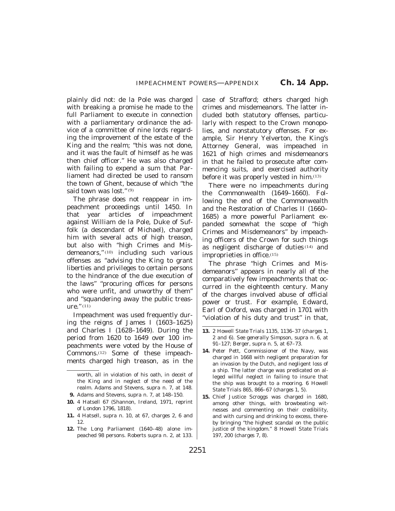plainly did not: de la Pole was charged with breaking a promise he made to the full Parliament to execute in connection with a parliamentary ordinance the advice of a committee of nine lords regarding the improvement of the estate of the King and the realm; ''this was not done, and it was the fault of himself as he was then chief officer.'' He was also charged with failing to expend a sum that Parliament had directed be used to ransom the town of Ghent, because of which ''the said town was lost."<sup>(9)</sup>

The phrase does not reappear in impeachment proceedings until 1450. In that year articles of impeachment against William de la Pole, Duke of Suffolk (a descendant of Michael), charged him with several acts of high treason, but also with ''high Crimes and Misdemeanors,"<sup>(10)</sup> including such various offenses as ''advising the King to grant liberties and privileges to certain persons to the hindrance of the due execution of the laws'' ''procuring offices for persons who were unfit, and unworthy of them'' and ''squandering away the public treas- $\mathbf{u}$ re." (11)

Impeachment was used frequently during the reigns of James I (1603–1625) and Charles I (1628–1649). During the period from 1620 to 1649 over 100 impeachments were voted by the House of Commons.(12) Some of these impeachments charged high treason, as in the

**12.** The Long Parliament (1640–48) alone impeached 98 persons. Roberts *supra* n. 2, at 133.

case of Strafford; others charged high crimes and misdemeanors. The latter included both statutory offenses, particularly with respect to the Crown monopolies, and nonstatutory offenses. For example, Sir Henry Yelverton, the King's Attorney General, was impeached in 1621 of high crimes and misdemeanors in that he failed to prosecute after commencing suits, and exercised authority before it was properly vested in him.(13)

There were no impeachments during the Commonwealth (1649–1660). Following the end of the Commonwealth and the Restoration of Charles II (1660– 1685) a more powerful Parliament expanded somewhat the scope of ''high Crimes and Misdemeanors'' by impeaching officers of the Crown for such things as negligent discharge of duties (14) and improprieties in office.(15)

The phrase "high Crimes and Misdemeanors'' appears in nearly all of the comparatively few impeachments that occurred in the eighteenth century. Many of the charges involved abuse of official power or trust. For example, Edward, Earl of Oxford, was charged in 1701 with "violation of his duty and trust" in that,

worth, all in violation of his oath, in deceit of the King and in neglect of the need of the realm. Adams and Stevens, *supra* n. 7, at 148. **9.** Adams and Stevens, *supra* n. 7, at 148–150.

**<sup>10.</sup>** 4 Hatsell 67 (Shannon, Ireland, 1971, reprint of London 1796, 1818).

**<sup>11.</sup>** 4 Hatsell, *supra* n. 10, at 67, charges 2, 6 and 12.

**<sup>13.</sup>** 2 Howell *State Trials* 1135, 1136–37 *(charges 1, 2 and 6). See generally* Simpson, *supra* n. 6, at 91–127; Berger, *supra* n. 5, at 67–73.

**<sup>14.</sup>** Peter Pett, Commissioner of the Navy, was charged in 1668 with negligent preparation for an invasion by the Dutch, and negligent loss of a ship. The latter charge was predicated on alleged willful neglect in failing to insure that the ship was brought to a mooring. 6 Howell *State Trials* 865, 866–67 *(charges 1, 5).*

**<sup>15.</sup>** Chief Justice Scroggs was charged in 1680, among other things, with browbeating witnesses and commenting on their credibility, and with cursing and drinking to excess, thereby bringing ''the highest scandal on the public justice of the kingdom.'' 8 Howell *State Trials* 197, 200 *(charges 7, 8).*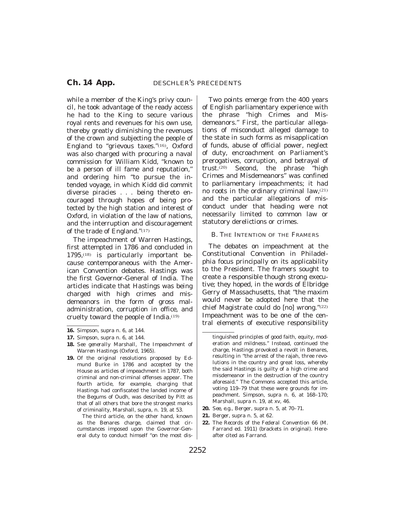while a member of the King's privy council, he took advantage of the ready access he had to the King to secure various royal rents and revenues for his own use, thereby greatly diminishing the revenues of the crown and subjecting the people of England to "grievous taxes."(16), Oxford was also charged with procuring a naval commission for William Kidd, ''known to be a person of ill fame and reputation,'' and ordering him ''to pursue the intended voyage, in which Kidd did commit diverse piracies . . . being thereto encouraged through hopes of being protected by the high station and interest of Oxford, in violation of the law of nations, and the interruption and discouragement of the trade of England.''(17)

The impeachment of Warren Hastings, first attempted in 1786 and concluded in 1795,(18) is particularly important because contemporaneous with the American Convention debates. Hastings was the first Governor-General of India. The articles indicate that Hastings was being charged with high crimes and misdemeanors in the form of gross maladministration, corruption in office, and cruelty toward the people of India.(19)

The third article, on the other hand, known as the Benares charge, claimed that circumstances imposed upon the Governor-General duty to conduct himself ''on the most dis-

Two points emerge from the 400 years of English parliamentary experience with the phrase ''high Crimes and Misdemeanors.'' First, the particular allegations of misconduct alleged damage to the state in such forms as misapplication of funds, abuse of official power, neglect of duty, encroachment on Parliament's prerogatives, corruption, and betrayal of trust.<sup>(20)</sup> Second, the phrase "high Crimes and Misdemeanors'' was confined to parliamentary impeachments; it had no roots in the ordinary criminal law,(21) and the particular allegations of misconduct under that heading were not necessarily limited to common law or statutory derelictions or crimes.

B. THE INTENTION OF THE FRAMERS

The debates on impeachment at the Constitutional Convention in Philadelphia focus principally on its applicability to the President. The framers sought to create a responsible though strong executive; they hoped, in the words of Elbridge Gerry of Massachusetts, that ''the maxim would never be adopted here that the chief Magistrate could do [no] wrong.''(22) Impeachment was to be one of the central elements of executive responsibility

**<sup>16.</sup>** Simpson, *supra* n. 6, at 144.

**<sup>17.</sup>** Simpson, *supra* n. 6, at 144.

**<sup>18.</sup>** *See generally* Marshall, *The Impeachment of Warren Hastings* (Oxford, 1965).

**<sup>19.</sup>** Of the original resolutions proposed by Edmund Burke in 1786 and accepted by the House as articles of impeachment in 1787, both criminal and non-criminal offenses appear. The fourth article, for example, charging that Hastings had confiscated the landed income of the Begums of Oudh, was described by Pitt as that of all others that bore the strongest marks of criminality, Marshall, *supra,* n. 19, at 53.

tinguished principles of good faith, equity, moderation and mildness.'' Instead, continued the charge, Hastings provoked a revolt in Benares, resulting in ''the arrest of the rajah, three revolutions in the country and great loss, whereby the said Hastings is guilty of a high crime and misdemeanor in the destruction of the country aforesaid.'' The Commons accepted this article, voting 119–79 that these were grounds for impeachment. Simpson, *supra* n. 6, at 168–170; Marshall, supra n. 19, at xv, 46.

**<sup>20.</sup>** *See, e.g.,* Berger, *supra* n. 5, at 70–71.

**<sup>21.</sup>** Berger, *supra* n. 5, at 62.

**<sup>22.</sup>** *The Records of the Federal Convention* 66 (M. Farrand ed. 1911) (brackets in original). Hereafter cited as Farrand.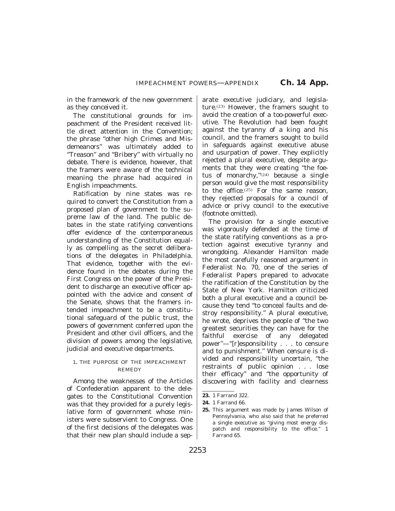in the framework of the new government as they conceived it.

The constitutional grounds for impeachment of the President received little direct attention in the Convention; the phrase ''other high Crimes and Misdemeanors'' was ultimately added to ''Treason'' and ''Bribery'' with virtually no debate. There is evidence, however, that the framers were aware of the technical meaning the phrase had acquired in English impeachments.

Ratification by nine states was required to convert the Constitution from a proposed plan of government to the supreme law of the land. The public debates in the state ratifying conventions offer evidence of the contemporaneous understanding of the Constitution equally as compelling as the secret deliberations of the delegates in Philadelphia. That evidence, together with the evidence found in the debates during the First Congress on the power of the President to discharge an executive officer appointed with the advice and consent of the Senate, shows that the framers intended impeachment to be a constitutional safeguard of the public trust, the powers of government conferred upon the President and other civil officers, and the division of powers among the legislative, judicial and executive departments.

## 1. THE PURPOSE OF THE IMPEACHMENT REMEDY

Among the weaknesses of the Articles of Confederation apparent to the delegates to the Constitutional Convention was that they provided for a purely legislative form of government whose ministers were subservient to Congress. One of the first decisions of the delegates was that their new plan should include a sep-

arate executive judiciary, and legislature.(23) However, the framers sought to avoid the creation of a too-powerful executive. The Revolution had been fought against the tyranny of a king and his council, and the framers sought to build in safeguards against executive abuse and usurpation of power. They explicitly rejected a plural executive, despite arguments that they were creating ''the foetus of monarchy," $(24)$  because a single person would give the most responsibility to the office.(25) For the same reason, they rejected proposals for a council of advice or privy council to the executive (footnote omitted).

The provision for a single executive was vigorously defended at the time of the state ratifying conventions as a protection against executive tyranny and wrongdoing. Alexander Hamilton made the most carefully reasoned argument in Federalist No. 70, one of the series of *Federalist Papers* prepared to advocate the ratification of the Constitution by the State of New York. Hamilton criticized both a plural executive and a council because they tend ''to conceal faults and destroy responsibility.'' A plural executive, he wrote, deprives the people of ''the two greatest securities they can have for the faithful exercise of any delegated power''—''[r]esponsibility . . . to censure and to punishment.'' When censure is divided and responsibility uncertain, ''the restraints of public opinion . . . lose their efficacy'' and ''the opportunity of discovering with facility and clearness

**<sup>23.</sup>** 1 Farrand 322.

**<sup>24.</sup>** 1 Farrand 66.

**<sup>25.</sup>** This argument was made by James Wilson of Pennsylvania, who also said that he preferred a single executive as ''giving most energy dispatch and responsibility to the office.'' 1 Farrand 65.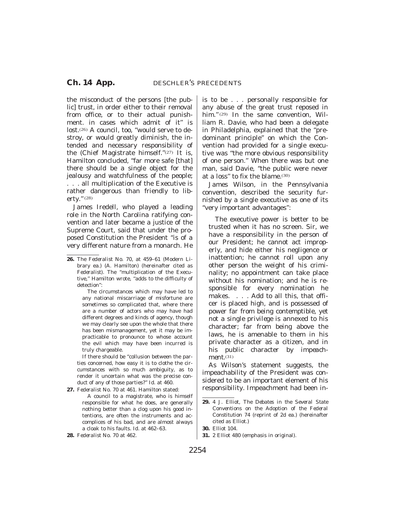the misconduct of the persons [the public] trust, in order either to their removal from office, or to their actual punishment. in cases which admit of it'' is lost.<sup>(26)</sup> A council, too, "would serve to destroy, or would greatly diminish, the intended and necessary responsibility of the (Chief Magistrate himself." $(27)$  It is, Hamilton concluded, "far more safe [that] there should be a single object for the jealousy and watchfulness of the people; . . . all multiplication of the Executive is rather dangerous than friendly to liberty.'' (28)

James Iredell, who played a leading role in the North Carolina ratifying convention and later became a justice of the Supreme Court, said that under the proposed Constitution the President ''is of a very different nature from a monarch. He

**26.** *The Federalist* No. 70, at 459–61 (Modern Library ea.) (A. Hamilton) (hereinafter cited as *Federalist*). The ''multiplication of the Executive,'' Hamilton wrote, ''adds to the difficulty of detection'':

> The circumstances which may have led to any national miscarriage of misfortune are sometimes so complicated that, where there are a number of actors who may have had different degrees and kinds of agency, though we may clearly see upon the whole that there has been mismanagement, yet it may be impracticable to pronounce to whose account the evil which may have been incurred is truly chargeable.

If there should be ''collusion between the parties concerned, how easy it is to clothe the circumstances with so much ambiguity, as to render it uncertain what was the precise conduct of any of those parties?'' Id. at 460.

**27.** *Federalist* No. 70 at 461. Hamilton stated:

A council to a magistrate, who is himself responsible for what he does, are generally nothing better than a clog upon his good intentions, are often the instruments and accomplices of his bad, and are almost always a cloak to his faults. Id. at 462–63.

**28.** *Federalist* No. 70 at 462.

is to be . . . personally responsible for any abuse of the great trust reposed in him."<sup>(29)</sup> In the same convention, William R. Davie, who had been a delegate in Philadelphia, explained that the ''predominant principle'' on which the Convention had provided for a single executive was ''the more obvious responsibility of one person.'' When there was but one man, said Davie, ''the public were never at a loss'' to fix the blame.(30)

James Wilson, in the Pennsylvania convention, described the security furnished by a single executive as one of its ''very important advantages'':

The executive power is better to be trusted when it has no screen. Sir, we have a responsibility in the person of our President; he cannot act improperly, and hide either his negligence or inattention; he cannot roll upon any other person the weight of his criminality; no appointment can take place without his nomination; and he is responsible for every nomination he makes. . . . Add to all this, that officer is placed high, and is possessed of power far from being contemptible, yet not a *single privilege* is annexed to his character; far from being above the laws, he is amenable to them in his private character as a citizen, and in his public character by *impeachment.*(31)

As Wilson's statement suggests, the impeachability of the President was considered to be an important element of his responsibility. Impeachment had been in-

**<sup>29.</sup>** 4 J. Elliot, *The Debates in the Several State Conventions on the Adoption of the Federal Constitution* 74 (reprint of 2d ea.) (hereinafter cited as Elliot.)

**<sup>30.</sup>** Elliot 104.

**<sup>31.</sup>** 2 Elliot 480 (emphasis in original).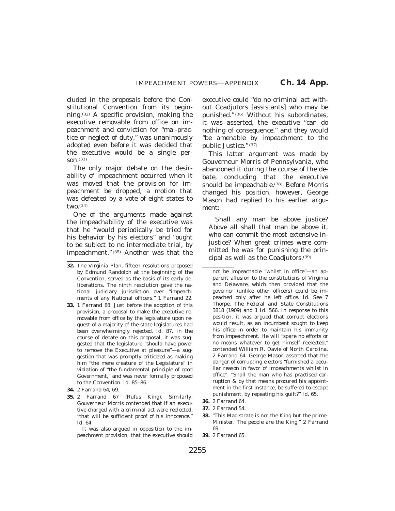cluded in the proposals before the Constitutional Convention from its beginning.(32) A specific provision, making the executive removable from office on impeachment and conviction for ''mal-practice or neglect of duty,'' was unanimously adopted even before it was decided that the executive would be a single person. $(33)$ 

The only major debate on the desirability of impeachment occurred when it was moved that the provision for impeachment be dropped, a motion that was defeated by a vote of eight states to two.(34)

One of the arguments made against the impeachability of the executive was that he ''would periodically be tried for his behavior by his electors'' and ''ought to be subject to no intermediate trial, by impeachment." (35) Another was that the

- **32.** The Virginia Plan, fifteen resolutions proposed by Edmund Randolph at the beginning of the Convention, served as the basis of its early deliberations. The ninth resolution gave the national judiciary jurisdiction over ''impeachments of any National officers.'' 1 Farrand 22.
- **33.** 1 Farrand 88. Just before the adoption of this provision, a proposal to make the executive removable from office by the legislature upon request of a majority of the state legislatures had been overwhelmingly rejected. *Id.* 87. In the course of debate on this proposal, it was suggested that the legislature ''should have power to remove the Executive at pleasure''—a suggestion that was promptly criticized as making him ''the mere creature of the Legislature'' in violation of ''the fundamental principle of good Government,'' and was never formally proposed to the Convention. *Id.* 85–86.
- **34.** 2 Farrand 64, 69.
- **35.** 2 Farrand 67 (Rufus King). Similarly, Gouverneur Morris contended that if an executive charged with a criminal act were reelected, ''that will be sufficient proof of his innocence.'' *Id.* 64.

It was also argued in opposition to the impeachment provision, that the executive should

executive could ''do no criminal act without Coadjutors [assistants] who may be punished."<sup>(36)</sup> Without his subordinates, it was asserted, the executive ''can do nothing of consequence,'' and they would ''be amenable by impeachment to the public Justice." (37)

This latter argument was made by Gouverneur Morris of Pennsylvania, who abandoned it during the course of the debate, concluding that the executive should be impeachable.(38) Before Morris changed his position, however, George Mason had replied to his earlier argument:

Shall any man be above justice? Above all shall that man be above it, who can commit the most extensive injustice? When great crimes were committed he was for punishing the principal as well as the Coadjutors.(39)

not be impeachable ''whilst in office''—an apparent allusion to the constitutions of Virginia and Delaware, which then provided that the governor (unlike other officers) could be impeached only after he left office. *Id.* See 7 Thorpe, *The Federal and State Constitutions* 3818 (1909) and 1 *Id.* 566. In response to this position, it was argued that corrupt elections would result, as an incumbent sought to keep his office in order to maintain his immunity from impeachment. He will "spare no efforts or no means whatever to get himself reelected,'' contended William R. Davie of North Carolina. 2 Farrand 64. George Mason asserted that the danger of corrupting electors ''furnished a peculiar reason in favor of impeachments whilst in office'': ''Shall the man who has practised corruption & by that means procured his appointment in the first instance, be suffered to escape punishment, by repeating his guilt?'' *Id.* 65.

- **36.** 2 Farrand 64.
- **37.** 2 Farrand 54.
- **38.** ''This Magistrate is not the King but the prime-Minister. The people are the King.'' 2 Farrand 69.
- **39.** 2 Farrand 65.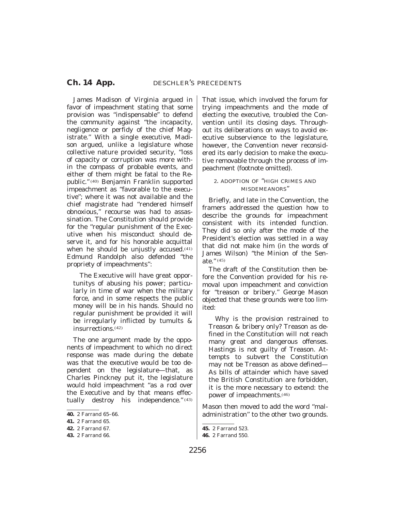James Madison of Virginia argued in favor of impeachment stating that some provision was ''indispensable'' to defend the community against ''the incapacity, negligence or perfidy of the chief Magistrate.'' With a single executive, Madison argued, unlike a legislature whose collective nature provided security, ''loss of capacity or corruption was more within the compass of probable events, and either of them might be fatal to the Republic.'' (40) Benjamin Franklin supported impeachment as ''favorable to the executive''; where it was not available and the chief magistrate had ''rendered himself obnoxious,'' recourse was had to assassination. The Constitution should provide for the "regular punishment of the Executive when his misconduct should deserve it, and for his honorable acquittal when he should be unjustly accused.<sup>(41)</sup> Edmund Randolph also defended ''the propriety of impeachments'':

The Executive will have great opportunitys of abusing his power; particularly in time of war when the military force, and in some respects the public money will be in his hands. Should no regular punishment be provided it will be irregularly inflicted by tumults & insurrections.(42)

The one argument made by the opponents of impeachment to which no direct response was made during the debate was that the executive would be too dependent on the legislature—that, as Charles Pinckney put it, the legislature would hold impeachment ''as a rod over the Executive and by that means effectually destroy his independence." $(43)$  That issue, which involved the forum for trying impeachments and the mode of electing the executive, troubled the Convention until its closing days. Throughout its deliberations on ways to avoid executive subservience to the legislature, however, the Convention never reconsidered its early decision to make the executive removable through the process of impeachment (footnote omitted).

## 2. ADOPTION OF ''HIGH CRIMES AND MISDEMEANORS''

Briefly, and late in the Convention, the framers addressed the question how to describe the grounds for impeachment consistent with its intended function. They did so only after the mode of the President's election was settled in a way that did not make him (in the words of James Wilson) ''the Minion of the Senate." $(45)$ 

The draft of the Constitution then before the Convention provided for his removal upon impeachment and conviction for ''treason or bribery.'' George Mason objected that these grounds were too limited:

Why is the provision restrained to Treason & bribery only? Treason as defined in the Constitution will not reach many great and dangerous offenses. Hastings is not guilty of Treason. Attempts to subvert the Constitution may not be Treason as above defined— As bills of attainder which have saved the British Constitution are forbidden, it is the more necessary to extend: the power of impeachments.(46)

Mason then moved to add the word ''maladministration'' to the other two grounds.

**<sup>40.</sup>** 2 Farrand 65–66.

**<sup>41.</sup>** 2 Farrand 65.

**<sup>42.</sup>** 2 Farrand 67.

**<sup>43.</sup>** 2 Farrand 66.

**<sup>45.</sup>** 2 Farrand 523.

**<sup>46.</sup>** 2 Farrand 550.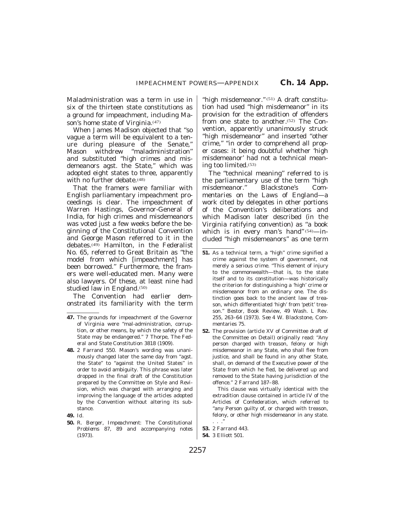Maladministration was a term in use in six of the thirteen state constitutions as a ground for impeachment, including Mason's home state of Virginia.<sup>(47)</sup>

When James Madison objected that ''so vague a term will be equivalent to a tenure during pleasure of the Senate,'' Mason withdrew ''maladministration'' and substituted ''high crimes and misdemeanors agst. the State,'' which was adopted eight states to three, apparently with no further debate.<sup>(48)</sup>

That the framers were familiar with English parliamentary impeachment proceedings is clear. The impeachment of Warren Hastings, Governor-General of India, for high crimes and misdemeanors was voted just a few weeks before the beginning of the Constitutional Convention and George Mason referred to it in the debates.(49) Hamilton, in the *Federalist* No. 65, referred to Great Britain as ''the model from which [impeachment] has been borrowed.'' Furthermore, the framers were well-educated men. Many were also lawyers. Of these, at least nine had studied law in England.(50)

The Convention had earlier demonstrated its familiarity with the term

"high misdemeanor." (51) A draft constitution had used ''high misdemeanor'' in its provision for the extradition of offenders from one state to another.<sup>(52)</sup> The Convention, apparently unanimously struck ''high misdemeanor'' and inserted ''other crime,'' ''in order to comprehend all proper cases: it being doubtful whether 'high misdemeanor' had not a technical meaning too limited.(53)

The "technical meaning" referred to is the parliamentary use of the term ''high misdemeanor.'' Blackstone's *Commentaries on the Laws of England*—a work cited by delegates in other portions of the Convention's deliberations and which Madison later described (in the Virginia ratifying convention) as ''a book which is in every man's hand" (54)-included ''high misdemeanors'' as one term

This clause was virtually identical with the extradition clause contained in article IV of the Articles of Confederation, which referred to "any Person guilty of, or charged with treason, felony, or other high misdemeanor in any state. . . .''

**<sup>47.</sup>** The grounds for impeachment of the Governor of Virginia were ''mal-administration, corruption, or other means, by which the safety of the State may be endangered.'' 7 Thorpe, *The Federal and State Constitution* 3818 (1909).

**<sup>48.</sup>** 2 Farrand 550. Mason's wording was unanimously changed later the same day from ''agst. the State'' to ''against the United States'' in order to avoid ambiguity. This phrase was later dropped in the final draft of the Constitution prepared by the Committee on Style and Revision, which was charged with arranging and improving the language of the articles adopted by the Convention without altering its substance.

**<sup>49.</sup>** *Id.*

**<sup>50.</sup>** R. Berger, *Impeachment: The Constitutional Problems* 87, 89 and accompanying notes (1973).

**<sup>51.</sup>** As a technical term, a ''high'' crime signified a crime against the system of government, not merely a serious crime. "This element of injury to the commonwealth—that is, to the state itself and to its constitution—was historically the criterion for distinguishing a 'high' crime or misdemeanor from an ordinary one. The distinction goes back to the ancient law of treason, which differentiated 'high' from 'petit' treason.'' Bestor, Book Review, 49 Wash. L Rev. 255, 263–64 (1973). *See* 4 W. Blackstone, Commentaries 75.

**<sup>52.</sup>** The provision (article XV of Committee draft of the Committee on Detail) originally read: ''Any person charged with treason, felony or high misdemeanor in any State, who shall flee from justice, and shall be found in any other State, shall, on demand of the Executive power of the State from which he fled, be delivered up and removed to the State having jurisdiction of the offence.'' 2 Farrand 187–88.

**<sup>53.</sup>** 2 Farrand 443.

**<sup>54.</sup>** 3 Elliott 501.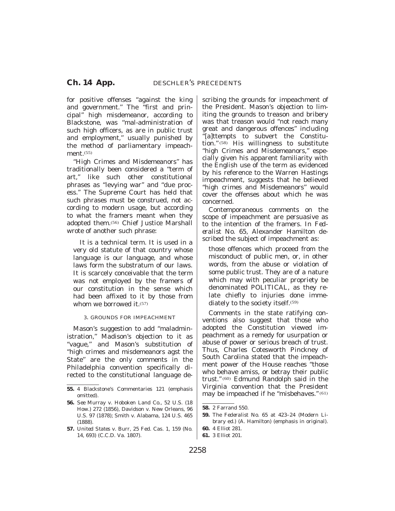for positive offenses ''against the king and government.'' The ''first and principal'' high misdemeanor, according to Blackstone, was ''mal-administration of such high officers, as are in public trust and employment,'' usually punished by the method of parliamentary impeachment.(55)

''High Crimes and Misdemeanors'' has traditionally been considered a ''term of art,'' like such other constitutional phrases as ''levying war'' and ''due process.'' The Supreme Court has held that such phrases must be construed, not according to modern usage, but according to what the framers meant when they adopted them.(56) Chief Justice Marshall wrote of another such phrase:

It is a technical term. It is used in a very old statute of that country whose language is our language, and whose laws form the substratum of our laws. It is scarcely conceivable that the term was not employed by the framers of our constitution in the sense which had been affixed to it by those from whom we borrowed it. $(57)$ 

#### 3. GROUNDS FOR IMPEACHMENT

Mason's suggestion to add ''maladministration,'' Madison's objection to it as "vague," and Mason's substitution of ''high crimes and misdemeanors agst the State'' are the only comments in the Philadelphia convention specifically directed to the constitutional language describing the grounds for impeachment of the President. Mason's objection to limiting the grounds to treason and bribery was that treason would ''not reach many great and dangerous offences'' including '[a]ttempts to subvert the Constitution." $(58)$  His willingness to substitute "high Crimes and Misdemeanors," especially given his apparent familiarity with the English use of the term as evidenced by his reference to the Warren Hastings impeachment, suggests that he believed "high crimes and Misdemeanors" would cover the offenses about which he was concerned.

Contemporaneous comments on the scope of impeachment are persuasive as to the intention of the framers. In *Federalist* No. 65, Alexander Hamilton described the subject of impeachment as:

those offences which proceed from the misconduct of public men, or, in other words, from the abuse or violation of some public trust. They are of a nature which may with peculiar propriety be denominated POLITICAL, as they relate chiefly to injuries done immediately to the society itself.(59)

Comments in the state ratifying conventions also suggest that those who adopted the Constitution viewed impeachment as a remedy for usurpation or abuse of power or serious breach of trust. Thus, Charles Cotesworth Pinckney of South Carolina stated that the impeachment power of the House reaches ''those who behave amiss, or betray their public trust.'' (60) Edmund Randolph said in the Virginia convention that the President may be impeached if he "misbehaves." (61)

**<sup>55.</sup>** 4 Blackstone's Commentaries 121 (emphasis omitted).

**<sup>56.</sup>** *See* Murray v. Hoboken Land Co., 52 U.S. (18 How.) 272 (1856), Davidson v. New Orleans, 96 U.S. 97 (1878); Smith v. Alabama, 124 U.S. 465 (1888).

**<sup>57.</sup>** *United States* v. *Burr,* 25 Fed. Cas. 1, 159 (No. 14, 693) (C.C.D. Va. 1807).

**<sup>58.</sup>** 2 Farrand 550.

**<sup>59.</sup>** *The Federalist* No. 65 at 423–24 (Modern Library ed.) (A. Hamilton) (emphasis in original).

**<sup>60.</sup>** 4 Elliot 281.

**<sup>61.</sup>** 3 Elliot 201.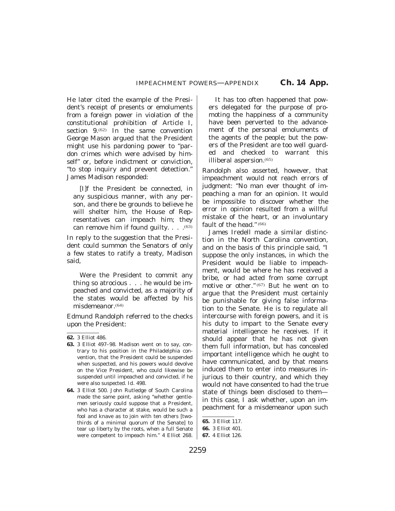He later cited the example of the President's receipt of presents or emoluments from a foreign power in violation of the constitutional prohibition of Article I, section 9.<sup>(62)</sup> In the same convention George Mason argued that the President might use his pardoning power to ''pardon crimes which were advised by himself'' or, before indictment or conviction, ''to stop inquiry and prevent detection.'' James Madison responded:

[I]f the President be connected, in any suspicious manner, with any person, and there be grounds to believe he will shelter him, the House of Representatives can impeach him; they can remove him if found guilty.  $\ldots$  . (63)

In reply to the suggestion that the President could summon the Senators of only a few states to ratify a treaty, Madison said,

Were the President to commit any thing so atrocious . . . he would be impeached and convicted, as a majority of the states would be affected by his misdemeanor.<sup>(64)</sup>

Edmund Randolph referred to the checks upon the President:

- **63.** 3 Elliot 497–98. Madison went on to say, contrary to his position in the Philadelphia convention, that the President could be suspended when suspected, and his powers would devolve on the Vice President, who could likewise be suspended until impeached and convicted, if he were also suspected. *Id.* 498.
- **64.** 3 Elliot 500. John Rutledge of South Carolina made the same point, asking ''whether gentlemen seriously could suppose that a President, who has a character at stake, would be such a fool and knave as to join with ten others [twothirds of a minimal quorum of the Senate] to tear up liberty by the roots, when a full Senate were competent to impeach him.'' 4 Elliot 268.

It has too often happened that powers delegated for the purpose of promoting the happiness of a community have been perverted to the advancement of the personal emoluments of the agents of the people; but the powers of the President are too well guarded and checked to warrant this illiberal aspersion.<sup>(65)</sup>

Randolph also asserted, however, that impeachment would not reach errors of judgment: ''No man ever thought of impeaching a man for an opinion. It would be impossible to discover whether the error in opinion resulted from a willful mistake of the heart, or an involuntary fault of the head.'' (66)

James Iredell made a similar distinction in the North Carolina convention, and on the basis of this principle said, ''I suppose the only instances, in which the President would be liable to impeachment, would be where he has received a bribe, or had acted from some corrupt motive or other.'' (67) But he went on to argue that the President must certainly be punishable for giving false information to the Senate. He is to regulate all intercourse with foreign powers, and it is his duty to impart to the Senate every material intelligence he receives. If it should appear that he has not given them full information, but has concealed important intelligence which he ought to have communicated, and by that means induced them to enter into measures injurious to their country, and which they would not have consented to had the true state of things been disclosed to them in this case, I ask whether, upon an impeachment for a misdemeanor upon such

**<sup>62.</sup>** 3 Elliot 486.

**<sup>65.</sup>** 3 Elliot 117.

**<sup>66.</sup>** 3 Elliot 401.

**<sup>67.</sup>** 4 Elliot 126.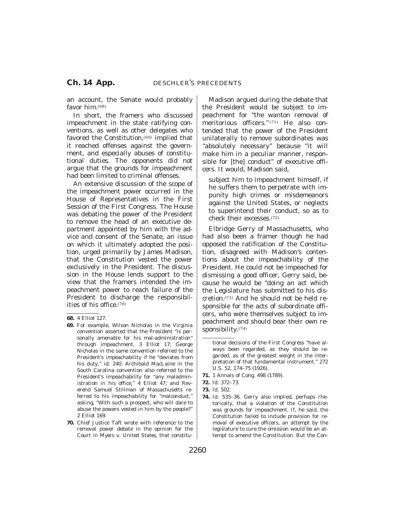an account, the Senate would probably favor him.<sup>(68)</sup>

In short, the framers who discussed impeachment in the state ratifying conventions, as well as other delegates who favored the Constitution,<sup>(69)</sup> implied that it reached offenses against the government, and especially abuses of constitutional duties. The opponents did not argue that the grounds for impeachment had been limited to criminal offenses.

An extensive discussion of the scope of the impeachment power occurred in the House of Representatives in the First Session of the First Congress. The House was debating the power of the President to remove the head of an executive department appointed by him with the advice and consent of the Senate, an issue on which it ultimately adopted the position, urged primarily by James Madison, that the Constitution vested the power exclusively in the President. The discussion in the House lends support to the view that the framers intended the impeachment power to reach failure of the President to discharge the responsibilities of his office.(70)

- **69.** For example, Wilson Nicholas in the Virginia convention asserted that the President ''is personally amenable for his mal-administration'' through impeachment, 3 Elliot 17; George Nicholas in the same convention referred to the President's impeachability if he ''deviates from his duty,'' *id.* 240. Archibald MacLaine in the South Carolina convention also referred to the President's impeachability for "any maladministration in his office,'' 4 Elliot 47; and Reverend Samuel Stillman of Massachusetts referred to his impeachability for ''malconduct,'' asking, ''With such a prospect, who will dare to abuse the powers vested in him by the people?'' 2 Elliot 169.
- **70.** Chief Justice Taft wrote with reference to the removal power debate in the opinion for the Court in *Myers* v. *United States*, that constitu-

Madison argued during the debate that the President would be subject to impeachment for ''the wanton removal of meritorious officers." (71) He also contended that the power of the President unilaterally to remove subordinates was "absolutely necessary" because "it will make him in a peculiar manner, responsible for [the] conduct'' of executive officers. It would, Madison said,

subject him to impeachment himself, if he suffers them to perpetrate with impunity high crimes or misdemeanors against the United States, or neglects to superintend their conduct, so as to check their excesses.(72)

Elbridge Gerry of Massachusetts, who had also been a framer though he had opposed the ratification of the Constitution, disagreed with Madison's contentions about the impeachability of the President. He could not be impeached for dismissing a good officer, Gerry said, because he would be ''doing an act which the Legislature has submitted to his discretion.(73) And he should not be held responsible for the acts of subordinate officers, who were themselves subject to impeachment and should bear their own responsibility.(74)

**71.** 1 Annals of Cong. 498 (1789).

**74.** *Id.* 535–36. Gerry also implied, perhaps rhetorically, that a violation of the Constitution was grounds for impeachment. If, he said, the Constitution failed to include provision for removal of executive officers, an attempt by the legislature to cure the omission would be an attempt to amend the Constitution. But the Con-

**<sup>68.</sup>** 4 Elliot 127.

tional decisions of the First Congress ''have always been regarded, as they should be regarded, as of the greatest weight in the interpretation of that fundamental instrument.'' 272 U.S. 52, 174–75 (1926).

**<sup>72.</sup>** *Id.* 372–73.

**<sup>73.</sup>** *Id.* 502.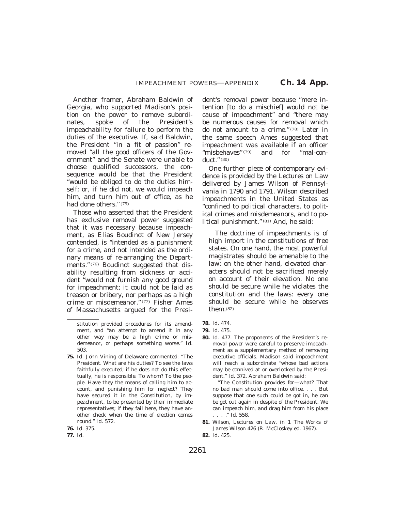Another framer, Abraham Baldwin of Georgia, who supported Madison's position on the power to remove subordinates, spoke of the President's impeachability for failure to perform the duties of the executive. If, said Baldwin, the President ''in a fit of passion'' removed ''all the good officers of the Government'' and the Senate were unable to choose qualified successors, the consequence would be that the President ''would be obliged to do the duties himself; or, if he did not, we would impeach him, and turn him out of office, as he had done others." (75)

Those who asserted that the President has exclusive removal power suggested that it was necessary because impeachment, as Elias Boudinot of New Jersey contended, is ''intended as a punishment for a crime, and not intended as the ordinary means of re-arranging the Departments."<sup>(76)</sup> Boudinot suggested that disability resulting from sickness or accident ''would not furnish any good ground for impeachment; it could not be laid as treason or bribery, nor perhaps as a high crime or misdemeanor.'' (77) Fisher Ames of Massachusetts argued for the Presi-

dent's removal power because ''mere intention [to do a mischief] would not be cause of impeachment'' and ''there may be numerous causes for removal which do not amount to a crime.'' (78) Later in the same speech Ames suggested that impeachment was available if an officer<br>"mishehaves"<sup>(79)</sup> and for "mal-con-"misbehaves" (79) and for duct.'' (80)

One further piece of contemporary evidence is provided by the *Lectures on Law* delivered by James Wilson of Pennsylvania in 1790 and 1791. Wilson described impeachments in the United States as ''confined to political characters, to political crimes and misdemeanors, and to political punishment.'' (81) And, he said:

The doctrine of impeachments is of high import in the constitutions of free states. On one hand, the most powerful magistrates should be amenable to the law: on the other hand, elevated characters should not be sacrificed merely on account of their elevation. No one should be secure while he violates the constitution and the laws: every one should be secure while he observes them.(82)

**78.** *Id.* 474.

''The Constitution provides for—what? That no bad man should come into office. . . . But suppose that one such could be got in, he can be got out again in despite of the President. We can impeach him, and drag him from his place . . . .'' *Id.* 558.

stitution provided procedures for its amendment, and ''an attempt to amend it in any other way may be a high crime or misdemeanor, or perhaps something worse.'' *Id.* 503.

**<sup>75.</sup>** *Id.* John Vining of Delaware commented: ''The President. What are his duties? To see the laws faithfully executed; if he does not do this effectually, he is responsible. To whom? To the people. Have they the means of calling him to account, and punishing him for neglect? They have secured it in the Constitution, by impeachment, to be presented by their immediate representatives; if they fail here, they have another check when the time of election comes round.'' *Id.* 572.

**<sup>76.</sup>** *Id.* 375.

**<sup>77.</sup>** *Id.*

**<sup>79.</sup>** *Id.* 475.

**<sup>80.</sup>** *Id.* 477. The proponents of the President's removal power were careful to preserve impeachment as a supplementary method of removing executive officials. Madison said impeachment will reach a subordinate ''whose bad actions may be connived at or overlooked by the President.'' *Id.* 372. Abraham Baldwin said:

**<sup>81.</sup>** Wilson, *Lectures on Law,* in 1 *The Works of James Wilson* 426 (R. McCloskey ed. 1967).

**<sup>82.</sup>** *Id.* 425.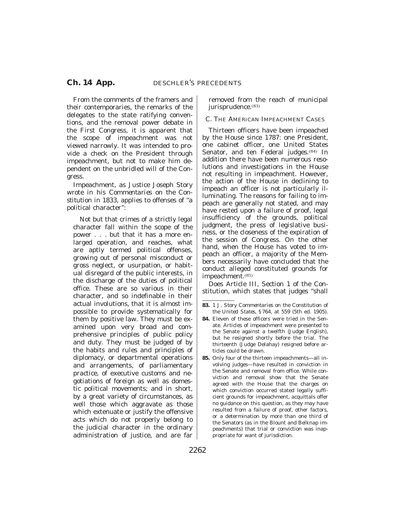From the comments of the framers and their contemporaries, the remarks of the delegates to the state ratifying conventions, and the removal power debate in the First Congress, it is apparent that the scope of impeachment was not viewed narrowly. It was intended to provide a check on the President through impeachment, but not to make him dependent on the unbridled will of the Congress.

Impeachment, as Justice Joseph Story wrote in his *Commentaries on the Constitution* in 1833, applies to offenses of ''a political character'':

Not but that crimes of a strictly legal character fall within the scope of the power . . . but that it has a more enlarged operation, and reaches, what are aptly termed political offenses, growing out of personal misconduct or gross neglect, or usurpation, or habitual disregard of the public interests, in the discharge of the duties of political office. These are so various in their character, and so indefinable in their actual involutions, that it is almost impossible to provide systematically for them by positive law. They must be examined upon very broad and comprehensive principles of public policy and duty. They must be judged of by the habits and rules and principles of diplomacy, or departmental operations and arrangements, of parliamentary practice, of executive customs and negotiations of foreign as well as domestic political movements; and in short, by a great variety of circumstances, as well those which aggravate as those which extenuate or justify the offensive acts which do not properly belong to the judicial character in the ordinary administration of justice, and are far removed from the reach of municipal jurisprudence.(83)

### C. THE AMERICAN IMPEACHMENT CASES

Thirteen officers have been impeached by the House since 1787: one President, one cabinet officer, one United States Senator, and ten Federal judges.<sup>(84)</sup> In addition there have been numerous resolutions and investigations in the House not resulting in impeachment. However, the action of the House in declining to impeach an officer is not particularly illuminating. The reasons for failing to impeach are generally not stated, and may have rested upon a failure of proof, legal insufficiency of the grounds, political judgment, the press of legislative business, or the closeness of the expiration of the session of Congress. On the other hand, when the House has voted to impeach an officer, a majority of the Members necessarily have concluded that the conduct alleged constituted grounds for impeachment.(85)

Does Article III, Section 1 of the Constitution, which states that judges ''shall

- **83.** 1 *J. Story Commentaries on the Constitution of the United States*, § 764, at 559 (5th ed. 1905).
- **84.** Eleven of these officers were tried in the Senate. Articles of impeachment were presented to the Senate against a twelfth (Judge English), but he resigned shortly before the trial. The thirteenth (Judge Delahay) resigned before articles could be drawn.
- **85.** Only four of the thirteen impeachments—all involving judges—have resulted in conviction in the Senate and removal from office. While conviction and removal show that the Senate agreed with the House that the charges on which conviction occurred stated legally sufficient grounds for impeachment, acquittals offer no guidance on this question, as they may have resulted from a failure of proof, other factors, or a determination by more than one third of the Senators (as in the Blount and Belknap impeachments) that trial or conviction was inappropriate for want of jurisdiction.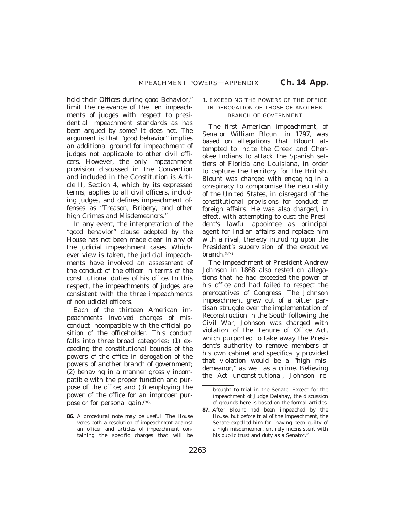hold their Offices during good Behavior,'' limit the relevance of the ten impeachments of judges with respect to presidential impeachment standards as has been argued by some? It does not. The argument is that ''good behavior'' implies an additional ground for impeachment of judges not applicable to other civil officers. However, the only impeachment provision discussed in the Convention and included in the Constitution is Article II, Section 4, which by its expressed terms, applies to all civil officers, including judges, and defines impeachment offenses as ''Treason, Bribery, and other high Crimes and Misdemeanors.''

In any event, the interpretation of the "good behavior" clause adopted by the House has not been made clear in any of the judicial impeachment cases. Whichever view is taken, the judicial impeachments have involved an assessment of the conduct of the officer in terms of the constitutional duties of his office. In this respect, the impeachments of judges are consistent with the three impeachments of nonjudicial officers.

Each of the thirteen American impeachments involved charges of misconduct incompatible with the official position of the officeholder. This conduct falls into three broad categories: (1) exceeding the constitutional bounds of the powers of the office in derogation of the powers of another branch of government; (2) behaving in a manner grossly incompatible with the proper function and purpose of the office; and (3) employing the power of the office for an improper purpose or for personal gain.(86)

#### 1. EXCEEDING THE POWERS OF THE OFFICE IN DEROGATION OF THOSE OF ANOTHER BRANCH OF GOVERNMENT

The first American impeachment, of Senator William Blount in 1797, was based on allegations that Blount attempted to incite the Creek and Cherokee Indians to attack the Spanish settlers of Florida and Louisiana, in order to capture the territory for the British. Blount was charged with engaging in a conspiracy to compromise the neutrality of the United States, in disregard of the constitutional provisions for conduct of foreign affairs. He was also charged, in effect, with attempting to oust the President's lawful appointee as principal agent for Indian affairs and replace him with a rival, thereby intruding upon the President's supervision of the executive branch.(87)

The impeachment of President Andrew Johnson in 1868 also rested on allegations that he had exceeded the power of his office and had failed to respect the prerogatives of Congress. The Johnson impeachment grew out of a bitter partisan struggle over the implementation of Reconstruction in the South following the Civil War, Johnson was charged with violation of the Tenure of Office Act, which purported to take away the President's authority to remove members of his own cabinet and specifically provided that violation would be a ''high misdemeanor,'' as well as a crime. Believing the Act unconstitutional, Johnson re-

**<sup>86.</sup>** A procedural note may be useful. The House votes both a resolution of impeachment against an officer and articles of impeachment containing the specific charges that will be

brought to trial in the Senate. Except for the impeachment of Judge Delahay, the discussion of grounds here is based on the formal articles.

**<sup>87.</sup>** After Blount had been impeached by the House, but before trial of the impeachment, the Senate expelled him for ''having been guilty of a high misdemeanor, entirely inconsistent with his public trust and duty as a Senator.''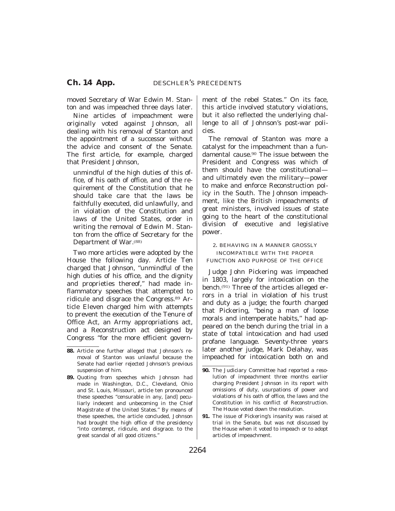moved Secretary of War Edwin M. Stanton and was impeached three days later.

Nine articles of impeachment were originally voted against Johnson, all dealing with his removal of Stanton and the appointment of a successor without the advice and consent of the Senate. The first article, for example, charged that President Johnson,

unmindful of the high duties of this office, of his oath of office, and of the requirement of the Constitution that he should take care that the laws be faithfully executed, did unlawfully, and in violation of the Constitution and laws of the United States, order in writing the removal of Edwin M. Stanton from the office of Secretary for the Department of War.(88)

Two more articles were adopted by the House the following day. Article Ten charged that Johnson, ''unmindful of the high duties of his office, and the dignity and proprieties thereof,'' had made inflammatory speeches that attempted to ridicule and disgrace the Congress.89 Article Eleven charged him with attempts to prevent the execution of the Tenure of Office Act, an Army appropriations act, and a Reconstruction act designed by Congress ''for the more efficient govern-

ment of the rebel States.'' On its face, this article involved statutory violations, but it also reflected the underlying challenge to all of Johnson's post-war policies.

The removal of Stanton was more a catalyst for the impeachment than a fundamental cause.90 The issue between the President and Congress was which of them should have the constitutional and ultimately even the military—power to make and enforce Reconstruction policy in the South. The Johnson impeachment, like the British impeachments of great ministers, involved issues of state going to the heart of the constitutional division of executive and legislative power.

2. BEHAVING IN A MANNER GROSSLY INCOMPATIBLE WITH THE PROPER FUNCTION AND PURPOSE OF THE OFFICE

Judge John Pickering was impeached in 1803, largely for intoxication on the bench.(91) Three of the articles alleged errors in a trial in violation of his trust and duty as a judge; the fourth charged that Pickering, ''being a man of loose morals and intemperate habits,'' had appeared on the bench during the trial in a state of total intoxication and had used profane language. Seventy-three years later another judge, Mark Delahay, was impeached for intoxication both on and

**<sup>88.</sup>** Article one further alleged that Johnson's removal of Stanton was unlawful because the Senate had earlier rejected Johnson's previous suspension of him.

**<sup>89.</sup>** Quoting from speeches which Johnson had made in Washington, D.C., Cleveland, Ohio and St. Louis, Missouri, article ten pronounced these speeches ''censurable in any, [and] peculiarly indecent and unbecoming in the Chief Magistrate of the United States.'' By means of these speeches, the article concluded, Johnson had brought the high office of the presidency ''into contempt, ridicule, and disgrace. to the great scandal of all good citizens.''

**<sup>90.</sup>** The Judiciary Committee had reported a resolution of impeachment three months earlier charging President Johnson in its report with omissions of duty, usurpations of power and violations of his oath of office, the laws and the Constitution in his conflict of Reconstruction. The House voted down the resolution.

**<sup>91.</sup>** The issue of Pickering's insanity was raised at trial in the Senate, but was not discussed by the House when it voted to impeach or to adopt articles of impeachment.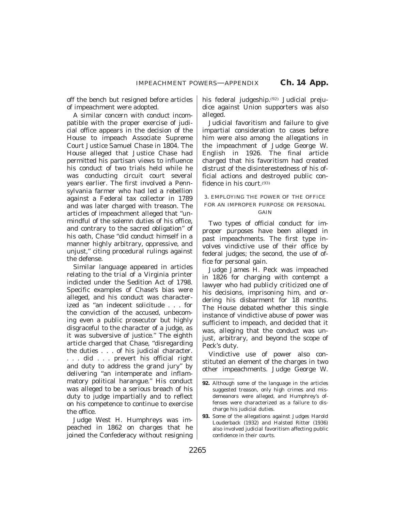off the bench but resigned before articles of impeachment were adopted.

A similar concern with conduct incompatible with the proper exercise of judicial office appears in the decision of the House to impeach Associate Supreme Court Justice Samuel Chase in 1804. The House alleged that Justice Chase had permitted his partisan views to influence his conduct of two trials held while he was conducting circuit court several years earlier. The first involved a Pennsylvania farmer who had led a rebellion against a Federal tax collector in 1789 and was later charged with treason. The articles of impeachment alleged that ''unmindful of the solemn duties of his office, and contrary to the sacred obligation'' of his oath, Chase ''did conduct himself in a manner highly arbitrary, oppressive, and unjust,'' citing procedural rulings against the defense.

Similar language appeared in articles relating to the trial of a Virginia printer indicted under the Sedition Act of 1798. Specific examples of Chase's bias were alleged, and his conduct was characterized as ''an indecent solicitude . . . for the conviction of the accused, unbecoming even a public prosecutor but highly disgraceful to the character of a judge, as it was subversive of justice.'' The eighth article charged that Chase, ''disregarding the duties . . . of his judicial character. . . . did . . . prevert his official right and duty to address the grand jury'' by delivering ''an intemperate and inflammatory political harangue.'' His conduct was alleged to be a serious breach of his duty to judge impartially and to reflect on his competence to continue to exercise the office.

Judge West H. Humphreys was impeached in 1862 on charges that he joined the Confederacy without resigning his federal judgeship.(92) Judicial prejudice against Union supporters was also alleged.

Judicial favoritism and failure to give impartial consideration to cases before him were also among the allegations in the impeachment of Judge George W. English in 1926. The final article charged that his favoritism had created distrust of the disinterestedness of his official actions and destroyed public confidence in his court.(93)

#### 3. EMPLOYING THE POWER OF THE OFFICE FOR AN IMPROPER PURPOSE OR PERSONAL GAIN

Two types of official conduct for improper purposes have been alleged in past impeachments. The first type involves vindictive use of their office by federal judges; the second, the use of office for personal gain.

Judge James H. Peck was impeached in 1826 for charging with contempt a lawyer who had publicly criticized one of his decisions, imprisoning him, and ordering his disbarment for 18 months. The House debated whether this single instance of vindictive abuse of power was sufficient to impeach, and decided that it was, alleging that the conduct was unjust, arbitrary, and beyond the scope of Peck's duty.

Vindictive use of power also constituted an element of the charges in two other impeachments. Judge George W.

**<sup>92.</sup>** Although some of the language in the articles suggested treason, only high crimes and misdemeanors were alleged, and Humphrey's offenses were characterized as a failure to discharge his judicial duties.

**<sup>93.</sup>** Some of the allegations against Judges Harold Louderback (1932) and Halsted Ritter (1936) also involved judicial favoritism affecting public confidence in their courts.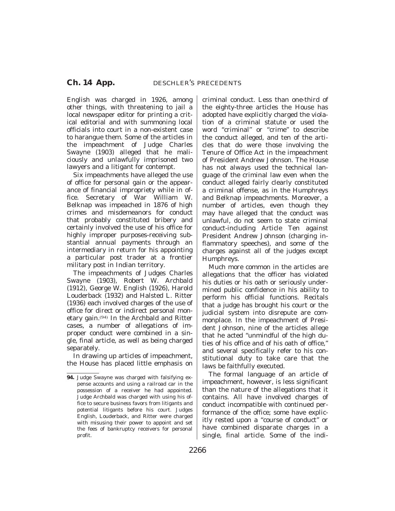English was charged in 1926, among other things, with threatening to jail a local newspaper editor for printing a critical editorial and with summoning local officials into court in a non-existent case to harangue them. Some of the articles in the impeachment of Judge Charles Swayne (1903) alleged that he maliciously and unlawfully imprisoned two lawyers and a litigant for contempt.

Six impeachments have alleged the use of office for personal gain or the appearance of financial impropriety while in office. Secretary of War William W. Belknap was impeached in 1876 of high crimes and misdemeanors for conduct that probably constituted bribery and certainly involved the use of his office for highly improper purposes-receiving substantial annual payments through an intermediary in return for his appointing a particular post trader at a frontier military post in Indian territory.

The impeachments of Judges Charles Swayne (1903), Robert W. Archbald (1912), George W. English (1926), Harold Louderback (1932) and Halsted L. Ritter (1936) each involved charges of the use of office for direct or indirect personal monetary gain.(94) In the Archbald and Ritter cases, a number of allegations of improper conduct were combined in a single, final article, as well as being charged separately.

In drawing up articles of impeachment, the House has placed little emphasis on

criminal conduct. Less than one-third of the eighty-three articles the House has adopted have explicitly charged the violation of a criminal statute or used the word ''criminal'' or ''crime'' to describe the conduct alleged, and ten of the articles that do were those involving the Tenure of Office Act in the impeachment of President Andrew Johnson. The House has not always used the technical language of the criminal law even when the conduct alleged fairly clearly constituted a criminal offense, as in the Humphreys and Belknap impeachments. Moreover, a number of articles, even though they may have alleged that the conduct was unlawful, do not seem to state criminal conduct-including Article Ten against President Andrew Johnson (charging inflammatory speeches), and some of the charges against all of the judges except Humphreys.

Much more common in the articles are allegations that the officer has violated his duties or his oath or seriously undermined public confidence in his ability to perform his official functions. Recitals that a judge has brought his court or the judicial system into disrepute are commonplace. In the impeachment of President Johnson, nine of the articles allege that he acted ''unmindful of the high duties of his office and of his oath of office,'' and several specifically refer to his constitutional duty to take care that the laws be faithfully executed.

The formal language of an article of impeachment, however, is less significant than the nature of the allegations that it contains. All have involved charges of conduct incompatible with continued performance of the office; some have explicitly rested upon a ''course of conduct'' or have combined disparate charges in a single, final article. Some of the indi-

**<sup>94.</sup>** Judge Swayne was charged with falsifying expense accounts and using a railroad car in the possession of a receiver he had appointed. Judge Archbald was charged with using his office to secure business favors from litigants and potential litigants before his court. Judges English, Louderback, and Ritter were charged with misusing their power to appoint and set the fees of bankruptcy receivers for personal profit.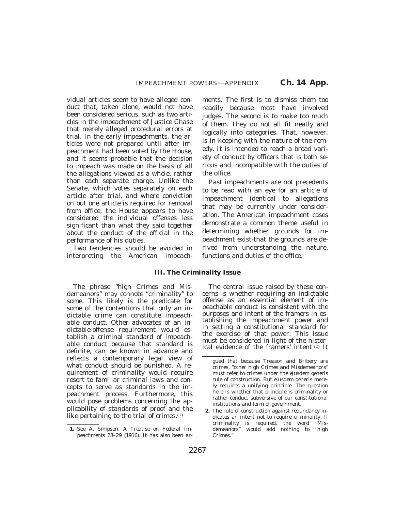vidual articles seem to have alleged conduct that, taken alone, would not have been considered serious, such as two articles in the impeachment of Justice Chase that merely alleged procedural errors at trial. In the early impeachments, the articles were not prepared until after impeachment had been voted by the House, and it seems probable that the decision to impeach was made on the basis of all the allegations viewed as a whole, rather than each separate charge. Unlike the Senate, which votes separately on each article after trial, and where conviction on but one article is required for removal from office, the House appears to have considered the individual offenses less significant than what they said together about the conduct of the official in the performance of his duties.

Two tendencies should be avoided in interpreting the American impeach-

The phrase "high Crimes and Misdemeanors'' may connote ''criminality'' to some. This likely is the predicate for some of the contentions that only an indictable crime can constitute impeachable conduct. Other advocates of an indictable-offense requirement would establish a criminal standard of impeachable conduct because that standard is definite, can be known in advance and reflects a contemporary legal view of what conduct should be punished. A requirement of criminality would require resort to familiar criminal laws and concepts to serve as standards in the impeachment process. Furthermore, this would pose problems concerning the applicability of standards of proof and the like pertaining to the trial of crimes.(1)

ments. The first is to dismiss them too readily because most have involved judges. The second is to make too much of them. They do not all fit neatly and logically into categories. That, however, is in keeping with the nature of the remedy. It is intended to reach a broad variety of conduct by officers that is both serious and incompatible with the duties of the office.

Past impeachments are not precedents to be read with an eye for an article of impeachment identical to allegations that may be currently under consideration. The American impeachment cases demonstrate a common theme useful in determining whether grounds for impeachment exist-that the grounds are derived from understanding the nature, functions and duties of the office.

## **III. The Criminality Issue**

The central issue raised by these concerns is whether requiring an indictable offense as an essential element of impeachable conduct is consistent with the purposes and intent of the framers in establishing the impeachment power and in setting a constitutional standard for the exercise of that power. This issue must be considered in light of the historical evidence of the framers' intent.(2) It

**<sup>1.</sup>** See A. Simpson, A *Treatise on Federal Impeachments* 28–29 (1916). It has also been ar-

gued that because Treason and Bribery are crimes, ''other high Crimes and Misdemeanors'' must refer to crimes under the *ejusdem generis* rule of construction. But *ejusdem generis* merely requires a unifying principle. The question here is whether that principle is criminality or rather conduct subversive of our constitutional institutions and form of government.

**<sup>2.</sup>** The rule of construction against redundancy indicates an intent not to require criminality. If criminality is required, the word ''Misdemeanors'' would add nothing to ''high Crimes.''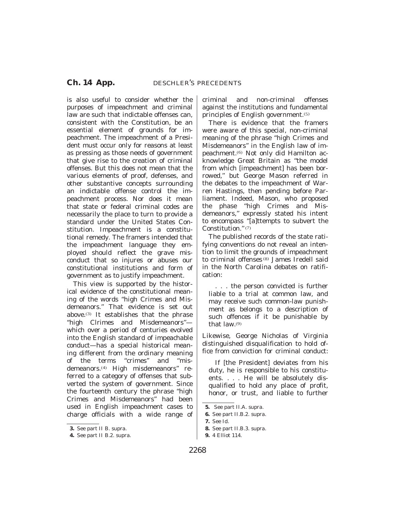is also useful to consider whether the purposes of impeachment and criminal law are such that indictable offenses can, consistent with the Constitution, be an essential element of grounds for impeachment. The impeachment of a President must occur only for reasons at least as pressing as those needs of government that give rise to the creation of criminal offenses. But this does not mean that the various elements of proof, defenses, and other substantive concepts surrounding an indictable offense control the impeachment process. Nor does it mean that state or federal criminal codes are necessarily the place to turn to provide a standard under the United States Constitution. Impeachment is a constitutional remedy. The framers intended that the impeachment language they employed should reflect the grave misconduct that so injures or abuses our constitutional institutions and form of government as to justify impeachment.

This view is supported by the historical evidence of the constitutional meaning of the words ''high Crimes and Misdemeanors.'' That evidence is set out above.(3) It establishes that the phrase ''high Clrimes and Misdemeanors'' which over a period of centuries evolved into the English standard of impeachable conduct—has a special historical meaning different from the ordinary meaning of the terms "crimes" and "misdemeanors.(4) High misdemeanors'' referred to a category of offenses that subverted the system of government. Since the fourteenth century the phrase ''high Crimes and Misdemeanors'' had been used in English impeachment cases to charge officials with a wide range of

criminal and non-criminal offenses against the institutions and fundamental principles of English government.(5)

There is evidence that the framers were aware of this special, non-criminal meaning of the phrase ''high Crimes and Misdemeanors'' in the English law of impeachment.(6) Not only did Hamilton acknowledge Great Britain as ''the model from which [impeachment] has been borrowed,'' but George Mason referred in the debates to the impeachment of Warren Hastings, then pending before Parliament. Indeed, Mason, who proposed the phase ''high Crimes and Misdemeanors,'' expressly stated his intent to encompass ''[a]ttempts to subvert the Constitution." (7)

The published records of the state ratifying conventions do not reveal an intention to limit the grounds of impeachment to criminal offenses (8) James Iredell said in the North Carolina debates on ratification:

. . . the person convicted is further liable to a trial at common law, and may receive such common-law punishment as belongs to a description of such offences if it be punishable by that law.(9)

Likewise, George Nicholas of Virginia distinguished disqualification to hold office from conviction for criminal conduct:

If [the President] deviates from his duty, he is responsible to his constituents. . . . He will be absolutely disqualified to hold any place of profit, honor, or trust, and liable to further

**<sup>3.</sup>** See part II B. *supra.*

**<sup>4.</sup>** See part II B.2. *supra.*

**<sup>5.</sup>** See part II.A. *supra.*

**<sup>6.</sup>** See part II.B.2. *supra.*

**<sup>7.</sup>** See *Id.*

**<sup>8.</sup>** See part II.B.3. *supra.*

**<sup>9.</sup>** 4 Elliot 114.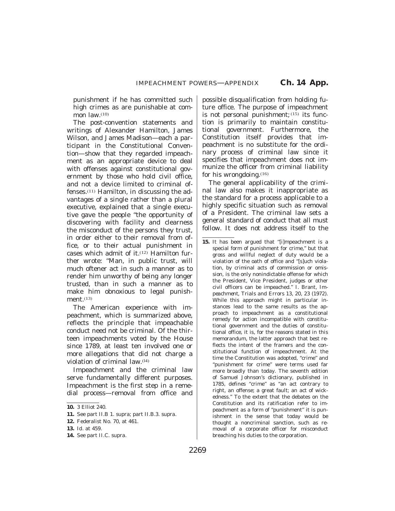punishment if he has committed such high crimes as are punishable at common  $law(10)$ 

The post-convention statements and writings of Alexander Hamilton, James Wilson, and James Madison—each a participant in the Constitutional Convention—show that they regarded impeachment as an appropriate device to deal with offenses against constitutional government by those who hold civil office, and not a device limited to criminal offenses.(11) Hamilton, in discussing the advantages of a single rather than a plural executive, explained that a single executive gave the people ''the opportunity of discovering with facility and clearness the misconduct of the persons they trust, in order either to their removal from office, or to their actual punishment in cases which admit of it.<sup>(12)</sup> Hamilton further wrote: ''Man, in public trust, will much oftener act in such a manner as to render him unworthy of being any longer trusted, than in such a manner as to make him obnoxious to legal punish $ment.$ (13)

The American experience with impeachment, which is summarized above, reflects the principle that impeachable conduct need not be criminal. Of the thirteen impeachments voted by the House since 1789, at least ten involved one or more allegations that did not charge a violation of criminal law.(l4)

Impeachment and the criminal law serve fundamentally different purposes. Impeachment is the first step in a remedial process—removal from office and

possible disqualification from holding future office. The purpose of impeachment is not personal punishment;  $(15)$  its function is primarily to maintain constitutional government. Furthermore, the Constitution itself provides that impeachment is no substitute for the ordinary process of criminal law since it specifies that impeachment does not immunize the officer from criminal liability for his wrongdoing.(16)

The general applicability of the criminal law also makes it inappropriate as the standard for a process applicable to a highly specific situation such as removal of a President. The criminal law sets a general standard of conduct that all must follow. It does not address itself to the

**<sup>10.</sup>** 3 Elliot 240.

**<sup>11.</sup>** See part II.B 1. *supra*; part II.B.3. *supra.*

**<sup>12.</sup>** Federalist No. 70, at 461.

**<sup>13.</sup>** *Id.* at 459.

**<sup>14.</sup>** See part II.C. *supra.*

<sup>15.</sup> It has been argued that "[i]mpeachment is a special form of punishment for crime,'' but that gross and willful neglect of duty would be a violation of the oath of office and ''[s]uch violation, by criminal acts of commission or omission, is the only nonindictable offense for which the President, Vice President, judges or other civil officers can be impeached.'' I. Brant, *Impeachment, Trials and Errors* 13, 20, 23 (1972). While this approach might in particular instances lead to the same results as the approach to impeachment as a constitutional remedy for action incompatible with constitutional government and the duties of constitutional office, it is, for the reasons stated in this memorandum, the latter approach that best reflects the intent of the framers and the constitutional function of impeachment. At the time the Constitution was adopted, ''crime'' and ''punishment for crime'' were terms used far more broadly than today. The seventh edition of Samuel Johnson's dictionary, published in 1785, defines "crime" as "an act contrary to right, an offense; a great fault; an act of wickedness.'' To the extent that the debates on the Constitution and its ratification refer to impeachment as a form of ''punishment'' it is punishment in the sense that today would be thought a noncriminal sanction, such as removal of a corporate officer for misconduct breaching his duties to the corporation.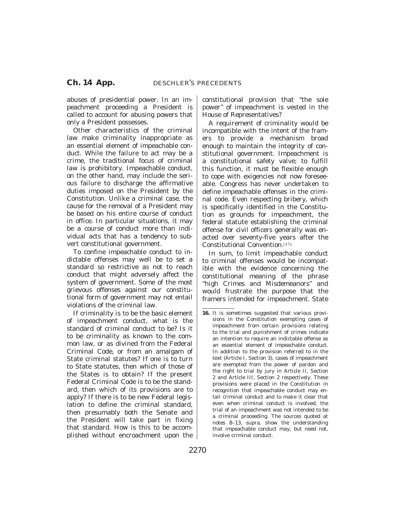abuses of presidential power. In an impeachment proceeding a President is called to account for abusing powers that only a President possesses.

Other characteristics of the criminal law make criminality inappropriate as an essential element of impeachable conduct. While the failure to act may be a crime, the traditional focus of criminal law is prohibitory. Impeachable conduct, on the other hand, may include the serious failure to discharge the affirmative duties imposed on the President by the Constitution. Unlike a criminal case, the cause for the removal of a President may be based on his entire course of conduct in office. In particular situations, it may be a course of conduct more than individual acts that has a tendency to subvert constitutional government.

To confine impeachable conduct to indictable offenses may well be to set a standard so restrictive as not to reach conduct that might adversely affect the system of government. Some of the most grievous offenses against our constitutional form of government may not entail violations of the criminal law.

If criminality is to be the basic element of impeachment conduct, what is the standard of criminal conduct to be? Is it to be criminality as known to the common law, or as divined from the Federal Criminal Code, or from an amalgam of State criminal statutes? If one is to turn to State statutes, then which of those of the States is to obtain? If the present Federal Criminal Code is to be the standard, then which of its provisions are to apply? If there is to be new Federal legislation to define the criminal standard, then presumably both the Senate and the President will take part in fixing that standard. How is this to be accomplished without encroachment upon the

constitutional provision that ''the sole power'' of impeachment is vested in the House of Representatives?

A requirement of criminality would be incompatible with the intent of the framers to provide a mechanism broad enough to maintain the integrity of constitutional government. Impeachment is a constitutional safety valve; to fulfill this function, it must be flexible enough to cope with exigencies not now foreseeable. Congress has never undertaken to define impeachable offenses in the criminal code. Even respecting bribery, which is specifically identified in the Constitution as grounds for impeachment, the federal statute establishing the criminal offense for civil officers generally was enacted over seventy-five years after the Constitutional Convention.(17)

In sum, to limit impeachable conduct to criminal offenses would be incompatible with the evidence concerning the constitutional meaning of the phrase ''high Crimes and Misdemeanors'' and would frustrate the purpose that the framers intended for impeachment. State

**<sup>16.</sup>** It is sometimes suggested that various provisions in the Constitution exempting cases of impeachment from certain provisions relating to the trial and punishment of crimes indicate an intention to require an indictable offense as an essential element of impeachable conduct. In addition to the provision referred to in the text (Article I, Section 3), cases of impeachment are exempted from the power of pardon and the right to trial by jury in Article II, Section 2 and Article III, Section 2 respectively. These provisions were placed in the Constitution in recognition that impeachable conduct may entail criminal conduct and to make it clear that even when criminal conduct is involved, the trial of an impeachment was not intended to be a criminal proceeding. The sources quoted at notes 8–13, supra, show the understanding that impeachable conduct may, but need not, involve criminal conduct.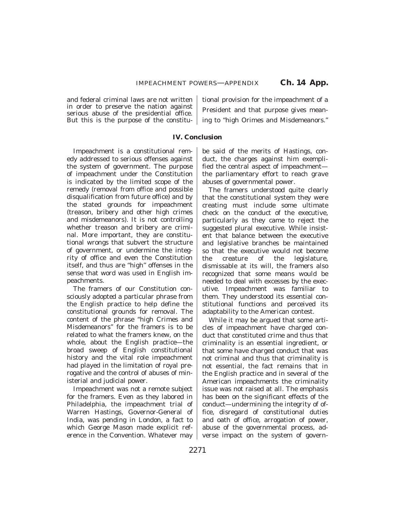and federal criminal laws are not written in order to preserve the nation against serious abuse of the presidential office. But this is the purpose of the constitu-

tional provision for the impeachment of a President and that purpose gives meaning to ''high Orimes and Misdemeanors.''

## **IV. Conclusion**

Impeachment is a constitutional remedy addressed to serious offenses against the system of government. The purpose of impeachment under the Constitution is indicated by the limited scope of the remedy (removal from office and possible disqualification from future office) and by the stated grounds for impeachment (treason, bribery and other high crimes and misdemeanors). It is not controlling whether treason and bribery are criminal. More important, they are constitutional wrongs that subvert the structure of government, or undermine the integrity of office and even the Constitution itself, and thus are ''high'' offenses in the sense that word was used in English impeachments.

The framers of our Constitution consciously adopted a particular phrase from the English practice to help define the constitutional grounds for removal. The content of the phrase ''high Crimes and Misdemeanors'' for the framers is to be related to what the framers knew, on the whole, about the English practice—the broad sweep of English constitutional history and the vital role impeachment had played in the limitation of royal prerogative and the control of abuses of ministerial and judicial power.

Impeachment was not a remote subject for the framers. Even as they labored in Philadelphia, the impeachment trial of Warren Hastings, Governor-General of India, was pending in London, a fact to which George Mason made explicit reference in the Convention. Whatever may be said of the merits of Hastings, conduct, the charges against him exemplified the central aspect of impeachment the parliamentary effort to reach grave abuses of governmental power.

The framers understood quite clearly that the constitutional system they were creating must include some ultimate check on the conduct of the executive, particularly as they came to reject the suggested plural executive. While insistent that balance between the executive and legislative branches be maintained so that the executive would not become the creature of the legislature, dismissable at its will, the framers also recognized that some means would be needed to deal with excesses by the executive. Impeachment was familiar to them. They understood its essential constitutional functions and perceived its adaptability to the American contest.

While it may be argued that some articles of impeachment have charged conduct that constituted crime and thus that criminality is an essential ingredient, or that some have charged conduct that was not criminal and thus that criminality is not essential, the fact remains that in the English practice and in several of the American impeachments the criminality issue was not raised at all. The emphasis has been on the significant effects of the conduct—undermining the integrity of office, disregard of constitutional duties and oath of office, arrogation of power, abuse of the governmental process, adverse impact on the system of govern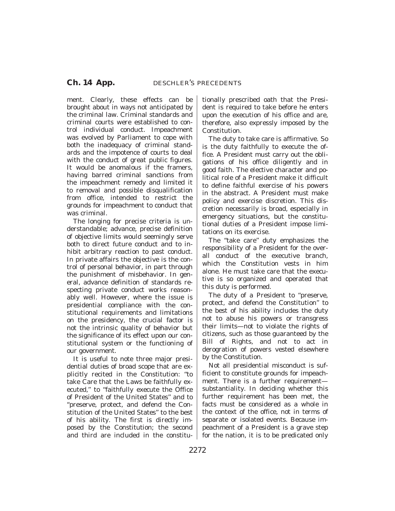ment. Clearly, these effects can be brought about in ways not anticipated by the criminal law. Criminal standards and criminal courts were established to control individual conduct. Impeachment was evolved by Parliament to cope with both the inadequacy of criminal standards and the impotence of courts to deal with the conduct of great public figures. It would be anomalous if the framers, having barred criminal sanctions from the impeachment remedy and limited it to removal and possible disqualification from office, intended to restrict the grounds for impeachment to conduct that was criminal.

The longing for precise criteria is understandable; advance, precise definition of objective limits would seemingly serve both to direct future conduct and to inhibit arbitrary reaction to past conduct. In private affairs the objective is the control of personal behavior, in part through the punishment of misbehavior. In general, advance definition of standards respecting private conduct works reasonably well. However, where the issue is presidential compliance with the constitutional requirements and limitations on the presidency, the crucial factor is not the intrinsic quality of behavior but the significance of its effect upon our constitutional system or the functioning of our government.

It is useful to note three major presidential duties of broad scope that are explicitly recited in the Constitution: ''to take Care that the Laws be faithfully executed,'' to ''faithfully execute the Office of President of the United States'' and to ''preserve, protect, and defend the Constitution of the United States'' to the best of his ability. The first is directly imposed by the Constitution; the second and third are included in the constitutionally prescribed oath that the President is required to take before he enters upon the execution of his office and are, therefore, also expressly imposed by the Constitution.

The duty to take care is affirmative. So is the duty faithfully to execute the office. A President must carry out the obligations of his office diligently and in good faith. The elective character and political role of a President make it difficult to define faithful exercise of his powers in the abstract. A President must make policy and exercise discretion. This discretion necessarily is broad, especially in emergency situations, but the constitutional duties of a President impose limitations on its exercise.

The "take care" duty emphasizes the responsibility of a President for the overall conduct of the executive branch, which the Constitution vests in him alone. He must take care that the executive is so organized and operated that this duty is performed.

The duty of a President to "preserve, protect, and defend the Constitution'' to the best of his ability includes the duty not to abuse his powers or transgress their limits—not to violate the rights of citizens, such as those guaranteed by the Bill of Rights, and not to act in derogration of powers vested elsewhere by the Constitution.

Not all presidential misconduct is sufficient to constitute grounds for impeachment. There is a further requirement substantiality. In deciding whether this further requirement has been met, the facts must be considered as a whole in the context of the office, not in terms of separate or isolated events. Because impeachment of a President is a grave step for the nation, it is to be predicated only